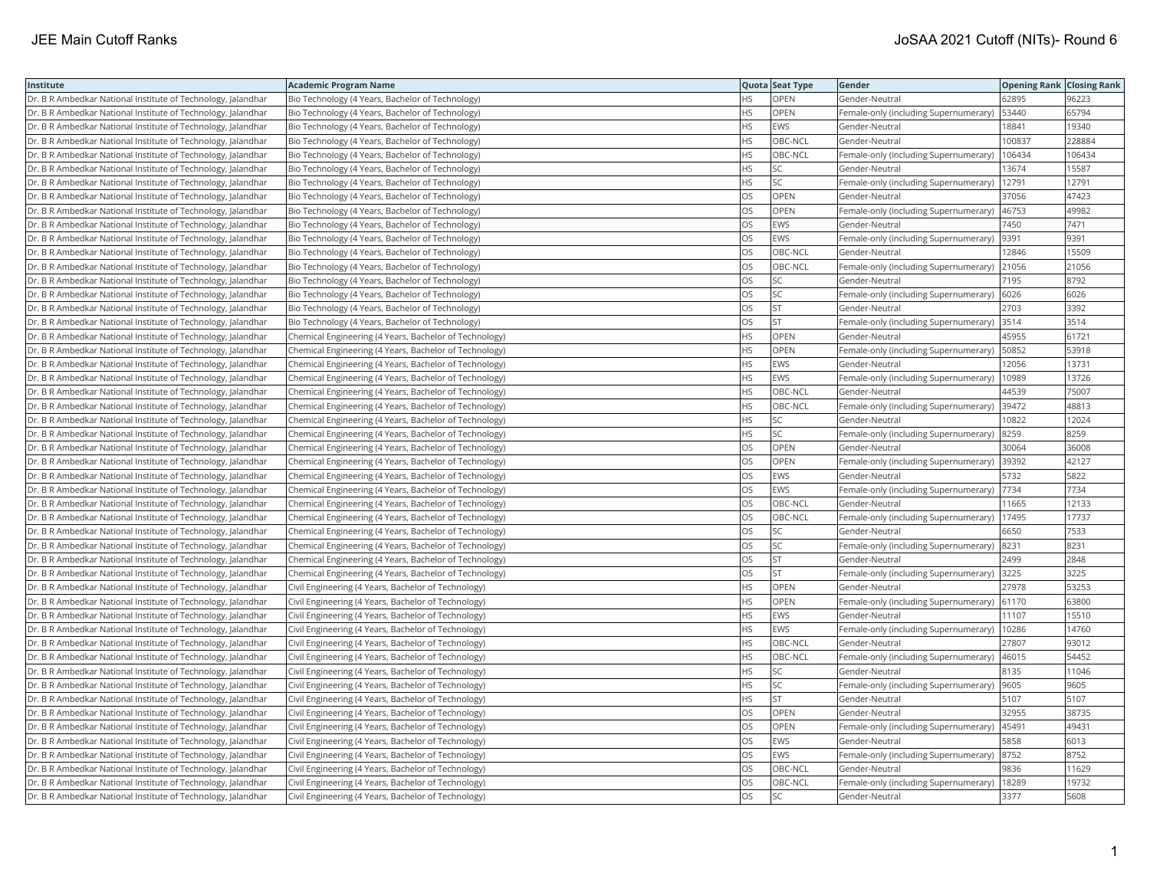| Institute                                                    | <b>Academic Program Name</b>                           |           | Quota Seat Type | Gender                                | <b>Opening Rank Closing Rank</b> |        |
|--------------------------------------------------------------|--------------------------------------------------------|-----------|-----------------|---------------------------------------|----------------------------------|--------|
| Dr. B R Ambedkar National Institute of Technology, Jalandhar | Bio Technology (4 Years, Bachelor of Technology)       | HS        | <b>OPEN</b>     | Gender-Neutral                        | 62895                            | 96223  |
| Dr. B R Ambedkar National Institute of Technology, Jalandhar | Bio Technology (4 Years, Bachelor of Technology)       | ΗS        | OPEN            | Female-only (including Supernumerary) | 53440                            | 65794  |
| Dr. B R Ambedkar National Institute of Technology, Jalandhar | Bio Technology (4 Years, Bachelor of Technology)       | HS.       | EWS             | Gender-Neutral                        | 18841                            | 19340  |
| Dr. B R Ambedkar National Institute of Technology, Jalandhar | Bio Technology (4 Years, Bachelor of Technology)       | HS        | OBC-NCL         | Gender-Neutral                        | 100837                           | 228884 |
| Dr. B R Ambedkar National Institute of Technology, Jalandhar | Bio Technology (4 Years, Bachelor of Technology)       | HS        | OBC-NCL         | Female-only (including Supernumerary) | 106434                           | 106434 |
| Dr. B R Ambedkar National Institute of Technology, Jalandhar | Bio Technology (4 Years, Bachelor of Technology)       | HS        | <b>SC</b>       | Gender-Neutral                        | 13674                            | 15587  |
| Dr. B R Ambedkar National Institute of Technology, Jalandhar | Bio Technology (4 Years, Bachelor of Technology)       | HS        | SC              | Female-only (including Supernumerary) | 12791                            | 12791  |
| Dr. B R Ambedkar National Institute of Technology, Jalandhar | Bio Technology (4 Years, Bachelor of Technology)       | OS        | OPEN            | Gender-Neutral                        | 37056                            | 47423  |
| Dr. B R Ambedkar National Institute of Technology, Jalandhar | Bio Technology (4 Years, Bachelor of Technology)       | OS        | OPEN            | Female-only (including Supernumerary) | 46753                            | 49982  |
| Dr. B R Ambedkar National Institute of Technology, Jalandhar | Bio Technology (4 Years, Bachelor of Technology)       | OS.       | <b>EWS</b>      | Gender-Neutral                        | 7450                             | 7471   |
| Dr. B R Ambedkar National Institute of Technology, Jalandhar | Bio Technology (4 Years, Bachelor of Technology)       | OS        | EWS             | Female-only (including Supernumerary) | 9391                             | 9391   |
| Dr. B R Ambedkar National Institute of Technology, Jalandhar | Bio Technology (4 Years, Bachelor of Technology)       | OS        | OBC-NCL         | Gender-Neutral                        | 12846                            | 15509  |
| Dr. B R Ambedkar National Institute of Technology, Jalandhar | Bio Technology (4 Years, Bachelor of Technology)       | <b>OS</b> | OBC-NCL         | Female-only (including Supernumerary) | 21056                            | 21056  |
| Dr. B R Ambedkar National Institute of Technology, Jalandhar | Bio Technology (4 Years, Bachelor of Technology)       | OS        | SC              | Gender-Neutral                        | 7195                             | 8792   |
| Dr. B R Ambedkar National Institute of Technology, Jalandhar | Bio Technology (4 Years, Bachelor of Technology)       | OS        | <b>SC</b>       | Female-only (including Supernumerary) | 6026                             | 6026   |
| Dr. B R Ambedkar National Institute of Technology, Jalandhar | Bio Technology (4 Years, Bachelor of Technology)       | OS        | <b>ST</b>       | Gender-Neutral                        | 2703                             | 3392   |
| Dr. B R Ambedkar National Institute of Technology, Jalandhar | Bio Technology (4 Years, Bachelor of Technology)       | OS        | lst.            | Female-only (including Supernumerary) | 3514                             | 3514   |
| Dr. B R Ambedkar National Institute of Technology, Jalandhar | Chemical Engineering (4 Years, Bachelor of Technology) | HS        | OPEN            | Gender-Neutral                        | 45955                            | 61721  |
| Dr. B R Ambedkar National Institute of Technology, Jalandhar | Chemical Engineering (4 Years, Bachelor of Technology) | HS        | OPEN            | Female-only (including Supernumerary) | 50852                            | 53918  |
| Dr. B R Ambedkar National Institute of Technology, Jalandhar | Chemical Engineering (4 Years, Bachelor of Technology) | HS        | <b>EWS</b>      | Gender-Neutral                        | 12056                            | 13731  |
| Dr. B R Ambedkar National Institute of Technology, Jalandhar | Chemical Engineering (4 Years, Bachelor of Technology) | HS        | EWS             | Female-only (including Supernumerary) | 10989                            | 13726  |
| Dr. B R Ambedkar National Institute of Technology, Jalandhar | Chemical Engineering (4 Years, Bachelor of Technology) | HS        | OBC-NCL         | Gender-Neutral                        | 44539                            | 75007  |
| Dr. B R Ambedkar National Institute of Technology, Jalandhar | Chemical Engineering (4 Years, Bachelor of Technology) | HS        | OBC-NCL         | Female-only (including Supernumerary) | 39472                            | 48813  |
| Dr. B R Ambedkar National Institute of Technology, Jalandhar | Chemical Engineering (4 Years, Bachelor of Technology) | HS        | <b>SC</b>       | Gender-Neutral                        | 10822                            | 12024  |
| Dr. B R Ambedkar National Institute of Technology, Jalandhar | Chemical Engineering (4 Years, Bachelor of Technology) | HS        | SC              | Female-only (including Supernumerary) | 8259                             | 8259   |
| Dr. B R Ambedkar National Institute of Technology, Jalandhar | Chemical Engineering (4 Years, Bachelor of Technology) | OS.       | <b>OPEN</b>     | Gender-Neutral                        | 30064                            | 36008  |
| Dr. B R Ambedkar National Institute of Technology, Jalandhar | Chemical Engineering (4 Years, Bachelor of Technology) | OS        | OPEN            | Female-only (including Supernumerary) | 39392                            | 42127  |
| Dr. B R Ambedkar National Institute of Technology, Jalandhar | Chemical Engineering (4 Years, Bachelor of Technology) | <b>OS</b> | <b>EWS</b>      | Gender-Neutral                        | 5732                             | 5822   |
| Dr. B R Ambedkar National Institute of Technology, Jalandhar | Chemical Engineering (4 Years, Bachelor of Technology) | OS        | <b>EWS</b>      | Female-only (including Supernumerary) | 7734                             | 7734   |
| Dr. B R Ambedkar National Institute of Technology, Jalandhar | Chemical Engineering (4 Years, Bachelor of Technology) | OS        | OBC-NCL         | Gender-Neutral                        | 11665                            | 12133  |
| Dr. B R Ambedkar National Institute of Technology, Jalandhar | Chemical Engineering (4 Years, Bachelor of Technology) | OS        | OBC-NCL         | Female-only (including Supernumerary) | 17495                            | 17737  |
| Dr. B R Ambedkar National Institute of Technology, Jalandhar | Chemical Engineering (4 Years, Bachelor of Technology) | OS        | SC              | Gender-Neutral                        | 6650                             | 7533   |
| Dr. B R Ambedkar National Institute of Technology, Jalandhar | Chemical Engineering (4 Years, Bachelor of Technology) | OS        | SC              | Female-only (including Supernumerary) | 8231                             | 8231   |
| Dr. B R Ambedkar National Institute of Technology, Jalandhar | Chemical Engineering (4 Years, Bachelor of Technology) | OS        | <b>ST</b>       | Gender-Neutral                        | 2499                             | 2848   |
| Dr. B R Ambedkar National Institute of Technology, Jalandhar | Chemical Engineering (4 Years, Bachelor of Technology) | OS        | <b>ST</b>       | Female-only (including Supernumerary) | 3225                             | 3225   |
| Dr. B R Ambedkar National Institute of Technology, Jalandhar | Civil Engineering (4 Years, Bachelor of Technology)    | HS.       | <b>OPEN</b>     | Gender-Neutral                        | 27978                            | 53253  |
| Dr. B R Ambedkar National Institute of Technology, Jalandhar | Civil Engineering (4 Years, Bachelor of Technology)    | HS        | <b>OPEN</b>     | Female-only (including Supernumerary) | 61170                            | 63800  |
| Dr. B R Ambedkar National Institute of Technology, Jalandhar | Civil Engineering (4 Years, Bachelor of Technology)    | HS        | EWS             | Gender-Neutral                        | 11107                            | 15510  |
| Dr. B R Ambedkar National Institute of Technology, Jalandhar | Civil Engineering (4 Years, Bachelor of Technology)    | ΗS        | EWS             | Female-only (including Supernumerary) | 10286                            | 14760  |
| Dr. B R Ambedkar National Institute of Technology, Jalandhar | Civil Engineering (4 Years, Bachelor of Technology)    | HS.       | OBC-NCL         | Gender-Neutral                        | 27807                            | 93012  |
| Dr. B R Ambedkar National Institute of Technology, Jalandhar | Civil Engineering (4 Years, Bachelor of Technology)    | HS        | OBC-NCL         | Female-only (including Supernumerary) | 46015                            | 54452  |
| Dr. B R Ambedkar National Institute of Technology, Jalandhar | Civil Engineering (4 Years, Bachelor of Technology)    | ΗS        | SC              | Gender-Neutral                        | 8135                             | 11046  |
| Dr. B R Ambedkar National Institute of Technology, Jalandhar | Civil Engineering (4 Years, Bachelor of Technology)    | HS        | <b>SC</b>       | Female-only (including Supernumerary) | 9605                             | 9605   |
| Dr. B R Ambedkar National Institute of Technology, Jalandhar | Civil Engineering (4 Years, Bachelor of Technology)    | HS        | <b>ST</b>       | Gender-Neutral                        | 5107                             | 5107   |
| Dr. B R Ambedkar National Institute of Technology, Jalandhar | Civil Engineering (4 Years, Bachelor of Technology)    | OS        | OPEN            | Gender-Neutral                        | 32955                            | 38735  |
| Dr. B R Ambedkar National Institute of Technology, Jalandhar | Civil Engineering (4 Years, Bachelor of Technology)    | OS        | OPEN            | Female-only (including Supernumerary) | 45491                            | 49431  |
| Dr. B R Ambedkar National Institute of Technology, Jalandhar | Civil Engineering (4 Years, Bachelor of Technology)    | <b>OS</b> | <b>EWS</b>      | Gender-Neutral                        | 5858                             | 6013   |
| Dr. B R Ambedkar National Institute of Technology, Jalandhar | Civil Engineering (4 Years, Bachelor of Technology)    | OS        | EWS             | Female-only (including Supernumerary) | 8752                             | 8752   |
| Dr. B R Ambedkar National Institute of Technology, Jalandhar | Civil Engineering (4 Years, Bachelor of Technology)    | OS        | OBC-NCL         | Gender-Neutral                        | 9836                             | 11629  |
| Dr. B R Ambedkar National Institute of Technology, Jalandhar | Civil Engineering (4 Years, Bachelor of Technology)    | OS        | OBC-NCL         | Female-only (including Supernumerary) | 18289                            | 19732  |
| Dr. B R Ambedkar National Institute of Technology, Jalandhar | Civil Engineering (4 Years, Bachelor of Technology)    | <b>OS</b> | lsc             | Gender-Neutral                        | 3377                             | 5608   |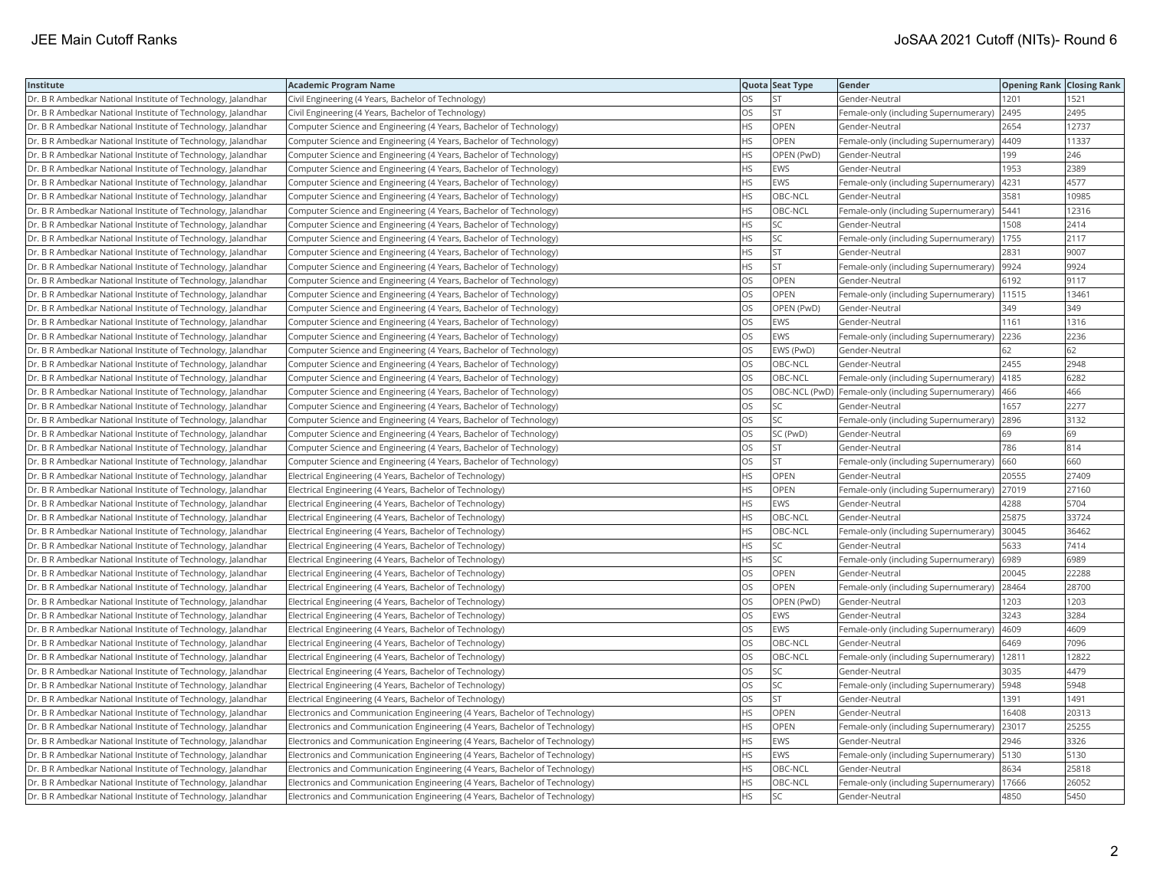| Institute                                                    | <b>Academic Program Name</b>                                                |           | Quota Seat Type | Gender                                              | <b>Opening Rank Closing Rank</b> |       |
|--------------------------------------------------------------|-----------------------------------------------------------------------------|-----------|-----------------|-----------------------------------------------------|----------------------------------|-------|
| Dr. B R Ambedkar National Institute of Technology, Jalandhar | Civil Engineering (4 Years, Bachelor of Technology)                         | OS        | <b>ST</b>       | Gender-Neutral                                      | 1201                             | 1521  |
| Dr. B R Ambedkar National Institute of Technology, Jalandhar | Civil Engineering (4 Years, Bachelor of Technology)                         | OS.       | lst             | Female-only (including Supernumerary)               | 2495                             | 2495  |
| Dr. B R Ambedkar National Institute of Technology, Jalandhar | Computer Science and Engineering (4 Years, Bachelor of Technology)          | HS        | OPEN            | Gender-Neutral                                      | 2654                             | 12737 |
| Dr. B R Ambedkar National Institute of Technology, Jalandhar | Computer Science and Engineering (4 Years, Bachelor of Technology)          | HS        | OPEN            | Female-only (including Supernumerary)               | 4409                             | 11337 |
| Dr. B R Ambedkar National Institute of Technology, Jalandhar | Computer Science and Engineering (4 Years, Bachelor of Technology)          | HS.       | OPEN (PwD)      | Gender-Neutral                                      | 199                              | 246   |
| Dr. B R Ambedkar National Institute of Technology, Jalandhar | Computer Science and Engineering (4 Years, Bachelor of Technology)          | HS        | EWS             | Gender-Neutral                                      | 1953                             | 2389  |
| Dr. B R Ambedkar National Institute of Technology, Jalandhar | Computer Science and Engineering (4 Years, Bachelor of Technology)          | ΗS        | EWS             | Female-only (including Supernumerary)               | 4231                             | 4577  |
| Dr. B R Ambedkar National Institute of Technology, Jalandhar | Computer Science and Engineering (4 Years, Bachelor of Technology)          | HS.       | OBC-NCL         | Gender-Neutral                                      | 3581                             | 10985 |
| Dr. B R Ambedkar National Institute of Technology, Jalandhar | Computer Science and Engineering (4 Years, Bachelor of Technology)          | HS        | OBC-NCL         | Female-only (including Supernumerary)               | 5441                             | 12316 |
| Dr. B R Ambedkar National Institute of Technology, Jalandhar | Computer Science and Engineering (4 Years, Bachelor of Technology)          | HS        | SC              | Gender-Neutral                                      | 1508                             | 2414  |
| Dr. B R Ambedkar National Institute of Technology, Jalandhar | Computer Science and Engineering (4 Years, Bachelor of Technology)          | HS        | <b>SC</b>       | Female-only (including Supernumerary)               | 1755                             | 2117  |
| Dr. B R Ambedkar National Institute of Technology, Jalandhar | Computer Science and Engineering (4 Years, Bachelor of Technology)          | HS        | <b>ST</b>       | Gender-Neutral                                      | 2831                             | 9007  |
| Dr. B R Ambedkar National Institute of Technology, Jalandhar | Computer Science and Engineering (4 Years, Bachelor of Technology)          | HS        | <b>ST</b>       | Female-only (including Supernumerary)               | 9924                             | 9924  |
| Dr. B R Ambedkar National Institute of Technology, Jalandhar | Computer Science and Engineering (4 Years, Bachelor of Technology)          | OS        | OPEN            | Gender-Neutral                                      | 6192                             | 9117  |
| Dr. B R Ambedkar National Institute of Technology, Jalandhar | Computer Science and Engineering (4 Years, Bachelor of Technology)          | OS        | OPEN            | Female-only (including Supernumerary)   11515       |                                  | 13461 |
| Dr. B R Ambedkar National Institute of Technology, Jalandhar | Computer Science and Engineering (4 Years, Bachelor of Technology)          | OS.       | OPEN (PwD)      | Gender-Neutral                                      | 349                              | 349   |
| Dr. B R Ambedkar National Institute of Technology, Jalandhar | Computer Science and Engineering (4 Years, Bachelor of Technology)          | OS        | EWS             | Gender-Neutral                                      | 1161                             | 1316  |
| Dr. B R Ambedkar National Institute of Technology, Jalandhar | Computer Science and Engineering (4 Years, Bachelor of Technology)          | OS        | <b>EWS</b>      | Female-only (including Supernumerary)               | 2236                             | 2236  |
| Dr. B R Ambedkar National Institute of Technology, Jalandhar | Computer Science and Engineering (4 Years, Bachelor of Technology)          | OS        | EWS (PwD)       | Gender-Neutral                                      | 62                               | 62    |
| Dr. B R Ambedkar National Institute of Technology, Jalandhar | Computer Science and Engineering (4 Years, Bachelor of Technology)          | <b>OS</b> | OBC-NCL         | Gender-Neutral                                      | 2455                             | 2948  |
| Dr. B R Ambedkar National Institute of Technology, Jalandhar | Computer Science and Engineering (4 Years, Bachelor of Technology)          | OS        | OBC-NCL         | Female-only (including Supernumerary)               | 4185                             | 6282  |
| Dr. B R Ambedkar National Institute of Technology, Jalandhar | Computer Science and Engineering (4 Years, Bachelor of Technology)          | OS        |                 | OBC-NCL (PwD) Female-only (including Supernumerary) | 466                              | 466   |
| Dr. B R Ambedkar National Institute of Technology, Jalandhar | Computer Science and Engineering (4 Years, Bachelor of Technology)          | OS        | <b>SC</b>       | Gender-Neutral                                      | 1657                             | 2277  |
| Dr. B R Ambedkar National Institute of Technology, Jalandhar | Computer Science and Engineering (4 Years, Bachelor of Technology)          | OS        | <b>SC</b>       | Female-only (including Supernumerary)               | 2896                             | 3132  |
| Dr. B R Ambedkar National Institute of Technology, Jalandhar | Computer Science and Engineering (4 Years, Bachelor of Technology)          | OS        | SC (PwD)        | Gender-Neutral                                      | 69                               | 69    |
| Dr. B R Ambedkar National Institute of Technology, Jalandhar | Computer Science and Engineering (4 Years, Bachelor of Technology)          | OS        | <b>ST</b>       | Gender-Neutral                                      | 786                              | 814   |
| Dr. B R Ambedkar National Institute of Technology, Jalandhar | Computer Science and Engineering (4 Years, Bachelor of Technology)          | OS        | <b>ST</b>       | Female-only (including Supernumerary)               | 660                              | 660   |
| Dr. B R Ambedkar National Institute of Technology, Jalandhar | Electrical Engineering (4 Years, Bachelor of Technology)                    | HS.       | <b>OPEN</b>     | Gender-Neutral                                      | 20555                            | 27409 |
| Dr. B R Ambedkar National Institute of Technology, Jalandhar | Electrical Engineering (4 Years, Bachelor of Technology)                    | HS        | OPEN            | Female-only (including Supernumerary)               | 27019                            | 27160 |
| Dr. B R Ambedkar National Institute of Technology, Jalandhar | Electrical Engineering (4 Years, Bachelor of Technology)                    | HS        | EWS             | Gender-Neutral                                      | 4288                             | 5704  |
| Dr. B R Ambedkar National Institute of Technology, Jalandhar | Electrical Engineering (4 Years, Bachelor of Technology)                    | HS        | OBC-NCL         | Gender-Neutral                                      | 25875                            | 33724 |
| Dr. B R Ambedkar National Institute of Technology, Jalandhar | Electrical Engineering (4 Years, Bachelor of Technology)                    | ΗS        | OBC-NCL         | Female-only (including Supernumerary)               | 30045                            | 36462 |
| Dr. B R Ambedkar National Institute of Technology, Jalandhar | Electrical Engineering (4 Years, Bachelor of Technology)                    | HS.       | <b>SC</b>       | Gender-Neutral                                      | 5633                             | 7414  |
| Dr. B R Ambedkar National Institute of Technology, Jalandhar | Electrical Engineering (4 Years, Bachelor of Technology)                    | HS        | <b>SC</b>       | Female-only (including Supernumerary)               | 6989                             | 6989  |
| Dr. B R Ambedkar National Institute of Technology, Jalandhar | Electrical Engineering (4 Years, Bachelor of Technology)                    | OS        | OPEN            | Gender-Neutral                                      | 20045                            | 22288 |
| Dr. B R Ambedkar National Institute of Technology, Jalandhar | Electrical Engineering (4 Years, Bachelor of Technology)                    | OS.       | <b>OPEN</b>     | Female-only (including Supernumerary)               | 28464                            | 28700 |
| Dr. B R Ambedkar National Institute of Technology, Jalandhar | Electrical Engineering (4 Years, Bachelor of Technology)                    | OS        | OPEN (PwD)      | Gender-Neutral                                      | 1203                             | 1203  |
| Dr. B R Ambedkar National Institute of Technology, Jalandhar | Electrical Engineering (4 Years, Bachelor of Technology)                    | OS        | EWS             | Gender-Neutral                                      | 3243                             | 3284  |
| Dr. B R Ambedkar National Institute of Technology, Jalandhar | Electrical Engineering (4 Years, Bachelor of Technology)                    | OS        | EWS             | Female-only (including Supernumerary)               | 4609                             | 4609  |
| Dr. B R Ambedkar National Institute of Technology, Jalandhar | Electrical Engineering (4 Years, Bachelor of Technology)                    | OS.       | OBC-NCL         | Gender-Neutral                                      | 6469                             | 7096  |
| Dr. B R Ambedkar National Institute of Technology, Jalandhar | Electrical Engineering (4 Years, Bachelor of Technology)                    | OS.       | OBC-NCL         | Female-only (including Supernumerary)               | 12811                            | 12822 |
| Dr. B R Ambedkar National Institute of Technology, Jalandhar | Electrical Engineering (4 Years, Bachelor of Technology)                    | OS        | SC              | Gender-Neutral                                      | 3035                             | 4479  |
| Dr. B R Ambedkar National Institute of Technology, Jalandhar | Electrical Engineering (4 Years, Bachelor of Technology)                    | OS        | <b>SC</b>       | Female-only (including Supernumerary)               | 5948                             | 5948  |
| Dr. B R Ambedkar National Institute of Technology, Jalandhar | Electrical Engineering (4 Years, Bachelor of Technology)                    | OS.       | lst.            | Gender-Neutral                                      | 1391                             | 1491  |
| Dr. B R Ambedkar National Institute of Technology, Jalandhar | Electronics and Communication Engineering (4 Years, Bachelor of Technology) | HS.       | <b>OPEN</b>     | Gender-Neutral                                      | 16408                            | 20313 |
| Dr. B R Ambedkar National Institute of Technology, Jalandhar | Electronics and Communication Engineering (4 Years, Bachelor of Technology) | HS        | OPEN            | Female-only (including Supernumerary)               | 23017                            | 25255 |
| Dr. B R Ambedkar National Institute of Technology, Jalandhar | Electronics and Communication Engineering (4 Years, Bachelor of Technology) | HS        | <b>EWS</b>      | Gender-Neutral                                      | 2946                             | 3326  |
| Dr. B R Ambedkar National Institute of Technology, Jalandhar | Electronics and Communication Engineering (4 Years, Bachelor of Technology) | HS.       | EWS             | Female-only (including Supernumerary)               | 5130                             | 5130  |
| Dr. B R Ambedkar National Institute of Technology, Jalandhar | Electronics and Communication Engineering (4 Years, Bachelor of Technology) | HS        | OBC-NCL         | Gender-Neutral                                      | 8634                             | 25818 |
| Dr. B R Ambedkar National Institute of Technology, Jalandhar | Electronics and Communication Engineering (4 Years, Bachelor of Technology) | HS.       | OBC-NCL         | Female-only (including Supernumerary)               | 17666                            | 26052 |
| Dr. B R Ambedkar National Institute of Technology, Jalandhar | Electronics and Communication Engineering (4 Years, Bachelor of Technology) | <b>HS</b> | <b>SC</b>       | Gender-Neutral                                      | 4850                             | 5450  |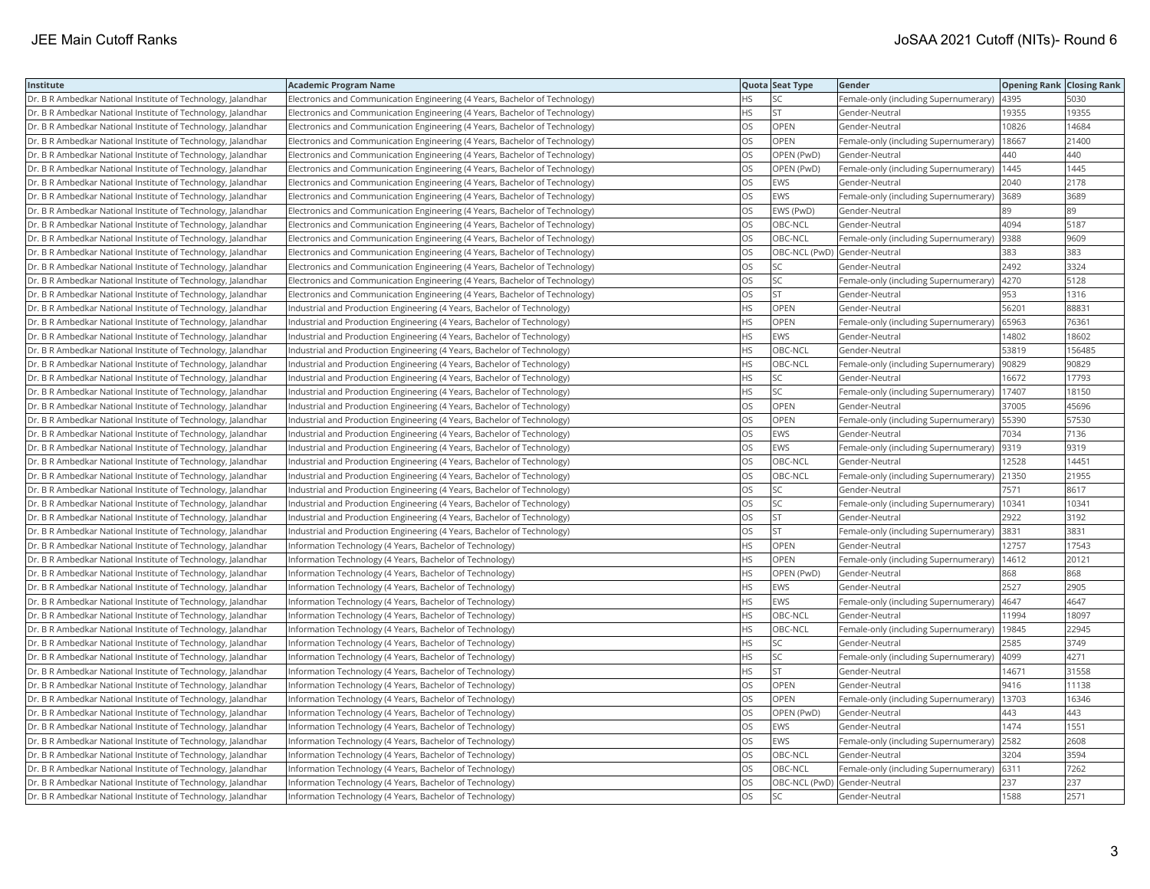| Institute                                                    | <b>Academic Program Name</b>                                                |     | Quota Seat Type              | Gender                                        | <b>Opening Rank Closing Rank</b> |        |
|--------------------------------------------------------------|-----------------------------------------------------------------------------|-----|------------------------------|-----------------------------------------------|----------------------------------|--------|
| Dr. B R Ambedkar National Institute of Technology, Jalandhar | Electronics and Communication Engineering (4 Years, Bachelor of Technology) | ΗS  | SC                           | Female-only (including Supernumerary)         | 4395                             | 5030   |
| Dr. B R Ambedkar National Institute of Technology, Jalandhar | Electronics and Communication Engineering (4 Years, Bachelor of Technology) | HS. | lst                          | Gender-Neutral                                | 19355                            | 19355  |
| Dr. B R Ambedkar National Institute of Technology, Jalandhar | Electronics and Communication Engineering (4 Years, Bachelor of Technology) | OS  | <b>OPEN</b>                  | Gender-Neutral                                | 10826                            | 14684  |
| Dr. B R Ambedkar National Institute of Technology, Jalandhar | Electronics and Communication Engineering (4 Years, Bachelor of Technology) | OS  | OPEN                         | Female-only (including Supernumerary)         | 18667                            | 21400  |
| Dr. B R Ambedkar National Institute of Technology, Jalandhar | Electronics and Communication Engineering (4 Years, Bachelor of Technology) | OS. | OPEN (PwD)                   | Gender-Neutral                                | 440                              | 440    |
| Dr. B R Ambedkar National Institute of Technology, Jalandhar | Electronics and Communication Engineering (4 Years, Bachelor of Technology) | OS  | OPEN (PwD)                   | Female-only (including Supernumerary)   1445  |                                  | 1445   |
| Dr. B R Ambedkar National Institute of Technology, Jalandhar | Electronics and Communication Engineering (4 Years, Bachelor of Technology) | OS  | EWS                          | Gender-Neutral                                | 2040                             | 2178   |
| Dr. B R Ambedkar National Institute of Technology, Jalandhar | Electronics and Communication Engineering (4 Years, Bachelor of Technology) | OS  | <b>EWS</b>                   | Female-only (including Supernumerary)         | 3689                             | 3689   |
| Dr. B R Ambedkar National Institute of Technology, Jalandhar | Electronics and Communication Engineering (4 Years, Bachelor of Technology) | OS  | EWS (PwD)                    | Gender-Neutral                                | 89                               | 89     |
| Dr. B R Ambedkar National Institute of Technology, Jalandhar | Electronics and Communication Engineering (4 Years, Bachelor of Technology) | OS. | OBC-NCL                      | Gender-Neutral                                | 4094                             | 5187   |
| Dr. B R Ambedkar National Institute of Technology, Jalandhar | Electronics and Communication Engineering (4 Years, Bachelor of Technology) | OS  | OBC-NCL                      | Female-only (including Supernumerary)         | 9388                             | 9609   |
| Dr. B R Ambedkar National Institute of Technology, Jalandhar | Electronics and Communication Engineering (4 Years, Bachelor of Technology) | OS  | OBC-NCL (PwD) Gender-Neutral |                                               | 383                              | 383    |
| Dr. B R Ambedkar National Institute of Technology, Jalandhar | Electronics and Communication Engineering (4 Years, Bachelor of Technology) | OS. | lsc                          | Gender-Neutral                                | 2492                             | 3324   |
| Dr. B R Ambedkar National Institute of Technology, Jalandhar | Electronics and Communication Engineering (4 Years, Bachelor of Technology) | OS  | <b>SC</b>                    | Female-only (including Supernumerary)  4270   |                                  | 5128   |
| Dr. B R Ambedkar National Institute of Technology, Jalandhar | Electronics and Communication Engineering (4 Years, Bachelor of Technology) | OS  | <b>ST</b>                    | Gender-Neutral                                | 953                              | 1316   |
| Dr. B R Ambedkar National Institute of Technology, Jalandhar | Industrial and Production Engineering (4 Years, Bachelor of Technology)     | НS  | <b>OPEN</b>                  | Gender-Neutral                                | 56201                            | 88831  |
| Dr. B R Ambedkar National Institute of Technology, Jalandhar | Industrial and Production Engineering (4 Years, Bachelor of Technology)     | HS  | OPEN                         | Female-only (including Supernumerary)         | 65963                            | 76361  |
| Dr. B R Ambedkar National Institute of Technology, Jalandhar | Industrial and Production Engineering (4 Years, Bachelor of Technology)     | ΗS  | EWS                          | Gender-Neutral                                | 14802                            | 18602  |
| Dr. B R Ambedkar National Institute of Technology, Jalandhar | Industrial and Production Engineering (4 Years, Bachelor of Technology)     | HS  | OBC-NCL                      | Gender-Neutral                                | 53819                            | 156485 |
| Dr. B R Ambedkar National Institute of Technology, Jalandhar | Industrial and Production Engineering (4 Years, Bachelor of Technology)     | HS. | OBC-NCL                      | Female-only (including Supernumerary)         | 90829                            | 90829  |
| Dr. B R Ambedkar National Institute of Technology, Jalandhar | Industrial and Production Engineering (4 Years, Bachelor of Technology)     | HS. | <b>SC</b>                    | Gender-Neutral                                | 16672                            | 17793  |
| Dr. B R Ambedkar National Institute of Technology, Jalandhar | Industrial and Production Engineering (4 Years, Bachelor of Technology)     | HS  | <b>SC</b>                    | Female-only (including Supernumerary)         | 17407                            | 18150  |
| Dr. B R Ambedkar National Institute of Technology, Jalandhar | Industrial and Production Engineering (4 Years, Bachelor of Technology)     | OS  | OPEN                         | Gender-Neutral                                | 37005                            | 45696  |
| Dr. B R Ambedkar National Institute of Technology, Jalandhar | Industrial and Production Engineering (4 Years, Bachelor of Technology)     | OS  | <b>OPEN</b>                  | Female-only (including Supernumerary)   55390 |                                  | 57530  |
| Dr. B R Ambedkar National Institute of Technology, Jalandhar | Industrial and Production Engineering (4 Years, Bachelor of Technology)     | OS  | <b>EWS</b>                   | Gender-Neutral                                | 7034                             | 7136   |
| Dr. B R Ambedkar National Institute of Technology, Jalandhar | Industrial and Production Engineering (4 Years, Bachelor of Technology)     | OS. | <b>EWS</b>                   | Female-only (including Supernumerary)         | 9319                             | 9319   |
| Dr. B R Ambedkar National Institute of Technology, Jalandhar | Industrial and Production Engineering (4 Years, Bachelor of Technology)     | OS  | OBC-NCL                      | Gender-Neutral                                | 12528                            | 14451  |
| Dr. B R Ambedkar National Institute of Technology, Jalandhar | Industrial and Production Engineering (4 Years, Bachelor of Technology)     | OS  | OBC-NCL                      | Female-only (including Supernumerary)         | 21350                            | 21955  |
| Dr. B R Ambedkar National Institute of Technology, Jalandhar | Industrial and Production Engineering (4 Years, Bachelor of Technology)     | OS. | lsc                          | Gender-Neutral                                | 7571                             | 8617   |
| Dr. B R Ambedkar National Institute of Technology, Jalandhar | Industrial and Production Engineering (4 Years, Bachelor of Technology)     | OS  | <b>SC</b>                    | Female-only (including Supernumerary)         | 10341                            | 10341  |
| Dr. B R Ambedkar National Institute of Technology, Jalandhar | Industrial and Production Engineering (4 Years, Bachelor of Technology)     | OS  | <b>ST</b>                    | Gender-Neutral                                | 2922                             | 3192   |
| Dr. B R Ambedkar National Institute of Technology, Jalandhar | Industrial and Production Engineering (4 Years, Bachelor of Technology)     | OS  | <b>ST</b>                    | Female-only (including Supernumerary)         | 3831                             | 3831   |
| Dr. B R Ambedkar National Institute of Technology, Jalandhar | Information Technology (4 Years, Bachelor of Technology)                    | HS  | OPEN                         | Gender-Neutral                                | 12757                            | 17543  |
| Dr. B R Ambedkar National Institute of Technology, Jalandhar | Information Technology (4 Years, Bachelor of Technology)                    | HS. | OPEN                         | Female-only (including Supernumerary)         | 14612                            | 20121  |
| Dr. B R Ambedkar National Institute of Technology, Jalandhar | Information Technology (4 Years, Bachelor of Technology)                    | HS  | OPEN (PwD)                   | Gender-Neutral                                | 868                              | 868    |
| Dr. B R Ambedkar National Institute of Technology, Jalandhar | Information Technology (4 Years, Bachelor of Technology)                    | HS  | <b>EWS</b>                   | Gender-Neutral                                | 2527                             | 2905   |
| Dr. B R Ambedkar National Institute of Technology, Jalandhar | Information Technology (4 Years, Bachelor of Technology)                    | HS. | <b>EWS</b>                   | Female-only (including Supernumerary)         | 4647                             | 4647   |
| Dr. B R Ambedkar National Institute of Technology, Jalandhar | Information Technology (4 Years, Bachelor of Technology)                    | HS  | OBC-NCL                      | Gender-Neutral                                | 11994                            | 18097  |
| Dr. B R Ambedkar National Institute of Technology, Jalandhar | Information Technology (4 Years, Bachelor of Technology)                    | ΗS  | OBC-NCL                      | Female-only (including Supernumerary)         | 19845                            | 22945  |
| Dr. B R Ambedkar National Institute of Technology, Jalandhar | Information Technology (4 Years, Bachelor of Technology)                    | HS  | SC                           | Gender-Neutral                                | 2585                             | 3749   |
| Dr. B R Ambedkar National Institute of Technology, Jalandhar | Information Technology (4 Years, Bachelor of Technology)                    | HS  | SC                           | Female-only (including Supernumerary)         | 4099                             | 4271   |
| Dr. B R Ambedkar National Institute of Technology, Jalandhar | Information Technology (4 Years, Bachelor of Technology)                    | HS. | lst                          | Gender-Neutral                                | 14671                            | 31558  |
| Dr. B R Ambedkar National Institute of Technology, Jalandhar | Information Technology (4 Years, Bachelor of Technology)                    | OS  | OPEN                         | Gender-Neutral                                | 9416                             | 11138  |
| Dr. B R Ambedkar National Institute of Technology, Jalandhar | Information Technology (4 Years, Bachelor of Technology)                    | OS  | <b>OPEN</b>                  | Female-only (including Supernumerary)         | 13703                            | 16346  |
| Dr. B R Ambedkar National Institute of Technology, Jalandhar | Information Technology (4 Years, Bachelor of Technology)                    | OS  | OPEN (PwD)                   | Gender-Neutral                                | 443                              | 443    |
| Dr. B R Ambedkar National Institute of Technology, Jalandhar | Information Technology (4 Years, Bachelor of Technology)                    | OS  | <b>EWS</b>                   | Gender-Neutral                                | 1474                             | 1551   |
| Dr. B R Ambedkar National Institute of Technology, Jalandhar | Information Technology (4 Years, Bachelor of Technology)                    | OS  | EWS                          | Female-only (including Supernumerary)         | 2582                             | 2608   |
| Dr. B R Ambedkar National Institute of Technology, Jalandhar | Information Technology (4 Years, Bachelor of Technology)                    | OS  | OBC-NCL                      | Gender-Neutral                                | 3204                             | 3594   |
| Dr. B R Ambedkar National Institute of Technology, Jalandhar | Information Technology (4 Years, Bachelor of Technology)                    | OS. | OBC-NCL                      | Female-only (including Supernumerary)         | 6311                             | 7262   |
| Dr. B R Ambedkar National Institute of Technology, Jalandhar | Information Technology (4 Years, Bachelor of Technology)                    | OS  | OBC-NCL (PwD) Gender-Neutral |                                               | 237                              | 237    |
| Dr. B R Ambedkar National Institute of Technology, Jalandhar | Information Technology (4 Years, Bachelor of Technology)                    | OS  | lsc                          | Gender-Neutral                                | 1588                             | 2571   |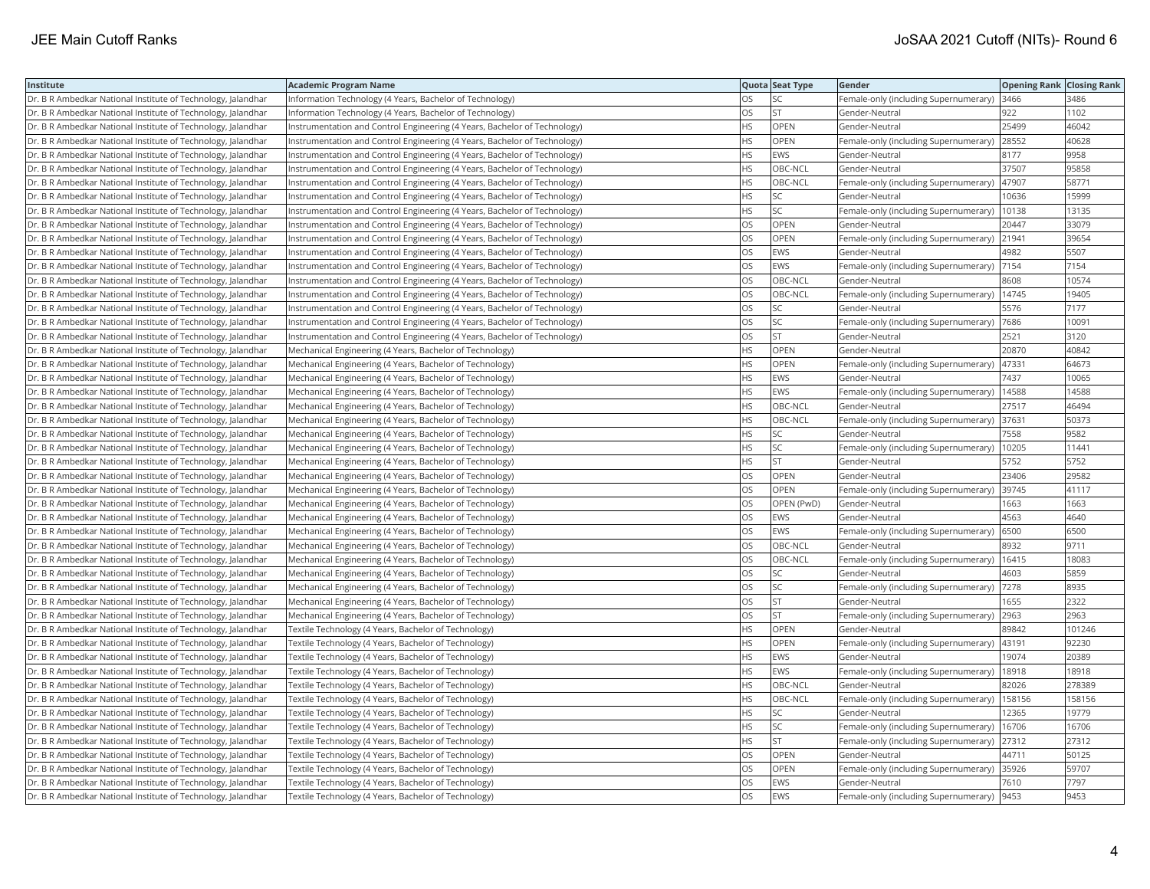| Institute                                                    | <b>Academic Program Name</b>                                              |           | Quota Seat Type | Gender                                      | <b>Opening Rank Closing Rank</b> |        |
|--------------------------------------------------------------|---------------------------------------------------------------------------|-----------|-----------------|---------------------------------------------|----------------------------------|--------|
| Dr. B R Ambedkar National Institute of Technology, Jalandhar | Information Technology (4 Years, Bachelor of Technology)                  | OS        | SC              | Female-only (including Supernumerary)       | 3466                             | 3486   |
| Dr. B R Ambedkar National Institute of Technology, Jalandhar | Information Technology (4 Years, Bachelor of Technology)                  | OS.       | lst             | Gender-Neutral                              | 922                              | 1102   |
| Dr. B R Ambedkar National Institute of Technology, Jalandhar | Instrumentation and Control Engineering (4 Years, Bachelor of Technology) | HS        | <b>OPEN</b>     | Gender-Neutral                              | 25499                            | 46042  |
| Dr. B R Ambedkar National Institute of Technology, Jalandhar | Instrumentation and Control Engineering (4 Years, Bachelor of Technology) | HS        | OPEN            | Female-only (including Supernumerary)       | 28552                            | 40628  |
| Dr. B R Ambedkar National Institute of Technology, Jalandhar | Instrumentation and Control Engineering (4 Years, Bachelor of Technology) | HS.       | <b>EWS</b>      | Gender-Neutral                              | 8177                             | 9958   |
| Dr. B R Ambedkar National Institute of Technology, Jalandhar | Instrumentation and Control Engineering (4 Years, Bachelor of Technology) | HS        | OBC-NCL         | Gender-Neutral                              | 37507                            | 95858  |
| Dr. B R Ambedkar National Institute of Technology, Jalandhar | Instrumentation and Control Engineering (4 Years, Bachelor of Technology) | ΗS        | OBC-NCL         | Female-only (including Supernumerary)       | 47907                            | 58771  |
| Dr. B R Ambedkar National Institute of Technology, Jalandhar | Instrumentation and Control Engineering (4 Years, Bachelor of Technology) | HS.       | <b>SC</b>       | Gender-Neutral                              | 10636                            | 15999  |
| Dr. B R Ambedkar National Institute of Technology, Jalandhar | Instrumentation and Control Engineering (4 Years, Bachelor of Technology) | HS        | SC              | Female-only (including Supernumerary)       | 10138                            | 13135  |
| Dr. B R Ambedkar National Institute of Technology, Jalandhar | Instrumentation and Control Engineering (4 Years, Bachelor of Technology) | OS        | OPEN            | Gender-Neutral                              | 20447                            | 33079  |
| Dr. B R Ambedkar National Institute of Technology, Jalandhar | Instrumentation and Control Engineering (4 Years, Bachelor of Technology) | OS        | <b>OPEN</b>     | Female-only (including Supernumerary)       | 21941                            | 39654  |
| Dr. B R Ambedkar National Institute of Technology, Jalandhar | Instrumentation and Control Engineering (4 Years, Bachelor of Technology) | OS        | <b>EWS</b>      | Gender-Neutral                              | 4982                             | 5507   |
| Dr. B R Ambedkar National Institute of Technology, Jalandhar | Instrumentation and Control Engineering (4 Years, Bachelor of Technology) | OS        | <b>EWS</b>      | Female-only (including Supernumerary)       | 7154                             | 7154   |
| Dr. B R Ambedkar National Institute of Technology, Jalandhar | Instrumentation and Control Engineering (4 Years, Bachelor of Technology) | OS        | OBC-NCL         | Gender-Neutral                              | 8608                             | 10574  |
| Dr. B R Ambedkar National Institute of Technology, Jalandhar | Instrumentation and Control Engineering (4 Years, Bachelor of Technology) | OS        | OBC-NCL         | Female-only (including Supernumerary)       | 14745                            | 19405  |
| Dr. B R Ambedkar National Institute of Technology, Jalandhar | Instrumentation and Control Engineering (4 Years, Bachelor of Technology) | OS.       | <b>SC</b>       | Gender-Neutral                              | 5576                             | 7177   |
| Dr. B R Ambedkar National Institute of Technology, Jalandhar | Instrumentation and Control Engineering (4 Years, Bachelor of Technology) | OS        | SC              | Female-only (including Supernumerary)       | 7686                             | 10091  |
| Dr. B R Ambedkar National Institute of Technology, Jalandhar | Instrumentation and Control Engineering (4 Years, Bachelor of Technology) | OS        | <b>ST</b>       | Gender-Neutral                              | 2521                             | 3120   |
| Dr. B R Ambedkar National Institute of Technology, Jalandhar | Mechanical Engineering (4 Years, Bachelor of Technology)                  | HS        | <b>OPEN</b>     | Gender-Neutral                              | 20870                            | 40842  |
| Dr. B R Ambedkar National Institute of Technology, Jalandhar | Mechanical Engineering (4 Years, Bachelor of Technology)                  | HS.       | <b>OPEN</b>     | Female-only (including Supernumerary)       | 47331                            | 64673  |
| Dr. B R Ambedkar National Institute of Technology, Jalandhar | Mechanical Engineering (4 Years, Bachelor of Technology)                  | HS        | <b>EWS</b>      | Gender-Neutral                              | 7437                             | 10065  |
| Dr. B R Ambedkar National Institute of Technology, Jalandhar | Mechanical Engineering (4 Years, Bachelor of Technology)                  | HS        | EWS             | Female-only (including Supernumerary)       | 14588                            | 14588  |
| Dr. B R Ambedkar National Institute of Technology, Jalandhar | Mechanical Engineering (4 Years, Bachelor of Technology)                  | ΗS        | OBC-NCL         | Gender-Neutral                              | 27517                            | 46494  |
| Dr. B R Ambedkar National Institute of Technology, Jalandhar | Mechanical Engineering (4 Years, Bachelor of Technology)                  | HS        | OBC-NCL         | Female-only (including Supernumerary)       | 37631                            | 50373  |
| Dr. B R Ambedkar National Institute of Technology, Jalandhar | Mechanical Engineering (4 Years, Bachelor of Technology)                  | HS        | SC              | Gender-Neutral                              | 7558                             | 9582   |
| Dr. B R Ambedkar National Institute of Technology, Jalandhar | Mechanical Engineering (4 Years, Bachelor of Technology)                  | HS        | <b>SC</b>       | Female-only (including Supernumerary)       | 10205                            | 11441  |
| Dr. B R Ambedkar National Institute of Technology, Jalandhar | Mechanical Engineering (4 Years, Bachelor of Technology)                  | ΗS        | <b>ST</b>       | Gender-Neutral                              | 5752                             | 5752   |
| Dr. B R Ambedkar National Institute of Technology, Jalandhar | Mechanical Engineering (4 Years, Bachelor of Technology)                  | OS.       | <b>OPEN</b>     | Gender-Neutral                              | 23406                            | 29582  |
| Dr. B R Ambedkar National Institute of Technology, Jalandhar | Mechanical Engineering (4 Years, Bachelor of Technology)                  | OS        | OPEN            | Female-only (including Supernumerary)       | 39745                            | 41117  |
| Dr. B R Ambedkar National Institute of Technology, Jalandhar | Mechanical Engineering (4 Years, Bachelor of Technology)                  | OS        | OPEN (PwD)      | Gender-Neutral                              | 1663                             | 1663   |
| Dr. B R Ambedkar National Institute of Technology, Jalandhar | Mechanical Engineering (4 Years, Bachelor of Technology)                  | OS        | <b>EWS</b>      | Gender-Neutral                              | 4563                             | 4640   |
| Dr. B R Ambedkar National Institute of Technology, Jalandhar | Mechanical Engineering (4 Years, Bachelor of Technology)                  | OS        | EWS             | Female-only (including Supernumerary)       | 6500                             | 6500   |
| Dr. B R Ambedkar National Institute of Technology, Jalandhar | Mechanical Engineering (4 Years, Bachelor of Technology)                  | OS        | OBC-NCL         | Gender-Neutral                              | 8932                             | 9711   |
| Dr. B R Ambedkar National Institute of Technology, Jalandhar | Mechanical Engineering (4 Years, Bachelor of Technology)                  | OS        | OBC-NCL         | Female-only (including Supernumerary)       | 16415                            | 18083  |
| Dr. B R Ambedkar National Institute of Technology, Jalandhar | Mechanical Engineering (4 Years, Bachelor of Technology)                  | OS        | SC              | Gender-Neutral                              | 4603                             | 5859   |
| Dr. B R Ambedkar National Institute of Technology, Jalandhar | Mechanical Engineering (4 Years, Bachelor of Technology)                  | OS.       | lsc             | Female-only (including Supernumerary)       | 7278                             | 8935   |
| Dr. B R Ambedkar National Institute of Technology, Jalandhar | Mechanical Engineering (4 Years, Bachelor of Technology)                  | OS        | <b>ST</b>       | Gender-Neutral                              | 1655                             | 2322   |
| Dr. B R Ambedkar National Institute of Technology, Jalandhar | Mechanical Engineering (4 Years, Bachelor of Technology)                  | OS        | <b>ST</b>       | Female-only (including Supernumerary)       | 2963                             | 2963   |
| Dr. B R Ambedkar National Institute of Technology, Jalandhar | Textile Technology (4 Years, Bachelor of Technology)                      | HS        | <b>OPEN</b>     | Gender-Neutral                              | 89842                            | 101246 |
| Dr. B R Ambedkar National Institute of Technology, Jalandhar | Textile Technology (4 Years, Bachelor of Technology)                      | <b>HS</b> | OPEN            | Female-only (including Supernumerary)       | 43191                            | 92230  |
| Dr. B R Ambedkar National Institute of Technology, Jalandhar | Textile Technology (4 Years, Bachelor of Technology)                      | HS.       | <b>EWS</b>      | Gender-Neutral                              | 19074                            | 20389  |
| Dr. B R Ambedkar National Institute of Technology, Jalandhar | Textile Technology (4 Years, Bachelor of Technology)                      | HS        | <b>EWS</b>      | Female-only (including Supernumerary)       | 18918                            | 18918  |
| Dr. B R Ambedkar National Institute of Technology, Jalandhar | Textile Technology (4 Years, Bachelor of Technology)                      | HS        | OBC-NCL         | Gender-Neutral                              | 82026                            | 278389 |
| Dr. B R Ambedkar National Institute of Technology, Jalandhar | Textile Technology (4 Years, Bachelor of Technology)                      | HS.       | OBC-NCL         | Female-only (including Supernumerary)       | 158156                           | 158156 |
| Dr. B R Ambedkar National Institute of Technology, Jalandhar | Textile Technology (4 Years, Bachelor of Technology)                      | HS        | <b>SC</b>       | Gender-Neutral                              | 12365                            | 19779  |
| Dr. B R Ambedkar National Institute of Technology, Jalandhar | Textile Technology (4 Years, Bachelor of Technology)                      | HS        | <b>SC</b>       | Female-only (including Supernumerary)       | 16706                            | 16706  |
| Dr. B R Ambedkar National Institute of Technology, Jalandhar | Textile Technology (4 Years, Bachelor of Technology)                      | HS        | <b>ST</b>       | Female-only (including Supernumerary)       | 27312                            | 27312  |
| Dr. B R Ambedkar National Institute of Technology, Jalandhar | Textile Technology (4 Years, Bachelor of Technology)                      | OS.       | <b>OPEN</b>     | Gender-Neutral                              | 44711                            | 50125  |
| Dr. B R Ambedkar National Institute of Technology, Jalandhar | Textile Technology (4 Years, Bachelor of Technology)                      | OS        | OPEN            | Female-only (including Supernumerary)       | 35926                            | 59707  |
| Dr. B R Ambedkar National Institute of Technology, Jalandhar | Textile Technology (4 Years, Bachelor of Technology)                      | OS.       | EWS             | Gender-Neutral                              | 7610                             | 7797   |
| Dr. B R Ambedkar National Institute of Technology, Jalandhar | Textile Technology (4 Years, Bachelor of Technology)                      | <b>OS</b> | <b>EWS</b>      | Female-only (including Supernumerary)  9453 |                                  | 9453   |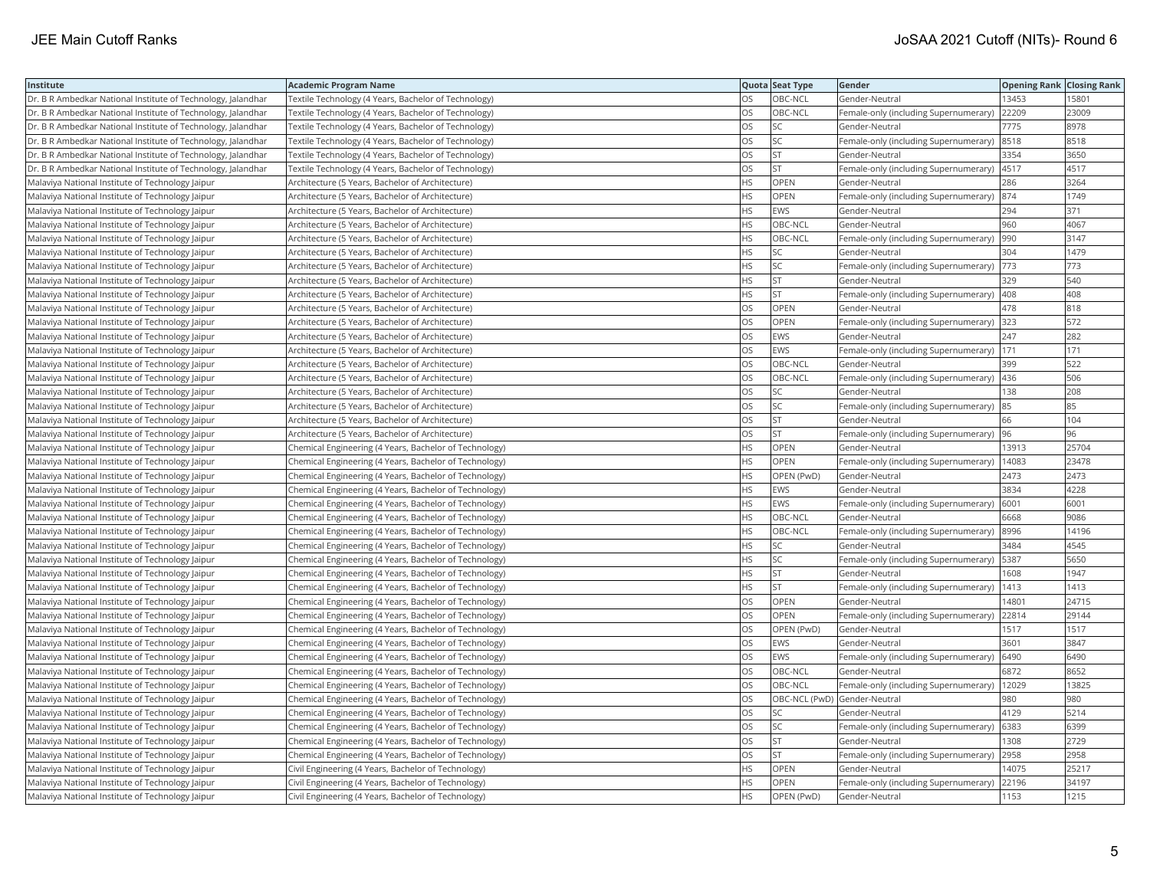| Institute                                                    | <b>Academic Program Name</b>                           |           | Quota Seat Type              | Gender                                      | <b>Opening Rank Closing Rank</b> |       |
|--------------------------------------------------------------|--------------------------------------------------------|-----------|------------------------------|---------------------------------------------|----------------------------------|-------|
| Dr. B R Ambedkar National Institute of Technology, Jalandhar | Textile Technology (4 Years, Bachelor of Technology)   | OS        | OBC-NCL                      | Gender-Neutral                              | 13453                            | 15801 |
| Dr. B R Ambedkar National Institute of Technology, Jalandhar | Textile Technology (4 Years, Bachelor of Technology)   | OS        | OBC-NCL                      | Female-only (including Supernumerary)       | 22209                            | 23009 |
| Dr. B R Ambedkar National Institute of Technology, Jalandhar | Textile Technology (4 Years, Bachelor of Technology)   | OS        | SC                           | Gender-Neutral                              | 7775                             | 8978  |
| Dr. B R Ambedkar National Institute of Technology, Jalandhar | Textile Technology (4 Years, Bachelor of Technology)   | OS        | lsc                          | Female-only (including Supernumerary)       | 8518                             | 8518  |
| Dr. B R Ambedkar National Institute of Technology, Jalandhar | Textile Technology (4 Years, Bachelor of Technology)   | OS        | <b>ST</b>                    | Gender-Neutral                              | 3354                             | 3650  |
| Dr. B R Ambedkar National Institute of Technology, Jalandhar | Textile Technology (4 Years, Bachelor of Technology)   | OS        | <b>ST</b>                    | Female-only (including Supernumerary)       | 4517                             | 4517  |
| Malaviya National Institute of Technology Jaipur             | Architecture (5 Years, Bachelor of Architecture)       | <b>HS</b> | OPEN                         | Gender-Neutral                              | 286                              | 3264  |
| Malaviya National Institute of Technology Jaipur             | Architecture (5 Years, Bachelor of Architecture)       | <b>HS</b> | OPEN                         | Female-only (including Supernumerary) 874   |                                  | 1749  |
| Malaviya National Institute of Technology Jaipur             | Architecture (5 Years, Bachelor of Architecture)       | <b>HS</b> | EWS                          | Gender-Neutral                              | 294                              | 371   |
| Malaviya National Institute of Technology Jaipur             | Architecture (5 Years, Bachelor of Architecture)       | <b>HS</b> | OBC-NCL                      | Gender-Neutral                              | 960                              | 4067  |
| Malaviya National Institute of Technology Jaipur             | Architecture (5 Years, Bachelor of Architecture)       | <b>HS</b> | OBC-NCL                      | Female-only (including Supernumerary)       | 990                              | 3147  |
| Malaviya National Institute of Technology Jaipur             | Architecture (5 Years, Bachelor of Architecture)       | <b>HS</b> | SC                           | Gender-Neutral                              | 304                              | 1479  |
| Malaviya National Institute of Technology Jaipur             | Architecture (5 Years, Bachelor of Architecture)       | <b>HS</b> | lsc                          | Female-only (including Supernumerary)       | 773                              | 773   |
| Malaviya National Institute of Technology Jaipur             | Architecture (5 Years, Bachelor of Architecture)       | <b>HS</b> | <b>ST</b>                    | Gender-Neutral                              | 329                              | 540   |
| Malaviya National Institute of Technology Jaipur             | Architecture (5 Years, Bachelor of Architecture)       | <b>HS</b> | <b>ST</b>                    | Female-only (including Supernumerary) 408   |                                  | 408   |
| Malaviya National Institute of Technology Jaipur             | Architecture (5 Years, Bachelor of Architecture)       | OS        | OPEN                         | Gender-Neutral                              | 478                              | 818   |
| Malaviya National Institute of Technology Jaipur             | Architecture (5 Years, Bachelor of Architecture)       | <b>OS</b> | <b>OPEN</b>                  | Female-only (including Supernumerary)       | 323                              | 572   |
| Malaviya National Institute of Technology Jaipur             | Architecture (5 Years, Bachelor of Architecture)       | OS        | EWS                          | Gender-Neutral                              | 247                              | 282   |
| Malaviya National Institute of Technology Jaipur             | Architecture (5 Years, Bachelor of Architecture)       | OS        | EWS                          | Female-only (including Supernumerary)       | 171                              | 171   |
| Malaviya National Institute of Technology Jaipur             | Architecture (5 Years, Bachelor of Architecture)       | <b>OS</b> | OBC-NCL                      | Gender-Neutral                              | 399                              | 522   |
| Malaviya National Institute of Technology Jaipur             | Architecture (5 Years, Bachelor of Architecture)       | <b>OS</b> | OBC-NCL                      | Female-only (including Supernumerary)   436 |                                  | 506   |
| Malaviya National Institute of Technology Jaipur             | Architecture (5 Years, Bachelor of Architecture)       | OS        | SC.                          | Gender-Neutral                              | 138                              | 208   |
| Malaviya National Institute of Technology Jaipur             | Architecture (5 Years, Bachelor of Architecture)       | OS        | <b>SC</b>                    | Female-only (including Supernumerary) 85    |                                  | 85    |
| Malaviya National Institute of Technology Jaipur             | Architecture (5 Years, Bachelor of Architecture)       | OS        | <b>ST</b>                    | Gender-Neutral                              | 66                               | 104   |
| Malaviya National Institute of Technology Jaipur             | Architecture (5 Years, Bachelor of Architecture)       | OS        | ST                           | Female-only (including Supernumerary)       | 96                               | 96    |
| Malaviya National Institute of Technology Jaipur             | Chemical Engineering (4 Years, Bachelor of Technology) | <b>HS</b> | OPEN                         | Gender-Neutral                              | 13913                            | 25704 |
| Malaviya National Institute of Technology Jaipur             | Chemical Engineering (4 Years, Bachelor of Technology) | <b>HS</b> | OPEN                         | Female-only (including Supernumerary)       | 14083                            | 23478 |
| Malaviya National Institute of Technology Jaipur             | Chemical Engineering (4 Years, Bachelor of Technology) | <b>HS</b> | OPEN (PwD)                   | Gender-Neutral                              | 2473                             | 2473  |
| Malaviya National Institute of Technology Jaipur             | Chemical Engineering (4 Years, Bachelor of Technology) | <b>HS</b> | EWS                          | Gender-Neutral                              | 3834                             | 4228  |
| Malaviya National Institute of Technology Jaipur             | Chemical Engineering (4 Years, Bachelor of Technology) | <b>HS</b> | EWS                          | Female-only (including Supernumerary)       | 6001                             | 6001  |
| Malaviya National Institute of Technology Jaipur             | Chemical Engineering (4 Years, Bachelor of Technology) | <b>HS</b> | OBC-NCL                      | Gender-Neutral                              | 6668                             | 9086  |
| Malaviya National Institute of Technology Jaipur             | Chemical Engineering (4 Years, Bachelor of Technology) | HS.       | OBC-NCL                      | Female-only (including Supernumerary)       | 8996                             | 14196 |
| Malaviya National Institute of Technology Jaipur             | Chemical Engineering (4 Years, Bachelor of Technology) | <b>HS</b> | SC                           | Gender-Neutral                              | 3484                             | 4545  |
| Malaviya National Institute of Technology Jaipur             | Chemical Engineering (4 Years, Bachelor of Technology) | <b>HS</b> | <b>SC</b>                    | Female-only (including Supernumerary)       | 5387                             | 5650  |
| Malaviya National Institute of Technology Jaipur             | Chemical Engineering (4 Years, Bachelor of Technology) | <b>HS</b> | <b>ST</b>                    | Gender-Neutral                              | 1608                             | 1947  |
| Malaviya National Institute of Technology Jaipur             | Chemical Engineering (4 Years, Bachelor of Technology) | <b>HS</b> | lst                          | Female-only (including Supernumerary)       | 1413                             | 1413  |
| Malaviya National Institute of Technology Jaipur             | Chemical Engineering (4 Years, Bachelor of Technology) | OS        | OPEN                         | Gender-Neutral                              | 14801                            | 24715 |
| Malaviya National Institute of Technology Jaipur             | Chemical Engineering (4 Years, Bachelor of Technology) | <b>OS</b> | OPEN                         | Female-only (including Supernumerary)       | 22814                            | 29144 |
| Malaviya National Institute of Technology Jaipur             | Chemical Engineering (4 Years, Bachelor of Technology) | OS        | OPEN (PwD)                   | Gender-Neutral                              | 1517                             | 1517  |
| Malaviya National Institute of Technology Jaipur             | Chemical Engineering (4 Years, Bachelor of Technology) | <b>OS</b> | <b>EWS</b>                   | Gender-Neutral                              | 3601                             | 3847  |
| Malaviya National Institute of Technology Jaipur             | Chemical Engineering (4 Years, Bachelor of Technology) | OS        | EWS                          | Female-only (including Supernumerary)       | 6490                             | 6490  |
| Malaviya National Institute of Technology Jaipur             | Chemical Engineering (4 Years, Bachelor of Technology) | OS        | OBC-NCL                      | Gender-Neutral                              | 6872                             | 8652  |
| Malaviya National Institute of Technology Jaipur             | Chemical Engineering (4 Years, Bachelor of Technology) | OS        | OBC-NCL                      | Female-only (including Supernumerary)       | 12029                            | 13825 |
| Malaviya National Institute of Technology Jaipur             | Chemical Engineering (4 Years, Bachelor of Technology) | <b>OS</b> | OBC-NCL (PwD) Gender-Neutral |                                             | 980                              | 980   |
| Malaviya National Institute of Technology Jaipur             | Chemical Engineering (4 Years, Bachelor of Technology) | OS        | SC.                          | Gender-Neutral                              | 4129                             | 5214  |
| Malaviya National Institute of Technology Jaipur             | Chemical Engineering (4 Years, Bachelor of Technology) | OS        | SC.                          | Female-only (including Supernumerary)       | 6383                             | 6399  |
| Malaviya National Institute of Technology Jaipur             | Chemical Engineering (4 Years, Bachelor of Technology) | <b>OS</b> | <b>ST</b>                    | Gender-Neutral                              | 1308                             | 2729  |
| Malaviya National Institute of Technology Jaipur             | Chemical Engineering (4 Years, Bachelor of Technology) | OS        | ST                           | Female-only (including Supernumerary)       | 2958                             | 2958  |
| Malaviya National Institute of Technology Jaipur             | Civil Engineering (4 Years, Bachelor of Technology)    | <b>HS</b> | OPEN                         | Gender-Neutral                              | 14075                            | 25217 |
| Malaviya National Institute of Technology Jaipur             | Civil Engineering (4 Years, Bachelor of Technology)    | <b>HS</b> | OPEN                         | Female-only (including Supernumerary)       | 22196                            | 34197 |
| Malaviya National Institute of Technology Jaipur             | Civil Engineering (4 Years, Bachelor of Technology)    | <b>HS</b> | OPEN (PwD)                   | Gender-Neutral                              | 1153                             | 1215  |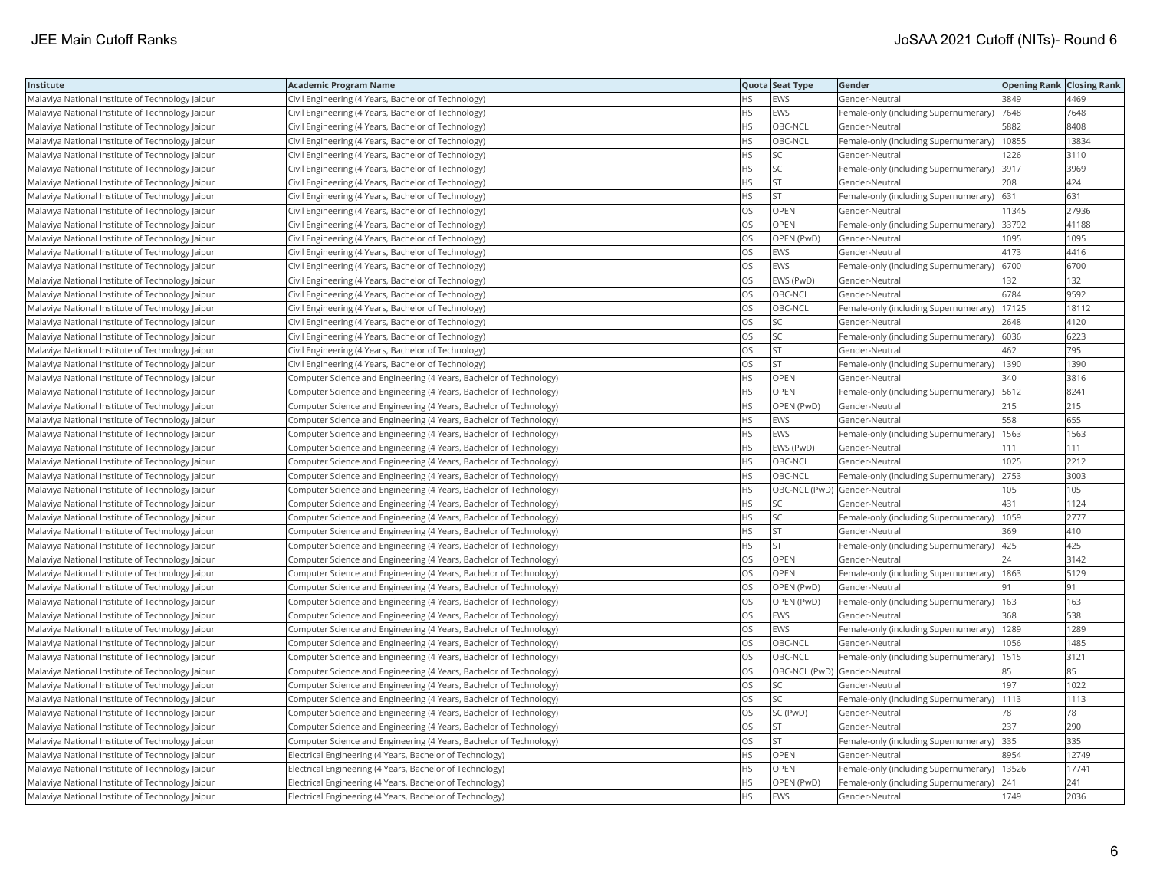| Institute                                        | Academic Program Name                                              |           | Quota Seat Type              | Gender                                       | <b>Opening Rank Closing Rank</b> |       |
|--------------------------------------------------|--------------------------------------------------------------------|-----------|------------------------------|----------------------------------------------|----------------------------------|-------|
| Malaviya National Institute of Technology Jaipur | Civil Engineering (4 Years, Bachelor of Technology)                | HS.       | EWS                          | Gender-Neutral                               | 3849                             | 4469  |
| Malaviya National Institute of Technology Jaipur | Civil Engineering (4 Years, Bachelor of Technology)                | <b>HS</b> | <b>EWS</b>                   | Female-only (including Supernumerary)        | 7648                             | 7648  |
| Malaviya National Institute of Technology Jaipur | Civil Engineering (4 Years, Bachelor of Technology)                | HS        | OBC-NCL                      | Gender-Neutral                               | 5882                             | 8408  |
| Malaviya National Institute of Technology Jaipur | Civil Engineering (4 Years, Bachelor of Technology)                | HS        | OBC-NCL                      | Female-only (including Supernumerary)        | 10855                            | 13834 |
| Malaviya National Institute of Technology Jaipur | Civil Engineering (4 Years, Bachelor of Technology)                | HS.       | <b>SC</b>                    | Gender-Neutral                               | 1226                             | 3110  |
| Malaviya National Institute of Technology Jaipur | Civil Engineering (4 Years, Bachelor of Technology)                | HS        | SC                           | Female-only (including Supernumerary) 3917   |                                  | 3969  |
| Malaviya National Institute of Technology Jaipur | Civil Engineering (4 Years, Bachelor of Technology)                | HS        | <b>ST</b>                    | Gender-Neutral                               | 208                              | 424   |
| Malaviya National Institute of Technology Jaipur | Civil Engineering (4 Years, Bachelor of Technology)                | HS        | <b>ST</b>                    | Female-only (including Supernumerary)        | 631                              | 631   |
| Malaviya National Institute of Technology Jaipur | Civil Engineering (4 Years, Bachelor of Technology)                | OS        | OPEN                         | Gender-Neutral                               | 11345                            | 27936 |
| Malaviya National Institute of Technology Jaipur | Civil Engineering (4 Years, Bachelor of Technology)                | OS        | OPEN                         | Female-only (including Supernumerary)        | 33792                            | 41188 |
| Malaviya National Institute of Technology Jaipur | Civil Engineering (4 Years, Bachelor of Technology)                | OS.       | OPEN (PwD)                   | Gender-Neutral                               | 1095                             | 1095  |
| Malaviya National Institute of Technology Jaipur | Civil Engineering (4 Years, Bachelor of Technology)                | OS        | <b>EWS</b>                   | Gender-Neutral                               | 4173                             | 4416  |
| Malaviya National Institute of Technology Jaipur | Civil Engineering (4 Years, Bachelor of Technology)                | OS        | <b>EWS</b>                   | Female-only (including Supernumerary)        | 6700                             | 6700  |
| Malaviya National Institute of Technology Jaipur | Civil Engineering (4 Years, Bachelor of Technology)                | OS        | EWS (PwD)                    | Gender-Neutral                               | 132                              | 132   |
| Malaviya National Institute of Technology Jaipur | Civil Engineering (4 Years, Bachelor of Technology)                | OS        | OBC-NCL                      | Gender-Neutral                               | 6784                             | 9592  |
| Malaviya National Institute of Technology Jaipur | Civil Engineering (4 Years, Bachelor of Technology)                | OS.       | OBC-NCL                      | Female-only (including Supernumerary)        | 17125                            | 18112 |
| Malaviya National Institute of Technology Jaipur | Civil Engineering (4 Years, Bachelor of Technology)                | OS        | SC                           | Gender-Neutral                               | 2648                             | 4120  |
| Malaviya National Institute of Technology Jaipur | Civil Engineering (4 Years, Bachelor of Technology)                | OS        | SC                           | Female-only (including Supernumerary)        | 6036                             | 6223  |
| Malaviya National Institute of Technology Jaipur | Civil Engineering (4 Years, Bachelor of Technology)                | OS.       | <b>ST</b>                    | Gender-Neutral                               | 462                              | 795   |
| Malaviya National Institute of Technology Jaipur | Civil Engineering (4 Years, Bachelor of Technology)                | OS        | <b>ST</b>                    | Female-only (including Supernumerary)        | 1390                             | 1390  |
| Malaviya National Institute of Technology Jaipur | Computer Science and Engineering (4 Years, Bachelor of Technology) | HS        | OPEN                         | Gender-Neutral                               | 340                              | 3816  |
| Malaviya National Institute of Technology Jaipur | Computer Science and Engineering (4 Years, Bachelor of Technology) | HS.       | <b>OPEN</b>                  | Female-only (including Supernumerary)   5612 |                                  | 8241  |
| Malaviya National Institute of Technology Jaipur | Computer Science and Engineering (4 Years, Bachelor of Technology) | HS        | OPEN (PwD)                   | Gender-Neutral                               | 215                              | 215   |
| Malaviya National Institute of Technology Jaipur | Computer Science and Engineering (4 Years, Bachelor of Technology) | HS        | <b>EWS</b>                   | Gender-Neutral                               | 558                              | 655   |
| Malaviya National Institute of Technology Jaipur | Computer Science and Engineering (4 Years, Bachelor of Technology) | HS.       | <b>EWS</b>                   | Female-only (including Supernumerary)        | 1563                             | 1563  |
| Malaviya National Institute of Technology Jaipur | Computer Science and Engineering (4 Years, Bachelor of Technology) | HS        | EWS (PwD)                    | Gender-Neutral                               | 111                              | 111   |
| Malaviya National Institute of Technology Jaipur | Computer Science and Engineering (4 Years, Bachelor of Technology) | HS.       | OBC-NCL                      | Gender-Neutral                               | 1025                             | 2212  |
| Malaviya National Institute of Technology Jaipur | Computer Science and Engineering (4 Years, Bachelor of Technology) | HS        | OBC-NCL                      | Female-only (including Supernumerary)        | 2753                             | 3003  |
| Malaviya National Institute of Technology Jaipur | Computer Science and Engineering (4 Years, Bachelor of Technology) | HS        | OBC-NCL (PwD) Gender-Neutral |                                              | 105                              | 105   |
| Malaviya National Institute of Technology Jaipur | Computer Science and Engineering (4 Years, Bachelor of Technology) | HS        | <b>SC</b>                    | Gender-Neutral                               | 431                              | 1124  |
| Malaviya National Institute of Technology Jaipur | Computer Science and Engineering (4 Years, Bachelor of Technology) | HS        | SC                           | Female-only (including Supernumerary)        | 1059                             | 2777  |
| Malaviya National Institute of Technology Jaipur | Computer Science and Engineering (4 Years, Bachelor of Technology) | ΗS        | <b>ST</b>                    | Gender-Neutral                               | 369                              | 410   |
| Malaviya National Institute of Technology Jaipur | Computer Science and Engineering (4 Years, Bachelor of Technology) | HS        | <b>ST</b>                    | Female-only (including Supernumerary)        | 425                              | 425   |
| Malaviya National Institute of Technology Jaipur | Computer Science and Engineering (4 Years, Bachelor of Technology) | OS        | OPEN                         | Gender-Neutral                               | 24                               | 3142  |
| Malaviya National Institute of Technology Jaipur | Computer Science and Engineering (4 Years, Bachelor of Technology) | OS        | OPEN                         | Female-only (including Supernumerary)  1863  |                                  | 5129  |
| Malaviya National Institute of Technology Jaipur | Computer Science and Engineering (4 Years, Bachelor of Technology) | OS        | OPEN (PwD)                   | Gender-Neutral                               | 91                               | 91    |
| Malaviya National Institute of Technology Jaipur | Computer Science and Engineering (4 Years, Bachelor of Technology) | OS        | OPEN (PwD)                   | Female-only (including Supernumerary)   163  |                                  | 163   |
| Malaviya National Institute of Technology Jaipur | Computer Science and Engineering (4 Years, Bachelor of Technology) | OS        | EWS                          | Gender-Neutral                               | 368                              | 538   |
| Malaviya National Institute of Technology Jaipur | Computer Science and Engineering (4 Years, Bachelor of Technology) | OS        | <b>EWS</b>                   | Female-only (including Supernumerary)        | 1289                             | 1289  |
| Malaviya National Institute of Technology Jaipur | Computer Science and Engineering (4 Years, Bachelor of Technology) | OS        | OBC-NCL                      | Gender-Neutral                               | 056                              | 1485  |
| Malaviya National Institute of Technology Jaipur | Computer Science and Engineering (4 Years, Bachelor of Technology) | OS        | OBC-NCL                      | Female-only (including Supernumerary)        | 1515                             | 3121  |
| Malaviya National Institute of Technology Jaipur | Computer Science and Engineering (4 Years, Bachelor of Technology) | OS        | OBC-NCL (PwD) Gender-Neutral |                                              | 85                               | 85    |
| Malaviya National Institute of Technology Jaipur | Computer Science and Engineering (4 Years, Bachelor of Technology) | OS        | SC                           | Gender-Neutral                               | 197                              | 1022  |
| Malaviya National Institute of Technology Jaipur | Computer Science and Engineering (4 Years, Bachelor of Technology) | OS        | <b>SC</b>                    | Female-only (including Supernumerary)        | 1113                             | 1113  |
| Malaviya National Institute of Technology Jaipur | Computer Science and Engineering (4 Years, Bachelor of Technology) | OS        | SC (PwD)                     | Gender-Neutral                               | 78                               | 78    |
| Malaviya National Institute of Technology Jaipur | Computer Science and Engineering (4 Years, Bachelor of Technology) | OS        | <b>ST</b>                    | Gender-Neutral                               | 237                              | 290   |
| Malaviya National Institute of Technology Jaipur | Computer Science and Engineering (4 Years, Bachelor of Technology) | <b>OS</b> | <b>ST</b>                    | Female-only (including Supernumerary)        | 335                              | 335   |
| Malaviya National Institute of Technology Jaipur | Electrical Engineering (4 Years, Bachelor of Technology)           | HS        | OPEN                         | Gender-Neutral                               | 8954                             | 12749 |
| Malaviya National Institute of Technology Jaipur | Electrical Engineering (4 Years, Bachelor of Technology)           | HS        | OPEN                         | Female-only (including Supernumerary)        | 13526                            | 17741 |
| Malaviya National Institute of Technology Jaipur | Electrical Engineering (4 Years, Bachelor of Technology)           | HS.       | OPEN (PwD)                   | Female-only (including Supernumerary)        | 241                              | 241   |
| Malaviya National Institute of Technology Jaipur | Electrical Engineering (4 Years, Bachelor of Technology)           | <b>HS</b> | <b>EWS</b>                   | Gender-Neutral                               | 1749                             | 2036  |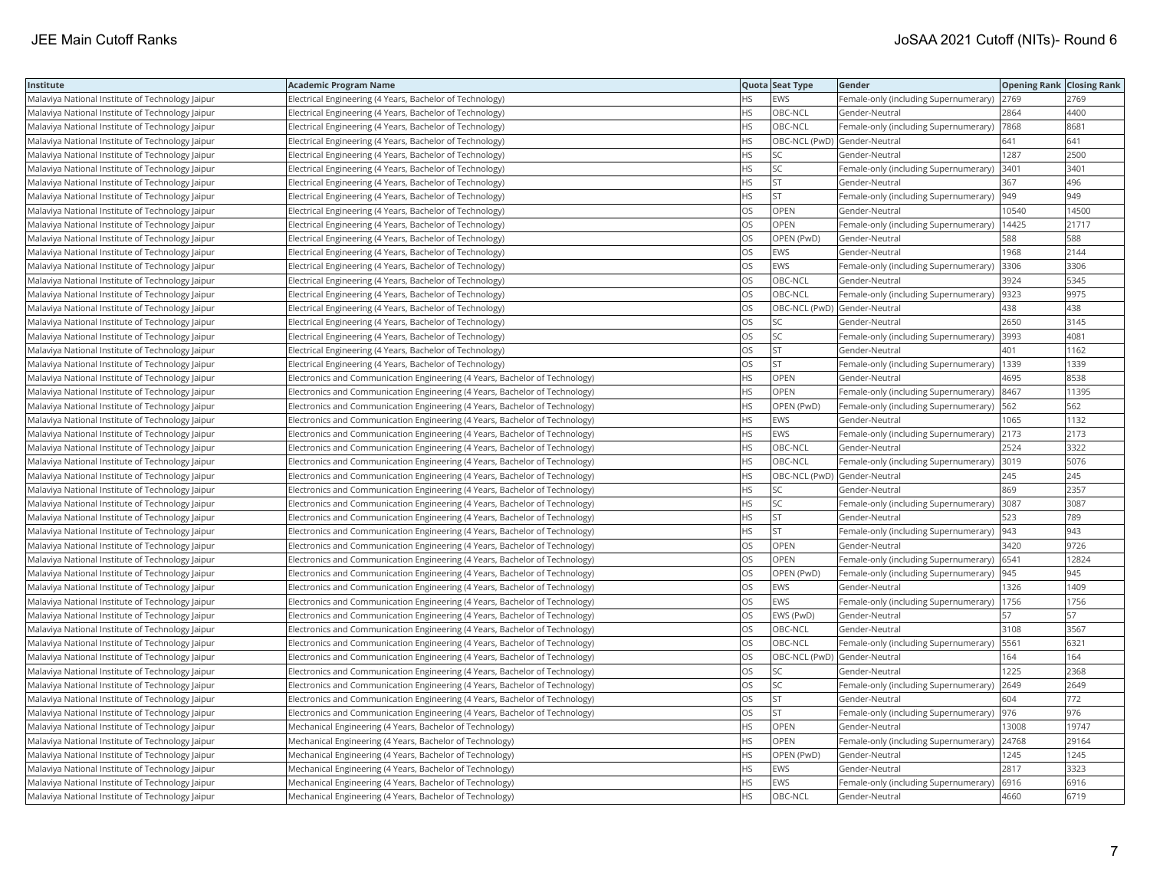| Institute                                        | <b>Academic Program Name</b>                                                |           | Quota Seat Type              | Gender                                       | <b>Opening Rank Closing Rank</b> |       |
|--------------------------------------------------|-----------------------------------------------------------------------------|-----------|------------------------------|----------------------------------------------|----------------------------------|-------|
| Malaviya National Institute of Technology Jaipur | Electrical Engineering (4 Years, Bachelor of Technology)                    | ΗS        | EWS                          | Female-only (including Supernumerary)        | 2769                             | 2769  |
| Malaviya National Institute of Technology Jaipur | Electrical Engineering (4 Years, Bachelor of Technology)                    | HS        | OBC-NCL                      | Gender-Neutral                               | 2864                             | 4400  |
| Malaviya National Institute of Technology Jaipur | Electrical Engineering (4 Years, Bachelor of Technology)                    | НS        | OBC-NCL                      | Female-only (including Supernumerary)        | 7868                             | 8681  |
| Malaviya National Institute of Technology Jaipur | Electrical Engineering (4 Years, Bachelor of Technology)                    | HS        | OBC-NCL (PwD) Gender-Neutral |                                              | 641                              | 641   |
| Malaviya National Institute of Technology Jaipur | Electrical Engineering (4 Years, Bachelor of Technology)                    | <b>HS</b> | SC                           | Gender-Neutral                               | 1287                             | 2500  |
| Malaviya National Institute of Technology Jaipur | Electrical Engineering (4 Years, Bachelor of Technology)                    | HS        | SC                           | Female-only (including Supernumerary)        | 3401                             | 3401  |
| Malaviya National Institute of Technology Jaipur | Electrical Engineering (4 Years, Bachelor of Technology)                    | ΗS        | <b>ST</b>                    | Gender-Neutral                               | 367                              | 496   |
| Malaviya National Institute of Technology Jaipur | Electrical Engineering (4 Years, Bachelor of Technology)                    | <b>HS</b> | <b>ST</b>                    | Female-only (including Supernumerary)        | 949                              | 949   |
| Malaviya National Institute of Technology Jaipur | Electrical Engineering (4 Years, Bachelor of Technology)                    | OS        | <b>OPEN</b>                  | Gender-Neutral                               | 10540                            | 14500 |
| Malaviya National Institute of Technology Jaipur | Electrical Engineering (4 Years, Bachelor of Technology)                    | OS        | OPEN                         | Female-only (including Supernumerary)        | 14425                            | 21717 |
| Malaviya National Institute of Technology Jaipur | Electrical Engineering (4 Years, Bachelor of Technology)                    | OS        | OPEN (PwD)                   | Gender-Neutral                               | 588                              | 588   |
| Malaviya National Institute of Technology Jaipur | Electrical Engineering (4 Years, Bachelor of Technology)                    | OS        | <b>EWS</b>                   | Gender-Neutral                               | 1968                             | 2144  |
| Malaviya National Institute of Technology Jaipur | Electrical Engineering (4 Years, Bachelor of Technology)                    | OS        | <b>EWS</b>                   | Female-only (including Supernumerary)        | 3306                             | 3306  |
| Malaviya National Institute of Technology Jaipur | Electrical Engineering (4 Years, Bachelor of Technology)                    | OS        | OBC-NCL                      | Gender-Neutral                               | 3924                             | 5345  |
| Malaviya National Institute of Technology Jaipur | Electrical Engineering (4 Years, Bachelor of Technology)                    | OS        | OBC-NCL                      | Female-only (including Supernumerary)  9323  |                                  | 9975  |
| Malaviya National Institute of Technology Jaipur | Electrical Engineering (4 Years, Bachelor of Technology)                    | OS        |                              | OBC-NCL (PwD) Gender-Neutral                 | 438                              | 438   |
| Malaviya National Institute of Technology Jaipur | Electrical Engineering (4 Years, Bachelor of Technology)                    | OS        | SC                           | Gender-Neutral                               | 2650                             | 3145  |
| Malaviya National Institute of Technology Jaipur | Electrical Engineering (4 Years, Bachelor of Technology)                    | OS        | SC                           | Female-only (including Supernumerary)        | 3993                             | 4081  |
| Malaviya National Institute of Technology Jaipur | Electrical Engineering (4 Years, Bachelor of Technology)                    | OS        | <b>ST</b>                    | Gender-Neutral                               | 401                              | 1162  |
| Malaviya National Institute of Technology Jaipur | Electrical Engineering (4 Years, Bachelor of Technology)                    | OS        | <b>ST</b>                    | Female-only (including Supernumerary)        | 1339                             | 1339  |
| Malaviya National Institute of Technology Jaipur | Electronics and Communication Engineering (4 Years, Bachelor of Technology) | HS        | <b>OPEN</b>                  | Gender-Neutral                               | 4695                             | 8538  |
| Malaviya National Institute of Technology Jaipur | Electronics and Communication Engineering (4 Years, Bachelor of Technology) | HS        | OPEN                         | Female-only (including Supernumerary) 8467   |                                  | 11395 |
| Malaviya National Institute of Technology Jaipur | Electronics and Communication Engineering (4 Years, Bachelor of Technology) | ΗS        | OPEN (PwD)                   | Female-only (including Supernumerary)   562  |                                  | 562   |
| Malaviya National Institute of Technology Jaipur | Electronics and Communication Engineering (4 Years, Bachelor of Technology) | HS        | <b>EWS</b>                   | Gender-Neutral                               | 1065                             | 1132  |
| Malaviya National Institute of Technology Jaipur | Electronics and Communication Engineering (4 Years, Bachelor of Technology) | HS        | EWS                          | Female-only (including Supernumerary)        | 2173                             | 2173  |
| Malaviya National Institute of Technology Jaipur | Electronics and Communication Engineering (4 Years, Bachelor of Technology) | <b>HS</b> | OBC-NCL                      | Gender-Neutral                               | 2524                             | 3322  |
| Malaviya National Institute of Technology Jaipur | Electronics and Communication Engineering (4 Years, Bachelor of Technology) | НS        | OBC-NCL                      | Female-only (including Supernumerary)        | 3019                             | 5076  |
| Malaviya National Institute of Technology Jaipur | Electronics and Communication Engineering (4 Years, Bachelor of Technology) | HS        | OBC-NCL (PwD) Gender-Neutral |                                              | 245                              | 245   |
| Malaviya National Institute of Technology Jaipur | Electronics and Communication Engineering (4 Years, Bachelor of Technology) | HS        | <b>SC</b>                    | Gender-Neutral                               | 869                              | 2357  |
| Malaviya National Institute of Technology Jaipur | Electronics and Communication Engineering (4 Years, Bachelor of Technology) | ΗS        | SC                           | Female-only (including Supernumerary)   3087 |                                  | 3087  |
| Malaviya National Institute of Technology Jaipur | Electronics and Communication Engineering (4 Years, Bachelor of Technology) | HS        | ST                           | Gender-Neutral                               | 523                              | 789   |
| Malaviya National Institute of Technology Jaipur | Electronics and Communication Engineering (4 Years, Bachelor of Technology) | HS        | <b>ST</b>                    | Female-only (including Supernumerary)        | 943                              | 943   |
| Malaviya National Institute of Technology Jaipur | Electronics and Communication Engineering (4 Years, Bachelor of Technology) | OS        | OPEN                         | Gender-Neutral                               | 3420                             | 9726  |
| Malaviya National Institute of Technology Jaipur | Electronics and Communication Engineering (4 Years, Bachelor of Technology) | OS        | OPEN                         | Female-only (including Supernumerary)  6541  |                                  | 12824 |
| Malaviya National Institute of Technology Jaipur | Electronics and Communication Engineering (4 Years, Bachelor of Technology) | OS        | OPEN (PwD)                   | Female-only (including Supernumerary)  945   |                                  | 945   |
| Malaviya National Institute of Technology Jaipur | Electronics and Communication Engineering (4 Years, Bachelor of Technology) | OS        | <b>EWS</b>                   | Gender-Neutral                               | 1326                             | 1409  |
| Malaviya National Institute of Technology Jaipur | Electronics and Communication Engineering (4 Years, Bachelor of Technology) | OS        | EWS                          | Female-only (including Supernumerary)   1756 |                                  | 1756  |
| Malaviya National Institute of Technology Jaipur | Electronics and Communication Engineering (4 Years, Bachelor of Technology) | OS        | EWS (PwD)                    | Gender-Neutral                               | 57                               | 57    |
| Malaviya National Institute of Technology Jaipur | Electronics and Communication Engineering (4 Years, Bachelor of Technology) | OS        | OBC-NCL                      | Gender-Neutral                               | 3108                             | 3567  |
| Malaviya National Institute of Technology Jaipur | Electronics and Communication Engineering (4 Years, Bachelor of Technology) | OS        | OBC-NCL                      | Female-only (including Supernumerary)        | 5561                             | 6321  |
| Malaviya National Institute of Technology Jaipur | Electronics and Communication Engineering (4 Years, Bachelor of Technology) | OS        | OBC-NCL (PwD) Gender-Neutral |                                              | 164                              | 164   |
| Malaviya National Institute of Technology Jaipur | Electronics and Communication Engineering (4 Years, Bachelor of Technology) | OS        | SC                           | Gender-Neutral                               | 1225                             | 2368  |
| Malaviya National Institute of Technology Jaipur | Electronics and Communication Engineering (4 Years, Bachelor of Technology) | OS        | SC                           | Female-only (including Supernumerary)        | 2649                             | 2649  |
| Malaviya National Institute of Technology Jaipur | Electronics and Communication Engineering (4 Years, Bachelor of Technology) | OS        | <b>ST</b>                    | Gender-Neutral                               | 604                              | 772   |
| Malaviya National Institute of Technology Jaipur | Electronics and Communication Engineering (4 Years, Bachelor of Technology) | OS        | <b>ST</b>                    | Female-only (including Supernumerary)  976   |                                  | 976   |
| Malaviya National Institute of Technology Jaipur | Mechanical Engineering (4 Years, Bachelor of Technology)                    | ΗS        | OPEN                         | Gender-Neutral                               | 13008                            | 19747 |
| Malaviya National Institute of Technology Jaipur | Mechanical Engineering (4 Years, Bachelor of Technology)                    | <b>HS</b> | OPEN                         | Female-only (including Supernumerary)        | 24768                            | 29164 |
| Malaviya National Institute of Technology Jaipur | Mechanical Engineering (4 Years, Bachelor of Technology)                    | ΗS        | OPEN (PwD)                   | Gender-Neutral                               | 1245                             | 1245  |
| Malaviya National Institute of Technology Jaipur | Mechanical Engineering (4 Years, Bachelor of Technology)                    | HS        | EWS                          | Gender-Neutral                               | 2817                             | 3323  |
| Malaviya National Institute of Technology Jaipur | Mechanical Engineering (4 Years, Bachelor of Technology)                    | HS.       | EWS                          | Female-only (including Supernumerary)        | 6916                             | 6916  |
| Malaviya National Institute of Technology Jaipur | Mechanical Engineering (4 Years, Bachelor of Technology)                    | <b>HS</b> | OBC-NCL                      | Gender-Neutral                               | 4660                             | 6719  |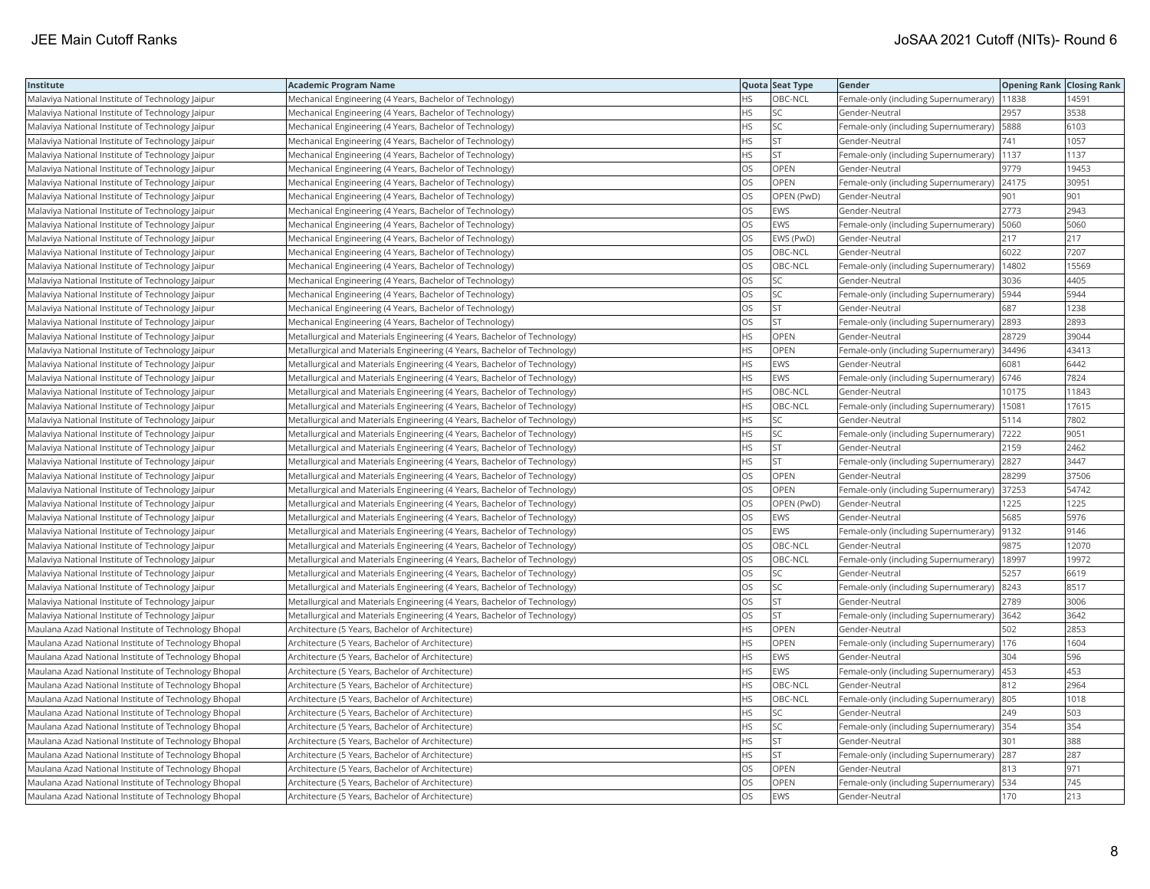| Institute                                            | <b>Academic Program Name</b>                                              |           | Quota Seat Type | Gender                                        | <b>Opening Rank Closing Rank</b> |       |
|------------------------------------------------------|---------------------------------------------------------------------------|-----------|-----------------|-----------------------------------------------|----------------------------------|-------|
| Malaviya National Institute of Technology Jaipur     | Mechanical Engineering (4 Years, Bachelor of Technology)                  | <b>HS</b> | OBC-NCL         | Female-only (including Supernumerary)   11838 |                                  | 14591 |
| Malaviya National Institute of Technology Jaipur     | Mechanical Engineering (4 Years, Bachelor of Technology)                  | HS.       | SC              | Gender-Neutral                                | 2957                             | 3538  |
| Malaviya National Institute of Technology Jaipur     | Mechanical Engineering (4 Years, Bachelor of Technology)                  | <b>HS</b> | SC.             | Female-only (including Supernumerary)         | 5888                             | 6103  |
| Malaviya National Institute of Technology Jaipur     | Mechanical Engineering (4 Years, Bachelor of Technology)                  | <b>HS</b> | <b>ST</b>       | Gender-Neutral                                | 741                              | 1057  |
| Malaviya National Institute of Technology Jaipur     | Mechanical Engineering (4 Years, Bachelor of Technology)                  | <b>HS</b> | lst             | Female-only (including Supernumerary)         | 1137                             | 1137  |
| Malaviya National Institute of Technology Jaipur     | Mechanical Engineering (4 Years, Bachelor of Technology)                  | OS        | OPEN            | Gender-Neutral                                | 9779                             | 19453 |
| Malaviya National Institute of Technology Jaipur     | Mechanical Engineering (4 Years, Bachelor of Technology)                  | <b>OS</b> | OPEN            | Female-only (including Supernumerary)         | 24175                            | 30951 |
| Malaviya National Institute of Technology Jaipur     | Mechanical Engineering (4 Years, Bachelor of Technology)                  | OS        | OPEN (PwD)      | Gender-Neutral                                | 901                              | 901   |
| Malaviya National Institute of Technology Jaipur     | Mechanical Engineering (4 Years, Bachelor of Technology)                  | OS        | EWS             | Gender-Neutral                                | 2773                             | 2943  |
| Malaviya National Institute of Technology Jaipur     | Mechanical Engineering (4 Years, Bachelor of Technology)                  | OS        | <b>EWS</b>      | Female-only (including Supernumerary)         | 5060                             | 5060  |
| Malaviya National Institute of Technology Jaipur     | Mechanical Engineering (4 Years, Bachelor of Technology)                  | OS        | EWS (PwD)       | Gender-Neutral                                | 217                              | 217   |
| Malaviya National Institute of Technology Jaipur     | Mechanical Engineering (4 Years, Bachelor of Technology)                  | <b>OS</b> | OBC-NCL         | Gender-Neutral                                | 6022                             | 7207  |
| Malaviya National Institute of Technology Jaipur     | Mechanical Engineering (4 Years, Bachelor of Technology)                  | <b>OS</b> | OBC-NCL         | Female-only (including Supernumerary)         | 14802                            | 15569 |
| Malaviya National Institute of Technology Jaipur     | Mechanical Engineering (4 Years, Bachelor of Technology)                  | <b>OS</b> | SC.             | Gender-Neutral                                | 3036                             | 4405  |
| Malaviya National Institute of Technology Jaipur     | Mechanical Engineering (4 Years, Bachelor of Technology)                  | OS        | SC              | Female-only (including Supernumerary)         | 5944                             | 5944  |
| Malaviya National Institute of Technology Jaipur     | Mechanical Engineering (4 Years, Bachelor of Technology)                  | OS        | <b>ST</b>       | Gender-Neutral                                | 687                              | 1238  |
| Malaviya National Institute of Technology Jaipur     | Mechanical Engineering (4 Years, Bachelor of Technology)                  | OS        | <b>ST</b>       | Female-only (including Supernumerary)         | 2893                             | 2893  |
| Malaviya National Institute of Technology Jaipur     | Metallurgical and Materials Engineering (4 Years, Bachelor of Technology) | <b>HS</b> | OPEN            | Gender-Neutral                                | 28729                            | 39044 |
| Malaviya National Institute of Technology Jaipur     | Metallurgical and Materials Engineering (4 Years, Bachelor of Technology) | <b>HS</b> | OPEN            | Female-only (including Supernumerary)         | 34496                            | 43413 |
| Malaviya National Institute of Technology Jaipur     | Metallurgical and Materials Engineering (4 Years, Bachelor of Technology) | <b>HS</b> | <b>EWS</b>      | Gender-Neutral                                | 6081                             | 6442  |
| Malaviya National Institute of Technology Jaipur     | Metallurgical and Materials Engineering (4 Years, Bachelor of Technology) | <b>HS</b> | EWS             | Female-only (including Supernumerary)         | 6746                             | 7824  |
| Malaviya National Institute of Technology Jaipur     | Metallurgical and Materials Engineering (4 Years, Bachelor of Technology) | <b>HS</b> | OBC-NCL         | Gender-Neutral                                | 10175                            | 11843 |
| Malaviya National Institute of Technology Jaipur     | Metallurgical and Materials Engineering (4 Years, Bachelor of Technology) | <b>HS</b> | OBC-NCL         | Female-only (including Supernumerary)         | 15081                            | 17615 |
| Malaviya National Institute of Technology Jaipur     | Metallurgical and Materials Engineering (4 Years, Bachelor of Technology) | <b>HS</b> | SC              | Gender-Neutral                                | 5114                             | 7802  |
| Malaviya National Institute of Technology Jaipur     | Metallurgical and Materials Engineering (4 Years, Bachelor of Technology) | <b>HS</b> | SC              | Female-only (including Supernumerary)         | 7222                             | 9051  |
| Malaviya National Institute of Technology Jaipur     | Metallurgical and Materials Engineering (4 Years, Bachelor of Technology) | <b>HS</b> | <b>ST</b>       | Gender-Neutral                                | 2159                             | 2462  |
| Malaviya National Institute of Technology Jaipur     | Metallurgical and Materials Engineering (4 Years, Bachelor of Technology) | <b>HS</b> | <b>ST</b>       | Female-only (including Supernumerary)         | 2827                             | 3447  |
| Malaviya National Institute of Technology Jaipur     | Metallurgical and Materials Engineering (4 Years, Bachelor of Technology) | <b>OS</b> | <b>OPEN</b>     | Gender-Neutral                                | 28299                            | 37506 |
| Malaviya National Institute of Technology Jaipur     | Metallurgical and Materials Engineering (4 Years, Bachelor of Technology) | OS        | OPEN            | Female-only (including Supernumerary)         | 37253                            | 54742 |
| Malaviya National Institute of Technology Jaipur     | Metallurgical and Materials Engineering (4 Years, Bachelor of Technology) | OS        | OPEN (PwD)      | Gender-Neutral                                | 1225                             | 1225  |
| Malaviya National Institute of Technology Jaipur     | Metallurgical and Materials Engineering (4 Years, Bachelor of Technology) | OS        | EWS             | Gender-Neutral                                | 5685                             | 5976  |
| Malaviya National Institute of Technology Jaipur     | Metallurgical and Materials Engineering (4 Years, Bachelor of Technology) | OS        | EWS             | Female-only (including Supernumerary)         | 9132                             | 9146  |
| Malaviya National Institute of Technology Jaipur     | Metallurgical and Materials Engineering (4 Years, Bachelor of Technology) | OS        | OBC-NCL         | Gender-Neutral                                | 9875                             | 12070 |
| Malaviya National Institute of Technology Jaipur     | Metallurgical and Materials Engineering (4 Years, Bachelor of Technology) | OS        | OBC-NCL         | Female-only (including Supernumerary)         | 18997                            | 19972 |
| Malaviya National Institute of Technology Jaipur     | Metallurgical and Materials Engineering (4 Years, Bachelor of Technology) | OS        | SC              | Gender-Neutral                                | 5257                             | 6619  |
| Malaviya National Institute of Technology Jaipur     | Metallurgical and Materials Engineering (4 Years, Bachelor of Technology) | OS        | <b>SC</b>       | Female-only (including Supernumerary)         | 8243                             | 8517  |
| Malaviya National Institute of Technology Jaipur     | Metallurgical and Materials Engineering (4 Years, Bachelor of Technology) | OS        | lst             | Gender-Neutral                                | 2789                             | 3006  |
| Malaviya National Institute of Technology Jaipur     | Metallurgical and Materials Engineering (4 Years, Bachelor of Technology) | OS        | <b>ST</b>       | Female-only (including Supernumerary) 3642    |                                  | 3642  |
| Maulana Azad National Institute of Technology Bhopal | Architecture (5 Years, Bachelor of Architecture)                          | <b>HS</b> | OPEN            | Gender-Neutral                                | 502                              | 2853  |
| Maulana Azad National Institute of Technology Bhopal | Architecture (5 Years, Bachelor of Architecture)                          | <b>HS</b> | OPEN            | Female-only (including Supernumerary)         | 176                              | 1604  |
| Maulana Azad National Institute of Technology Bhopal | Architecture (5 Years, Bachelor of Architecture)                          | <b>HS</b> | <b>EWS</b>      | Gender-Neutral                                | 304                              | 596   |
| Maulana Azad National Institute of Technology Bhopal | Architecture (5 Years, Bachelor of Architecture)                          | <b>HS</b> | EWS             | Female-only (including Supernumerary)         | 453                              | 453   |
| Maulana Azad National Institute of Technology Bhopal | Architecture (5 Years, Bachelor of Architecture)                          | <b>HS</b> | OBC-NCL         | Gender-Neutral                                | 812                              | 2964  |
| Maulana Azad National Institute of Technology Bhopal | Architecture (5 Years, Bachelor of Architecture)                          | <b>HS</b> | OBC-NCL         | Female-only (including Supernumerary)         | 805                              | 1018  |
| Maulana Azad National Institute of Technology Bhopal | Architecture (5 Years, Bachelor of Architecture)                          | <b>HS</b> | SC.             | Gender-Neutral                                | 249                              | 503   |
| Maulana Azad National Institute of Technology Bhopal | Architecture (5 Years, Bachelor of Architecture)                          | <b>HS</b> | SC              | Female-only (including Supernumerary) 354     |                                  | 354   |
| Maulana Azad National Institute of Technology Bhopal | Architecture (5 Years, Bachelor of Architecture)                          | <b>HS</b> | İst             | Gender-Neutral                                | 301                              | 388   |
| Maulana Azad National Institute of Technology Bhopal | Architecture (5 Years, Bachelor of Architecture)                          | HS.       | <b>ST</b>       | Female-only (including Supernumerary)         | 287                              | 287   |
| Maulana Azad National Institute of Technology Bhopal | Architecture (5 Years, Bachelor of Architecture)                          | OS        | OPEN            | Gender-Neutral                                | 813                              | 971   |
| Maulana Azad National Institute of Technology Bhopal | Architecture (5 Years, Bachelor of Architecture)                          | OS        | <b>OPEN</b>     | Female-only (including Supernumerary)         | 534                              | 745   |
| Maulana Azad National Institute of Technology Bhopal | Architecture (5 Years, Bachelor of Architecture)                          | <b>OS</b> | <b>EWS</b>      | Gender-Neutral                                | 170                              | 213   |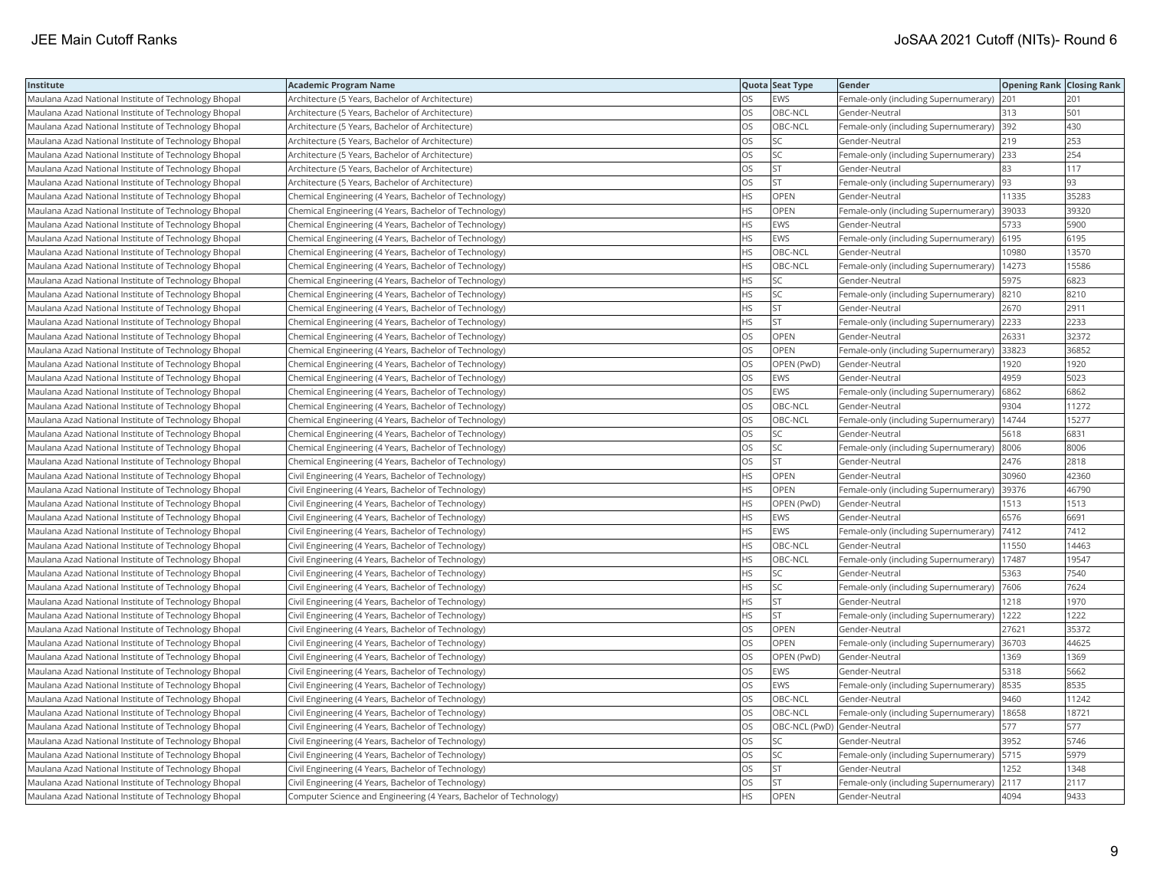| Institute                                            | <b>Academic Program Name</b>                                       |           | Quota Seat Type              | Gender                                        | <b>Opening Rank Closing Rank</b> |       |
|------------------------------------------------------|--------------------------------------------------------------------|-----------|------------------------------|-----------------------------------------------|----------------------------------|-------|
| Maulana Azad National Institute of Technology Bhopal | Architecture (5 Years, Bachelor of Architecture)                   | <b>OS</b> | <b>EWS</b>                   | Female-only (including Supernumerary)         | 201                              | 201   |
| Maulana Azad National Institute of Technology Bhopal | Architecture (5 Years, Bachelor of Architecture)                   | OS        | OBC-NCL                      | Gender-Neutral                                | 313                              | 501   |
| Maulana Azad National Institute of Technology Bhopal | Architecture (5 Years, Bachelor of Architecture)                   | OS        | OBC-NCL                      | Female-only (including Supernumerary) 392     |                                  | 430   |
| Maulana Azad National Institute of Technology Bhopal | Architecture (5 Years, Bachelor of Architecture)                   | <b>OS</b> | <b>SC</b>                    | Gender-Neutral                                | 219                              | 253   |
| Maulana Azad National Institute of Technology Bhopal | Architecture (5 Years, Bachelor of Architecture)                   | OS        | <b>SC</b>                    | Female-only (including Supernumerary)         | 233                              | 254   |
| Maulana Azad National Institute of Technology Bhopal | Architecture (5 Years, Bachelor of Architecture)                   | OS        | <b>ST</b>                    | Gender-Neutral                                | 83                               | 117   |
| Maulana Azad National Institute of Technology Bhopal | Architecture (5 Years, Bachelor of Architecture)                   | OS        | <b>ST</b>                    | Female-only (including Supernumerary)  93     |                                  | 93    |
| Maulana Azad National Institute of Technology Bhopal | Chemical Engineering (4 Years, Bachelor of Technology)             | <b>HS</b> | <b>OPEN</b>                  | Gender-Neutral                                | 11335                            | 35283 |
| Maulana Azad National Institute of Technology Bhopal | Chemical Engineering (4 Years, Bachelor of Technology)             | <b>HS</b> | <b>OPEN</b>                  | Female-only (including Supernumerary)         | 39033                            | 39320 |
| Maulana Azad National Institute of Technology Bhopal | Chemical Engineering (4 Years, Bachelor of Technology)             | HS.       | EWS                          | Gender-Neutral                                | 5733                             | 5900  |
| Maulana Azad National Institute of Technology Bhopal | Chemical Engineering (4 Years, Bachelor of Technology)             | <b>HS</b> | <b>EWS</b>                   | Female-only (including Supernumerary)         | 6195                             | 6195  |
| Maulana Azad National Institute of Technology Bhopal | Chemical Engineering (4 Years, Bachelor of Technology)             | <b>HS</b> | OBC-NCL                      | Gender-Neutral                                | 0980                             | 13570 |
| Maulana Azad National Institute of Technology Bhopal | Chemical Engineering (4 Years, Bachelor of Technology)             | <b>HS</b> | OBC-NCL                      | Female-only (including Supernumerary)         | 14273                            | 15586 |
| Maulana Azad National Institute of Technology Bhopal | Chemical Engineering (4 Years, Bachelor of Technology)             | <b>HS</b> | lsc                          | Gender-Neutral                                | 5975                             | 6823  |
| Maulana Azad National Institute of Technology Bhopal | Chemical Engineering (4 Years, Bachelor of Technology)             | <b>HS</b> | <b>SC</b>                    | Female-only (including Supernumerary)  8210   |                                  | 8210  |
| Maulana Azad National Institute of Technology Bhopal | Chemical Engineering (4 Years, Bachelor of Technology)             | ΗS        | <b>ST</b>                    | Gender-Neutral                                | 2670                             | 2911  |
| Maulana Azad National Institute of Technology Bhopal | Chemical Engineering (4 Years, Bachelor of Technology)             | <b>HS</b> | lst.                         | Female-only (including Supernumerary)         | 2233                             | 2233  |
| Maulana Azad National Institute of Technology Bhopal | Chemical Engineering (4 Years, Bachelor of Technology)             | OS        | OPEN                         | Gender-Neutral                                | 26331                            | 32372 |
| Maulana Azad National Institute of Technology Bhopal | Chemical Engineering (4 Years, Bachelor of Technology)             | OS        | OPEN                         | Female-only (including Supernumerary)         | 33823                            | 36852 |
| Maulana Azad National Institute of Technology Bhopal | Chemical Engineering (4 Years, Bachelor of Technology)             | <b>OS</b> | OPEN (PwD)                   | Gender-Neutral                                | 1920                             | 1920  |
| Maulana Azad National Institute of Technology Bhopal | Chemical Engineering (4 Years, Bachelor of Technology)             | <b>OS</b> | <b>EWS</b>                   | Gender-Neutral                                | 4959                             | 5023  |
| Maulana Azad National Institute of Technology Bhopal | Chemical Engineering (4 Years, Bachelor of Technology)             | <b>OS</b> | <b>EWS</b>                   | Female-only (including Supernumerary)         | 6862                             | 6862  |
| Maulana Azad National Institute of Technology Bhopal | Chemical Engineering (4 Years, Bachelor of Technology)             | OS        | OBC-NCL                      | Gender-Neutral                                | 9304                             | 11272 |
| Maulana Azad National Institute of Technology Bhopal | Chemical Engineering (4 Years, Bachelor of Technology)             | OS        | OBC-NCL                      | Female-only (including Supernumerary)   14744 |                                  | 15277 |
| Maulana Azad National Institute of Technology Bhopal | Chemical Engineering (4 Years, Bachelor of Technology)             | OS        | SC.                          | Gender-Neutral                                | 5618                             | 6831  |
| Maulana Azad National Institute of Technology Bhopal | Chemical Engineering (4 Years, Bachelor of Technology)             | <b>OS</b> | lsc                          | Female-only (including Supernumerary)         | 8006                             | 8006  |
| Maulana Azad National Institute of Technology Bhopal | Chemical Engineering (4 Years, Bachelor of Technology)             | OS        | <b>ST</b>                    | Gender-Neutral                                | 2476                             | 2818  |
| Maulana Azad National Institute of Technology Bhopal | Civil Engineering (4 Years, Bachelor of Technology)                | <b>HS</b> | OPEN                         | Gender-Neutral                                | 30960                            | 42360 |
| Maulana Azad National Institute of Technology Bhopal | Civil Engineering (4 Years, Bachelor of Technology)                | <b>HS</b> | <b>OPEN</b>                  | Female-only (including Supernumerary)         | 39376                            | 46790 |
| Maulana Azad National Institute of Technology Bhopal | Civil Engineering (4 Years, Bachelor of Technology)                | HS        | OPEN (PwD)                   | Gender-Neutral                                | 1513                             | 1513  |
| Maulana Azad National Institute of Technology Bhopal | Civil Engineering (4 Years, Bachelor of Technology)                | <b>HS</b> | <b>EWS</b>                   | Gender-Neutral                                | 6576                             | 6691  |
| Maulana Azad National Institute of Technology Bhopal | Civil Engineering (4 Years, Bachelor of Technology)                | <b>HS</b> | <b>EWS</b>                   | Female-only (including Supernumerary)         | 7412                             | 7412  |
| Maulana Azad National Institute of Technology Bhopal | Civil Engineering (4 Years, Bachelor of Technology)                | <b>HS</b> | OBC-NCL                      | Gender-Neutral                                | 11550                            | 14463 |
| Maulana Azad National Institute of Technology Bhopal | Civil Engineering (4 Years, Bachelor of Technology)                | <b>HS</b> | OBC-NCL                      | Female-only (including Supernumerary)         | 17487                            | 19547 |
| Maulana Azad National Institute of Technology Bhopal | Civil Engineering (4 Years, Bachelor of Technology)                | <b>HS</b> | SC                           | Gender-Neutral                                | 5363                             | 7540  |
| Maulana Azad National Institute of Technology Bhopal | Civil Engineering (4 Years, Bachelor of Technology)                | <b>HS</b> | lsc                          | Female-only (including Supernumerary)         | 7606                             | 7624  |
| Maulana Azad National Institute of Technology Bhopal | Civil Engineering (4 Years, Bachelor of Technology)                | <b>HS</b> | <b>ST</b>                    | Gender-Neutral                                | 1218                             | 1970  |
| Maulana Azad National Institute of Technology Bhopal | Civil Engineering (4 Years, Bachelor of Technology)                | <b>HS</b> | lst.                         | Female-only (including Supernumerary)         | 1222                             | 1222  |
| Maulana Azad National Institute of Technology Bhopal | Civil Engineering (4 Years, Bachelor of Technology)                | OS        | <b>OPEN</b>                  | Gender-Neutral                                | 27621                            | 35372 |
| Maulana Azad National Institute of Technology Bhopal | Civil Engineering (4 Years, Bachelor of Technology)                | <b>OS</b> | <b>OPEN</b>                  | Female-only (including Supernumerary)         | 36703                            | 44625 |
| Maulana Azad National Institute of Technology Bhopal | Civil Engineering (4 Years, Bachelor of Technology)                | OS        | OPEN (PwD)                   | Gender-Neutral                                | 1369                             | 1369  |
| Maulana Azad National Institute of Technology Bhopal | Civil Engineering (4 Years, Bachelor of Technology)                | OS        | <b>EWS</b>                   | Gender-Neutral                                | 5318                             | 5662  |
| Maulana Azad National Institute of Technology Bhopal | Civil Engineering (4 Years, Bachelor of Technology)                | OS        | <b>EWS</b>                   | Female-only (including Supernumerary)         | 8535                             | 8535  |
| Maulana Azad National Institute of Technology Bhopal | Civil Engineering (4 Years, Bachelor of Technology)                | <b>OS</b> | OBC-NCL                      | Gender-Neutral                                | 9460                             | 11242 |
| Maulana Azad National Institute of Technology Bhopal | Civil Engineering (4 Years, Bachelor of Technology)                | <b>OS</b> | OBC-NCL                      | Female-only (including Supernumerary)         | 18658                            | 18721 |
| Maulana Azad National Institute of Technology Bhopal | Civil Engineering (4 Years, Bachelor of Technology)                | OS        | OBC-NCL (PwD) Gender-Neutral |                                               | 577                              | 577   |
| Maulana Azad National Institute of Technology Bhopal | Civil Engineering (4 Years, Bachelor of Technology)                | OS        | <b>SC</b>                    | Gender-Neutral                                | 3952                             | 5746  |
| Maulana Azad National Institute of Technology Bhopal | Civil Engineering (4 Years, Bachelor of Technology)                | OS        | <b>SC</b>                    | Female-only (including Supernumerary)         | 5715                             | 5979  |
| Maulana Azad National Institute of Technology Bhopal | Civil Engineering (4 Years, Bachelor of Technology)                | OS        | <b>ST</b>                    | Gender-Neutral                                | 1252                             | 1348  |
| Maulana Azad National Institute of Technology Bhopal | Civil Engineering (4 Years, Bachelor of Technology)                | <b>OS</b> | <b>ST</b>                    | Female-only (including Supernumerary)         | 2117                             | 2117  |
| Maulana Azad National Institute of Technology Bhopal | Computer Science and Engineering (4 Years, Bachelor of Technology) | <b>HS</b> | OPEN                         | Gender-Neutral                                | 4094                             | 9433  |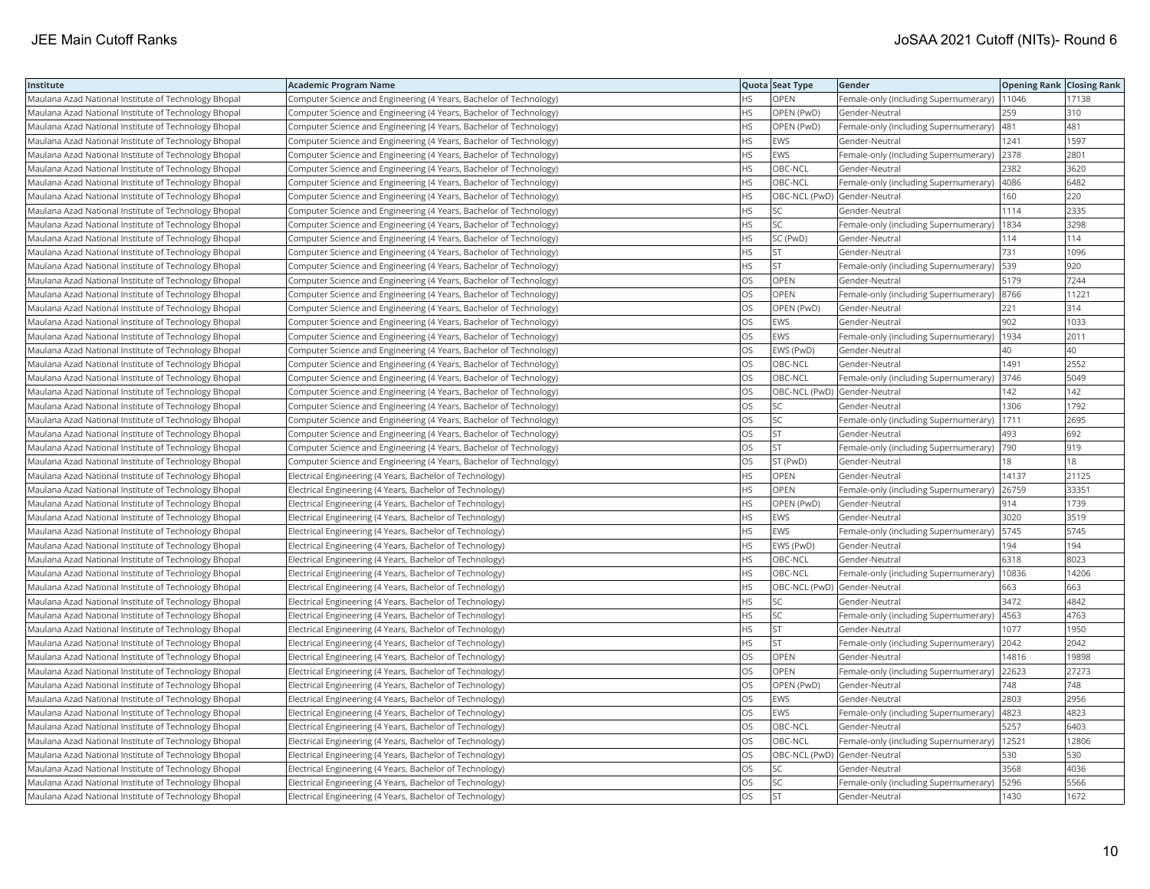| Institute                                            | <b>Academic Program Name</b>                                       |           | Quota Seat Type              | <b>Gender</b>                                 | <b>Opening Rank Closing Rank</b> |       |
|------------------------------------------------------|--------------------------------------------------------------------|-----------|------------------------------|-----------------------------------------------|----------------------------------|-------|
| Maulana Azad National Institute of Technology Bhopal | Computer Science and Engineering (4 Years, Bachelor of Technology) | HS        | OPEN                         | Female-only (including Supernumerary)         | 11046                            | 17138 |
| Maulana Azad National Institute of Technology Bhopal | Computer Science and Engineering (4 Years, Bachelor of Technology) | HS.       | OPEN (PwD)                   | Gender-Neutral                                | 259                              | 310   |
| Maulana Azad National Institute of Technology Bhopal | Computer Science and Engineering (4 Years, Bachelor of Technology) | HS        | OPEN (PwD)                   | Female-only (including Supernumerary)         | 481                              | 481   |
| Maulana Azad National Institute of Technology Bhopal | Computer Science and Engineering (4 Years, Bachelor of Technology) | <b>HS</b> | <b>EWS</b>                   | Gender-Neutral                                | 1241                             | 1597  |
| Maulana Azad National Institute of Technology Bhopal | Computer Science and Engineering (4 Years, Bachelor of Technology) | <b>HS</b> | <b>EWS</b>                   | Female-only (including Supernumerary)         | 2378                             | 2801  |
| Maulana Azad National Institute of Technology Bhopal | Computer Science and Engineering (4 Years, Bachelor of Technology) | HS        | OBC-NCL                      | Gender-Neutral                                | 2382                             | 3620  |
| Maulana Azad National Institute of Technology Bhopal | Computer Science and Engineering (4 Years, Bachelor of Technology) | <b>HS</b> | OBC-NCL                      | Female-only (including Supernumerary)         | 4086                             | 6482  |
| Maulana Azad National Institute of Technology Bhopal | Computer Science and Engineering (4 Years, Bachelor of Technology) | <b>HS</b> | OBC-NCL (PwD) Gender-Neutral |                                               | 160                              | 220   |
| Maulana Azad National Institute of Technology Bhopal | Computer Science and Engineering (4 Years, Bachelor of Technology) | HS.       | SC.                          | Gender-Neutral                                | 1114                             | 2335  |
| Maulana Azad National Institute of Technology Bhopal | Computer Science and Engineering (4 Years, Bachelor of Technology) | <b>HS</b> | <b>SC</b>                    | Female-only (including Supernumerary)         | 1834                             | 3298  |
| Maulana Azad National Institute of Technology Bhopal | Computer Science and Engineering (4 Years, Bachelor of Technology) | HS        | SC (PwD)                     | Gender-Neutral                                | 114                              | 114   |
| Maulana Azad National Institute of Technology Bhopal | Computer Science and Engineering (4 Years, Bachelor of Technology) | <b>HS</b> | <b>ST</b>                    | Gender-Neutral                                | 731                              | 1096  |
| Maulana Azad National Institute of Technology Bhopal | Computer Science and Engineering (4 Years, Bachelor of Technology) | HS.       | <b>ST</b>                    | Female-only (including Supernumerary)         | 539                              | 920   |
| Maulana Azad National Institute of Technology Bhopal | Computer Science and Engineering (4 Years, Bachelor of Technology) | OS        | OPEN                         | Gender-Neutral                                | 5179                             | 7244  |
| Maulana Azad National Institute of Technology Bhopal | Computer Science and Engineering (4 Years, Bachelor of Technology) | OS        | OPEN                         | Female-only (including Supernumerary) 8766    |                                  | 11221 |
| Maulana Azad National Institute of Technology Bhopal | Computer Science and Engineering (4 Years, Bachelor of Technology) | OS.       | OPEN (PwD)                   | Gender-Neutral                                | 221                              | 314   |
| Maulana Azad National Institute of Technology Bhopal | Computer Science and Engineering (4 Years, Bachelor of Technology) | OS        | EWS                          | Gender-Neutral                                | 902                              | 1033  |
| Maulana Azad National Institute of Technology Bhopal | Computer Science and Engineering (4 Years, Bachelor of Technology) | OS        | <b>EWS</b>                   | Female-only (including Supernumerary)         | 1934                             | 2011  |
| Maulana Azad National Institute of Technology Bhopal | Computer Science and Engineering (4 Years, Bachelor of Technology) | <b>OS</b> | EWS (PwD)                    | Gender-Neutral                                | 40                               | 40    |
| Maulana Azad National Institute of Technology Bhopal | Computer Science and Engineering (4 Years, Bachelor of Technology) | <b>OS</b> | OBC-NCL                      | Gender-Neutral                                | 1491                             | 2552  |
| Maulana Azad National Institute of Technology Bhopal | Computer Science and Engineering (4 Years, Bachelor of Technology) | OS        | OBC-NCL                      | Female-only (including Supernumerary)         | 3746                             | 5049  |
| Maulana Azad National Institute of Technology Bhopal | Computer Science and Engineering (4 Years, Bachelor of Technology) | OS        | OBC-NCL (PwD) Gender-Neutral |                                               | 142                              | 142   |
| Maulana Azad National Institute of Technology Bhopal | Computer Science and Engineering (4 Years, Bachelor of Technology) | OS        | SC                           | Gender-Neutral                                | 1306                             | 1792  |
| Maulana Azad National Institute of Technology Bhopal | Computer Science and Engineering (4 Years, Bachelor of Technology) | OS        | <b>SC</b>                    | Female-only (including Supernumerary)         | 1711                             | 2695  |
| Maulana Azad National Institute of Technology Bhopal | Computer Science and Engineering (4 Years, Bachelor of Technology) | OS        | <b>ST</b>                    | Gender-Neutral                                | 493                              | 692   |
| Maulana Azad National Institute of Technology Bhopal | Computer Science and Engineering (4 Years, Bachelor of Technology) | OS        | <b>ST</b>                    | Female-only (including Supernumerary)         | 790                              | 919   |
| Maulana Azad National Institute of Technology Bhopal | Computer Science and Engineering (4 Years, Bachelor of Technology) | OS        | ST (PwD)                     | Gender-Neutral                                | 81                               | 18    |
| Maulana Azad National Institute of Technology Bhopal | Electrical Engineering (4 Years, Bachelor of Technology)           | <b>HS</b> | <b>OPEN</b>                  | Gender-Neutral                                | 14137                            | 21125 |
| Maulana Azad National Institute of Technology Bhopal | Electrical Engineering (4 Years, Bachelor of Technology)           | <b>HS</b> | OPEN                         | Female-only (including Supernumerary)         | 26759                            | 33351 |
| Maulana Azad National Institute of Technology Bhopal | Electrical Engineering (4 Years, Bachelor of Technology)           | HS        | OPEN (PwD)                   | Gender-Neutral                                | 914                              | 1739  |
| Maulana Azad National Institute of Technology Bhopal | Electrical Engineering (4 Years, Bachelor of Technology)           | HS        | <b>EWS</b>                   | Gender-Neutral                                | 3020                             | 3519  |
| Maulana Azad National Institute of Technology Bhopal | Electrical Engineering (4 Years, Bachelor of Technology)           | HS.       | <b>EWS</b>                   | Female-only (including Supernumerary)         | 5745                             | 5745  |
| Maulana Azad National Institute of Technology Bhopal | Electrical Engineering (4 Years, Bachelor of Technology)           | HS.       | EWS (PwD)                    | Gender-Neutral                                | 194                              | 194   |
| Maulana Azad National Institute of Technology Bhopal | Electrical Engineering (4 Years, Bachelor of Technology)           | HS        | OBC-NCL                      | Gender-Neutral                                | 6318                             | 8023  |
| Maulana Azad National Institute of Technology Bhopal | Electrical Engineering (4 Years, Bachelor of Technology)           | <b>HS</b> | OBC-NCL                      | Female-only (including Supernumerary)         | 10836                            | 14206 |
| Maulana Azad National Institute of Technology Bhopal | Electrical Engineering (4 Years, Bachelor of Technology)           | <b>HS</b> | OBC-NCL (PwD) Gender-Neutral |                                               | 663                              | 663   |
| Maulana Azad National Institute of Technology Bhopal | Electrical Engineering (4 Years, Bachelor of Technology)           | <b>HS</b> | SC.                          | Gender-Neutral                                | 3472                             | 4842  |
| Maulana Azad National Institute of Technology Bhopal | Electrical Engineering (4 Years, Bachelor of Technology)           | <b>HS</b> | <b>SC</b>                    | Female-only (including Supernumerary)         | 4563                             | 4763  |
| Maulana Azad National Institute of Technology Bhopal | Electrical Engineering (4 Years, Bachelor of Technology)           | HS        | <b>ST</b>                    | Gender-Neutral                                | 1077                             | 1950  |
| Maulana Azad National Institute of Technology Bhopal | Electrical Engineering (4 Years, Bachelor of Technology)           | <b>HS</b> | <b>ST</b>                    | Female-only (including Supernumerary)         | 2042                             | 2042  |
| Maulana Azad National Institute of Technology Bhopal | Electrical Engineering (4 Years, Bachelor of Technology)           | <b>OS</b> | <b>OPEN</b>                  | Gender-Neutral                                | 14816                            | 19898 |
| Maulana Azad National Institute of Technology Bhopal | Electrical Engineering (4 Years, Bachelor of Technology)           | OS        | <b>OPEN</b>                  | Female-only (including Supernumerary)         | 22623                            | 27273 |
| Maulana Azad National Institute of Technology Bhopal | Electrical Engineering (4 Years, Bachelor of Technology)           | OS        | OPEN (PwD)                   | Gender-Neutral                                | 748                              | 748   |
| Maulana Azad National Institute of Technology Bhopal | Electrical Engineering (4 Years, Bachelor of Technology)           | <b>OS</b> | <b>EWS</b>                   | Gender-Neutral                                | 2803                             | 2956  |
| Maulana Azad National Institute of Technology Bhopal | Electrical Engineering (4 Years, Bachelor of Technology)           | <b>OS</b> | <b>EWS</b>                   | Female-only (including Supernumerary)         | 4823                             | 4823  |
| Maulana Azad National Institute of Technology Bhopal | Electrical Engineering (4 Years, Bachelor of Technology)           | OS        | OBC-NCL                      | Gender-Neutral                                | 5257                             | 6403  |
| Maulana Azad National Institute of Technology Bhopal | Electrical Engineering (4 Years, Bachelor of Technology)           | OS.       | OBC-NCL                      | Female-only (including Supernumerary)   12521 |                                  | 12806 |
| Maulana Azad National Institute of Technology Bhopal | Electrical Engineering (4 Years, Bachelor of Technology)           | OS.       | OBC-NCL (PwD) Gender-Neutral |                                               | 530                              | 530   |
| Maulana Azad National Institute of Technology Bhopal | Electrical Engineering (4 Years, Bachelor of Technology)           | OS        | SC.                          | Gender-Neutral                                | 3568                             | 4036  |
| Maulana Azad National Institute of Technology Bhopal | Electrical Engineering (4 Years, Bachelor of Technology)           | OS        | <b>SC</b>                    | Female-only (including Supernumerary)         | 5296                             | 5566  |
| Maulana Azad National Institute of Technology Bhopal | Electrical Engineering (4 Years, Bachelor of Technology)           | <b>OS</b> | <b>ST</b>                    | Gender-Neutral                                | 1430                             | 1672  |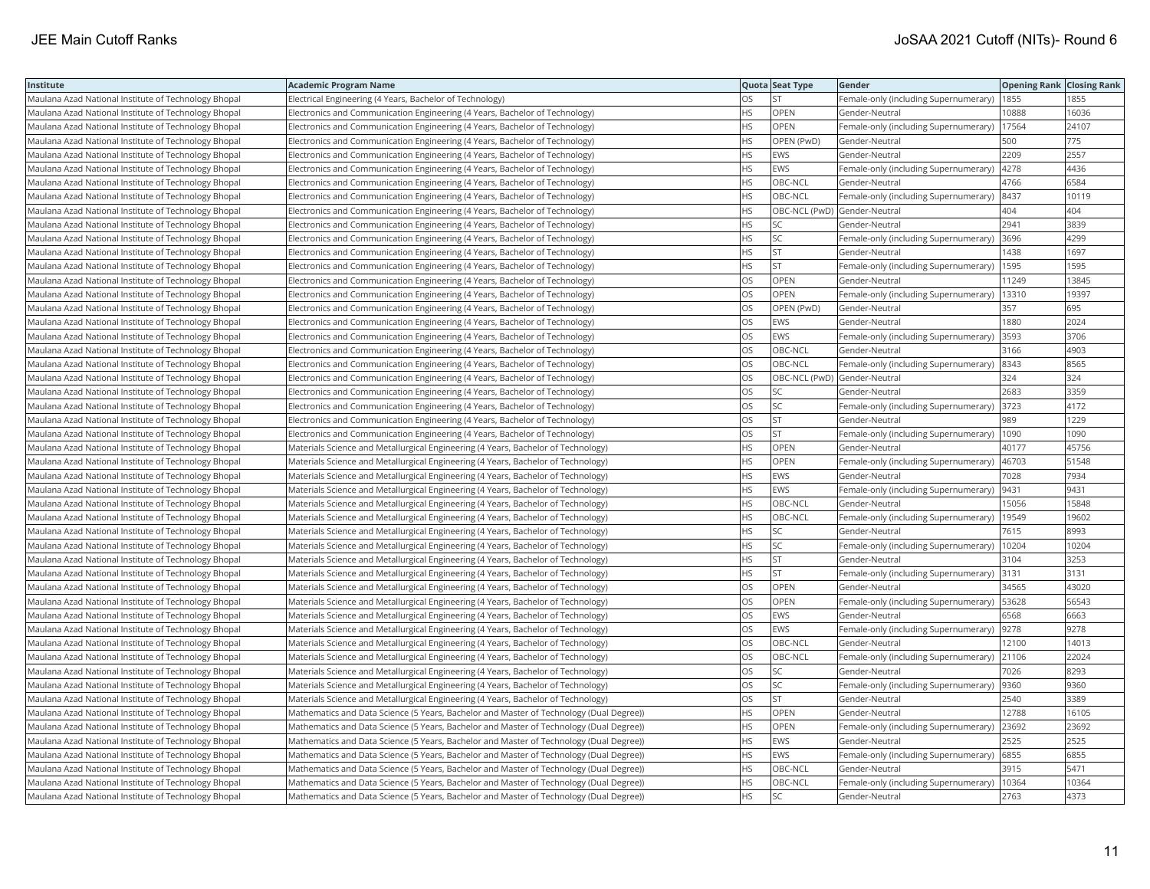| Institute                                            | <b>Academic Program Name</b>                                                            |           | Quota Seat Type              | Gender                                        | <b>Opening Rank Closing Rank</b> |       |
|------------------------------------------------------|-----------------------------------------------------------------------------------------|-----------|------------------------------|-----------------------------------------------|----------------------------------|-------|
| Maulana Azad National Institute of Technology Bhopal | Electrical Engineering (4 Years, Bachelor of Technology)                                | OS        | <b>ST</b>                    | Female-only (including Supernumerary)         | 1855                             | 1855  |
| Maulana Azad National Institute of Technology Bhopal | Electronics and Communication Engineering (4 Years, Bachelor of Technology)             | <b>HS</b> | <b>OPEN</b>                  | Gender-Neutral                                | 10888                            | 16036 |
| Maulana Azad National Institute of Technology Bhopal | Electronics and Communication Engineering (4 Years, Bachelor of Technology)             | <b>HS</b> | <b>OPEN</b>                  | Female-only (including Supernumerary)         | 17564                            | 24107 |
| Maulana Azad National Institute of Technology Bhopal | Electronics and Communication Engineering (4 Years, Bachelor of Technology)             | HS        | OPEN (PwD)                   | Gender-Neutral                                | 500                              | 775   |
| Maulana Azad National Institute of Technology Bhopal | Electronics and Communication Engineering (4 Years, Bachelor of Technology)             | HS        | <b>EWS</b>                   | Gender-Neutral                                | 2209                             | 2557  |
| Maulana Azad National Institute of Technology Bhopal | Electronics and Communication Engineering (4 Years, Bachelor of Technology)             | <b>HS</b> | <b>EWS</b>                   | Female-only (including Supernumerary)         | 4278                             | 4436  |
| Maulana Azad National Institute of Technology Bhopal | Electronics and Communication Engineering (4 Years, Bachelor of Technology)             | HS        | OBC-NCL                      | Gender-Neutral                                | 4766                             | 6584  |
| Maulana Azad National Institute of Technology Bhopal | Electronics and Communication Engineering (4 Years, Bachelor of Technology)             | HS        | OBC-NCL                      | Female-only (including Supernumerary)         | 8437                             | 10119 |
| Maulana Azad National Institute of Technology Bhopal | Electronics and Communication Engineering (4 Years, Bachelor of Technology)             | <b>HS</b> | OBC-NCL (PwD) Gender-Neutral |                                               | 404                              | 404   |
| Maulana Azad National Institute of Technology Bhopal | Electronics and Communication Engineering (4 Years, Bachelor of Technology)             | <b>HS</b> | <b>SC</b>                    | Gender-Neutral                                | 2941                             | 3839  |
| Maulana Azad National Institute of Technology Bhopal | Electronics and Communication Engineering (4 Years, Bachelor of Technology)             | <b>HS</b> | <b>SC</b>                    | Female-only (including Supernumerary)         | 3696                             | 4299  |
| Maulana Azad National Institute of Technology Bhopal | Electronics and Communication Engineering (4 Years, Bachelor of Technology)             | <b>HS</b> | <b>ST</b>                    | Gender-Neutral                                | 1438                             | 1697  |
| Maulana Azad National Institute of Technology Bhopal | Electronics and Communication Engineering (4 Years, Bachelor of Technology)             | <b>HS</b> | lst.                         | Female-only (including Supernumerary)   1595  |                                  | 1595  |
| Maulana Azad National Institute of Technology Bhopal | Electronics and Communication Engineering (4 Years, Bachelor of Technology)             | OS        | OPEN                         | Gender-Neutral                                | 11249                            | 13845 |
| Maulana Azad National Institute of Technology Bhopal | Electronics and Communication Engineering (4 Years, Bachelor of Technology)             | OS.       | <b>OPEN</b>                  | Female-only (including Supernumerary)   13310 |                                  | 19397 |
| Maulana Azad National Institute of Technology Bhopal | Electronics and Communication Engineering (4 Years, Bachelor of Technology)             | OS.       | OPEN (PwD)                   | Gender-Neutral                                | 357                              | 695   |
| Maulana Azad National Institute of Technology Bhopal | Electronics and Communication Engineering (4 Years, Bachelor of Technology)             | OS        | <b>EWS</b>                   | Gender-Neutral                                | 1880                             | 2024  |
| Maulana Azad National Institute of Technology Bhopal | Electronics and Communication Engineering (4 Years, Bachelor of Technology)             | OS        | <b>EWS</b>                   | Female-only (including Supernumerary)         | 3593                             | 3706  |
| Maulana Azad National Institute of Technology Bhopal | Electronics and Communication Engineering (4 Years, Bachelor of Technology)             | <b>OS</b> | OBC-NCL                      | Gender-Neutral                                | 3166                             | 4903  |
| Maulana Azad National Institute of Technology Bhopal | Electronics and Communication Engineering (4 Years, Bachelor of Technology)             | OS        | OBC-NCL                      | Female-only (including Supernumerary)         | 8343                             | 8565  |
| Maulana Azad National Institute of Technology Bhopal | Electronics and Communication Engineering (4 Years, Bachelor of Technology)             | OS        | OBC-NCL (PwD) Gender-Neutral |                                               | 324                              | 324   |
| Maulana Azad National Institute of Technology Bhopal | Electronics and Communication Engineering (4 Years, Bachelor of Technology)             | OS        | <b>SC</b>                    | Gender-Neutral                                | 2683                             | 3359  |
| Maulana Azad National Institute of Technology Bhopal | Electronics and Communication Engineering (4 Years, Bachelor of Technology)             | OS        | SC                           | Female-only (including Supernumerary) 3723    |                                  | 4172  |
| Maulana Azad National Institute of Technology Bhopal | Electronics and Communication Engineering (4 Years, Bachelor of Technology)             | OS.       | lst                          | Gender-Neutral                                | 989                              | 1229  |
| Maulana Azad National Institute of Technology Bhopal | Electronics and Communication Engineering (4 Years, Bachelor of Technology)             | OS        | <b>ST</b>                    | Female-only (including Supernumerary)         | 1090                             | 1090  |
| Maulana Azad National Institute of Technology Bhopal | Materials Science and Metallurgical Engineering (4 Years, Bachelor of Technology)       | HS        | OPEN                         | Gender-Neutral                                | 40177                            | 45756 |
| Maulana Azad National Institute of Technology Bhopal | Materials Science and Metallurgical Engineering (4 Years, Bachelor of Technology)       | HS        | <b>OPEN</b>                  | Female-only (including Supernumerary)         | 46703                            | 51548 |
| Maulana Azad National Institute of Technology Bhopal | Materials Science and Metallurgical Engineering (4 Years, Bachelor of Technology)       | HS        | <b>EWS</b>                   | Gender-Neutral                                | 7028                             | 7934  |
| Maulana Azad National Institute of Technology Bhopal | Materials Science and Metallurgical Engineering (4 Years, Bachelor of Technology)       | <b>HS</b> | <b>EWS</b>                   | Female-only (including Supernumerary)         | 9431                             | 9431  |
| Maulana Azad National Institute of Technology Bhopal | Materials Science and Metallurgical Engineering (4 Years, Bachelor of Technology)       | HS        | OBC-NCL                      | Gender-Neutral                                | 15056                            | 15848 |
| Maulana Azad National Institute of Technology Bhopal | Materials Science and Metallurgical Engineering (4 Years, Bachelor of Technology)       | <b>HS</b> | OBC-NCL                      | Female-only (including Supernumerary)   19549 |                                  | 19602 |
| Maulana Azad National Institute of Technology Bhopal | Materials Science and Metallurgical Engineering (4 Years, Bachelor of Technology)       | HS.       | lsc                          | Gender-Neutral                                | 7615                             | 8993  |
| Maulana Azad National Institute of Technology Bhopal | Materials Science and Metallurgical Engineering (4 Years, Bachelor of Technology)       | <b>HS</b> | <b>SC</b>                    | Female-only (including Supernumerary)         | 10204                            | 10204 |
| Maulana Azad National Institute of Technology Bhopal | Materials Science and Metallurgical Engineering (4 Years, Bachelor of Technology)       | <b>HS</b> | <b>ST</b>                    | Gender-Neutral                                | 3104                             | 3253  |
| Maulana Azad National Institute of Technology Bhopal | Materials Science and Metallurgical Engineering (4 Years, Bachelor of Technology)       | HS        | <b>ST</b>                    | Female-only (including Supernumerary)         | 3131                             | 3131  |
| Maulana Azad National Institute of Technology Bhopal | Materials Science and Metallurgical Engineering (4 Years, Bachelor of Technology)       | OS        | <b>OPEN</b>                  | Gender-Neutral                                | 34565                            | 43020 |
| Maulana Azad National Institute of Technology Bhopal | Materials Science and Metallurgical Engineering (4 Years, Bachelor of Technology)       | OS        | <b>OPEN</b>                  | Female-only (including Supernumerary)   53628 |                                  | 56543 |
| Maulana Azad National Institute of Technology Bhopal | Materials Science and Metallurgical Engineering (4 Years, Bachelor of Technology)       | OS        | <b>EWS</b>                   | Gender-Neutral                                | 6568                             | 6663  |
| Maulana Azad National Institute of Technology Bhopal | Materials Science and Metallurgical Engineering (4 Years, Bachelor of Technology)       | OS        | <b>EWS</b>                   | Female-only (including Supernumerary)  9278   |                                  | 9278  |
| Maulana Azad National Institute of Technology Bhopal | Materials Science and Metallurgical Engineering (4 Years, Bachelor of Technology)       | OS.       | OBC-NCL                      | Gender-Neutral                                | 12100                            | 14013 |
| Maulana Azad National Institute of Technology Bhopal | Materials Science and Metallurgical Engineering (4 Years, Bachelor of Technology)       | OS        | OBC-NCL                      | Female-only (including Supernumerary)         | 21106                            | 22024 |
| Maulana Azad National Institute of Technology Bhopal | Materials Science and Metallurgical Engineering (4 Years, Bachelor of Technology)       | OS        | lsc                          | Gender-Neutral                                | 7026                             | 8293  |
| Maulana Azad National Institute of Technology Bhopal | Materials Science and Metallurgical Engineering (4 Years, Bachelor of Technology)       | OS        | <b>SC</b>                    | Female-only (including Supernumerary)         | 9360                             | 9360  |
| Maulana Azad National Institute of Technology Bhopal | Materials Science and Metallurgical Engineering (4 Years, Bachelor of Technology)       | OS        | <b>ST</b>                    | Gender-Neutral                                | 2540                             | 3389  |
| Maulana Azad National Institute of Technology Bhopal | Mathematics and Data Science (5 Years, Bachelor and Master of Technology (Dual Degree)) | <b>HS</b> | <b>OPEN</b>                  | Gender-Neutral                                | 12788                            | 16105 |
| Maulana Azad National Institute of Technology Bhopal | Mathematics and Data Science (5 Years, Bachelor and Master of Technology (Dual Degree)) | <b>HS</b> | OPEN                         | Female-only (including Supernumerary)         | 23692                            | 23692 |
| Maulana Azad National Institute of Technology Bhopal | Mathematics and Data Science (5 Years, Bachelor and Master of Technology (Dual Degree)) | <b>HS</b> | <b>EWS</b>                   | Gender-Neutral                                | 2525                             | 2525  |
| Maulana Azad National Institute of Technology Bhopal | Mathematics and Data Science (5 Years, Bachelor and Master of Technology (Dual Degree)) | <b>HS</b> | <b>EWS</b>                   | Female-only (including Supernumerary)         | 6855                             | 6855  |
| Maulana Azad National Institute of Technology Bhopal | Mathematics and Data Science (5 Years, Bachelor and Master of Technology (Dual Degree)) | HS        | OBC-NCL                      | Gender-Neutral                                | 3915                             | 5471  |
| Maulana Azad National Institute of Technology Bhopal | Mathematics and Data Science (5 Years, Bachelor and Master of Technology (Dual Degree)) | <b>HS</b> | OBC-NCL                      | Female-only (including Supernumerary)         | 10364                            | 10364 |
| Maulana Azad National Institute of Technology Bhopal | Mathematics and Data Science (5 Years, Bachelor and Master of Technology (Dual Degree)) | <b>HS</b> | <b>SC</b>                    | Gender-Neutral                                | 2763                             | 4373  |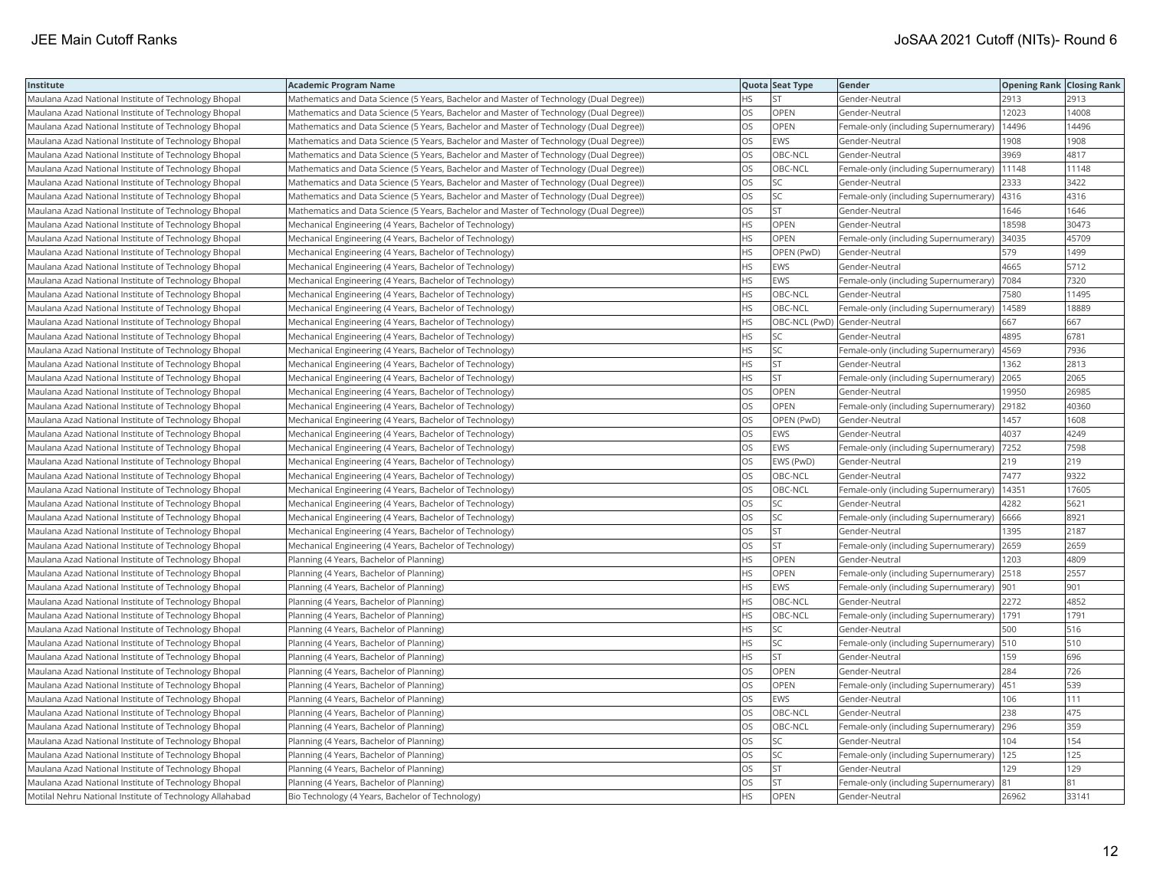| Institute                                                | <b>Academic Program Name</b>                                                            |           | Quota Seat Type              | Gender                                       | <b>Opening Rank Closing Rank</b> |       |
|----------------------------------------------------------|-----------------------------------------------------------------------------------------|-----------|------------------------------|----------------------------------------------|----------------------------------|-------|
| Maulana Azad National Institute of Technology Bhopal     | Mathematics and Data Science (5 Years, Bachelor and Master of Technology (Dual Degree)) | HS        | <b>ST</b>                    | Gender-Neutral                               | 2913                             | 2913  |
| Maulana Azad National Institute of Technology Bhopal     | Mathematics and Data Science (5 Years, Bachelor and Master of Technology (Dual Degree)) | OS        | <b>OPEN</b>                  | Gender-Neutral                               | 12023                            | 14008 |
| Maulana Azad National Institute of Technology Bhopal     | Mathematics and Data Science (5 Years, Bachelor and Master of Technology (Dual Degree)) | <b>OS</b> | <b>OPEN</b>                  | Female-only (including Supernumerary)        | 14496                            | 14496 |
| Maulana Azad National Institute of Technology Bhopal     | Mathematics and Data Science (5 Years, Bachelor and Master of Technology (Dual Degree)) | OS        | <b>EWS</b>                   | Gender-Neutral                               | 1908                             | 1908  |
| Maulana Azad National Institute of Technology Bhopal     | Mathematics and Data Science (5 Years, Bachelor and Master of Technology (Dual Degree)) | OS        | OBC-NCL                      | Gender-Neutral                               | 3969                             | 4817  |
| Maulana Azad National Institute of Technology Bhopal     | Mathematics and Data Science (5 Years, Bachelor and Master of Technology (Dual Degree)) | OS        | OBC-NCL                      | Female-only (including Supernumerary)        | 11148                            | 11148 |
| Maulana Azad National Institute of Technology Bhopal     | Mathematics and Data Science (5 Years, Bachelor and Master of Technology (Dual Degree)) | OS        | SC                           | Gender-Neutral                               | 2333                             | 3422  |
| Maulana Azad National Institute of Technology Bhopal     | Mathematics and Data Science (5 Years, Bachelor and Master of Technology (Dual Degree)) | OS        | SC.                          | Female-only (including Supernumerary)        | 4316                             | 4316  |
| Maulana Azad National Institute of Technology Bhopal     | Mathematics and Data Science (5 Years, Bachelor and Master of Technology (Dual Degree)) | OS        | <b>ST</b>                    | Gender-Neutral                               | 646                              | 1646  |
| Maulana Azad National Institute of Technology Bhopal     | Mechanical Engineering (4 Years, Bachelor of Technology)                                | <b>HS</b> | OPEN                         | Gender-Neutral                               | 18598                            | 30473 |
| Maulana Azad National Institute of Technology Bhopal     | Mechanical Engineering (4 Years, Bachelor of Technology)                                | <b>HS</b> | <b>OPEN</b>                  | Female-only (including Supernumerary)        | 34035                            | 45709 |
| Maulana Azad National Institute of Technology Bhopal     | Mechanical Engineering (4 Years, Bachelor of Technology)                                | <b>HS</b> | OPEN (PwD)                   | Gender-Neutral                               | 579                              | 1499  |
| Maulana Azad National Institute of Technology Bhopal     | Mechanical Engineering (4 Years, Bachelor of Technology)                                | <b>HS</b> | <b>EWS</b>                   | Gender-Neutral                               | 4665                             | 5712  |
| Maulana Azad National Institute of Technology Bhopal     | Mechanical Engineering (4 Years, Bachelor of Technology)                                | HS        | <b>EWS</b>                   | Female-only (including Supernumerary)        | 7084                             | 7320  |
| Maulana Azad National Institute of Technology Bhopal     | Mechanical Engineering (4 Years, Bachelor of Technology)                                | <b>HS</b> | OBC-NCL                      | Gender-Neutral                               | 7580                             | 11495 |
| Maulana Azad National Institute of Technology Bhopal     | Mechanical Engineering (4 Years, Bachelor of Technology)                                | <b>HS</b> | OBC-NCL                      | Female-only (including Supernumerary)        | 14589                            | 18889 |
| Maulana Azad National Institute of Technology Bhopal     | Mechanical Engineering (4 Years, Bachelor of Technology)                                | <b>HS</b> | OBC-NCL (PwD) Gender-Neutral |                                              | 667                              | 667   |
| Maulana Azad National Institute of Technology Bhopal     | Mechanical Engineering (4 Years, Bachelor of Technology)                                | <b>HS</b> | SC                           | Gender-Neutral                               | 4895                             | 6781  |
| Maulana Azad National Institute of Technology Bhopal     | Mechanical Engineering (4 Years, Bachelor of Technology)                                | <b>HS</b> | lsc                          | Female-only (including Supernumerary)        | 4569                             | 7936  |
| Maulana Azad National Institute of Technology Bhopal     | Mechanical Engineering (4 Years, Bachelor of Technology)                                | HS        | <b>ST</b>                    | Gender-Neutral                               | 1362                             | 2813  |
| Maulana Azad National Institute of Technology Bhopal     | Mechanical Engineering (4 Years, Bachelor of Technology)                                | <b>HS</b> | <b>ST</b>                    | Female-only (including Supernumerary)        | 2065                             | 2065  |
| Maulana Azad National Institute of Technology Bhopal     | Mechanical Engineering (4 Years, Bachelor of Technology)                                | OS        | <b>OPEN</b>                  | Gender-Neutral                               | 19950                            | 26985 |
| Maulana Azad National Institute of Technology Bhopal     | Mechanical Engineering (4 Years, Bachelor of Technology)                                | OS        | OPEN                         | Female-only (including Supernumerary)        | 29182                            | 40360 |
| Maulana Azad National Institute of Technology Bhopal     | Mechanical Engineering (4 Years, Bachelor of Technology)                                | OS        | OPEN (PwD)                   | Gender-Neutral                               | 1457                             | 1608  |
| Maulana Azad National Institute of Technology Bhopal     | Mechanical Engineering (4 Years, Bachelor of Technology)                                | OS        | <b>EWS</b>                   | Gender-Neutral                               | 4037                             | 4249  |
| Maulana Azad National Institute of Technology Bhopal     | Mechanical Engineering (4 Years, Bachelor of Technology)                                | OS        | <b>EWS</b>                   | Female-only (including Supernumerary)        | 7252                             | 7598  |
| Maulana Azad National Institute of Technology Bhopal     | Mechanical Engineering (4 Years, Bachelor of Technology)                                | <b>OS</b> | EWS (PwD)                    | Gender-Neutral                               | 219                              | 219   |
| Maulana Azad National Institute of Technology Bhopal     | Mechanical Engineering (4 Years, Bachelor of Technology)                                | OS        | OBC-NCL                      | Gender-Neutral                               | 7477                             | 9322  |
| Maulana Azad National Institute of Technology Bhopal     | Mechanical Engineering (4 Years, Bachelor of Technology)                                | OS        | OBC-NCL                      | Female-only (including Supernumerary)        | 14351                            | 17605 |
| Maulana Azad National Institute of Technology Bhopal     | Mechanical Engineering (4 Years, Bachelor of Technology)                                | OS        | <b>SC</b>                    | Gender-Neutral                               | 4282                             | 5621  |
| Maulana Azad National Institute of Technology Bhopal     | Mechanical Engineering (4 Years, Bachelor of Technology)                                | <b>OS</b> | <b>SC</b>                    | Female-only (including Supernumerary)        | 6666                             | 8921  |
| Maulana Azad National Institute of Technology Bhopal     | Mechanical Engineering (4 Years, Bachelor of Technology)                                | OS        | <b>ST</b>                    | Gender-Neutral                               | 1395                             | 2187  |
| Maulana Azad National Institute of Technology Bhopal     | Mechanical Engineering (4 Years, Bachelor of Technology)                                | OS        | <b>ST</b>                    | Female-only (including Supernumerary)        | 2659                             | 2659  |
| Maulana Azad National Institute of Technology Bhopal     | Planning (4 Years, Bachelor of Planning)                                                | <b>HS</b> | OPEN                         | Gender-Neutral                               | 1203                             | 4809  |
| Maulana Azad National Institute of Technology Bhopal     | Planning (4 Years, Bachelor of Planning)                                                | <b>HS</b> | OPEN                         | Female-only (including Supernumerary)        | 2518                             | 2557  |
| Maulana Azad National Institute of Technology Bhopal     | Planning (4 Years, Bachelor of Planning)                                                | <b>HS</b> | <b>EWS</b>                   | Female-only (including Supernumerary)        | 901                              | 901   |
| Maulana Azad National Institute of Technology Bhopal     | Planning (4 Years, Bachelor of Planning)                                                | <b>HS</b> | OBC-NCL                      | Gender-Neutral                               | 2272                             | 4852  |
| Maulana Azad National Institute of Technology Bhopal     | Planning (4 Years, Bachelor of Planning)                                                | <b>HS</b> | OBC-NCL                      | Female-only (including Supernumerary)   1791 |                                  | 1791  |
| Maulana Azad National Institute of Technology Bhopal     | Planning (4 Years, Bachelor of Planning)                                                | HS.       | lsc                          | Gender-Neutral                               | 500                              | 516   |
| Maulana Azad National Institute of Technology Bhopal     | Planning (4 Years, Bachelor of Planning)                                                | HS.       | SC.                          | Female-only (including Supernumerary)        | 510                              | 510   |
| Maulana Azad National Institute of Technology Bhopal     | Planning (4 Years, Bachelor of Planning)                                                | <b>HS</b> | <b>ST</b>                    | Gender-Neutral                               | 159                              | 696   |
| Maulana Azad National Institute of Technology Bhopal     | Planning (4 Years, Bachelor of Planning)                                                | OS        | <b>OPEN</b>                  | Gender-Neutral                               | 284                              | 726   |
| Maulana Azad National Institute of Technology Bhopal     | Planning (4 Years, Bachelor of Planning)                                                | OS        | <b>OPEN</b>                  | Female-only (including Supernumerary)        | 451                              | 539   |
| Maulana Azad National Institute of Technology Bhopal     | Planning (4 Years, Bachelor of Planning)                                                | OS        | <b>EWS</b>                   | Gender-Neutral                               | 106                              | 111   |
| Maulana Azad National Institute of Technology Bhopal     | Planning (4 Years, Bachelor of Planning)                                                | <b>OS</b> | OBC-NCL                      | Gender-Neutral                               | 238                              | 475   |
| Maulana Azad National Institute of Technology Bhopal     | Planning (4 Years, Bachelor of Planning)                                                | OS        | OBC-NCL                      | Female-only (including Supernumerary)        | 296                              | 359   |
| Maulana Azad National Institute of Technology Bhopal     | Planning (4 Years, Bachelor of Planning)                                                | <b>OS</b> | lsc                          | Gender-Neutral                               | 104                              | 154   |
| Maulana Azad National Institute of Technology Bhopal     | Planning (4 Years, Bachelor of Planning)                                                | OS        | SC.                          | Female-only (including Supernumerary)        | 125                              | 125   |
| Maulana Azad National Institute of Technology Bhopal     | Planning (4 Years, Bachelor of Planning)                                                | OS        | <b>ST</b>                    | Gender-Neutral                               | 129                              | 129   |
| Maulana Azad National Institute of Technology Bhopal     | Planning (4 Years, Bachelor of Planning)                                                | OS        | <b>ST</b>                    | Female-only (including Supernumerary)        | 81                               | 81    |
| Motilal Nehru National Institute of Technology Allahabad | Bio Technology (4 Years, Bachelor of Technology)                                        | <b>HS</b> | OPEN                         | Gender-Neutral                               | 26962                            | 33141 |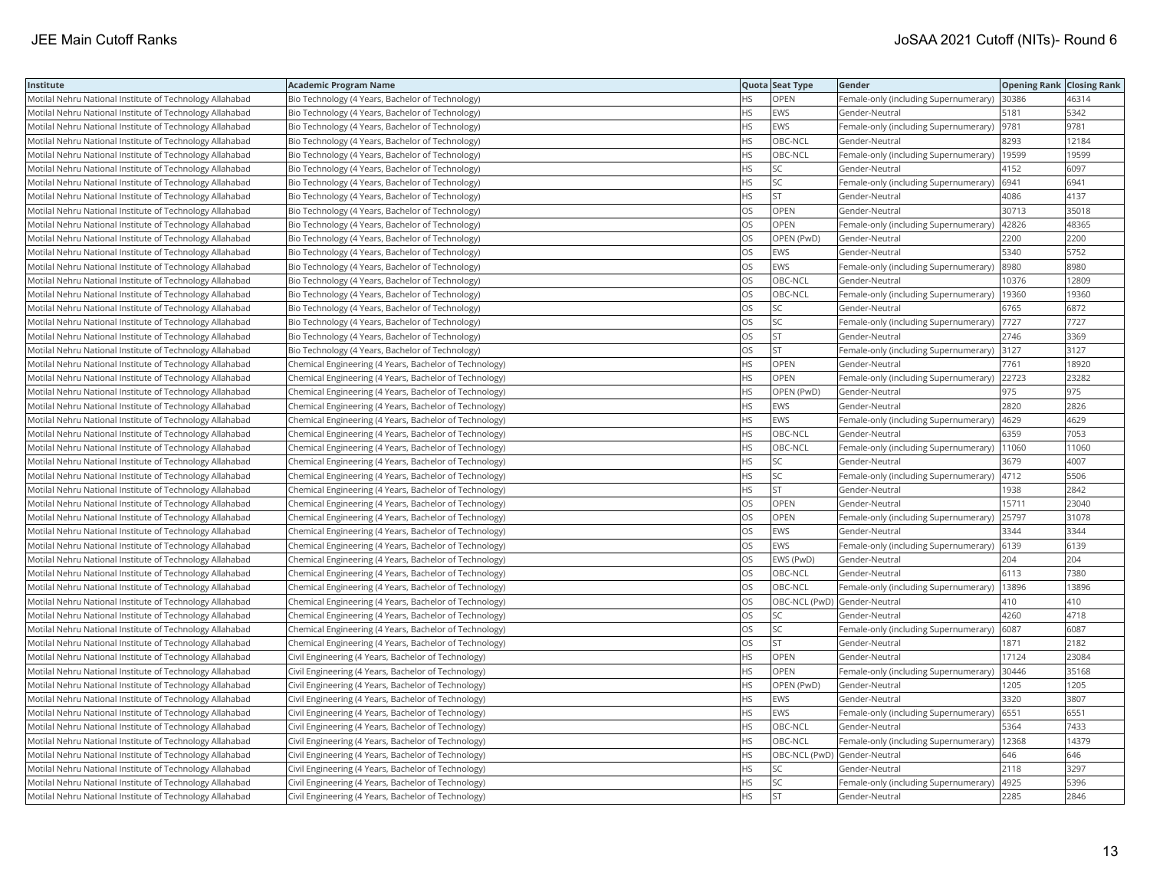| Institute                                                | <b>Academic Program Name</b>                           |           | Quota Seat Type              | Gender                                        | <b>Opening Rank Closing Rank</b> |       |
|----------------------------------------------------------|--------------------------------------------------------|-----------|------------------------------|-----------------------------------------------|----------------------------------|-------|
| Motilal Nehru National Institute of Technology Allahabad | Bio Technology (4 Years, Bachelor of Technology)       | <b>HS</b> | OPEN                         | Female-only (including Supernumerary) 30386   |                                  | 46314 |
| Motilal Nehru National Institute of Technology Allahabad | Bio Technology (4 Years, Bachelor of Technology)       | HS        | <b>EWS</b>                   | Gender-Neutral                                | 5181                             | 5342  |
| Motilal Nehru National Institute of Technology Allahabad | Bio Technology (4 Years, Bachelor of Technology)       | <b>HS</b> | EWS                          | Female-only (including Supernumerary)  9781   |                                  | 9781  |
| Motilal Nehru National Institute of Technology Allahabad | Bio Technology (4 Years, Bachelor of Technology)       | <b>HS</b> | OBC-NCL                      | Gender-Neutral                                | 8293                             | 12184 |
| Motilal Nehru National Institute of Technology Allahabad | Bio Technology (4 Years, Bachelor of Technology)       | <b>HS</b> | OBC-NCL                      | Female-only (including Supernumerary)         | 19599                            | 19599 |
| Motilal Nehru National Institute of Technology Allahabad | Bio Technology (4 Years, Bachelor of Technology)       | <b>HS</b> | SC                           | Gender-Neutral                                | 4152                             | 6097  |
| Motilal Nehru National Institute of Technology Allahabad | Bio Technology (4 Years, Bachelor of Technology)       | <b>HS</b> | SC.                          | Female-only (including Supernumerary)         | 6941                             | 6941  |
| Motilal Nehru National Institute of Technology Allahabad | Bio Technology (4 Years, Bachelor of Technology)       | <b>HS</b> | lst                          | Gender-Neutral                                | 4086                             | 4137  |
| Motilal Nehru National Institute of Technology Allahabad | Bio Technology (4 Years, Bachelor of Technology)       | OS        | <b>OPEN</b>                  | Gender-Neutral                                | 30713                            | 35018 |
| Motilal Nehru National Institute of Technology Allahabad | Bio Technology (4 Years, Bachelor of Technology)       | OS        | OPEN                         | Female-only (including Supernumerary)         | 42826                            | 48365 |
| Motilal Nehru National Institute of Technology Allahabad | Bio Technology (4 Years, Bachelor of Technology)       | OS        | OPEN (PwD)                   | Gender-Neutral                                | 2200                             | 2200  |
| Motilal Nehru National Institute of Technology Allahabad | Bio Technology (4 Years, Bachelor of Technology)       | <b>OS</b> | EWS                          | Gender-Neutral                                | 5340                             | 5752  |
| Motilal Nehru National Institute of Technology Allahabad | Bio Technology (4 Years, Bachelor of Technology)       | <b>OS</b> | <b>EWS</b>                   | Female-only (including Supernumerary)         | 8980                             | 8980  |
| Motilal Nehru National Institute of Technology Allahabad | Bio Technology (4 Years, Bachelor of Technology)       | <b>OS</b> | OBC-NCL                      | Gender-Neutral                                | 10376                            | 12809 |
| Motilal Nehru National Institute of Technology Allahabad | Bio Technology (4 Years, Bachelor of Technology)       | OS        | OBC-NCL                      | Female-only (including Supernumerary)   19360 |                                  | 19360 |
| Motilal Nehru National Institute of Technology Allahabad | Bio Technology (4 Years, Bachelor of Technology)       | OS        | SC                           | Gender-Neutral                                | 6765                             | 6872  |
| Motilal Nehru National Institute of Technology Allahabad | Bio Technology (4 Years, Bachelor of Technology)       | <b>OS</b> | lsc                          | Female-only (including Supernumerary)         | 7727                             | 7727  |
| Motilal Nehru National Institute of Technology Allahabad | Bio Technology (4 Years, Bachelor of Technology)       | OS        | <b>ST</b>                    | Gender-Neutral                                | 2746                             | 3369  |
| Motilal Nehru National Institute of Technology Allahabad | Bio Technology (4 Years, Bachelor of Technology)       | OS        | <b>ST</b>                    | Female-only (including Supernumerary) 3127    |                                  | 3127  |
| Motilal Nehru National Institute of Technology Allahabad | Chemical Engineering (4 Years, Bachelor of Technology) | <b>HS</b> | OPEN                         | Gender-Neutral                                | 7761                             | 18920 |
| Motilal Nehru National Institute of Technology Allahabad | Chemical Engineering (4 Years, Bachelor of Technology) | <b>HS</b> | <b>OPEN</b>                  | Female-only (including Supernumerary)         | 22723                            | 23282 |
| Motilal Nehru National Institute of Technology Allahabad | Chemical Engineering (4 Years, Bachelor of Technology) | <b>HS</b> | OPEN (PwD)                   | Gender-Neutral                                | 975                              | 975   |
| Motilal Nehru National Institute of Technology Allahabad | Chemical Engineering (4 Years, Bachelor of Technology) | <b>HS</b> | <b>EWS</b>                   | Gender-Neutral                                | 2820                             | 2826  |
| Motilal Nehru National Institute of Technology Allahabad | Chemical Engineering (4 Years, Bachelor of Technology) | <b>HS</b> | EWS                          | Female-only (including Supernumerary)         | 4629                             | 4629  |
| Motilal Nehru National Institute of Technology Allahabad | Chemical Engineering (4 Years, Bachelor of Technology) | HS.       | OBC-NCL                      | Gender-Neutral                                | 6359                             | 7053  |
| Motilal Nehru National Institute of Technology Allahabad | Chemical Engineering (4 Years, Bachelor of Technology) | <b>HS</b> | OBC-NCL                      | Female-only (including Supernumerary)         | 11060                            | 11060 |
| Motilal Nehru National Institute of Technology Allahabad | Chemical Engineering (4 Years, Bachelor of Technology) | <b>HS</b> | SC.                          | Gender-Neutral                                | 3679                             | 4007  |
| Motilal Nehru National Institute of Technology Allahabad | Chemical Engineering (4 Years, Bachelor of Technology) | <b>HS</b> | SC.                          | Female-only (including Supernumerary)         | 4712                             | 5506  |
| Motilal Nehru National Institute of Technology Allahabad | Chemical Engineering (4 Years, Bachelor of Technology) | <b>HS</b> | lst                          | Gender-Neutral                                | 1938                             | 2842  |
| Motilal Nehru National Institute of Technology Allahabad | Chemical Engineering (4 Years, Bachelor of Technology) | OS        | <b>OPEN</b>                  | Gender-Neutral                                | 15711                            | 23040 |
| Motilal Nehru National Institute of Technology Allahabad | Chemical Engineering (4 Years, Bachelor of Technology) | OS        | OPEN                         | Female-only (including Supernumerary)         | 25797                            | 31078 |
| Motilal Nehru National Institute of Technology Allahabad | Chemical Engineering (4 Years, Bachelor of Technology) | OS        | EWS                          | Gender-Neutral                                | 3344                             | 3344  |
| Motilal Nehru National Institute of Technology Allahabad | Chemical Engineering (4 Years, Bachelor of Technology) | OS        | <b>EWS</b>                   | Female-only (including Supernumerary)         | 6139                             | 6139  |
| Motilal Nehru National Institute of Technology Allahabad | Chemical Engineering (4 Years, Bachelor of Technology) | OS        | EWS (PwD)                    | Gender-Neutral                                | 204                              | 204   |
| Motilal Nehru National Institute of Technology Allahabad | Chemical Engineering (4 Years, Bachelor of Technology) | OS        | OBC-NCL                      | Gender-Neutral                                | 6113                             | 7380  |
| Motilal Nehru National Institute of Technology Allahabad | Chemical Engineering (4 Years, Bachelor of Technology) | <b>OS</b> | OBC-NCL                      | Female-only (including Supernumerary)         | 13896                            | 13896 |
| Motilal Nehru National Institute of Technology Allahabad | Chemical Engineering (4 Years, Bachelor of Technology) | OS        | OBC-NCL (PwD) Gender-Neutral |                                               | 410                              | 410   |
| Motilal Nehru National Institute of Technology Allahabad | Chemical Engineering (4 Years, Bachelor of Technology) | OS        | SC                           | Gender-Neutral                                | 4260                             | 4718  |
| Motilal Nehru National Institute of Technology Allahabad | Chemical Engineering (4 Years, Bachelor of Technology) | OS        | SC.                          | Female-only (including Supernumerary)         | 6087                             | 6087  |
| Motilal Nehru National Institute of Technology Allahabad | Chemical Engineering (4 Years, Bachelor of Technology) | OS        | lst                          | Gender-Neutral                                | 1871                             | 2182  |
| Motilal Nehru National Institute of Technology Allahabad | Civil Engineering (4 Years, Bachelor of Technology)    | HS.       | OPEN                         | Gender-Neutral                                | 17124                            | 23084 |
| Motilal Nehru National Institute of Technology Allahabad | Civil Engineering (4 Years, Bachelor of Technology)    | <b>HS</b> | OPEN                         | Female-only (including Supernumerary)         | 30446                            | 35168 |
| Motilal Nehru National Institute of Technology Allahabad | Civil Engineering (4 Years, Bachelor of Technology)    | <b>HS</b> | OPEN (PwD)                   | Gender-Neutral                                | 1205                             | 1205  |
| Motilal Nehru National Institute of Technology Allahabad | Civil Engineering (4 Years, Bachelor of Technology)    | <b>HS</b> | EWS                          | Gender-Neutral                                | 3320                             | 3807  |
| Motilal Nehru National Institute of Technology Allahabad | Civil Engineering (4 Years, Bachelor of Technology)    | <b>HS</b> | EWS                          | Female-only (including Supernumerary)         | 6551                             | 6551  |
| Motilal Nehru National Institute of Technology Allahabad | Civil Engineering (4 Years, Bachelor of Technology)    | <b>HS</b> | OBC-NCL                      | Gender-Neutral                                | 5364                             | 7433  |
| Motilal Nehru National Institute of Technology Allahabad | Civil Engineering (4 Years, Bachelor of Technology)    | <b>HS</b> | OBC-NCL                      | Female-only (including Supernumerary)   12368 |                                  | 14379 |
| Motilal Nehru National Institute of Technology Allahabad | Civil Engineering (4 Years, Bachelor of Technology)    | <b>HS</b> | OBC-NCL (PwD) Gender-Neutral |                                               | 646                              | 646   |
| Motilal Nehru National Institute of Technology Allahabad | Civil Engineering (4 Years, Bachelor of Technology)    | HS.       | SC                           | Gender-Neutral                                | 2118                             | 3297  |
| Motilal Nehru National Institute of Technology Allahabad | Civil Engineering (4 Years, Bachelor of Technology)    | <b>HS</b> | SC.                          | Female-only (including Supernumerary)         | 4925                             | 5396  |
| Motilal Nehru National Institute of Technology Allahabad | Civil Engineering (4 Years, Bachelor of Technology)    | <b>HS</b> | <b>ST</b>                    | Gender-Neutral                                | 2285                             | 2846  |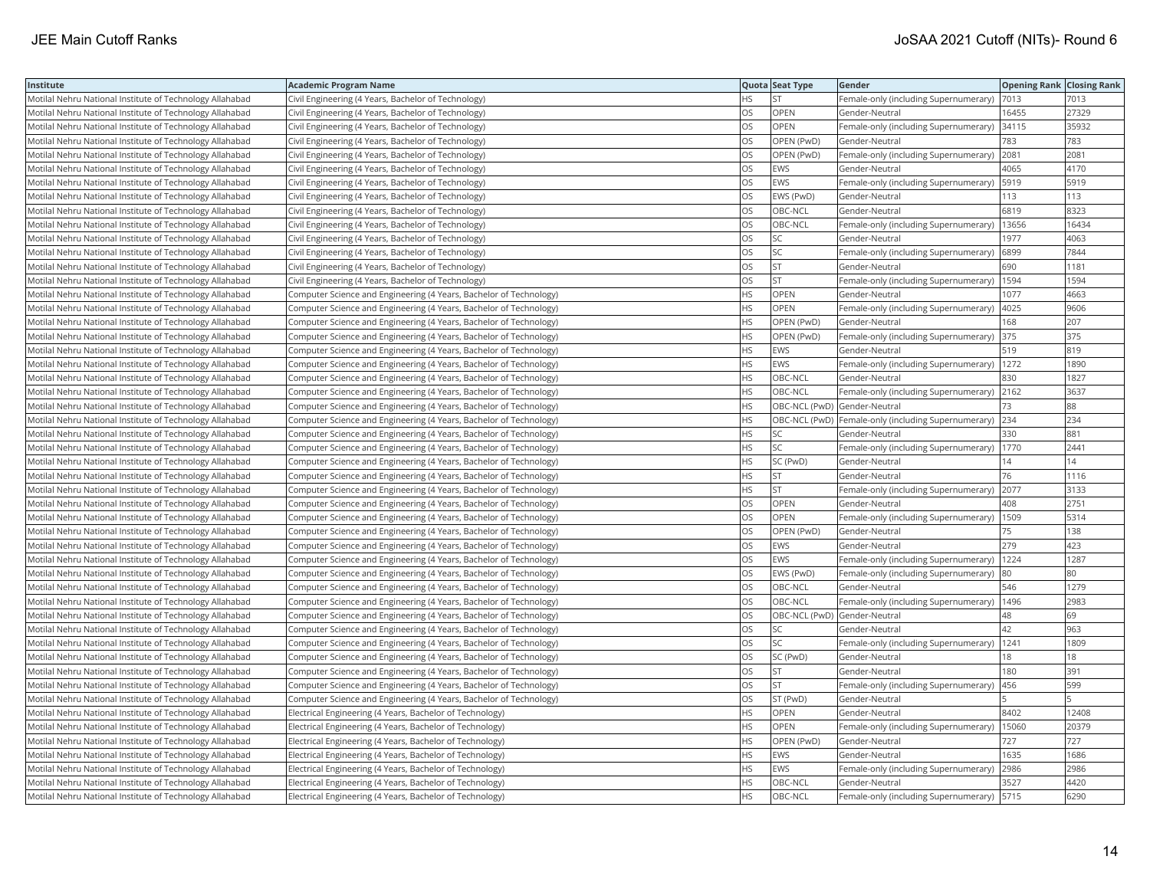| Institute                                                | <b>Academic Program Name</b>                                       |           | Quota Seat Type              | <b>Gender</b>                                         | <b>Opening Rank Closing Rank</b> |       |
|----------------------------------------------------------|--------------------------------------------------------------------|-----------|------------------------------|-------------------------------------------------------|----------------------------------|-------|
| Motilal Nehru National Institute of Technology Allahabad | Civil Engineering (4 Years, Bachelor of Technology)                | HS        | <b>ST</b>                    | Female-only (including Supernumerary)                 | 7013                             | 7013  |
| Motilal Nehru National Institute of Technology Allahabad | Civil Engineering (4 Years, Bachelor of Technology)                | OS.       | <b>OPEN</b>                  | Gender-Neutral                                        | 16455                            | 27329 |
| Motilal Nehru National Institute of Technology Allahabad | Civil Engineering (4 Years, Bachelor of Technology)                | OS        | OPEN                         | Female-only (including Supernumerary)                 | 34115                            | 35932 |
| Motilal Nehru National Institute of Technology Allahabad | Civil Engineering (4 Years, Bachelor of Technology)                | OS        | OPEN (PwD)                   | Gender-Neutral                                        | 783                              | 783   |
| Motilal Nehru National Institute of Technology Allahabad | Civil Engineering (4 Years, Bachelor of Technology)                | <b>OS</b> | OPEN (PwD)                   | Female-only (including Supernumerary)                 | 2081                             | 2081  |
| Motilal Nehru National Institute of Technology Allahabad | Civil Engineering (4 Years, Bachelor of Technology)                | <b>OS</b> | EWS                          | Gender-Neutral                                        | 4065                             | 4170  |
| Motilal Nehru National Institute of Technology Allahabad | Civil Engineering (4 Years, Bachelor of Technology)                | OS        | EWS                          | Female-only (including Supernumerary)   5919          |                                  | 5919  |
| Motilal Nehru National Institute of Technology Allahabad | Civil Engineering (4 Years, Bachelor of Technology)                | <b>OS</b> | EWS (PwD)                    | Gender-Neutral                                        | 113                              | 113   |
| Motilal Nehru National Institute of Technology Allahabad | Civil Engineering (4 Years, Bachelor of Technology)                | OS        | OBC-NCL                      | Gender-Neutral                                        | 6819                             | 8323  |
| Motilal Nehru National Institute of Technology Allahabad | Civil Engineering (4 Years, Bachelor of Technology)                | OS        | OBC-NCL                      | Female-only (including Supernumerary)                 | 13656                            | 16434 |
| Motilal Nehru National Institute of Technology Allahabad | Civil Engineering (4 Years, Bachelor of Technology)                | OS        | SC.                          | Gender-Neutral                                        | 1977                             | 4063  |
| Motilal Nehru National Institute of Technology Allahabad | Civil Engineering (4 Years, Bachelor of Technology)                | <b>OS</b> | lsc                          | Female-only (including Supernumerary)                 | 6899                             | 7844  |
| Motilal Nehru National Institute of Technology Allahabad | Civil Engineering (4 Years, Bachelor of Technology)                | OS        | <b>ST</b>                    | Gender-Neutral                                        | 690                              | 1181  |
| Motilal Nehru National Institute of Technology Allahabad | Civil Engineering (4 Years, Bachelor of Technology)                | OS        | <b>ST</b>                    | Female-only (including Supernumerary)   1594          |                                  | 1594  |
| Motilal Nehru National Institute of Technology Allahabad | Computer Science and Engineering (4 Years, Bachelor of Technology) | <b>HS</b> | OPEN                         | Gender-Neutral                                        | 1077                             | 4663  |
| Motilal Nehru National Institute of Technology Allahabad | Computer Science and Engineering (4 Years, Bachelor of Technology) | <b>HS</b> | OPEN                         | Female-only (including Supernumerary)                 | 4025                             | 9606  |
| Motilal Nehru National Institute of Technology Allahabad | Computer Science and Engineering (4 Years, Bachelor of Technology) | <b>HS</b> | OPEN (PwD)                   | Gender-Neutral                                        | 168                              | 207   |
| Motilal Nehru National Institute of Technology Allahabad | Computer Science and Engineering (4 Years, Bachelor of Technology) | <b>HS</b> | OPEN (PwD)                   | Female-only (including Supernumerary)                 | 375                              | 375   |
| Motilal Nehru National Institute of Technology Allahabad | Computer Science and Engineering (4 Years, Bachelor of Technology) | <b>HS</b> | EWS                          | Gender-Neutral                                        | 519                              | 819   |
| Motilal Nehru National Institute of Technology Allahabad | Computer Science and Engineering (4 Years, Bachelor of Technology) | <b>HS</b> | EWS                          | Female-only (including Supernumerary)                 | 1272                             | 1890  |
| Motilal Nehru National Institute of Technology Allahabad | Computer Science and Engineering (4 Years, Bachelor of Technology) | <b>HS</b> | OBC-NCL                      | Gender-Neutral                                        | 830                              | 1827  |
| Motilal Nehru National Institute of Technology Allahabad | Computer Science and Engineering (4 Years, Bachelor of Technology) | <b>HS</b> | OBC-NCL                      | Female-only (including Supernumerary) 2162            |                                  | 3637  |
| Motilal Nehru National Institute of Technology Allahabad | Computer Science and Engineering (4 Years, Bachelor of Technology) | <b>HS</b> | OBC-NCL (PwD) Gender-Neutral |                                                       | 73                               | 88    |
| Motilal Nehru National Institute of Technology Allahabad | Computer Science and Engineering (4 Years, Bachelor of Technology) | <b>HS</b> |                              | OBC-NCL (PwD)   Female-only (including Supernumerary) | 234                              | 234   |
| Motilal Nehru National Institute of Technology Allahabad | Computer Science and Engineering (4 Years, Bachelor of Technology) | HS.       | SC                           | Gender-Neutral                                        | 330                              | 881   |
| Motilal Nehru National Institute of Technology Allahabad | Computer Science and Engineering (4 Years, Bachelor of Technology) | <b>HS</b> | <b>SC</b>                    | Female-only (including Supernumerary)                 | 1770                             | 2441  |
| Motilal Nehru National Institute of Technology Allahabad | Computer Science and Engineering (4 Years, Bachelor of Technology) | <b>HS</b> | SC (PwD)                     | Gender-Neutral                                        | 14                               | 14    |
| Motilal Nehru National Institute of Technology Allahabad | Computer Science and Engineering (4 Years, Bachelor of Technology) | <b>HS</b> | lst                          | Gender-Neutral                                        | 76                               | 1116  |
| Motilal Nehru National Institute of Technology Allahabad | Computer Science and Engineering (4 Years, Bachelor of Technology) | <b>HS</b> | lst                          | Female-only (including Supernumerary)                 | 2077                             | 3133  |
| Motilal Nehru National Institute of Technology Allahabad | Computer Science and Engineering (4 Years, Bachelor of Technology) | OS        | OPEN                         | Gender-Neutral                                        | 408                              | 2751  |
| Motilal Nehru National Institute of Technology Allahabad | Computer Science and Engineering (4 Years, Bachelor of Technology) | OS        | OPEN                         | Female-only (including Supernumerary)                 | 1509                             | 5314  |
| Motilal Nehru National Institute of Technology Allahabad | Computer Science and Engineering (4 Years, Bachelor of Technology) | OS        | OPEN (PwD)                   | Gender-Neutral                                        | 75                               | 138   |
| Motilal Nehru National Institute of Technology Allahabad | Computer Science and Engineering (4 Years, Bachelor of Technology) | OS        | <b>EWS</b>                   | Gender-Neutral                                        | 279                              | 423   |
| Motilal Nehru National Institute of Technology Allahabad | Computer Science and Engineering (4 Years, Bachelor of Technology) | OS        | EWS                          | Female-only (including Supernumerary)                 | 1224                             | 1287  |
| Motilal Nehru National Institute of Technology Allahabad | Computer Science and Engineering (4 Years, Bachelor of Technology) | OS        | EWS (PwD)                    | Female-only (including Supernumerary)                 | 80                               | 80    |
| Motilal Nehru National Institute of Technology Allahabad | Computer Science and Engineering (4 Years, Bachelor of Technology) | <b>OS</b> | OBC-NCL                      | Gender-Neutral                                        | 546                              | 1279  |
| Motilal Nehru National Institute of Technology Allahabad | Computer Science and Engineering (4 Years, Bachelor of Technology) | OS        | OBC-NCL                      | Female-only (including Supernumerary)                 | 1496                             | 2983  |
| Motilal Nehru National Institute of Technology Allahabad | Computer Science and Engineering (4 Years, Bachelor of Technology) | OS        | OBC-NCL (PwD) Gender-Neutral |                                                       | 48                               | 69    |
| Motilal Nehru National Institute of Technology Allahabad | Computer Science and Engineering (4 Years, Bachelor of Technology) | OS        | SC                           | Gender-Neutral                                        | 42                               | 963   |
| Motilal Nehru National Institute of Technology Allahabad | Computer Science and Engineering (4 Years, Bachelor of Technology) | <b>OS</b> | lsc                          | Female-only (including Supernumerary)                 | 1241                             | 1809  |
| Motilal Nehru National Institute of Technology Allahabad | Computer Science and Engineering (4 Years, Bachelor of Technology) | OS.       | SC (PwD)                     | Gender-Neutral                                        | 18                               | 18    |
| Motilal Nehru National Institute of Technology Allahabad | Computer Science and Engineering (4 Years, Bachelor of Technology) | OS        | <b>ST</b>                    | Gender-Neutral                                        | 180                              | 391   |
| Motilal Nehru National Institute of Technology Allahabad | Computer Science and Engineering (4 Years, Bachelor of Technology) | OS        | <b>ST</b>                    | Female-only (including Supernumerary)                 | 456                              | 599   |
| Motilal Nehru National Institute of Technology Allahabad | Computer Science and Engineering (4 Years, Bachelor of Technology) | <b>OS</b> | ST (PwD)                     | Gender-Neutral                                        |                                  |       |
| Motilal Nehru National Institute of Technology Allahabad | Electrical Engineering (4 Years, Bachelor of Technology)           | <b>HS</b> | OPEN                         | Gender-Neutral                                        | 8402                             | 12408 |
| Motilal Nehru National Institute of Technology Allahabad | Electrical Engineering (4 Years, Bachelor of Technology)           | <b>HS</b> | OPEN                         | Female-only (including Supernumerary)                 | 15060                            | 20379 |
| Motilal Nehru National Institute of Technology Allahabad | Electrical Engineering (4 Years, Bachelor of Technology)           | <b>HS</b> | OPEN (PwD)                   | Gender-Neutral                                        | 727                              | 727   |
| Motilal Nehru National Institute of Technology Allahabad | Electrical Engineering (4 Years, Bachelor of Technology)           | <b>HS</b> | EWS                          | Gender-Neutral                                        | 1635                             | 1686  |
| Motilal Nehru National Institute of Technology Allahabad | Electrical Engineering (4 Years, Bachelor of Technology)           | HS        | <b>EWS</b>                   | Female-only (including Supernumerary)                 | 2986                             | 2986  |
| Motilal Nehru National Institute of Technology Allahabad | Electrical Engineering (4 Years, Bachelor of Technology)           | <b>HS</b> | OBC-NCL                      | Gender-Neutral                                        | 3527                             | 4420  |
| Motilal Nehru National Institute of Technology Allahabad | Electrical Engineering (4 Years, Bachelor of Technology)           | <b>HS</b> | OBC-NCL                      | Female-only (including Supernumerary)   5715          |                                  | 6290  |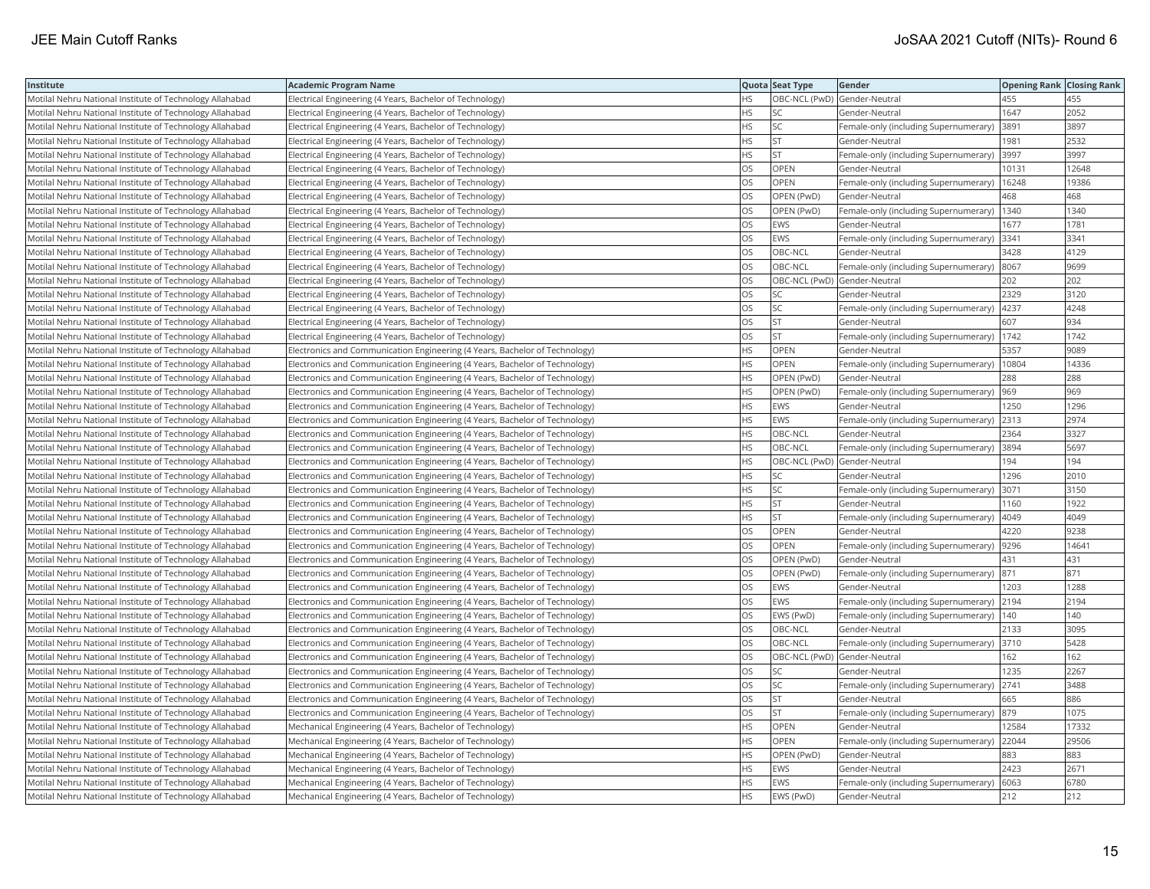| Institute                                                | <b>Academic Program Name</b>                                                |           | Quota Seat Type              | <b>Gender</b>                         | <b>Opening Rank Closing Rank</b> |       |
|----------------------------------------------------------|-----------------------------------------------------------------------------|-----------|------------------------------|---------------------------------------|----------------------------------|-------|
| Motilal Nehru National Institute of Technology Allahabad | Electrical Engineering (4 Years, Bachelor of Technology)                    | <b>HS</b> | OBC-NCL (PwD) Gender-Neutral |                                       | 455                              | 455   |
| Motilal Nehru National Institute of Technology Allahabad | Electrical Engineering (4 Years, Bachelor of Technology)                    | <b>HS</b> | lsc                          | Gender-Neutral                        | 1647                             | 2052  |
| Motilal Nehru National Institute of Technology Allahabad | Electrical Engineering (4 Years, Bachelor of Technology)                    | <b>HS</b> | SC.                          | Female-only (including Supernumerary) | 3891                             | 3897  |
| Motilal Nehru National Institute of Technology Allahabad | Electrical Engineering (4 Years, Bachelor of Technology)                    | <b>HS</b> | <b>ST</b>                    | Gender-Neutral                        | 1981                             | 2532  |
| Motilal Nehru National Institute of Technology Allahabad | Electrical Engineering (4 Years, Bachelor of Technology)                    | <b>HS</b> | İst                          | Female-only (including Supernumerary) | 3997                             | 3997  |
| Motilal Nehru National Institute of Technology Allahabad | Electrical Engineering (4 Years, Bachelor of Technology)                    | OS        | <b>OPEN</b>                  | Gender-Neutral                        | 10131                            | 12648 |
| Motilal Nehru National Institute of Technology Allahabad | Electrical Engineering (4 Years, Bachelor of Technology)                    | OS        | OPEN                         | Female-only (including Supernumerary) | 16248                            | 19386 |
| Motilal Nehru National Institute of Technology Allahabad | Electrical Engineering (4 Years, Bachelor of Technology)                    | <b>OS</b> | OPEN (PwD)                   | Gender-Neutral                        | 468                              | 468   |
| Motilal Nehru National Institute of Technology Allahabad | Electrical Engineering (4 Years, Bachelor of Technology)                    | OS        | OPEN (PwD)                   | Female-only (including Supernumerary) | 1340                             | 1340  |
| Motilal Nehru National Institute of Technology Allahabad | Electrical Engineering (4 Years, Bachelor of Technology)                    | OS        | <b>EWS</b>                   | Gender-Neutral                        | 1677                             | 1781  |
| Motilal Nehru National Institute of Technology Allahabad | Electrical Engineering (4 Years, Bachelor of Technology)                    | OS        | EWS                          | Female-only (including Supernumerary) | 3341                             | 3341  |
| Motilal Nehru National Institute of Technology Allahabad | Electrical Engineering (4 Years, Bachelor of Technology)                    | <b>OS</b> | OBC-NCL                      | Gender-Neutral                        | 3428                             | 4129  |
| Motilal Nehru National Institute of Technology Allahabad | Electrical Engineering (4 Years, Bachelor of Technology)                    | OS        | OBC-NCL                      | Female-only (including Supernumerary) | 8067                             | 9699  |
| Motilal Nehru National Institute of Technology Allahabad | Electrical Engineering (4 Years, Bachelor of Technology)                    | OS        | OBC-NCL (PwD) Gender-Neutral |                                       | 202                              | 202   |
| Motilal Nehru National Institute of Technology Allahabad | Electrical Engineering (4 Years, Bachelor of Technology)                    | OS        | SC                           | Gender-Neutral                        | 2329                             | 3120  |
| Motilal Nehru National Institute of Technology Allahabad | Electrical Engineering (4 Years, Bachelor of Technology)                    | OS        | SC                           | Female-only (including Supernumerary) | 4237                             | 4248  |
| Motilal Nehru National Institute of Technology Allahabad | Electrical Engineering (4 Years, Bachelor of Technology)                    | OS        | Ist                          | Gender-Neutral                        | 607                              | 934   |
| Motilal Nehru National Institute of Technology Allahabad | Electrical Engineering (4 Years, Bachelor of Technology)                    | OS        | <b>ST</b>                    | Female-only (including Supernumerary) | 1742                             | 1742  |
| Motilal Nehru National Institute of Technology Allahabad | Electronics and Communication Engineering (4 Years, Bachelor of Technology) | <b>HS</b> | OPEN                         | Gender-Neutral                        | 5357                             | 9089  |
| Motilal Nehru National Institute of Technology Allahabad | Electronics and Communication Engineering (4 Years, Bachelor of Technology) | <b>HS</b> | <b>OPEN</b>                  | Female-only (including Supernumerary) | 10804                            | 14336 |
| Motilal Nehru National Institute of Technology Allahabad | Electronics and Communication Engineering (4 Years, Bachelor of Technology) | <b>HS</b> | OPEN (PwD)                   | Gender-Neutral                        | 288                              | 288   |
| Motilal Nehru National Institute of Technology Allahabad | Electronics and Communication Engineering (4 Years, Bachelor of Technology) | <b>HS</b> | OPEN (PwD)                   | Female-only (including Supernumerary) | 969                              | 969   |
| Motilal Nehru National Institute of Technology Allahabad | Electronics and Communication Engineering (4 Years, Bachelor of Technology) | <b>HS</b> | EWS                          | Gender-Neutral                        | 1250                             | 1296  |
| Motilal Nehru National Institute of Technology Allahabad | Electronics and Communication Engineering (4 Years, Bachelor of Technology) | <b>HS</b> | EWS                          | Female-only (including Supernumerary) | 2313                             | 2974  |
| Motilal Nehru National Institute of Technology Allahabad | Electronics and Communication Engineering (4 Years, Bachelor of Technology) | <b>HS</b> | OBC-NCL                      | Gender-Neutral                        | 2364                             | 3327  |
| Motilal Nehru National Institute of Technology Allahabad | Electronics and Communication Engineering (4 Years, Bachelor of Technology) | <b>HS</b> | OBC-NCL                      | Female-only (including Supernumerary) | 3894                             | 5697  |
| Motilal Nehru National Institute of Technology Allahabad | Electronics and Communication Engineering (4 Years, Bachelor of Technology) | <b>HS</b> | OBC-NCL (PwD) Gender-Neutral |                                       | 194                              | 194   |
| Motilal Nehru National Institute of Technology Allahabad | Electronics and Communication Engineering (4 Years, Bachelor of Technology) | <b>HS</b> | SC                           | Gender-Neutral                        | 1296                             | 2010  |
| Motilal Nehru National Institute of Technology Allahabad | Electronics and Communication Engineering (4 Years, Bachelor of Technology) | <b>HS</b> | <b>SC</b>                    | Female-only (including Supernumerary) | 3071                             | 3150  |
| Motilal Nehru National Institute of Technology Allahabad | Electronics and Communication Engineering (4 Years, Bachelor of Technology) | <b>HS</b> | <b>ST</b>                    | Gender-Neutral                        | 1160                             | 1922  |
| Motilal Nehru National Institute of Technology Allahabad | Electronics and Communication Engineering (4 Years, Bachelor of Technology) | <b>HS</b> | lst                          | Female-only (including Supernumerary) | 4049                             | 4049  |
| Motilal Nehru National Institute of Technology Allahabad | Electronics and Communication Engineering (4 Years, Bachelor of Technology) | OS        | OPEN                         | Gender-Neutral                        | 4220                             | 9238  |
| Motilal Nehru National Institute of Technology Allahabad | Electronics and Communication Engineering (4 Years, Bachelor of Technology) | <b>OS</b> | <b>OPEN</b>                  | Female-only (including Supernumerary) | 9296                             | 14641 |
| Motilal Nehru National Institute of Technology Allahabad | Electronics and Communication Engineering (4 Years, Bachelor of Technology) | OS        | OPEN (PwD)                   | Gender-Neutral                        | 431                              | 431   |
| Motilal Nehru National Institute of Technology Allahabad | Electronics and Communication Engineering (4 Years, Bachelor of Technology) | OS        | OPEN (PwD)                   | Female-only (including Supernumerary) | 871                              | 871   |
| Motilal Nehru National Institute of Technology Allahabad | Electronics and Communication Engineering (4 Years, Bachelor of Technology) | <b>OS</b> | EWS                          | Gender-Neutral                        | 1203                             | 1288  |
| Motilal Nehru National Institute of Technology Allahabad | Electronics and Communication Engineering (4 Years, Bachelor of Technology) | OS        | EWS                          | Female-only (including Supernumerary) | 2194                             | 2194  |
| Motilal Nehru National Institute of Technology Allahabad | Electronics and Communication Engineering (4 Years, Bachelor of Technology) | OS        | EWS (PwD)                    | Female-only (including Supernumerary) | 140                              | 140   |
| Motilal Nehru National Institute of Technology Allahabad | Electronics and Communication Engineering (4 Years, Bachelor of Technology) | OS        | OBC-NCL                      | Gender-Neutral                        | 2133                             | 3095  |
| Motilal Nehru National Institute of Technology Allahabad | Electronics and Communication Engineering (4 Years, Bachelor of Technology) | <b>OS</b> | OBC-NCL                      | Female-only (including Supernumerary) | 3710                             | 5428  |
| Motilal Nehru National Institute of Technology Allahabad | Electronics and Communication Engineering (4 Years, Bachelor of Technology) | <b>OS</b> | OBC-NCL (PwD) Gender-Neutral |                                       | 162                              | 162   |
| Motilal Nehru National Institute of Technology Allahabad | Electronics and Communication Engineering (4 Years, Bachelor of Technology) | OS        | SC                           | Gender-Neutral                        | 1235                             | 2267  |
| Motilal Nehru National Institute of Technology Allahabad | Electronics and Communication Engineering (4 Years, Bachelor of Technology) | OS        | <b>SC</b>                    | Female-only (including Supernumerary) | 2741                             | 3488  |
| Motilal Nehru National Institute of Technology Allahabad | Electronics and Communication Engineering (4 Years, Bachelor of Technology) | <b>OS</b> | Ist                          | Gender-Neutral                        | 665                              | 886   |
| Motilal Nehru National Institute of Technology Allahabad | Electronics and Communication Engineering (4 Years, Bachelor of Technology) | <b>OS</b> | lst                          | Female-only (including Supernumerary) | 879                              | 1075  |
| Motilal Nehru National Institute of Technology Allahabad | Mechanical Engineering (4 Years, Bachelor of Technology)                    | <b>HS</b> | OPEN                         | Gender-Neutral                        | 12584                            | 17332 |
| Motilal Nehru National Institute of Technology Allahabad | Mechanical Engineering (4 Years, Bachelor of Technology)                    | <b>HS</b> | <b>OPEN</b>                  | Female-only (including Supernumerary) | 22044                            | 29506 |
| Motilal Nehru National Institute of Technology Allahabad | Mechanical Engineering (4 Years, Bachelor of Technology)                    | HS        | OPEN (PwD)                   | Gender-Neutral                        | 883                              | 883   |
| Motilal Nehru National Institute of Technology Allahabad | Mechanical Engineering (4 Years, Bachelor of Technology)                    | HS        | <b>EWS</b>                   | Gender-Neutral                        | 2423                             | 2671  |
| Motilal Nehru National Institute of Technology Allahabad | Mechanical Engineering (4 Years, Bachelor of Technology)                    | <b>HS</b> | <b>EWS</b>                   | Female-only (including Supernumerary) | 6063                             | 6780  |
| Motilal Nehru National Institute of Technology Allahabad | Mechanical Engineering (4 Years, Bachelor of Technology)                    | <b>HS</b> | EWS (PwD)                    | Gender-Neutral                        | 212                              | 212   |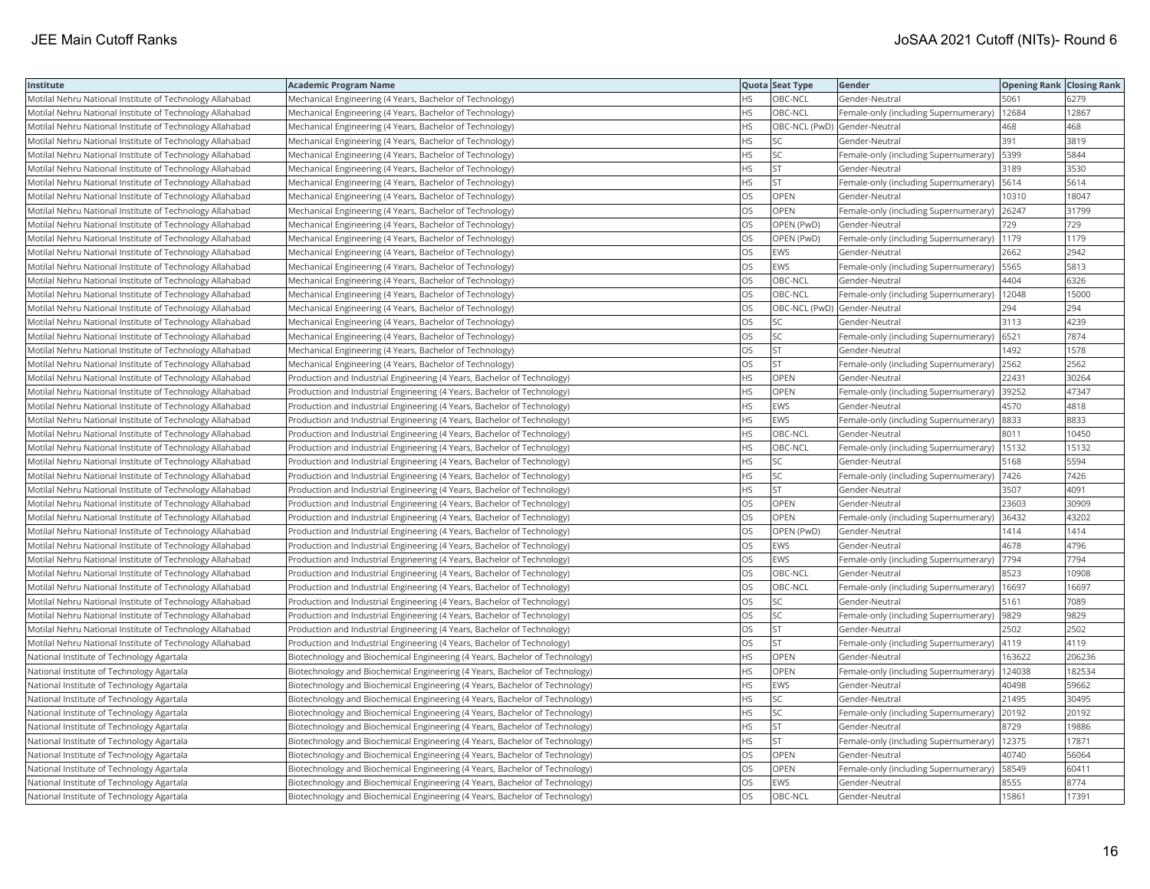| Institute                                                | Academic Program Name                                                       |           | Quota Seat Type              | Gender                                        | <b>Opening Rank Closing Rank</b> |        |
|----------------------------------------------------------|-----------------------------------------------------------------------------|-----------|------------------------------|-----------------------------------------------|----------------------------------|--------|
| Motilal Nehru National Institute of Technology Allahabad | Mechanical Engineering (4 Years, Bachelor of Technology)                    | HS.       | OBC-NCL                      | Gender-Neutral                                | 5061                             | 6279   |
| Motilal Nehru National Institute of Technology Allahabad | Mechanical Engineering (4 Years, Bachelor of Technology)                    | HS        | OBC-NCL                      | Female-only (including Supernumerary)         | 12684                            | 12867  |
| Motilal Nehru National Institute of Technology Allahabad | Mechanical Engineering (4 Years, Bachelor of Technology)                    | <b>HS</b> | OBC-NCL (PwD) Gender-Neutral |                                               | 468                              | 468    |
| Motilal Nehru National Institute of Technology Allahabad | Mechanical Engineering (4 Years, Bachelor of Technology)                    | HS        | <b>SC</b>                    | Gender-Neutral                                | 391                              | 3819   |
| Motilal Nehru National Institute of Technology Allahabad | Mechanical Engineering (4 Years, Bachelor of Technology)                    | HS        | SC                           | Female-only (including Supernumerary)         | 5399                             | 5844   |
| Motilal Nehru National Institute of Technology Allahabad | Mechanical Engineering (4 Years, Bachelor of Technology)                    | HS        | lst                          | Gender-Neutral                                | 3189                             | 3530   |
| Motilal Nehru National Institute of Technology Allahabad | Mechanical Engineering (4 Years, Bachelor of Technology)                    | HS        | <b>ST</b>                    | Female-only (including Supernumerary) [5614   |                                  | 5614   |
| Motilal Nehru National Institute of Technology Allahabad | Mechanical Engineering (4 Years, Bachelor of Technology)                    | OS.       | <b>OPEN</b>                  | Gender-Neutral                                | 10310                            | 18047  |
| Motilal Nehru National Institute of Technology Allahabad | Mechanical Engineering (4 Years, Bachelor of Technology)                    | OS        | <b>OPEN</b>                  | Female-only (including Supernumerary)         | 26247                            | 31799  |
| Motilal Nehru National Institute of Technology Allahabad | Mechanical Engineering (4 Years, Bachelor of Technology)                    | OS        | OPEN (PwD)                   | Gender-Neutral                                | 729                              | 729    |
| Motilal Nehru National Institute of Technology Allahabad | Mechanical Engineering (4 Years, Bachelor of Technology)                    | OS.       | OPEN (PwD)                   | Female-only (including Supernumerary)         | 1179                             | 1179   |
| Motilal Nehru National Institute of Technology Allahabad | Mechanical Engineering (4 Years, Bachelor of Technology)                    | OS        | EWS                          | Gender-Neutral                                | 2662                             | 2942   |
| Motilal Nehru National Institute of Technology Allahabad | Mechanical Engineering (4 Years, Bachelor of Technology)                    | <b>OS</b> | <b>EWS</b>                   | Female-only (including Supernumerary)         | 5565                             | 5813   |
| Motilal Nehru National Institute of Technology Allahabad | Mechanical Engineering (4 Years, Bachelor of Technology)                    | OS        | OBC-NCL                      | Gender-Neutral                                | 4404                             | 6326   |
| Motilal Nehru National Institute of Technology Allahabad | Mechanical Engineering (4 Years, Bachelor of Technology)                    | OS        | OBC-NCL                      | Female-only (including Supernumerary)   12048 |                                  | 15000  |
| Motilal Nehru National Institute of Technology Allahabad | Mechanical Engineering (4 Years, Bachelor of Technology)                    | OS        | OBC-NCL (PwD) Gender-Neutral |                                               | 294                              | 294    |
| Motilal Nehru National Institute of Technology Allahabad | Mechanical Engineering (4 Years, Bachelor of Technology)                    | OS.       | <b>SC</b>                    | Gender-Neutral                                | 3113                             | 4239   |
| Motilal Nehru National Institute of Technology Allahabad | Mechanical Engineering (4 Years, Bachelor of Technology)                    | OS        | <b>SC</b>                    | Female-only (including Supernumerary)         | 6521                             | 7874   |
| Motilal Nehru National Institute of Technology Allahabad | Mechanical Engineering (4 Years, Bachelor of Technology)                    | OS        | <b>ST</b>                    | Gender-Neutral                                | 1492                             | 1578   |
| Motilal Nehru National Institute of Technology Allahabad | Mechanical Engineering (4 Years, Bachelor of Technology)                    | OS.       | <b>ST</b>                    | Female-only (including Supernumerary)         | 2562                             | 2562   |
| Motilal Nehru National Institute of Technology Allahabad | Production and Industrial Engineering (4 Years, Bachelor of Technology)     | HS.       | <b>OPEN</b>                  | Gender-Neutral                                | 22431                            | 30264  |
| Motilal Nehru National Institute of Technology Allahabad | (Production and Industrial Engineering (4 Years, Bachelor of Technology)    | HS        | <b>OPEN</b>                  | Female-only (including Supernumerary) 39252   |                                  | 47347  |
| Motilal Nehru National Institute of Technology Allahabad | Production and Industrial Engineering (4 Years, Bachelor of Technology)     | ΗS        | EWS                          | Gender-Neutral                                | 4570                             | 4818   |
| Motilal Nehru National Institute of Technology Allahabad | Production and Industrial Engineering (4 Years, Bachelor of Technology)     | HS        | EWS                          | Female-only (including Supernumerary) 8833    |                                  | 8833   |
| Motilal Nehru National Institute of Technology Allahabad | Production and Industrial Engineering (4 Years, Bachelor of Technology)     | HS        | OBC-NCL                      | Gender-Neutral                                | 8011                             | 10450  |
| Motilal Nehru National Institute of Technology Allahabad | Production and Industrial Engineering (4 Years, Bachelor of Technology)     | HS.       | OBC-NCL                      | Female-only (including Supernumerary)         | 15132                            | 15132  |
| Motilal Nehru National Institute of Technology Allahabad | [Production and Industrial Engineering (4 Years, Bachelor of Technology)    | HS        | SC                           | Gender-Neutral                                | 5168                             | 5594   |
| Motilal Nehru National Institute of Technology Allahabad | Production and Industrial Engineering (4 Years, Bachelor of Technology)     | HS        | <b>SC</b>                    | Female-only (including Supernumerary)         | 7426                             | 7426   |
| Motilal Nehru National Institute of Technology Allahabad | Production and Industrial Engineering (4 Years, Bachelor of Technology)     | HS.       | <b>ST</b>                    | Gender-Neutral                                | 3507                             | 4091   |
| Motilal Nehru National Institute of Technology Allahabad | Production and Industrial Engineering (4 Years, Bachelor of Technology)     | OS        | OPEN                         | Gender-Neutral                                | 23603                            | 30909  |
| Motilal Nehru National Institute of Technology Allahabad | Production and Industrial Engineering (4 Years, Bachelor of Technology)     | OS        | OPEN                         | Female-only (including Supernumerary) 36432   |                                  | 43202  |
| Motilal Nehru National Institute of Technology Allahabad | Production and Industrial Engineering (4 Years, Bachelor of Technology)     | OS        | OPEN (PwD)                   | Gender-Neutral                                | 1414                             | 1414   |
| Motilal Nehru National Institute of Technology Allahabad | Production and Industrial Engineering (4 Years, Bachelor of Technology)     | OS        | <b>EWS</b>                   | Gender-Neutral                                | 4678                             | 4796   |
| Motilal Nehru National Institute of Technology Allahabad | Production and Industrial Engineering (4 Years, Bachelor of Technology)     | OS        | EWS                          | Female-only (including Supernumerary)         | 7794                             | 7794   |
| Motilal Nehru National Institute of Technology Allahabad | Production and Industrial Engineering (4 Years, Bachelor of Technology)     | OS.       | OBC-NCL                      | Gender-Neutral                                | 8523                             | 10908  |
| Motilal Nehru National Institute of Technology Allahabad | Production and Industrial Engineering (4 Years, Bachelor of Technology)     | <b>OS</b> | OBC-NCL                      | Female-only (including Supernumerary)         | 16697                            | 16697  |
| Motilal Nehru National Institute of Technology Allahabad | Production and Industrial Engineering (4 Years, Bachelor of Technology)     | OS        | SC                           | Gender-Neutral                                | 5161                             | 7089   |
| Motilal Nehru National Institute of Technology Allahabad | Production and Industrial Engineering (4 Years, Bachelor of Technology)     | OS.       | <b>SC</b>                    | Female-only (including Supernumerary)  9829   |                                  | 9829   |
| Motilal Nehru National Institute of Technology Allahabad | Production and Industrial Engineering (4 Years, Bachelor of Technology)     | OS        | <b>ST</b>                    | Gender-Neutral                                | 2502                             | 2502   |
| Motilal Nehru National Institute of Technology Allahabad | Production and Industrial Engineering (4 Years, Bachelor of Technology)     | OS.       | <b>ST</b>                    | Female-only (including Supernumerary)  4119   |                                  | 4119   |
| National Institute of Technology Agartala                | Biotechnology and Biochemical Engineering (4 Years, Bachelor of Technology) | HS.       | <b>OPEN</b>                  | Gender-Neutral                                | 63622                            | 206236 |
| National Institute of Technology Agartala                | Biotechnology and Biochemical Engineering (4 Years, Bachelor of Technology) | HS        | <b>OPEN</b>                  | Female-only (including Supernumerary)         | 124038                           | 182534 |
| National Institute of Technology Agartala                | Biotechnology and Biochemical Engineering (4 Years, Bachelor of Technology) | HS        | EWS                          | Gender-Neutral                                | 40498                            | 59662  |
| National Institute of Technology Agartala                | Biotechnology and Biochemical Engineering (4 Years, Bachelor of Technology) | <b>HS</b> | <b>SC</b>                    | Gender-Neutral                                | 21495                            | 30495  |
| National Institute of Technology Agartala                | Biotechnology and Biochemical Engineering (4 Years, Bachelor of Technology) | HS        | SC                           | Female-only (including Supernumerary)         | 20192                            | 20192  |
| National Institute of Technology Agartala                | Biotechnology and Biochemical Engineering (4 Years, Bachelor of Technology) | HS        | <b>ST</b>                    | Gender-Neutral                                | 8729                             | 19886  |
| National Institute of Technology Agartala                | Biotechnology and Biochemical Engineering (4 Years, Bachelor of Technology) | HS        | <b>ST</b>                    | Female-only (including Supernumerary)         | 12375                            | 17871  |
| National Institute of Technology Agartala                | Biotechnology and Biochemical Engineering (4 Years, Bachelor of Technology) | OS        | <b>OPEN</b>                  | Gender-Neutral                                | 40740                            | 56064  |
| National Institute of Technology Agartala                | Biotechnology and Biochemical Engineering (4 Years, Bachelor of Technology) | OS        | OPEN                         | Female-only (including Supernumerary)         | 58549                            | 60411  |
| National Institute of Technology Agartala                | Biotechnology and Biochemical Engineering (4 Years, Bachelor of Technology) | OS        | <b>EWS</b>                   | Gender-Neutral                                | 8555                             | 8774   |
| National Institute of Technology Agartala                | Biotechnology and Biochemical Engineering (4 Years, Bachelor of Technology) | <b>OS</b> | OBC-NCL                      | Gender-Neutral                                | 15861                            | 17391  |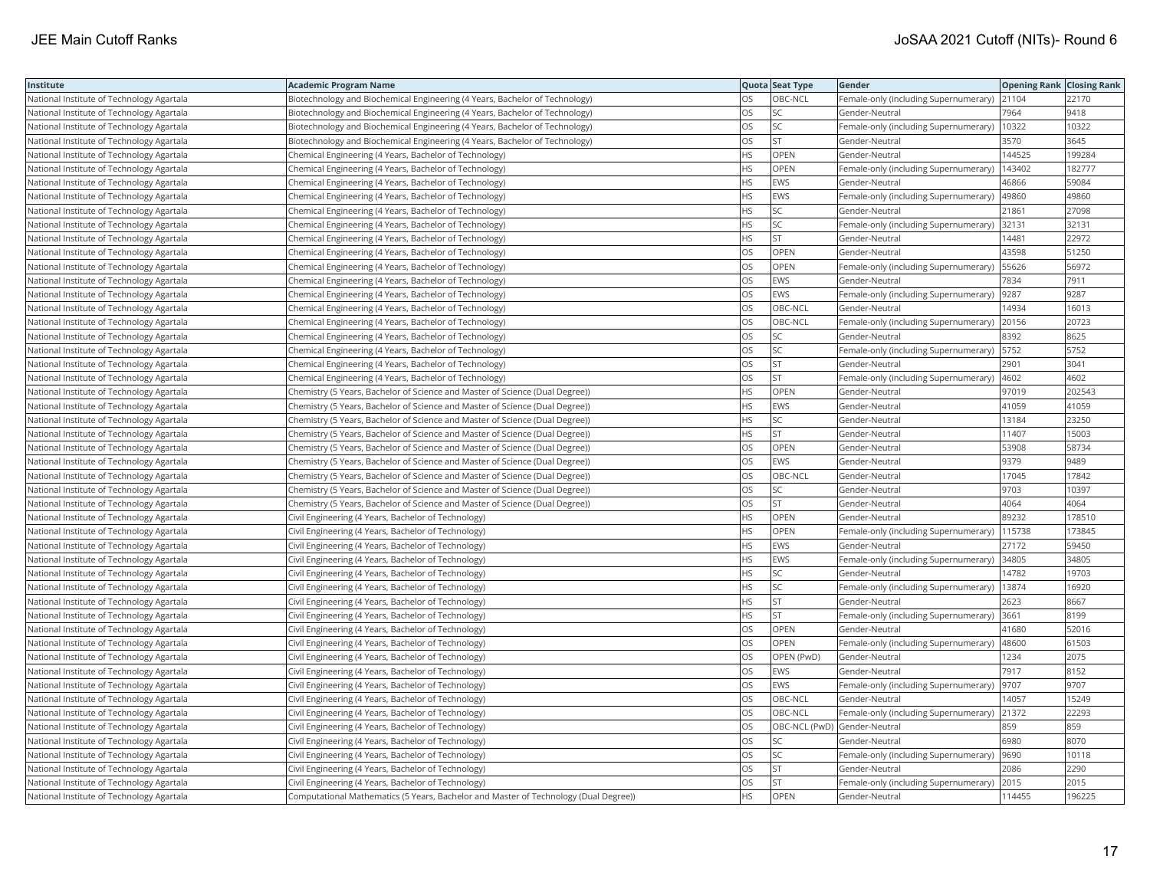| Institute                                 | <b>Academic Program Name</b>                                                         |           | Quota Seat Type | Gender                                        | <b>Opening Rank Closing Rank</b> |        |
|-------------------------------------------|--------------------------------------------------------------------------------------|-----------|-----------------|-----------------------------------------------|----------------------------------|--------|
| National Institute of Technology Agartala | Biotechnology and Biochemical Engineering (4 Years, Bachelor of Technology)          | OS        | OBC-NCL         | Female-only (including Supernumerary) 21104   |                                  | 22170  |
| National Institute of Technology Agartala | Biotechnology and Biochemical Engineering (4 Years, Bachelor of Technology)          | OS        | <b>SC</b>       | Gender-Neutral                                | 7964                             | 9418   |
| National Institute of Technology Agartala | Biotechnology and Biochemical Engineering (4 Years, Bachelor of Technology)          | OS        | SC              | Female-only (including Supernumerary)         | 10322                            | 10322  |
| National Institute of Technology Agartala | Biotechnology and Biochemical Engineering (4 Years, Bachelor of Technology)          | OS        | <b>ST</b>       | Gender-Neutral                                | 3570                             | 3645   |
| National Institute of Technology Agartala | Chemical Engineering (4 Years, Bachelor of Technology)                               | HS        | <b>OPEN</b>     | Gender-Neutral                                | 144525                           | 199284 |
| National Institute of Technology Agartala | Chemical Engineering (4 Years, Bachelor of Technology)                               | ΗS        | OPEN            | Female-only (including Supernumerary)         | 143402                           | 182777 |
| National Institute of Technology Agartala | Chemical Engineering (4 Years, Bachelor of Technology)                               | ΗS        | EWS             | Gender-Neutral                                | 46866                            | 59084  |
| National Institute of Technology Agartala | Chemical Engineering (4 Years, Bachelor of Technology)                               | HS        | <b>EWS</b>      | Female-only (including Supernumerary)         | 49860                            | 49860  |
| National Institute of Technology Agartala | Chemical Engineering (4 Years, Bachelor of Technology)                               | ΗS        | SC              | Gender-Neutral                                | 21861                            | 27098  |
| National Institute of Technology Agartala | Chemical Engineering (4 Years, Bachelor of Technology)                               | HS        | SC              | Female-only (including Supernumerary)         | 32131                            | 32131  |
| National Institute of Technology Agartala | Chemical Engineering (4 Years, Bachelor of Technology)                               | <b>HS</b> | <b>ST</b>       | Gender-Neutral                                | 14481                            | 22972  |
| National Institute of Technology Agartala | Chemical Engineering (4 Years, Bachelor of Technology)                               | OS        | OPEN            | Gender-Neutral                                | 43598                            | 51250  |
| National Institute of Technology Agartala | Chemical Engineering (4 Years, Bachelor of Technology)                               | OS        | OPEN            | Female-only (including Supernumerary)   55626 |                                  | 56972  |
| National Institute of Technology Agartala | Chemical Engineering (4 Years, Bachelor of Technology)                               | OS        | EWS             | Gender-Neutral                                | 7834                             | 7911   |
| National Institute of Technology Agartala | Chemical Engineering (4 Years, Bachelor of Technology)                               | OS        | EWS             | Female-only (including Supernumerary)         | 9287                             | 9287   |
| National Institute of Technology Agartala | Chemical Engineering (4 Years, Bachelor of Technology)                               | OS        | OBC-NCL         | Gender-Neutral                                | 14934                            | 16013  |
| National Institute of Technology Agartala | Chemical Engineering (4 Years, Bachelor of Technology)                               | OS        | OBC-NCL         | Female-only (including Supernumerary)         | 20156                            | 20723  |
| National Institute of Technology Agartala | Chemical Engineering (4 Years, Bachelor of Technology)                               | OS        | <b>SC</b>       | Gender-Neutral                                | 8392                             | 8625   |
| National Institute of Technology Agartala | Chemical Engineering (4 Years, Bachelor of Technology)                               | OS        | SC              | Female-only (including Supernumerary)         | 5752                             | 5752   |
| National Institute of Technology Agartala | Chemical Engineering (4 Years, Bachelor of Technology)                               | OS        | <b>ST</b>       | Gender-Neutral                                | 2901                             | 3041   |
| National Institute of Technology Agartala | Chemical Engineering (4 Years, Bachelor of Technology)                               | OS        | <b>ST</b>       | Female-only (including Supernumerary)         | 4602                             | 4602   |
| National Institute of Technology Agartala | Chemistry (5 Years, Bachelor of Science and Master of Science (Dual Degree))         | HS        | OPEN            | Gender-Neutral                                | 97019                            | 202543 |
| National Institute of Technology Agartala | Chemistry (5 Years, Bachelor of Science and Master of Science (Dual Degree))         | ΗS        | EWS             | Gender-Neutral                                | 41059                            | 41059  |
| National Institute of Technology Agartala | Chemistry (5 Years, Bachelor of Science and Master of Science (Dual Degree))         | HS        | SC              | Gender-Neutral                                | 13184                            | 23250  |
| National Institute of Technology Agartala | Chemistry (5 Years, Bachelor of Science and Master of Science (Dual Degree))         | HS        | <b>ST</b>       | Gender-Neutral                                | 11407                            | 15003  |
| National Institute of Technology Agartala | Chemistry (5 Years, Bachelor of Science and Master of Science (Dual Degree))         | OS        | OPEN            | Gender-Neutral                                | 53908                            | 58734  |
| National Institute of Technology Agartala | Chemistry (5 Years, Bachelor of Science and Master of Science (Dual Degree))         | OS        | EWS             | Gender-Neutral                                | 9379                             | 9489   |
| National Institute of Technology Agartala | Chemistry (5 Years, Bachelor of Science and Master of Science (Dual Degree))         | OS        | OBC-NCL         | Gender-Neutral                                | 17045                            | 17842  |
| National Institute of Technology Agartala | Chemistry (5 Years, Bachelor of Science and Master of Science (Dual Degree))         | OS        | SC              | Gender-Neutral                                | 9703                             | 10397  |
| National Institute of Technology Agartala | Chemistry (5 Years, Bachelor of Science and Master of Science (Dual Degree))         | OS        | ST              | Gender-Neutral                                | 4064                             | 4064   |
| National Institute of Technology Agartala | Civil Engineering (4 Years, Bachelor of Technology)                                  | <b>HS</b> | OPEN            | Gender-Neutral                                | 89232                            | 178510 |
| National Institute of Technology Agartala | Civil Engineering (4 Years, Bachelor of Technology)                                  | ΗS        | OPEN            | Female-only (including Supernumerary)         | 115738                           | 173845 |
| National Institute of Technology Agartala | Civil Engineering (4 Years, Bachelor of Technology)                                  | HS        | <b>EWS</b>      | Gender-Neutral                                | 27172                            | 59450  |
| National Institute of Technology Agartala | Civil Engineering (4 Years, Bachelor of Technology)                                  | HS        | <b>EWS</b>      | Female-only (including Supernumerary)         | 34805                            | 34805  |
| National Institute of Technology Agartala | Civil Engineering (4 Years, Bachelor of Technology)                                  | HS        | SC              | Gender-Neutral                                | 14782                            | 19703  |
| National Institute of Technology Agartala | Civil Engineering (4 Years, Bachelor of Technology)                                  | HS        | SC              | Female-only (including Supernumerary)         | 13874                            | 16920  |
| National Institute of Technology Agartala | Civil Engineering (4 Years, Bachelor of Technology)                                  | ΗS        | <b>ST</b>       | Gender-Neutral                                | 2623                             | 8667   |
| National Institute of Technology Agartala | Civil Engineering (4 Years, Bachelor of Technology)                                  | HS        | <b>ST</b>       | Female-only (including Supernumerary) 3661    |                                  | 8199   |
| National Institute of Technology Agartala | Civil Engineering (4 Years, Bachelor of Technology)                                  | OS        | OPEN            | Gender-Neutral                                | 41680                            | 52016  |
| National Institute of Technology Agartala | Civil Engineering (4 Years, Bachelor of Technology)                                  | OS        | <b>OPEN</b>     | Female-only (including Supernumerary)   48600 |                                  | 61503  |
| National Institute of Technology Agartala | Civil Engineering (4 Years, Bachelor of Technology)                                  | OS        | OPEN (PwD)      | Gender-Neutral                                | 1234                             | 2075   |
| National Institute of Technology Agartala | Civil Engineering (4 Years, Bachelor of Technology)                                  | OS        | <b>EWS</b>      | Gender-Neutral                                | 7917                             | 8152   |
| National Institute of Technology Agartala | Civil Engineering (4 Years, Bachelor of Technology)                                  | OS        | EWS             | Female-only (including Supernumerary)         | 9707                             | 9707   |
| National Institute of Technology Agartala | Civil Engineering (4 Years, Bachelor of Technology)                                  | OS        | OBC-NCL         | Gender-Neutral                                | 14057                            | 15249  |
| National Institute of Technology Agartala | Civil Engineering (4 Years, Bachelor of Technology)                                  | OS        | OBC-NCL         | Female-only (including Supernumerary) 21372   |                                  | 22293  |
| National Institute of Technology Agartala | Civil Engineering (4 Years, Bachelor of Technology)                                  | OS        |                 | OBC-NCL (PwD) Gender-Neutral                  | 859                              | 859    |
| National Institute of Technology Agartala | Civil Engineering (4 Years, Bachelor of Technology)                                  | OS        | <b>SC</b>       | Gender-Neutral                                | 6980                             | 8070   |
| National Institute of Technology Agartala | Civil Engineering (4 Years, Bachelor of Technology)                                  | OS        | SC              | Female-only (including Supernumerary)         | 9690                             | 10118  |
| National Institute of Technology Agartala | Civil Engineering (4 Years, Bachelor of Technology)                                  | OS        | <b>ST</b>       | Gender-Neutral                                | 2086                             | 2290   |
| National Institute of Technology Agartala | Civil Engineering (4 Years, Bachelor of Technology)                                  | OS        | <b>ST</b>       | Female-only (including Supernumerary)         | 2015                             | 2015   |
| National Institute of Technology Agartala | Computational Mathematics (5 Years, Bachelor and Master of Technology (Dual Degree)) | <b>HS</b> | OPEN            | Gender-Neutral                                | 114455                           | 196225 |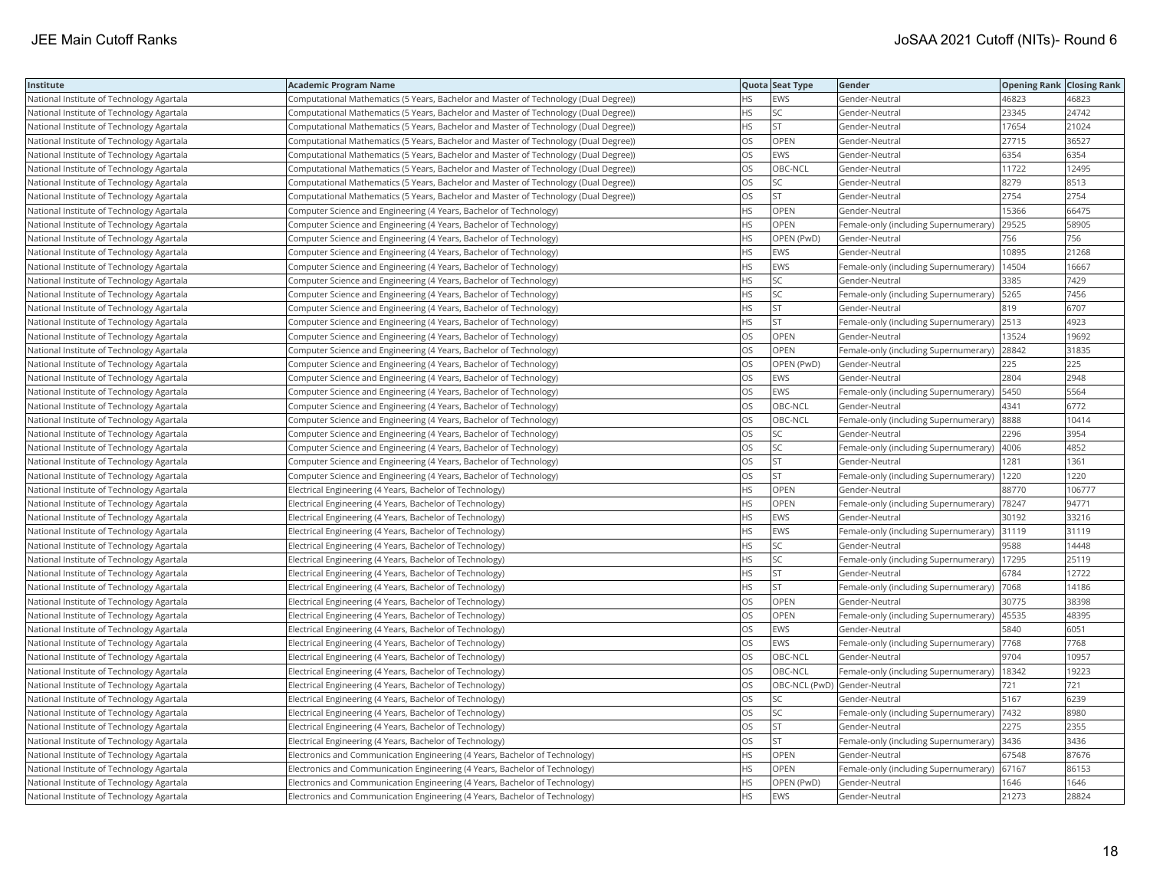| Institute                                 | Academic Program Name                                                                 |     | Quota Seat Type              | Gender                                       | <b>Opening Rank   Closing Rank</b> |        |
|-------------------------------------------|---------------------------------------------------------------------------------------|-----|------------------------------|----------------------------------------------|------------------------------------|--------|
| National Institute of Technology Agartala | Computational Mathematics (5 Years, Bachelor and Master of Technology (Dual Degree))  | НS  | <b>EWS</b>                   | Gender-Neutral                               | 46823                              | 46823  |
| National Institute of Technology Agartala | Computational Mathematics (5 Years, Bachelor and Master of Technology (Dual Degree))  | HS. | SC                           | Gender-Neutral                               | 23345                              | 24742  |
| National Institute of Technology Agartala | (Computational Mathematics (5 Years, Bachelor and Master of Technology (Dual Degree)) | HS. | <b>ST</b>                    | Gender-Neutral                               | 17654                              | 21024  |
| National Institute of Technology Agartala | (Computational Mathematics (5 Years, Bachelor and Master of Technology (Dual Degree)) | OS  | <b>OPEN</b>                  | Gender-Neutral                               | 27715                              | 36527  |
| National Institute of Technology Agartala | (Computational Mathematics (5 Years, Bachelor and Master of Technology (Dual Degree)) | OS  | <b>EWS</b>                   | Gender-Neutral                               | 6354                               | 6354   |
| National Institute of Technology Agartala | Computational Mathematics (5 Years, Bachelor and Master of Technology (Dual Degree))  | OS  | OBC-NCL                      | Gender-Neutral                               | 11722                              | 12495  |
| National Institute of Technology Agartala | (Computational Mathematics (5 Years, Bachelor and Master of Technology (Dual Degree)) | OS  | <b>SC</b>                    | Gender-Neutral                               | 8279                               | 8513   |
| National Institute of Technology Agartala | (Computational Mathematics (5 Years, Bachelor and Master of Technology (Dual Degree)) | OS  | <b>ST</b>                    | Gender-Neutral                               | 2754                               | 2754   |
| National Institute of Technology Agartala | Computer Science and Engineering (4 Years, Bachelor of Technology)                    | HS  | OPEN                         | Gender-Neutral                               | 15366                              | 66475  |
| National Institute of Technology Agartala | Computer Science and Engineering (4 Years, Bachelor of Technology)                    | HS. | OPEN                         | Female-only (including Supernumerary)        | 29525                              | 58905  |
| National Institute of Technology Agartala | Computer Science and Engineering (4 Years, Bachelor of Technology)                    | HS  | OPEN (PwD)                   | Gender-Neutral                               | 756                                | 756    |
| National Institute of Technology Agartala | Computer Science and Engineering (4 Years, Bachelor of Technology)                    | HS  | <b>EWS</b>                   | Gender-Neutral                               | 10895                              | 21268  |
| National Institute of Technology Agartala | Computer Science and Engineering (4 Years, Bachelor of Technology)                    | HS  | <b>EWS</b>                   | Female-only (including Supernumerary)        | 14504                              | 16667  |
| National Institute of Technology Agartala | Computer Science and Engineering (4 Years, Bachelor of Technology)                    | ΗS  | SC                           | Gender-Neutral                               | 3385                               | 7429   |
| National Institute of Technology Agartala | Computer Science and Engineering (4 Years, Bachelor of Technology)                    | HS  | SC                           | Female-only (including Supernumerary)   5265 |                                    | 7456   |
| National Institute of Technology Agartala | Computer Science and Engineering (4 Years, Bachelor of Technology)                    | HS. | <b>ST</b>                    | Gender-Neutral                               | 819                                | 6707   |
| National Institute of Technology Agartala | Computer Science and Engineering (4 Years, Bachelor of Technology)                    | HS  | <b>ST</b>                    | Female-only (including Supernumerary) 2513   |                                    | 4923   |
| National Institute of Technology Agartala | Computer Science and Engineering (4 Years, Bachelor of Technology)                    | OS  | OPEN                         | Gender-Neutral                               | 13524                              | 19692  |
| National Institute of Technology Agartala | Computer Science and Engineering (4 Years, Bachelor of Technology)                    | OS  | OPEN                         | Female-only (including Supernumerary)        | 28842                              | 31835  |
| National Institute of Technology Agartala | Computer Science and Engineering (4 Years, Bachelor of Technology)                    | OS  | OPEN (PwD)                   | Gender-Neutral                               | 225                                | 225    |
| National Institute of Technology Agartala | Computer Science and Engineering (4 Years, Bachelor of Technology)                    | OS  | <b>EWS</b>                   | Gender-Neutral                               | 2804                               | 2948   |
| National Institute of Technology Agartala | (Computer Science and Engineering (4 Years, Bachelor of Technology)                   | OS  | EWS                          | Female-only (including Supernumerary)   5450 |                                    | 5564   |
| National Institute of Technology Agartala | Computer Science and Engineering (4 Years, Bachelor of Technology)                    | OS  | OBC-NCL                      | Gender-Neutral                               | 4341                               | 6772   |
| National Institute of Technology Agartala | Computer Science and Engineering (4 Years, Bachelor of Technology)                    | OS  | OBC-NCL                      | Female-only (including Supernumerary)        | 8888                               | 10414  |
| National Institute of Technology Agartala | Computer Science and Engineering (4 Years, Bachelor of Technology)                    | OS  | SC                           | Gender-Neutral                               | 2296                               | 3954   |
| National Institute of Technology Agartala | Computer Science and Engineering (4 Years, Bachelor of Technology)                    | OS  | SC                           | Female-only (including Supernumerary)        | 4006                               | 4852   |
| National Institute of Technology Agartala | Computer Science and Engineering (4 Years, Bachelor of Technology)                    | OS  | <b>ST</b>                    | Gender-Neutral                               | 1281                               | 1361   |
| National Institute of Technology Agartala | Computer Science and Engineering (4 Years, Bachelor of Technology)                    | OS  | <b>ST</b>                    | Female-only (including Supernumerary)        | 1220                               | 1220   |
| National Institute of Technology Agartala | Electrical Engineering (4 Years, Bachelor of Technology)                              | HS  | <b>OPEN</b>                  | Gender-Neutral                               | 88770                              | 106777 |
| National Institute of Technology Agartala | Electrical Engineering (4 Years, Bachelor of Technology)                              | ΗS  | OPEN                         | Female-only (including Supernumerary)        | 78247                              | 94771  |
| National Institute of Technology Agartala | Electrical Engineering (4 Years, Bachelor of Technology)                              | HS  | EWS                          | Gender-Neutral                               | 30192                              | 33216  |
| National Institute of Technology Agartala | Electrical Engineering (4 Years, Bachelor of Technology)                              | ΗS  | <b>EWS</b>                   | Female-only (including Supernumerary)        | 31119                              | 31119  |
| National Institute of Technology Agartala | Electrical Engineering (4 Years, Bachelor of Technology)                              | HS  | SC                           | Gender-Neutral                               | 9588                               | 14448  |
| National Institute of Technology Agartala | Electrical Engineering (4 Years, Bachelor of Technology)                              | HS  | SC                           | Female-only (including Supernumerary)        | 17295                              | 25119  |
| National Institute of Technology Agartala | Electrical Engineering (4 Years, Bachelor of Technology)                              | НS  | <b>ST</b>                    | Gender-Neutral                               | 6784                               | 12722  |
| National Institute of Technology Agartala | Electrical Engineering (4 Years, Bachelor of Technology)                              | HS  | <b>ST</b>                    | Female-only (including Supernumerary)        | 7068                               | 14186  |
| National Institute of Technology Agartala | Electrical Engineering (4 Years, Bachelor of Technology)                              | OS  | <b>OPEN</b>                  | Gender-Neutral                               | 30775                              | 38398  |
| National Institute of Technology Agartala | Electrical Engineering (4 Years, Bachelor of Technology)                              | OS  | OPEN                         | Female-only (including Supernumerary)  45535 |                                    | 48395  |
| National Institute of Technology Agartala | Electrical Engineering (4 Years, Bachelor of Technology)                              | OS  | EWS                          | Gender-Neutral                               | 5840                               | 6051   |
| National Institute of Technology Agartala | Electrical Engineering (4 Years, Bachelor of Technology)                              | OS. | <b>EWS</b>                   | Female-only (including Supernumerary)        | 7768                               | 7768   |
| National Institute of Technology Agartala | Electrical Engineering (4 Years, Bachelor of Technology)                              | OS  | OBC-NCL                      | Gender-Neutral                               | 9704                               | 10957  |
| National Institute of Technology Agartala | Electrical Engineering (4 Years, Bachelor of Technology)                              | OS. | OBC-NCL                      | Female-only (including Supernumerary)        | 18342                              | 19223  |
| National Institute of Technology Agartala | Electrical Engineering (4 Years, Bachelor of Technology)                              | OS  | OBC-NCL (PwD) Gender-Neutral |                                              | 721                                | 721    |
| National Institute of Technology Agartala | Electrical Engineering (4 Years, Bachelor of Technology)                              | OS  | SC                           | Gender-Neutral                               | 5167                               | 6239   |
| National Institute of Technology Agartala | Electrical Engineering (4 Years, Bachelor of Technology)                              | OS  | SC                           | Female-only (including Supernumerary)        | 7432                               | 8980   |
| National Institute of Technology Agartala | Electrical Engineering (4 Years, Bachelor of Technology)                              | OS  | <b>ST</b>                    | Gender-Neutral                               | 2275                               | 2355   |
| National Institute of Technology Agartala | Electrical Engineering (4 Years, Bachelor of Technology)                              | OS. | <b>ST</b>                    | Female-only (including Supernumerary) 3436   |                                    | 3436   |
| National Institute of Technology Agartala | Electronics and Communication Engineering (4 Years, Bachelor of Technology)           | НS  | OPEN                         | Gender-Neutral                               | 67548                              | 87676  |
| National Institute of Technology Agartala | Electronics and Communication Engineering (4 Years, Bachelor of Technology)           | HS  | OPEN                         | Female-only (including Supernumerary)        | 67167                              | 86153  |
| National Institute of Technology Agartala | Electronics and Communication Engineering (4 Years, Bachelor of Technology)           | HS. | OPEN (PwD)                   | Gender-Neutral                               | 1646                               | 1646   |
| National Institute of Technology Agartala | Electronics and Communication Engineering (4 Years, Bachelor of Technology)           | HS  | EWS                          | Gender-Neutral                               | 21273                              | 28824  |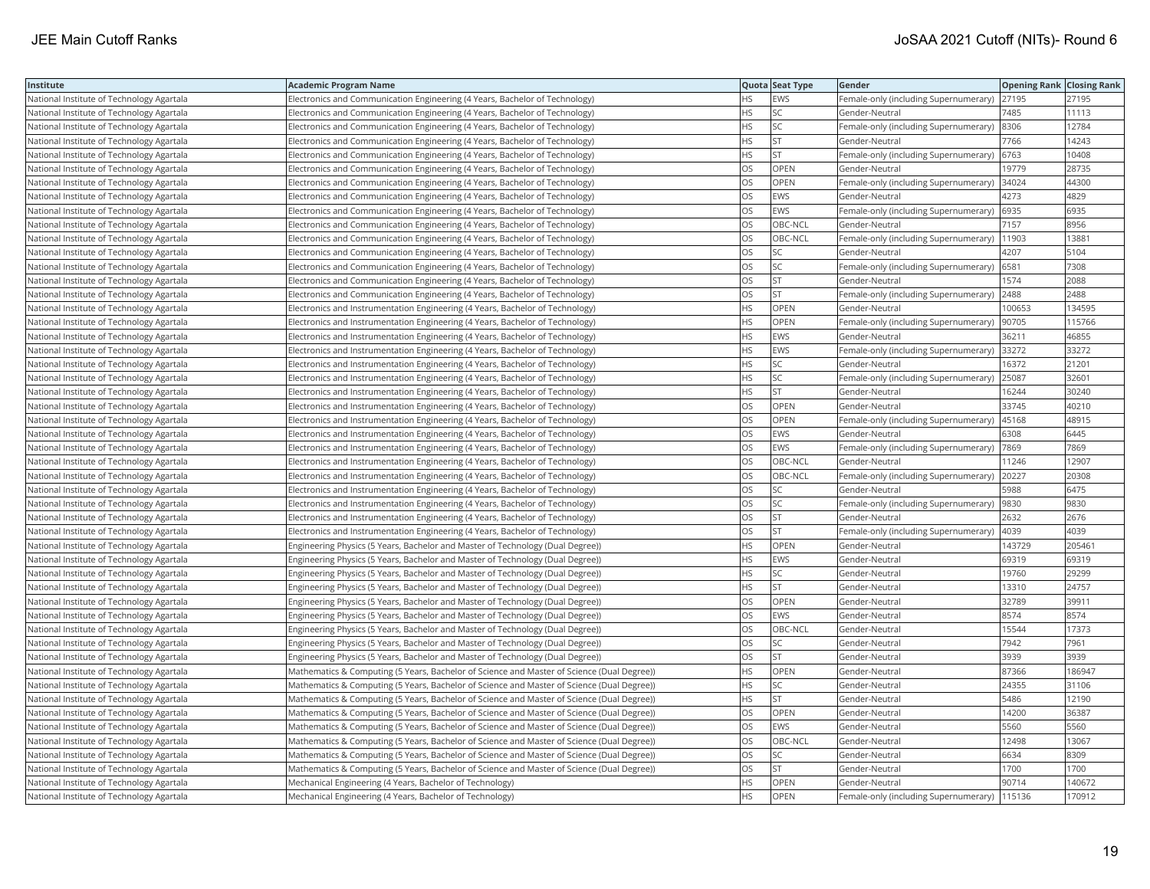| Institute                                 | <b>Academic Program Name</b>                                                                |           | Quota Seat Type | Gender                                     | <b>Opening Rank   Closing Rank</b> |        |
|-------------------------------------------|---------------------------------------------------------------------------------------------|-----------|-----------------|--------------------------------------------|------------------------------------|--------|
| National Institute of Technology Agartala | Electronics and Communication Engineering (4 Years, Bachelor of Technology)                 | HS.       | EWS             | Female-only (including Supernumerary)      | 27195                              | 27195  |
| National Institute of Technology Agartala | Electronics and Communication Engineering (4 Years, Bachelor of Technology)                 | HS.       | <b>SC</b>       | Gender-Neutral                             | 7485                               | 11113  |
| National Institute of Technology Agartala | Electronics and Communication Engineering (4 Years, Bachelor of Technology)                 | HS        | SC              | Female-only (including Supernumerary) 8306 |                                    | 12784  |
| National Institute of Technology Agartala | Electronics and Communication Engineering (4 Years, Bachelor of Technology)                 | HS.       | <b>ST</b>       | Gender-Neutral                             | 7766                               | 14243  |
| National Institute of Technology Agartala | Electronics and Communication Engineering (4 Years, Bachelor of Technology)                 | HS        | <b>ST</b>       | Female-only (including Supernumerary) 6763 |                                    | 10408  |
| National Institute of Technology Agartala | Electronics and Communication Engineering (4 Years, Bachelor of Technology)                 | OS.       | <b>OPEN</b>     | Gender-Neutral                             | 19779                              | 28735  |
| National Institute of Technology Agartala | Electronics and Communication Engineering (4 Years, Bachelor of Technology)                 | OS        | OPEN            | Female-only (including Supernumerary)      | 34024                              | 44300  |
| National Institute of Technology Agartala | Electronics and Communication Engineering (4 Years, Bachelor of Technology)                 | OS        | EWS             | Gender-Neutral                             | 4273                               | 4829   |
| National Institute of Technology Agartala | Electronics and Communication Engineering (4 Years, Bachelor of Technology)                 | <b>OS</b> | <b>EWS</b>      | Female-only (including Supernumerary)      | 6935                               | 6935   |
| National Institute of Technology Agartala | Electronics and Communication Engineering (4 Years, Bachelor of Technology)                 | <b>OS</b> | OBC-NCL         | Gender-Neutral                             | 7157                               | 8956   |
| National Institute of Technology Agartala | Electronics and Communication Engineering (4 Years, Bachelor of Technology)                 | OS.       | OBC-NCL         | Female-only (including Supernumerary)      | 11903                              | 13881  |
| National Institute of Technology Agartala | Electronics and Communication Engineering (4 Years, Bachelor of Technology)                 | OS        | SC              | Gender-Neutral                             | 4207                               | 5104   |
| National Institute of Technology Agartala | Electronics and Communication Engineering (4 Years, Bachelor of Technology)                 | OS        | SC              | Female-only (including Supernumerary)      | 6581                               | 7308   |
| National Institute of Technology Agartala | Electronics and Communication Engineering (4 Years, Bachelor of Technology)                 | OS        | <b>ST</b>       | Gender-Neutral                             | 1574                               | 2088   |
| National Institute of Technology Agartala | Electronics and Communication Engineering (4 Years, Bachelor of Technology)                 | OS        | <b>ST</b>       | Female-only (including Supernumerary)      | 2488                               | 2488   |
| National Institute of Technology Agartala | Electronics and Instrumentation Engineering (4 Years, Bachelor of Technology)               | HS        | OPEN            | Gender-Neutral                             | 100653                             | 134595 |
| National Institute of Technology Agartala | Electronics and Instrumentation Engineering (4 Years, Bachelor of Technology)               | HS        | <b>OPEN</b>     | Female-only (including Supernumerary)      | 90705                              | 115766 |
| National Institute of Technology Agartala | Electronics and Instrumentation Engineering (4 Years, Bachelor of Technology)               | HS        | <b>EWS</b>      | Gender-Neutral                             | 36211                              | 46855  |
| National Institute of Technology Agartala | Electronics and Instrumentation Engineering (4 Years, Bachelor of Technology)               | HS        | <b>EWS</b>      | Female-only (including Supernumerary)      | 33272                              | 33272  |
| National Institute of Technology Agartala | Electronics and Instrumentation Engineering (4 Years, Bachelor of Technology)               | HS        | <b>SC</b>       | Gender-Neutral                             | 16372                              | 21201  |
| National Institute of Technology Agartala | Electronics and Instrumentation Engineering (4 Years, Bachelor of Technology)               | HS        | SC              | Female-only (including Supernumerary)      | 25087                              | 32601  |
| National Institute of Technology Agartala | Electronics and Instrumentation Engineering (4 Years, Bachelor of Technology)               | <b>HS</b> | <b>ST</b>       | Gender-Neutral                             | 16244                              | 30240  |
| National Institute of Technology Agartala | Electronics and Instrumentation Engineering (4 Years, Bachelor of Technology)               | OS        | OPEN            | Gender-Neutral                             | 33745                              | 40210  |
| National Institute of Technology Agartala | Electronics and Instrumentation Engineering (4 Years, Bachelor of Technology)               | OS.       | OPEN            | Female-only (including Supernumerary)      | 45168                              | 48915  |
| National Institute of Technology Agartala | Electronics and Instrumentation Engineering (4 Years, Bachelor of Technology)               | OS        | EWS             | Gender-Neutral                             | 6308                               | 6445   |
| National Institute of Technology Agartala | Electronics and Instrumentation Engineering (4 Years, Bachelor of Technology)               | OS        | <b>EWS</b>      | Female-only (including Supernumerary)      | 7869                               | 7869   |
| National Institute of Technology Agartala | Electronics and Instrumentation Engineering (4 Years, Bachelor of Technology)               | OS.       | OBC-NCL         | Gender-Neutral                             | 11246                              | 12907  |
| National Institute of Technology Agartala | Electronics and Instrumentation Engineering (4 Years, Bachelor of Technology)               | OS        | OBC-NCL         | Female-only (including Supernumerary)      | 20227                              | 20308  |
| National Institute of Technology Agartala | Electronics and Instrumentation Engineering (4 Years, Bachelor of Technology)               | OS        | SC              | Gender-Neutral                             | 5988                               | 6475   |
| National Institute of Technology Agartala | Electronics and Instrumentation Engineering (4 Years, Bachelor of Technology)               | OS.       | <b>SC</b>       | Female-only (including Supernumerary)      | 9830                               | 9830   |
| National Institute of Technology Agartala | Electronics and Instrumentation Engineering (4 Years, Bachelor of Technology)               | OS        | <b>ST</b>       | Gender-Neutral                             | 2632                               | 2676   |
| National Institute of Technology Agartala | Electronics and Instrumentation Engineering (4 Years, Bachelor of Technology)               | OS        | <b>ST</b>       | Female-only (including Supernumerary)      | 4039                               | 4039   |
| National Institute of Technology Agartala | (Engineering Physics (5 Years, Bachelor and Master of Technology (Dual Degree))             | HS.       | OPEN            | Gender-Neutral                             | 143729                             | 205461 |
| National Institute of Technology Agartala | Engineering Physics (5 Years, Bachelor and Master of Technology (Dual Degree))              | HS        | <b>EWS</b>      | Gender-Neutral                             | 69319                              | 69319  |
| National Institute of Technology Agartala | Engineering Physics (5 Years, Bachelor and Master of Technology (Dual Degree))              | <b>HS</b> | <b>SC</b>       | Gender-Neutral                             | 19760                              | 29299  |
| National Institute of Technology Agartala | Engineering Physics (5 Years, Bachelor and Master of Technology (Dual Degree))              | HS        | <b>ST</b>       | Gender-Neutral                             | 13310                              | 24757  |
| National Institute of Technology Agartala | Engineering Physics (5 Years, Bachelor and Master of Technology (Dual Degree))              | OS        | OPEN            | Gender-Neutral                             | 32789                              | 39911  |
| National Institute of Technology Agartala | Engineering Physics (5 Years, Bachelor and Master of Technology (Dual Degree))              | OS        | <b>EWS</b>      | Gender-Neutral                             | 8574                               | 8574   |
| National Institute of Technology Agartala | Engineering Physics (5 Years, Bachelor and Master of Technology (Dual Degree))              | OS        | OBC-NCL         | Gender-Neutral                             | 15544                              | 17373  |
| National Institute of Technology Agartala | Engineering Physics (5 Years, Bachelor and Master of Technology (Dual Degree))              | OS        | SC              | Gender-Neutral                             | 7942                               | 7961   |
| National Institute of Technology Agartala | Engineering Physics (5 Years, Bachelor and Master of Technology (Dual Degree))              | OS        | <b>ST</b>       | Gender-Neutral                             | 3939                               | 3939   |
| National Institute of Technology Agartala | Mathematics & Computing (5 Years, Bachelor of Science and Master of Science (Dual Degree))  | HS        | OPEN            | Gender-Neutral                             | 87366                              | 186947 |
| National Institute of Technology Agartala | Mathematics & Computing (5 Years, Bachelor of Science and Master of Science (Dual Degree))  | HS        | <b>SC</b>       | Gender-Neutral                             | 24355                              | 31106  |
| National Institute of Technology Agartala | Mathematics & Computing (5 Years, Bachelor of Science and Master of Science (Dual Degree))  | HS        | <b>ST</b>       | Gender-Neutral                             | 5486                               | 12190  |
| National Institute of Technology Agartala | Mathematics & Computing (5 Years, Bachelor of Science and Master of Science (Dual Degree))  | OS        | OPEN            | Gender-Neutral                             | 14200                              | 36387  |
| National Institute of Technology Agartala | (Mathematics & Computing (5 Years, Bachelor of Science and Master of Science (Dual Degree)) | OS        | <b>EWS</b>      | Gender-Neutral                             | 5560                               | 5560   |
| National Institute of Technology Agartala | Mathematics & Computing (5 Years, Bachelor of Science and Master of Science (Dual Degree))  | <b>OS</b> | OBC-NCL         | Gender-Neutral                             | 12498                              | 13067  |
| National Institute of Technology Agartala | Mathematics & Computing (5 Years, Bachelor of Science and Master of Science (Dual Degree))  | OS        | SC              | Gender-Neutral                             | 6634                               | 8309   |
| National Institute of Technology Agartala | Mathematics & Computing (5 Years, Bachelor of Science and Master of Science (Dual Degree))  | OS        | <b>ST</b>       | Gender-Neutral                             | 1700                               | 1700   |
| National Institute of Technology Agartala | Mechanical Engineering (4 Years, Bachelor of Technology)                                    | HS.       | OPEN            | Gender-Neutral                             | 90714                              | 140672 |
| National Institute of Technology Agartala | Mechanical Engineering (4 Years, Bachelor of Technology)                                    | <b>HS</b> | <b>OPEN</b>     | Female-only (including Supernumerary)      | 115136                             | 170912 |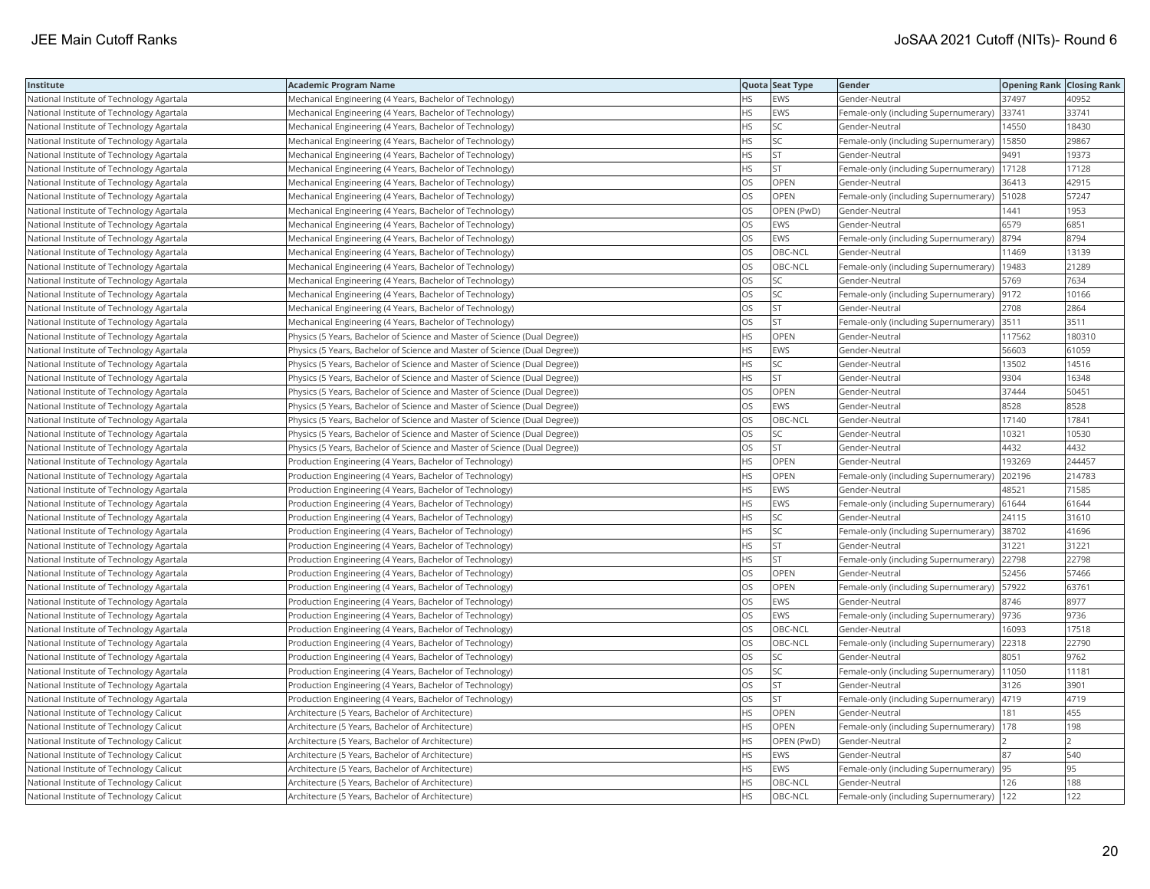| Institute                                 | <b>Academic Program Name</b>                                               |           | Quota Seat Type | Gender                                        | <b>Opening Rank Closing Rank</b> |        |
|-------------------------------------------|----------------------------------------------------------------------------|-----------|-----------------|-----------------------------------------------|----------------------------------|--------|
| National Institute of Technology Agartala | Mechanical Engineering (4 Years, Bachelor of Technology)                   | <b>HS</b> | <b>EWS</b>      | Gender-Neutral                                | 37497                            | 40952  |
| National Institute of Technology Agartala | Mechanical Engineering (4 Years, Bachelor of Technology)                   | ΗS        | <b>EWS</b>      | Female-only (including Supernumerary)         | 33741                            | 33741  |
| National Institute of Technology Agartala | Mechanical Engineering (4 Years, Bachelor of Technology)                   | HS        | SC              | Gender-Neutral                                | 14550                            | 18430  |
| National Institute of Technology Agartala | Mechanical Engineering (4 Years, Bachelor of Technology)                   | HS        | SC              | Female-only (including Supernumerary)         | 15850                            | 29867  |
| National Institute of Technology Agartala | Mechanical Engineering (4 Years, Bachelor of Technology)                   | HS        | <b>ST</b>       | Gender-Neutral                                | 9491                             | 19373  |
| National Institute of Technology Agartala | Mechanical Engineering (4 Years, Bachelor of Technology)                   | HS        | <b>ST</b>       | Female-only (including Supernumerary)         | 17128                            | 17128  |
| National Institute of Technology Agartala | Mechanical Engineering (4 Years, Bachelor of Technology)                   | OS        | OPEN            | Gender-Neutral                                | 36413                            | 42915  |
| National Institute of Technology Agartala | Mechanical Engineering (4 Years, Bachelor of Technology)                   | OS        | <b>OPEN</b>     | Female-only (including Supernumerary)   51028 |                                  | 57247  |
| National Institute of Technology Agartala | Mechanical Engineering (4 Years, Bachelor of Technology)                   | OS        | OPEN (PwD)      | Gender-Neutral                                | 1441                             | 1953   |
| National Institute of Technology Agartala | Mechanical Engineering (4 Years, Bachelor of Technology)                   | OS        | <b>EWS</b>      | Gender-Neutral                                | 6579                             | 6851   |
| National Institute of Technology Agartala | Mechanical Engineering (4 Years, Bachelor of Technology)                   | OS        | EWS             | Female-only (including Supernumerary)         | 8794                             | 8794   |
| National Institute of Technology Agartala | Mechanical Engineering (4 Years, Bachelor of Technology)                   | OS        | OBC-NCL         | Gender-Neutral                                | 11469                            | 13139  |
| National Institute of Technology Agartala | Mechanical Engineering (4 Years, Bachelor of Technology)                   | <b>OS</b> | OBC-NCL         | Female-only (including Supernumerary)         | 19483                            | 21289  |
| National Institute of Technology Agartala | Mechanical Engineering (4 Years, Bachelor of Technology)                   | OS        | <b>SC</b>       | Gender-Neutral                                | 5769                             | 7634   |
| National Institute of Technology Agartala | Mechanical Engineering (4 Years, Bachelor of Technology)                   | OS        | SC              | Female-only (including Supernumerary)  9172   |                                  | 10166  |
| National Institute of Technology Agartala | Mechanical Engineering (4 Years, Bachelor of Technology)                   | OS        | <b>ST</b>       | Gender-Neutral                                | 2708                             | 2864   |
| National Institute of Technology Agartala | Mechanical Engineering (4 Years, Bachelor of Technology)                   | OS        | <b>ST</b>       | Female-only (including Supernumerary) 3511    |                                  | 3511   |
| National Institute of Technology Agartala | Physics (5 Years, Bachelor of Science and Master of Science (Dual Degree)) | ΗS        | OPEN            | Gender-Neutral                                | 117562                           | 180310 |
| National Institute of Technology Agartala | Physics (5 Years, Bachelor of Science and Master of Science (Dual Degree)) | HS        | EWS             | Gender-Neutral                                | 56603                            | 61059  |
| National Institute of Technology Agartala | Physics (5 Years, Bachelor of Science and Master of Science (Dual Degree)) | <b>HS</b> | <b>SC</b>       | Gender-Neutral                                | 13502                            | 14516  |
| National Institute of Technology Agartala | Physics (5 Years, Bachelor of Science and Master of Science (Dual Degree)) | <b>HS</b> | <b>ST</b>       | Gender-Neutral                                | 9304                             | 16348  |
| National Institute of Technology Agartala | Physics (5 Years, Bachelor of Science and Master of Science (Dual Degree)) | OS        | OPEN            | Gender-Neutral                                | 37444                            | 50451  |
| National Institute of Technology Agartala | Physics (5 Years, Bachelor of Science and Master of Science (Dual Degree)) | OS        | EWS             | Gender-Neutral                                | 8528                             | 8528   |
| National Institute of Technology Agartala | Physics (5 Years, Bachelor of Science and Master of Science (Dual Degree)) | OS        | OBC-NCL         | Gender-Neutral                                | 17140                            | 17841  |
| National Institute of Technology Agartala | Physics (5 Years, Bachelor of Science and Master of Science (Dual Degree)) | OS        | SC              | Gender-Neutral                                | 10321                            | 10530  |
| National Institute of Technology Agartala | Physics (5 Years, Bachelor of Science and Master of Science (Dual Degree)) | <b>OS</b> | <b>ST</b>       | Gender-Neutral                                | 4432                             | 4432   |
| National Institute of Technology Agartala | Production Engineering (4 Years, Bachelor of Technology)                   | HS        | OPEN            | Gender-Neutral                                | 193269                           | 244457 |
| National Institute of Technology Agartala | Production Engineering (4 Years, Bachelor of Technology)                   | HS        | OPEN            | Female-only (including Supernumerary)         | 202196                           | 214783 |
| National Institute of Technology Agartala | Production Engineering (4 Years, Bachelor of Technology)                   | <b>HS</b> | <b>EWS</b>      | Gender-Neutral                                | 48521                            | 71585  |
| National Institute of Technology Agartala | Production Engineering (4 Years, Bachelor of Technology)                   | HS        | EWS             | Female-only (including Supernumerary) 61644   |                                  | 61644  |
| National Institute of Technology Agartala | Production Engineering (4 Years, Bachelor of Technology)                   | ΗS        | SC              | Gender-Neutral                                | 24115                            | 31610  |
| National Institute of Technology Agartala | Production Engineering (4 Years, Bachelor of Technology)                   | ٦S        | <b>SC</b>       | Female-only (including Supernumerary)         | 38702                            | 41696  |
| National Institute of Technology Agartala | Production Engineering (4 Years, Bachelor of Technology)                   | ΗS        | <b>ST</b>       | Gender-Neutral                                | 31221                            | 31221  |
| National Institute of Technology Agartala | Production Engineering (4 Years, Bachelor of Technology)                   | ΗS        | <b>ST</b>       | Female-only (including Supernumerary)         | 22798                            | 22798  |
| National Institute of Technology Agartala | Production Engineering (4 Years, Bachelor of Technology)                   | OS        | OPEN            | Gender-Neutral                                | 52456                            | 57466  |
| National Institute of Technology Agartala | Production Engineering (4 Years, Bachelor of Technology)                   | <b>OS</b> | <b>OPEN</b>     | Female-only (including Supernumerary)         | 57922                            | 63761  |
| National Institute of Technology Agartala | Production Engineering (4 Years, Bachelor of Technology)                   | OS        | <b>EWS</b>      | Gender-Neutral                                | 8746                             | 8977   |
| National Institute of Technology Agartala | Production Engineering (4 Years, Bachelor of Technology)                   | OS.       | <b>EWS</b>      | Female-only (including Supernumerary)  9736   |                                  | 9736   |
| National Institute of Technology Agartala | Production Engineering (4 Years, Bachelor of Technology)                   | OS        | OBC-NCL         | Gender-Neutral                                | 16093                            | 17518  |
| National Institute of Technology Agartala | Production Engineering (4 Years, Bachelor of Technology)                   | OS        | OBC-NCL         | Female-only (including Supernumerary)         | 22318                            | 22790  |
| National Institute of Technology Agartala | Production Engineering (4 Years, Bachelor of Technology)                   | OS        | <b>SC</b>       | Gender-Neutral                                | 8051                             | 9762   |
| National Institute of Technology Agartala | Production Engineering (4 Years, Bachelor of Technology)                   | OS        | SC              | Female-only (including Supernumerary)   11050 |                                  | 11181  |
| National Institute of Technology Agartala | Production Engineering (4 Years, Bachelor of Technology)                   | OS        | <b>ST</b>       | Gender-Neutral                                | 3126                             | 3901   |
| National Institute of Technology Agartala | Production Engineering (4 Years, Bachelor of Technology)                   | OS        | <b>ST</b>       | Female-only (including Supernumerary)         | 4719                             | 4719   |
| National Institute of Technology Calicut  | Architecture (5 Years, Bachelor of Architecture)                           | HS        | <b>OPEN</b>     | Gender-Neutral                                | 181                              | 455    |
| National Institute of Technology Calicut  | Architecture (5 Years, Bachelor of Architecture)                           | HS        | OPEN            | Female-only (including Supernumerary)   178   |                                  | 198    |
| National Institute of Technology Calicut  | Architecture (5 Years, Bachelor of Architecture)                           | HS        | OPEN (PwD)      | Gender-Neutral                                |                                  |        |
| National Institute of Technology Calicut  | Architecture (5 Years, Bachelor of Architecture)                           | HS        | <b>EWS</b>      | Gender-Neutral                                | 187                              | 540    |
| National Institute of Technology Calicut  | Architecture (5 Years, Bachelor of Architecture)                           | ΗS        | EWS             | emale-only (including Supernumerary)  95      |                                  | 95     |
| National Institute of Technology Calicut  | Architecture (5 Years, Bachelor of Architecture)                           | <b>HS</b> | OBC-NCL         | Gender-Neutral                                | 126                              | 188    |
| National Institute of Technology Calicut  | Architecture (5 Years, Bachelor of Architecture)                           | <b>HS</b> | OBC-NCL         | Female-only (including Supernumerary)   122   |                                  | 122    |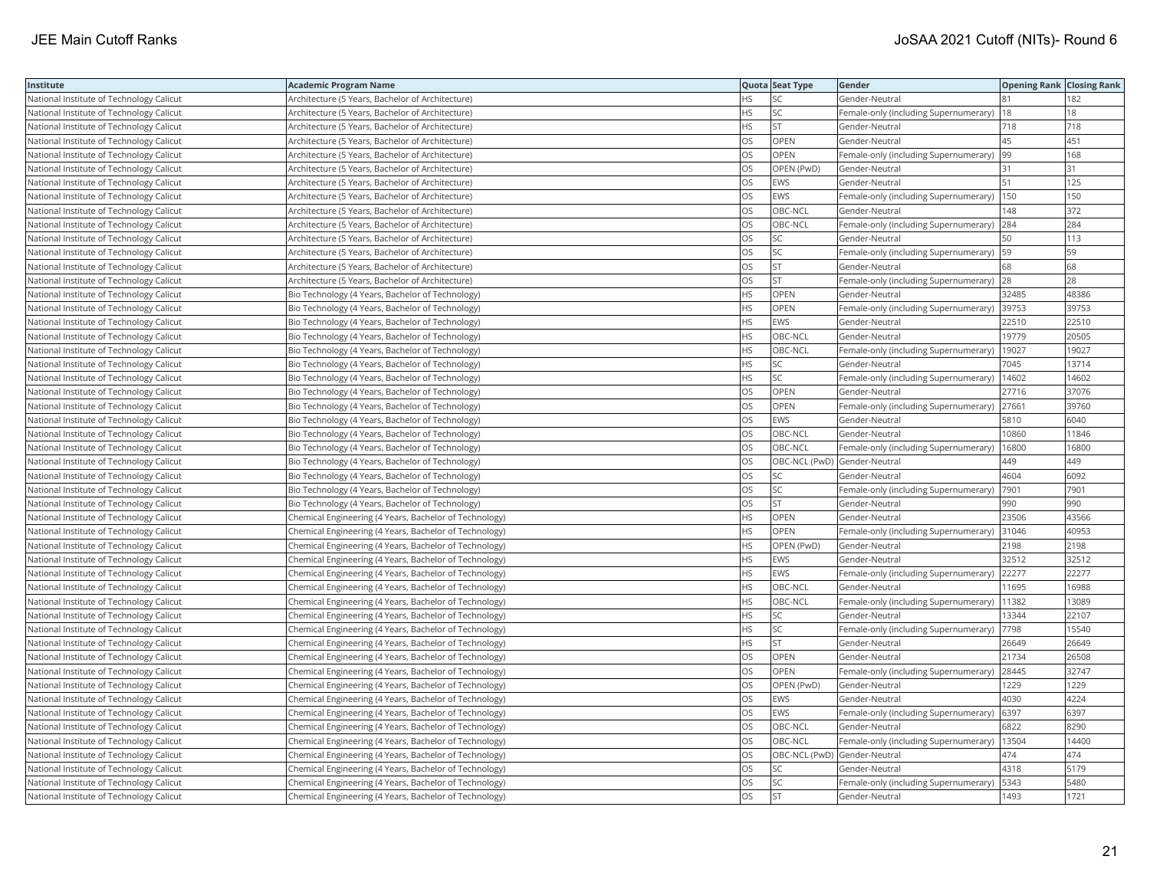| Institute                                | <b>Academic Program Name</b>                           |           | Quota Seat Type              | Gender                                        | <b>Opening Rank   Closing Rank</b> |       |
|------------------------------------------|--------------------------------------------------------|-----------|------------------------------|-----------------------------------------------|------------------------------------|-------|
| National Institute of Technology Calicut | Architecture (5 Years, Bachelor of Architecture)       | ΗS        | SC                           | Gender-Neutral                                | 81                                 | 182   |
| National Institute of Technology Calicut | Architecture (5 Years, Bachelor of Architecture)       | HS        | SC                           | Female-only (including Supernumerary)         | 18                                 | 18    |
| National Institute of Technology Calicut | Architecture (5 Years, Bachelor of Architecture)       | <b>HS</b> | <b>ST</b>                    | Gender-Neutral                                | 718                                | 718   |
| National Institute of Technology Calicut | Architecture (5 Years, Bachelor of Architecture)       | OS        | OPEN                         | Gender-Neutral                                | 45                                 | 451   |
| National Institute of Technology Calicut | Architecture (5 Years, Bachelor of Architecture)       | OS        | OPEN                         | Female-only (including Supernumerary)         | 99                                 | 168   |
| National Institute of Technology Calicut | Architecture (5 Years, Bachelor of Architecture)       | OS        | OPEN (PwD)                   | Gender-Neutral                                | 31                                 | 31    |
| National Institute of Technology Calicut | Architecture (5 Years, Bachelor of Architecture)       | OS        | EWS                          | Gender-Neutral                                | 51                                 | 125   |
| National Institute of Technology Calicut | Architecture (5 Years, Bachelor of Architecture)       | OS        | <b>EWS</b>                   | Female-only (including Supernumerary)         | 150                                | 150   |
| National Institute of Technology Calicut | Architecture (5 Years, Bachelor of Architecture)       | OS        | OBC-NCL                      | Gender-Neutral                                | 148                                | 372   |
| National Institute of Technology Calicut | Architecture (5 Years, Bachelor of Architecture)       | OS        | OBC-NCL                      | Female-only (including Supernumerary) 284     |                                    | 284   |
| National Institute of Technology Calicut | Architecture (5 Years, Bachelor of Architecture)       | <b>OS</b> | <b>SC</b>                    | Gender-Neutral                                | 150                                | 113   |
| National Institute of Technology Calicut | Architecture (5 Years, Bachelor of Architecture)       | OS        | SC                           | Female-only (including Supernumerary)   59    |                                    | 59    |
| National Institute of Technology Calicut | Architecture (5 Years, Bachelor of Architecture)       | OS        | <b>ST</b>                    | Gender-Neutral                                | 68                                 | 68    |
| National Institute of Technology Calicut | Architecture (5 Years, Bachelor of Architecture)       | OS        | <b>ST</b>                    | Female-only (including Supernumerary) 28      |                                    | 28    |
| National Institute of Technology Calicut | Bio Technology (4 Years, Bachelor of Technology)       | HS        | OPEN                         | Gender-Neutral                                | 32485                              | 48386 |
| National Institute of Technology Calicut | Bio Technology (4 Years, Bachelor of Technology)       | HS        | OPEN                         | Female-only (including Supernumerary)         | 39753                              | 39753 |
| National Institute of Technology Calicut | Bio Technology (4 Years, Bachelor of Technology)       | HS        | EWS                          | Gender-Neutral                                | 22510                              | 22510 |
| National Institute of Technology Calicut | Bio Technology (4 Years, Bachelor of Technology)       | HS        | OBC-NCL                      | Gender-Neutral                                | 19779                              | 20505 |
| National Institute of Technology Calicut | Bio Technology (4 Years, Bachelor of Technology)       | <b>HS</b> | OBC-NCL                      | Female-only (including Supernumerary)         | 19027                              | 19027 |
| National Institute of Technology Calicut | Bio Technology (4 Years, Bachelor of Technology)       | HS        | SC                           | Gender-Neutral                                | 7045                               | 13714 |
| National Institute of Technology Calicut | Bio Technology (4 Years, Bachelor of Technology)       | HS        | <b>SC</b>                    | Female-only (including Supernumerary)         | 14602                              | 14602 |
| National Institute of Technology Calicut | Bio Technology (4 Years, Bachelor of Technology)       | OS        | OPEN                         | Gender-Neutral                                | 27716                              | 37076 |
| National Institute of Technology Calicut | Bio Technology (4 Years, Bachelor of Technology)       | OS        | OPEN                         | Female-only (including Supernumerary) 27661   |                                    | 39760 |
| National Institute of Technology Calicut | Bio Technology (4 Years, Bachelor of Technology)       | OS        | <b>EWS</b>                   | Gender-Neutral                                | 5810                               | 6040  |
| National Institute of Technology Calicut | Bio Technology (4 Years, Bachelor of Technology)       | OS        | OBC-NCL                      | Gender-Neutral                                | 10860                              | 11846 |
| National Institute of Technology Calicut | Bio Technology (4 Years, Bachelor of Technology)       | OS        | OBC-NCL                      | Female-only (including Supernumerary)         | 16800                              | 16800 |
| National Institute of Technology Calicut | Bio Technology (4 Years, Bachelor of Technology)       | OS        | OBC-NCL (PwD) Gender-Neutral |                                               | 449                                | 449   |
| National Institute of Technology Calicut | Bio Technology (4 Years, Bachelor of Technology)       | OS        | SC                           | Gender-Neutral                                | 4604                               | 6092  |
| National Institute of Technology Calicut | Bio Technology (4 Years, Bachelor of Technology)       | OS        | SC                           | Female-only (including Supernumerary)         | 7901                               | 7901  |
| National Institute of Technology Calicut | Bio Technology (4 Years, Bachelor of Technology)       | OS        | <b>ST</b>                    | Gender-Neutral                                | 990                                | 990   |
| National Institute of Technology Calicut | Chemical Engineering (4 Years, Bachelor of Technology) | <b>HS</b> | OPEN                         | Gender-Neutral                                | 23506                              | 43566 |
| National Institute of Technology Calicut | Chemical Engineering (4 Years, Bachelor of Technology) | ΗS        | OPEN                         | Female-only (including Supernumerary)         | 31046                              | 40953 |
| National Institute of Technology Calicut | Chemical Engineering (4 Years, Bachelor of Technology) | HS        | OPEN (PwD)                   | Gender-Neutral                                | 2198                               | 2198  |
| National Institute of Technology Calicut | Chemical Engineering (4 Years, Bachelor of Technology) | HS        | <b>EWS</b>                   | Gender-Neutral                                | 32512                              | 32512 |
| National Institute of Technology Calicut | Chemical Engineering (4 Years, Bachelor of Technology) | НS        | <b>EWS</b>                   | Female-only (including Supernumerary)         | 22277                              | 22277 |
| National Institute of Technology Calicut | Chemical Engineering (4 Years, Bachelor of Technology) | HS        | OBC-NCL                      | Gender-Neutral                                | 11695                              | 16988 |
| National Institute of Technology Calicut | Chemical Engineering (4 Years, Bachelor of Technology) | HS        | OBC-NCL                      | Female-only (including Supernumerary)         | 11382                              | 13089 |
| National Institute of Technology Calicut | Chemical Engineering (4 Years, Bachelor of Technology) | HS        | SC                           | Gender-Neutral                                | 13344                              | 22107 |
| National Institute of Technology Calicut | Chemical Engineering (4 Years, Bachelor of Technology) | ΗS        | <b>SC</b>                    | Female-only (including Supernumerary)  7798   |                                    | 15540 |
| National Institute of Technology Calicut | Chemical Engineering (4 Years, Bachelor of Technology) | <b>HS</b> | <b>ST</b>                    | Gender-Neutral                                | 26649                              | 26649 |
| National Institute of Technology Calicut | Chemical Engineering (4 Years, Bachelor of Technology) | OS        | OPEN                         | Gender-Neutral                                | 21734                              | 26508 |
| National Institute of Technology Calicut | Chemical Engineering (4 Years, Bachelor of Technology) | OS        | OPEN                         | Female-only (including Supernumerary) 28445   |                                    | 32747 |
| National Institute of Technology Calicut | Chemical Engineering (4 Years, Bachelor of Technology) | OS        | OPEN (PwD)                   | Gender-Neutral                                | 1229                               | 1229  |
| National Institute of Technology Calicut | Chemical Engineering (4 Years, Bachelor of Technology) | OS        | <b>EWS</b>                   | Gender-Neutral                                | 4030                               | 4224  |
| National Institute of Technology Calicut | Chemical Engineering (4 Years, Bachelor of Technology) | OS        | <b>EWS</b>                   | Female-only (including Supernumerary)         | 6397                               | 6397  |
| National Institute of Technology Calicut | Chemical Engineering (4 Years, Bachelor of Technology) | OS        | OBC-NCL                      | Gender-Neutral                                | 6822                               | 8290  |
| National Institute of Technology Calicut | Chemical Engineering (4 Years, Bachelor of Technology) | OS        | OBC-NCL                      | Female-only (including Supernumerary)   13504 |                                    | 14400 |
| National Institute of Technology Calicut | Chemical Engineering (4 Years, Bachelor of Technology) | OS        | OBC-NCL (PwD) Gender-Neutral |                                               | 474                                | 474   |
| National Institute of Technology Calicut | Chemical Engineering (4 Years, Bachelor of Technology) | OS        | SC                           | Gender-Neutral                                | 4318                               | 5179  |
| National Institute of Technology Calicut | Chemical Engineering (4 Years, Bachelor of Technology) | OS        | SC                           | Female-only (including Supernumerary)         | 5343                               | 5480  |
| National Institute of Technology Calicut | Chemical Engineering (4 Years, Bachelor of Technology) | <b>OS</b> | <b>ST</b>                    | Gender-Neutral                                | 1493                               | 1721  |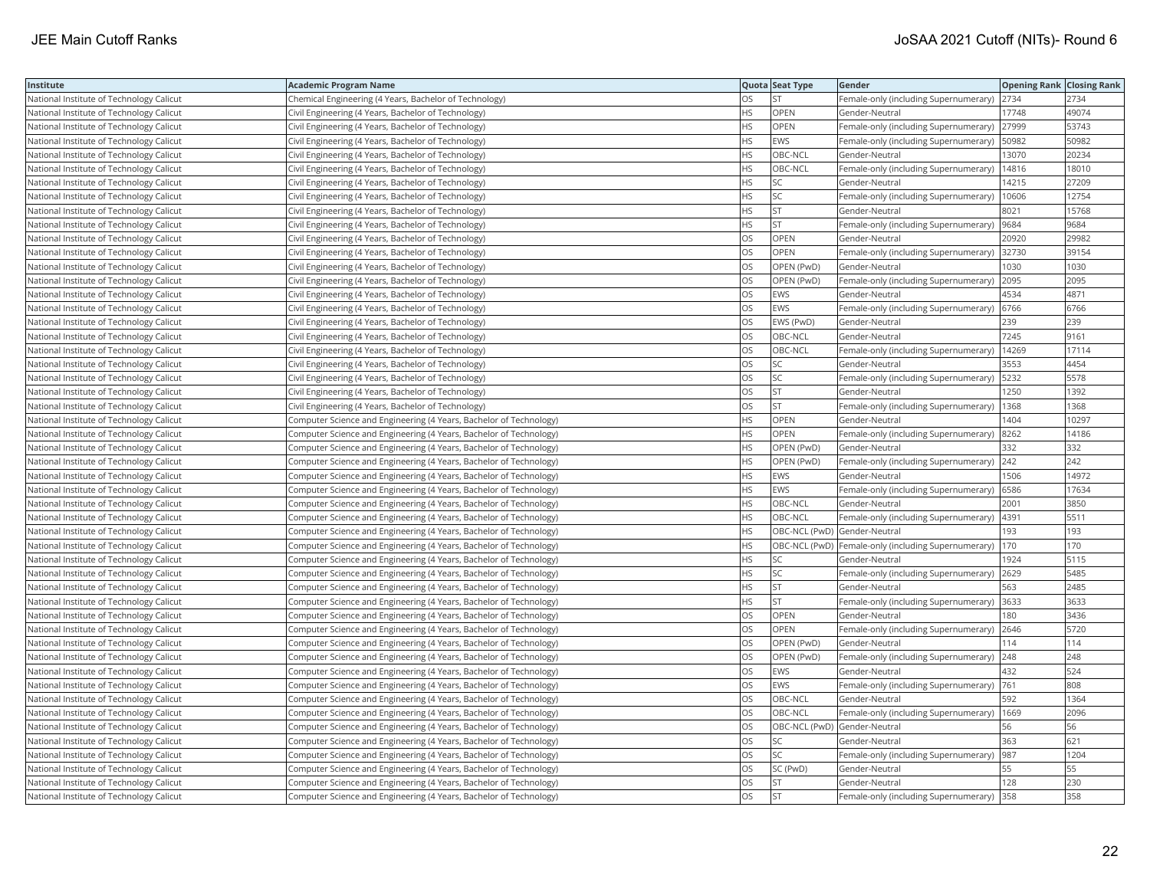| Institute                                | <b>Academic Program Name</b>                                       |           | Quota Seat Type              | Gender                                                | <b>Opening Rank Closing Rank</b> |       |
|------------------------------------------|--------------------------------------------------------------------|-----------|------------------------------|-------------------------------------------------------|----------------------------------|-------|
| National Institute of Technology Calicut | Chemical Engineering (4 Years, Bachelor of Technology)             | OS        | <b>ST</b>                    | Female-only (including Supernumerary)                 | 2734                             | 2734  |
| National Institute of Technology Calicut | Civil Engineering (4 Years, Bachelor of Technology)                | <b>HS</b> | OPEN                         | Gender-Neutral                                        | 17748                            | 49074 |
| National Institute of Technology Calicut | Civil Engineering (4 Years, Bachelor of Technology)                | <b>HS</b> | OPEN                         | Female-only (including Supernumerary)                 | 27999                            | 53743 |
| National Institute of Technology Calicut | Civil Engineering (4 Years, Bachelor of Technology)                | <b>HS</b> | <b>EWS</b>                   | Female-only (including Supernumerary)                 | 50982                            | 50982 |
| National Institute of Technology Calicut | Civil Engineering (4 Years, Bachelor of Technology)                | HS        | OBC-NCL                      | Gender-Neutral                                        | 13070                            | 20234 |
| National Institute of Technology Calicut | Civil Engineering (4 Years, Bachelor of Technology)                | ΗS        | OBC-NCL                      | Female-only (including Supernumerary)   14816         |                                  | 18010 |
| National Institute of Technology Calicut | Civil Engineering (4 Years, Bachelor of Technology)                | ΗS        | SC                           | Gender-Neutral                                        | 14215                            | 27209 |
| National Institute of Technology Calicut | Civil Engineering (4 Years, Bachelor of Technology)                | HS        | SC                           | Female-only (including Supernumerary)                 | 10606                            | 12754 |
| National Institute of Technology Calicut | Civil Engineering (4 Years, Bachelor of Technology)                | HS        | <b>ST</b>                    | Gender-Neutral                                        | 8021                             | 15768 |
| National Institute of Technology Calicut | Civil Engineering (4 Years, Bachelor of Technology)                | HS        | <b>ST</b>                    | Female-only (including Supernumerary)                 | 9684                             | 9684  |
| National Institute of Technology Calicut | Civil Engineering (4 Years, Bachelor of Technology)                | OS        | OPEN                         | Gender-Neutral                                        | 20920                            | 29982 |
| National Institute of Technology Calicut | Civil Engineering (4 Years, Bachelor of Technology)                | OS        | <b>OPEN</b>                  | Female-only (including Supernumerary)                 | 32730                            | 39154 |
| National Institute of Technology Calicut | Civil Engineering (4 Years, Bachelor of Technology)                | OS        | OPEN (PwD)                   | Gender-Neutral                                        | 1030                             | 1030  |
| National Institute of Technology Calicut | Civil Engineering (4 Years, Bachelor of Technology)                | OS        | OPEN (PwD)                   | Female-only (including Supernumerary) 2095            |                                  | 2095  |
| National Institute of Technology Calicut | Civil Engineering (4 Years, Bachelor of Technology)                | OS        | <b>EWS</b>                   | Gender-Neutral                                        | 4534                             | 4871  |
| National Institute of Technology Calicut | Civil Engineering (4 Years, Bachelor of Technology)                | OS        | EWS                          | Female-only (including Supernumerary)  6766           |                                  | 6766  |
| National Institute of Technology Calicut | Civil Engineering (4 Years, Bachelor of Technology)                | OS        | EWS (PwD)                    | Gender-Neutral                                        | 239                              | 239   |
| National Institute of Technology Calicut | Civil Engineering (4 Years, Bachelor of Technology)                | OS        | OBC-NCL                      | Gender-Neutral                                        | 7245                             | 9161  |
| National Institute of Technology Calicut | Civil Engineering (4 Years, Bachelor of Technology)                | OS        | OBC-NCL                      | Female-only (including Supernumerary)                 | 14269                            | 17114 |
| National Institute of Technology Calicut | Civil Engineering (4 Years, Bachelor of Technology)                | OS        | <b>SC</b>                    | Gender-Neutral                                        | 3553                             | 4454  |
| National Institute of Technology Calicut | Civil Engineering (4 Years, Bachelor of Technology)                | OS        | SC                           | Female-only (including Supernumerary)   5232          |                                  | 5578  |
| National Institute of Technology Calicut | Civil Engineering (4 Years, Bachelor of Technology)                | OS        | <b>ST</b>                    | Gender-Neutral                                        | 1250                             | 1392  |
| National Institute of Technology Calicut | Civil Engineering (4 Years, Bachelor of Technology)                | OS        | <b>ST</b>                    | Female-only (including Supernumerary)   1368          |                                  | 1368  |
| National Institute of Technology Calicut | Computer Science and Engineering (4 Years, Bachelor of Technology) | HS        | OPEN                         | Gender-Neutral                                        | 1404                             | 10297 |
| National Institute of Technology Calicut | Computer Science and Engineering (4 Years, Bachelor of Technology) | ΗS        | OPEN                         | Female-only (including Supernumerary)                 | 8262                             | 14186 |
| National Institute of Technology Calicut | Computer Science and Engineering (4 Years, Bachelor of Technology) | HS        | OPEN (PwD)                   | Gender-Neutral                                        | 332                              | 332   |
| National Institute of Technology Calicut | Computer Science and Engineering (4 Years, Bachelor of Technology) | <b>HS</b> | OPEN (PwD)                   | Female-only (including Supernumerary) 242             |                                  | 242   |
| National Institute of Technology Calicut | Computer Science and Engineering (4 Years, Bachelor of Technology) | <b>HS</b> | <b>EWS</b>                   | Gender-Neutral                                        | 1506                             | 14972 |
| National Institute of Technology Calicut | Computer Science and Engineering (4 Years, Bachelor of Technology) | HS        | <b>EWS</b>                   | Female-only (including Supernumerary) 6586            |                                  | 17634 |
| National Institute of Technology Calicut | Computer Science and Engineering (4 Years, Bachelor of Technology) | HS        | OBC-NCL                      | Gender-Neutral                                        | 2001                             | 3850  |
| National Institute of Technology Calicut | Computer Science and Engineering (4 Years, Bachelor of Technology) | HS        | OBC-NCL                      | Female-only (including Supernumerary)   4391          |                                  | 5511  |
| National Institute of Technology Calicut | Computer Science and Engineering (4 Years, Bachelor of Technology) | ΗS        |                              | OBC-NCL (PwD) Gender-Neutral                          | 193                              | 193   |
| National Institute of Technology Calicut | Computer Science and Engineering (4 Years, Bachelor of Technology) | HS        |                              | OBC-NCL (PwD)   Female-only (including Supernumerary) | 170                              | 170   |
| National Institute of Technology Calicut | Computer Science and Engineering (4 Years, Bachelor of Technology) | HS        | SC                           | Gender-Neutral                                        | 1924                             | 5115  |
| National Institute of Technology Calicut | Computer Science and Engineering (4 Years, Bachelor of Technology) | HS        | SC                           | Female-only (including Supernumerary) 2629            |                                  | 5485  |
| National Institute of Technology Calicut | Computer Science and Engineering (4 Years, Bachelor of Technology) | <b>HS</b> | <b>ST</b>                    | Gender-Neutral                                        | 563                              | 2485  |
| National Institute of Technology Calicut | Computer Science and Engineering (4 Years, Bachelor of Technology) | HS        | <b>ST</b>                    | Female-only (including Supernumerary) 3633            |                                  | 3633  |
| National Institute of Technology Calicut | Computer Science and Engineering (4 Years, Bachelor of Technology) | OS        | OPEN                         | Gender-Neutral                                        | 180                              | 3436  |
| National Institute of Technology Calicut | Computer Science and Engineering (4 Years, Bachelor of Technology) | OS        | OPEN                         | Female-only (including Supernumerary) 2646            |                                  | 5720  |
| National Institute of Technology Calicut | Computer Science and Engineering (4 Years, Bachelor of Technology) | OS        | OPEN (PwD)                   | Gender-Neutral                                        | 114                              | 114   |
| National Institute of Technology Calicut | Computer Science and Engineering (4 Years, Bachelor of Technology) | OS        | OPEN (PwD)                   | Female-only (including Supernumerary)                 | 248                              | 248   |
| National Institute of Technology Calicut | Computer Science and Engineering (4 Years, Bachelor of Technology) | OS        | EWS                          | Gender-Neutral                                        | 432                              | 524   |
| National Institute of Technology Calicut | Computer Science and Engineering (4 Years, Bachelor of Technology) | OS        | <b>EWS</b>                   | Female-only (including Supernumerary)                 | 761                              | 808   |
| National Institute of Technology Calicut | Computer Science and Engineering (4 Years, Bachelor of Technology) | OS        | OBC-NCL                      | Gender-Neutral                                        | 592                              | 1364  |
| National Institute of Technology Calicut | Computer Science and Engineering (4 Years, Bachelor of Technology) | OS        | OBC-NCL                      | Female-only (including Supernumerary)                 | 1669                             | 2096  |
| National Institute of Technology Calicut | Computer Science and Engineering (4 Years, Bachelor of Technology) | OS        | OBC-NCL (PwD) Gender-Neutral |                                                       | 56                               | 56    |
| National Institute of Technology Calicut | Computer Science and Engineering (4 Years, Bachelor of Technology) | OS        | SC                           | Gender-Neutral                                        | 363                              | 621   |
| National Institute of Technology Calicut | Computer Science and Engineering (4 Years, Bachelor of Technology) | OS        | SC                           | Female-only (including Supernumerary)   987           |                                  | 1204  |
| National Institute of Technology Calicut | Computer Science and Engineering (4 Years, Bachelor of Technology) | OS        | SC (PwD)                     | Gender-Neutral                                        | 55                               | 55    |
| National Institute of Technology Calicut | Computer Science and Engineering (4 Years, Bachelor of Technology) | OS        | <b>ST</b>                    | Gender-Neutral                                        | 128                              | 230   |
| National Institute of Technology Calicut | Computer Science and Engineering (4 Years, Bachelor of Technology) | <b>OS</b> | <b>ST</b>                    | Female-only (including Supernumerary) 358             |                                  | 358   |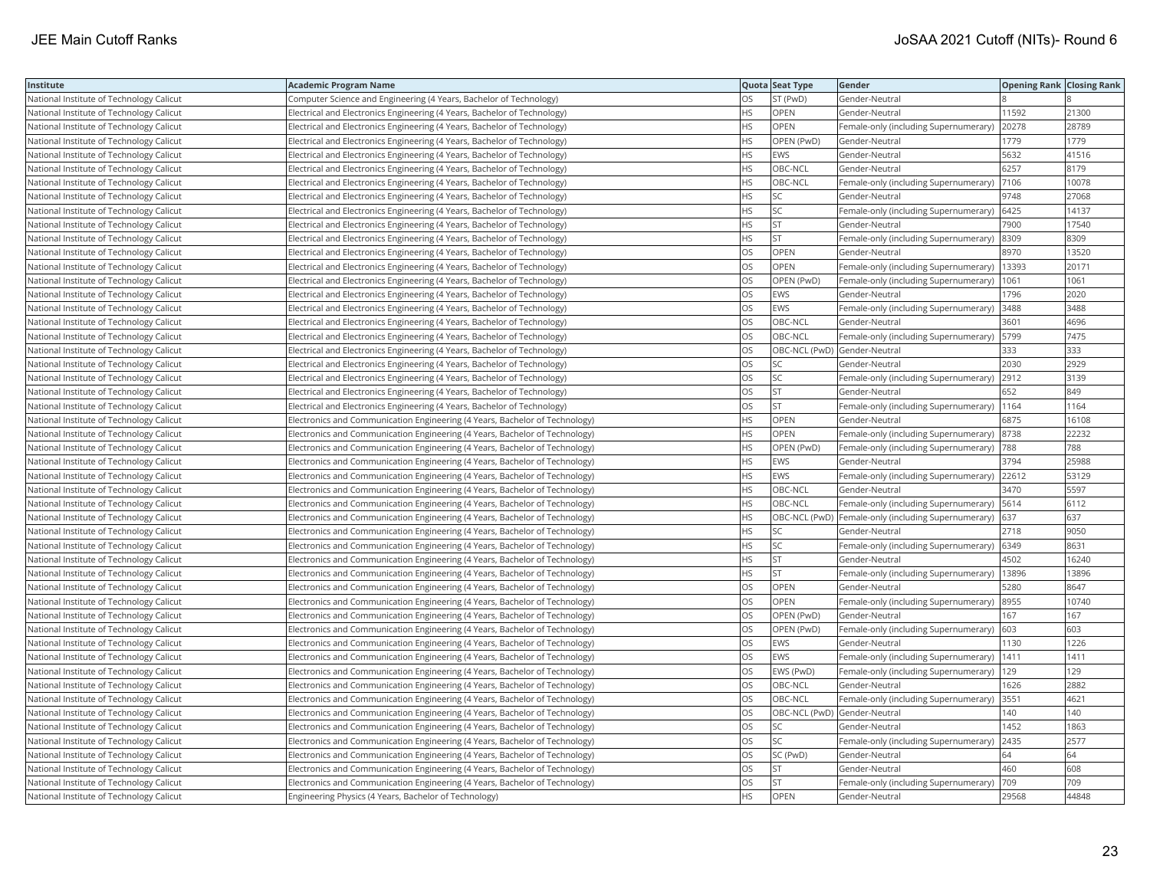| Institute                                | Academic Program Name                                                        |           | Quota Seat Type              | Gender                                                    | <b>Opening Rank   Closing Rank</b> |       |
|------------------------------------------|------------------------------------------------------------------------------|-----------|------------------------------|-----------------------------------------------------------|------------------------------------|-------|
| National Institute of Technology Calicut | Computer Science and Engineering (4 Years, Bachelor of Technology)           | OS        | ST (PwD)                     | Gender-Neutral                                            |                                    |       |
| National Institute of Technology Calicut | Electrical and Electronics Engineering (4 Years, Bachelor of Technology)     | <b>HS</b> | OPEN                         | Gender-Neutral                                            | 11592                              | 21300 |
| National Institute of Technology Calicut | Electrical and Electronics Engineering (4 Years, Bachelor of Technology)     | <b>HS</b> | OPEN                         | Female-only (including Supernumerary)                     | 20278                              | 28789 |
| National Institute of Technology Calicut | Electrical and Electronics Engineering (4 Years, Bachelor of Technology)     | HS        | OPEN (PwD)                   | Gender-Neutral                                            | 1779                               | 1779  |
| National Institute of Technology Calicut | Electrical and Electronics Engineering (4 Years, Bachelor of Technology)     | HS        | <b>EWS</b>                   | Gender-Neutral                                            | 5632                               | 41516 |
| National Institute of Technology Calicut | Electrical and Electronics Engineering (4 Years, Bachelor of Technology)     | HS        | OBC-NCL                      | Gender-Neutral                                            | 6257                               | 8179  |
| National Institute of Technology Calicut | Electrical and Electronics Engineering (4 Years, Bachelor of Technology)     | HS        | OBC-NCL                      | Female-only (including Supernumerary)                     | 7106                               | 10078 |
| National Institute of Technology Calicut | Electrical and Electronics Engineering (4 Years, Bachelor of Technology)     | HS        | <b>SC</b>                    | Gender-Neutral                                            | 9748                               | 27068 |
| National Institute of Technology Calicut | Electrical and Electronics Engineering (4 Years, Bachelor of Technology)     | HS        | SC                           | Female-only (including Supernumerary)                     | 6425                               | 14137 |
| National Institute of Technology Calicut | Electrical and Electronics Engineering (4 Years, Bachelor of Technology)     | <b>HS</b> | ST                           | Gender-Neutral                                            | 7900                               | 17540 |
| National Institute of Technology Calicut | Electrical and Electronics Engineering (4 Years, Bachelor of Technology)     | <b>HS</b> | <b>ST</b>                    | Female-only (including Supernumerary)                     | 8309                               | 8309  |
| National Institute of Technology Calicut | Electrical and Electronics Engineering (4 Years, Bachelor of Technology)     | OS        | OPEN                         | Gender-Neutral                                            | 8970                               | 13520 |
| National Institute of Technology Calicut | Electrical and Electronics Engineering (4 Years, Bachelor of Technology)     | OS.       | <b>OPEN</b>                  | Female-only (including Supernumerary)   13393             |                                    | 20171 |
| National Institute of Technology Calicut | Electrical and Electronics Engineering (4 Years, Bachelor of Technology)     | OS        | OPEN (PwD)                   | Female-only (including Supernumerary)                     | 1061                               | 1061  |
| National Institute of Technology Calicut | Electrical and Electronics Engineering (4 Years, Bachelor of Technology)     | OS        | <b>EWS</b>                   | Gender-Neutral                                            | 1796                               | 2020  |
| National Institute of Technology Calicut | Electrical and Electronics Engineering (4 Years, Bachelor of Technology)     | OS.       | <b>EWS</b>                   | Female-only (including Supernumerary)                     | 3488                               | 3488  |
| National Institute of Technology Calicut | Electrical and Electronics Engineering (4 Years, Bachelor of Technology)     | OS        | OBC-NCL                      | Gender-Neutral                                            | 3601                               | 4696  |
| National Institute of Technology Calicut | Electrical and Electronics Engineering (4 Years, Bachelor of Technology)     | OS        | OBC-NCL                      | Female-only (including Supernumerary)                     | 5799                               | 7475  |
| National Institute of Technology Calicut | Electrical and Electronics Engineering (4 Years, Bachelor of Technology)     | OS.       | OBC-NCL (PwD) Gender-Neutral |                                                           | 333                                | 333   |
| National Institute of Technology Calicut | Electrical and Electronics Engineering (4 Years, Bachelor of Technology)     | OS        | SC                           | Gender-Neutral                                            | 2030                               | 2929  |
| National Institute of Technology Calicut | Electrical and Electronics Engineering (4 Years, Bachelor of Technology)     | OS        | SC                           | Female-only (including Supernumerary) 2912                |                                    | 3139  |
| National Institute of Technology Calicut | Electrical and Electronics Engineering (4 Years, Bachelor of Technology)     | OS        | <b>ST</b>                    | Gender-Neutral                                            | 652                                | 849   |
| National Institute of Technology Calicut | Electrical and Electronics Engineering (4 Years, Bachelor of Technology)     | OS        | <b>ST</b>                    | Female-only (including Supernumerary)   1164              |                                    | 1164  |
| National Institute of Technology Calicut | Electronics and Communication Engineering (4 Years, Bachelor of Technology)  | HS        | <b>OPEN</b>                  | Gender-Neutral                                            | 6875                               | 16108 |
| National Institute of Technology Calicut | Electronics and Communication Engineering (4 Years, Bachelor of Technology)  | HS        | OPEN                         | Female-only (including Supernumerary)                     | 8738                               | 22232 |
| National Institute of Technology Calicut | Electronics and Communication Engineering (4 Years, Bachelor of Technology)  | HS        | OPEN (PwD)                   | Female-only (including Supernumerary)                     | 788                                | 788   |
| National Institute of Technology Calicut | Electronics and Communication Engineering (4 Years, Bachelor of Technology)  | HS.       | <b>EWS</b>                   | Gender-Neutral                                            | 3794                               | 25988 |
| National Institute of Technology Calicut | Electronics and Communication Engineering (4 Years, Bachelor of Technology)  | HS        | EWS                          | Female-only (including Supernumerary) 22612               |                                    | 53129 |
| National Institute of Technology Calicut | Electronics and Communication Engineering (4 Years, Bachelor of Technology)  | HS        | OBC-NCL                      | Gender-Neutral                                            | 3470                               | 5597  |
| National Institute of Technology Calicut | Electronics and Communication Engineering (4 Years, Bachelor of Technology)  | НS        | OBC-NCL                      | Female-only (including Supernumerary)   5614              |                                    | 6112  |
| National Institute of Technology Calicut | Electronics and Communication Engineering (4 Years, Bachelor of Technology)  | HS        |                              | OBC-NCL (PwD)  Female-only (including Supernumerary)  637 |                                    | 637   |
| National Institute of Technology Calicut | Electronics and Communication Engineering (4 Years, Bachelor of Technology)  | HS        | SC                           | Gender-Neutral                                            | 2718                               | 9050  |
| National Institute of Technology Calicut | Electronics and Communication Engineering (4 Years, Bachelor of Technology)  | HS        | SC                           | Female-only (including Supernumerary)                     | 6349                               | 8631  |
| National Institute of Technology Calicut | Electronics and Communication Engineering (4 Years, Bachelor of Technology)  | HS        | <b>ST</b>                    | Gender-Neutral                                            | 4502                               | 16240 |
| National Institute of Technology Calicut | Electronics and Communication Engineering (4 Years, Bachelor of Technology)  | HS.       | <b>ST</b>                    | Female-only (including Supernumerary)   13896             |                                    | 13896 |
| National Institute of Technology Calicut | Electronics and Communication Engineering (4 Years, Bachelor of Technology)  | OS.       | <b>OPEN</b>                  | Gender-Neutral                                            | 5280                               | 8647  |
| National Institute of Technology Calicut | [Electronics and Communication Engineering (4 Years, Bachelor of Technology) | OS        | OPEN                         | Female-only (including Supernumerary)  8955               |                                    | 10740 |
| National Institute of Technology Calicut | Electronics and Communication Engineering (4 Years, Bachelor of Technology)  | OS        | OPEN (PwD)                   | Gender-Neutral                                            | 167                                | 167   |
| National Institute of Technology Calicut | Electronics and Communication Engineering (4 Years, Bachelor of Technology)  | OS.       | OPEN (PwD)                   | Female-only (including Supernumerary)                     | 603                                | 603   |
| National Institute of Technology Calicut | Electronics and Communication Engineering (4 Years, Bachelor of Technology)  | OS        | <b>EWS</b>                   | Gender-Neutral                                            | 1130                               | 1226  |
| National Institute of Technology Calicut | Electronics and Communication Engineering (4 Years, Bachelor of Technology)  | OS.       | <b>EWS</b>                   | Female-only (including Supernumerary)   1411              |                                    | 1411  |
| National Institute of Technology Calicut | Electronics and Communication Engineering (4 Years, Bachelor of Technology)  | OS        | EWS (PwD)                    | Female-only (including Supernumerary)                     | 129                                | 129   |
| National Institute of Technology Calicut | Electronics and Communication Engineering (4 Years, Bachelor of Technology)  | OS        | OBC-NCL                      | Gender-Neutral                                            | 1626                               | 2882  |
| National Institute of Technology Calicut | Electronics and Communication Engineering (4 Years, Bachelor of Technology)  | OS        | OBC-NCL                      | Female-only (including Supernumerary)                     | 3551                               | 4621  |
| National Institute of Technology Calicut | Electronics and Communication Engineering (4 Years, Bachelor of Technology)  | OS        |                              | OBC-NCL (PwD) Gender-Neutral                              | 140                                | 140   |
| National Institute of Technology Calicut | Electronics and Communication Engineering (4 Years, Bachelor of Technology)  | OS        | SC                           | Gender-Neutral                                            | 1452                               | 1863  |
| National Institute of Technology Calicut | Electronics and Communication Engineering (4 Years, Bachelor of Technology)  | OS.       | <b>SC</b>                    | Female-only (including Supernumerary)                     | 2435                               | 2577  |
| National Institute of Technology Calicut | Electronics and Communication Engineering (4 Years, Bachelor of Technology)  | OS        | SC (PwD)                     | Gender-Neutral                                            | 64                                 | 64    |
| National Institute of Technology Calicut | Electronics and Communication Engineering (4 Years, Bachelor of Technology)  | OS        | <b>ST</b>                    | Gender-Neutral                                            | 460                                | 608   |
| National Institute of Technology Calicut | Electronics and Communication Engineering (4 Years, Bachelor of Technology)  | OS.       | <b>ST</b>                    | Female-only (including Supernumerary)                     | 709                                | 709   |
| National Institute of Technology Calicut | Engineering Physics (4 Years, Bachelor of Technology)                        | <b>HS</b> | <b>OPEN</b>                  | Gender-Neutral                                            | 29568                              | 44848 |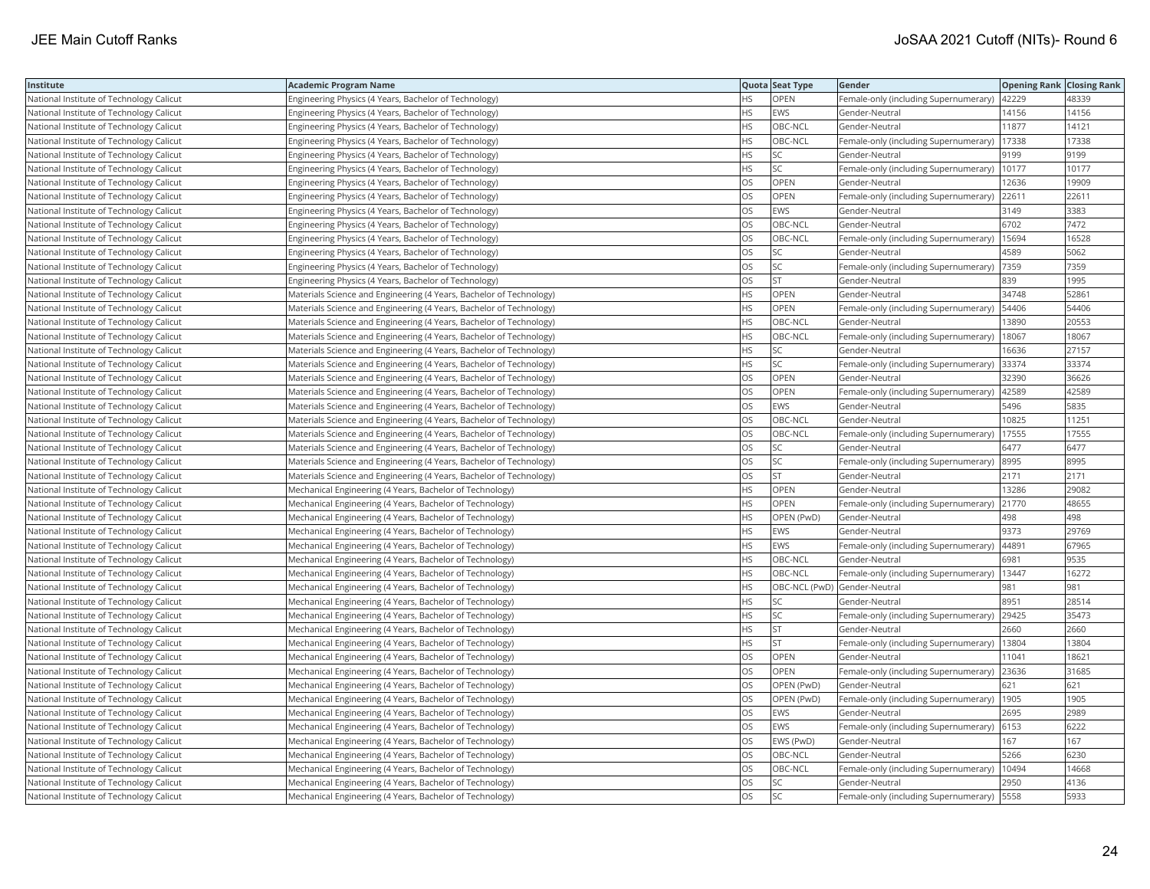| Institute                                | <b>Academic Program Name</b>                                        |           | Quota Seat Type | Gender                                        | <b>Opening Rank Closing Rank</b> |       |
|------------------------------------------|---------------------------------------------------------------------|-----------|-----------------|-----------------------------------------------|----------------------------------|-------|
| National Institute of Technology Calicut | Engineering Physics (4 Years, Bachelor of Technology)               | НS        | OPEN            | Female-only (including Supernumerary)   42229 |                                  | 48339 |
| National Institute of Technology Calicut | Engineering Physics (4 Years, Bachelor of Technology)               | HS.       | <b>EWS</b>      | Gender-Neutral                                | 14156                            | 14156 |
| National Institute of Technology Calicut | Engineering Physics (4 Years, Bachelor of Technology)               | <b>HS</b> | OBC-NCL         | Gender-Neutral                                | 11877                            | 14121 |
| National Institute of Technology Calicut | Engineering Physics (4 Years, Bachelor of Technology)               | <b>HS</b> | OBC-NCL         | Female-only (including Supernumerary)         | 17338                            | 17338 |
| National Institute of Technology Calicut | Engineering Physics (4 Years, Bachelor of Technology)               | <b>HS</b> | <b>SC</b>       | Gender-Neutral                                | 9199                             | 9199  |
| National Institute of Technology Calicut | Engineering Physics (4 Years, Bachelor of Technology)               | HS        | SC              | Female-only (including Supernumerary)   10177 |                                  | 10177 |
| National Institute of Technology Calicut | Engineering Physics (4 Years, Bachelor of Technology)               | OS        | OPEN            | Gender-Neutral                                | 12636                            | 19909 |
| National Institute of Technology Calicut | Engineering Physics (4 Years, Bachelor of Technology)               | OS        | OPEN            | Female-only (including Supernumerary) 22611   |                                  | 22611 |
| National Institute of Technology Calicut | Engineering Physics (4 Years, Bachelor of Technology)               | OS        | <b>EWS</b>      | Gender-Neutral                                | 3149                             | 3383  |
| National Institute of Technology Calicut | Engineering Physics (4 Years, Bachelor of Technology)               | OS        | OBC-NCL         | Gender-Neutral                                | 6702                             | 7472  |
| National Institute of Technology Calicut | Engineering Physics (4 Years, Bachelor of Technology)               | OS        | OBC-NCL         | Female-only (including Supernumerary)         | 15694                            | 16528 |
| National Institute of Technology Calicut | Engineering Physics (4 Years, Bachelor of Technology)               | OS        | <b>SC</b>       | Gender-Neutral                                | 4589                             | 5062  |
| National Institute of Technology Calicut | Engineering Physics (4 Years, Bachelor of Technology)               | OS        | SC              | Female-only (including Supernumerary)         | 7359                             | 7359  |
| National Institute of Technology Calicut | Engineering Physics (4 Years, Bachelor of Technology)               | OS.       | <b>ST</b>       | Gender-Neutral                                | 839                              | 1995  |
| National Institute of Technology Calicut | Materials Science and Engineering (4 Years, Bachelor of Technology) | HS        | OPEN            | Gender-Neutral                                | 34748                            | 52861 |
| National Institute of Technology Calicut | Materials Science and Engineering (4 Years, Bachelor of Technology) | ΗS        | OPEN            | Female-only (including Supernumerary)   54406 |                                  | 54406 |
| National Institute of Technology Calicut | Materials Science and Engineering (4 Years, Bachelor of Technology) | <b>HS</b> | OBC-NCL         | Gender-Neutral                                | 13890                            | 20553 |
| National Institute of Technology Calicut | Materials Science and Engineering (4 Years, Bachelor of Technology) | HS        | OBC-NCL         | Female-only (including Supernumerary)         | 18067                            | 18067 |
| National Institute of Technology Calicut | Materials Science and Engineering (4 Years, Bachelor of Technology) | <b>HS</b> | SC              | Gender-Neutral                                | 16636                            | 27157 |
| National Institute of Technology Calicut | Materials Science and Engineering (4 Years, Bachelor of Technology) | HS        | SC              | Female-only (including Supernumerary)         | 33374                            | 33374 |
| National Institute of Technology Calicut | Materials Science and Engineering (4 Years, Bachelor of Technology) | OS        | OPEN            | Gender-Neutral                                | 32390                            | 36626 |
| National Institute of Technology Calicut | Materials Science and Engineering (4 Years, Bachelor of Technology) | OS        | <b>OPEN</b>     | Female-only (including Supernumerary)         | 42589                            | 42589 |
| National Institute of Technology Calicut | Materials Science and Engineering (4 Years, Bachelor of Technology) | OS        | <b>EWS</b>      | Gender-Neutral                                | 5496                             | 5835  |
| National Institute of Technology Calicut | Materials Science and Engineering (4 Years, Bachelor of Technology) | OS        | OBC-NCL         | Gender-Neutral                                | 10825                            | 11251 |
| National Institute of Technology Calicut | Materials Science and Engineering (4 Years, Bachelor of Technology) | OS        | OBC-NCL         | Female-only (including Supernumerary)         | 17555                            | 17555 |
| National Institute of Technology Calicut | Materials Science and Engineering (4 Years, Bachelor of Technology) | OS.       | SC              | Gender-Neutral                                | 6477                             | 6477  |
| National Institute of Technology Calicut | Materials Science and Engineering (4 Years, Bachelor of Technology) | OS        | <b>SC</b>       | Female-only (including Supernumerary)         | 8995                             | 8995  |
| National Institute of Technology Calicut | Materials Science and Engineering (4 Years, Bachelor of Technology) | OS        | ST              | Gender-Neutral                                | 2171                             | 2171  |
| National Institute of Technology Calicut | Mechanical Engineering (4 Years, Bachelor of Technology)            | <b>HS</b> | OPEN            | Gender-Neutral                                | 13286                            | 29082 |
| National Institute of Technology Calicut | Mechanical Engineering (4 Years, Bachelor of Technology)            | HS        | <b>OPEN</b>     | Female-only (including Supernumerary)         | 21770                            | 48655 |
| National Institute of Technology Calicut | Mechanical Engineering (4 Years, Bachelor of Technology)            | <b>HS</b> | OPEN (PwD)      | Gender-Neutral                                | 498                              | 498   |
| National Institute of Technology Calicut | Mechanical Engineering (4 Years, Bachelor of Technology)            | <b>HS</b> | <b>EWS</b>      | Gender-Neutral                                | 9373                             | 29769 |
| National Institute of Technology Calicut | Mechanical Engineering (4 Years, Bachelor of Technology)            | HS        | <b>EWS</b>      | Female-only (including Supernumerary)   44891 |                                  | 67965 |
| National Institute of Technology Calicut | Mechanical Engineering (4 Years, Bachelor of Technology)            | НS        | OBC-NCL         | Gender-Neutral                                | 6981                             | 9535  |
| National Institute of Technology Calicut | Mechanical Engineering (4 Years, Bachelor of Technology)            | HS        | OBC-NCL         | Female-only (including Supernumerary)         | 13447                            | 16272 |
| National Institute of Technology Calicut | Mechanical Engineering (4 Years, Bachelor of Technology)            | <b>HS</b> |                 | OBC-NCL (PwD) Gender-Neutral                  | 981                              | 981   |
| National Institute of Technology Calicut | Mechanical Engineering (4 Years, Bachelor of Technology)            | HS        | <b>SC</b>       | Gender-Neutral                                | 8951                             | 28514 |
| National Institute of Technology Calicut | Mechanical Engineering (4 Years, Bachelor of Technology)            | HS        | SC              | Female-only (including Supernumerary)         | 29425                            | 35473 |
| National Institute of Technology Calicut | Mechanical Engineering (4 Years, Bachelor of Technology)            | HS        | <b>ST</b>       | Gender-Neutral                                | 2660                             | 2660  |
| National Institute of Technology Calicut | Mechanical Engineering (4 Years, Bachelor of Technology)            | HS        | <b>ST</b>       | Female-only (including Supernumerary)   13804 |                                  | 13804 |
| National Institute of Technology Calicut | Mechanical Engineering (4 Years, Bachelor of Technology)            | OS        | <b>OPEN</b>     | Gender-Neutral                                | 11041                            | 18621 |
| National Institute of Technology Calicut | Mechanical Engineering (4 Years, Bachelor of Technology)            | OS        | OPEN            | Female-only (including Supernumerary) 23636   |                                  | 31685 |
| National Institute of Technology Calicut | Mechanical Engineering (4 Years, Bachelor of Technology)            | OS        | OPEN (PwD)      | Gender-Neutral                                | 621                              | 621   |
| National Institute of Technology Calicut | Mechanical Engineering (4 Years, Bachelor of Technology)            | OS        | OPEN (PwD)      | Female-only (including Supernumerary)         | 1905                             | 1905  |
| National Institute of Technology Calicut | Mechanical Engineering (4 Years, Bachelor of Technology)            | OS        | <b>EWS</b>      | Gender-Neutral                                | 2695                             | 2989  |
| National Institute of Technology Calicut | Mechanical Engineering (4 Years, Bachelor of Technology)            | OS        | <b>EWS</b>      | Female-only (including Supernumerary) 6153    |                                  | 6222  |
| National Institute of Technology Calicut | Mechanical Engineering (4 Years, Bachelor of Technology)            | OS        | EWS (PwD)       | Gender-Neutral                                | 167                              | 167   |
| National Institute of Technology Calicut | Mechanical Engineering (4 Years, Bachelor of Technology)            | OS        | OBC-NCL         | Gender-Neutral                                | 5266                             | 6230  |
| National Institute of Technology Calicut | Mechanical Engineering (4 Years, Bachelor of Technology)            | OS        | OBC-NCL         | Female-only (including Supernumerary)   10494 |                                  | 14668 |
| National Institute of Technology Calicut | Mechanical Engineering (4 Years, Bachelor of Technology)            | OS        | <b>SC</b>       | Gender-Neutral                                | 2950                             | 4136  |
| National Institute of Technology Calicut | Mechanical Engineering (4 Years, Bachelor of Technology)            | <b>OS</b> | <b>SC</b>       | Female-only (including Supernumerary) 5558    |                                  | 5933  |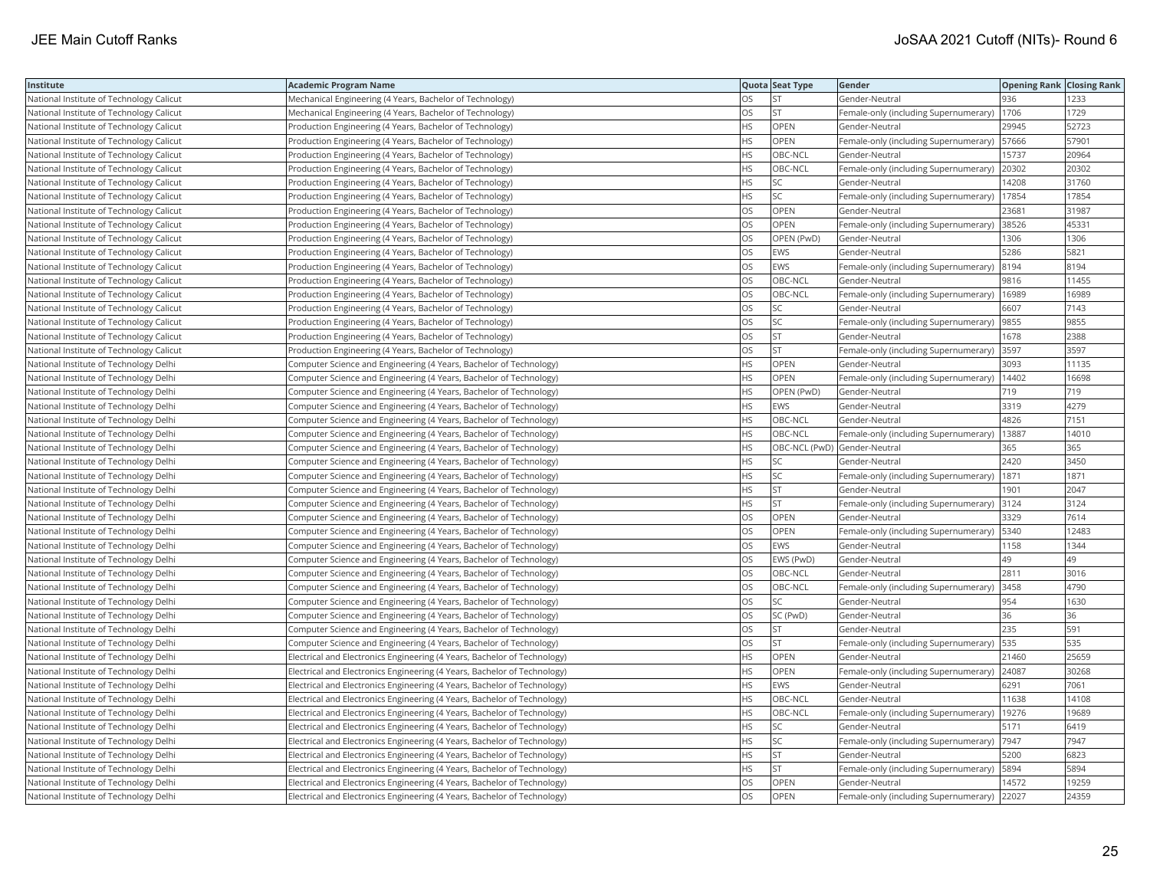| Institute                                | <b>Academic Program Name</b>                                             |           | Quota Seat Type              | Gender                                        | <b>Opening Rank Closing Rank</b> |       |
|------------------------------------------|--------------------------------------------------------------------------|-----------|------------------------------|-----------------------------------------------|----------------------------------|-------|
| National Institute of Technology Calicut | Mechanical Engineering (4 Years, Bachelor of Technology)                 | OS        | <b>ST</b>                    | Gender-Neutral                                | 936                              | 1233  |
| National Institute of Technology Calicut | Mechanical Engineering (4 Years, Bachelor of Technology)                 | OS        | <b>ST</b>                    | Female-only (including Supernumerary)         | 1706                             | 1729  |
| National Institute of Technology Calicut | Production Engineering (4 Years, Bachelor of Technology)                 | НS        | OPEN                         | Gender-Neutral                                | 29945                            | 52723 |
| National Institute of Technology Calicut | Production Engineering (4 Years, Bachelor of Technology)                 | HS        | OPEN                         | Female-only (including Supernumerary)         | 57666                            | 57901 |
| National Institute of Technology Calicut | Production Engineering (4 Years, Bachelor of Technology)                 | <b>HS</b> | OBC-NCL                      | Gender-Neutral                                | 15737                            | 20964 |
| National Institute of Technology Calicut | Production Engineering (4 Years, Bachelor of Technology)                 | НS        | OBC-NCL                      | Female-only (including Supernumerary)         | 20302                            | 20302 |
| National Institute of Technology Calicut | Production Engineering (4 Years, Bachelor of Technology)                 | HS        | SC                           | Gender-Neutral                                | 14208                            | 31760 |
| National Institute of Technology Calicut | Production Engineering (4 Years, Bachelor of Technology)                 | HS        | <b>SC</b>                    | Female-only (including Supernumerary)   17854 |                                  | 17854 |
| National Institute of Technology Calicut | Production Engineering (4 Years, Bachelor of Technology)                 | OS        | OPEN                         | Gender-Neutral                                | 23681                            | 31987 |
| National Institute of Technology Calicut | Production Engineering (4 Years, Bachelor of Technology)                 | OS        | <b>OPEN</b>                  | Female-only (including Supernumerary) 38526   |                                  | 45331 |
| National Institute of Technology Calicut | Production Engineering (4 Years, Bachelor of Technology)                 | OS        | OPEN (PwD)                   | Gender-Neutral                                | 1306                             | 1306  |
| National Institute of Technology Calicut | Production Engineering (4 Years, Bachelor of Technology)                 | OS        | <b>EWS</b>                   | Gender-Neutral                                | 5286                             | 5821  |
| National Institute of Technology Calicut | Production Engineering (4 Years, Bachelor of Technology)                 | OS        | <b>EWS</b>                   | Female-only (including Supernumerary)         | 8194                             | 8194  |
| National Institute of Technology Calicut | Production Engineering (4 Years, Bachelor of Technology)                 | OS        | OBC-NCL                      | Gender-Neutral                                | 9816                             | 11455 |
| National Institute of Technology Calicut | Production Engineering (4 Years, Bachelor of Technology)                 | OS        | OBC-NCL                      | Female-only (including Supernumerary)   16989 |                                  | 16989 |
| National Institute of Technology Calicut | Production Engineering (4 Years, Bachelor of Technology)                 | OS        | <b>SC</b>                    | Gender-Neutral                                | 6607                             | 7143  |
| National Institute of Technology Calicut | Production Engineering (4 Years, Bachelor of Technology)                 | OS        | SC                           | Female-only (including Supernumerary)  9855   |                                  | 9855  |
| National Institute of Technology Calicut | Production Engineering (4 Years, Bachelor of Technology)                 | OS        | <b>ST</b>                    | Gender-Neutral                                | 1678                             | 2388  |
| National Institute of Technology Calicut | Production Engineering (4 Years, Bachelor of Technology)                 | OS        | <b>ST</b>                    | Female-only (including Supernumerary)         | 3597                             | 3597  |
| National Institute of Technology Delhi   | Computer Science and Engineering (4 Years, Bachelor of Technology)       | HS        | OPEN                         | Gender-Neutral                                | 3093                             | 11135 |
| National Institute of Technology Delhi   | Computer Science and Engineering (4 Years, Bachelor of Technology)       | <b>HS</b> | <b>OPEN</b>                  | Female-only (including Supernumerary)   14402 |                                  | 16698 |
| National Institute of Technology Delhi   | Computer Science and Engineering (4 Years, Bachelor of Technology)       | <b>HS</b> | OPEN (PwD)                   | Gender-Neutral                                | 719                              | 719   |
| National Institute of Technology Delhi   | Computer Science and Engineering (4 Years, Bachelor of Technology)       | HS        | <b>EWS</b>                   | Gender-Neutral                                | 3319                             | 4279  |
| National Institute of Technology Delhi   | Computer Science and Engineering (4 Years, Bachelor of Technology)       | HS        | OBC-NCL                      | Gender-Neutral                                | 4826                             | 7151  |
| National Institute of Technology Delhi   | Computer Science and Engineering (4 Years, Bachelor of Technology)       | HS        | OBC-NCL                      | Female-only (including Supernumerary)         | 13887                            | 14010 |
| National Institute of Technology Delhi   | Computer Science and Engineering (4 Years, Bachelor of Technology)       | HS        | OBC-NCL (PwD) Gender-Neutral |                                               | 365                              | 365   |
| National Institute of Technology Delhi   | Computer Science and Engineering (4 Years, Bachelor of Technology)       | ΗS        | <b>SC</b>                    | Gender-Neutral                                | 2420                             | 3450  |
| National Institute of Technology Delhi   | Computer Science and Engineering (4 Years, Bachelor of Technology)       | HS        | SC                           | Female-only (including Supernumerary)         | 1871                             | 1871  |
| National Institute of Technology Delhi   | Computer Science and Engineering (4 Years, Bachelor of Technology)       | <b>HS</b> | ST                           | Gender-Neutral                                | 1901                             | 2047  |
| National Institute of Technology Delhi   | Computer Science and Engineering (4 Years, Bachelor of Technology)       | НS        | <b>ST</b>                    | Female-only (including Supernumerary)         | 3124                             | 3124  |
| National Institute of Technology Delhi   | Computer Science and Engineering (4 Years, Bachelor of Technology)       | OS        | OPEN                         | Gender-Neutral                                | 3329                             | 7614  |
| National Institute of Technology Delhi   | Computer Science and Engineering (4 Years, Bachelor of Technology)       | OS        | OPEN                         | Female-only (including Supernumerary)   5340  |                                  | 12483 |
| National Institute of Technology Delhi   | Computer Science and Engineering (4 Years, Bachelor of Technology)       | OS        | <b>EWS</b>                   | Gender-Neutral                                | 1158                             | 1344  |
| National Institute of Technology Delhi   | Computer Science and Engineering (4 Years, Bachelor of Technology)       | OS        | EWS (PwD)                    | Gender-Neutral                                | 49                               | 49    |
| National Institute of Technology Delhi   | Computer Science and Engineering (4 Years, Bachelor of Technology)       | OS        | OBC-NCL                      | Gender-Neutral                                | 2811                             | 3016  |
| National Institute of Technology Delhi   | Computer Science and Engineering (4 Years, Bachelor of Technology)       | OS        | OBC-NCL                      | Female-only (including Supernumerary)         | 3458                             | 4790  |
| National Institute of Technology Delhi   | Computer Science and Engineering (4 Years, Bachelor of Technology)       | OS        | <b>SC</b>                    | Gender-Neutral                                | 954                              | 1630  |
| National Institute of Technology Delhi   | Computer Science and Engineering (4 Years, Bachelor of Technology)       | OS        | SC (PwD)                     | Gender-Neutral                                | 36                               | 36    |
| National Institute of Technology Delhi   | Computer Science and Engineering (4 Years, Bachelor of Technology)       | OS        | <b>ST</b>                    | Gender-Neutral                                | 235                              | 591   |
| National Institute of Technology Delhi   | Computer Science and Engineering (4 Years, Bachelor of Technology)       | OS        | <b>ST</b>                    | Female-only (including Supernumerary)         | 535                              | 535   |
| National Institute of Technology Delhi   | Electrical and Electronics Engineering (4 Years, Bachelor of Technology) | ΗS        | OPEN                         | Gender-Neutral                                | 21460                            | 25659 |
| National Institute of Technology Delhi   | Electrical and Electronics Engineering (4 Years, Bachelor of Technology) | HS        | OPEN                         | Female-only (including Supernumerary) 24087   |                                  | 30268 |
| National Institute of Technology Delhi   | Electrical and Electronics Engineering (4 Years, Bachelor of Technology) | ΗS        | EWS                          | Gender-Neutral                                | 6291                             | 7061  |
| National Institute of Technology Delhi   | Electrical and Electronics Engineering (4 Years, Bachelor of Technology) | <b>HS</b> | OBC-NCL                      | Gender-Neutral                                | 11638                            | 14108 |
| National Institute of Technology Delhi   | Electrical and Electronics Engineering (4 Years, Bachelor of Technology) | <b>HS</b> | OBC-NCL                      | Female-only (including Supernumerary)         | 19276                            | 19689 |
| National Institute of Technology Delhi   | Electrical and Electronics Engineering (4 Years, Bachelor of Technology) | HS.       | <b>SC</b>                    | Gender-Neutral                                | 5171                             | 6419  |
| National Institute of Technology Delhi   | Electrical and Electronics Engineering (4 Years, Bachelor of Technology) | HS        | SC                           | Female-only (including Supernumerary) 7947    |                                  | 7947  |
| National Institute of Technology Delhi   | Electrical and Electronics Engineering (4 Years, Bachelor of Technology) | НS        | <b>ST</b>                    | Gender-Neutral                                | 5200                             | 6823  |
| National Institute of Technology Delhi   | Electrical and Electronics Engineering (4 Years, Bachelor of Technology) | ΗS        | <b>ST</b>                    | Female-only (including Supernumerary)   5894  |                                  | 5894  |
| National Institute of Technology Delhi   | Electrical and Electronics Engineering (4 Years, Bachelor of Technology) | OS        | OPEN                         | Gender-Neutral                                | 14572                            | 19259 |
| National Institute of Technology Delhi   | Electrical and Electronics Engineering (4 Years, Bachelor of Technology) | OS        | OPEN                         | Female-only (including Supernumerary)         | 22027                            | 24359 |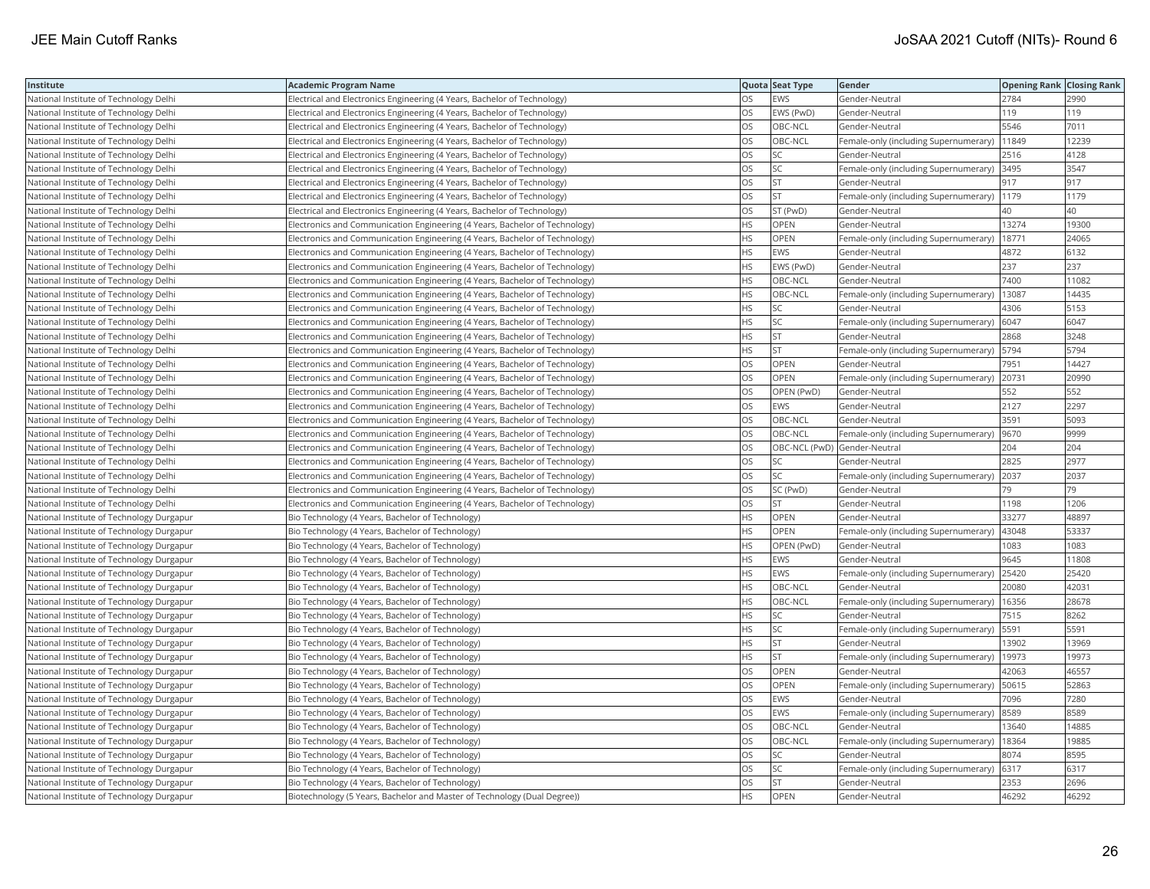| Institute                                 | <b>Academic Program Name</b>                                                |           | Quota Seat Type              | Gender                                        | <b>Opening Rank Closing Rank</b> |       |
|-------------------------------------------|-----------------------------------------------------------------------------|-----------|------------------------------|-----------------------------------------------|----------------------------------|-------|
| National Institute of Technology Delhi    | Electrical and Electronics Engineering (4 Years, Bachelor of Technology)    | OS        | EWS                          | Gender-Neutral                                | 2784                             | 2990  |
| National Institute of Technology Delhi    | Electrical and Electronics Engineering (4 Years, Bachelor of Technology)    | OS        | EWS (PwD)                    | Gender-Neutral                                | 119                              | 119   |
| National Institute of Technology Delhi    | Electrical and Electronics Engineering (4 Years, Bachelor of Technology)    | OS        | OBC-NCL                      | Gender-Neutral                                | 5546                             | 7011  |
| National Institute of Technology Delhi    | Electrical and Electronics Engineering (4 Years, Bachelor of Technology)    | OS.       | OBC-NCL                      | Female-only (including Supernumerary)   11849 |                                  | 12239 |
| National Institute of Technology Delhi    | Electrical and Electronics Engineering (4 Years, Bachelor of Technology)    | OS        | SC                           | Gender-Neutral                                | 2516                             | 4128  |
| National Institute of Technology Delhi    | Electrical and Electronics Engineering (4 Years, Bachelor of Technology)    | OS        | SC                           | Female-only (including Supernumerary) 3495    |                                  | 3547  |
| National Institute of Technology Delhi    | Electrical and Electronics Engineering (4 Years, Bachelor of Technology)    | OS        | <b>ST</b>                    | Gender-Neutral                                | 917                              | 917   |
| National Institute of Technology Delhi    | Electrical and Electronics Engineering (4 Years, Bachelor of Technology)    | OS        | <b>ST</b>                    | Female-only (including Supernumerary)         | 1179                             | 1179  |
| National Institute of Technology Delhi    | Electrical and Electronics Engineering (4 Years, Bachelor of Technology)    | OS        | ST (PwD)                     | Gender-Neutral                                | 40                               | 40    |
| National Institute of Technology Delhi    | Electronics and Communication Engineering (4 Years, Bachelor of Technology) | <b>HS</b> | OPEN                         | Gender-Neutral                                | 13274                            | 19300 |
| National Institute of Technology Delhi    | Electronics and Communication Engineering (4 Years, Bachelor of Technology) | HS        | OPEN                         | Female-only (including Supernumerary)         | 18771                            | 24065 |
| National Institute of Technology Delhi    | Electronics and Communication Engineering (4 Years, Bachelor of Technology) | <b>HS</b> | <b>EWS</b>                   | Gender-Neutral                                | 4872                             | 6132  |
| National Institute of Technology Delhi    | Electronics and Communication Engineering (4 Years, Bachelor of Technology) | HS        | EWS (PwD)                    | Gender-Neutral                                | 237                              | 237   |
| National Institute of Technology Delhi    | Electronics and Communication Engineering (4 Years, Bachelor of Technology) | HS        | OBC-NCL                      | Gender-Neutral                                | 7400                             | 11082 |
| National Institute of Technology Delhi    | Electronics and Communication Engineering (4 Years, Bachelor of Technology) | <b>HS</b> | OBC-NCL                      | Female-only (including Supernumerary)         | 13087                            | 14435 |
| National Institute of Technology Delhi    | Electronics and Communication Engineering (4 Years, Bachelor of Technology) | ΗS        | SC                           | Gender-Neutral                                | 4306                             | 5153  |
| National Institute of Technology Delhi    | Electronics and Communication Engineering (4 Years, Bachelor of Technology) | HS        | SC                           | Female-only (including Supernumerary)   6047  |                                  | 6047  |
| National Institute of Technology Delhi    | Electronics and Communication Engineering (4 Years, Bachelor of Technology) | HS        | <b>ST</b>                    | Gender-Neutral                                | 2868                             | 3248  |
| National Institute of Technology Delhi    | Electronics and Communication Engineering (4 Years, Bachelor of Technology) | HS        | <b>ST</b>                    | Female-only (including Supernumerary)   5794  |                                  | 5794  |
| National Institute of Technology Delhi    | Electronics and Communication Engineering (4 Years, Bachelor of Technology) | OS        | OPEN                         | Gender-Neutral                                | 7951                             | 14427 |
| National Institute of Technology Delhi    | Electronics and Communication Engineering (4 Years, Bachelor of Technology) | OS        | <b>OPEN</b>                  | Female-only (including Supernumerary) 20731   |                                  | 20990 |
| National Institute of Technology Delhi    | Electronics and Communication Engineering (4 Years, Bachelor of Technology) | OS        | OPEN (PwD)                   | Gender-Neutral                                | 552                              | 552   |
| National Institute of Technology Delhi    | Electronics and Communication Engineering (4 Years, Bachelor of Technology) | OS        | <b>EWS</b>                   | Gender-Neutral                                | 2127                             | 2297  |
| National Institute of Technology Delhi    | Electronics and Communication Engineering (4 Years, Bachelor of Technology) | OS        | OBC-NCL                      | Gender-Neutral                                | 3591                             | 5093  |
| National Institute of Technology Delhi    | Electronics and Communication Engineering (4 Years, Bachelor of Technology) | OS        | OBC-NCL                      | Female-only (including Supernumerary)         | 9670                             | 9999  |
| National Institute of Technology Delhi    | Electronics and Communication Engineering (4 Years, Bachelor of Technology) | OS        | OBC-NCL (PwD) Gender-Neutral |                                               | 204                              | 204   |
| National Institute of Technology Delhi    | Electronics and Communication Engineering (4 Years, Bachelor of Technology) | OS        | SC                           | Gender-Neutral                                | 2825                             | 2977  |
| National Institute of Technology Delhi    | Electronics and Communication Engineering (4 Years, Bachelor of Technology) | OS        | <b>SC</b>                    | Female-only (including Supernumerary)         | 2037                             | 2037  |
| National Institute of Technology Delhi    | Electronics and Communication Engineering (4 Years, Bachelor of Technology) | OS        | SC (PwD)                     | Gender-Neutral                                | 79                               | 79    |
| National Institute of Technology Delhi    | Electronics and Communication Engineering (4 Years, Bachelor of Technology) | OS        | <b>ST</b>                    | Gender-Neutral                                | 1198                             | 1206  |
| National Institute of Technology Durgapur | Bio Technology (4 Years, Bachelor of Technology)                            | <b>HS</b> | <b>OPEN</b>                  | Gender-Neutral                                | 33277                            | 48897 |
| National Institute of Technology Durgapur | Bio Technology (4 Years, Bachelor of Technology)                            | ΗS        | OPEN                         | Female-only (including Supernumerary)         | 43048                            | 53337 |
| National Institute of Technology Durgapur | Bio Technology (4 Years, Bachelor of Technology)                            | HS        | OPEN (PwD)                   | Gender-Neutral                                | 1083                             | 1083  |
| National Institute of Technology Durgapur | Bio Technology (4 Years, Bachelor of Technology)                            | <b>HS</b> | <b>EWS</b>                   | Gender-Neutral                                | 9645                             | 11808 |
| National Institute of Technology Durgapur | Bio Technology (4 Years, Bachelor of Technology)                            | <b>HS</b> | <b>EWS</b>                   | Female-only (including Supernumerary)         | 25420                            | 25420 |
| National Institute of Technology Durgapur | Bio Technology (4 Years, Bachelor of Technology)                            | HS.       | OBC-NCL                      | Gender-Neutral                                | 20080                            | 42031 |
| National Institute of Technology Durgapur | Bio Technology (4 Years, Bachelor of Technology)                            | HS        | OBC-NCL                      | Female-only (including Supernumerary)   16356 |                                  | 28678 |
| National Institute of Technology Durgapur | Bio Technology (4 Years, Bachelor of Technology)                            | ΗS        | SC                           | Gender-Neutral                                | 7515                             | 8262  |
| National Institute of Technology Durgapur | Bio Technology (4 Years, Bachelor of Technology)                            | <b>HS</b> | SC                           | Female-only (including Supernumerary)         | 5591                             | 5591  |
| National Institute of Technology Durgapur | Bio Technology (4 Years, Bachelor of Technology)                            | ΗS        | <b>ST</b>                    | Gender-Neutral                                | 13902                            | 13969 |
| National Institute of Technology Durgapur | Bio Technology (4 Years, Bachelor of Technology)                            | HS        | ST                           | Female-only (including Supernumerary)         | 19973                            | 19973 |
| National Institute of Technology Durgapur | Bio Technology (4 Years, Bachelor of Technology)                            | OS        | <b>OPEN</b>                  | Gender-Neutral                                | 42063                            | 46557 |
| National Institute of Technology Durgapur | Bio Technology (4 Years, Bachelor of Technology)                            | <b>OS</b> | OPEN                         | Female-only (including Supernumerary)         | 50615                            | 52863 |
| National Institute of Technology Durgapur | Bio Technology (4 Years, Bachelor of Technology)                            | OS        | EWS                          | Gender-Neutral                                | 7096                             | 7280  |
| National Institute of Technology Durgapur | Bio Technology (4 Years, Bachelor of Technology)                            | OS        | <b>EWS</b>                   | Female-only (including Supernumerary)  8589   |                                  | 8589  |
| National Institute of Technology Durgapur | Bio Technology (4 Years, Bachelor of Technology)                            | OS        | OBC-NCL                      | Gender-Neutral                                | 13640                            | 14885 |
| National Institute of Technology Durgapur | Bio Technology (4 Years, Bachelor of Technology)                            | OS        | OBC-NCL                      | Female-only (including Supernumerary)         | 18364                            | 19885 |
| National Institute of Technology Durgapur | Bio Technology (4 Years, Bachelor of Technology)                            | OS        | SC                           | Gender-Neutral                                | 8074                             | 8595  |
| National Institute of Technology Durgapur | Bio Technology (4 Years, Bachelor of Technology)                            | OS        | SC                           | Female-only (including Supernumerary)         | 6317                             | 6317  |
| National Institute of Technology Durgapur | Bio Technology (4 Years, Bachelor of Technology)                            | OS        | <b>ST</b>                    | Gender-Neutral                                | 2353                             | 2696  |
| National Institute of Technology Durgapur | Biotechnology (5 Years, Bachelor and Master of Technology (Dual Degree))    | <b>HS</b> | OPEN                         | Gender-Neutral                                | 46292                            | 46292 |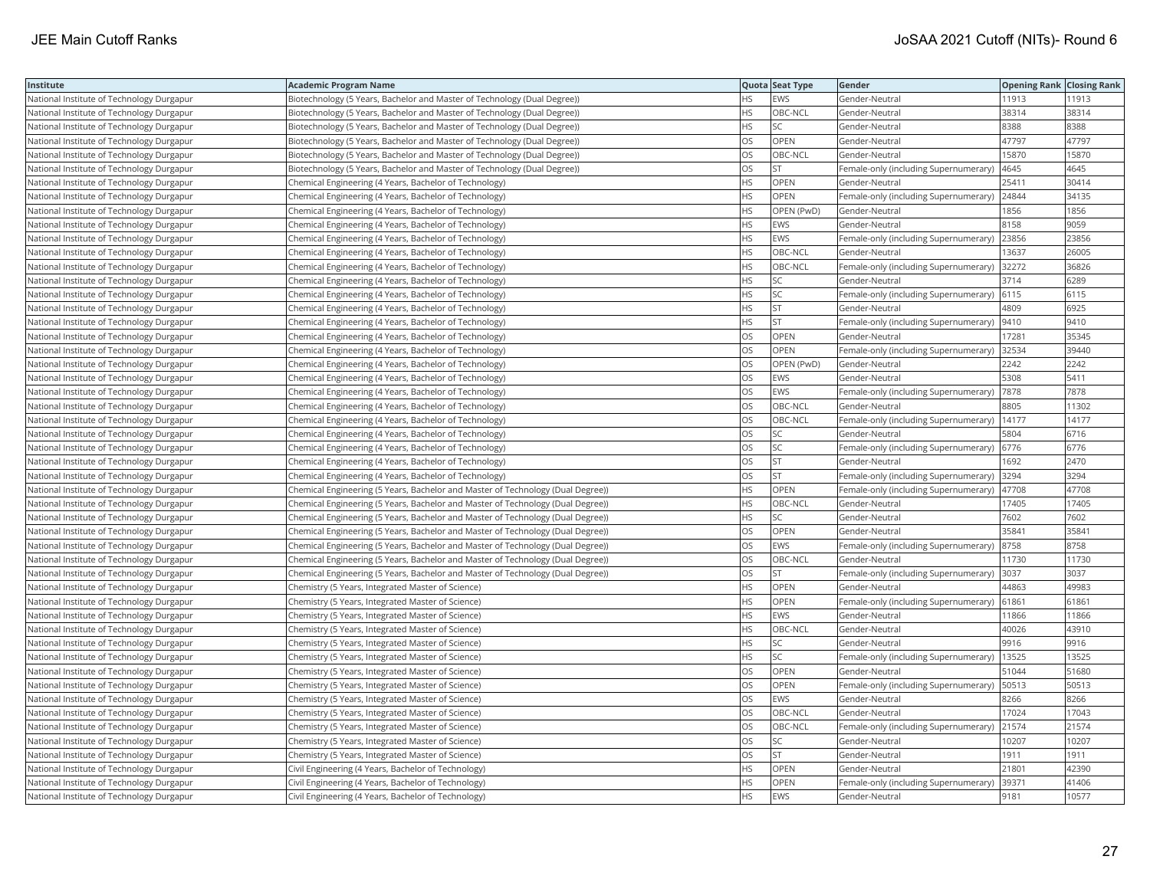| <b>Institute</b>                          | Academic Program Name                                                            |           | Quota Seat Type | Gender                                       | <b>Opening Rank Closing Rank</b> |       |
|-------------------------------------------|----------------------------------------------------------------------------------|-----------|-----------------|----------------------------------------------|----------------------------------|-------|
| National Institute of Technology Durgapur | Biotechnology (5 Years, Bachelor and Master of Technology (Dual Degree))         | HS        | EWS             | Gender-Neutral                               | 11913                            | 11913 |
| National Institute of Technology Durgapur | Biotechnology (5 Years, Bachelor and Master of Technology (Dual Degree))         | HS.       | OBC-NCL         | Gender-Neutral                               | 38314                            | 38314 |
| National Institute of Technology Durgapur | Biotechnology (5 Years, Bachelor and Master of Technology (Dual Degree))         | HS.       | <b>SC</b>       | Gender-Neutral                               | 8388                             | 8388  |
| National Institute of Technology Durgapur | Biotechnology (5 Years, Bachelor and Master of Technology (Dual Degree))         | OS        | OPEN            | Gender-Neutral                               | 47797                            | 47797 |
| National Institute of Technology Durgapur | Biotechnology (5 Years, Bachelor and Master of Technology (Dual Degree))         | <b>OS</b> | OBC-NCL         | Gender-Neutral                               | 15870                            | 15870 |
| National Institute of Technology Durgapur | Biotechnology (5 Years, Bachelor and Master of Technology (Dual Degree))         | OS        | <b>ST</b>       | Female-only (including Supernumerary)        | 4645                             | 4645  |
| National Institute of Technology Durgapur | Chemical Engineering (4 Years, Bachelor of Technology)                           | HS        | OPEN            | Gender-Neutral                               | 25411                            | 30414 |
| National Institute of Technology Durgapur | Chemical Engineering (4 Years, Bachelor of Technology)                           | HS.       | OPEN            | Female-only (including Supernumerary)        | 24844                            | 34135 |
| National Institute of Technology Durgapur | Chemical Engineering (4 Years, Bachelor of Technology)                           | НS        | OPEN (PwD)      | Gender-Neutral                               | 1856                             | 1856  |
| National Institute of Technology Durgapur | Chemical Engineering (4 Years, Bachelor of Technology)                           | HS        | <b>EWS</b>      | Gender-Neutral                               | 8158                             | 9059  |
| National Institute of Technology Durgapur | Chemical Engineering (4 Years, Bachelor of Technology)                           | <b>HS</b> | <b>EWS</b>      | Female-only (including Supernumerary)        | 23856                            | 23856 |
| National Institute of Technology Durgapur | Chemical Engineering (4 Years, Bachelor of Technology)                           | <b>HS</b> | OBC-NCL         | Gender-Neutral                               | 13637                            | 26005 |
| National Institute of Technology Durgapur | Chemical Engineering (4 Years, Bachelor of Technology)                           | HS        | OBC-NCL         | Female-only (including Supernumerary)        | 32272                            | 36826 |
| National Institute of Technology Durgapur | Chemical Engineering (4 Years, Bachelor of Technology)                           | HS.       | SC              | Gender-Neutral                               | 3714                             | 6289  |
| National Institute of Technology Durgapur | Chemical Engineering (4 Years, Bachelor of Technology)                           | HS        | SC              | Female-only (including Supernumerary)   6115 |                                  | 6115  |
| National Institute of Technology Durgapur | Chemical Engineering (4 Years, Bachelor of Technology)                           | ΗS        | <b>ST</b>       | Gender-Neutral                               | 4809                             | 6925  |
| National Institute of Technology Durgapur | Chemical Engineering (4 Years, Bachelor of Technology)                           | HS.       | <b>ST</b>       | Female-only (including Supernumerary)        | 9410                             | 9410  |
| National Institute of Technology Durgapur | Chemical Engineering (4 Years, Bachelor of Technology)                           | OS        | OPEN            | Gender-Neutral                               | 17281                            | 35345 |
| National Institute of Technology Durgapur | Chemical Engineering (4 Years, Bachelor of Technology)                           | OS        | OPEN            | Female-only (including Supernumerary)        | 32534                            | 39440 |
| National Institute of Technology Durgapur | Chemical Engineering (4 Years, Bachelor of Technology)                           | <b>OS</b> | OPEN (PwD)      | Gender-Neutral                               | 2242                             | 2242  |
| National Institute of Technology Durgapur | Chemical Engineering (4 Years, Bachelor of Technology)                           | OS        | EWS             | Gender-Neutral                               | 5308                             | 5411  |
| National Institute of Technology Durgapur | Chemical Engineering (4 Years, Bachelor of Technology)                           | OS        | EWS             | Female-only (including Supernumerary)  7878  |                                  | 7878  |
| National Institute of Technology Durgapur | Chemical Engineering (4 Years, Bachelor of Technology)                           | OS        | OBC-NCL         | Gender-Neutral                               | 8805                             | 11302 |
| National Institute of Technology Durgapur | Chemical Engineering (4 Years, Bachelor of Technology)                           | <b>OS</b> | OBC-NCL         | Female-only (including Supernumerary)        | 14177                            | 14177 |
| National Institute of Technology Durgapur | Chemical Engineering (4 Years, Bachelor of Technology)                           | OS        | SC              | Gender-Neutral                               | 5804                             | 6716  |
| National Institute of Technology Durgapur | Chemical Engineering (4 Years, Bachelor of Technology)                           | OS        | SC              | Female-only (including Supernumerary)        | 6776                             | 6776  |
| National Institute of Technology Durgapur | Chemical Engineering (4 Years, Bachelor of Technology)                           | OS        | <b>ST</b>       | Gender-Neutral                               | 1692                             | 2470  |
| National Institute of Technology Durgapur | Chemical Engineering (4 Years, Bachelor of Technology)                           | OS        | <b>ST</b>       | Female-only (including Supernumerary)        | 3294                             | 3294  |
| National Institute of Technology Durgapur | Chemical Engineering (5 Years, Bachelor and Master of Technology (Dual Degree))  | HS.       | OPEN            | Female-only (including Supernumerary)        | 47708                            | 47708 |
| National Institute of Technology Durgapur | (Chemical Engineering (5 Years, Bachelor and Master of Technology (Dual Degree)) | HS        | OBC-NCL         | Gender-Neutral                               | 17405                            | 17405 |
| National Institute of Technology Durgapur | Chemical Engineering (5 Years, Bachelor and Master of Technology (Dual Degree))  | HS        | SC              | Gender-Neutral                               | 7602                             | 7602  |
| National Institute of Technology Durgapur | Chemical Engineering (5 Years, Bachelor and Master of Technology (Dual Degree))  | OS.       | OPEN            | Gender-Neutral                               | 35841                            | 35841 |
| National Institute of Technology Durgapur | (Chemical Engineering (5 Years, Bachelor and Master of Technology (Dual Degree)) | OS        | <b>EWS</b>      | Female-only (including Supernumerary)        | 8758                             | 8758  |
| National Institute of Technology Durgapur | Chemical Engineering (5 Years, Bachelor and Master of Technology (Dual Degree))  | OS        | OBC-NCL         | Gender-Neutral                               | 11730                            | 11730 |
| National Institute of Technology Durgapur | Chemical Engineering (5 Years, Bachelor and Master of Technology (Dual Degree))  | OS.       | <b>ST</b>       | Female-only (including Supernumerary)        | 3037                             | 3037  |
| National Institute of Technology Durgapur | Chemistry (5 Years, Integrated Master of Science)                                | HS        | OPEN            | Gender-Neutral                               | 44863                            | 49983 |
| National Institute of Technology Durgapur | Chemistry (5 Years, Integrated Master of Science)                                | HS        | OPEN            | Female-only (including Supernumerary) 61861  |                                  | 61861 |
| National Institute of Technology Durgapur | Chemistry (5 Years, Integrated Master of Science)                                | HS.       | EWS             | Gender-Neutral                               | 11866                            | 11866 |
| National Institute of Technology Durgapur | Chemistry (5 Years, Integrated Master of Science)                                | HS        | OBC-NCL         | Gender-Neutral                               | 40026                            | 43910 |
| National Institute of Technology Durgapur | Chemistry (5 Years, Integrated Master of Science)                                | HS        | SC              | Gender-Neutral                               | 9916                             | 9916  |
| National Institute of Technology Durgapur | Chemistry (5 Years, Integrated Master of Science)                                | HS.       | SC              | Female-only (including Supernumerary)        | 13525                            | 13525 |
| National Institute of Technology Durgapur | Chemistry (5 Years, Integrated Master of Science)                                | OS        | OPEN            | Gender-Neutral                               | 51044                            | 51680 |
| National Institute of Technology Durgapur | Chemistry (5 Years, Integrated Master of Science)                                | OS        | OPEN            | Female-only (including Supernumerary)        | 50513                            | 50513 |
| National Institute of Technology Durgapur | Chemistry (5 Years, Integrated Master of Science)                                | OS        | EWS             | Gender-Neutral                               | 8266                             | 8266  |
| National Institute of Technology Durgapur | Chemistry (5 Years, Integrated Master of Science)                                | OS        | OBC-NCL         | Gender-Neutral                               | 17024                            | 17043 |
| National Institute of Technology Durgapur | Chemistry (5 Years, Integrated Master of Science)                                | OS        | OBC-NCL         | Female-only (including Supernumerary)        | 21574                            | 21574 |
| National Institute of Technology Durgapur | Chemistry (5 Years, Integrated Master of Science)                                | <b>OS</b> | <b>SC</b>       | Gender-Neutral                               | 10207                            | 10207 |
| National Institute of Technology Durgapur | Chemistry (5 Years, Integrated Master of Science)                                | OS        | <b>ST</b>       | Gender-Neutral                               | 1911                             | 1911  |
| National Institute of Technology Durgapur | Civil Engineering (4 Years, Bachelor of Technology)                              | HS        | OPEN            | Gender-Neutral                               | 21801                            | 42390 |
| National Institute of Technology Durgapur | Civil Engineering (4 Years, Bachelor of Technology)                              | HS.       | OPEN            | Female-only (including Supernumerary)        | 39371                            | 41406 |
| National Institute of Technology Durgapur | Civil Engineering (4 Years, Bachelor of Technology)                              | <b>HS</b> | <b>EWS</b>      | Gender-Neutral                               | 9181                             | 10577 |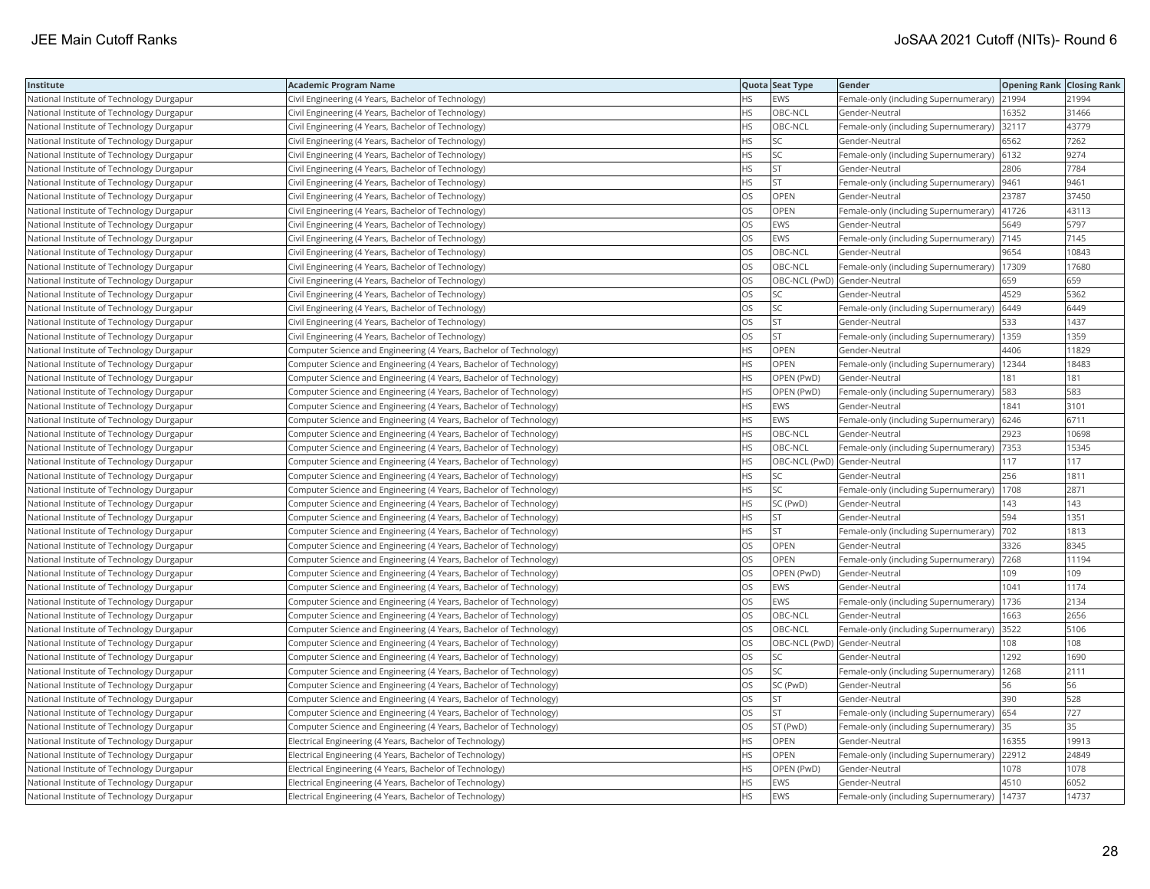| Institute                                 | <b>Academic Program Name</b>                                       |           | Quota Seat Type              | Gender                                        | <b>Opening Rank Closing Rank</b> |       |
|-------------------------------------------|--------------------------------------------------------------------|-----------|------------------------------|-----------------------------------------------|----------------------------------|-------|
| National Institute of Technology Durgapur | Civil Engineering (4 Years, Bachelor of Technology)                | HS        | <b>EWS</b>                   | Female-only (including Supernumerary)         | 21994                            | 21994 |
| National Institute of Technology Durgapur | Civil Engineering (4 Years, Bachelor of Technology)                | <b>HS</b> | OBC-NCL                      | Gender-Neutral                                | 16352                            | 31466 |
| National Institute of Technology Durgapur | Civil Engineering (4 Years, Bachelor of Technology)                | <b>HS</b> | OBC-NCL                      | Female-only (including Supernumerary) 32117   |                                  | 43779 |
| National Institute of Technology Durgapur | Civil Engineering (4 Years, Bachelor of Technology)                | HS        | SC                           | Gender-Neutral                                | 6562                             | 7262  |
| National Institute of Technology Durgapur | Civil Engineering (4 Years, Bachelor of Technology)                | HS        | SC                           | Female-only (including Supernumerary) 6132    |                                  | 9274  |
| National Institute of Technology Durgapur | Civil Engineering (4 Years, Bachelor of Technology)                | HS        | <b>ST</b>                    | Gender-Neutral                                | 2806                             | 7784  |
| National Institute of Technology Durgapur | Civil Engineering (4 Years, Bachelor of Technology)                | ΗS        | <b>ST</b>                    | Female-only (including Supernumerary)  9461   |                                  | 9461  |
| National Institute of Technology Durgapur | Civil Engineering (4 Years, Bachelor of Technology)                | OS        | OPEN                         | Gender-Neutral                                | 23787                            | 37450 |
| National Institute of Technology Durgapur | Civil Engineering (4 Years, Bachelor of Technology)                | OS        | OPEN                         | Female-only (including Supernumerary)         | 41726                            | 43113 |
| National Institute of Technology Durgapur | Civil Engineering (4 Years, Bachelor of Technology)                | OS        | EWS                          | Gender-Neutral                                | 5649                             | 5797  |
| National Institute of Technology Durgapur | Civil Engineering (4 Years, Bachelor of Technology)                | <b>OS</b> | <b>EWS</b>                   | Female-only (including Supernumerary)         | 7145                             | 7145  |
| National Institute of Technology Durgapur | Civil Engineering (4 Years, Bachelor of Technology)                | OS        | OBC-NCL                      | Gender-Neutral                                | 9654                             | 10843 |
| National Institute of Technology Durgapur | Civil Engineering (4 Years, Bachelor of Technology)                | OS.       | OBC-NCL                      | Female-only (including Supernumerary)   17309 |                                  | 17680 |
| National Institute of Technology Durgapur | Civil Engineering (4 Years, Bachelor of Technology)                | OS        | OBC-NCL (PwD) Gender-Neutral |                                               | 659                              | 659   |
| National Institute of Technology Durgapur | Civil Engineering (4 Years, Bachelor of Technology)                | OS        | SC                           | Gender-Neutral                                | 4529                             | 5362  |
| National Institute of Technology Durgapur | Civil Engineering (4 Years, Bachelor of Technology)                | <b>DS</b> | <b>SC</b>                    | Female-only (including Supernumerary)         | 6449                             | 6449  |
| National Institute of Technology Durgapur | Civil Engineering (4 Years, Bachelor of Technology)                | OS        | <b>ST</b>                    | Gender-Neutral                                | 533                              | 1437  |
| National Institute of Technology Durgapur | Civil Engineering (4 Years, Bachelor of Technology)                | OS        | <b>ST</b>                    | Female-only (including Supernumerary)         | 1359                             | 1359  |
| National Institute of Technology Durgapur | Computer Science and Engineering (4 Years, Bachelor of Technology) | <b>HS</b> | <b>OPEN</b>                  | Gender-Neutral                                | 4406                             | 11829 |
| National Institute of Technology Durgapur | Computer Science and Engineering (4 Years, Bachelor of Technology) | HS        | <b>OPEN</b>                  | Female-only (including Supernumerary)         | 12344                            | 18483 |
| National Institute of Technology Durgapur | Computer Science and Engineering (4 Years, Bachelor of Technology) | HS        | OPEN (PwD)                   | Gender-Neutral                                | 181                              | 181   |
| National Institute of Technology Durgapur | Computer Science and Engineering (4 Years, Bachelor of Technology) | HS        | OPEN (PwD)                   | Female-only (including Supernumerary)   583   |                                  | 583   |
| National Institute of Technology Durgapur | Computer Science and Engineering (4 Years, Bachelor of Technology) | HS        | <b>EWS</b>                   | Gender-Neutral                                | 1841                             | 3101  |
| National Institute of Technology Durgapur | Computer Science and Engineering (4 Years, Bachelor of Technology) | HS        | EWS                          | Female-only (including Supernumerary)         | 6246                             | 6711  |
| National Institute of Technology Durgapur | Computer Science and Engineering (4 Years, Bachelor of Technology) | <b>HS</b> | OBC-NCL                      | Gender-Neutral                                | 2923                             | 10698 |
| National Institute of Technology Durgapur | Computer Science and Engineering (4 Years, Bachelor of Technology) | HS        | OBC-NCL                      | Female-only (including Supernumerary)         | 7353                             | 15345 |
| National Institute of Technology Durgapur | Computer Science and Engineering (4 Years, Bachelor of Technology) | <b>HS</b> | OBC-NCL (PwD) Gender-Neutral |                                               | 117                              | 117   |
| National Institute of Technology Durgapur | Computer Science and Engineering (4 Years, Bachelor of Technology) | HS        | SC                           | Gender-Neutral                                | 256                              | 1811  |
| National Institute of Technology Durgapur | Computer Science and Engineering (4 Years, Bachelor of Technology) | HS        | SC                           | Female-only (including Supernumerary)   1708  |                                  | 2871  |
| National Institute of Technology Durgapur | Computer Science and Engineering (4 Years, Bachelor of Technology) | ΗS        | SC (PwD)                     | Gender-Neutral                                | 143                              | 143   |
| National Institute of Technology Durgapur | Computer Science and Engineering (4 Years, Bachelor of Technology) | HS        | <b>ST</b>                    | Gender-Neutral                                | 594                              | 1351  |
| National Institute of Technology Durgapur | Computer Science and Engineering (4 Years, Bachelor of Technology) | ΗS        | <b>ST</b>                    | Female-only (including Supernumerary)         | 702                              | 1813  |
| National Institute of Technology Durgapur | Computer Science and Engineering (4 Years, Bachelor of Technology) | OS        | OPEN                         | Gender-Neutral                                | 3326                             | 8345  |
| National Institute of Technology Durgapur | Computer Science and Engineering (4 Years, Bachelor of Technology) | OS        | OPEN                         | Female-only (including Supernumerary)         | 7268                             | 11194 |
| National Institute of Technology Durgapur | Computer Science and Engineering (4 Years, Bachelor of Technology) | OS        | OPEN (PwD)                   | Gender-Neutral                                | 109                              | 109   |
| National Institute of Technology Durgapur | Computer Science and Engineering (4 Years, Bachelor of Technology) | OS        | <b>EWS</b>                   | Gender-Neutral                                | 1041                             | 1174  |
| National Institute of Technology Durgapur | Computer Science and Engineering (4 Years, Bachelor of Technology) | OS        | <b>EWS</b>                   | Female-only (including Supernumerary)         | 1736                             | 2134  |
| National Institute of Technology Durgapur | Computer Science and Engineering (4 Years, Bachelor of Technology) | OS        | OBC-NCL                      | Gender-Neutral                                | 1663                             | 2656  |
| National Institute of Technology Durgapur | Computer Science and Engineering (4 Years, Bachelor of Technology) | OS        | OBC-NCL                      | Female-only (including Supernumerary)         | 3522                             | 5106  |
| National Institute of Technology Durgapur | Computer Science and Engineering (4 Years, Bachelor of Technology) | OS        | OBC-NCL (PwD) Gender-Neutral |                                               | 108                              | 108   |
| National Institute of Technology Durgapur | Computer Science and Engineering (4 Years, Bachelor of Technology) | OS        | SC                           | Gender-Neutral                                | 1292                             | 1690  |
| National Institute of Technology Durgapur | Computer Science and Engineering (4 Years, Bachelor of Technology) | OS        | SC                           | Female-only (including Supernumerary)         | 1268                             | 2111  |
| National Institute of Technology Durgapur | Computer Science and Engineering (4 Years, Bachelor of Technology) | OS        | SC (PwD)                     | Gender-Neutral                                | 56                               | 56    |
| National Institute of Technology Durgapur | Computer Science and Engineering (4 Years, Bachelor of Technology) | OS        | <b>ST</b>                    | Gender-Neutral                                | 390                              | 528   |
| National Institute of Technology Durgapur | Computer Science and Engineering (4 Years, Bachelor of Technology) | OS        | <b>ST</b>                    | Female-only (including Supernumerary) 654     |                                  | 727   |
| National Institute of Technology Durgapur | Computer Science and Engineering (4 Years, Bachelor of Technology) | OS        | ST (PwD)                     | Female-only (including Supernumerary) 35      |                                  | 35    |
| National Institute of Technology Durgapur | Electrical Engineering (4 Years, Bachelor of Technology)           | <b>HS</b> | OPEN                         | Gender-Neutral                                | 16355                            | 19913 |
| National Institute of Technology Durgapur | Electrical Engineering (4 Years, Bachelor of Technology)           | ΗS        | OPEN                         | Female-only (including Supernumerary)         | 22912                            | 24849 |
| National Institute of Technology Durgapur | Electrical Engineering (4 Years, Bachelor of Technology)           | HS        | OPEN (PwD)                   | Gender-Neutral                                | 1078                             | 1078  |
| National Institute of Technology Durgapur | Electrical Engineering (4 Years, Bachelor of Technology)           | <b>HS</b> | <b>EWS</b>                   | Gender-Neutral                                | 4510                             | 6052  |
| National Institute of Technology Durgapur | Electrical Engineering (4 Years, Bachelor of Technology)           | <b>HS</b> | <b>EWS</b>                   | Female-only (including Supernumerary)         | 14737                            | 14737 |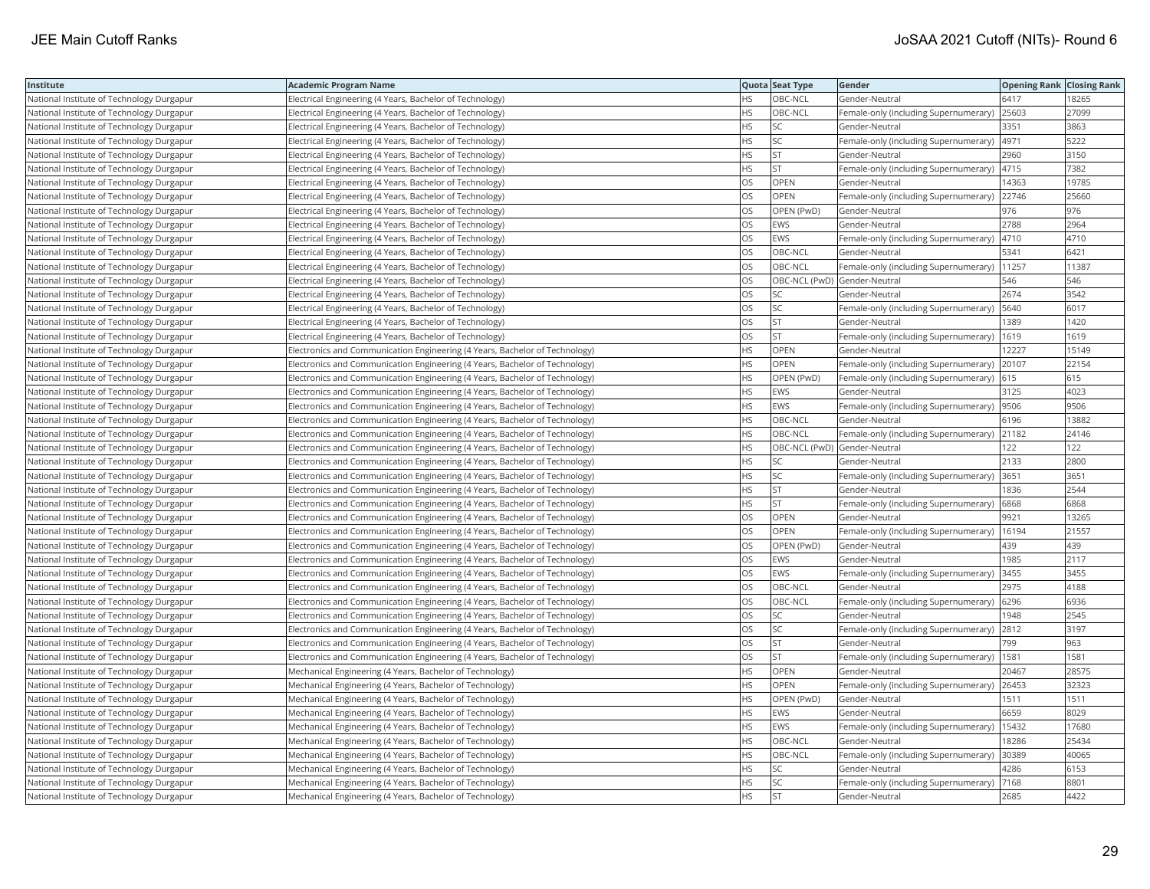| Institute                                 | <b>Academic Program Name</b>                                                |           | Quota Seat Type              | Gender                                        | <b>Opening Rank Closing Rank</b> |       |
|-------------------------------------------|-----------------------------------------------------------------------------|-----------|------------------------------|-----------------------------------------------|----------------------------------|-------|
| National Institute of Technology Durgapur | Electrical Engineering (4 Years, Bachelor of Technology)                    | НS        | OBC-NCL                      | Gender-Neutral                                | 6417                             | 18265 |
| National Institute of Technology Durgapur | Electrical Engineering (4 Years, Bachelor of Technology)                    | <b>HS</b> | OBC-NCL                      | Female-only (including Supernumerary)         | 25603                            | 27099 |
| National Institute of Technology Durgapur | Electrical Engineering (4 Years, Bachelor of Technology)                    | <b>HS</b> | <b>SC</b>                    | Gender-Neutral                                | 3351                             | 3863  |
| National Institute of Technology Durgapur | Electrical Engineering (4 Years, Bachelor of Technology)                    | HS        | SC                           | Female-only (including Supernumerary)         | 4971                             | 5222  |
| National Institute of Technology Durgapur | Electrical Engineering (4 Years, Bachelor of Technology)                    | HS        | <b>ST</b>                    | Gender-Neutral                                | 2960                             | 3150  |
| National Institute of Technology Durgapur | Electrical Engineering (4 Years, Bachelor of Technology)                    | НS        | <b>ST</b>                    | Female-only (including Supernumerary)  4715   |                                  | 7382  |
| National Institute of Technology Durgapur | Electrical Engineering (4 Years, Bachelor of Technology)                    | OS        | OPEN                         | Gender-Neutral                                | 14363                            | 19785 |
| National Institute of Technology Durgapur | Electrical Engineering (4 Years, Bachelor of Technology)                    | OS        | OPEN                         | Female-only (including Supernumerary)         | 22746                            | 25660 |
| National Institute of Technology Durgapur | Electrical Engineering (4 Years, Bachelor of Technology)                    | OS        | OPEN (PwD)                   | Gender-Neutral                                | 976                              | 976   |
| National Institute of Technology Durgapur | Electrical Engineering (4 Years, Bachelor of Technology)                    | OS        | <b>EWS</b>                   | Gender-Neutral                                | 2788                             | 2964  |
| National Institute of Technology Durgapur | Electrical Engineering (4 Years, Bachelor of Technology)                    | OS        | <b>EWS</b>                   | Female-only (including Supernumerary)         | 4710                             | 4710  |
| National Institute of Technology Durgapur | Electrical Engineering (4 Years, Bachelor of Technology)                    | OS        | OBC-NCL                      | Gender-Neutral                                | 5341                             | 6421  |
| National Institute of Technology Durgapur | Electrical Engineering (4 Years, Bachelor of Technology)                    | OS        | OBC-NCL                      | Female-only (including Supernumerary)   11257 |                                  | 11387 |
| National Institute of Technology Durgapur | Electrical Engineering (4 Years, Bachelor of Technology)                    | OS        | OBC-NCL (PwD) Gender-Neutral |                                               | 546                              | 546   |
| National Institute of Technology Durgapur | Electrical Engineering (4 Years, Bachelor of Technology)                    | OS        | SC                           | Gender-Neutral                                | 2674                             | 3542  |
| National Institute of Technology Durgapur | Electrical Engineering (4 Years, Bachelor of Technology)                    | <b>DS</b> | <b>SC</b>                    | Female-only (including Supernumerary)         | 5640                             | 6017  |
| National Institute of Technology Durgapur | Electrical Engineering (4 Years, Bachelor of Technology)                    | OS        | <b>ST</b>                    | Gender-Neutral                                | 1389                             | 1420  |
| National Institute of Technology Durgapur | Electrical Engineering (4 Years, Bachelor of Technology)                    | OS        | <b>ST</b>                    | Female-only (including Supernumerary)         | 1619                             | 1619  |
| National Institute of Technology Durgapur | Electronics and Communication Engineering (4 Years, Bachelor of Technology) | <b>HS</b> | <b>OPEN</b>                  | Gender-Neutral                                | 12227                            | 15149 |
| National Institute of Technology Durgapur | Electronics and Communication Engineering (4 Years, Bachelor of Technology) | HS        | <b>OPEN</b>                  | Female-only (including Supernumerary)         | 20107                            | 22154 |
| National Institute of Technology Durgapur | Electronics and Communication Engineering (4 Years, Bachelor of Technology) | HS        | OPEN (PwD)                   | Female-only (including Supernumerary) 615     |                                  | 615   |
| National Institute of Technology Durgapur | Electronics and Communication Engineering (4 Years, Bachelor of Technology) | HS        | <b>EWS</b>                   | Gender-Neutral                                | 3125                             | 4023  |
| National Institute of Technology Durgapur | Electronics and Communication Engineering (4 Years, Bachelor of Technology) | HS        | <b>EWS</b>                   | Female-only (including Supernumerary)  9506   |                                  | 9506  |
| National Institute of Technology Durgapur | Electronics and Communication Engineering (4 Years, Bachelor of Technology) | HS        | OBC-NCL                      | Gender-Neutral                                | 6196                             | 13882 |
| National Institute of Technology Durgapur | Electronics and Communication Engineering (4 Years, Bachelor of Technology) | <b>HS</b> | OBC-NCL                      | Female-only (including Supernumerary)         | 21182                            | 24146 |
| National Institute of Technology Durgapur | Electronics and Communication Engineering (4 Years, Bachelor of Technology) | HS        | OBC-NCL (PwD) Gender-Neutral |                                               | 122                              | 122   |
| National Institute of Technology Durgapur | Electronics and Communication Engineering (4 Years, Bachelor of Technology) | <b>HS</b> | <b>SC</b>                    | Gender-Neutral                                | 2133                             | 2800  |
| National Institute of Technology Durgapur | Electronics and Communication Engineering (4 Years, Bachelor of Technology) | HS        | SC                           | Female-only (including Supernumerary)         | 3651                             | 3651  |
| National Institute of Technology Durgapur | Electronics and Communication Engineering (4 Years, Bachelor of Technology) | HS        | <b>ST</b>                    | Gender-Neutral                                | 1836                             | 2544  |
| National Institute of Technology Durgapur | Electronics and Communication Engineering (4 Years, Bachelor of Technology) | ΗS        | <b>ST</b>                    | Female-only (including Supernumerary)         | 6868                             | 6868  |
| National Institute of Technology Durgapur | Electronics and Communication Engineering (4 Years, Bachelor of Technology) | OS        | <b>OPEN</b>                  | Gender-Neutral                                | 9921                             | 13265 |
| National Institute of Technology Durgapur | Electronics and Communication Engineering (4 Years, Bachelor of Technology) | OS        | OPEN                         | Female-only (including Supernumerary)         | 16194                            | 21557 |
| National Institute of Technology Durgapur | Electronics and Communication Engineering (4 Years, Bachelor of Technology) | OS        | OPEN (PwD)                   | Gender-Neutral                                | 439                              | 439   |
| National Institute of Technology Durgapur | Electronics and Communication Engineering (4 Years, Bachelor of Technology) | OS        | <b>EWS</b>                   | Gender-Neutral                                | 1985                             | 2117  |
| National Institute of Technology Durgapur | Electronics and Communication Engineering (4 Years, Bachelor of Technology) | <b>OS</b> | <b>EWS</b>                   | Female-only (including Supernumerary)         | 3455                             | 3455  |
| National Institute of Technology Durgapur | Electronics and Communication Engineering (4 Years, Bachelor of Technology) | OS        | OBC-NCL                      | Gender-Neutral                                | 2975                             | 4188  |
| National Institute of Technology Durgapur | Electronics and Communication Engineering (4 Years, Bachelor of Technology) | OS        | OBC-NCL                      | Female-only (including Supernumerary)   6296  |                                  | 6936  |
| National Institute of Technology Durgapur | Electronics and Communication Engineering (4 Years, Bachelor of Technology) | OS        | SC                           | Gender-Neutral                                | 1948                             | 2545  |
| National Institute of Technology Durgapur | Electronics and Communication Engineering (4 Years, Bachelor of Technology) | OS        | <b>SC</b>                    | Female-only (including Supernumerary)         | 2812                             | 3197  |
| National Institute of Technology Durgapur | Electronics and Communication Engineering (4 Years, Bachelor of Technology) | OS        | <b>ST</b>                    | Gender-Neutral                                | 799                              | 963   |
| National Institute of Technology Durgapur | Electronics and Communication Engineering (4 Years, Bachelor of Technology) | OS        | <b>ST</b>                    | Female-only (including Supernumerary)         | 1581                             | 1581  |
| National Institute of Technology Durgapur | Mechanical Engineering (4 Years, Bachelor of Technology)                    | HS        | OPEN                         | Gender-Neutral                                | 20467                            | 28575 |
| National Institute of Technology Durgapur | Mechanical Engineering (4 Years, Bachelor of Technology)                    | HS        | OPEN                         | Female-only (including Supernumerary)         | 26453                            | 32323 |
| National Institute of Technology Durgapur | Mechanical Engineering (4 Years, Bachelor of Technology)                    | HS        | OPEN (PwD)                   | Gender-Neutral                                | 1511                             | 1511  |
| National Institute of Technology Durgapur | Mechanical Engineering (4 Years, Bachelor of Technology)                    | HS        | <b>EWS</b>                   | Gender-Neutral                                | 6659                             | 8029  |
| National Institute of Technology Durgapur | Mechanical Engineering (4 Years, Bachelor of Technology)                    | ΗS        | EWS                          | Female-only (including Supernumerary)         | 15432                            | 17680 |
| National Institute of Technology Durgapur | Mechanical Engineering (4 Years, Bachelor of Technology)                    | <b>HS</b> | OBC-NCL                      | Gender-Neutral                                | 18286                            | 25434 |
| National Institute of Technology Durgapur | Mechanical Engineering (4 Years, Bachelor of Technology)                    | ΗS        | OBC-NCL                      | Female-only (including Supernumerary)         | 30389                            | 40065 |
| National Institute of Technology Durgapur | Mechanical Engineering (4 Years, Bachelor of Technology)                    | HS        | SC                           | Gender-Neutral                                | 4286                             | 6153  |
| National Institute of Technology Durgapur | Mechanical Engineering (4 Years, Bachelor of Technology)                    | HS        | <b>SC</b>                    | Female-only (including Supernumerary)         | 7168                             | 8801  |
| National Institute of Technology Durgapur | Mechanical Engineering (4 Years, Bachelor of Technology)                    | <b>HS</b> | <b>ST</b>                    | Gender-Neutral                                | 2685                             | 4422  |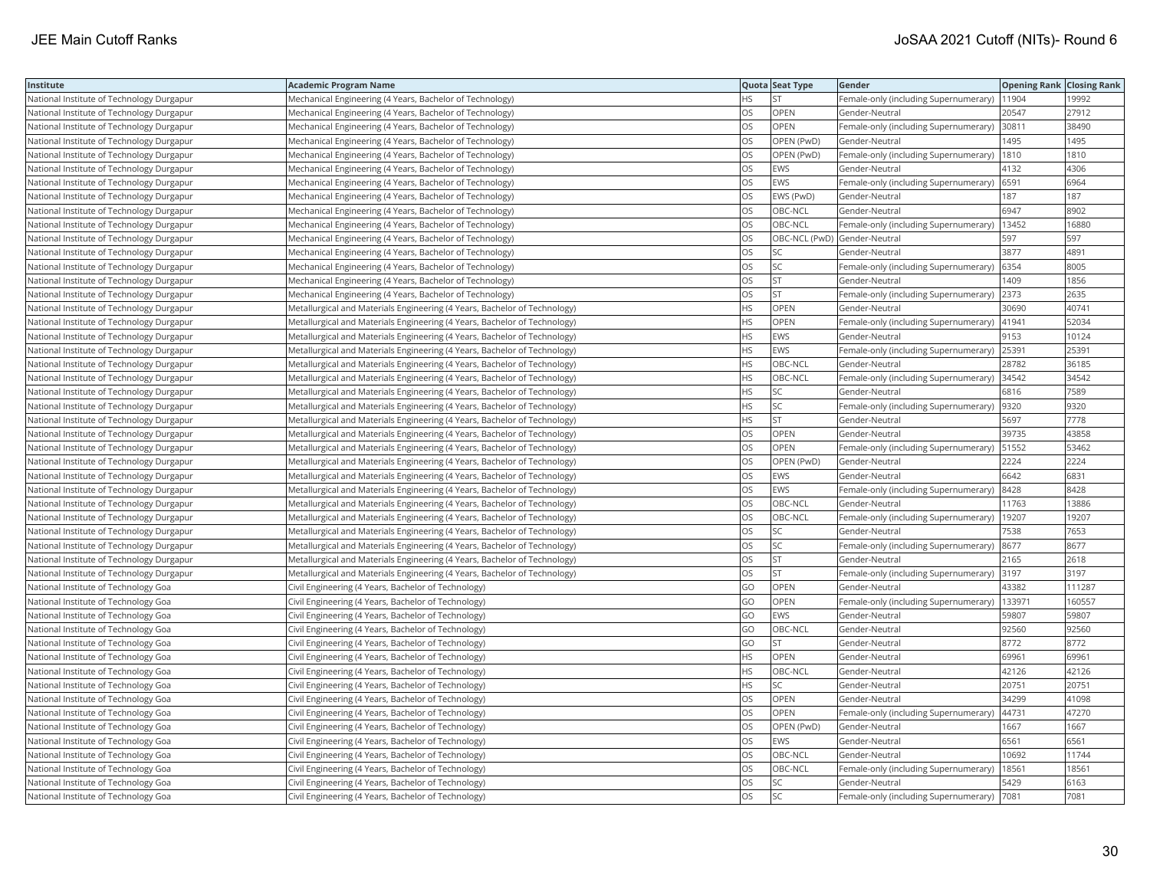| Institute                                 | <b>Academic Program Name</b>                                              |           | Quota Seat Type | Gender                                        | <b>Opening Rank Closing Rank</b> |        |
|-------------------------------------------|---------------------------------------------------------------------------|-----------|-----------------|-----------------------------------------------|----------------------------------|--------|
| National Institute of Technology Durgapur | Mechanical Engineering (4 Years, Bachelor of Technology)                  | <b>HS</b> | <b>ST</b>       | Female-only (including Supernumerary)   1904  |                                  | 19992  |
| National Institute of Technology Durgapur | Mechanical Engineering (4 Years, Bachelor of Technology)                  | OS        | OPEN            | Gender-Neutral                                | 20547                            | 27912  |
| National Institute of Technology Durgapur | Mechanical Engineering (4 Years, Bachelor of Technology)                  | OS        | OPEN            | Female-only (including Supernumerary) 30811   |                                  | 38490  |
| National Institute of Technology Durgapur | Mechanical Engineering (4 Years, Bachelor of Technology)                  | OS        | OPEN (PwD)      | Gender-Neutral                                | 1495                             | 1495   |
| National Institute of Technology Durgapur | Mechanical Engineering (4 Years, Bachelor of Technology)                  | OS        | OPEN (PwD)      | Female-only (including Supernumerary)         | 1810                             | 1810   |
| National Institute of Technology Durgapur | Mechanical Engineering (4 Years, Bachelor of Technology)                  | OS        | <b>EWS</b>      | Gender-Neutral                                | 4132                             | 4306   |
| National Institute of Technology Durgapur | Mechanical Engineering (4 Years, Bachelor of Technology)                  | OS        | <b>EWS</b>      | Female-only (including Supernumerary)         | 6591                             | 6964   |
| National Institute of Technology Durgapur | Mechanical Engineering (4 Years, Bachelor of Technology)                  | <b>OS</b> | EWS (PwD)       | Gender-Neutral                                | 187                              | 187    |
| National Institute of Technology Durgapur | Mechanical Engineering (4 Years, Bachelor of Technology)                  | OS        | OBC-NCL         | Gender-Neutral                                | 6947                             | 8902   |
| National Institute of Technology Durgapur | Mechanical Engineering (4 Years, Bachelor of Technology)                  | OS        | OBC-NCL         | Female-only (including Supernumerary)         | 13452                            | 16880  |
| National Institute of Technology Durgapur | Mechanical Engineering (4 Years, Bachelor of Technology)                  | OS        |                 | OBC-NCL (PwD) Gender-Neutral                  | 597                              | 597    |
| National Institute of Technology Durgapur | Mechanical Engineering (4 Years, Bachelor of Technology)                  | OS        | <b>SC</b>       | Gender-Neutral                                | 3877                             | 4891   |
| National Institute of Technology Durgapur | Mechanical Engineering (4 Years, Bachelor of Technology)                  | <b>OS</b> | SC              | Female-only (including Supernumerary)         | 6354                             | 8005   |
| National Institute of Technology Durgapur | Mechanical Engineering (4 Years, Bachelor of Technology)                  | OS        | <b>ST</b>       | Gender-Neutral                                | 1409                             | 1856   |
| National Institute of Technology Durgapur | Mechanical Engineering (4 Years, Bachelor of Technology)                  | OS        | <b>ST</b>       | Female-only (including Supernumerary) 2373    |                                  | 2635   |
| National Institute of Technology Durgapur | Metallurgical and Materials Engineering (4 Years, Bachelor of Technology) | ΗS        | OPEN            | Gender-Neutral                                | 30690                            | 40741  |
| National Institute of Technology Durgapur | Metallurgical and Materials Engineering (4 Years, Bachelor of Technology) | <b>HS</b> | OPEN            | Female-only (including Supernumerary)  41941  |                                  | 52034  |
| National Institute of Technology Durgapur | Metallurgical and Materials Engineering (4 Years, Bachelor of Technology) | ΗS        | <b>EWS</b>      | Gender-Neutral                                | 9153                             | 10124  |
| National Institute of Technology Durgapur | Metallurgical and Materials Engineering (4 Years, Bachelor of Technology) | HS        | EWS             | Female-only (including Supernumerary)         | 25391                            | 25391  |
| National Institute of Technology Durgapur | Metallurgical and Materials Engineering (4 Years, Bachelor of Technology) | <b>HS</b> | OBC-NCL         | Gender-Neutral                                | 28782                            | 36185  |
| National Institute of Technology Durgapur | Metallurgical and Materials Engineering (4 Years, Bachelor of Technology) | <b>HS</b> | OBC-NCL         | Female-only (including Supernumerary)         | 34542                            | 34542  |
| National Institute of Technology Durgapur | Metallurgical and Materials Engineering (4 Years, Bachelor of Technology) | HS        | SC              | Gender-Neutral                                | 6816                             | 7589   |
| National Institute of Technology Durgapur | Metallurgical and Materials Engineering (4 Years, Bachelor of Technology) | ΗS        | SC              | Female-only (including Supernumerary)  9320   |                                  | 9320   |
| National Institute of Technology Durgapur | Metallurgical and Materials Engineering (4 Years, Bachelor of Technology) | HS        | <b>ST</b>       | Gender-Neutral                                | 5697                             | 7778   |
| National Institute of Technology Durgapur | Metallurgical and Materials Engineering (4 Years, Bachelor of Technology) | OS        | OPEN            | Gender-Neutral                                | 39735                            | 43858  |
| National Institute of Technology Durgapur | Metallurgical and Materials Engineering (4 Years, Bachelor of Technology) | <b>OS</b> | <b>OPEN</b>     | Female-only (including Supernumerary)         | 51552                            | 53462  |
| National Institute of Technology Durgapur | Metallurgical and Materials Engineering (4 Years, Bachelor of Technology) | OS        | OPEN (PwD)      | Gender-Neutral                                | 2224                             | 2224   |
| National Institute of Technology Durgapur | Metallurgical and Materials Engineering (4 Years, Bachelor of Technology) | OS        | <b>EWS</b>      | Gender-Neutral                                | 6642                             | 6831   |
| National Institute of Technology Durgapur | Metallurgical and Materials Engineering (4 Years, Bachelor of Technology) | OS        | <b>EWS</b>      | Female-only (including Supernumerary)         | 8428                             | 8428   |
| National Institute of Technology Durgapur | Metallurgical and Materials Engineering (4 Years, Bachelor of Technology) | OS        | OBC-NCL         | Gender-Neutral                                | 11763                            | 13886  |
| National Institute of Technology Durgapur | Metallurgical and Materials Engineering (4 Years, Bachelor of Technology) | OS        | OBC-NCL         | Female-only (including Supernumerary)   19207 |                                  | 19207  |
| National Institute of Technology Durgapur | Metallurgical and Materials Engineering (4 Years, Bachelor of Technology) | OS        | SC              | Gender-Neutral                                | 7538                             | 7653   |
| National Institute of Technology Durgapur | Metallurgical and Materials Engineering (4 Years, Bachelor of Technology) | OS        | SC              | Female-only (including Supernumerary)         | 8677                             | 8677   |
| National Institute of Technology Durgapur | Metallurgical and Materials Engineering (4 Years, Bachelor of Technology) | OS        | <b>ST</b>       | Gender-Neutral                                | 2165                             | 2618   |
| National Institute of Technology Durgapur | Metallurgical and Materials Engineering (4 Years, Bachelor of Technology) | OS        | ST              | Female-only (including Supernumerary)         | 3197                             | 3197   |
| National Institute of Technology Goa      | Civil Engineering (4 Years, Bachelor of Technology)                       | GO        | <b>OPEN</b>     | Gender-Neutral                                | 43382                            | 111287 |
| National Institute of Technology Goa      | Civil Engineering (4 Years, Bachelor of Technology)                       | GO        | OPEN            | Female-only (including Supernumerary)         | 133971                           | 160557 |
| National Institute of Technology Goa      | Civil Engineering (4 Years, Bachelor of Technology)                       | GO        | <b>EWS</b>      | Gender-Neutral                                | 59807                            | 59807  |
| National Institute of Technology Goa      | Civil Engineering (4 Years, Bachelor of Technology)                       | GO        | OBC-NCL         | Gender-Neutral                                | 92560                            | 92560  |
| National Institute of Technology Goa      | Civil Engineering (4 Years, Bachelor of Technology)                       | GO        | <b>ST</b>       | Gender-Neutral                                | 8772                             | 8772   |
| National Institute of Technology Goa      | Civil Engineering (4 Years, Bachelor of Technology)                       | ΗS        | OPEN            | Gender-Neutral                                | 69961                            | 69961  |
| National Institute of Technology Goa      | Civil Engineering (4 Years, Bachelor of Technology)                       | HS        | OBC-NCL         | Gender-Neutral                                | 42126                            | 42126  |
| National Institute of Technology Goa      | Civil Engineering (4 Years, Bachelor of Technology)                       | HS        | SC              | Gender-Neutral                                | 20751                            | 20751  |
| National Institute of Technology Goa      | Civil Engineering (4 Years, Bachelor of Technology)                       | OS        | <b>OPEN</b>     | Gender-Neutral                                | 34299                            | 41098  |
| National Institute of Technology Goa      | Civil Engineering (4 Years, Bachelor of Technology)                       | OS        | OPEN            | Female-only (including Supernumerary)         | 44731                            | 47270  |
| National Institute of Technology Goa      | Civil Engineering (4 Years, Bachelor of Technology)                       | OS        | OPEN (PwD)      | Gender-Neutral                                | 1667                             | 1667   |
| National Institute of Technology Goa      | Civil Engineering (4 Years, Bachelor of Technology)                       | OS        | <b>EWS</b>      | Gender-Neutral                                | 6561                             | 6561   |
| National Institute of Technology Goa      | Civil Engineering (4 Years, Bachelor of Technology)                       | OS        | OBC-NCL         | Gender-Neutral                                | 10692                            | 11744  |
| National Institute of Technology Goa      | Civil Engineering (4 Years, Bachelor of Technology)                       | OS        | OBC-NCL         | Female-only (including Supernumerary)         | 18561                            | 18561  |
| National Institute of Technology Goa      | Civil Engineering (4 Years, Bachelor of Technology)                       | OS        | SC              | Gender-Neutral                                | 5429                             | 6163   |
| National Institute of Technology Goa      | Civil Engineering (4 Years, Bachelor of Technology)                       | <b>OS</b> | <b>SC</b>       | Female-only (including Supernumerary)  7081   |                                  | 7081   |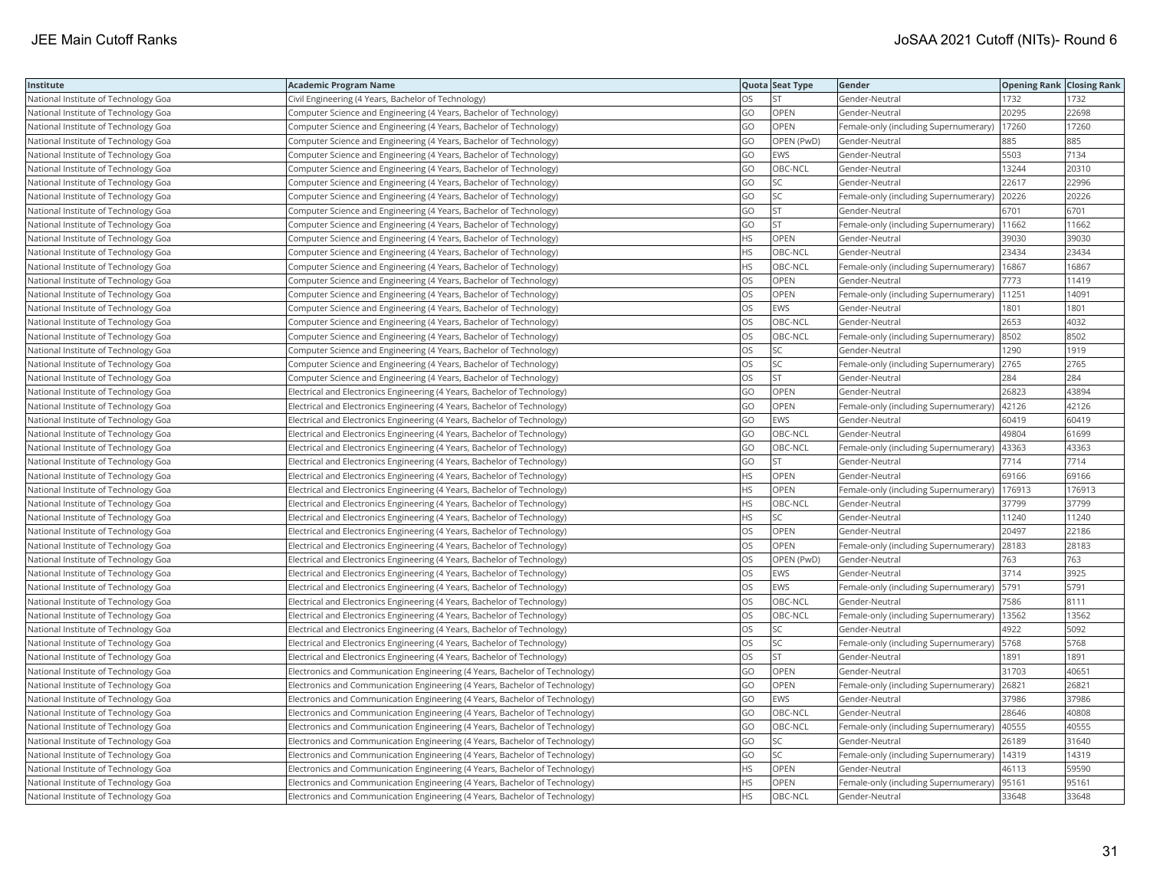| Institute                            | <b>Academic Program Name</b>                                                 |           | Quota Seat Type | Gender                                        | <b>Opening Rank   Closing Rank</b> |        |
|--------------------------------------|------------------------------------------------------------------------------|-----------|-----------------|-----------------------------------------------|------------------------------------|--------|
| National Institute of Technology Goa | Civil Engineering (4 Years, Bachelor of Technology)                          | OS        |                 | Gender-Neutral                                | 1732                               | 1732   |
| National Institute of Technology Goa | Computer Science and Engineering (4 Years, Bachelor of Technology)           | GO        | OPEN            | Gender-Neutral                                | 20295                              | 22698  |
| National Institute of Technology Goa | Computer Science and Engineering (4 Years, Bachelor of Technology)           | GO        | OPEN            | Female-only (including Supernumerary)         | 17260                              | 17260  |
| National Institute of Technology Goa | Computer Science and Engineering (4 Years, Bachelor of Technology)           | GO        | OPEN (PwD)      | Gender-Neutral                                | 885                                | 885    |
| National Institute of Technology Goa | Computer Science and Engineering (4 Years, Bachelor of Technology)           | GO        | <b>EWS</b>      | Gender-Neutral                                | 5503                               | 7134   |
| National Institute of Technology Goa | Computer Science and Engineering (4 Years, Bachelor of Technology)           | GO        | OBC-NCL         | Gender-Neutral                                | 13244                              | 20310  |
| National Institute of Technology Goa | Computer Science and Engineering (4 Years, Bachelor of Technology)           | GO        | SC              | Gender-Neutral                                | 22617                              | 22996  |
| National Institute of Technology Goa | Computer Science and Engineering (4 Years, Bachelor of Technology)           | GO        | SC              | Female-only (including Supernumerary)         | 20226                              | 20226  |
| National Institute of Technology Goa | Computer Science and Engineering (4 Years, Bachelor of Technology)           | GO        | <b>ST</b>       | Gender-Neutral                                | 6701                               | 6701   |
| National Institute of Technology Goa | Computer Science and Engineering (4 Years, Bachelor of Technology)           | GO        | <b>ST</b>       | Female-only (including Supernumerary)   11662 |                                    | 11662  |
| National Institute of Technology Goa | Computer Science and Engineering (4 Years, Bachelor of Technology)           | HS.       | <b>OPEN</b>     | Gender-Neutral                                | 39030                              | 39030  |
| National Institute of Technology Goa | Computer Science and Engineering (4 Years, Bachelor of Technology)           | <b>HS</b> | OBC-NCL         | Gender-Neutral                                | 23434                              | 23434  |
| National Institute of Technology Goa | Computer Science and Engineering (4 Years, Bachelor of Technology)           | HS.       | OBC-NCL         | Female-only (including Supernumerary)         | 16867                              | 16867  |
| National Institute of Technology Goa | Computer Science and Engineering (4 Years, Bachelor of Technology)           | OS        | OPEN            | Gender-Neutral                                | 7773                               | 11419  |
| National Institute of Technology Goa | Computer Science and Engineering (4 Years, Bachelor of Technology)           | OS        | OPEN            | Female-only (including Supernumerary)         | 11251                              | 14091  |
| National Institute of Technology Goa | Computer Science and Engineering (4 Years, Bachelor of Technology)           | OS        | EWS             | Gender-Neutral                                | 1801                               | 1801   |
| National Institute of Technology Goa | Computer Science and Engineering (4 Years, Bachelor of Technology)           | OS        | OBC-NCL         | Gender-Neutral                                | 2653                               | 4032   |
| National Institute of Technology Goa | Computer Science and Engineering (4 Years, Bachelor of Technology)           | OS        | OBC-NCL         | Female-only (including Supernumerary)         | 8502                               | 8502   |
| National Institute of Technology Goa | Computer Science and Engineering (4 Years, Bachelor of Technology)           | OS.       | SC              | Gender-Neutral                                | 1290                               | 1919   |
| National Institute of Technology Goa | Computer Science and Engineering (4 Years, Bachelor of Technology)           | OS        | SC              | Female-only (including Supernumerary)         | 2765                               | 2765   |
| National Institute of Technology Goa | Computer Science and Engineering (4 Years, Bachelor of Technology)           | OS        | <b>ST</b>       | Gender-Neutral                                | 284                                | 284    |
| National Institute of Technology Goa | Electrical and Electronics Engineering (4 Years, Bachelor of Technology)     | GO        | OPEN            | Gender-Neutral                                | 26823                              | 43894  |
| National Institute of Technology Goa | Electrical and Electronics Engineering (4 Years, Bachelor of Technology)     | GO        | OPEN            | Female-only (including Supernumerary)   42126 |                                    | 42126  |
| National Institute of Technology Goa | Electrical and Electronics Engineering (4 Years, Bachelor of Technology)     | GO        | <b>EWS</b>      | Gender-Neutral                                | 60419                              | 60419  |
| National Institute of Technology Goa | Electrical and Electronics Engineering (4 Years, Bachelor of Technology)     | GO        | OBC-NCL         | Gender-Neutral                                | 49804                              | 61699  |
| National Institute of Technology Goa | Electrical and Electronics Engineering (4 Years, Bachelor of Technology)     | GO        | OBC-NCL         | Female-only (including Supernumerary)         | 43363                              | 43363  |
| National Institute of Technology Goa | Electrical and Electronics Engineering (4 Years, Bachelor of Technology)     | GO        | <b>ST</b>       | Gender-Neutral                                | 7714                               | 7714   |
| National Institute of Technology Goa | Electrical and Electronics Engineering (4 Years, Bachelor of Technology)     | HS.       | <b>OPEN</b>     | Gender-Neutral                                | 69166                              | 69166  |
| National Institute of Technology Goa | Electrical and Electronics Engineering (4 Years, Bachelor of Technology)     | HS.       | <b>OPEN</b>     | Female-only (including Supernumerary)         | 176913                             | 176913 |
| National Institute of Technology Goa | Electrical and Electronics Engineering (4 Years, Bachelor of Technology)     | HS.       | OBC-NCL         | Gender-Neutral                                | 37799                              | 37799  |
| National Institute of Technology Goa | Electrical and Electronics Engineering (4 Years, Bachelor of Technology)     | HS        | SC              | Gender-Neutral                                | 11240                              | 11240  |
| National Institute of Technology Goa | Electrical and Electronics Engineering (4 Years, Bachelor of Technology)     | OS        | OPEN            | Gender-Neutral                                | 20497                              | 22186  |
| National Institute of Technology Goa | Electrical and Electronics Engineering (4 Years, Bachelor of Technology)     | OS.       | <b>OPEN</b>     | Female-only (including Supernumerary)         | 28183                              | 28183  |
| National Institute of Technology Goa | Electrical and Electronics Engineering (4 Years, Bachelor of Technology)     | OS        | OPEN (PwD)      | Gender-Neutral                                | 763                                | 763    |
| National Institute of Technology Goa | Electrical and Electronics Engineering (4 Years, Bachelor of Technology)     | OS        | <b>EWS</b>      | Gender-Neutral                                | 3714                               | 3925   |
| National Institute of Technology Goa | Electrical and Electronics Engineering (4 Years, Bachelor of Technology)     | OS.       | <b>EWS</b>      | Female-only (including Supernumerary)         | 5791                               | 5791   |
| National Institute of Technology Goa | Electrical and Electronics Engineering (4 Years, Bachelor of Technology)     | OS        | OBC-NCL         | Gender-Neutral                                | 7586                               | 8111   |
| National Institute of Technology Goa | Electrical and Electronics Engineering (4 Years, Bachelor of Technology)     | OS        | OBC-NCL         | Female-only (including Supernumerary)   13562 |                                    | 13562  |
| National Institute of Technology Goa | Electrical and Electronics Engineering (4 Years, Bachelor of Technology)     | OS        | SC              | Gender-Neutral                                | 4922                               | 5092   |
| National Institute of Technology Goa | Electrical and Electronics Engineering (4 Years, Bachelor of Technology)     | OS        | SC              | Female-only (including Supernumerary)  5768   |                                    | 5768   |
| National Institute of Technology Goa | Electrical and Electronics Engineering (4 Years, Bachelor of Technology)     | OS.       | <b>ST</b>       | Gender-Neutral                                | 1891                               | 1891   |
| National Institute of Technology Goa | Electronics and Communication Engineering (4 Years, Bachelor of Technology)  | GO        | OPEN            | Gender-Neutral                                | 31703                              | 40651  |
| National Institute of Technology Goa | Electronics and Communication Engineering (4 Years, Bachelor of Technology)  | GO        | OPEN            | Female-only (including Supernumerary)         | 26821                              | 26821  |
| National Institute of Technology Goa | Electronics and Communication Engineering (4 Years, Bachelor of Technology)  | GO        | <b>EWS</b>      | Gender-Neutral                                | 37986                              | 37986  |
| National Institute of Technology Goa | Electronics and Communication Engineering (4 Years, Bachelor of Technology)  | GO        | OBC-NCL         | Gender-Neutral                                | 28646                              | 40808  |
| National Institute of Technology Goa | [Electronics and Communication Engineering (4 Years, Bachelor of Technology) | GO        | OBC-NCL         | Female-only (including Supernumerary)         | 40555                              | 40555  |
| National Institute of Technology Goa | Electronics and Communication Engineering (4 Years, Bachelor of Technology)  | GO        | <b>SC</b>       | Gender-Neutral                                | 26189                              | 31640  |
| National Institute of Technology Goa | Electronics and Communication Engineering (4 Years, Bachelor of Technology)  | GO        | SC              | Female-only (including Supernumerary)         | 14319                              | 14319  |
| National Institute of Technology Goa | Electronics and Communication Engineering (4 Years, Bachelor of Technology)  | ΗS        | OPEN            | Gender-Neutral                                | 46113                              | 59590  |
| National Institute of Technology Goa | Electronics and Communication Engineering (4 Years, Bachelor of Technology)  | <b>HS</b> | OPEN            | Female-only (including Supernumerary)         | 95161                              | 95161  |
| National Institute of Technology Goa | Electronics and Communication Engineering (4 Years, Bachelor of Technology)  | <b>HS</b> | OBC-NCL         | Gender-Neutral                                | 33648                              | 33648  |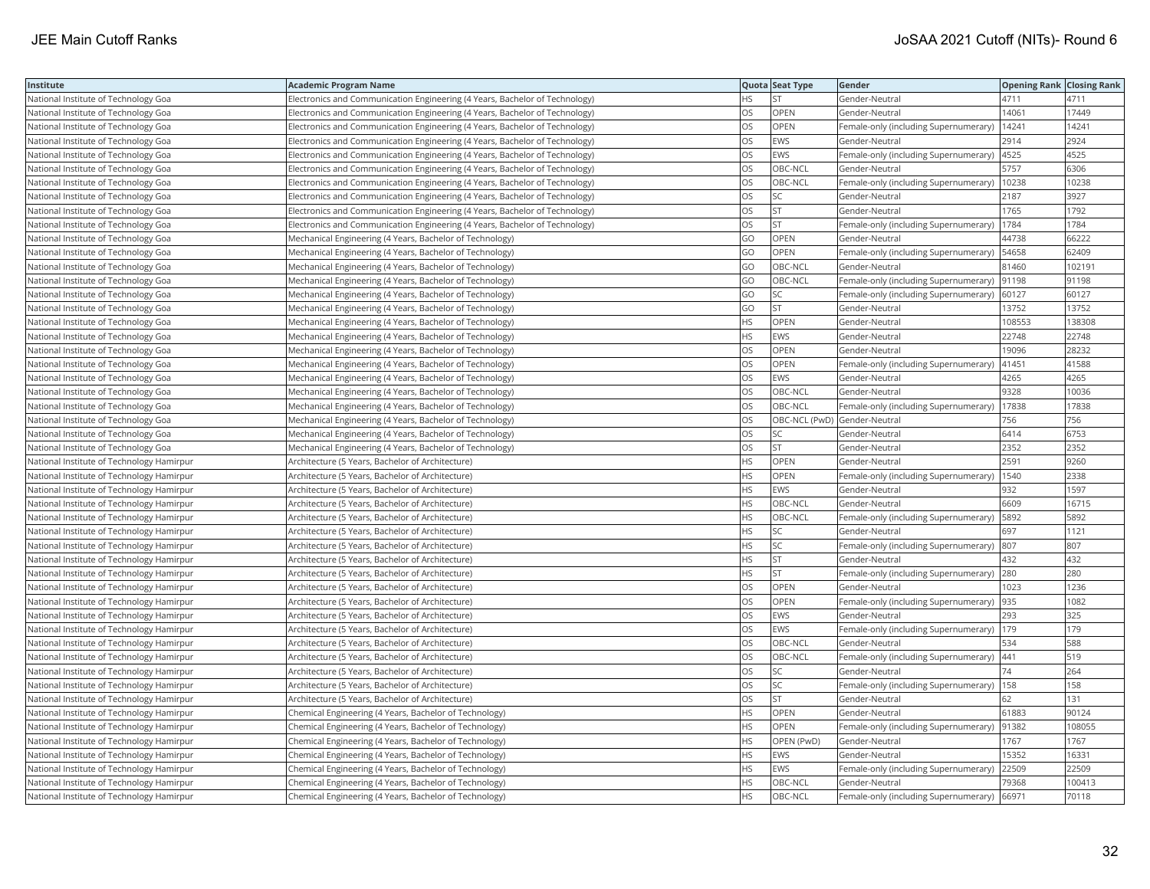| Institute                                 | Academic Program Name                                                       |           | Quota Seat Type              | Gender                                        | <b>Opening Rank Closing Rank</b> |        |
|-------------------------------------------|-----------------------------------------------------------------------------|-----------|------------------------------|-----------------------------------------------|----------------------------------|--------|
| National Institute of Technology Goa      | Electronics and Communication Engineering (4 Years, Bachelor of Technology) | HS        | <b>ST</b>                    | Gender-Neutral                                | 4711                             | 4711   |
| National Institute of Technology Goa      | Electronics and Communication Engineering (4 Years, Bachelor of Technology) | OS.       | OPEN                         | Gender-Neutral                                | 14061                            | 17449  |
| National Institute of Technology Goa      | Electronics and Communication Engineering (4 Years, Bachelor of Technology) | OS        | OPEN                         | Female-only (including Supernumerary)         | 14241                            | 14241  |
| National Institute of Technology Goa      | Electronics and Communication Engineering (4 Years, Bachelor of Technology) | OS        | EWS                          | Gender-Neutral                                | 2914                             | 2924   |
| National Institute of Technology Goa      | Electronics and Communication Engineering (4 Years, Bachelor of Technology) | OS        | EWS                          | Female-only (including Supernumerary)         | 4525                             | 4525   |
| National Institute of Technology Goa      | Electronics and Communication Engineering (4 Years, Bachelor of Technology) | OS        | OBC-NCL                      | Gender-Neutral                                | 5757                             | 6306   |
| National Institute of Technology Goa      | Electronics and Communication Engineering (4 Years, Bachelor of Technology) | OS.       | OBC-NCL                      | Female-only (including Supernumerary)         | 10238                            | 10238  |
| National Institute of Technology Goa      | Electronics and Communication Engineering (4 Years, Bachelor of Technology) | OS        | SC                           | Gender-Neutral                                | 2187                             | 3927   |
| National Institute of Technology Goa      | Electronics and Communication Engineering (4 Years, Bachelor of Technology) | OS        | ST                           | Gender-Neutral                                | 1765                             | 1792   |
| National Institute of Technology Goa      | Electronics and Communication Engineering (4 Years, Bachelor of Technology) | OS.       | <b>ST</b>                    | Female-only (including Supernumerary)         | 1784                             | 1784   |
| National Institute of Technology Goa      | Mechanical Engineering (4 Years, Bachelor of Technology)                    | GO        | OPEN                         | Gender-Neutral                                | 44738                            | 66222  |
| National Institute of Technology Goa      | Mechanical Engineering (4 Years, Bachelor of Technology)                    | GO        | OPEN                         | Female-only (including Supernumerary)         | 54658                            | 62409  |
| National Institute of Technology Goa      | Mechanical Engineering (4 Years, Bachelor of Technology)                    | GO        | OBC-NCL                      | Gender-Neutral                                | 81460                            | 102191 |
| National Institute of Technology Goa      | Mechanical Engineering (4 Years, Bachelor of Technology)                    | GO        | OBC-NCL                      | Female-only (including Supernumerary)         | 91198                            | 91198  |
| National Institute of Technology Goa      | Mechanical Engineering (4 Years, Bachelor of Technology)                    | GO        | <b>SC</b>                    | Female-only (including Supernumerary)   60127 |                                  | 60127  |
| National Institute of Technology Goa      | Mechanical Engineering (4 Years, Bachelor of Technology)                    | GO        | <b>ST</b>                    | Gender-Neutral                                | 13752                            | 13752  |
| National Institute of Technology Goa      | Mechanical Engineering (4 Years, Bachelor of Technology)                    | HS.       | OPEN                         | Gender-Neutral                                | 108553                           | 138308 |
| National Institute of Technology Goa      | Mechanical Engineering (4 Years, Bachelor of Technology)                    | HS.       | <b>EWS</b>                   | Gender-Neutral                                | 22748                            | 22748  |
| National Institute of Technology Goa      | Mechanical Engineering (4 Years, Bachelor of Technology)                    | OS        | <b>OPEN</b>                  | Gender-Neutral                                | 19096                            | 28232  |
| National Institute of Technology Goa      | Mechanical Engineering (4 Years, Bachelor of Technology)                    | OS        | <b>OPEN</b>                  | Female-only (including Supernumerary)         | 41451                            | 41588  |
| National Institute of Technology Goa      | Mechanical Engineering (4 Years, Bachelor of Technology)                    | OS        | EWS                          | Gender-Neutral                                | 4265                             | 4265   |
| National Institute of Technology Goa      | Mechanical Engineering (4 Years, Bachelor of Technology)                    | OS        | OBC-NCL                      | Gender-Neutral                                | 9328                             | 10036  |
| National Institute of Technology Goa      | Mechanical Engineering (4 Years, Bachelor of Technology)                    | OS        | OBC-NCL                      | Female-only (including Supernumerary)         | 17838                            | 17838  |
| National Institute of Technology Goa      | Mechanical Engineering (4 Years, Bachelor of Technology)                    | OS        | OBC-NCL (PwD) Gender-Neutral |                                               | 756                              | 756    |
| National Institute of Technology Goa      | Mechanical Engineering (4 Years, Bachelor of Technology)                    | OS        | SC                           | Gender-Neutral                                | 6414                             | 6753   |
| National Institute of Technology Goa      | Mechanical Engineering (4 Years, Bachelor of Technology)                    | OS        | <b>ST</b>                    | Gender-Neutral                                | 2352                             | 2352   |
| National Institute of Technology Hamirpur | Architecture (5 Years, Bachelor of Architecture)                            | HS.       | OPEN                         | Gender-Neutral                                | 2591                             | 9260   |
| National Institute of Technology Hamirpur | Architecture (5 Years, Bachelor of Architecture)                            | <b>HS</b> | OPEN                         | Female-only (including Supernumerary)         | 1540                             | 2338   |
| National Institute of Technology Hamirpur | Architecture (5 Years, Bachelor of Architecture)                            | HS.       | <b>EWS</b>                   | Gender-Neutral                                | 932                              | 1597   |
| National Institute of Technology Hamirpur | Architecture (5 Years, Bachelor of Architecture)                            | HS        | OBC-NCL                      | Gender-Neutral                                | 6609                             | 16715  |
| National Institute of Technology Hamirpur | Architecture (5 Years, Bachelor of Architecture)                            | HS.       | OBC-NCL                      | Female-only (including Supernumerary)         | 5892                             | 5892   |
| National Institute of Technology Hamirpur | Architecture (5 Years, Bachelor of Architecture)                            | HS        | SC                           | Gender-Neutral                                | 697                              | 1121   |
| National Institute of Technology Hamirpur | Architecture (5 Years, Bachelor of Architecture)                            | HS.       | SC                           | Female-only (including Supernumerary)  807    |                                  | 807    |
| National Institute of Technology Hamirpur | Architecture (5 Years, Bachelor of Architecture)                            | HS.       | lst                          | Gender-Neutral                                | 432                              | 432    |
| National Institute of Technology Hamirpur | Architecture (5 Years, Bachelor of Architecture)                            | <b>HS</b> | <b>ST</b>                    | Female-only (including Supernumerary) 280     |                                  | 280    |
| National Institute of Technology Hamirpur | Architecture (5 Years, Bachelor of Architecture)                            | OS.       | OPEN                         | Gender-Neutral                                | 1023                             | 1236   |
| National Institute of Technology Hamirpur | Architecture (5 Years, Bachelor of Architecture)                            | OS        | OPEN                         | Female-only (including Supernumerary)  935    |                                  | 1082   |
| National Institute of Technology Hamirpur | Architecture (5 Years, Bachelor of Architecture)                            | OS        | EWS                          | Gender-Neutral                                | 293                              | 325    |
| National Institute of Technology Hamirpur | Architecture (5 Years, Bachelor of Architecture)                            | OS.       | <b>EWS</b>                   | Female-only (including Supernumerary)         | 179                              | 179    |
| National Institute of Technology Hamirpur | Architecture (5 Years, Bachelor of Architecture)                            | OS        | OBC-NCL                      | Gender-Neutral                                | 534                              | 588    |
| National Institute of Technology Hamirpur | Architecture (5 Years, Bachelor of Architecture)                            | OS        | OBC-NCL                      | Female-only (including Supernumerary)         | 441                              | 519    |
| National Institute of Technology Hamirpur | Architecture (5 Years, Bachelor of Architecture)                            | OS        | <b>SC</b>                    | Gender-Neutral                                | 74                               | 264    |
| National Institute of Technology Hamirpur | Architecture (5 Years, Bachelor of Architecture)                            | <b>OS</b> | SC                           | Female-only (including Supernumerary)         | 158                              | 158    |
| National Institute of Technology Hamirpur | Architecture (5 Years, Bachelor of Architecture)                            | OS        | <b>ST</b>                    | Gender-Neutral                                | 62                               | 131    |
| National Institute of Technology Hamirpur | Chemical Engineering (4 Years, Bachelor of Technology)                      | HS.       | OPEN                         | Gender-Neutral                                | 61883                            | 90124  |
| National Institute of Technology Hamirpur | Chemical Engineering (4 Years, Bachelor of Technology)                      | HS        | OPEN                         | Female-only (including Supernumerary)  91382  |                                  | 108055 |
| National Institute of Technology Hamirpur | Chemical Engineering (4 Years, Bachelor of Technology)                      | HS.       | OPEN (PwD)                   | Gender-Neutral                                | 1767                             | 1767   |
| National Institute of Technology Hamirpur | Chemical Engineering (4 Years, Bachelor of Technology)                      | НS        | EWS                          | Gender-Neutral                                | 15352                            | 16331  |
| National Institute of Technology Hamirpur | Chemical Engineering (4 Years, Bachelor of Technology)                      | HS.       | <b>EWS</b>                   | Female-only (including Supernumerary)         | 22509                            | 22509  |
| National Institute of Technology Hamirpur | Chemical Engineering (4 Years, Bachelor of Technology)                      | HS.       | OBC-NCL                      | Gender-Neutral                                | 79368                            | 100413 |
| National Institute of Technology Hamirpur | Chemical Engineering (4 Years, Bachelor of Technology)                      | <b>HS</b> | OBC-NCL                      | Female-only (including Supernumerary)         | 66971                            | 70118  |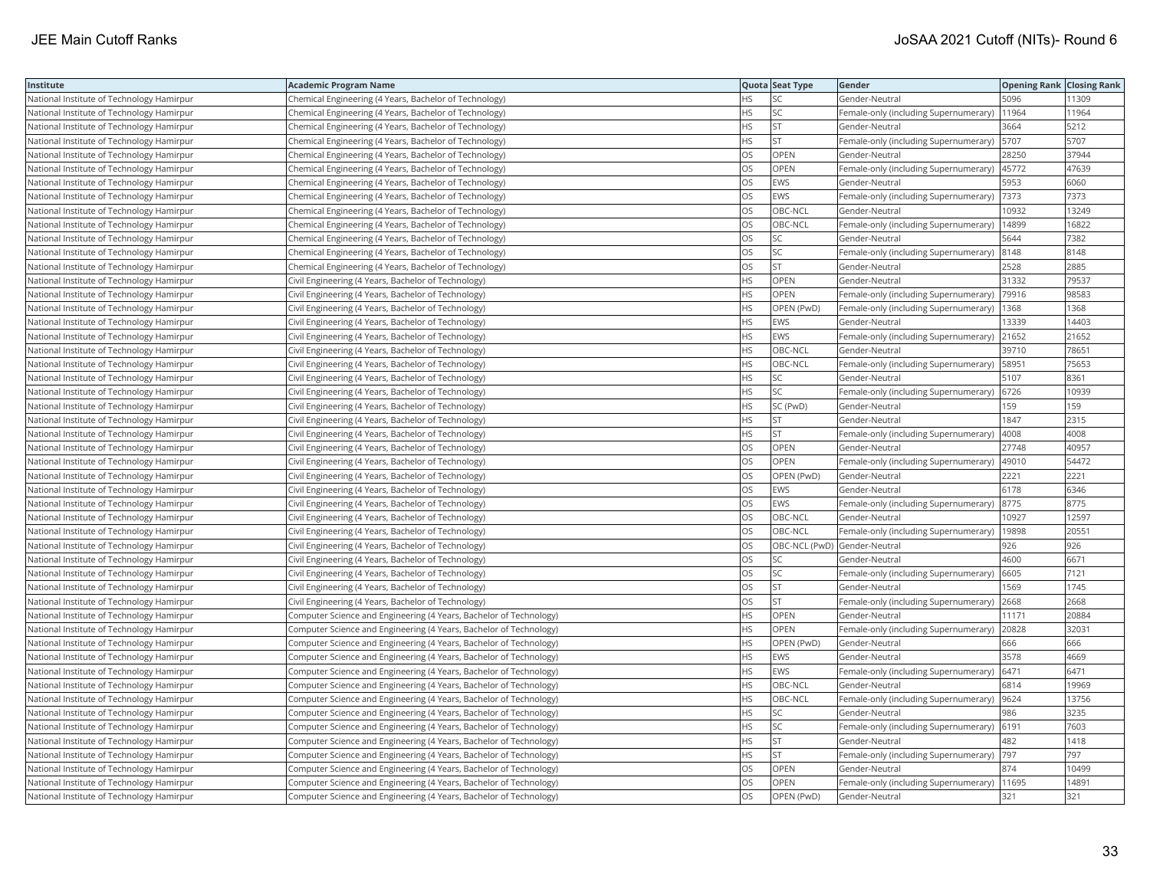| Institute                                 | <b>Academic Program Name</b>                                       |           | Quota Seat Type              | Gender                                        | <b>Opening Rank Closing Rank</b> |       |
|-------------------------------------------|--------------------------------------------------------------------|-----------|------------------------------|-----------------------------------------------|----------------------------------|-------|
| National Institute of Technology Hamirpur | Chemical Engineering (4 Years, Bachelor of Technology)             | HS        | SC                           | Gender-Neutral                                | 5096                             | 11309 |
| National Institute of Technology Hamirpur | Chemical Engineering (4 Years, Bachelor of Technology)             | HS        | SC                           | Female-only (including Supernumerary)         | 11964                            | 11964 |
| National Institute of Technology Hamirpur | Chemical Engineering (4 Years, Bachelor of Technology)             | <b>HS</b> | <b>ST</b>                    | Gender-Neutral                                | 3664                             | 5212  |
| National Institute of Technology Hamirpur | Chemical Engineering (4 Years, Bachelor of Technology)             | HS        | <b>ST</b>                    | Female-only (including Supernumerary)         | 5707                             | 5707  |
| National Institute of Technology Hamirpur | Chemical Engineering (4 Years, Bachelor of Technology)             | OS        | OPEN                         | Gender-Neutral                                | 28250                            | 37944 |
| National Institute of Technology Hamirpur | Chemical Engineering (4 Years, Bachelor of Technology)             | OS        | OPEN                         | Female-only (including Supernumerary)  45772  |                                  | 47639 |
| National Institute of Technology Hamirpur | Chemical Engineering (4 Years, Bachelor of Technology)             | OS        | EWS                          | Gender-Neutral                                | 5953                             | 6060  |
| National Institute of Technology Hamirpur | Chemical Engineering (4 Years, Bachelor of Technology)             | OS        | <b>EWS</b>                   | Female-only (including Supernumerary)         | 7373                             | 7373  |
| National Institute of Technology Hamirpur | Chemical Engineering (4 Years, Bachelor of Technology)             | OS        | OBC-NCL                      | Gender-Neutral                                | 10932                            | 13249 |
| National Institute of Technology Hamirpur | Chemical Engineering (4 Years, Bachelor of Technology)             | OS        | OBC-NCL                      | Female-only (including Supernumerary)         | 14899                            | 16822 |
| National Institute of Technology Hamirpur | Chemical Engineering (4 Years, Bachelor of Technology)             | OS        | <b>SC</b>                    | Gender-Neutral                                | 5644                             | 7382  |
| National Institute of Technology Hamirpur | Chemical Engineering (4 Years, Bachelor of Technology)             | OS        | SC                           | Female-only (including Supernumerary) 8148    |                                  | 8148  |
| National Institute of Technology Hamirpur | Chemical Engineering (4 Years, Bachelor of Technology)             | <b>OS</b> | <b>ST</b>                    | Gender-Neutral                                | 2528                             | 2885  |
| National Institute of Technology Hamirpur | Civil Engineering (4 Years, Bachelor of Technology)                | ΗS        | OPEN                         | Gender-Neutral                                | 31332                            | 79537 |
| National Institute of Technology Hamirpur | Civil Engineering (4 Years, Bachelor of Technology)                | HS        | OPEN                         | Female-only (including Supernumerary)         | 79916                            | 98583 |
| National Institute of Technology Hamirpur | Civil Engineering (4 Years, Bachelor of Technology)                | HS        | OPEN (PwD)                   | Female-only (including Supernumerary)         | 1368                             | 1368  |
| National Institute of Technology Hamirpur | Civil Engineering (4 Years, Bachelor of Technology)                | HS        | <b>EWS</b>                   | Gender-Neutral                                | 13339                            | 14403 |
| National Institute of Technology Hamirpur | Civil Engineering (4 Years, Bachelor of Technology)                | HS        | <b>EWS</b>                   | Female-only (including Supernumerary)         | 21652                            | 21652 |
| National Institute of Technology Hamirpur | Civil Engineering (4 Years, Bachelor of Technology)                | <b>HS</b> | OBC-NCL                      | Gender-Neutral                                | 39710                            | 78651 |
| National Institute of Technology Hamirpur | Civil Engineering (4 Years, Bachelor of Technology)                | HS        | OBC-NCL                      | Female-only (including Supernumerary)   58951 |                                  | 75653 |
| National Institute of Technology Hamirpur | Civil Engineering (4 Years, Bachelor of Technology)                | HS        | SC                           | Gender-Neutral                                | 5107                             | 8361  |
| National Institute of Technology Hamirpur | Civil Engineering (4 Years, Bachelor of Technology)                | HS        | <b>SC</b>                    | Female-only (including Supernumerary) 6726    |                                  | 10939 |
| National Institute of Technology Hamirpur | Civil Engineering (4 Years, Bachelor of Technology)                | HS        | SC (PwD)                     | Gender-Neutral                                | 159                              | 159   |
| National Institute of Technology Hamirpur | Civil Engineering (4 Years, Bachelor of Technology)                | ΗS        | <b>ST</b>                    | Gender-Neutral                                | 1847                             | 2315  |
| National Institute of Technology Hamirpur | Civil Engineering (4 Years, Bachelor of Technology)                | HS        | <b>ST</b>                    | Female-only (including Supernumerary)         | 4008                             | 4008  |
| National Institute of Technology Hamirpur | Civil Engineering (4 Years, Bachelor of Technology)                | OS        | OPEN                         | Gender-Neutral                                | 27748                            | 40957 |
| National Institute of Technology Hamirpur | Civil Engineering (4 Years, Bachelor of Technology)                | <b>OS</b> | OPEN                         | Female-only (including Supernumerary)         | 49010                            | 54472 |
| National Institute of Technology Hamirpur | Civil Engineering (4 Years, Bachelor of Technology)                | OS        | OPEN (PwD)                   | Gender-Neutral                                | 2221                             | 2221  |
| National Institute of Technology Hamirpur | Civil Engineering (4 Years, Bachelor of Technology)                | OS        | <b>EWS</b>                   | Gender-Neutral                                | 6178                             | 6346  |
| National Institute of Technology Hamirpur | Civil Engineering (4 Years, Bachelor of Technology)                | OS        | EWS                          | Female-only (including Supernumerary)         | 8775                             | 8775  |
| National Institute of Technology Hamirpur | Civil Engineering (4 Years, Bachelor of Technology)                | OS        | OBC-NCL                      | Gender-Neutral                                | 10927                            | 12597 |
| National Institute of Technology Hamirpur | Civil Engineering (4 Years, Bachelor of Technology)                | OS        | OBC-NCL                      | Female-only (including Supernumerary)         | 19898                            | 2055  |
| National Institute of Technology Hamirpur | Civil Engineering (4 Years, Bachelor of Technology)                | OS        | OBC-NCL (PwD) Gender-Neutral |                                               | 926                              | 926   |
| National Institute of Technology Hamirpur | Civil Engineering (4 Years, Bachelor of Technology)                | OS        | SC                           | Gender-Neutral                                | 4600                             | 6671  |
| National Institute of Technology Hamirpur | Civil Engineering (4 Years, Bachelor of Technology)                | <b>OS</b> | <b>SC</b>                    | Female-only (including Supernumerary)         | 6605                             | 7121  |
| National Institute of Technology Hamirpur | Civil Engineering (4 Years, Bachelor of Technology)                | OS        | <b>ST</b>                    | Gender-Neutral                                | 1569                             | 1745  |
| National Institute of Technology Hamirpur | Civil Engineering (4 Years, Bachelor of Technology)                | OS        | <b>ST</b>                    | Female-only (including Supernumerary) 2668    |                                  | 2668  |
| National Institute of Technology Hamirpur | Computer Science and Engineering (4 Years, Bachelor of Technology) | ΗS        | OPEN                         | Gender-Neutral                                | 11171                            | 20884 |
| National Institute of Technology Hamirpur | Computer Science and Engineering (4 Years, Bachelor of Technology) | <b>HS</b> | OPEN                         | Female-only (including Supernumerary)         | 20828                            | 32031 |
| National Institute of Technology Hamirpur | Computer Science and Engineering (4 Years, Bachelor of Technology) | HS        | OPEN (PwD)                   | Gender-Neutral                                | 666                              | 666   |
| National Institute of Technology Hamirpur | Computer Science and Engineering (4 Years, Bachelor of Technology) | HS        | <b>EWS</b>                   | Gender-Neutral                                | 3578                             | 4669  |
| National Institute of Technology Hamirpur | Computer Science and Engineering (4 Years, Bachelor of Technology) | HS        | <b>EWS</b>                   | Female-only (including Supernumerary)         | 6471                             | 6471  |
| National Institute of Technology Hamirpur | Computer Science and Engineering (4 Years, Bachelor of Technology) | HS        | OBC-NCL                      | Gender-Neutral                                | 6814                             | 19969 |
| National Institute of Technology Hamirpur | Computer Science and Engineering (4 Years, Bachelor of Technology) | HS        | OBC-NCL                      | Female-only (including Supernumerary)         | 9624                             | 13756 |
| National Institute of Technology Hamirpur | Computer Science and Engineering (4 Years, Bachelor of Technology) | HS        | SC                           | Gender-Neutral                                | 986                              | 3235  |
| National Institute of Technology Hamirpur | Computer Science and Engineering (4 Years, Bachelor of Technology) | ΗS        | SC                           | Female-only (including Supernumerary) 6191    |                                  | 7603  |
| National Institute of Technology Hamirpur | Computer Science and Engineering (4 Years, Bachelor of Technology) | <b>HS</b> | <b>ST</b>                    | Gender-Neutral                                | 482                              | 1418  |
| National Institute of Technology Hamirpur | Computer Science and Engineering (4 Years, Bachelor of Technology) | ΗS        | <b>ST</b>                    | Female-only (including Supernumerary)         | 797                              | 797   |
| National Institute of Technology Hamirpur | Computer Science and Engineering (4 Years, Bachelor of Technology) | OS        | OPEN                         | Gender-Neutral                                | 874                              | 10499 |
| National Institute of Technology Hamirpur | Computer Science and Engineering (4 Years, Bachelor of Technology) | OS        | OPEN                         | Female-only (including Supernumerary)         | 11695                            | 14891 |
| National Institute of Technology Hamirpur | Computer Science and Engineering (4 Years, Bachelor of Technology) | <b>OS</b> | OPEN (PwD)                   | Gender-Neutral                                | 321                              | 321   |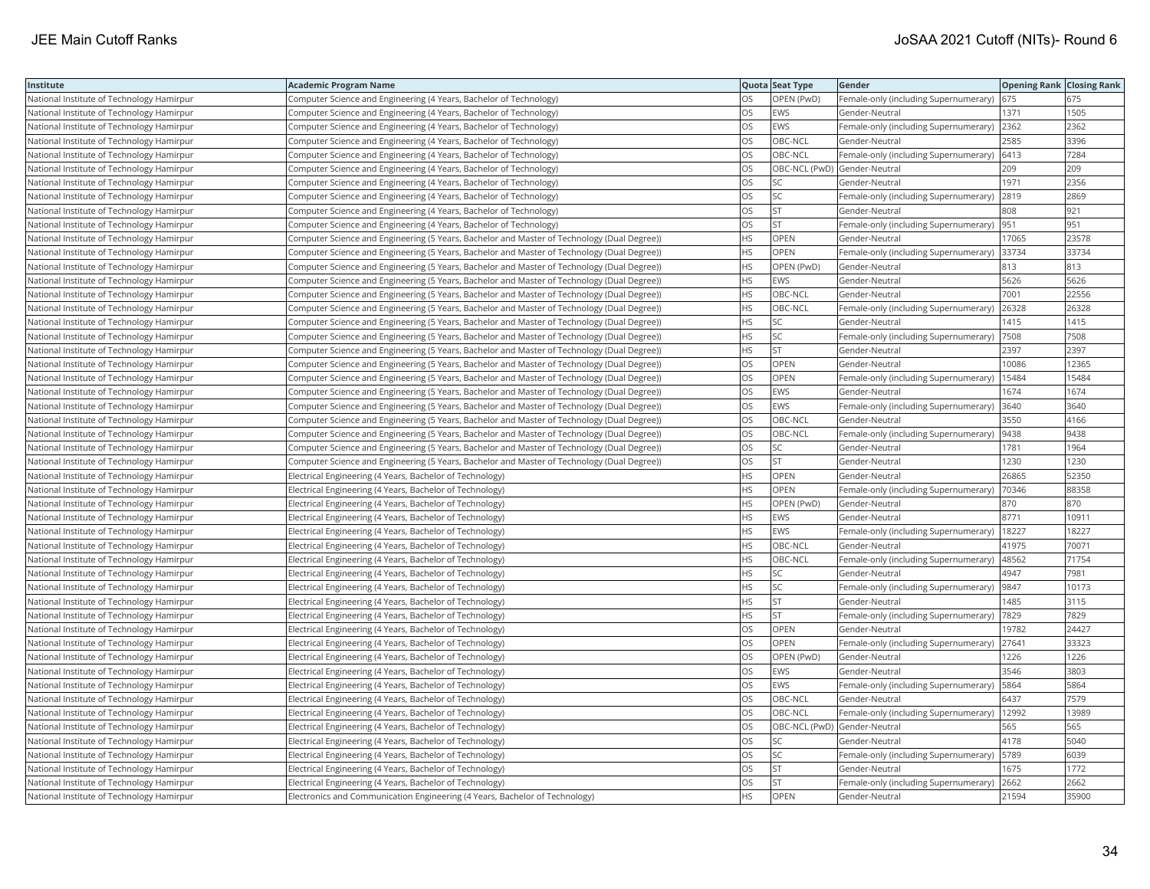| Institute                                 | <b>Academic Program Name</b>                                                                |           | Quota Seat Type              | Gender                                        | <b>Opening Rank Closing Rank</b> |       |
|-------------------------------------------|---------------------------------------------------------------------------------------------|-----------|------------------------------|-----------------------------------------------|----------------------------------|-------|
| National Institute of Technology Hamirpur | Computer Science and Engineering (4 Years, Bachelor of Technology)                          | OS        | OPEN (PwD)                   | Female-only (including Supernumerary)         | 675                              | 675   |
| National Institute of Technology Hamirpur | Computer Science and Engineering (4 Years, Bachelor of Technology)                          | OS        | EWS                          | Gender-Neutral                                | 1371                             | 1505  |
| National Institute of Technology Hamirpur | Computer Science and Engineering (4 Years, Bachelor of Technology)                          | OS        | <b>EWS</b>                   | Female-only (including Supernumerary)         | 2362                             | 2362  |
| National Institute of Technology Hamirpur | Computer Science and Engineering (4 Years, Bachelor of Technology)                          | OS        | OBC-NCL                      | Gender-Neutral                                | 2585                             | 3396  |
| National Institute of Technology Hamirpur | Computer Science and Engineering (4 Years, Bachelor of Technology)                          | OS        | OBC-NCL                      | Female-only (including Supernumerary) 6413    |                                  | 7284  |
| National Institute of Technology Hamirpur | Computer Science and Engineering (4 Years, Bachelor of Technology)                          | OS        | OBC-NCL (PwD) Gender-Neutral |                                               | 209                              | 209   |
| National Institute of Technology Hamirpur | Computer Science and Engineering (4 Years, Bachelor of Technology)                          | OS        | SC                           | Gender-Neutral                                | 1971                             | 2356  |
| National Institute of Technology Hamirpur | Computer Science and Engineering (4 Years, Bachelor of Technology)                          | OS.       | <b>SC</b>                    | Female-only (including Supernumerary) 2819    |                                  | 2869  |
| National Institute of Technology Hamirpur | Computer Science and Engineering (4 Years, Bachelor of Technology)                          | OS        | <b>ST</b>                    | Gender-Neutral                                | 808                              | 921   |
| National Institute of Technology Hamirpur | Computer Science and Engineering (4 Years, Bachelor of Technology)                          | OS        | <b>ST</b>                    | Female-only (including Supernumerary)  951    |                                  | 951   |
| National Institute of Technology Hamirpur | Computer Science and Engineering (5 Years, Bachelor and Master of Technology (Dual Degree)) | HS        | OPEN                         | Gender-Neutral                                | 17065                            | 23578 |
| National Institute of Technology Hamirpur | Computer Science and Engineering (5 Years, Bachelor and Master of Technology (Dual Degree)) | HS        | OPEN                         | Female-only (including Supernumerary) 33734   |                                  | 33734 |
| National Institute of Technology Hamirpur | Computer Science and Engineering (5 Years, Bachelor and Master of Technology (Dual Degree)) | HS        | OPEN (PwD)                   | Gender-Neutral                                | 813                              | 813   |
| National Institute of Technology Hamirpur | Computer Science and Engineering (5 Years, Bachelor and Master of Technology (Dual Degree)) | HS        | <b>EWS</b>                   | Gender-Neutral                                | 5626                             | 5626  |
| National Institute of Technology Hamirpur | Computer Science and Engineering (5 Years, Bachelor and Master of Technology (Dual Degree)) | HS        | OBC-NCL                      | Gender-Neutral                                | 7001                             | 22556 |
| National Institute of Technology Hamirpur | Computer Science and Engineering (5 Years, Bachelor and Master of Technology (Dual Degree)) | ΗS        | OBC-NCL                      | Female-only (including Supernumerary)         | 26328                            | 26328 |
| National Institute of Technology Hamirpur | Computer Science and Engineering (5 Years, Bachelor and Master of Technology (Dual Degree)) | ΗS        | SC                           | Gender-Neutral                                | 1415                             | 1415  |
| National Institute of Technology Hamirpur | Computer Science and Engineering (5 Years, Bachelor and Master of Technology (Dual Degree)) | ΗS        | SC                           | Female-only (including Supernumerary)         | 7508                             | 7508  |
| National Institute of Technology Hamirpur | Computer Science and Engineering (5 Years, Bachelor and Master of Technology (Dual Degree)) | HS        | <b>ST</b>                    | Gender-Neutral                                | 2397                             | 2397  |
| National Institute of Technology Hamirpur | Computer Science and Engineering (5 Years, Bachelor and Master of Technology (Dual Degree)) | <b>OS</b> | <b>OPEN</b>                  | Gender-Neutral                                | 10086                            | 12365 |
| National Institute of Technology Hamirpur | Computer Science and Engineering (5 Years, Bachelor and Master of Technology (Dual Degree)) | OS        | OPEN                         | Female-only (including Supernumerary)         | 15484                            | 15484 |
| National Institute of Technology Hamirpur | Computer Science and Engineering (5 Years, Bachelor and Master of Technology (Dual Degree)) | OS        | <b>EWS</b>                   | Gender-Neutral                                | 1674                             | 1674  |
| National Institute of Technology Hamirpur | Computer Science and Engineering (5 Years, Bachelor and Master of Technology (Dual Degree)) | OS        | <b>EWS</b>                   | Female-only (including Supernumerary) 3640    |                                  | 3640  |
| National Institute of Technology Hamirpur | Computer Science and Engineering (5 Years, Bachelor and Master of Technology (Dual Degree)) | OS        | OBC-NCL                      | Gender-Neutral                                | 3550                             | 4166  |
| National Institute of Technology Hamirpur | Computer Science and Engineering (5 Years, Bachelor and Master of Technology (Dual Degree)) | OS        | OBC-NCL                      | Female-only (including Supernumerary)         | 9438                             | 9438  |
| National Institute of Technology Hamirpur | Computer Science and Engineering (5 Years, Bachelor and Master of Technology (Dual Degree)) | OS        | SC                           | Gender-Neutral                                | 1781                             | 1964  |
| National Institute of Technology Hamirpur | Computer Science and Engineering (5 Years, Bachelor and Master of Technology (Dual Degree)) | OS        | <b>ST</b>                    | Gender-Neutral                                | 1230                             | 1230  |
| National Institute of Technology Hamirpur | Electrical Engineering (4 Years, Bachelor of Technology)                                    | <b>HS</b> | <b>OPEN</b>                  | Gender-Neutral                                | 26865                            | 52350 |
| National Institute of Technology Hamirpur | Electrical Engineering (4 Years, Bachelor of Technology)                                    | HS        | OPEN                         | Female-only (including Supernumerary)         | 70346                            | 88358 |
| National Institute of Technology Hamirpur | Electrical Engineering (4 Years, Bachelor of Technology)                                    | HS        | OPEN (PwD)                   | Gender-Neutral                                | 870                              | 870   |
| National Institute of Technology Hamirpur | Electrical Engineering (4 Years, Bachelor of Technology)                                    | HS        | <b>EWS</b>                   | Gender-Neutral                                | 8771                             | 10911 |
| National Institute of Technology Hamirpur | Electrical Engineering (4 Years, Bachelor of Technology)                                    | ΗS        | EWS                          | Female-only (including Supernumerary)         | 18227                            | 18227 |
| National Institute of Technology Hamirpur | Electrical Engineering (4 Years, Bachelor of Technology)                                    | <b>HS</b> | OBC-NCL                      | Gender-Neutral                                | 41975                            | 70071 |
| National Institute of Technology Hamirpur | Electrical Engineering (4 Years, Bachelor of Technology)                                    | HS        | OBC-NCL                      | Female-only (including Supernumerary)         | 48562                            | 71754 |
| National Institute of Technology Hamirpur | Electrical Engineering (4 Years, Bachelor of Technology)                                    | HS        | SC                           | Gender-Neutral                                | 4947                             | 7981  |
| National Institute of Technology Hamirpur | Electrical Engineering (4 Years, Bachelor of Technology)                                    | <b>HS</b> | <b>SC</b>                    | Female-only (including Supernumerary)         | 9847                             | 10173 |
| National Institute of Technology Hamirpur | Electrical Engineering (4 Years, Bachelor of Technology)                                    | HS        | <b>ST</b>                    | Gender-Neutral                                | 1485                             | 3115  |
| National Institute of Technology Hamirpur | Electrical Engineering (4 Years, Bachelor of Technology)                                    | HS        | <b>ST</b>                    | Female-only (including Supernumerary)  7829   |                                  | 7829  |
| National Institute of Technology Hamirpur | Electrical Engineering (4 Years, Bachelor of Technology)                                    | OS        | OPEN                         | Gender-Neutral                                | 19782                            | 24427 |
| National Institute of Technology Hamirpur | Electrical Engineering (4 Years, Bachelor of Technology)                                    | OS        | OPEN                         | Female-only (including Supernumerary)         | 27641                            | 33323 |
| National Institute of Technology Hamirpur | Electrical Engineering (4 Years, Bachelor of Technology)                                    | OS        | OPEN (PwD)                   | Gender-Neutral                                | 1226                             | 1226  |
| National Institute of Technology Hamirpur | Electrical Engineering (4 Years, Bachelor of Technology)                                    | OS        | <b>EWS</b>                   | Gender-Neutral                                | 3546                             | 3803  |
| National Institute of Technology Hamirpur | Electrical Engineering (4 Years, Bachelor of Technology)                                    | OS        | <b>EWS</b>                   | Female-only (including Supernumerary)         | 5864                             | 5864  |
| National Institute of Technology Hamirpur | Electrical Engineering (4 Years, Bachelor of Technology)                                    | OS        | OBC-NCL                      | Gender-Neutral                                | 6437                             | 7579  |
| National Institute of Technology Hamirpur | Electrical Engineering (4 Years, Bachelor of Technology)                                    | OS        | OBC-NCL                      | Female-only (including Supernumerary)   12992 |                                  | 13989 |
| National Institute of Technology Hamirpur | Electrical Engineering (4 Years, Bachelor of Technology)                                    | OS        | OBC-NCL (PwD) Gender-Neutral |                                               | 565                              | 565   |
| National Institute of Technology Hamirpur | Electrical Engineering (4 Years, Bachelor of Technology)                                    | OS        | <b>SC</b>                    | Gender-Neutral                                | 4178                             | 5040  |
| National Institute of Technology Hamirpur | Electrical Engineering (4 Years, Bachelor of Technology)                                    | OS        | SC                           | Female-only (including Supernumerary)   5789  |                                  | 6039  |
| National Institute of Technology Hamirpur | Electrical Engineering (4 Years, Bachelor of Technology)                                    | OS        | <b>ST</b>                    | Gender-Neutral                                | 1675                             | 1772  |
| National Institute of Technology Hamirpur | Electrical Engineering (4 Years, Bachelor of Technology)                                    | OS        | <b>ST</b>                    | Female-only (including Supernumerary)         | 2662                             | 2662  |
| National Institute of Technology Hamirpur | Electronics and Communication Engineering (4 Years, Bachelor of Technology)                 | <b>HS</b> | OPEN                         | Gender-Neutral                                | 21594                            | 35900 |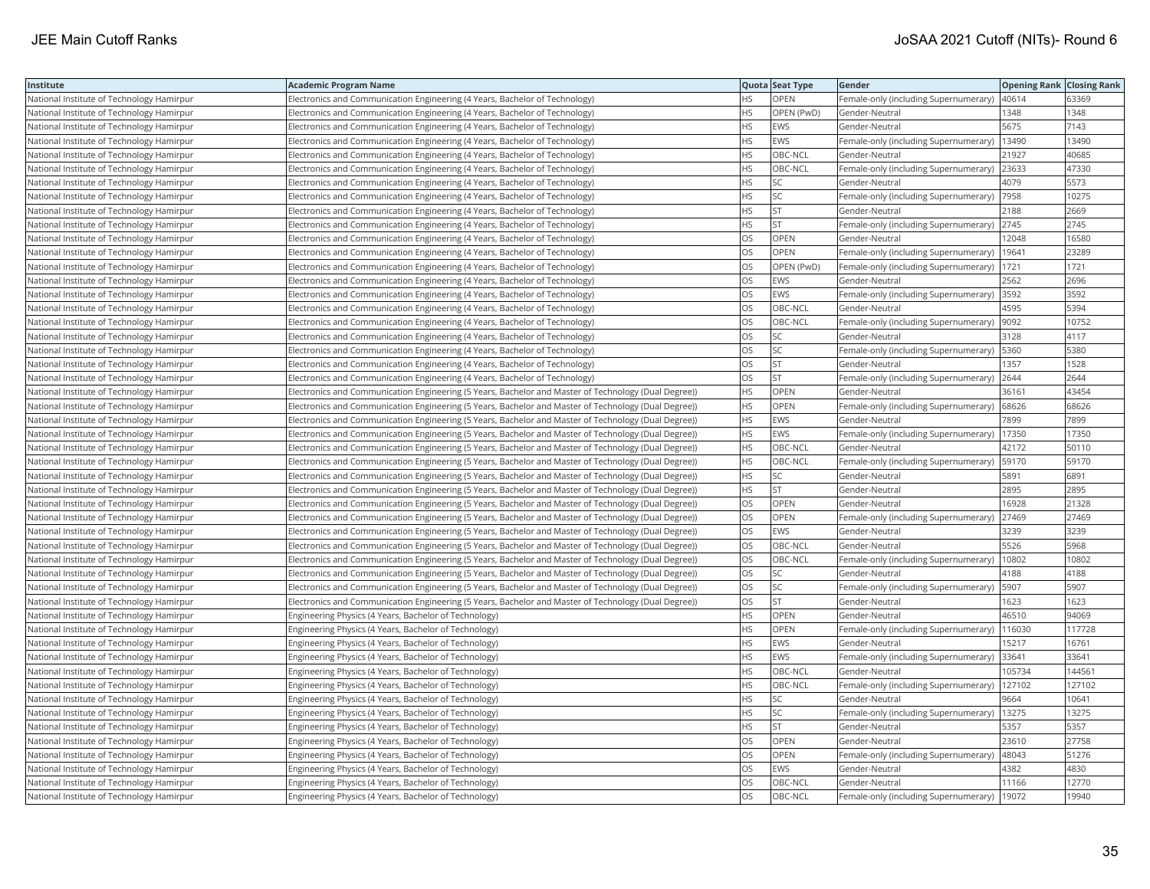| Institute                                 | <b>Academic Program Name</b>                                                                          |           | Quota Seat Type | Gender                                        | <b>Opening Rank   Closing Rank</b> |        |
|-------------------------------------------|-------------------------------------------------------------------------------------------------------|-----------|-----------------|-----------------------------------------------|------------------------------------|--------|
| National Institute of Technology Hamirpur | Electronics and Communication Engineering (4 Years, Bachelor of Technology)                           | HS.       | OPEN            | Female-only (including Supernumerary)         | 40614                              | 63369  |
| National Institute of Technology Hamirpur | Electronics and Communication Engineering (4 Years, Bachelor of Technology)                           | HS.       | OPEN (PwD)      | Gender-Neutral                                | 1348                               | 1348   |
| National Institute of Technology Hamirpur | Electronics and Communication Engineering (4 Years, Bachelor of Technology)                           | HS        | EWS             | Gender-Neutral                                | 5675                               | 7143   |
| National Institute of Technology Hamirpur | Electronics and Communication Engineering (4 Years, Bachelor of Technology)                           | HS.       | EWS             | Female-only (including Supernumerary)         | 13490                              | 13490  |
| National Institute of Technology Hamirpur | Electronics and Communication Engineering (4 Years, Bachelor of Technology)                           | HS        | OBC-NCL         | Gender-Neutral                                | 21927                              | 40685  |
| National Institute of Technology Hamirpur | Electronics and Communication Engineering (4 Years, Bachelor of Technology)                           | <b>HS</b> | OBC-NCL         | Female-only (including Supernumerary)  23633  |                                    | 47330  |
| National Institute of Technology Hamirpur | Electronics and Communication Engineering (4 Years, Bachelor of Technology)                           | HS        | SC              | Gender-Neutral                                | 4079                               | 5573   |
| National Institute of Technology Hamirpur | Electronics and Communication Engineering (4 Years, Bachelor of Technology)                           | <b>HS</b> | SC              | Female-only (including Supernumerary)         | 7958                               | 10275  |
| National Institute of Technology Hamirpur | Electronics and Communication Engineering (4 Years, Bachelor of Technology)                           | HS        | <b>ST</b>       | Gender-Neutral                                | 2188                               | 2669   |
| National Institute of Technology Hamirpur | Electronics and Communication Engineering (4 Years, Bachelor of Technology)                           | HS        | <b>ST</b>       | Female-only (including Supernumerary)         | 2745                               | 2745   |
| National Institute of Technology Hamirpur | Electronics and Communication Engineering (4 Years, Bachelor of Technology)                           | OS        | <b>OPEN</b>     | Gender-Neutral                                | 12048                              | 16580  |
| National Institute of Technology Hamirpur | Electronics and Communication Engineering (4 Years, Bachelor of Technology)                           | OS        | OPEN            | Female-only (including Supernumerary)         | 19641                              | 23289  |
| National Institute of Technology Hamirpur | Electronics and Communication Engineering (4 Years, Bachelor of Technology)                           | OS        | OPEN (PwD)      | Female-only (including Supernumerary)         | 1721                               | 1721   |
| National Institute of Technology Hamirpur | Electronics and Communication Engineering (4 Years, Bachelor of Technology)                           | OS        | <b>EWS</b>      | Gender-Neutral                                | 2562                               | 2696   |
| National Institute of Technology Hamirpur | Electronics and Communication Engineering (4 Years, Bachelor of Technology)                           | OS        | EWS             | Female-only (including Supernumerary)         | 3592                               | 3592   |
| National Institute of Technology Hamirpur | Electronics and Communication Engineering (4 Years, Bachelor of Technology)                           | OS        | OBC-NCL         | Gender-Neutral                                | 4595                               | 5394   |
| National Institute of Technology Hamirpur | Electronics and Communication Engineering (4 Years, Bachelor of Technology)                           | OS        | OBC-NCL         | Female-only (including Supernumerary)         | 9092                               | 10752  |
| National Institute of Technology Hamirpur | Electronics and Communication Engineering (4 Years, Bachelor of Technology)                           | <b>OS</b> | <b>SC</b>       | Gender-Neutral                                | 3128                               | 4117   |
| National Institute of Technology Hamirpur | Electronics and Communication Engineering (4 Years, Bachelor of Technology)                           | OS        | SC              | Female-only (including Supernumerary)         | 5360                               | 5380   |
| National Institute of Technology Hamirpur | Electronics and Communication Engineering (4 Years, Bachelor of Technology)                           | OS        | <b>ST</b>       | Gender-Neutral                                | 1357                               | 1528   |
| National Institute of Technology Hamirpur | Electronics and Communication Engineering (4 Years, Bachelor of Technology)                           | OS        | <b>ST</b>       | Female-only (including Supernumerary)         | 2644                               | 2644   |
| National Institute of Technology Hamirpur | (Electronics and Communication Engineering (5 Years, Bachelor and Master of Technology (Dual Degree)) | HS        | OPEN            | Gender-Neutral                                | 36161                              | 43454  |
| National Institute of Technology Hamirpur | (Electronics and Communication Engineering (5 Years, Bachelor and Master of Technology (Dual Degree)) | HS.       | OPEN            | Female-only (including Supernumerary)         | 68626                              | 68626  |
| National Institute of Technology Hamirpur | (Electronics and Communication Engineering (5 Years, Bachelor and Master of Technology (Dual Degree)) | HS        | <b>EWS</b>      | Gender-Neutral                                | 7899                               | 7899   |
| National Institute of Technology Hamirpur | (Electronics and Communication Engineering (5 Years, Bachelor and Master of Technology (Dual Degree)) | HS        | EWS             | Female-only (including Supernumerary)         | 17350                              | 17350  |
| National Institute of Technology Hamirpur | (Electronics and Communication Engineering (5 Years, Bachelor and Master of Technology (Dual Degree)) | HS        | OBC-NCL         | Gender-Neutral                                | 42172                              | 50110  |
| National Institute of Technology Hamirpur | (Electronics and Communication Engineering (5 Years, Bachelor and Master of Technology (Dual Degree)) | HS        | OBC-NCL         | Female-only (including Supernumerary)         | 59170                              | 59170  |
| National Institute of Technology Hamirpur | (Electronics and Communication Engineering (5 Years, Bachelor and Master of Technology (Dual Degree)) | HS        | <b>SC</b>       | Gender-Neutral                                | 5891                               | 6891   |
| National Institute of Technology Hamirpur | (Electronics and Communication Engineering (5 Years, Bachelor and Master of Technology (Dual Degree)) | HS        | <b>ST</b>       | Gender-Neutral                                | 2895                               | 2895   |
| National Institute of Technology Hamirpur | (Electronics and Communication Engineering (5 Years, Bachelor and Master of Technology (Dual Degree)) | OS        | OPEN            | Gender-Neutral                                | 16928                              | 21328  |
| National Institute of Technology Hamirpur | (Electronics and Communication Engineering (5 Years, Bachelor and Master of Technology (Dual Degree)) | <b>OS</b> | <b>OPEN</b>     | Female-only (including Supernumerary)         | 27469                              | 27469  |
| National Institute of Technology Hamirpur | Electronics and Communication Engineering (5 Years, Bachelor and Master of Technology (Dual Degree))  | OS        | EWS             | Gender-Neutral                                | 3239                               | 3239   |
| National Institute of Technology Hamirpur | (Electronics and Communication Engineering (5 Years, Bachelor and Master of Technology (Dual Degree)) | OS        | OBC-NCL         | Gender-Neutral                                | 5526                               | 5968   |
| National Institute of Technology Hamirpur | (Electronics and Communication Engineering (5 Years, Bachelor and Master of Technology (Dual Degree)) | OS        | OBC-NCL         | Female-only (including Supernumerary)         | 10802                              | 10802  |
| National Institute of Technology Hamirpur | (Electronics and Communication Engineering (5 Years, Bachelor and Master of Technology (Dual Degree)) | OS        | SC              | Gender-Neutral                                | 4188                               | 4188   |
| National Institute of Technology Hamirpur | (Electronics and Communication Engineering (5 Years, Bachelor and Master of Technology (Dual Degree)) | OS        | SC              | Female-only (including Supernumerary)         | 5907                               | 5907   |
| National Institute of Technology Hamirpur | (Electronics and Communication Engineering (5 Years, Bachelor and Master of Technology (Dual Degree)) | OS        | <b>ST</b>       | Gender-Neutral                                | 1623                               | 1623   |
| National Institute of Technology Hamirpur | Engineering Physics (4 Years, Bachelor of Technology)                                                 | HS        | OPEN            | Gender-Neutral                                | 46510                              | 94069  |
| National Institute of Technology Hamirpur | Engineering Physics (4 Years, Bachelor of Technology)                                                 | HS        | OPEN            | Female-only (including Supernumerary)         | 116030                             | 117728 |
| National Institute of Technology Hamirpur | Engineering Physics (4 Years, Bachelor of Technology)                                                 | HS.       | <b>EWS</b>      | Gender-Neutral                                | 15217                              | 16761  |
| National Institute of Technology Hamirpur | Engineering Physics (4 Years, Bachelor of Technology)                                                 | HS        | EWS             | Female-only (including Supernumerary)         | 33641                              | 33641  |
| National Institute of Technology Hamirpur | Engineering Physics (4 Years, Bachelor of Technology)                                                 | HS        | OBC-NCL         | Gender-Neutral                                | 105734                             | 144561 |
| National Institute of Technology Hamirpur | Engineering Physics (4 Years, Bachelor of Technology)                                                 | <b>HS</b> | OBC-NCL         | Female-only (including Supernumerary)         | 127102                             | 127102 |
| National Institute of Technology Hamirpur | Engineering Physics (4 Years, Bachelor of Technology)                                                 | HS.       | SC              | Gender-Neutral                                | 9664                               | 10641  |
| National Institute of Technology Hamirpur | Engineering Physics (4 Years, Bachelor of Technology)                                                 | HS        | <b>SC</b>       | Female-only (including Supernumerary)   13275 |                                    | 13275  |
| National Institute of Technology Hamirpur | Engineering Physics (4 Years, Bachelor of Technology)                                                 | HS        | <b>ST</b>       | Gender-Neutral                                | 5357                               | 5357   |
| National Institute of Technology Hamirpur | Engineering Physics (4 Years, Bachelor of Technology)                                                 | OS        | OPEN            | Gender-Neutral                                | 23610                              | 27758  |
| National Institute of Technology Hamirpur | Engineering Physics (4 Years, Bachelor of Technology)                                                 | OS        | <b>OPEN</b>     | Female-only (including Supernumerary)         | 48043                              | 51276  |
| National Institute of Technology Hamirpur | Engineering Physics (4 Years, Bachelor of Technology)                                                 | OS        | EWS             | Gender-Neutral                                | 4382                               | 4830   |
| National Institute of Technology Hamirpur | Engineering Physics (4 Years, Bachelor of Technology)                                                 | OS.       | OBC-NCL         | Gender-Neutral                                | 11166                              | 12770  |
| National Institute of Technology Hamirpur | Engineering Physics (4 Years, Bachelor of Technology)                                                 | <b>OS</b> | OBC-NCL         | Female-only (including Supernumerary)         | 19072                              | 19940  |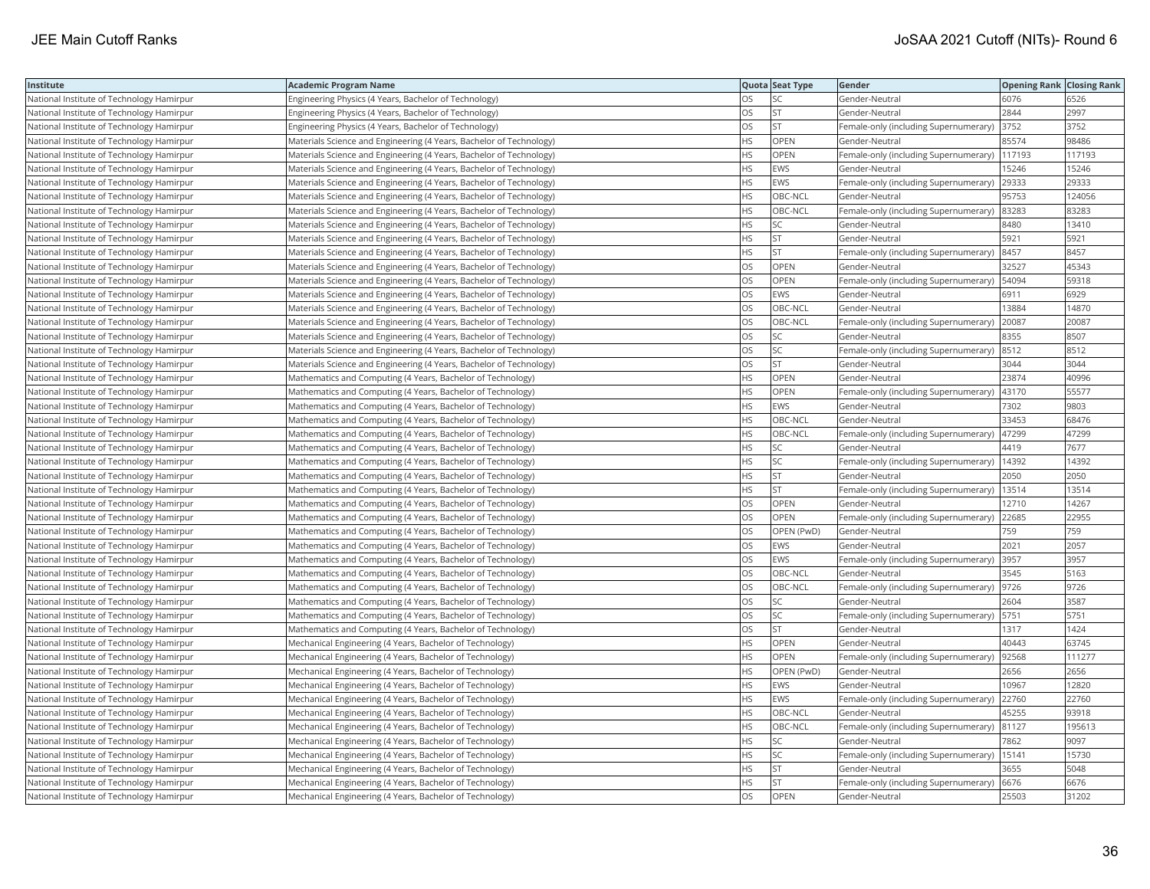| Institute                                 | <b>Academic Program Name</b>                                        |           | Quota Seat Type | Gender                                        | <b>Opening Rank   Closing Rank</b> |        |
|-------------------------------------------|---------------------------------------------------------------------|-----------|-----------------|-----------------------------------------------|------------------------------------|--------|
| National Institute of Technology Hamirpur | Engineering Physics (4 Years, Bachelor of Technology)               | OS        | SC              | Gender-Neutral                                | 6076                               | 6526   |
| National Institute of Technology Hamirpur | Engineering Physics (4 Years, Bachelor of Technology)               | OS        | <b>ST</b>       | Gender-Neutral                                | 2844                               | 2997   |
| National Institute of Technology Hamirpur | Engineering Physics (4 Years, Bachelor of Technology)               | OS        | <b>ST</b>       | Female-only (including Supernumerary)         | 3752                               | 3752   |
| National Institute of Technology Hamirpur | Materials Science and Engineering (4 Years, Bachelor of Technology) | <b>HS</b> | <b>OPEN</b>     | Gender-Neutral                                | 85574                              | 98486  |
| National Institute of Technology Hamirpur | Materials Science and Engineering (4 Years, Bachelor of Technology) | НS        | <b>OPEN</b>     | Female-only (including Supernumerary)         | 117193                             | 117193 |
| National Institute of Technology Hamirpur | Materials Science and Engineering (4 Years, Bachelor of Technology) | HS        | EWS             | Gender-Neutral                                | 15246                              | 15246  |
| National Institute of Technology Hamirpur | Materials Science and Engineering (4 Years, Bachelor of Technology) | ΗS        | <b>EWS</b>      | Female-only (including Supernumerary) 29333   |                                    | 29333  |
| National Institute of Technology Hamirpur | Materials Science and Engineering (4 Years, Bachelor of Technology) | HS        | OBC-NCL         | Gender-Neutral                                | 95753                              | 124056 |
| National Institute of Technology Hamirpur | Materials Science and Engineering (4 Years, Bachelor of Technology) | HS        | OBC-NCL         | Female-only (including Supernumerary)         | 83283                              | 83283  |
| National Institute of Technology Hamirpur | Materials Science and Engineering (4 Years, Bachelor of Technology) | HS        | SC              | Gender-Neutral                                | 8480                               | 13410  |
| National Institute of Technology Hamirpur | Materials Science and Engineering (4 Years, Bachelor of Technology) | HS        | <b>ST</b>       | Gender-Neutral                                | 5921                               | 5921   |
| National Institute of Technology Hamirpur | Materials Science and Engineering (4 Years, Bachelor of Technology) | <b>HS</b> | <b>ST</b>       | Female-only (including Supernumerary)  8457   |                                    | 8457   |
| National Institute of Technology Hamirpur | Materials Science and Engineering (4 Years, Bachelor of Technology) | OS        | <b>OPEN</b>     | Gender-Neutral                                | 32527                              | 45343  |
| National Institute of Technology Hamirpur | Materials Science and Engineering (4 Years, Bachelor of Technology) | OS        | OPEN            | Female-only (including Supernumerary)         | 54094                              | 59318  |
| National Institute of Technology Hamirpur | Materials Science and Engineering (4 Years, Bachelor of Technology) | OS        | <b>EWS</b>      | Gender-Neutral                                | 6911                               | 6929   |
| National Institute of Technology Hamirpur | Materials Science and Engineering (4 Years, Bachelor of Technology) | OS        | OBC-NCL         | Gender-Neutral                                | 13884                              | 14870  |
| National Institute of Technology Hamirpur | Materials Science and Engineering (4 Years, Bachelor of Technology) | OS        | OBC-NCL         | Female-only (including Supernumerary)         | 20087                              | 20087  |
| National Institute of Technology Hamirpur | Materials Science and Engineering (4 Years, Bachelor of Technology) | OS        | SC              | Gender-Neutral                                | 8355                               | 8507   |
| National Institute of Technology Hamirpur | Materials Science and Engineering (4 Years, Bachelor of Technology) | OS        | SC              | Female-only (including Supernumerary)         | 8512                               | 8512   |
| National Institute of Technology Hamirpur | Materials Science and Engineering (4 Years, Bachelor of Technology) | OS        | <b>ST</b>       | Gender-Neutral                                | 3044                               | 3044   |
| National Institute of Technology Hamirpur | Mathematics and Computing (4 Years, Bachelor of Technology)         | HS        | OPEN            | Gender-Neutral                                | 23874                              | 40996  |
| National Institute of Technology Hamirpur | Mathematics and Computing (4 Years, Bachelor of Technology)         | <b>HS</b> | OPEN            | Female-only (including Supernumerary)   43170 |                                    | 55577  |
| National Institute of Technology Hamirpur | Mathematics and Computing (4 Years, Bachelor of Technology)         | ΗS        | <b>EWS</b>      | Gender-Neutral                                | 7302                               | 9803   |
| National Institute of Technology Hamirpur | Mathematics and Computing (4 Years, Bachelor of Technology)         | HS        | OBC-NCL         | Gender-Neutral                                | 33453                              | 68476  |
| National Institute of Technology Hamirpur | Mathematics and Computing (4 Years, Bachelor of Technology)         | ΗS        | OBC-NCL         | Female-only (including Supernumerary)         | 47299                              | 47299  |
| National Institute of Technology Hamirpur | Mathematics and Computing (4 Years, Bachelor of Technology)         | HS        | SC              | Gender-Neutral                                | 4419                               | 7677   |
| National Institute of Technology Hamirpur | Mathematics and Computing (4 Years, Bachelor of Technology)         | <b>HS</b> | <b>SC</b>       | Female-only (including Supernumerary)         | 14392                              | 14392  |
| National Institute of Technology Hamirpur | Mathematics and Computing (4 Years, Bachelor of Technology)         | HS.       | <b>ST</b>       | Gender-Neutral                                | 2050                               | 2050   |
| National Institute of Technology Hamirpur | Mathematics and Computing (4 Years, Bachelor of Technology)         | HS        | <b>ST</b>       | Female-only (including Supernumerary)         | 13514                              | 13514  |
| National Institute of Technology Hamirpur | Mathematics and Computing (4 Years, Bachelor of Technology)         | OS        | OPEN            | Gender-Neutral                                | 12710                              | 14267  |
| National Institute of Technology Hamirpur | Mathematics and Computing (4 Years, Bachelor of Technology)         | OS        | OPEN            | Female-only (including Supernumerary) 22685   |                                    | 22955  |
| National Institute of Technology Hamirpur | Mathematics and Computing (4 Years, Bachelor of Technology)         | OS        | OPEN (PwD)      | Gender-Neutral                                | 759                                | 759    |
| National Institute of Technology Hamirpur | Mathematics and Computing (4 Years, Bachelor of Technology)         | OS        | <b>EWS</b>      | Gender-Neutral                                | 2021                               | 2057   |
| National Institute of Technology Hamirpur | Mathematics and Computing (4 Years, Bachelor of Technology)         | OS        | <b>EWS</b>      | Female-only (including Supernumerary)         | 3957                               | 3957   |
| National Institute of Technology Hamirpur | Mathematics and Computing (4 Years, Bachelor of Technology)         | OS        | OBC-NCL         | Gender-Neutral                                | 3545                               | 5163   |
| National Institute of Technology Hamirpur | Mathematics and Computing (4 Years, Bachelor of Technology)         | OS        | OBC-NCL         | Female-only (including Supernumerary)         | 9726                               | 9726   |
| National Institute of Technology Hamirpur | Mathematics and Computing (4 Years, Bachelor of Technology)         | OS        | SC              | Gender-Neutral                                | 2604                               | 3587   |
| National Institute of Technology Hamirpur | Mathematics and Computing (4 Years, Bachelor of Technology)         | OS        | SC              | Female-only (including Supernumerary)   5751  |                                    | 5751   |
| National Institute of Technology Hamirpur | Mathematics and Computing (4 Years, Bachelor of Technology)         | OS        | <b>ST</b>       | Gender-Neutral                                | 1317                               | 1424   |
| National Institute of Technology Hamirpur | Mechanical Engineering (4 Years, Bachelor of Technology)            | HS        | OPEN            | Gender-Neutral                                | 40443                              | 63745  |
| National Institute of Technology Hamirpur | Mechanical Engineering (4 Years, Bachelor of Technology)            | ΗS        | OPEN            | Female-only (including Supernumerary)         | 92568                              | 111277 |
| National Institute of Technology Hamirpur | Mechanical Engineering (4 Years, Bachelor of Technology)            | HS        | OPEN (PwD)      | Gender-Neutral                                | 2656                               | 2656   |
| National Institute of Technology Hamirpur | Mechanical Engineering (4 Years, Bachelor of Technology)            | HS        | <b>EWS</b>      | Gender-Neutral                                | 10967                              | 12820  |
| National Institute of Technology Hamirpur | Mechanical Engineering (4 Years, Bachelor of Technology)            | HS        | <b>EWS</b>      | Female-only (including Supernumerary)         | 22760                              | 22760  |
| National Institute of Technology Hamirpur | Mechanical Engineering (4 Years, Bachelor of Technology)            | <b>HS</b> | OBC-NCL         | Gender-Neutral                                | 45255                              | 93918  |
| National Institute of Technology Hamirpur | Mechanical Engineering (4 Years, Bachelor of Technology)            | HS        | OBC-NCL         | Female-only (including Supernumerary) 81127   |                                    | 195613 |
| National Institute of Technology Hamirpur | Mechanical Engineering (4 Years, Bachelor of Technology)            | ΗS        | SC              | Gender-Neutral                                | 7862                               | 9097   |
| National Institute of Technology Hamirpur | Mechanical Engineering (4 Years, Bachelor of Technology)            | ΗS        | SC              | Female-only (including Supernumerary)   15141 |                                    | 15730  |
| National Institute of Technology Hamirpur | Mechanical Engineering (4 Years, Bachelor of Technology)            | HS        | <b>ST</b>       | Gender-Neutral                                | 3655                               | 5048   |
| National Institute of Technology Hamirpur | Mechanical Engineering (4 Years, Bachelor of Technology)            | HS        | <b>ST</b>       | Female-only (including Supernumerary)         | 6676                               | 6676   |
| National Institute of Technology Hamirpur | Mechanical Engineering (4 Years, Bachelor of Technology)            | OS        | OPEN            | Gender-Neutral                                | 25503                              | 31202  |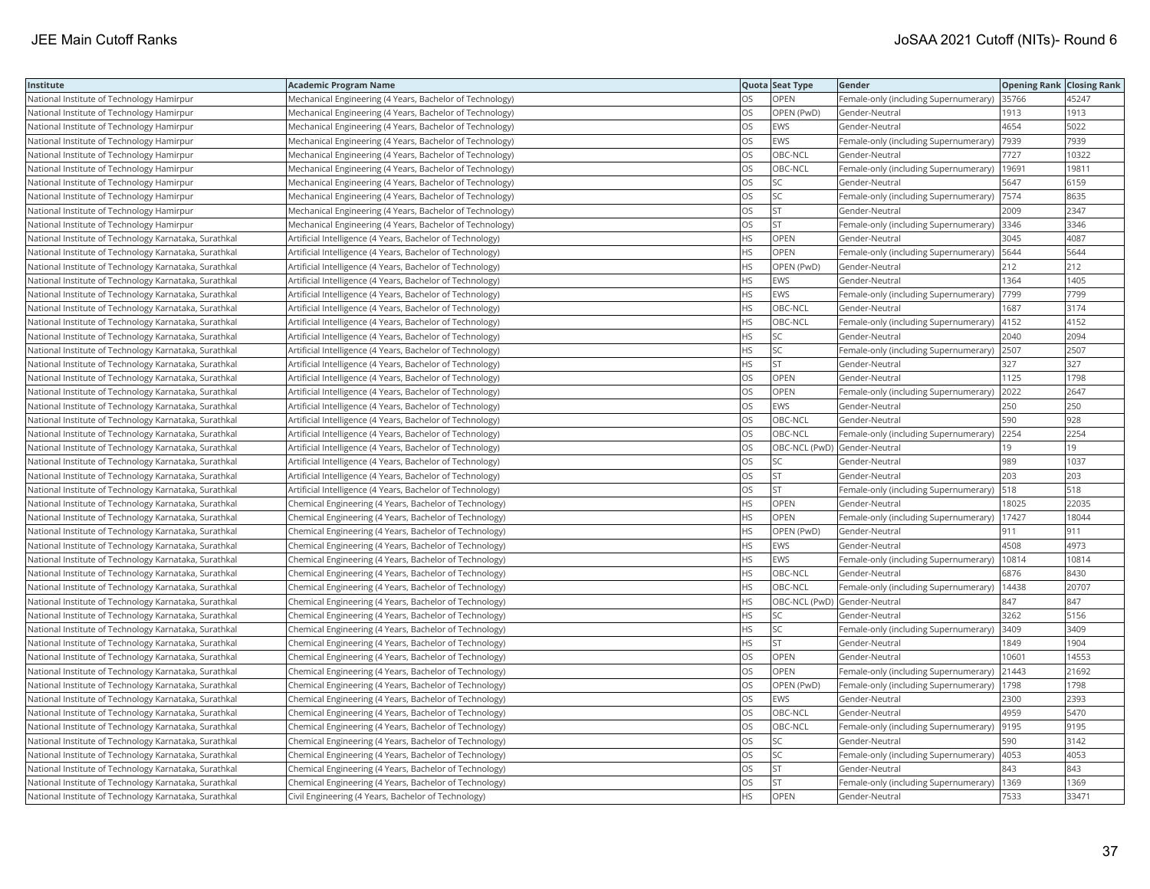| Institute                                             | <b>Academic Program Name</b>                              |           | Quota Seat Type              | Gender                                        | <b>Opening Rank Closing Rank</b> |       |
|-------------------------------------------------------|-----------------------------------------------------------|-----------|------------------------------|-----------------------------------------------|----------------------------------|-------|
| National Institute of Technology Hamirpur             | Mechanical Engineering (4 Years, Bachelor of Technology)  | OS        | OPEN                         | Female-only (including Supernumerary)   35766 |                                  | 45247 |
| National Institute of Technology Hamirpur             | Mechanical Engineering (4 Years, Bachelor of Technology)  | OS        | OPEN (PwD)                   | Gender-Neutral                                | 1913                             | 1913  |
| National Institute of Technology Hamirpur             | Mechanical Engineering (4 Years, Bachelor of Technology)  | OS        | EWS                          | Gender-Neutral                                | 4654                             | 5022  |
| National Institute of Technology Hamirpur             | Mechanical Engineering (4 Years, Bachelor of Technology)  | OS        | EWS                          | Female-only (including Supernumerary)         | 7939                             | 7939  |
| National Institute of Technology Hamirpur             | Mechanical Engineering (4 Years, Bachelor of Technology)  | OS        | OBC-NCL                      | Gender-Neutral                                | 7727                             | 10322 |
| National Institute of Technology Hamirpur             | Mechanical Engineering (4 Years, Bachelor of Technology)  | OS        | OBC-NCL                      | Female-only (including Supernumerary)         | 19691                            | 19811 |
| National Institute of Technology Hamirpur             | Mechanical Engineering (4 Years, Bachelor of Technology)  | OS        | SC                           | Gender-Neutral                                | 5647                             | 6159  |
| National Institute of Technology Hamirpur             | Mechanical Engineering (4 Years, Bachelor of Technology)  | OS        | SC.                          | Female-only (including Supernumerary) 7574    |                                  | 8635  |
| National Institute of Technology Hamirpur             | Mechanical Engineering (4 Years, Bachelor of Technology)  | OS        | <b>ST</b>                    | Gender-Neutral                                | 2009                             | 2347  |
| National Institute of Technology Hamirpur             | Mechanical Engineering (4 Years, Bachelor of Technology)  | <b>OS</b> | <b>ST</b>                    | Female-only (including Supernumerary)         | 3346                             | 3346  |
| National Institute of Technology Karnataka, Surathkal | Artificial Intelligence (4 Years, Bachelor of Technology) | <b>HS</b> | OPEN                         | Gender-Neutral                                | 3045                             | 4087  |
| National Institute of Technology Karnataka, Surathkal | Artificial Intelligence (4 Years, Bachelor of Technology) | <b>HS</b> | OPEN                         | Female-only (including Supernumerary)         | 5644                             | 5644  |
| National Institute of Technology Karnataka, Surathkal | Artificial Intelligence (4 Years, Bachelor of Technology) | <b>HS</b> | OPEN (PwD)                   | Gender-Neutral                                | 212                              | 212   |
| National Institute of Technology Karnataka, Surathkal | Artificial Intelligence (4 Years, Bachelor of Technology) | <b>HS</b> | EWS                          | Gender-Neutral                                | 1364                             | 1405  |
| National Institute of Technology Karnataka, Surathkal | Artificial Intelligence (4 Years, Bachelor of Technology) | <b>HS</b> | <b>EWS</b>                   | Female-only (including Supernumerary)         | 7799                             | 7799  |
| National Institute of Technology Karnataka, Surathkal | Artificial Intelligence (4 Years, Bachelor of Technology) | <b>HS</b> | OBC-NCL                      | Gender-Neutral                                | 1687                             | 3174  |
| National Institute of Technology Karnataka, Surathkal | Artificial Intelligence (4 Years, Bachelor of Technology) | <b>HS</b> | OBC-NCL                      | Female-only (including Supernumerary)         | 4152                             | 4152  |
| National Institute of Technology Karnataka, Surathkal | Artificial Intelligence (4 Years, Bachelor of Technology) | HS        | SC                           | Gender-Neutral                                | 2040                             | 2094  |
| National Institute of Technology Karnataka, Surathkal | Artificial Intelligence (4 Years, Bachelor of Technology) | <b>HS</b> | SC                           | Female-only (including Supernumerary)         | 2507                             | 2507  |
| National Institute of Technology Karnataka, Surathkal | Artificial Intelligence (4 Years, Bachelor of Technology) | <b>HS</b> | lst                          | Gender-Neutral                                | 327                              | 327   |
| National Institute of Technology Karnataka, Surathkal | Artificial Intelligence (4 Years, Bachelor of Technology) | <b>OS</b> | <b>OPEN</b>                  | Gender-Neutral                                | 1125                             | 1798  |
| National Institute of Technology Karnataka, Surathkal | Artificial Intelligence (4 Years, Bachelor of Technology) | OS        | OPEN                         | Female-only (including Supernumerary)         | 2022                             | 2647  |
| National Institute of Technology Karnataka, Surathkal | Artificial Intelligence (4 Years, Bachelor of Technology) | OS        | EWS                          | Gender-Neutral                                | 250                              | 250   |
| National Institute of Technology Karnataka, Surathkal | Artificial Intelligence (4 Years, Bachelor of Technology) | OS        | OBC-NCL                      | Gender-Neutral                                | 590                              | 928   |
| National Institute of Technology Karnataka, Surathkal | Artificial Intelligence (4 Years, Bachelor of Technology) | OS        | OBC-NCL                      | Female-only (including Supernumerary)         | 2254                             | 2254  |
| National Institute of Technology Karnataka, Surathkal | Artificial Intelligence (4 Years, Bachelor of Technology) | <b>OS</b> | OBC-NCL (PwD) Gender-Neutral |                                               | 19                               | 19    |
| National Institute of Technology Karnataka, Surathkal | Artificial Intelligence (4 Years, Bachelor of Technology) | OS        | SC.                          | Gender-Neutral                                | 989                              | 1037  |
| National Institute of Technology Karnataka, Surathkal | Artificial Intelligence (4 Years, Bachelor of Technology) | OS        | lst                          | Gender-Neutral                                | 203                              | 203   |
| National Institute of Technology Karnataka, Surathkal | Artificial Intelligence (4 Years, Bachelor of Technology) | OS        | <b>ST</b>                    | Female-only (including Supernumerary)         | 518                              | 518   |
| National Institute of Technology Karnataka, Surathkal | Chemical Engineering (4 Years, Bachelor of Technology)    | <b>HS</b> | OPEN                         | Gender-Neutral                                | 18025                            | 22035 |
| National Institute of Technology Karnataka, Surathkal | Chemical Engineering (4 Years, Bachelor of Technology)    | <b>HS</b> | OPEN                         | Female-only (including Supernumerary)         | 17427                            | 18044 |
| National Institute of Technology Karnataka, Surathkal | Chemical Engineering (4 Years, Bachelor of Technology)    | <b>HS</b> | OPEN (PwD)                   | Gender-Neutral                                | 911                              | 911   |
| National Institute of Technology Karnataka, Surathkal | Chemical Engineering (4 Years, Bachelor of Technology)    | <b>HS</b> | <b>EWS</b>                   | Gender-Neutral                                | 4508                             | 4973  |
| National Institute of Technology Karnataka, Surathkal | Chemical Engineering (4 Years, Bachelor of Technology)    | <b>HS</b> | EWS                          | Female-only (including Supernumerary)         | 10814                            | 10814 |
| National Institute of Technology Karnataka, Surathkal | Chemical Engineering (4 Years, Bachelor of Technology)    | <b>HS</b> | OBC-NCL                      | Gender-Neutral                                | 6876                             | 8430  |
| National Institute of Technology Karnataka, Surathkal | Chemical Engineering (4 Years, Bachelor of Technology)    | <b>HS</b> | OBC-NCL                      | Female-only (including Supernumerary)         | 14438                            | 20707 |
| National Institute of Technology Karnataka, Surathkal | Chemical Engineering (4 Years, Bachelor of Technology)    | <b>HS</b> | OBC-NCL (PwD) Gender-Neutral |                                               | 847                              | 847   |
| National Institute of Technology Karnataka, Surathkal | Chemical Engineering (4 Years, Bachelor of Technology)    | <b>HS</b> | SC.                          | Gender-Neutral                                | 3262                             | 5156  |
| National Institute of Technology Karnataka, Surathkal | Chemical Engineering (4 Years, Bachelor of Technology)    | <b>HS</b> | SC                           | Female-only (including Supernumerary)         | 3409                             | 3409  |
| National Institute of Technology Karnataka, Surathkal | Chemical Engineering (4 Years, Bachelor of Technology)    | <b>HS</b> | <b>ST</b>                    | Gender-Neutral                                | 1849                             | 1904  |
| National Institute of Technology Karnataka, Surathkal | Chemical Engineering (4 Years, Bachelor of Technology)    | OS        | OPEN                         | Gender-Neutral                                | 10601                            | 14553 |
| National Institute of Technology Karnataka, Surathkal | Chemical Engineering (4 Years, Bachelor of Technology)    | OS        | OPEN                         | Female-only (including Supernumerary)         | 21443                            | 21692 |
| National Institute of Technology Karnataka, Surathkal | Chemical Engineering (4 Years, Bachelor of Technology)    | OS        | OPEN (PwD)                   | Female-only (including Supernumerary)         | 1798                             | 1798  |
| National Institute of Technology Karnataka, Surathkal | Chemical Engineering (4 Years, Bachelor of Technology)    | <b>OS</b> | EWS                          | Gender-Neutral                                | 2300                             | 2393  |
| National Institute of Technology Karnataka, Surathkal | Chemical Engineering (4 Years, Bachelor of Technology)    | OS        | OBC-NCL                      | Gender-Neutral                                | 4959                             | 5470  |
| National Institute of Technology Karnataka, Surathkal | Chemical Engineering (4 Years, Bachelor of Technology)    | OS        | OBC-NCL                      | Female-only (including Supernumerary)         | 9195                             | 9195  |
| National Institute of Technology Karnataka, Surathkal | Chemical Engineering (4 Years, Bachelor of Technology)    | OS        | SC                           | Gender-Neutral                                | 590                              | 3142  |
| National Institute of Technology Karnataka, Surathkal | Chemical Engineering (4 Years, Bachelor of Technology)    | OS        | SC                           | Female-only (including Supernumerary)         | 4053                             | 4053  |
| National Institute of Technology Karnataka, Surathkal | Chemical Engineering (4 Years, Bachelor of Technology)    | OS        | <b>ST</b>                    | Gender-Neutral                                | 843                              | 843   |
| National Institute of Technology Karnataka, Surathkal | Chemical Engineering (4 Years, Bachelor of Technology)    | OS        | lst                          | Female-only (including Supernumerary)         | 1369                             | 1369  |
| National Institute of Technology Karnataka, Surathkal | Civil Engineering (4 Years, Bachelor of Technology)       | <b>HS</b> | <b>OPEN</b>                  | Gender-Neutral                                | 7533                             | 33471 |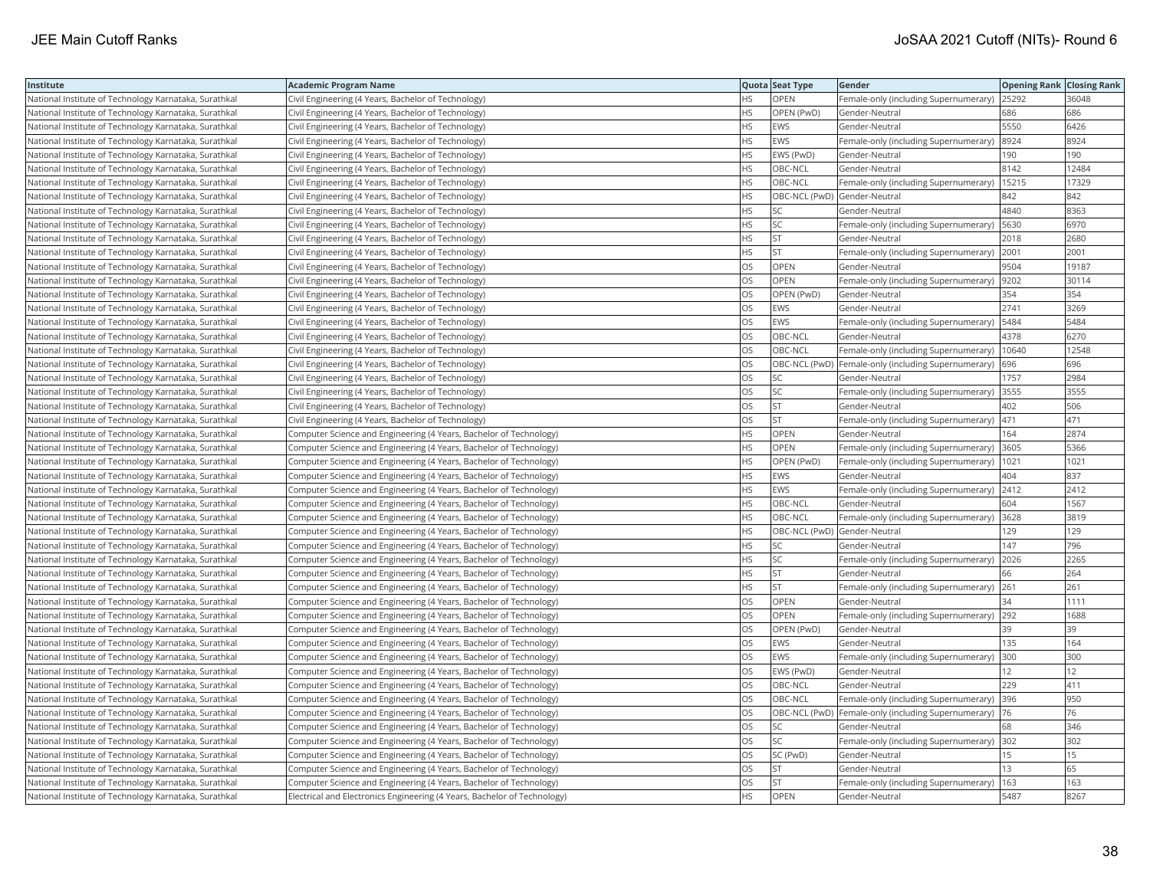| Institute                                             | <b>Academic Program Name</b>                                             |           | Quota Seat Type              | Gender                                                 | <b>Opening Rank   Closing Rank</b> |       |
|-------------------------------------------------------|--------------------------------------------------------------------------|-----------|------------------------------|--------------------------------------------------------|------------------------------------|-------|
| National Institute of Technology Karnataka, Surathkal | Civil Engineering (4 Years, Bachelor of Technology)                      | HS        | <b>OPEN</b>                  | Female-only (including Supernumerary)                  | 25292                              | 36048 |
| National Institute of Technology Karnataka, Surathkal | Civil Engineering (4 Years, Bachelor of Technology)                      | <b>HS</b> | OPEN (PwD)                   | Gender-Neutral                                         | 686                                | 686   |
| National Institute of Technology Karnataka, Surathkal | Civil Engineering (4 Years, Bachelor of Technology)                      | <b>HS</b> | <b>EWS</b>                   | Gender-Neutral                                         | 5550                               | 6426  |
| National Institute of Technology Karnataka, Surathkal | Civil Engineering (4 Years, Bachelor of Technology)                      | <b>HS</b> | <b>EWS</b>                   | Female-only (including Supernumerary)                  | 8924                               | 8924  |
| National Institute of Technology Karnataka, Surathkal | Civil Engineering (4 Years, Bachelor of Technology)                      | <b>HS</b> | EWS (PwD)                    | Gender-Neutral                                         | 190                                | 190   |
| National Institute of Technology Karnataka, Surathkal | Civil Engineering (4 Years, Bachelor of Technology)                      | <b>HS</b> | OBC-NCL                      | Gender-Neutral                                         | 8142                               | 12484 |
| National Institute of Technology Karnataka, Surathkal | Civil Engineering (4 Years, Bachelor of Technology)                      | <b>HS</b> | OBC-NCL                      | Female-only (including Supernumerary)                  | 15215                              | 17329 |
| National Institute of Technology Karnataka, Surathkal | Civil Engineering (4 Years, Bachelor of Technology)                      | HS.       | OBC-NCL (PwD) Gender-Neutral |                                                        | 842                                | 842   |
| National Institute of Technology Karnataka, Surathkal | Civil Engineering (4 Years, Bachelor of Technology)                      | <b>HS</b> | <b>SC</b>                    | Gender-Neutral                                         | 4840                               | 8363  |
| National Institute of Technology Karnataka, Surathkal | Civil Engineering (4 Years, Bachelor of Technology)                      | <b>HS</b> | <b>SC</b>                    | Female-only (including Supernumerary)                  | 5630                               | 6970  |
| National Institute of Technology Karnataka, Surathkal | Civil Engineering (4 Years, Bachelor of Technology)                      | <b>HS</b> | <b>ST</b>                    | Gender-Neutral                                         | 2018                               | 2680  |
| National Institute of Technology Karnataka, Surathkal | Civil Engineering (4 Years, Bachelor of Technology)                      | <b>HS</b> | <b>ST</b>                    | Female-only (including Supernumerary)                  | 2001                               | 2001  |
| National Institute of Technology Karnataka, Surathkal | Civil Engineering (4 Years, Bachelor of Technology)                      | <b>OS</b> | OPEN                         | Gender-Neutral                                         | 9504                               | 19187 |
| National Institute of Technology Karnataka, Surathkal | Civil Engineering (4 Years, Bachelor of Technology)                      | OS        | <b>OPEN</b>                  | Female-only (including Supernumerary)   9202           |                                    | 30114 |
| National Institute of Technology Karnataka, Surathkal | Civil Engineering (4 Years, Bachelor of Technology)                      | <b>OS</b> | OPEN (PwD)                   | Gender-Neutral                                         | 354                                | 354   |
| National Institute of Technology Karnataka, Surathkal | Civil Engineering (4 Years, Bachelor of Technology)                      | <b>OS</b> | <b>EWS</b>                   | Gender-Neutral                                         | 2741                               | 3269  |
| National Institute of Technology Karnataka, Surathkal | Civil Engineering (4 Years, Bachelor of Technology)                      | <b>OS</b> | <b>EWS</b>                   | Female-only (including Supernumerary)                  | 5484                               | 5484  |
| National Institute of Technology Karnataka, Surathkal | Civil Engineering (4 Years, Bachelor of Technology)                      | OS        | OBC-NCL                      | Gender-Neutral                                         | 4378                               | 6270  |
| National Institute of Technology Karnataka, Surathkal | Civil Engineering (4 Years, Bachelor of Technology)                      | <b>OS</b> | OBC-NCL                      | Female-only (including Supernumerary)                  | 10640                              | 12548 |
| National Institute of Technology Karnataka, Surathkal | Civil Engineering (4 Years, Bachelor of Technology)                      | OS        |                              | OBC-NCL (PwD)  Female-only (including Supernumerary)   | 696                                | 696   |
| National Institute of Technology Karnataka, Surathkal | Civil Engineering (4 Years, Bachelor of Technology)                      | OS        | <b>SC</b>                    | Gender-Neutral                                         | 1757                               | 2984  |
| National Institute of Technology Karnataka, Surathkal | Civil Engineering (4 Years, Bachelor of Technology)                      | OS        | <b>SC</b>                    | Female-only (including Supernumerary)                  | 3555                               | 3555  |
| National Institute of Technology Karnataka, Surathkal | Civil Engineering (4 Years, Bachelor of Technology)                      | OS        | <b>ST</b>                    | Gender-Neutral                                         | 402                                | 506   |
| National Institute of Technology Karnataka, Surathkal | Civil Engineering (4 Years, Bachelor of Technology)                      | OS        | <b>ST</b>                    | Female-only (including Supernumerary)                  | 471                                | 471   |
| National Institute of Technology Karnataka, Surathkal | Computer Science and Engineering (4 Years, Bachelor of Technology)       | HS        | OPEN                         | Gender-Neutral                                         | 164                                | 2874  |
| National Institute of Technology Karnataka, Surathkal | Computer Science and Engineering (4 Years, Bachelor of Technology)       | <b>HS</b> | OPEN                         | Female-only (including Supernumerary)                  | 3605                               | 5366  |
| National Institute of Technology Karnataka, Surathkal | Computer Science and Engineering (4 Years, Bachelor of Technology)       | <b>HS</b> | OPEN (PwD)                   | Female-only (including Supernumerary)                  | 1021                               | 1021  |
| National Institute of Technology Karnataka, Surathkal | Computer Science and Engineering (4 Years, Bachelor of Technology)       | HS        | <b>EWS</b>                   | Gender-Neutral                                         | 404                                | 837   |
| National Institute of Technology Karnataka, Surathkal | Computer Science and Engineering (4 Years, Bachelor of Technology)       | <b>HS</b> | <b>EWS</b>                   | Female-only (including Supernumerary) 2412             |                                    | 2412  |
| National Institute of Technology Karnataka, Surathkal | Computer Science and Engineering (4 Years, Bachelor of Technology)       | HS        | OBC-NCL                      | Gender-Neutral                                         | 604                                | 1567  |
| National Institute of Technology Karnataka, Surathkal | Computer Science and Engineering (4 Years, Bachelor of Technology)       | <b>HS</b> | OBC-NCL                      | Female-only (including Supernumerary)                  | 3628                               | 3819  |
| National Institute of Technology Karnataka, Surathkal | Computer Science and Engineering (4 Years, Bachelor of Technology)       | HS        |                              | OBC-NCL (PwD) Gender-Neutral                           | 129                                | 129   |
| National Institute of Technology Karnataka, Surathkal | Computer Science and Engineering (4 Years, Bachelor of Technology)       | <b>HS</b> | SC.                          | Gender-Neutral                                         | 147                                | 796   |
| National Institute of Technology Karnataka, Surathkal | Computer Science and Engineering (4 Years, Bachelor of Technology)       | HS.       | <b>SC</b>                    | Female-only (including Supernumerary)                  | 2026                               | 2265  |
| National Institute of Technology Karnataka, Surathkal | Computer Science and Engineering (4 Years, Bachelor of Technology)       | <b>HS</b> | <b>ST</b>                    | Gender-Neutral                                         | 66                                 | 264   |
| National Institute of Technology Karnataka, Surathkal | Computer Science and Engineering (4 Years, Bachelor of Technology)       | <b>HS</b> | <b>ST</b>                    | Female-only (including Supernumerary)                  | 261                                | 261   |
| National Institute of Technology Karnataka, Surathkal | Computer Science and Engineering (4 Years, Bachelor of Technology)       | OS        | OPEN                         | Gender-Neutral                                         | 34                                 | 1111  |
| National Institute of Technology Karnataka, Surathkal | Computer Science and Engineering (4 Years, Bachelor of Technology)       | OS        | <b>OPEN</b>                  | Female-only (including Supernumerary) 292              |                                    | 1688  |
| National Institute of Technology Karnataka, Surathkal | Computer Science and Engineering (4 Years, Bachelor of Technology)       | OS.       | OPEN (PwD)                   | Gender-Neutral                                         | 39                                 | 39    |
| National Institute of Technology Karnataka, Surathkal | Computer Science and Engineering (4 Years, Bachelor of Technology)       | OS        | EWS                          | Gender-Neutral                                         | 135                                | 164   |
| National Institute of Technology Karnataka, Surathkal | Computer Science and Engineering (4 Years, Bachelor of Technology)       | <b>OS</b> | <b>EWS</b>                   | Female-only (including Supernumerary)                  | 300                                | 300   |
| National Institute of Technology Karnataka, Surathkal | Computer Science and Engineering (4 Years, Bachelor of Technology)       | OS        | EWS (PwD)                    | Gender-Neutral                                         | 12                                 | 12    |
| National Institute of Technology Karnataka, Surathkal | Computer Science and Engineering (4 Years, Bachelor of Technology)       | <b>OS</b> | OBC-NCL                      | Gender-Neutral                                         | 229                                | 411   |
| National Institute of Technology Karnataka, Surathkal | Computer Science and Engineering (4 Years, Bachelor of Technology)       | OS        | OBC-NCL                      | Female-only (including Supernumerary) 396              |                                    | 950   |
| National Institute of Technology Karnataka, Surathkal | Computer Science and Engineering (4 Years, Bachelor of Technology)       | OS        |                              | OBC-NCL (PwD) Female-only (including Supernumerary) 76 |                                    | 76    |
| National Institute of Technology Karnataka, Surathkal | Computer Science and Engineering (4 Years, Bachelor of Technology)       | OS        | SC                           | Gender-Neutral                                         | 68                                 | 346   |
| National Institute of Technology Karnataka, Surathkal | Computer Science and Engineering (4 Years, Bachelor of Technology)       | <b>OS</b> | lsc                          | Female-only (including Supernumerary)                  | 302                                | 302   |
| National Institute of Technology Karnataka, Surathkal | Computer Science and Engineering (4 Years, Bachelor of Technology)       | OS        | SC (PwD)                     | Gender-Neutral                                         | 15                                 | 15    |
| National Institute of Technology Karnataka, Surathkal | Computer Science and Engineering (4 Years, Bachelor of Technology)       | OS        | <b>ST</b>                    | Gender-Neutral                                         | 13                                 | 65    |
| National Institute of Technology Karnataka, Surathkal | Computer Science and Engineering (4 Years, Bachelor of Technology)       | OS        | <b>ST</b>                    | Female-only (including Supernumerary)                  | 163                                | 163   |
| National Institute of Technology Karnataka, Surathkal | Electrical and Electronics Engineering (4 Years, Bachelor of Technology) | <b>HS</b> | OPEN                         | Gender-Neutral                                         | 5487                               | 8267  |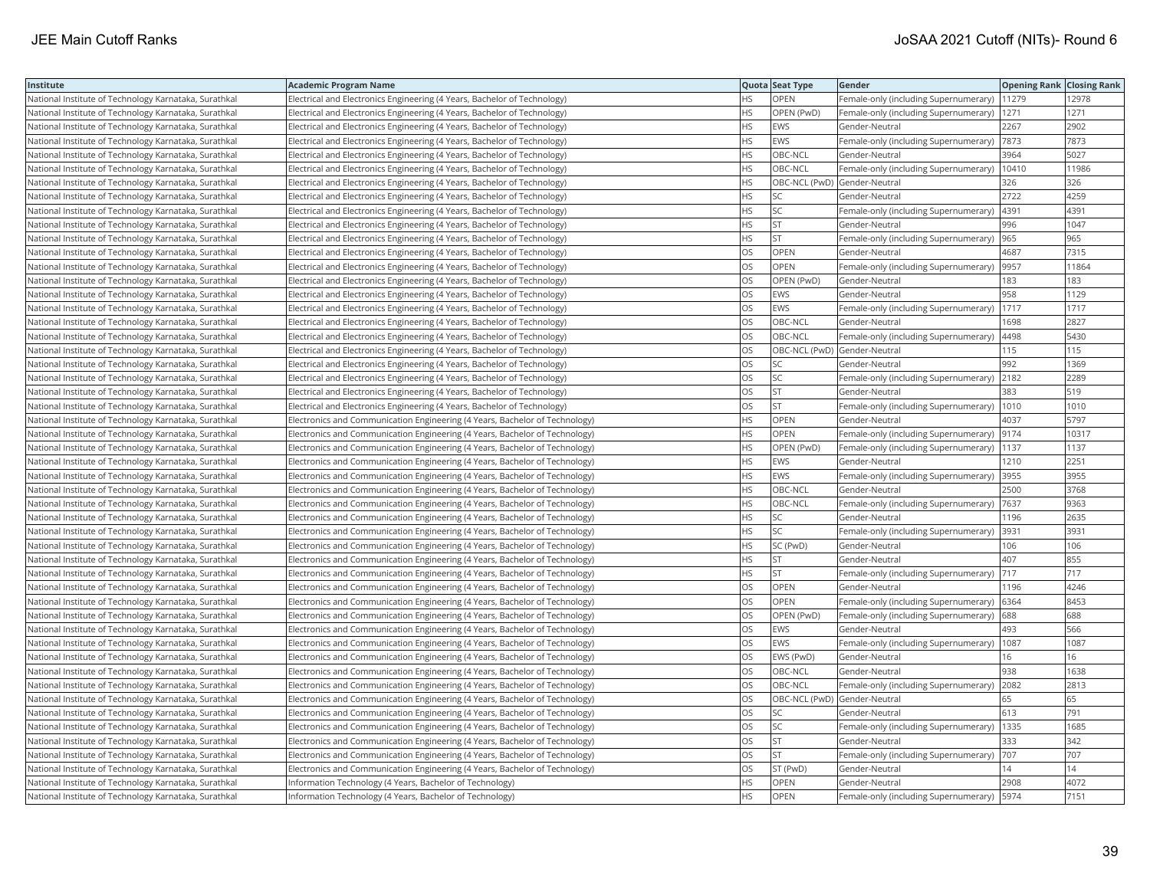| Institute                                             | <b>Academic Program Name</b>                                                |           | Quota Seat Type              | Gender                                        | <b>Opening Rank Closing Rank</b> |       |
|-------------------------------------------------------|-----------------------------------------------------------------------------|-----------|------------------------------|-----------------------------------------------|----------------------------------|-------|
| National Institute of Technology Karnataka, Surathkal | Electrical and Electronics Engineering (4 Years, Bachelor of Technology)    | HS        | <b>OPEN</b>                  | Female-only (including Supernumerary)         | 11279                            | 12978 |
| National Institute of Technology Karnataka, Surathkal | Electrical and Electronics Engineering (4 Years, Bachelor of Technology)    | <b>HS</b> | OPEN (PwD)                   | Female-only (including Supernumerary)         | 1271                             | 1271  |
| National Institute of Technology Karnataka, Surathkal | Electrical and Electronics Engineering (4 Years, Bachelor of Technology)    | <b>HS</b> | <b>EWS</b>                   | Gender-Neutral                                | 2267                             | 2902  |
| National Institute of Technology Karnataka, Surathkal | Electrical and Electronics Engineering (4 Years, Bachelor of Technology)    | HS        | <b>EWS</b>                   | Female-only (including Supernumerary)         | 7873                             | 7873  |
| National Institute of Technology Karnataka, Surathkal | Electrical and Electronics Engineering (4 Years, Bachelor of Technology)    | HS        | OBC-NCL                      | Gender-Neutral                                | 3964                             | 5027  |
| National Institute of Technology Karnataka, Surathkal | Electrical and Electronics Engineering (4 Years, Bachelor of Technology)    | <b>HS</b> | OBC-NCL                      | Female-only (including Supernumerary)   10410 |                                  | 11986 |
| National Institute of Technology Karnataka, Surathkal | Electrical and Electronics Engineering (4 Years, Bachelor of Technology)    | HS        | OBC-NCL (PwD) Gender-Neutral |                                               | 326                              | 326   |
| National Institute of Technology Karnataka, Surathkal | Electrical and Electronics Engineering (4 Years, Bachelor of Technology)    | HS        | SC                           | Gender-Neutral                                | 2722                             | 4259  |
| National Institute of Technology Karnataka, Surathkal | Electrical and Electronics Engineering (4 Years, Bachelor of Technology)    | <b>HS</b> | <b>SC</b>                    | Female-only (including Supernumerary)         | 4391                             | 4391  |
| National Institute of Technology Karnataka, Surathkal | Electrical and Electronics Engineering (4 Years, Bachelor of Technology)    | HS        | <b>ST</b>                    | Gender-Neutral                                | 996                              | 1047  |
| National Institute of Technology Karnataka, Surathkal | Electrical and Electronics Engineering (4 Years, Bachelor of Technology)    | <b>HS</b> | <b>ST</b>                    | Female-only (including Supernumerary)         | 965                              | 965   |
| National Institute of Technology Karnataka, Surathkal | Electrical and Electronics Engineering (4 Years, Bachelor of Technology)    | OS        | <b>OPEN</b>                  | Gender-Neutral                                | 4687                             | 7315  |
| National Institute of Technology Karnataka, Surathkal | Electrical and Electronics Engineering (4 Years, Bachelor of Technology)    | <b>OS</b> | <b>OPEN</b>                  | Female-only (including Supernumerary) 9957    |                                  | 11864 |
| National Institute of Technology Karnataka, Surathkal | Electrical and Electronics Engineering (4 Years, Bachelor of Technology)    | OS        | OPEN (PwD)                   | Gender-Neutral                                | 183                              | 183   |
| National Institute of Technology Karnataka, Surathkal | Electrical and Electronics Engineering (4 Years, Bachelor of Technology)    | OS.       | <b>EWS</b>                   | Gender-Neutral                                | 958                              | 1129  |
| National Institute of Technology Karnataka, Surathkal | Electrical and Electronics Engineering (4 Years, Bachelor of Technology)    | OS.       | EWS                          | Female-only (including Supernumerary)         | 1717                             | 1717  |
| National Institute of Technology Karnataka, Surathkal | Electrical and Electronics Engineering (4 Years, Bachelor of Technology)    | OS        | OBC-NCL                      | Gender-Neutral                                | 1698                             | 2827  |
| National Institute of Technology Karnataka, Surathkal | Electrical and Electronics Engineering (4 Years, Bachelor of Technology)    | OS        | OBC-NCL                      | Female-only (including Supernumerary)         | 4498                             | 5430  |
| National Institute of Technology Karnataka, Surathkal | Electrical and Electronics Engineering (4 Years, Bachelor of Technology)    | <b>OS</b> | OBC-NCL (PwD) Gender-Neutral |                                               | 115                              | 115   |
| National Institute of Technology Karnataka, Surathkal | Electrical and Electronics Engineering (4 Years, Bachelor of Technology)    | OS        | <b>SC</b>                    | Gender-Neutral                                | 992                              | 1369  |
| National Institute of Technology Karnataka, Surathkal | Electrical and Electronics Engineering (4 Years, Bachelor of Technology)    | OS        | <b>SC</b>                    | Female-only (including Supernumerary)         | 2182                             | 2289  |
| National Institute of Technology Karnataka, Surathkal | Electrical and Electronics Engineering (4 Years, Bachelor of Technology)    | OS        | <b>ST</b>                    | Gender-Neutral                                | 383                              | 519   |
| National Institute of Technology Karnataka, Surathkal | Electrical and Electronics Engineering (4 Years, Bachelor of Technology)    | OS        | <b>ST</b>                    | Female-only (including Supernumerary)  1010   |                                  | 1010  |
| National Institute of Technology Karnataka, Surathkal | Electronics and Communication Engineering (4 Years, Bachelor of Technology) | HS.       | <b>OPEN</b>                  | Gender-Neutral                                | 4037                             | 5797  |
| National Institute of Technology Karnataka, Surathkal | Electronics and Communication Engineering (4 Years, Bachelor of Technology) | <b>HS</b> | OPEN                         | Female-only (including Supernumerary)         | 9174                             | 10317 |
| National Institute of Technology Karnataka, Surathkal | Electronics and Communication Engineering (4 Years, Bachelor of Technology) | HS        | OPEN (PwD)                   | Female-only (including Supernumerary)         | 1137                             | 1137  |
| National Institute of Technology Karnataka, Surathkal | Electronics and Communication Engineering (4 Years, Bachelor of Technology) | HS        | <b>EWS</b>                   | Gender-Neutral                                | 1210                             | 2251  |
| National Institute of Technology Karnataka, Surathkal | Electronics and Communication Engineering (4 Years, Bachelor of Technology) | HS        | <b>EWS</b>                   | Female-only (including Supernumerary)         | 3955                             | 3955  |
| National Institute of Technology Karnataka, Surathkal | Electronics and Communication Engineering (4 Years, Bachelor of Technology) | <b>HS</b> | OBC-NCL                      | Gender-Neutral                                | 2500                             | 3768  |
| National Institute of Technology Karnataka, Surathkal | Electronics and Communication Engineering (4 Years, Bachelor of Technology) | <b>HS</b> | OBC-NCL                      | Female-only (including Supernumerary)  7637   |                                  | 9363  |
| National Institute of Technology Karnataka, Surathkal | Electronics and Communication Engineering (4 Years, Bachelor of Technology) | HS        | SC                           | Gender-Neutral                                | 1196                             | 2635  |
| National Institute of Technology Karnataka, Surathkal | Electronics and Communication Engineering (4 Years, Bachelor of Technology) | HS.       | lsc                          | Female-only (including Supernumerary)         | 3931                             | 3931  |
| National Institute of Technology Karnataka, Surathkal | Electronics and Communication Engineering (4 Years, Bachelor of Technology) | <b>HS</b> | SC (PwD)                     | Gender-Neutral                                | 106                              | 106   |
| National Institute of Technology Karnataka, Surathkal | Electronics and Communication Engineering (4 Years, Bachelor of Technology) | <b>HS</b> | <b>ST</b>                    | Gender-Neutral                                | 407                              | 855   |
| National Institute of Technology Karnataka, Surathkal | Electronics and Communication Engineering (4 Years, Bachelor of Technology) | HS        | <b>ST</b>                    | Female-only (including Supernumerary)         | 717                              | 717   |
| National Institute of Technology Karnataka, Surathkal | Electronics and Communication Engineering (4 Years, Bachelor of Technology) | OS        | <b>OPEN</b>                  | Gender-Neutral                                | 1196                             | 4246  |
| National Institute of Technology Karnataka, Surathkal | Electronics and Communication Engineering (4 Years, Bachelor of Technology) | OS        | <b>OPEN</b>                  | Female-only (including Supernumerary)   6364  |                                  | 8453  |
| National Institute of Technology Karnataka, Surathkal | Electronics and Communication Engineering (4 Years, Bachelor of Technology) | OS        | OPEN (PwD)                   | [Female-only (including Supernumerary)        | 688                              | 688   |
| National Institute of Technology Karnataka, Surathkal | Electronics and Communication Engineering (4 Years, Bachelor of Technology) | OS        | <b>EWS</b>                   | Gender-Neutral                                | 493                              | 566   |
| National Institute of Technology Karnataka, Surathkal | Electronics and Communication Engineering (4 Years, Bachelor of Technology) | OS.       | <b>EWS</b>                   | Female-only (including Supernumerary)         | 1087                             | 1087  |
| National Institute of Technology Karnataka, Surathkal | Electronics and Communication Engineering (4 Years, Bachelor of Technology) | OS        | EWS (PwD)                    | Gender-Neutral                                | 16                               | 16    |
| National Institute of Technology Karnataka, Surathkal | Electronics and Communication Engineering (4 Years, Bachelor of Technology) | <b>OS</b> | OBC-NCL                      | Gender-Neutral                                | 938                              | 1638  |
| National Institute of Technology Karnataka, Surathkal | Electronics and Communication Engineering (4 Years, Bachelor of Technology) | OS        | OBC-NCL                      | Female-only (including Supernumerary)         | 2082                             | 2813  |
| National Institute of Technology Karnataka, Surathkal | Electronics and Communication Engineering (4 Years, Bachelor of Technology) | OS        | OBC-NCL (PwD) Gender-Neutral |                                               | 65                               | 65    |
| National Institute of Technology Karnataka, Surathkal | Electronics and Communication Engineering (4 Years, Bachelor of Technology) | <b>OS</b> | <b>SC</b>                    | Gender-Neutral                                | 613                              | 791   |
| National Institute of Technology Karnataka, Surathkal | Electronics and Communication Engineering (4 Years, Bachelor of Technology) | OS        | <b>SC</b>                    | Female-only (including Supernumerary)  1335   |                                  | 1685  |
| National Institute of Technology Karnataka, Surathkal | Electronics and Communication Engineering (4 Years, Bachelor of Technology) | <b>OS</b> | <b>ST</b>                    | Gender-Neutral                                | 333                              | 342   |
| National Institute of Technology Karnataka, Surathkal | Electronics and Communication Engineering (4 Years, Bachelor of Technology) | OS.       | <b>ST</b>                    | Female-only (including Supernumerary)         | 707                              | 707   |
| National Institute of Technology Karnataka, Surathkal | Electronics and Communication Engineering (4 Years, Bachelor of Technology) | OS        | ST (PwD)                     | Gender-Neutral                                | 4                                | 14    |
| National Institute of Technology Karnataka, Surathkal | Information Technology (4 Years, Bachelor of Technology)                    | <b>HS</b> | <b>OPEN</b>                  | Gender-Neutral                                | 2908                             | 4072  |
| National Institute of Technology Karnataka, Surathkal | Information Technology (4 Years, Bachelor of Technology)                    | <b>HS</b> | <b>OPEN</b>                  | Female-only (including Supernumerary)   5974  |                                  | 7151  |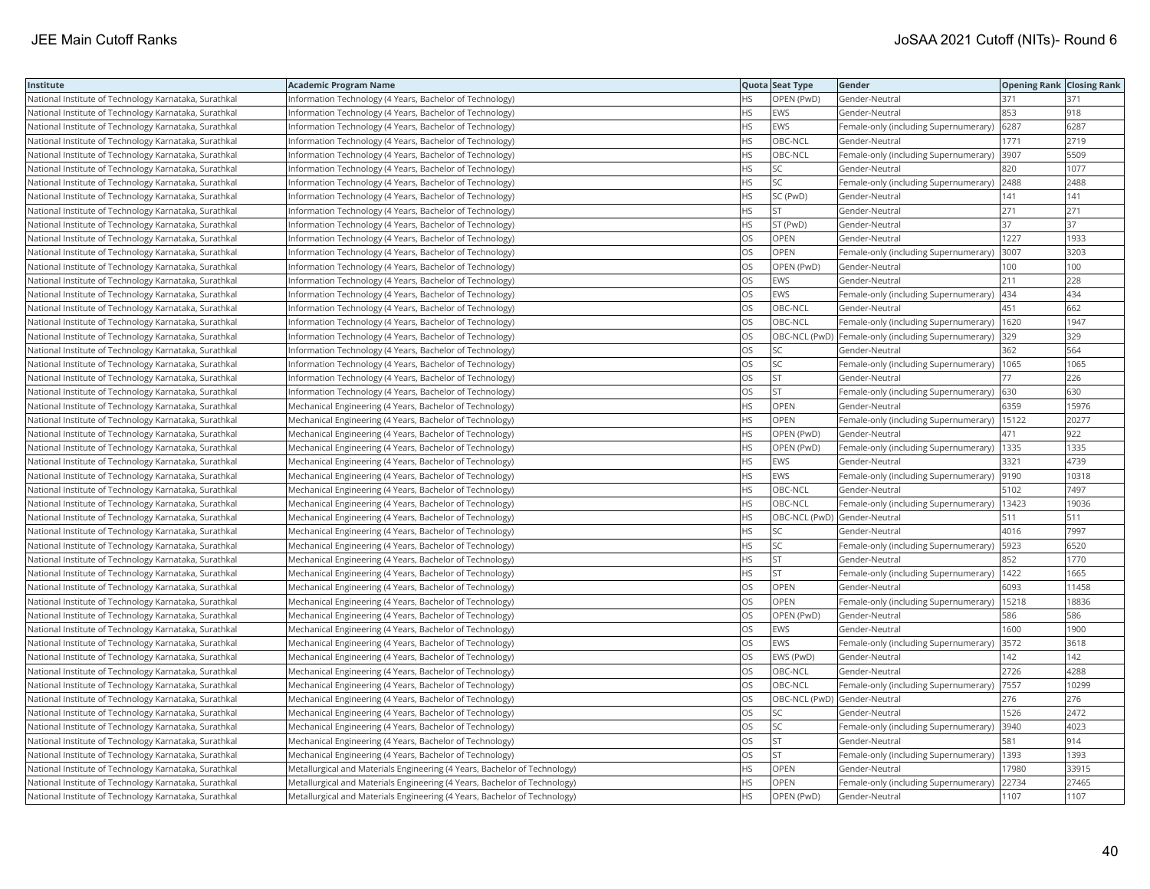| Institute                                             | <b>Academic Program Name</b>                                              |           | Quota Seat Type              | Gender                                              | <b>Opening Rank Closing Rank</b> |       |
|-------------------------------------------------------|---------------------------------------------------------------------------|-----------|------------------------------|-----------------------------------------------------|----------------------------------|-------|
| National Institute of Technology Karnataka, Surathkal | Information Technology (4 Years, Bachelor of Technology)                  | <b>HS</b> | OPEN (PwD)                   | Gender-Neutral                                      | 371                              | 371   |
| National Institute of Technology Karnataka, Surathkal | Information Technology (4 Years, Bachelor of Technology)                  | HS.       | <b>EWS</b>                   | Gender-Neutral                                      | 853                              | 918   |
| National Institute of Technology Karnataka, Surathkal | Information Technology (4 Years, Bachelor of Technology)                  | HS        | <b>EWS</b>                   | Female-only (including Supernumerary)               | 6287                             | 6287  |
| National Institute of Technology Karnataka, Surathkal | Information Technology (4 Years, Bachelor of Technology)                  | <b>HS</b> | OBC-NCL                      | Gender-Neutral                                      | 1771                             | 2719  |
| National Institute of Technology Karnataka, Surathkal | Information Technology (4 Years, Bachelor of Technology)                  | <b>HS</b> | OBC-NCL                      | Female-only (including Supernumerary)               | 3907                             | 5509  |
| National Institute of Technology Karnataka, Surathkal | Information Technology (4 Years, Bachelor of Technology)                  | HS        | <b>SC</b>                    | Gender-Neutral                                      | 820                              | 1077  |
| National Institute of Technology Karnataka, Surathkal | Information Technology (4 Years, Bachelor of Technology)                  | <b>HS</b> | <b>SC</b>                    | Female-only (including Supernumerary)               | 2488                             | 2488  |
| National Institute of Technology Karnataka, Surathkal | Information Technology (4 Years, Bachelor of Technology)                  | HS.       | SC (PwD)                     | Gender-Neutral                                      | 141                              | 141   |
| National Institute of Technology Karnataka, Surathkal | Information Technology (4 Years, Bachelor of Technology)                  | НS        | <b>ST</b>                    | Gender-Neutral                                      | 271                              | 271   |
| National Institute of Technology Karnataka, Surathkal | Information Technology (4 Years, Bachelor of Technology)                  | <b>HS</b> | ST (PwD)                     | Gender-Neutral                                      | 37                               | 37    |
| National Institute of Technology Karnataka, Surathkal | Information Technology (4 Years, Bachelor of Technology)                  | OS        | <b>OPEN</b>                  | Gender-Neutral                                      | 1227                             | 1933  |
| National Institute of Technology Karnataka, Surathkal | Information Technology (4 Years, Bachelor of Technology)                  | <b>OS</b> | <b>OPEN</b>                  | Female-only (including Supernumerary)               | 3007                             | 3203  |
| National Institute of Technology Karnataka, Surathkal | Information Technology (4 Years, Bachelor of Technology)                  | OS        | OPEN (PwD)                   | Gender-Neutral                                      | 100                              | 100   |
| National Institute of Technology Karnataka, Surathkal | Information Technology (4 Years, Bachelor of Technology)                  | OS        | <b>EWS</b>                   | Gender-Neutral                                      | 211                              | 228   |
| National Institute of Technology Karnataka, Surathkal | Information Technology (4 Years, Bachelor of Technology)                  | OS        | <b>EWS</b>                   | Female-only (including Supernumerary)               | 434                              | 434   |
| National Institute of Technology Karnataka, Surathkal | Information Technology (4 Years, Bachelor of Technology)                  | OS.       | OBC-NCL                      | Gender-Neutral                                      | 451                              | 662   |
| National Institute of Technology Karnataka, Surathkal | Information Technology (4 Years, Bachelor of Technology)                  | OS        | OBC-NCL                      | Female-only (including Supernumerary)               | 1620                             | 1947  |
| National Institute of Technology Karnataka, Surathkal | Information Technology (4 Years, Bachelor of Technology)                  | OS        |                              | OBC-NCL (PwD) Female-only (including Supernumerary) | 329                              | 329   |
| National Institute of Technology Karnataka, Surathkal | Information Technology (4 Years, Bachelor of Technology)                  | OS        | <b>SC</b>                    | Gender-Neutral                                      | 362                              | 564   |
| National Institute of Technology Karnataka, Surathkal | Information Technology (4 Years, Bachelor of Technology)                  | <b>OS</b> | lsc                          | Female-only (including Supernumerary)               | 1065                             | 1065  |
| National Institute of Technology Karnataka, Surathkal | Information Technology (4 Years, Bachelor of Technology)                  | OS        | <b>ST</b>                    | Gender-Neutral                                      | 77                               | 226   |
| National Institute of Technology Karnataka, Surathkal | Information Technology (4 Years, Bachelor of Technology)                  | OS        | <b>ST</b>                    | Female-only (including Supernumerary) 630           |                                  | 630   |
| National Institute of Technology Karnataka, Surathkal | Mechanical Engineering (4 Years, Bachelor of Technology)                  | <b>HS</b> | OPEN                         | Gender-Neutral                                      | 6359                             | 15976 |
| National Institute of Technology Karnataka, Surathkal | Mechanical Engineering (4 Years, Bachelor of Technology)                  | <b>HS</b> | <b>OPEN</b>                  | Female-only (including Supernumerary)   15122       |                                  | 20277 |
| National Institute of Technology Karnataka, Surathkal | Mechanical Engineering (4 Years, Bachelor of Technology)                  | HS        | OPEN (PwD)                   | Gender-Neutral                                      | 471                              | 922   |
| National Institute of Technology Karnataka, Surathkal | Mechanical Engineering (4 Years, Bachelor of Technology)                  | <b>HS</b> | OPEN (PwD)                   | Female-only (including Supernumerary)               | 1335                             | 1335  |
| National Institute of Technology Karnataka, Surathkal | Mechanical Engineering (4 Years, Bachelor of Technology)                  | <b>HS</b> | <b>EWS</b>                   | Gender-Neutral                                      | 3321                             | 4739  |
| National Institute of Technology Karnataka, Surathkal | Mechanical Engineering (4 Years, Bachelor of Technology)                  | <b>HS</b> | <b>EWS</b>                   | Female-only (including Supernumerary)               | 9190                             | 10318 |
| National Institute of Technology Karnataka, Surathkal | Mechanical Engineering (4 Years, Bachelor of Technology)                  | <b>HS</b> | OBC-NCL                      | Gender-Neutral                                      | 5102                             | 7497  |
| National Institute of Technology Karnataka, Surathkal | Mechanical Engineering (4 Years, Bachelor of Technology)                  | HS        | OBC-NCL                      | Female-only (including Supernumerary)   13423       |                                  | 19036 |
| National Institute of Technology Karnataka, Surathkal | Mechanical Engineering (4 Years, Bachelor of Technology)                  | HS        | OBC-NCL (PwD) Gender-Neutral |                                                     | 511                              | 511   |
| National Institute of Technology Karnataka, Surathkal | Mechanical Engineering (4 Years, Bachelor of Technology)                  | HS.       | <b>SC</b>                    | Gender-Neutral                                      | 4016                             | 7997  |
| National Institute of Technology Karnataka, Surathkal | Mechanical Engineering (4 Years, Bachelor of Technology)                  | HS.       | <b>SC</b>                    | Female-only (including Supernumerary)               | 5923                             | 6520  |
| National Institute of Technology Karnataka, Surathkal | Mechanical Engineering (4 Years, Bachelor of Technology)                  | HS        | <b>ST</b>                    | Gender-Neutral                                      | 852                              | 1770  |
| National Institute of Technology Karnataka, Surathkal | Mechanical Engineering (4 Years, Bachelor of Technology)                  | <b>HS</b> | <b>ST</b>                    | Female-only (including Supernumerary)               | 1422                             | 1665  |
| National Institute of Technology Karnataka, Surathkal | Mechanical Engineering (4 Years, Bachelor of Technology)                  | <b>OS</b> | <b>OPEN</b>                  | Gender-Neutral                                      | 6093                             | 11458 |
| National Institute of Technology Karnataka, Surathkal | Mechanical Engineering (4 Years, Bachelor of Technology)                  | OS        | <b>OPEN</b>                  | Female-only (including Supernumerary)               | 15218                            | 18836 |
| National Institute of Technology Karnataka, Surathkal | Mechanical Engineering (4 Years, Bachelor of Technology)                  | OS        | OPEN (PwD)                   | Gender-Neutral                                      | 586                              | 586   |
| National Institute of Technology Karnataka, Surathkal | Mechanical Engineering (4 Years, Bachelor of Technology)                  | OS        | <b>EWS</b>                   | Gender-Neutral                                      | 1600                             | 1900  |
| National Institute of Technology Karnataka, Surathkal | Mechanical Engineering (4 Years, Bachelor of Technology)                  | <b>OS</b> | <b>EWS</b>                   | Female-only (including Supernumerary)               | 3572                             | 3618  |
| National Institute of Technology Karnataka, Surathkal | Mechanical Engineering (4 Years, Bachelor of Technology)                  | <b>OS</b> | EWS (PwD)                    | Gender-Neutral                                      | 142                              | 142   |
| National Institute of Technology Karnataka, Surathkal | Mechanical Engineering (4 Years, Bachelor of Technology)                  | OS        | OBC-NCL                      | Gender-Neutral                                      | 2726                             | 4288  |
| National Institute of Technology Karnataka, Surathkal | Mechanical Engineering (4 Years, Bachelor of Technology)                  | OS        | OBC-NCL                      | Female-only (including Supernumerary)               | 7557                             | 10299 |
| National Institute of Technology Karnataka, Surathkal | Mechanical Engineering (4 Years, Bachelor of Technology)                  | <b>OS</b> | OBC-NCL (PwD) Gender-Neutral |                                                     | 276                              | 276   |
| National Institute of Technology Karnataka, Surathkal | Mechanical Engineering (4 Years, Bachelor of Technology)                  | OS        | <b>SC</b>                    | Gender-Neutral                                      | 1526                             | 2472  |
| National Institute of Technology Karnataka, Surathkal | Mechanical Engineering (4 Years, Bachelor of Technology)                  | OS        | <b>SC</b>                    | Female-only (including Supernumerary)               | 3940                             | 4023  |
| National Institute of Technology Karnataka, Surathkal | Mechanical Engineering (4 Years, Bachelor of Technology)                  | OS        | <b>ST</b>                    | Gender-Neutral                                      | 581                              | 914   |
| National Institute of Technology Karnataka, Surathkal | Mechanical Engineering (4 Years, Bachelor of Technology)                  | OS        | <b>ST</b>                    | Female-only (including Supernumerary)               | 1393                             | 1393  |
| National Institute of Technology Karnataka, Surathkal | Metallurgical and Materials Engineering (4 Years, Bachelor of Technology) | HS        | OPEN                         | Gender-Neutral                                      | 17980                            | 33915 |
| National Institute of Technology Karnataka, Surathkal | Metallurgical and Materials Engineering (4 Years, Bachelor of Technology) | <b>HS</b> | <b>OPEN</b>                  | Female-only (including Supernumerary)               | 22734                            | 27465 |
| National Institute of Technology Karnataka, Surathkal | Metallurgical and Materials Engineering (4 Years, Bachelor of Technology) | <b>HS</b> | OPEN (PwD)                   | Gender-Neutral                                      | 1107                             | 1107  |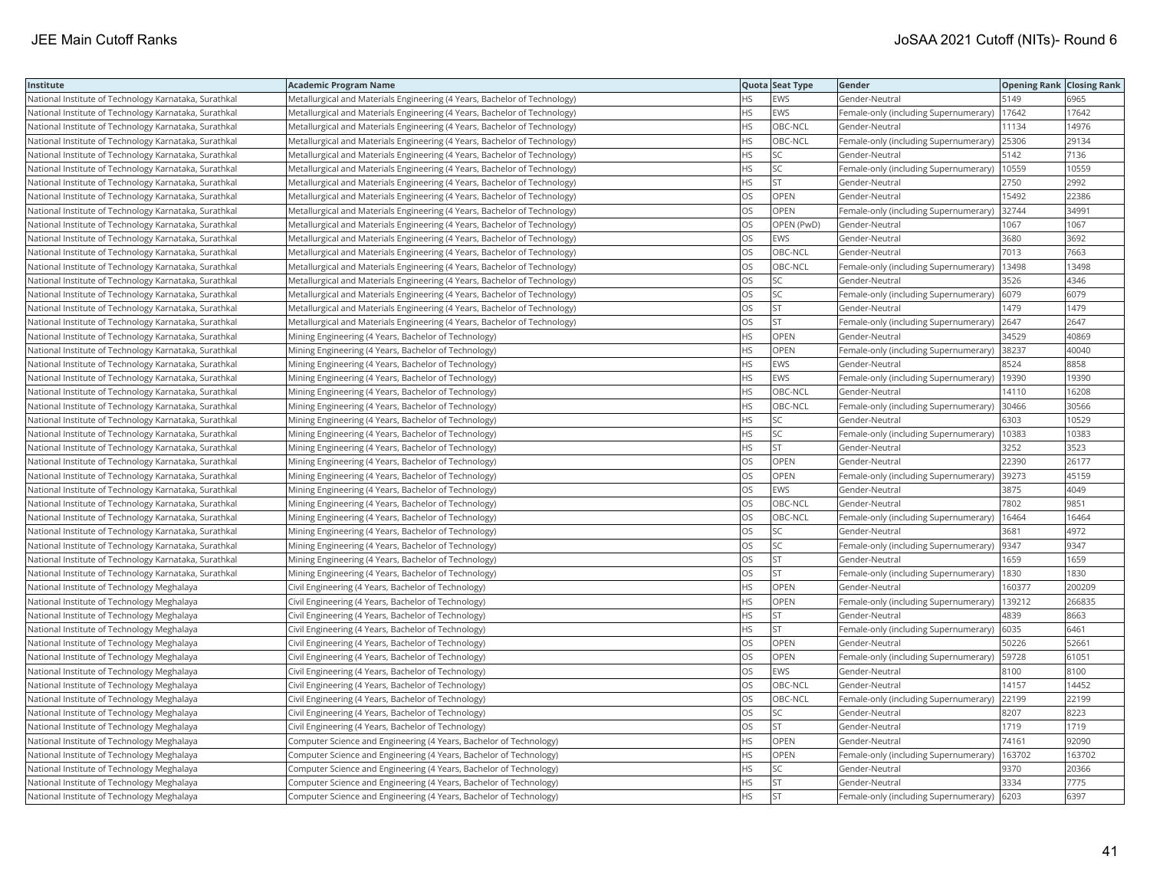| Institute                                             | <b>Academic Program Name</b>                                              |           | Quota Seat Type | Gender                                        | <b>Opening Rank   Closing Rank</b> |        |
|-------------------------------------------------------|---------------------------------------------------------------------------|-----------|-----------------|-----------------------------------------------|------------------------------------|--------|
| National Institute of Technology Karnataka, Surathkal | Metallurgical and Materials Engineering (4 Years, Bachelor of Technology) | <b>HS</b> | EWS             | Gender-Neutral                                | 5149                               | 6965   |
| National Institute of Technology Karnataka, Surathkal | Metallurgical and Materials Engineering (4 Years, Bachelor of Technology) | <b>HS</b> | EWS             | Female-only (including Supernumerary)         | 17642                              | 17642  |
| National Institute of Technology Karnataka, Surathkal | Metallurgical and Materials Engineering (4 Years, Bachelor of Technology) | <b>HS</b> | OBC-NCL         | Gender-Neutral                                | 11134                              | 14976  |
| National Institute of Technology Karnataka, Surathkal | Metallurgical and Materials Engineering (4 Years, Bachelor of Technology) | <b>HS</b> | OBC-NCL         | Female-only (including Supernumerary)         | 25306                              | 29134  |
| National Institute of Technology Karnataka, Surathkal | Metallurgical and Materials Engineering (4 Years, Bachelor of Technology) | <b>HS</b> | SC              | Gender-Neutral                                | 5142                               | 7136   |
| National Institute of Technology Karnataka, Surathkal | Metallurgical and Materials Engineering (4 Years, Bachelor of Technology) | <b>HS</b> | SC.             | Female-only (including Supernumerary)   10559 |                                    | 10559  |
| National Institute of Technology Karnataka, Surathkal | Metallurgical and Materials Engineering (4 Years, Bachelor of Technology) | <b>HS</b> | ST              | Gender-Neutral                                | 2750                               | 2992   |
| National Institute of Technology Karnataka, Surathkal | Metallurgical and Materials Engineering (4 Years, Bachelor of Technology) | OS        | OPEN            | Gender-Neutral                                | 15492                              | 22386  |
| National Institute of Technology Karnataka, Surathkal | Metallurgical and Materials Engineering (4 Years, Bachelor of Technology) | OS        | OPEN            | Female-only (including Supernumerary)         | 32744                              | 34991  |
| National Institute of Technology Karnataka, Surathkal | Metallurgical and Materials Engineering (4 Years, Bachelor of Technology) | OS        | OPEN (PwD)      | Gender-Neutral                                | 1067                               | 1067   |
| National Institute of Technology Karnataka, Surathkal | Metallurgical and Materials Engineering (4 Years, Bachelor of Technology) | <b>OS</b> | EWS             | Gender-Neutral                                | 3680                               | 3692   |
| National Institute of Technology Karnataka, Surathkal | Metallurgical and Materials Engineering (4 Years, Bachelor of Technology) | OS        | OBC-NCL         | Gender-Neutral                                | 7013                               | 7663   |
| National Institute of Technology Karnataka, Surathkal | Metallurgical and Materials Engineering (4 Years, Bachelor of Technology) | OS        | OBC-NCL         | Female-only (including Supernumerary)         | 13498                              | 13498  |
| National Institute of Technology Karnataka, Surathkal | Metallurgical and Materials Engineering (4 Years, Bachelor of Technology) | OS        | SC              | Gender-Neutral                                | 3526                               | 4346   |
| National Institute of Technology Karnataka, Surathkal | Metallurgical and Materials Engineering (4 Years, Bachelor of Technology) | OS        | SC              | Female-only (including Supernumerary)         | 6079                               | 6079   |
| National Institute of Technology Karnataka, Surathkal | Metallurgical and Materials Engineering (4 Years, Bachelor of Technology) | OS.       | lst             | Gender-Neutral                                | 1479                               | 1479   |
| National Institute of Technology Karnataka, Surathkal | Metallurgical and Materials Engineering (4 Years, Bachelor of Technology) | OS        | <b>ST</b>       | Female-only (including Supernumerary)         | 2647                               | 2647   |
| National Institute of Technology Karnataka, Surathkal | Mining Engineering (4 Years, Bachelor of Technology)                      | <b>HS</b> | OPEN            | Gender-Neutral                                | 34529                              | 40869  |
| National Institute of Technology Karnataka, Surathkal | Mining Engineering (4 Years, Bachelor of Technology)                      | <b>HS</b> | OPEN            | Female-only (including Supernumerary)         | 38237                              | 40040  |
| National Institute of Technology Karnataka, Surathkal | Mining Engineering (4 Years, Bachelor of Technology)                      | <b>HS</b> | EWS             | Gender-Neutral                                | 8524                               | 8858   |
| National Institute of Technology Karnataka, Surathkal | Mining Engineering (4 Years, Bachelor of Technology)                      | <b>HS</b> | EWS             | Female-only (including Supernumerary)         | 19390                              | 19390  |
| National Institute of Technology Karnataka, Surathkal | Mining Engineering (4 Years, Bachelor of Technology)                      | <b>HS</b> | OBC-NCL         | Gender-Neutral                                | 14110                              | 16208  |
| National Institute of Technology Karnataka, Surathkal | Mining Engineering (4 Years, Bachelor of Technology)                      | <b>HS</b> | OBC-NCL         | Female-only (including Supernumerary)         | 30466                              | 30566  |
| National Institute of Technology Karnataka, Surathkal | Mining Engineering (4 Years, Bachelor of Technology)                      | <b>HS</b> | SC              | Gender-Neutral                                | 6303                               | 10529  |
| National Institute of Technology Karnataka, Surathkal | Mining Engineering (4 Years, Bachelor of Technology)                      | <b>HS</b> | SC              | Female-only (including Supernumerary)         | 10383                              | 10383  |
| National Institute of Technology Karnataka, Surathkal | Mining Engineering (4 Years, Bachelor of Technology)                      | <b>HS</b> | <b>ST</b>       | Gender-Neutral                                | 3252                               | 3523   |
| National Institute of Technology Karnataka, Surathkal | Mining Engineering (4 Years, Bachelor of Technology)                      | OS        | OPEN            | Gender-Neutral                                | 22390                              | 26177  |
| National Institute of Technology Karnataka, Surathkal | Mining Engineering (4 Years, Bachelor of Technology)                      | OS        | OPEN            | Female-only (including Supernumerary)         | 39273                              | 45159  |
| National Institute of Technology Karnataka, Surathkal | Mining Engineering (4 Years, Bachelor of Technology)                      | OS        | EWS             | Gender-Neutral                                | 3875                               | 4049   |
| National Institute of Technology Karnataka, Surathkal | Mining Engineering (4 Years, Bachelor of Technology)                      | OS        | OBC-NCL         | Gender-Neutral                                | 7802                               | 9851   |
| National Institute of Technology Karnataka, Surathkal | Mining Engineering (4 Years, Bachelor of Technology)                      | OS        | OBC-NCL         | Female-only (including Supernumerary)         | 16464                              | 16464  |
| National Institute of Technology Karnataka, Surathkal | Mining Engineering (4 Years, Bachelor of Technology)                      | OS        | SC              | Gender-Neutral                                | 3681                               | 4972   |
| National Institute of Technology Karnataka, Surathkal | Mining Engineering (4 Years, Bachelor of Technology)                      | OS        | SC              | Female-only (including Supernumerary)         | 9347                               | 9347   |
| National Institute of Technology Karnataka, Surathkal | Mining Engineering (4 Years, Bachelor of Technology)                      | OS        | <b>ST</b>       | Gender-Neutral                                | 1659                               | 1659   |
| National Institute of Technology Karnataka, Surathkal | Mining Engineering (4 Years, Bachelor of Technology)                      | OS        | <b>ST</b>       | Female-only (including Supernumerary)         | 1830                               | 1830   |
| National Institute of Technology Meghalaya            | Civil Engineering (4 Years, Bachelor of Technology)                       | <b>HS</b> | OPEN            | Gender-Neutral                                | 160377                             | 200209 |
| National Institute of Technology Meghalaya            | Civil Engineering (4 Years, Bachelor of Technology)                       | <b>HS</b> | OPEN            | Female-only (including Supernumerary)         | 139212                             | 266835 |
| National Institute of Technology Meghalaya            | Civil Engineering (4 Years, Bachelor of Technology)                       | <b>HS</b> | <b>ST</b>       | Gender-Neutral                                | 4839                               | 8663   |
| National Institute of Technology Meghalaya            | Civil Engineering (4 Years, Bachelor of Technology)                       | <b>HS</b> | <b>ST</b>       | Female-only (including Supernumerary)         | 6035                               | 6461   |
| National Institute of Technology Meghalaya            | Civil Engineering (4 Years, Bachelor of Technology)                       | <b>OS</b> | <b>OPEN</b>     | Gender-Neutral                                | 50226                              | 52661  |
| National Institute of Technology Meghalaya            | Civil Engineering (4 Years, Bachelor of Technology)                       | OS        | OPEN            | Female-only (including Supernumerary)         | 59728                              | 61051  |
| National Institute of Technology Meghalaya            | Civil Engineering (4 Years, Bachelor of Technology)                       | OS        | EWS             | Gender-Neutral                                | 8100                               | 8100   |
| National Institute of Technology Meghalaya            | Civil Engineering (4 Years, Bachelor of Technology)                       | OS        | OBC-NCL         | Gender-Neutral                                | 14157                              | 14452  |
| National Institute of Technology Meghalaya            | Civil Engineering (4 Years, Bachelor of Technology)                       | OS        | OBC-NCL         | Female-only (including Supernumerary)         | 22199                              | 22199  |
| National Institute of Technology Meghalaya            | Civil Engineering (4 Years, Bachelor of Technology)                       | OS        | SC.             | Gender-Neutral                                | 8207                               | 8223   |
| National Institute of Technology Meghalaya            | Civil Engineering (4 Years, Bachelor of Technology)                       | OS        | <b>ST</b>       | Gender-Neutral                                | 1719                               | 1719   |
| National Institute of Technology Meghalaya            | Computer Science and Engineering (4 Years, Bachelor of Technology)        | <b>HS</b> | OPEN            | Gender-Neutral                                | 74161                              | 92090  |
| National Institute of Technology Meghalaya            | Computer Science and Engineering (4 Years, Bachelor of Technology)        | HS.       | <b>OPEN</b>     | Female-only (including Supernumerary)         | 163702                             | 163702 |
| National Institute of Technology Meghalaya            | Computer Science and Engineering (4 Years, Bachelor of Technology)        | HS        | SC              | Gender-Neutral                                | 9370                               | 20366  |
| National Institute of Technology Meghalaya            | Computer Science and Engineering (4 Years, Bachelor of Technology)        | <b>HS</b> | <b>ST</b>       | Gender-Neutral                                | 3334                               | 7775   |
| National Institute of Technology Meghalaya            | Computer Science and Engineering (4 Years, Bachelor of Technology)        | <b>HS</b> | <b>ST</b>       | Female-only (including Supernumerary)         | 6203                               | 6397   |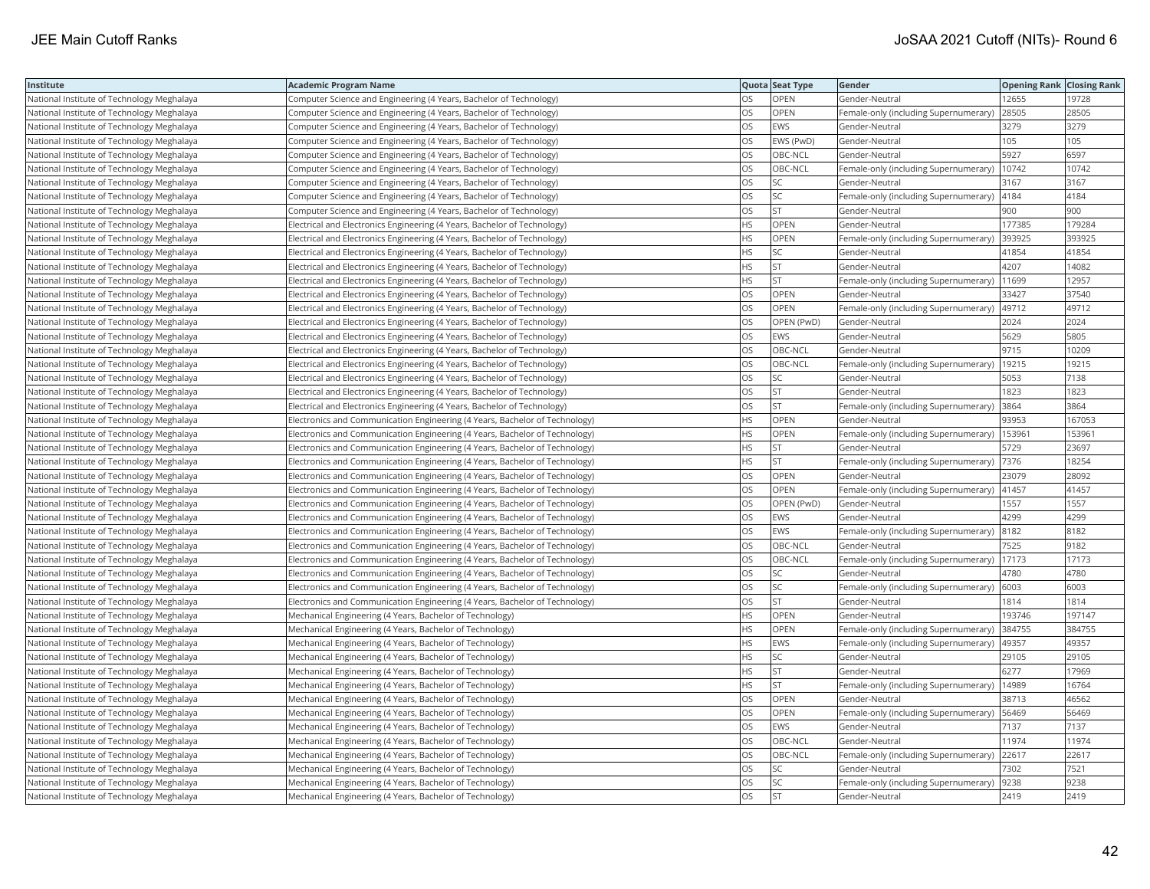| Institute                                  | <b>Academic Program Name</b>                                                |           | Quota Seat Type | Gender                                        | <b>Opening Rank Closing Rank</b> |        |
|--------------------------------------------|-----------------------------------------------------------------------------|-----------|-----------------|-----------------------------------------------|----------------------------------|--------|
| National Institute of Technology Meghalaya | Computer Science and Engineering (4 Years, Bachelor of Technology)          | OS        | OPEN            | Gender-Neutral                                | 12655                            | 19728  |
| National Institute of Technology Meghalaya | Computer Science and Engineering (4 Years, Bachelor of Technology)          | OS        | OPEN            | Female-only (including Supernumerary)         | 28505                            | 28505  |
| National Institute of Technology Meghalaya | Computer Science and Engineering (4 Years, Bachelor of Technology)          | OS        | <b>EWS</b>      | Gender-Neutral                                | 3279                             | 3279   |
| National Institute of Technology Meghalaya | Computer Science and Engineering (4 Years, Bachelor of Technology)          | OS        | EWS (PwD)       | Gender-Neutral                                | 105                              | 105    |
| National Institute of Technology Meghalaya | Computer Science and Engineering (4 Years, Bachelor of Technology)          | OS        | OBC-NCL         | Gender-Neutral                                | 5927                             | 6597   |
| National Institute of Technology Meghalaya | Computer Science and Engineering (4 Years, Bachelor of Technology)          | OS        | OBC-NCL         | Female-only (including Supernumerary)         | 10742                            | 10742  |
| National Institute of Technology Meghalaya | Computer Science and Engineering (4 Years, Bachelor of Technology)          | OS        | SC              | Gender-Neutral                                | 3167                             | 3167   |
| National Institute of Technology Meghalaya | Computer Science and Engineering (4 Years, Bachelor of Technology)          | OS        | SC              | Female-only (including Supernumerary)         | 4184                             | 4184   |
| National Institute of Technology Meghalaya | Computer Science and Engineering (4 Years, Bachelor of Technology)          | OS        | <b>ST</b>       | Gender-Neutral                                | 900                              | 900    |
| National Institute of Technology Meghalaya | Electrical and Electronics Engineering (4 Years, Bachelor of Technology)    | HS        | OPEN            | Gender-Neutral                                | 177385                           | 179284 |
| National Institute of Technology Meghalaya | Electrical and Electronics Engineering (4 Years, Bachelor of Technology)    | <b>HS</b> | OPEN            | Female-only (including Supernumerary)         | 393925                           | 393925 |
| National Institute of Technology Meghalaya | Electrical and Electronics Engineering (4 Years, Bachelor of Technology)    | HS        | SC              | Gender-Neutral                                | 41854                            | 41854  |
| National Institute of Technology Meghalaya | Electrical and Electronics Engineering (4 Years, Bachelor of Technology)    | HS        | <b>ST</b>       | Gender-Neutral                                | 4207                             | 14082  |
| National Institute of Technology Meghalaya | Electrical and Electronics Engineering (4 Years, Bachelor of Technology)    | ΗS        | <b>ST</b>       | Female-only (including Supernumerary)         | 11699                            | 12957  |
| National Institute of Technology Meghalaya | Electrical and Electronics Engineering (4 Years, Bachelor of Technology)    | OS        | OPEN            | Gender-Neutral                                | 33427                            | 37540  |
| National Institute of Technology Meghalaya | Electrical and Electronics Engineering (4 Years, Bachelor of Technology)    | OS        | OPEN            | Female-only (including Supernumerary)         | 49712                            | 49712  |
| National Institute of Technology Meghalaya | Electrical and Electronics Engineering (4 Years, Bachelor of Technology)    | OS        | OPEN (PwD)      | Gender-Neutral                                | 2024                             | 2024   |
| National Institute of Technology Meghalaya | Electrical and Electronics Engineering (4 Years, Bachelor of Technology)    | OS        | <b>EWS</b>      | Gender-Neutral                                | 5629                             | 5805   |
| National Institute of Technology Meghalaya | Electrical and Electronics Engineering (4 Years, Bachelor of Technology)    | <b>OS</b> | OBC-NCL         | Gender-Neutral                                | 9715                             | 10209  |
| National Institute of Technology Meghalaya | Electrical and Electronics Engineering (4 Years, Bachelor of Technology)    | OS        | OBC-NCL         | Female-only (including Supernumerary)         | 19215                            | 19215  |
| National Institute of Technology Meghalaya | Electrical and Electronics Engineering (4 Years, Bachelor of Technology)    | OS        | <b>SC</b>       | Gender-Neutral                                | 5053                             | 7138   |
| National Institute of Technology Meghalaya | Electrical and Electronics Engineering (4 Years, Bachelor of Technology)    | OS        | ST              | Gender-Neutral                                | 1823                             | 1823   |
| National Institute of Technology Meghalaya | Electrical and Electronics Engineering (4 Years, Bachelor of Technology)    | OS        | <b>ST</b>       | Female-only (including Supernumerary) 3864    |                                  | 3864   |
| National Institute of Technology Meghalaya | Electronics and Communication Engineering (4 Years, Bachelor of Technology) | <b>HS</b> | <b>OPEN</b>     | Gender-Neutral                                | 93953                            | 167053 |
| National Institute of Technology Meghalaya | Electronics and Communication Engineering (4 Years, Bachelor of Technology) | HS        | OPEN            | Female-only (including Supernumerary)         | 15396                            | 153961 |
| National Institute of Technology Meghalaya | Electronics and Communication Engineering (4 Years, Bachelor of Technology) | HS        | <b>ST</b>       | Gender-Neutral                                | 5729                             | 23697  |
| National Institute of Technology Meghalaya | Electronics and Communication Engineering (4 Years, Bachelor of Technology) | HS        | <b>ST</b>       | Female-only (including Supernumerary)         | 7376                             | 18254  |
| National Institute of Technology Meghalaya | Electronics and Communication Engineering (4 Years, Bachelor of Technology) | OS        | <b>OPEN</b>     | Gender-Neutral                                | 23079                            | 28092  |
| National Institute of Technology Meghalaya | Electronics and Communication Engineering (4 Years, Bachelor of Technology) | OS        | <b>OPEN</b>     | Female-only (including Supernumerary)   41457 |                                  | 41457  |
| National Institute of Technology Meghalaya | Electronics and Communication Engineering (4 Years, Bachelor of Technology) | OS        | OPEN (PwD)      | Gender-Neutral                                | 1557                             | 1557   |
| National Institute of Technology Meghalaya | Electronics and Communication Engineering (4 Years, Bachelor of Technology) | OS        | EWS             | Gender-Neutral                                | 4299                             | 4299   |
| National Institute of Technology Meghalaya | Electronics and Communication Engineering (4 Years, Bachelor of Technology) | OS        | <b>EWS</b>      | Female-only (including Supernumerary)         | 8182                             | 8182   |
| National Institute of Technology Meghalaya | Electronics and Communication Engineering (4 Years, Bachelor of Technology) | OS        | OBC-NCL         | Gender-Neutral                                | 7525                             | 9182   |
| National Institute of Technology Meghalaya | Electronics and Communication Engineering (4 Years, Bachelor of Technology) | OS        | OBC-NCL         | Female-only (including Supernumerary)         | 17173                            | 17173  |
| National Institute of Technology Meghalaya | Electronics and Communication Engineering (4 Years, Bachelor of Technology) | OS        | SC              | Gender-Neutral                                | 4780                             | 4780   |
| National Institute of Technology Meghalaya | Electronics and Communication Engineering (4 Years, Bachelor of Technology) | OS        | SC              | Female-only (including Supernumerary)         | 6003                             | 6003   |
| National Institute of Technology Meghalaya | Electronics and Communication Engineering (4 Years, Bachelor of Technology) | OS        | <b>ST</b>       | Gender-Neutral                                | 1814                             | 1814   |
| National Institute of Technology Meghalaya | Mechanical Engineering (4 Years, Bachelor of Technology)                    | HS        | OPEN            | Gender-Neutral                                | 193746                           | 197147 |
| National Institute of Technology Meghalaya | Mechanical Engineering (4 Years, Bachelor of Technology)                    | ΗS        | OPEN            | Female-only (including Supernumerary)         | 384755                           | 384755 |
| National Institute of Technology Meghalaya | Mechanical Engineering (4 Years, Bachelor of Technology)                    | <b>HS</b> | <b>EWS</b>      | Female-only (including Supernumerary)   49357 |                                  | 49357  |
| National Institute of Technology Meghalaya | Mechanical Engineering (4 Years, Bachelor of Technology)                    | HS        | SC              | Gender-Neutral                                | 29105                            | 29105  |
| National Institute of Technology Meghalaya | Mechanical Engineering (4 Years, Bachelor of Technology)                    | HS        | <b>ST</b>       | Gender-Neutral                                | 6277                             | 17969  |
| National Institute of Technology Meghalaya | Mechanical Engineering (4 Years, Bachelor of Technology)                    | <b>HS</b> | <b>ST</b>       | Female-only (including Supernumerary)         | 14989                            | 16764  |
| National Institute of Technology Meghalaya | Mechanical Engineering (4 Years, Bachelor of Technology)                    | OS        | <b>OPEN</b>     | Gender-Neutral                                | 38713                            | 46562  |
| National Institute of Technology Meghalaya | Mechanical Engineering (4 Years, Bachelor of Technology)                    | OS        | <b>OPEN</b>     | Female-only (including Supernumerary)   56469 |                                  | 56469  |
| National Institute of Technology Meghalaya | Mechanical Engineering (4 Years, Bachelor of Technology)                    | OS        | <b>EWS</b>      | Gender-Neutral                                | 7137                             | 7137   |
| National Institute of Technology Meghalaya | Mechanical Engineering (4 Years, Bachelor of Technology)                    | OS        | OBC-NCL         | Gender-Neutral                                | 11974                            | 11974  |
| National Institute of Technology Meghalaya | Mechanical Engineering (4 Years, Bachelor of Technology)                    | OS        | OBC-NCL         | Female-only (including Supernumerary)         | 22617                            | 22617  |
| National Institute of Technology Meghalaya | Mechanical Engineering (4 Years, Bachelor of Technology)                    | OS        | SC              | Gender-Neutral                                | 7302                             | 7521   |
| National Institute of Technology Meghalaya | Mechanical Engineering (4 Years, Bachelor of Technology)                    | OS        | SC              | Female-only (including Supernumerary)         | 9238                             | 9238   |
| National Institute of Technology Meghalaya | Mechanical Engineering (4 Years, Bachelor of Technology)                    | OS        | <b>ST</b>       | Gender-Neutral                                | 2419                             | 2419   |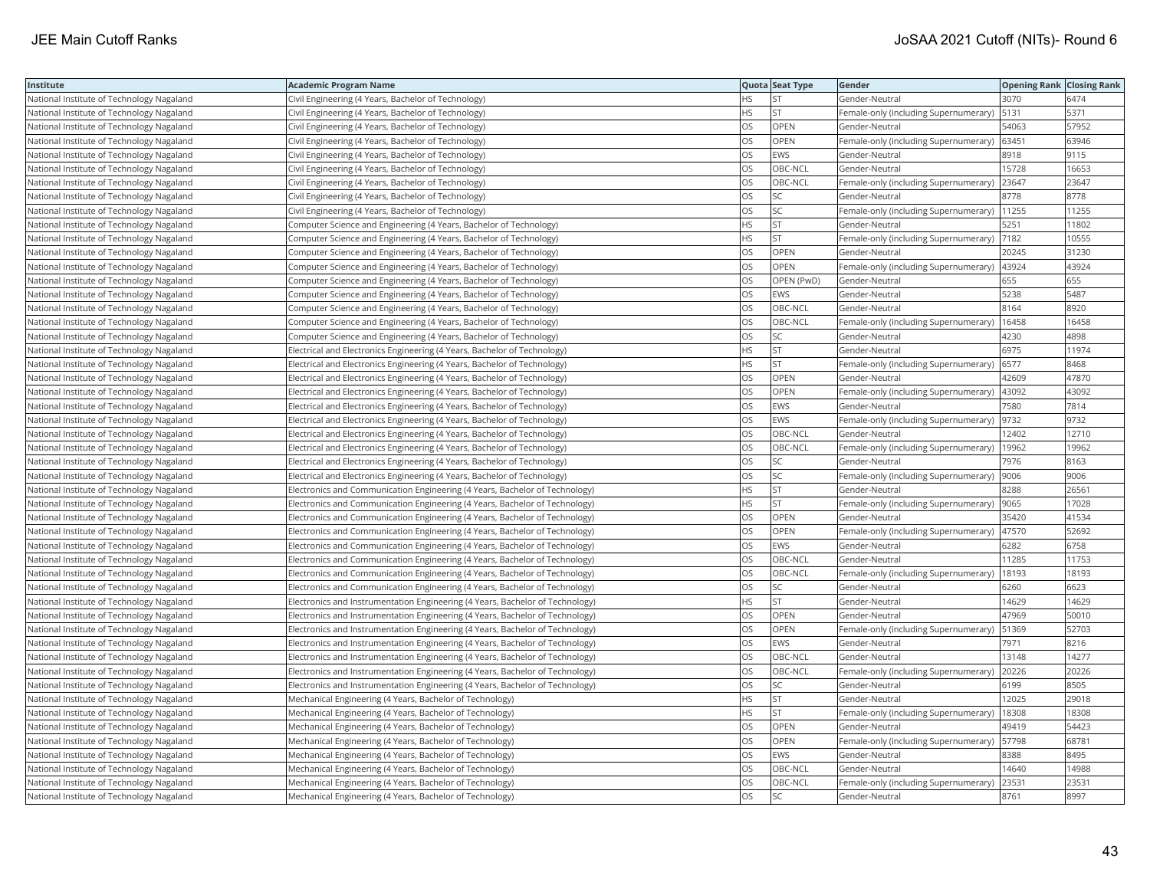| Institute                                 | <b>Academic Program Name</b>                                                  |           | Quota Seat Type | Gender                                        | <b>Opening Rank Closing Rank</b> |       |
|-------------------------------------------|-------------------------------------------------------------------------------|-----------|-----------------|-----------------------------------------------|----------------------------------|-------|
| National Institute of Technology Nagaland | Civil Engineering (4 Years, Bachelor of Technology)                           | HS        | <b>ST</b>       | Gender-Neutral                                | 3070                             | 6474  |
| National Institute of Technology Nagaland | Civil Engineering (4 Years, Bachelor of Technology)                           | <b>HS</b> | <b>ST</b>       | Female-only (including Supernumerary)         | 5131                             | 5371  |
| National Institute of Technology Nagaland | Civil Engineering (4 Years, Bachelor of Technology)                           | OS        | OPEN            | Gender-Neutral                                | 54063                            | 57952 |
| National Institute of Technology Nagaland | Civil Engineering (4 Years, Bachelor of Technology)                           | OS        | OPEN            | Female-only (including Supernumerary) 63451   |                                  | 63946 |
| National Institute of Technology Nagaland | Civil Engineering (4 Years, Bachelor of Technology)                           | OS        | <b>EWS</b>      | Gender-Neutral                                | 8918                             | 9115  |
| National Institute of Technology Nagaland | Civil Engineering (4 Years, Bachelor of Technology)                           | OS        | OBC-NCL         | Gender-Neutral                                | 15728                            | 16653 |
| National Institute of Technology Nagaland | Civil Engineering (4 Years, Bachelor of Technology)                           | OS        | OBC-NCL         | Female-only (including Supernumerary)         | 23647                            | 23647 |
| National Institute of Technology Nagaland | Civil Engineering (4 Years, Bachelor of Technology)                           | OS        | <b>SC</b>       | Gender-Neutral                                | 8778                             | 8778  |
| National Institute of Technology Nagaland | Civil Engineering (4 Years, Bachelor of Technology)                           | OS        | SC              | Female-only (including Supernumerary)         | 11255                            | 11255 |
| National Institute of Technology Nagaland | Computer Science and Engineering (4 Years, Bachelor of Technology)            | ΗS        | <b>ST</b>       | Gender-Neutral                                | 5251                             | 11802 |
| National Institute of Technology Nagaland | Computer Science and Engineering (4 Years, Bachelor of Technology)            | <b>HS</b> | <b>ST</b>       | Female-only (including Supernumerary)         | 7182                             | 10555 |
| National Institute of Technology Nagaland | Computer Science and Engineering (4 Years, Bachelor of Technology)            | OS        | OPEN            | Gender-Neutral                                | 20245                            | 31230 |
| National Institute of Technology Nagaland | Computer Science and Engineering (4 Years, Bachelor of Technology)            | OS        | OPEN            | Female-only (including Supernumerary)  43924  |                                  | 43924 |
| National Institute of Technology Nagaland | Computer Science and Engineering (4 Years, Bachelor of Technology)            | OS        | OPEN (PwD)      | Gender-Neutral                                | 655                              | 655   |
| National Institute of Technology Nagaland | Computer Science and Engineering (4 Years, Bachelor of Technology)            | OS        | <b>EWS</b>      | Gender-Neutral                                | 5238                             | 5487  |
| National Institute of Technology Nagaland | Computer Science and Engineering (4 Years, Bachelor of Technology)            | OS        | OBC-NCL         | Gender-Neutral                                | 8164                             | 8920  |
| National Institute of Technology Nagaland | Computer Science and Engineering (4 Years, Bachelor of Technology)            | OS        | OBC-NCL         | Female-only (including Supernumerary)         | 16458                            | 16458 |
| National Institute of Technology Nagaland | Computer Science and Engineering (4 Years, Bachelor of Technology)            | OS        | SC              | Gender-Neutral                                | 4230                             | 4898  |
| National Institute of Technology Nagaland | Electrical and Electronics Engineering (4 Years, Bachelor of Technology)      | <b>HS</b> | <b>ST</b>       | Gender-Neutral                                | 6975                             | 11974 |
| National Institute of Technology Nagaland | Electrical and Electronics Engineering (4 Years, Bachelor of Technology)      | HS        | <b>ST</b>       | Female-only (including Supernumerary)         | 6577                             | 8468  |
| National Institute of Technology Nagaland | Electrical and Electronics Engineering (4 Years, Bachelor of Technology)      | OS        | OPEN            | Gender-Neutral                                | 42609                            | 47870 |
| National Institute of Technology Nagaland | Electrical and Electronics Engineering (4 Years, Bachelor of Technology)      | OS        | <b>OPEN</b>     | Female-only (including Supernumerary)         | 43092                            | 43092 |
| National Institute of Technology Nagaland | Electrical and Electronics Engineering (4 Years, Bachelor of Technology)      | OS        | <b>EWS</b>      | Gender-Neutral                                | 7580                             | 7814  |
| National Institute of Technology Nagaland | Electrical and Electronics Engineering (4 Years, Bachelor of Technology)      | OS        | <b>EWS</b>      | Female-only (including Supernumerary)         | 9732                             | 9732  |
| National Institute of Technology Nagaland | Electrical and Electronics Engineering (4 Years, Bachelor of Technology)      | OS        | OBC-NCL         | Gender-Neutral                                | 12402                            | 12710 |
| National Institute of Technology Nagaland | Electrical and Electronics Engineering (4 Years, Bachelor of Technology)      | OS        | OBC-NCL         | Female-only (including Supernumerary)         | 19962                            | 19962 |
| National Institute of Technology Nagaland | Electrical and Electronics Engineering (4 Years, Bachelor of Technology)      | OS        | <b>SC</b>       | Gender-Neutral                                | 7976                             | 8163  |
| National Institute of Technology Nagaland | Electrical and Electronics Engineering (4 Years, Bachelor of Technology)      | OS        | SC              | Female-only (including Supernumerary)         | 9006                             | 9006  |
| National Institute of Technology Nagaland | Electronics and Communication Engineering (4 Years, Bachelor of Technology)   | HS        | <b>ST</b>       | Gender-Neutral                                | 8288                             | 26561 |
| National Institute of Technology Nagaland | Electronics and Communication Engineering (4 Years, Bachelor of Technology)   | HS        | <b>ST</b>       | Female-only (including Supernumerary)  9065   |                                  | 17028 |
| National Institute of Technology Nagaland | Electronics and Communication Engineering (4 Years, Bachelor of Technology)   | OS        | <b>OPEN</b>     | Gender-Neutral                                | 35420                            | 41534 |
| National Institute of Technology Nagaland | Electronics and Communication Engineering (4 Years, Bachelor of Technology)   | OS        | OPEN            | Female-only (including Supernumerary)         | 47570                            | 52692 |
| National Institute of Technology Nagaland | Electronics and Communication Engineering (4 Years, Bachelor of Technology)   | OS        | <b>EWS</b>      | Gender-Neutral                                | 6282                             | 6758  |
| National Institute of Technology Nagaland | Electronics and Communication Engineering (4 Years, Bachelor of Technology)   | OS        | OBC-NCL         | Gender-Neutral                                | 11285                            | 11753 |
| National Institute of Technology Nagaland | Electronics and Communication Engineering (4 Years, Bachelor of Technology)   | OS        | OBC-NCL         | Female-only (including Supernumerary)         | 18193                            | 18193 |
| National Institute of Technology Nagaland | Electronics and Communication Engineering (4 Years, Bachelor of Technology)   | OS        | SC              | Gender-Neutral                                | 6260                             | 6623  |
| National Institute of Technology Nagaland | Electronics and Instrumentation Engineering (4 Years, Bachelor of Technology) | HS        | <b>ST</b>       | Gender-Neutral                                | 14629                            | 14629 |
| National Institute of Technology Nagaland | Electronics and Instrumentation Engineering (4 Years, Bachelor of Technology) | OS        | OPEN            | Gender-Neutral                                | 47969                            | 50010 |
| National Institute of Technology Nagaland | Electronics and Instrumentation Engineering (4 Years, Bachelor of Technology) | OS        | <b>OPEN</b>     | Female-only (including Supernumerary)         | 51369                            | 52703 |
| National Institute of Technology Nagaland | Electronics and Instrumentation Engineering (4 Years, Bachelor of Technology) | OS        | EWS             | Gender-Neutral                                | 7971                             | 8216  |
| National Institute of Technology Nagaland | Electronics and Instrumentation Engineering (4 Years, Bachelor of Technology) | OS        | OBC-NCL         | Gender-Neutral                                | 13148                            | 14277 |
| National Institute of Technology Nagaland | Electronics and Instrumentation Engineering (4 Years, Bachelor of Technology) | OS        | OBC-NCL         | Female-only (including Supernumerary)         | 20226                            | 20226 |
| National Institute of Technology Nagaland | Electronics and Instrumentation Engineering (4 Years, Bachelor of Technology) | OS        | SC              | Gender-Neutral                                | 6199                             | 8505  |
| National Institute of Technology Nagaland | Mechanical Engineering (4 Years, Bachelor of Technology)                      | HS        | <b>ST</b>       | Gender-Neutral                                | 12025                            | 29018 |
| National Institute of Technology Nagaland | Mechanical Engineering (4 Years, Bachelor of Technology)                      | HS        | <b>ST</b>       | Female-only (including Supernumerary)         | 18308                            | 18308 |
| National Institute of Technology Nagaland | Mechanical Engineering (4 Years, Bachelor of Technology)                      | OS        | OPEN            | Gender-Neutral                                | 49419                            | 54423 |
| National Institute of Technology Nagaland | Mechanical Engineering (4 Years, Bachelor of Technology)                      | OS        | <b>OPEN</b>     | Female-only (including Supernumerary)   57798 |                                  | 68781 |
| National Institute of Technology Nagaland | Mechanical Engineering (4 Years, Bachelor of Technology)                      | OS        | EWS             | Gender-Neutral                                | 8388                             | 8495  |
| National Institute of Technology Nagaland | Mechanical Engineering (4 Years, Bachelor of Technology)                      | OS        | OBC-NCL         | Gender-Neutral                                | 14640                            | 14988 |
| National Institute of Technology Nagaland | Mechanical Engineering (4 Years, Bachelor of Technology)                      | OS        | OBC-NCL         | Female-only (including Supernumerary)         | 23531                            | 23531 |
| National Institute of Technology Nagaland | Mechanical Engineering (4 Years, Bachelor of Technology)                      | <b>OS</b> | <b>SC</b>       | Gender-Neutral                                | 8761                             | 8997  |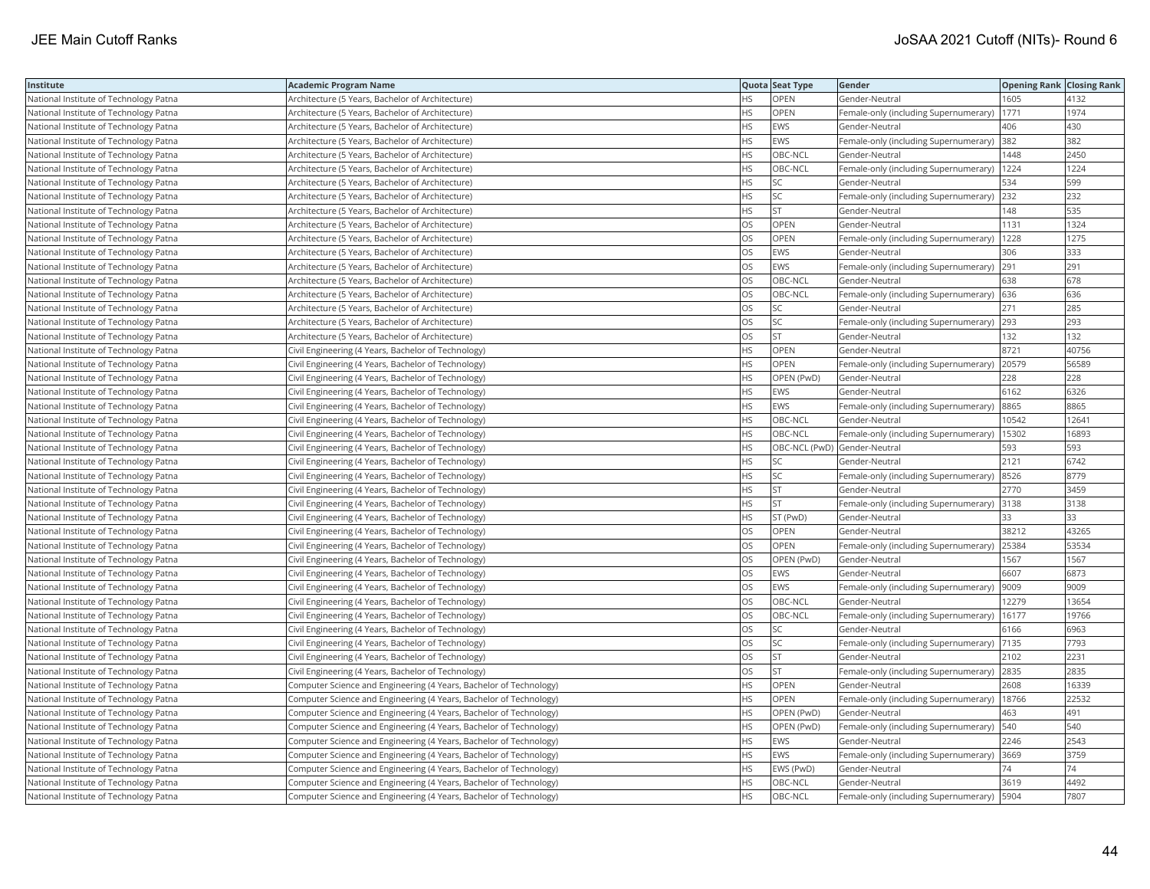| Institute                              | <b>Academic Program Name</b>                                       |           | Quota Seat Type              | Gender                                       | <b>Opening Rank   Closing Rank</b> |       |
|----------------------------------------|--------------------------------------------------------------------|-----------|------------------------------|----------------------------------------------|------------------------------------|-------|
| National Institute of Technology Patna | Architecture (5 Years, Bachelor of Architecture)                   | ΗS        | OPEN                         | Gender-Neutral                               | 1605                               | 4132  |
| National Institute of Technology Patna | Architecture (5 Years, Bachelor of Architecture)                   | <b>HS</b> | OPEN                         | Female-only (including Supernumerary)        | 1771                               | 1974  |
| National Institute of Technology Patna | Architecture (5 Years, Bachelor of Architecture)                   | HS        | <b>EWS</b>                   | Gender-Neutral                               | 406                                | 430   |
| National Institute of Technology Patna | Architecture (5 Years, Bachelor of Architecture)                   | <b>HS</b> | <b>EWS</b>                   | Female-only (including Supernumerary)        | 382                                | 382   |
| National Institute of Technology Patna | Architecture (5 Years, Bachelor of Architecture)                   | HS        | OBC-NCL                      | Gender-Neutral                               | 1448                               | 2450  |
| National Institute of Technology Patna | Architecture (5 Years, Bachelor of Architecture)                   | ΗS        | OBC-NCL                      | Female-only (including Supernumerary)   1224 |                                    | 1224  |
| National Institute of Technology Patna | Architecture (5 Years, Bachelor of Architecture)                   | ΗS        | SC                           | Gender-Neutral                               | 534                                | 599   |
| National Institute of Technology Patna | Architecture (5 Years, Bachelor of Architecture)                   | HS        | SC                           | Female-only (including Supernumerary) 232    |                                    | 232   |
| National Institute of Technology Patna | Architecture (5 Years, Bachelor of Architecture)                   | HS        | <b>ST</b>                    | Gender-Neutral                               | 148                                | 535   |
| National Institute of Technology Patna | Architecture (5 Years, Bachelor of Architecture)                   | OS        | OPEN                         | Gender-Neutral                               | 1131                               | 1324  |
| National Institute of Technology Patna | Architecture (5 Years, Bachelor of Architecture)                   | OS        | OPEN                         | Female-only (including Supernumerary)        | 1228                               | 1275  |
| National Institute of Technology Patna | Architecture (5 Years, Bachelor of Architecture)                   | OS        | <b>EWS</b>                   | Gender-Neutral                               | 306                                | 333   |
| National Institute of Technology Patna | Architecture (5 Years, Bachelor of Architecture)                   | OS        | <b>EWS</b>                   | Female-only (including Supernumerary)        | 291                                | 291   |
| National Institute of Technology Patna | Architecture (5 Years, Bachelor of Architecture)                   | OS        | OBC-NCL                      | Gender-Neutral                               | 638                                | 678   |
| National Institute of Technology Patna | Architecture (5 Years, Bachelor of Architecture)                   | OS        | OBC-NCL                      | Female-only (including Supernumerary) 636    |                                    | 636   |
| National Institute of Technology Patna | Architecture (5 Years, Bachelor of Architecture)                   | OS        | SC.                          | Gender-Neutral                               | 271                                | 285   |
| National Institute of Technology Patna | Architecture (5 Years, Bachelor of Architecture)                   | OS        | SC                           | Female-only (including Supernumerary) 293    |                                    | 293   |
| National Institute of Technology Patna | Architecture (5 Years, Bachelor of Architecture)                   | OS        | <b>ST</b>                    | Gender-Neutral                               | 132                                | 132   |
| National Institute of Technology Patna | Civil Engineering (4 Years, Bachelor of Technology)                | HS        | OPEN                         | Gender-Neutral                               | 8721                               | 40756 |
| National Institute of Technology Patna | Civil Engineering (4 Years, Bachelor of Technology)                | HS        | OPEN                         | Female-only (including Supernumerary)        | 20579                              | 56589 |
| National Institute of Technology Patna | Civil Engineering (4 Years, Bachelor of Technology)                | <b>HS</b> | OPEN (PwD)                   | Gender-Neutral                               | 228                                | 228   |
| National Institute of Technology Patna | Civil Engineering (4 Years, Bachelor of Technology)                | HS        | <b>EWS</b>                   | Gender-Neutral                               | 6162                               | 6326  |
| National Institute of Technology Patna | Civil Engineering (4 Years, Bachelor of Technology)                | ΗS        | EWS                          | Female-only (including Supernumerary)  8865  |                                    | 8865  |
| National Institute of Technology Patna | Civil Engineering (4 Years, Bachelor of Technology)                | HS        | OBC-NCL                      | Gender-Neutral                               | 10542                              | 12641 |
| National Institute of Technology Patna | Civil Engineering (4 Years, Bachelor of Technology)                | HS        | OBC-NCL                      | Female-only (including Supernumerary)        | 15302                              | 16893 |
| National Institute of Technology Patna | Civil Engineering (4 Years, Bachelor of Technology)                | HS        | OBC-NCL (PwD) Gender-Neutral |                                              | 593                                | 593   |
| National Institute of Technology Patna | Civil Engineering (4 Years, Bachelor of Technology)                | ΗS        | SC                           | Gender-Neutral                               | 2121                               | 6742  |
| National Institute of Technology Patna | Civil Engineering (4 Years, Bachelor of Technology)                | HS        | SC                           | Female-only (including Supernumerary)        | 8526                               | 8779  |
| National Institute of Technology Patna | Civil Engineering (4 Years, Bachelor of Technology)                | <b>HS</b> | <b>ST</b>                    | Gender-Neutral                               | 2770                               | 3459  |
| National Institute of Technology Patna | Civil Engineering (4 Years, Bachelor of Technology)                | HS        | <b>ST</b>                    | Female-only (including Supernumerary) 3138   |                                    | 3138  |
| National Institute of Technology Patna | Civil Engineering (4 Years, Bachelor of Technology)                | HS        | ST (PwD)                     | Gender-Neutral                               | 33                                 | 33    |
| National Institute of Technology Patna | Civil Engineering (4 Years, Bachelor of Technology)                | OS        | OPEN                         | Gender-Neutral                               | 38212                              | 43265 |
| National Institute of Technology Patna | Civil Engineering (4 Years, Bachelor of Technology)                | OS        | <b>OPEN</b>                  | Female-only (including Supernumerary)        | 25384                              | 53534 |
| National Institute of Technology Patna | Civil Engineering (4 Years, Bachelor of Technology)                | OS        | OPEN (PwD)                   | Gender-Neutral                               | 1567                               | 1567  |
| National Institute of Technology Patna | Civil Engineering (4 Years, Bachelor of Technology)                | OS        | <b>EWS</b>                   | Gender-Neutral                               | 6607                               | 6873  |
| National Institute of Technology Patna | Civil Engineering (4 Years, Bachelor of Technology)                | OS        | <b>EWS</b>                   | Female-only (including Supernumerary)        | 9009                               | 9009  |
| National Institute of Technology Patna | Civil Engineering (4 Years, Bachelor of Technology)                | OS        | OBC-NCL                      | Gender-Neutral                               | 12279                              | 13654 |
| National Institute of Technology Patna | Civil Engineering (4 Years, Bachelor of Technology)                | OS        | OBC-NCL                      | Female-only (including Supernumerary)        | 16177                              | 19766 |
| National Institute of Technology Patna | Civil Engineering (4 Years, Bachelor of Technology)                | OS        | SC                           | Gender-Neutral                               | 6166                               | 6963  |
| National Institute of Technology Patna | Civil Engineering (4 Years, Bachelor of Technology)                | OS        | SC                           | Female-only (including Supernumerary)  7135  |                                    | 7793  |
| National Institute of Technology Patna | Civil Engineering (4 Years, Bachelor of Technology)                | OS        | <b>ST</b>                    | Gender-Neutral                               | 2102                               | 2231  |
| National Institute of Technology Patna | Civil Engineering (4 Years, Bachelor of Technology)                | OS        | <b>ST</b>                    | Female-only (including Supernumerary) 2835   |                                    | 2835  |
| National Institute of Technology Patna | Computer Science and Engineering (4 Years, Bachelor of Technology) | HS        | OPEN                         | Gender-Neutral                               | 2608                               | 16339 |
| National Institute of Technology Patna | Computer Science and Engineering (4 Years, Bachelor of Technology) | HS        | <b>OPEN</b>                  | Female-only (including Supernumerary)        | 18766                              | 22532 |
| National Institute of Technology Patna | Computer Science and Engineering (4 Years, Bachelor of Technology) | HS        | OPEN (PwD)                   | Gender-Neutral                               | 463                                | 491   |
| National Institute of Technology Patna | Computer Science and Engineering (4 Years, Bachelor of Technology) | <b>HS</b> | OPEN (PwD)                   | Female-only (including Supernumerary)        | 540                                | 540   |
| National Institute of Technology Patna | Computer Science and Engineering (4 Years, Bachelor of Technology) | HS        | <b>EWS</b>                   | Gender-Neutral                               | 2246                               | 2543  |
| National Institute of Technology Patna | Computer Science and Engineering (4 Years, Bachelor of Technology) | ΗS        | EWS                          | Female-only (including Supernumerary) 3669   |                                    | 3759  |
| National Institute of Technology Patna | Computer Science and Engineering (4 Years, Bachelor of Technology) | HS        | EWS (PwD)                    | Gender-Neutral                               | 74                                 | 74    |
| National Institute of Technology Patna | Computer Science and Engineering (4 Years, Bachelor of Technology) | HS        | OBC-NCL                      | Gender-Neutral                               | 3619                               | 4492  |
| National Institute of Technology Patna | Computer Science and Engineering (4 Years, Bachelor of Technology) | <b>HS</b> | OBC-NCL                      | Female-only (including Supernumerary)   5904 |                                    | 7807  |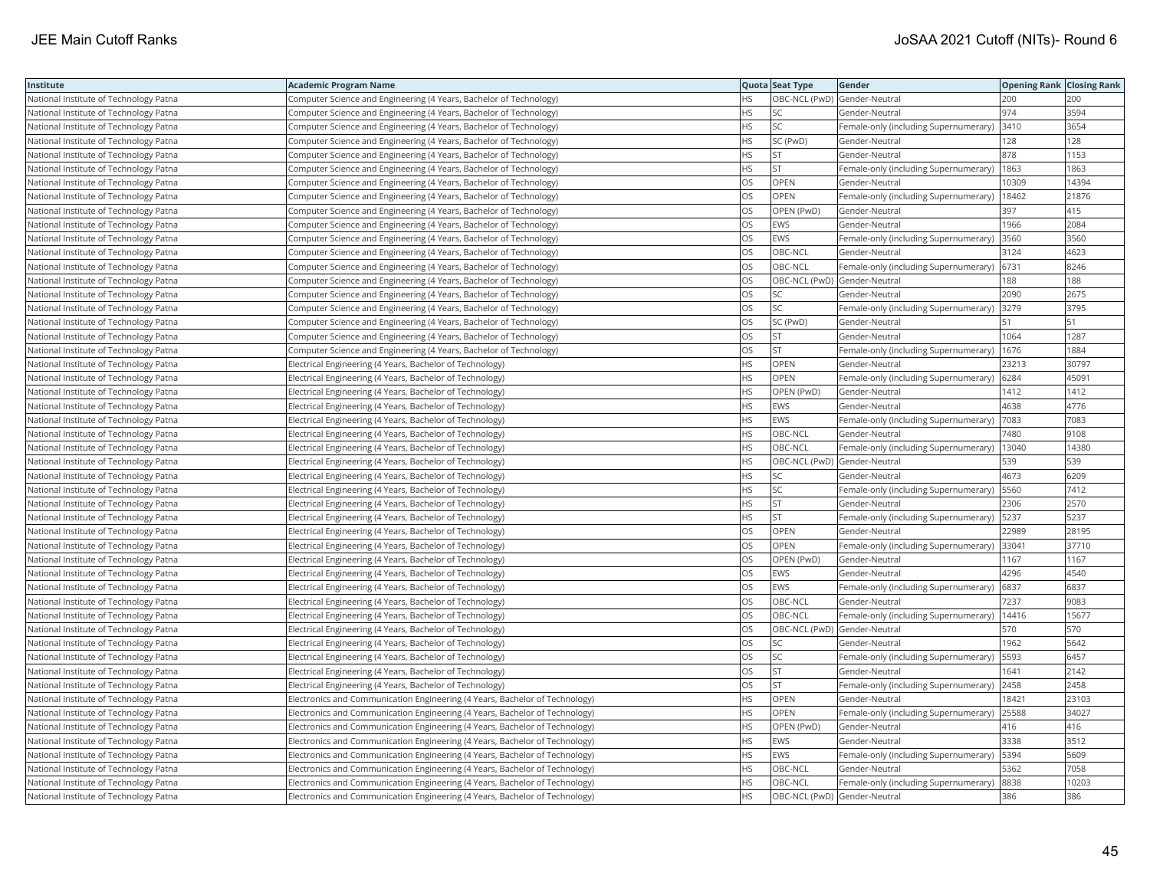| Institute                                     | <b>Academic Program Name</b>                                                |           | Quota Seat Type              | Gender                                        | <b>Opening Rank Closing Rank</b> |       |
|-----------------------------------------------|-----------------------------------------------------------------------------|-----------|------------------------------|-----------------------------------------------|----------------------------------|-------|
| National Institute of Technology Patna        | Computer Science and Engineering (4 Years, Bachelor of Technology)          | HS        |                              | OBC-NCL (PwD) Gender-Neutral                  | 200                              | 200   |
| <b>National Institute of Technology Patna</b> | Computer Science and Engineering (4 Years, Bachelor of Technology)          | HS        | SC                           | Gender-Neutral                                | 974                              | 3594  |
| National Institute of Technology Patna        | Computer Science and Engineering (4 Years, Bachelor of Technology)          | НS        | SC                           | Female-only (including Supernumerary)         | 3410                             | 3654  |
| National Institute of Technology Patna        | Computer Science and Engineering (4 Years, Bachelor of Technology)          | HS        | SC (PwD)                     | Gender-Neutral                                | 128                              | 128   |
| National Institute of Technology Patna        | Computer Science and Engineering (4 Years, Bachelor of Technology)          | <b>HS</b> | <b>ST</b>                    | Gender-Neutral                                | 878                              | 1153  |
| National Institute of Technology Patna        | Computer Science and Engineering (4 Years, Bachelor of Technology)          | HS        | <b>ST</b>                    | Female-only (including Supernumerary)   1863  |                                  | 1863  |
| National Institute of Technology Patna        | Computer Science and Engineering (4 Years, Bachelor of Technology)          | OS        | OPEN                         | Gender-Neutral                                | 10309                            | 14394 |
| National Institute of Technology Patna        | Computer Science and Engineering (4 Years, Bachelor of Technology)          | OS        | <b>OPEN</b>                  | Female-only (including Supernumerary)         | 18462                            | 21876 |
| National Institute of Technology Patna        | Computer Science and Engineering (4 Years, Bachelor of Technology)          | OS        | OPEN (PwD)                   | Gender-Neutral                                | 397                              | 415   |
| National Institute of Technology Patna        | Computer Science and Engineering (4 Years, Bachelor of Technology)          | OS        | <b>EWS</b>                   | Gender-Neutral                                | 1966                             | 2084  |
| National Institute of Technology Patna        | Computer Science and Engineering (4 Years, Bachelor of Technology)          | OS        | <b>EWS</b>                   | Female-only (including Supernumerary)         | 3560                             | 3560  |
| National Institute of Technology Patna        | Computer Science and Engineering (4 Years, Bachelor of Technology)          | OS        | OBC-NCL                      | Gender-Neutral                                | 3124                             | 4623  |
| National Institute of Technology Patna        | Computer Science and Engineering (4 Years, Bachelor of Technology)          | OS        | OBC-NCL                      | Female-only (including Supernumerary)         | 6731                             | 8246  |
| National Institute of Technology Patna        | Computer Science and Engineering (4 Years, Bachelor of Technology)          | OS        |                              | OBC-NCL (PwD) Gender-Neutral                  | 188                              | 188   |
| National Institute of Technology Patna        | Computer Science and Engineering (4 Years, Bachelor of Technology)          | OS        | SC                           | Gender-Neutral                                | 2090                             | 2675  |
| National Institute of Technology Patna        | Computer Science and Engineering (4 Years, Bachelor of Technology)          | OS        | <b>SC</b>                    | Female-only (including Supernumerary)         | 3279                             | 3795  |
| National Institute of Technology Patna        | Computer Science and Engineering (4 Years, Bachelor of Technology)          | OS        | SC (PwD)                     | Gender-Neutral                                | 51                               | 51    |
| National Institute of Technology Patna        | Computer Science and Engineering (4 Years, Bachelor of Technology)          | OS        | <b>ST</b>                    | Gender-Neutral                                | 1064                             | 1287  |
| National Institute of Technology Patna        | Computer Science and Engineering (4 Years, Bachelor of Technology)          | OS        | <b>ST</b>                    | Female-only (including Supernumerary)         | 1676                             | 1884  |
| National Institute of Technology Patna        | Electrical Engineering (4 Years, Bachelor of Technology)                    | <b>HS</b> | <b>OPEN</b>                  | Gender-Neutral                                | 23213                            | 30797 |
| National Institute of Technology Patna        | Electrical Engineering (4 Years, Bachelor of Technology)                    | HS        | <b>OPEN</b>                  | Female-only (including Supernumerary)         | 6284                             | 45091 |
| National Institute of Technology Patna        | Electrical Engineering (4 Years, Bachelor of Technology)                    | HS        | OPEN (PwD)                   | Gender-Neutral                                | 1412                             | 1412  |
| National Institute of Technology Patna        | Electrical Engineering (4 Years, Bachelor of Technology)                    | HS        | <b>EWS</b>                   | Gender-Neutral                                | 4638                             | 4776  |
| National Institute of Technology Patna        | Electrical Engineering (4 Years, Bachelor of Technology)                    | HS        | <b>EWS</b>                   | Female-only (including Supernumerary)         | 7083                             | 7083  |
| National Institute of Technology Patna        | Electrical Engineering (4 Years, Bachelor of Technology)                    | ΗS        | OBC-NCL                      | Gender-Neutral                                | 7480                             | 9108  |
| National Institute of Technology Patna        | Electrical Engineering (4 Years, Bachelor of Technology)                    | HS        | OBC-NCL                      | Female-only (including Supernumerary)   13040 |                                  | 14380 |
| National Institute of Technology Patna        | Electrical Engineering (4 Years, Bachelor of Technology)                    | HS        | OBC-NCL (PwD) Gender-Neutral |                                               | 539                              | 539   |
| National Institute of Technology Patna        | Electrical Engineering (4 Years, Bachelor of Technology)                    | <b>HS</b> | <b>SC</b>                    | Gender-Neutral                                | 4673                             | 6209  |
| National Institute of Technology Patna        | Electrical Engineering (4 Years, Bachelor of Technology)                    | HS        | SC                           | Female-only (including Supernumerary)         | 5560                             | 7412  |
| National Institute of Technology Patna        | Electrical Engineering (4 Years, Bachelor of Technology)                    | HS        | <b>ST</b>                    | Gender-Neutral                                | 2306                             | 2570  |
| National Institute of Technology Patna        | Electrical Engineering (4 Years, Bachelor of Technology)                    | HS        | <b>ST</b>                    | Female-only (including Supernumerary)   5237  |                                  | 5237  |
| National Institute of Technology Patna        | Electrical Engineering (4 Years, Bachelor of Technology)                    | OS        | OPEN                         | Gender-Neutral                                | 22989                            | 28195 |
| National Institute of Technology Patna        | Electrical Engineering (4 Years, Bachelor of Technology)                    | OS        | OPEN                         | Female-only (including Supernumerary)         | 33041                            | 37710 |
| National Institute of Technology Patna        | Electrical Engineering (4 Years, Bachelor of Technology)                    | OS        | OPEN (PwD)                   | Gender-Neutral                                | 1167                             | 1167  |
| National Institute of Technology Patna        | Electrical Engineering (4 Years, Bachelor of Technology)                    | OS        | EWS                          | Gender-Neutral                                | 4296                             | 4540  |
| National Institute of Technology Patna        | Electrical Engineering (4 Years, Bachelor of Technology)                    | OS        | <b>EWS</b>                   | Female-only (including Supernumerary)         | 6837                             | 6837  |
| National Institute of Technology Patna        | Electrical Engineering (4 Years, Bachelor of Technology)                    | OS        | OBC-NCL                      | Gender-Neutral                                | 7237                             | 9083  |
| National Institute of Technology Patna        | Electrical Engineering (4 Years, Bachelor of Technology)                    | OS        | OBC-NCL                      | Female-only (including Supernumerary)   14416 |                                  | 15677 |
| National Institute of Technology Patna        | Electrical Engineering (4 Years, Bachelor of Technology)                    | OS        | OBC-NCL (PwD) Gender-Neutral |                                               | 570                              | 570   |
| National Institute of Technology Patna        | Electrical Engineering (4 Years, Bachelor of Technology)                    | OS        | SC                           | Gender-Neutral                                | 1962                             | 5642  |
| National Institute of Technology Patna        | Electrical Engineering (4 Years, Bachelor of Technology)                    | OS        | <b>SC</b>                    | Female-only (including Supernumerary)         | 5593                             | 6457  |
| National Institute of Technology Patna        | Electrical Engineering (4 Years, Bachelor of Technology)                    | OS        | <b>ST</b>                    | Gender-Neutral                                | 1641                             | 2142  |
| National Institute of Technology Patna        | Electrical Engineering (4 Years, Bachelor of Technology)                    | OS        | <b>ST</b>                    | Female-only (including Supernumerary)         | 2458                             | 2458  |
| National Institute of Technology Patna        | Electronics and Communication Engineering (4 Years, Bachelor of Technology) | <b>HS</b> | <b>OPEN</b>                  | Gender-Neutral                                | 18421                            | 23103 |
| National Institute of Technology Patna        | Electronics and Communication Engineering (4 Years, Bachelor of Technology) | HS        | <b>OPEN</b>                  | Female-only (including Supernumerary)         | 25588                            | 34027 |
| National Institute of Technology Patna        | Electronics and Communication Engineering (4 Years, Bachelor of Technology) | HS        | OPEN (PwD)                   | Gender-Neutral                                | 416                              | 416   |
| National Institute of Technology Patna        | Electronics and Communication Engineering (4 Years, Bachelor of Technology) | <b>HS</b> | <b>EWS</b>                   | Gender-Neutral                                | 3338                             | 3512  |
| National Institute of Technology Patna        | Electronics and Communication Engineering (4 Years, Bachelor of Technology) | НS        | <b>EWS</b>                   | Female-only (including Supernumerary)   5394  |                                  | 5609  |
| National Institute of Technology Patna        | Electronics and Communication Engineering (4 Years, Bachelor of Technology) | HS        | OBC-NCL                      | Gender-Neutral                                | 5362                             | 7058  |
| National Institute of Technology Patna        | Electronics and Communication Engineering (4 Years, Bachelor of Technology) | <b>HS</b> | OBC-NCL                      | Female-only (including Supernumerary)         | 8838                             | 10203 |
| National Institute of Technology Patna        | Electronics and Communication Engineering (4 Years, Bachelor of Technology) | <b>HS</b> | OBC-NCL (PwD) Gender-Neutral |                                               | 386                              | 386   |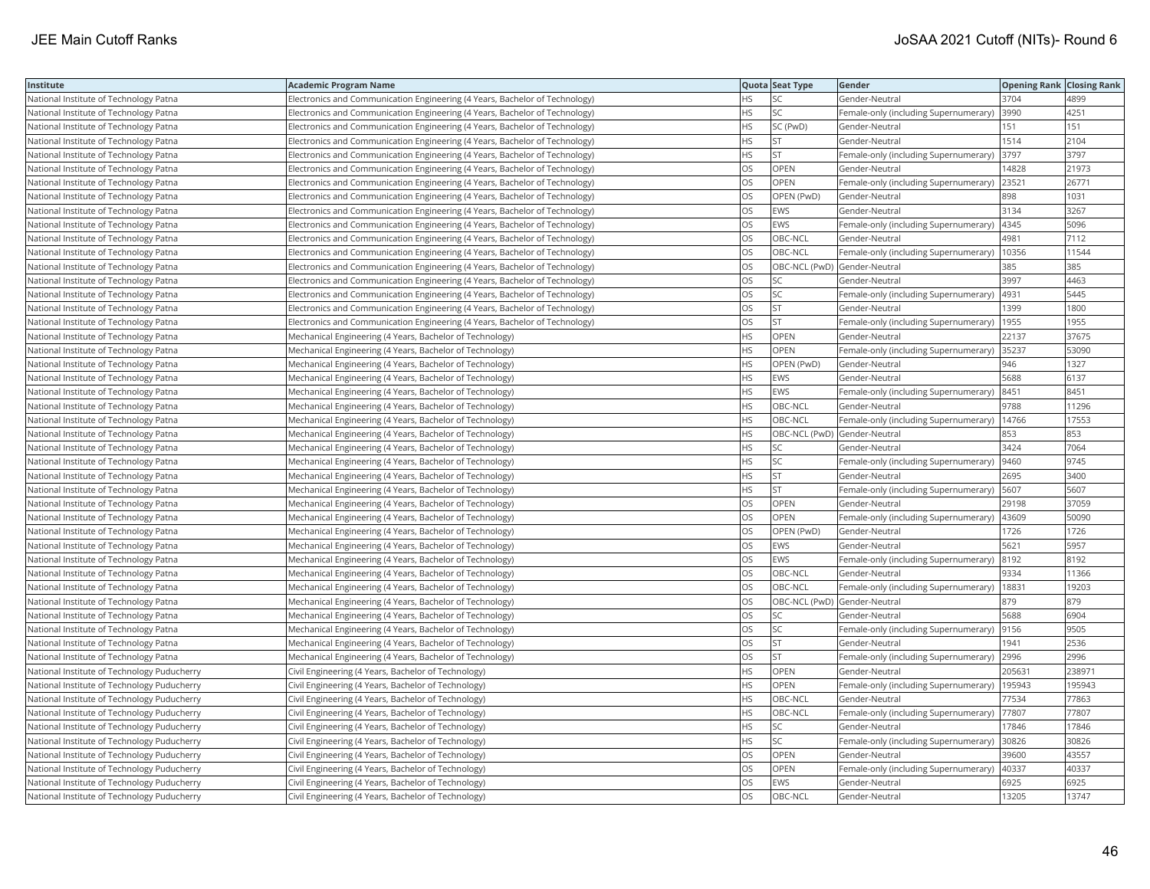| Institute                                   | Academic Program Name                                                       |           | Quota Seat Type              | Gender                                     | <b>Opening Rank Closing Rank</b> |        |
|---------------------------------------------|-----------------------------------------------------------------------------|-----------|------------------------------|--------------------------------------------|----------------------------------|--------|
| National Institute of Technology Patna      | Electronics and Communication Engineering (4 Years, Bachelor of Technology) | HS        | SC                           | Gender-Neutral                             | 3704                             | 4899   |
| National Institute of Technology Patna      | Electronics and Communication Engineering (4 Years, Bachelor of Technology) | HS.       | <b>SC</b>                    | Female-only (including Supernumerary)      | 3990                             | 4251   |
| National Institute of Technology Patna      | Electronics and Communication Engineering (4 Years, Bachelor of Technology) | <b>HS</b> | SC (PwD)                     | Gender-Neutral                             | 151                              | 151    |
| National Institute of Technology Patna      | Electronics and Communication Engineering (4 Years, Bachelor of Technology) | HS.       | <b>ST</b>                    | Gender-Neutral                             | 1514                             | 2104   |
| National Institute of Technology Patna      | Electronics and Communication Engineering (4 Years, Bachelor of Technology) | HS.       | <b>ST</b>                    | Female-only (including Supernumerary)      | 3797                             | 3797   |
| National Institute of Technology Patna      | Electronics and Communication Engineering (4 Years, Bachelor of Technology) | OS        | OPEN                         | Gender-Neutral                             | 14828                            | 21973  |
| National Institute of Technology Patna      | Electronics and Communication Engineering (4 Years, Bachelor of Technology) | OS        | OPEN                         | Female-only (including Supernumerary)      | 23521                            | 26771  |
| National Institute of Technology Patna      | Electronics and Communication Engineering (4 Years, Bachelor of Technology) | OS.       | OPEN (PwD)                   | Gender-Neutral                             | 898                              | 1031   |
| National Institute of Technology Patna      | Electronics and Communication Engineering (4 Years, Bachelor of Technology) | OS        | EWS                          | Gender-Neutral                             | 3134                             | 3267   |
| National Institute of Technology Patna      | Electronics and Communication Engineering (4 Years, Bachelor of Technology) | OS        | EWS                          | Female-only (including Supernumerary)      | 4345                             | 5096   |
| National Institute of Technology Patna      | Electronics and Communication Engineering (4 Years, Bachelor of Technology) | OS.       | OBC-NCL                      | Gender-Neutral                             | 4981                             | 7112   |
| National Institute of Technology Patna      | Electronics and Communication Engineering (4 Years, Bachelor of Technology) | OS        | OBC-NCL                      | Female-only (including Supernumerary)      | 10356                            | 11544  |
| National Institute of Technology Patna      | Electronics and Communication Engineering (4 Years, Bachelor of Technology) | OS.       | OBC-NCL (PwD) Gender-Neutral |                                            | 385                              | 385    |
| National Institute of Technology Patna      | Electronics and Communication Engineering (4 Years, Bachelor of Technology) | OS        | SC                           | Gender-Neutral                             | 3997                             | 4463   |
| National Institute of Technology Patna      | Electronics and Communication Engineering (4 Years, Bachelor of Technology) | OS        | SC                           | Female-only (including Supernumerary)      | 4931                             | 5445   |
| National Institute of Technology Patna      | Electronics and Communication Engineering (4 Years, Bachelor of Technology) | OS.       | <b>ST</b>                    | Gender-Neutral                             | 1399                             | 1800   |
| National Institute of Technology Patna      | Electronics and Communication Engineering (4 Years, Bachelor of Technology) | OS        | <b>ST</b>                    | Female-only (including Supernumerary)      | 1955                             | 1955   |
| National Institute of Technology Patna      | Mechanical Engineering (4 Years, Bachelor of Technology)                    | HS.       | OPEN                         | Gender-Neutral                             | 22137                            | 37675  |
| National Institute of Technology Patna      | Mechanical Engineering (4 Years, Bachelor of Technology)                    | <b>HS</b> | <b>OPEN</b>                  | Female-only (including Supernumerary)      | 35237                            | 53090  |
| National Institute of Technology Patna      | Mechanical Engineering (4 Years, Bachelor of Technology)                    | HS.       | OPEN (PwD)                   | Gender-Neutral                             | 946                              | 1327   |
| National Institute of Technology Patna      | Mechanical Engineering (4 Years, Bachelor of Technology)                    | HS.       | EWS                          | Gender-Neutral                             | 5688                             | 6137   |
| National Institute of Technology Patna      | Mechanical Engineering (4 Years, Bachelor of Technology)                    | HS.       | EWS                          | Female-only (including Supernumerary) 8451 |                                  | 8451   |
| National Institute of Technology Patna      | Mechanical Engineering (4 Years, Bachelor of Technology)                    | HS        | OBC-NCL                      | Gender-Neutral                             | 9788                             | 11296  |
| National Institute of Technology Patna      | Mechanical Engineering (4 Years, Bachelor of Technology)                    | HS        | OBC-NCL                      | Female-only (including Supernumerary)      | 14766                            | 17553  |
| National Institute of Technology Patna      | Mechanical Engineering (4 Years, Bachelor of Technology)                    | HS.       | OBC-NCL (PwD) Gender-Neutral |                                            | 853                              | 853    |
| National Institute of Technology Patna      | Mechanical Engineering (4 Years, Bachelor of Technology)                    | HS.       | SC                           | Gender-Neutral                             | 3424                             | 7064   |
| National Institute of Technology Patna      | Mechanical Engineering (4 Years, Bachelor of Technology)                    | HS.       | <b>SC</b>                    | Female-only (including Supernumerary)      | 9460                             | 9745   |
| National Institute of Technology Patna      | Mechanical Engineering (4 Years, Bachelor of Technology)                    | HS        | <b>ST</b>                    | Gender-Neutral                             | 2695                             | 3400   |
| National Institute of Technology Patna      | Mechanical Engineering (4 Years, Bachelor of Technology)                    | HS.       | <b>ST</b>                    | Female-only (including Supernumerary)      | 5607                             | 5607   |
| National Institute of Technology Patna      | Mechanical Engineering (4 Years, Bachelor of Technology)                    | OS        | OPEN                         | Gender-Neutral                             | 29198                            | 37059  |
| National Institute of Technology Patna      | Mechanical Engineering (4 Years, Bachelor of Technology)                    | OS        | <b>OPEN</b>                  | Female-only (including Supernumerary)      | 43609                            | 50090  |
| National Institute of Technology Patna      | Mechanical Engineering (4 Years, Bachelor of Technology)                    | OS        | OPEN (PwD)                   | Gender-Neutral                             | 1726                             | 1726   |
| National Institute of Technology Patna      | Mechanical Engineering (4 Years, Bachelor of Technology)                    | OS        | EWS                          | Gender-Neutral                             | 5621                             | 5957   |
| National Institute of Technology Patna      | Mechanical Engineering (4 Years, Bachelor of Technology)                    | OS        | EWS                          | Female-only (including Supernumerary)      | 8192                             | 8192   |
| National Institute of Technology Patna      | Mechanical Engineering (4 Years, Bachelor of Technology)                    | OS        | OBC-NCL                      | Gender-Neutral                             | 9334                             | 11366  |
| National Institute of Technology Patna      | Mechanical Engineering (4 Years, Bachelor of Technology)                    | OS        | OBC-NCL                      | Female-only (including Supernumerary)      | 18831                            | 19203  |
| National Institute of Technology Patna      | Mechanical Engineering (4 Years, Bachelor of Technology)                    | OS        | OBC-NCL (PwD) Gender-Neutral |                                            | 879                              | 879    |
| National Institute of Technology Patna      | Mechanical Engineering (4 Years, Bachelor of Technology)                    | OS        | SC                           | Gender-Neutral                             | 5688                             | 6904   |
| National Institute of Technology Patna      | Mechanical Engineering (4 Years, Bachelor of Technology)                    | OS.       | <b>SC</b>                    | Female-only (including Supernumerary)      | 9156                             | 9505   |
| National Institute of Technology Patna      | Mechanical Engineering (4 Years, Bachelor of Technology)                    | OS        | <b>ST</b>                    | Gender-Neutral                             | 1941                             | 2536   |
| National Institute of Technology Patna      | Mechanical Engineering (4 Years, Bachelor of Technology)                    | OS.       | <b>ST</b>                    | Female-only (including Supernumerary)      | 2996                             | 2996   |
| National Institute of Technology Puducherry | Civil Engineering (4 Years, Bachelor of Technology)                         | HS        | OPEN                         | Gender-Neutral                             | 205631                           | 238971 |
| National Institute of Technology Puducherry | Civil Engineering (4 Years, Bachelor of Technology)                         | HS        | OPEN                         | Female-only (including Supernumerary)      | 195943                           | 195943 |
| National Institute of Technology Puducherry | Civil Engineering (4 Years, Bachelor of Technology)                         | HS.       | OBC-NCL                      | Gender-Neutral                             | 77534                            | 77863  |
| National Institute of Technology Puducherry | Civil Engineering (4 Years, Bachelor of Technology)                         | HS        | OBC-NCL                      | Female-only (including Supernumerary)      | 77807                            | 77807  |
| National Institute of Technology Puducherry | Civil Engineering (4 Years, Bachelor of Technology)                         | HS        | SC                           | Gender-Neutral                             | 17846                            | 17846  |
| National Institute of Technology Puducherry | Civil Engineering (4 Years, Bachelor of Technology)                         | HS.       | <b>SC</b>                    | Female-only (including Supernumerary)      | 30826                            | 30826  |
| National Institute of Technology Puducherry | Civil Engineering (4 Years, Bachelor of Technology)                         | OS        | OPEN                         | Gender-Neutral                             | 39600                            | 43557  |
| National Institute of Technology Puducherry | Civil Engineering (4 Years, Bachelor of Technology)                         | OS        | OPEN                         | Female-only (including Supernumerary)      | 40337                            | 40337  |
| National Institute of Technology Puducherry | Civil Engineering (4 Years, Bachelor of Technology)                         | OS.       | EWS                          | Gender-Neutral                             | 6925                             | 6925   |
| National Institute of Technology Puducherry | Civil Engineering (4 Years, Bachelor of Technology)                         | <b>OS</b> | OBC-NCL                      | Gender-Neutral                             | 13205                            | 13747  |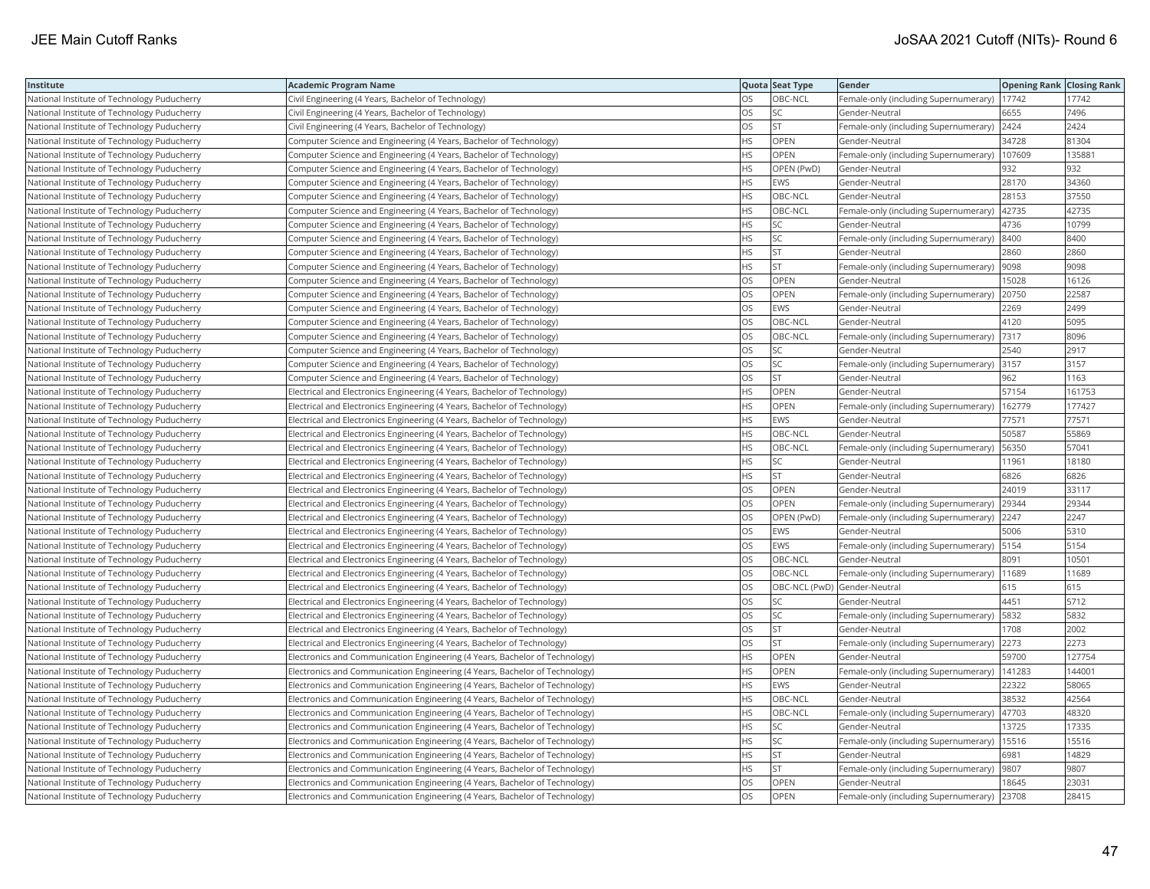| Institute                                   | <b>Academic Program Name</b>                                                 |           | Quota Seat Type              | Gender                                       | <b>Opening Rank   Closing Rank</b> |        |
|---------------------------------------------|------------------------------------------------------------------------------|-----------|------------------------------|----------------------------------------------|------------------------------------|--------|
| National Institute of Technology Puducherry | Civil Engineering (4 Years, Bachelor of Technology)                          | OS.       | OBC-NCL                      | Female-only (including Supernumerary)        | 17742                              | 17742  |
| National Institute of Technology Puducherry | Civil Engineering (4 Years, Bachelor of Technology)                          | OS.       | <b>SC</b>                    | Gender-Neutral                               | 6655                               | 7496   |
| National Institute of Technology Puducherry | Civil Engineering (4 Years, Bachelor of Technology)                          | OS        | <b>ST</b>                    | Female-only (including Supernumerary) 2424   |                                    | 2424   |
| National Institute of Technology Puducherry | Computer Science and Engineering (4 Years, Bachelor of Technology)           | HS.       | OPEN                         | Gender-Neutral                               | 34728                              | 81304  |
| National Institute of Technology Puducherry | Computer Science and Engineering (4 Years, Bachelor of Technology)           | HS        | OPEN                         | Female-only (including Supernumerary)        | 107609                             | 135881 |
| National Institute of Technology Puducherry | Computer Science and Engineering (4 Years, Bachelor of Technology)           | <b>HS</b> | OPEN (PwD)                   | Gender-Neutral                               | 932                                | 932    |
| National Institute of Technology Puducherry | Computer Science and Engineering (4 Years, Bachelor of Technology)           | HS        | EWS                          | Gender-Neutral                               | 28170                              | 34360  |
| National Institute of Technology Puducherry | Computer Science and Engineering (4 Years, Bachelor of Technology)           | HS        | OBC-NCL                      | Gender-Neutral                               | 28153                              | 37550  |
| National Institute of Technology Puducherry | Computer Science and Engineering (4 Years, Bachelor of Technology)           | <b>HS</b> | OBC-NCL                      | Female-only (including Supernumerary)        | 42735                              | 42735  |
| National Institute of Technology Puducherry | Computer Science and Engineering (4 Years, Bachelor of Technology)           | HS        | <b>SC</b>                    | Gender-Neutral                               | 4736                               | 10799  |
| National Institute of Technology Puducherry | Computer Science and Engineering (4 Years, Bachelor of Technology)           | HS.       | SC                           | Female-only (including Supernumerary)        | 8400                               | 8400   |
| National Institute of Technology Puducherry | Computer Science and Engineering (4 Years, Bachelor of Technology)           | HS        | <b>ST</b>                    | Gender-Neutral                               | 2860                               | 2860   |
| National Institute of Technology Puducherry | Computer Science and Engineering (4 Years, Bachelor of Technology)           | HS        | <b>ST</b>                    | Female-only (including Supernumerary)  9098  |                                    | 9098   |
| National Institute of Technology Puducherry | Computer Science and Engineering (4 Years, Bachelor of Technology)           | OS        | <b>OPEN</b>                  | Gender-Neutral                               | 15028                              | 16126  |
| National Institute of Technology Puducherry | Computer Science and Engineering (4 Years, Bachelor of Technology)           | OS        | OPEN                         | Female-only (including Supernumerary)        | 20750                              | 22587  |
| National Institute of Technology Puducherry | Computer Science and Engineering (4 Years, Bachelor of Technology)           | OS        | EWS                          | Gender-Neutral                               | 2269                               | 2499   |
| National Institute of Technology Puducherry | Computer Science and Engineering (4 Years, Bachelor of Technology)           | OS        | OBC-NCL                      | Gender-Neutral                               | 4120                               | 5095   |
| National Institute of Technology Puducherry | Computer Science and Engineering (4 Years, Bachelor of Technology)           | <b>OS</b> | OBC-NCL                      | Female-only (including Supernumerary)        | 7317                               | 8096   |
| National Institute of Technology Puducherry | Computer Science and Engineering (4 Years, Bachelor of Technology)           | OS        | <b>SC</b>                    | Gender-Neutral                               | 2540                               | 2917   |
| National Institute of Technology Puducherry | Computer Science and Engineering (4 Years, Bachelor of Technology)           | OS        | <b>SC</b>                    | Female-only (including Supernumerary) 3157   |                                    | 3157   |
| National Institute of Technology Puducherry | Computer Science and Engineering (4 Years, Bachelor of Technology)           | OS        | <b>ST</b>                    | Gender-Neutral                               | 962                                | 1163   |
| National Institute of Technology Puducherry | Electrical and Electronics Engineering (4 Years, Bachelor of Technology)     | <b>HS</b> | <b>OPEN</b>                  | Gender-Neutral                               | 57154                              | 161753 |
| National Institute of Technology Puducherry | Electrical and Electronics Engineering (4 Years, Bachelor of Technology)     | HS        | OPEN                         | Female-only (including Supernumerary)        | 162779                             | 177427 |
| National Institute of Technology Puducherry | Electrical and Electronics Engineering (4 Years, Bachelor of Technology)     | <b>HS</b> | EWS                          | Gender-Neutral                               | 77571                              | 77571  |
| National Institute of Technology Puducherry | Electrical and Electronics Engineering (4 Years, Bachelor of Technology)     | HS        | OBC-NCL                      | Gender-Neutral                               | 50587                              | 55869  |
| National Institute of Technology Puducherry | Electrical and Electronics Engineering (4 Years, Bachelor of Technology)     | HS        | OBC-NCL                      | Female-only (including Supernumerary)        | 56350                              | 57041  |
| National Institute of Technology Puducherry | Electrical and Electronics Engineering (4 Years, Bachelor of Technology)     | <b>HS</b> | <b>SC</b>                    | Gender-Neutral                               | 11961                              | 18180  |
| National Institute of Technology Puducherry | Electrical and Electronics Engineering (4 Years, Bachelor of Technology)     | HS        | <b>ST</b>                    | Gender-Neutral                               | 6826                               | 6826   |
| National Institute of Technology Puducherry | Electrical and Electronics Engineering (4 Years, Bachelor of Technology)     | OS        | OPEN                         | Gender-Neutral                               | 24019                              | 33117  |
| National Institute of Technology Puducherry | Electrical and Electronics Engineering (4 Years, Bachelor of Technology)     | OS        | <b>OPEN</b>                  | Female-only (including Supernumerary)        | 29344                              | 29344  |
| National Institute of Technology Puducherry | Electrical and Electronics Engineering (4 Years, Bachelor of Technology)     | OS        | OPEN (PwD)                   | Female-only (including Supernumerary)        | 2247                               | 2247   |
| National Institute of Technology Puducherry | Electrical and Electronics Engineering (4 Years, Bachelor of Technology)     | OS        | EWS                          | Gender-Neutral                               | 5006                               | 5310   |
| National Institute of Technology Puducherry | Electrical and Electronics Engineering (4 Years, Bachelor of Technology)     | OS        | EWS                          | Female-only (including Supernumerary)        | 5154                               | 5154   |
| National Institute of Technology Puducherry | Electrical and Electronics Engineering (4 Years, Bachelor of Technology)     | OS        | OBC-NCL                      | Gender-Neutral                               | 8091                               | 10501  |
| National Institute of Technology Puducherry | Electrical and Electronics Engineering (4 Years, Bachelor of Technology)     | OS.       | OBC-NCL                      | Female-only (including Supernumerary)        | 11689                              | 11689  |
| National Institute of Technology Puducherry | Electrical and Electronics Engineering (4 Years, Bachelor of Technology)     | OS        | OBC-NCL (PwD) Gender-Neutral |                                              | 615                                | 615    |
| National Institute of Technology Puducherry | Electrical and Electronics Engineering (4 Years, Bachelor of Technology)     | OS        | SC                           | Gender-Neutral                               | 4451                               | 5712   |
| National Institute of Technology Puducherry | Electrical and Electronics Engineering (4 Years, Bachelor of Technology)     | OS        | SC                           | Female-only (including Supernumerary)   5832 |                                    | 5832   |
| National Institute of Technology Puducherry | Electrical and Electronics Engineering (4 Years, Bachelor of Technology)     | OS        | <b>ST</b>                    | Gender-Neutral                               | 1708                               | 2002   |
| National Institute of Technology Puducherry | Electrical and Electronics Engineering (4 Years, Bachelor of Technology)     | OS        | <b>ST</b>                    | Female-only (including Supernumerary)        | 2273                               | 2273   |
| National Institute of Technology Puducherry | [Electronics and Communication Engineering (4 Years, Bachelor of Technology) | HS        | OPEN                         | Gender-Neutral                               | 59700                              | 127754 |
| National Institute of Technology Puducherry | Electronics and Communication Engineering (4 Years, Bachelor of Technology)  | HS        | OPEN                         | Female-only (including Supernumerary)        | 141283                             | 144001 |
| National Institute of Technology Puducherry | Electronics and Communication Engineering (4 Years, Bachelor of Technology)  | <b>HS</b> | <b>EWS</b>                   | Gender-Neutral                               | 22322                              | 58065  |
| National Institute of Technology Puducherry | Electronics and Communication Engineering (4 Years, Bachelor of Technology)  | HS        | OBC-NCL                      | Gender-Neutral                               | 38532                              | 42564  |
| National Institute of Technology Puducherry | Electronics and Communication Engineering (4 Years, Bachelor of Technology)  | HS        | OBC-NCL                      | Female-only (including Supernumerary)        | 47703                              | 48320  |
| National Institute of Technology Puducherry | Electronics and Communication Engineering (4 Years, Bachelor of Technology)  | HS        | SC                           | Gender-Neutral                               | 13725                              | 17335  |
| National Institute of Technology Puducherry | Electronics and Communication Engineering (4 Years, Bachelor of Technology)  | HS.       | <b>SC</b>                    | Female-only (including Supernumerary)        | 15516                              | 15516  |
| National Institute of Technology Puducherry | Electronics and Communication Engineering (4 Years, Bachelor of Technology)  | НS        | <b>ST</b>                    | Gender-Neutral                               | 6981                               | 14829  |
| National Institute of Technology Puducherry | Electronics and Communication Engineering (4 Years, Bachelor of Technology)  | HS        | <b>ST</b>                    | Female-only (including Supernumerary)        | 9807                               | 9807   |
| National Institute of Technology Puducherry | Electronics and Communication Engineering (4 Years, Bachelor of Technology)  | OS.       | OPEN                         | Gender-Neutral                               | 18645                              | 23031  |
| National Institute of Technology Puducherry | Electronics and Communication Engineering (4 Years, Bachelor of Technology)  | <b>OS</b> | <b>OPEN</b>                  | Female-only (including Supernumerary)        | 23708                              | 28415  |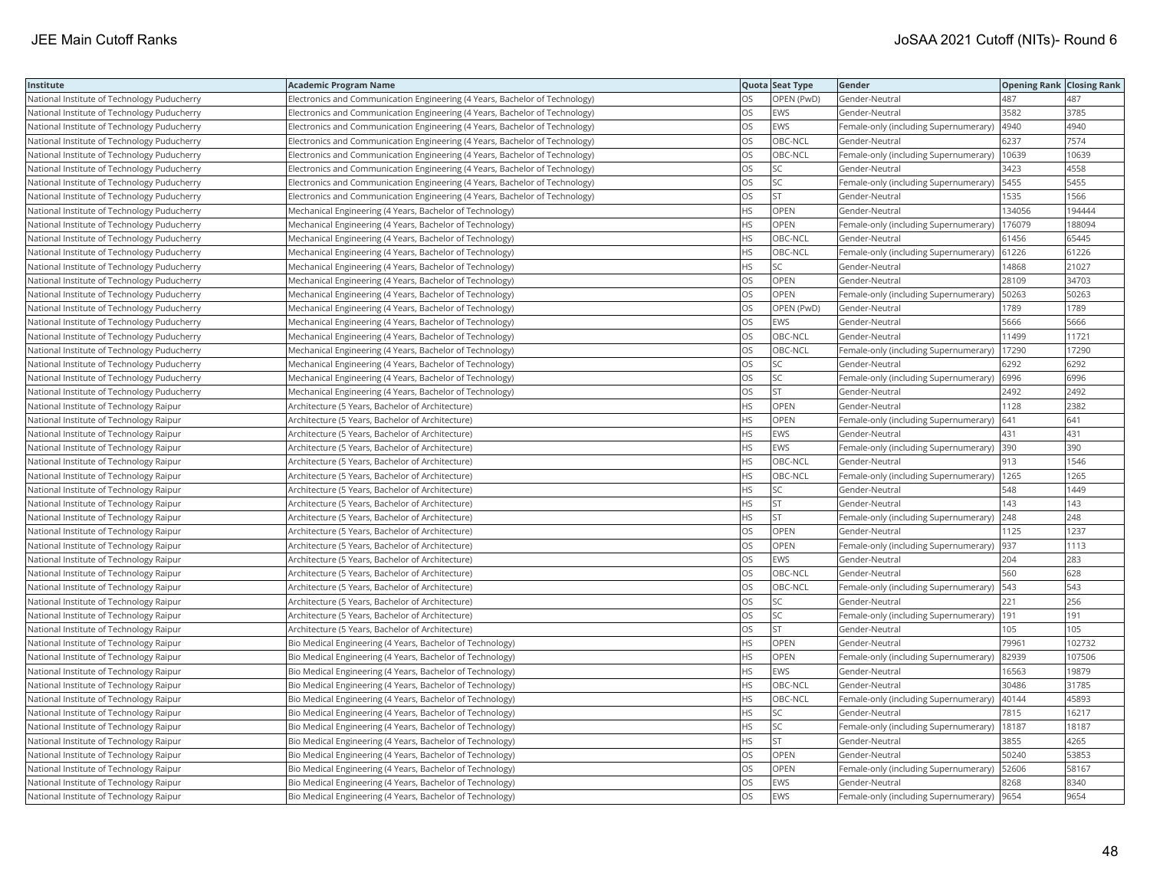| Institute                                   | <b>Academic Program Name</b>                                                |           | Quota Seat Type | Gender                                       | <b>Opening Rank   Closing Rank</b> |        |
|---------------------------------------------|-----------------------------------------------------------------------------|-----------|-----------------|----------------------------------------------|------------------------------------|--------|
| National Institute of Technology Puducherry | Electronics and Communication Engineering (4 Years, Bachelor of Technology) | OS        | OPEN (PwD)      | Gender-Neutral                               | 487                                | 487    |
| National Institute of Technology Puducherry | Electronics and Communication Engineering (4 Years, Bachelor of Technology) | OS        | <b>EWS</b>      | Gender-Neutral                               | 3582                               | 3785   |
| National Institute of Technology Puducherry | Electronics and Communication Engineering (4 Years, Bachelor of Technology) | OS        | <b>EWS</b>      | Female-only (including Supernumerary)        | 4940                               | 4940   |
| National Institute of Technology Puducherry | Electronics and Communication Engineering (4 Years, Bachelor of Technology) | OS        | OBC-NCL         | Gender-Neutral                               | 6237                               | 7574   |
| National Institute of Technology Puducherry | Electronics and Communication Engineering (4 Years, Bachelor of Technology) | OS        | OBC-NCL         | Female-only (including Supernumerary)        | 10639                              | 10639  |
| National Institute of Technology Puducherry | Electronics and Communication Engineering (4 Years, Bachelor of Technology) | OS        | SC              | Gender-Neutral                               | 3423                               | 4558   |
| National Institute of Technology Puducherry | Electronics and Communication Engineering (4 Years, Bachelor of Technology) | OS        | SC              | Female-only (including Supernumerary)   5455 |                                    | 5455   |
| National Institute of Technology Puducherry | Electronics and Communication Engineering (4 Years, Bachelor of Technology) | OS        | <b>ST</b>       | Gender-Neutral                               | 1535                               | 1566   |
| National Institute of Technology Puducherry | Mechanical Engineering (4 Years, Bachelor of Technology)                    | HS        | <b>OPEN</b>     | Gender-Neutral                               | 134056                             | 194444 |
| National Institute of Technology Puducherry | Mechanical Engineering (4 Years, Bachelor of Technology)                    | HS        | OPEN            | Female-only (including Supernumerary)        | 176079                             | 188094 |
| National Institute of Technology Puducherry | Mechanical Engineering (4 Years, Bachelor of Technology)                    | HS        | OBC-NCL         | Gender-Neutral                               | 61456                              | 65445  |
| National Institute of Technology Puducherry | Mechanical Engineering (4 Years, Bachelor of Technology)                    | <b>HS</b> | OBC-NCL         | Female-only (including Supernumerary) 61226  |                                    | 61226  |
| National Institute of Technology Puducherry | Mechanical Engineering (4 Years, Bachelor of Technology)                    | HS        | SC              | Gender-Neutral                               | 14868                              | 21027  |
| National Institute of Technology Puducherry | Mechanical Engineering (4 Years, Bachelor of Technology)                    | OS        | OPEN            | Gender-Neutral                               | 28109                              | 34703  |
| National Institute of Technology Puducherry | Mechanical Engineering (4 Years, Bachelor of Technology)                    | OS        | OPEN            | Female-only (including Supernumerary)        | 50263                              | 50263  |
| National Institute of Technology Puducherry | Mechanical Engineering (4 Years, Bachelor of Technology)                    | OS        | OPEN (PwD)      | Gender-Neutral                               | 1789                               | 1789   |
| National Institute of Technology Puducherry | Mechanical Engineering (4 Years, Bachelor of Technology)                    | OS        | <b>EWS</b>      | Gender-Neutral                               | 5666                               | 5666   |
| National Institute of Technology Puducherry | Mechanical Engineering (4 Years, Bachelor of Technology)                    | OS        | OBC-NCL         | Gender-Neutral                               | 11499                              | 11721  |
| National Institute of Technology Puducherry | Mechanical Engineering (4 Years, Bachelor of Technology)                    | OS        | OBC-NCL         | Female-only (including Supernumerary)        | 17290                              | 17290  |
| National Institute of Technology Puducherry | Mechanical Engineering (4 Years, Bachelor of Technology)                    | OS        | <b>SC</b>       | Gender-Neutral                               | 6292                               | 6292   |
| National Institute of Technology Puducherry | Mechanical Engineering (4 Years, Bachelor of Technology)                    | OS        | SC              | Female-only (including Supernumerary) 6996   |                                    | 6996   |
| National Institute of Technology Puducherry | Mechanical Engineering (4 Years, Bachelor of Technology)                    | OS        | <b>ST</b>       | Gender-Neutral                               | 2492                               | 2492   |
| National Institute of Technology Raipur     | Architecture (5 Years, Bachelor of Architecture)                            | ΗS        | OPEN            | Gender-Neutral                               | 1128                               | 2382   |
| National Institute of Technology Raipur     | Architecture (5 Years, Bachelor of Architecture)                            | HS        | OPEN            | Female-only (including Supernumerary)        | 641                                | 641    |
| National Institute of Technology Raipur     | Architecture (5 Years, Bachelor of Architecture)                            | HS        | EWS             | Gender-Neutral                               | 431                                | 431    |
| National Institute of Technology Raipur     | Architecture (5 Years, Bachelor of Architecture)                            | HS        | <b>EWS</b>      | Female-only (including Supernumerary) 390    |                                    | 390    |
| National Institute of Technology Raipur     | Architecture (5 Years, Bachelor of Architecture)                            | <b>HS</b> | OBC-NCL         | Gender-Neutral                               | 913                                | 1546   |
| National Institute of Technology Raipur     | Architecture (5 Years, Bachelor of Architecture)                            | <b>HS</b> | OBC-NCL         | Female-only (including Supernumerary)   1265 |                                    | 1265   |
| National Institute of Technology Raipur     | Architecture (5 Years, Bachelor of Architecture)                            | HS        | SC              | Gender-Neutral                               | 548                                | 1449   |
| National Institute of Technology Raipur     | Architecture (5 Years, Bachelor of Architecture)                            | HS        | <b>ST</b>       | Gender-Neutral                               | 143                                | 143    |
| National Institute of Technology Raipur     | Architecture (5 Years, Bachelor of Architecture)                            | HS        | <b>ST</b>       | Female-only (including Supernumerary) 248    |                                    | 248    |
| National Institute of Technology Raipur     | Architecture (5 Years, Bachelor of Architecture)                            | OS        | OPEN            | Gender-Neutral                               | 1125                               | 1237   |
| National Institute of Technology Raipur     | Architecture (5 Years, Bachelor of Architecture)                            | OS        | OPEN            | Female-only (including Supernumerary)        | 937                                | 1113   |
| National Institute of Technology Raipur     | Architecture (5 Years, Bachelor of Architecture)                            | OS        | <b>EWS</b>      | Gender-Neutral                               | 204                                | 283    |
| National Institute of Technology Raipur     | Architecture (5 Years, Bachelor of Architecture)                            | OS        | OBC-NCL         | Gender-Neutral                               | 560                                | 628    |
| National Institute of Technology Raipur     | Architecture (5 Years, Bachelor of Architecture)                            | OS        | OBC-NCL         | Female-only (including Supernumerary)        | 543                                | 543    |
| National Institute of Technology Raipur     | Architecture (5 Years, Bachelor of Architecture)                            | OS        | SC              | Gender-Neutral                               | 221                                | 256    |
| National Institute of Technology Raipur     | Architecture (5 Years, Bachelor of Architecture)                            | OS        | SC              | Female-only (including Supernumerary)        | 191                                | 191    |
| National Institute of Technology Raipur     | Architecture (5 Years, Bachelor of Architecture)                            | OS        | <b>ST</b>       | Gender-Neutral                               | 105                                | 105    |
| National Institute of Technology Raipur     | Bio Medical Engineering (4 Years, Bachelor of Technology)                   | HS        | OPEN            | Gender-Neutral                               | 79961                              | 102732 |
| National Institute of Technology Raipur     | Bio Medical Engineering (4 Years, Bachelor of Technology)                   | ΗS        | OPEN            | Female-only (including Supernumerary)        | 82939                              | 107506 |
| National Institute of Technology Raipur     | Bio Medical Engineering (4 Years, Bachelor of Technology)                   | HS        | EWS             | Gender-Neutral                               | 16563                              | 19879  |
| National Institute of Technology Raipur     | Bio Medical Engineering (4 Years, Bachelor of Technology)                   | HS        | OBC-NCL         | Gender-Neutral                               | 30486                              | 31785  |
| National Institute of Technology Raipur     | Bio Medical Engineering (4 Years, Bachelor of Technology)                   | HS        | OBC-NCL         | Female-only (including Supernumerary)        | 40144                              | 45893  |
| National Institute of Technology Raipur     | Bio Medical Engineering (4 Years, Bachelor of Technology)                   | <b>HS</b> | <b>SC</b>       | Gender-Neutral                               | 7815                               | 16217  |
| National Institute of Technology Raipur     | Bio Medical Engineering (4 Years, Bachelor of Technology)                   | ΗS        | SC              | Female-only (including Supernumerary)        | 18187                              | 18187  |
| National Institute of Technology Raipur     | Bio Medical Engineering (4 Years, Bachelor of Technology)                   | ΗS        | ST              | Gender-Neutral                               | 3855                               | 4265   |
| National Institute of Technology Raipur     | Bio Medical Engineering (4 Years, Bachelor of Technology)                   | OS        | OPEN            | Gender-Neutral                               | 50240                              | 53853  |
| National Institute of Technology Raipur     | Bio Medical Engineering (4 Years, Bachelor of Technology)                   | OS        | OPEN            | Female-only (including Supernumerary) 52606  |                                    | 58167  |
| National Institute of Technology Raipur     | Bio Medical Engineering (4 Years, Bachelor of Technology)                   | OS        | <b>EWS</b>      | Gender-Neutral                               | 8268                               | 8340   |
| National Institute of Technology Raipur     | Bio Medical Engineering (4 Years, Bachelor of Technology)                   | OS        | <b>EWS</b>      | Female-only (including Supernumerary) 9654   |                                    | 9654   |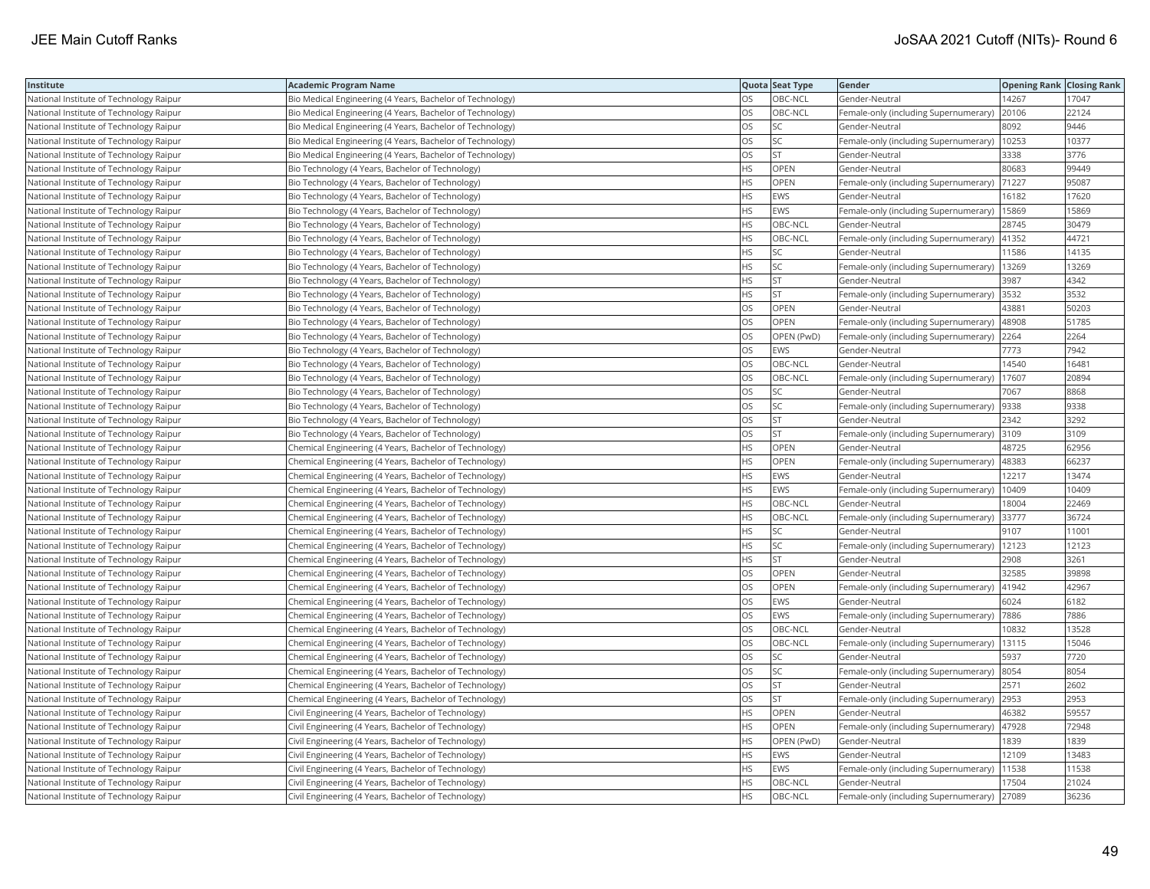| Institute                               | <b>Academic Program Name</b>                              |           | Quota Seat Type | Gender                                        | <b>Opening Rank Closing Rank</b> |       |
|-----------------------------------------|-----------------------------------------------------------|-----------|-----------------|-----------------------------------------------|----------------------------------|-------|
| National Institute of Technology Raipur | Bio Medical Engineering (4 Years, Bachelor of Technology) | OS        | OBC-NCL         | Gender-Neutral                                | 14267                            | 17047 |
| National Institute of Technology Raipur | Bio Medical Engineering (4 Years, Bachelor of Technology) | OS        | OBC-NCL         | Female-only (including Supernumerary)         | 20106                            | 22124 |
| National Institute of Technology Raipur | Bio Medical Engineering (4 Years, Bachelor of Technology) | OS        | <b>SC</b>       | Gender-Neutral                                | 8092                             | 9446  |
| National Institute of Technology Raipur | Bio Medical Engineering (4 Years, Bachelor of Technology) | OS        | SC              | Female-only (including Supernumerary)         | 10253                            | 10377 |
| National Institute of Technology Raipur | Bio Medical Engineering (4 Years, Bachelor of Technology) | OS        | <b>ST</b>       | Gender-Neutral                                | 3338                             | 3776  |
| National Institute of Technology Raipur | Bio Technology (4 Years, Bachelor of Technology)          | HS        | OPEN            | Gender-Neutral                                | 80683                            | 99449 |
| National Institute of Technology Raipur | Bio Technology (4 Years, Bachelor of Technology)          | HS        | OPEN            | Female-only (including Supernumerary)         | 71227                            | 95087 |
| National Institute of Technology Raipur | Bio Technology (4 Years, Bachelor of Technology)          | <b>HS</b> | <b>EWS</b>      | Gender-Neutral                                | 16182                            | 17620 |
| National Institute of Technology Raipur | Bio Technology (4 Years, Bachelor of Technology)          | ΗS        | EWS             | Female-only (including Supernumerary)         | 15869                            | 15869 |
| National Institute of Technology Raipur | Bio Technology (4 Years, Bachelor of Technology)          | <b>HS</b> | OBC-NCL         | Gender-Neutral                                | 28745                            | 30479 |
| National Institute of Technology Raipur | Bio Technology (4 Years, Bachelor of Technology)          | НS        | OBC-NCL         | Female-only (including Supernumerary)         | 41352                            | 44721 |
| National Institute of Technology Raipur | Bio Technology (4 Years, Bachelor of Technology)          | HS        | <b>SC</b>       | Gender-Neutral                                | 11586                            | 14135 |
| National Institute of Technology Raipur | Bio Technology (4 Years, Bachelor of Technology)          | <b>HS</b> | <b>SC</b>       | Female-only (including Supernumerary)         | 13269                            | 13269 |
| National Institute of Technology Raipur | Bio Technology (4 Years, Bachelor of Technology)          | HS        | <b>ST</b>       | Gender-Neutral                                | 3987                             | 4342  |
| National Institute of Technology Raipur | Bio Technology (4 Years, Bachelor of Technology)          | ΗS        | <b>ST</b>       | Female-only (including Supernumerary) 3532    |                                  | 3532  |
| National Institute of Technology Raipur | Bio Technology (4 Years, Bachelor of Technology)          | OS        | OPEN            | Gender-Neutral                                | 43881                            | 50203 |
| National Institute of Technology Raipur | Bio Technology (4 Years, Bachelor of Technology)          | OS        | OPEN            | Female-only (including Supernumerary)         | 48908                            | 51785 |
| National Institute of Technology Raipur | Bio Technology (4 Years, Bachelor of Technology)          | OS        | OPEN (PwD)      | Female-only (including Supernumerary)         | 2264                             | 2264  |
| National Institute of Technology Raipur | Bio Technology (4 Years, Bachelor of Technology)          | OS        | <b>EWS</b>      | Gender-Neutral                                | 7773                             | 7942  |
| National Institute of Technology Raipur | Bio Technology (4 Years, Bachelor of Technology)          | OS        | OBC-NCL         | Gender-Neutral                                | 14540                            | 16481 |
| National Institute of Technology Raipur | Bio Technology (4 Years, Bachelor of Technology)          | OS        | OBC-NCL         | Female-only (including Supernumerary)         | 17607                            | 20894 |
| National Institute of Technology Raipur | Bio Technology (4 Years, Bachelor of Technology)          | OS        | SC              | Gender-Neutral                                | 7067                             | 8868  |
| National Institute of Technology Raipur | Bio Technology (4 Years, Bachelor of Technology)          | OS        | SC              | Female-only (including Supernumerary)  9338   |                                  | 9338  |
| National Institute of Technology Raipur | Bio Technology (4 Years, Bachelor of Technology)          | OS        | <b>ST</b>       | Gender-Neutral                                | 2342                             | 3292  |
| National Institute of Technology Raipur | Bio Technology (4 Years, Bachelor of Technology)          | OS        | <b>ST</b>       | Female-only (including Supernumerary)         | 3109                             | 3109  |
| National Institute of Technology Raipur | Chemical Engineering (4 Years, Bachelor of Technology)    | <b>HS</b> | OPEN            | Gender-Neutral                                | 48725                            | 62956 |
| National Institute of Technology Raipur | Chemical Engineering (4 Years, Bachelor of Technology)    | HS        | OPEN            | Female-only (including Supernumerary)         | 48383                            | 66237 |
| National Institute of Technology Raipur | Chemical Engineering (4 Years, Bachelor of Technology)    | HS        | <b>EWS</b>      | Gender-Neutral                                | 12217                            | 13474 |
| National Institute of Technology Raipur | Chemical Engineering (4 Years, Bachelor of Technology)    | <b>HS</b> | <b>EWS</b>      | Female-only (including Supernumerary)         | 10409                            | 10409 |
| National Institute of Technology Raipur | Chemical Engineering (4 Years, Bachelor of Technology)    | HS        | OBC-NCL         | Gender-Neutral                                | 18004                            | 22469 |
| National Institute of Technology Raipur | Chemical Engineering (4 Years, Bachelor of Technology)    | ΗS        | OBC-NCL         | Female-only (including Supernumerary) 33777   |                                  | 36724 |
| National Institute of Technology Raipur | Chemical Engineering (4 Years, Bachelor of Technology)    | ΗS        | SC              | Gender-Neutral                                | 9107                             | 11001 |
| National Institute of Technology Raipur | Chemical Engineering (4 Years, Bachelor of Technology)    | HS        | SC              | Female-only (including Supernumerary)   12123 |                                  | 12123 |
| National Institute of Technology Raipur | Chemical Engineering (4 Years, Bachelor of Technology)    | HS        | <b>ST</b>       | Gender-Neutral                                | 2908                             | 3261  |
| National Institute of Technology Raipur | Chemical Engineering (4 Years, Bachelor of Technology)    | OS        | OPEN            | Gender-Neutral                                | 32585                            | 39898 |
| National Institute of Technology Raipur | Chemical Engineering (4 Years, Bachelor of Technology)    | OS        | OPEN            | Female-only (including Supernumerary)         | 41942                            | 42967 |
| National Institute of Technology Raipur | Chemical Engineering (4 Years, Bachelor of Technology)    | OS        | <b>EWS</b>      | Gender-Neutral                                | 6024                             | 6182  |
| National Institute of Technology Raipur | Chemical Engineering (4 Years, Bachelor of Technology)    | OS        | <b>EWS</b>      | Female-only (including Supernumerary) 7886    |                                  | 7886  |
| National Institute of Technology Raipur | Chemical Engineering (4 Years, Bachelor of Technology)    | OS        | OBC-NCL         | Gender-Neutral                                | 10832                            | 13528 |
| National Institute of Technology Raipur | Chemical Engineering (4 Years, Bachelor of Technology)    | OS        | OBC-NCL         | Female-only (including Supernumerary)   13115 |                                  | 15046 |
| National Institute of Technology Raipur | Chemical Engineering (4 Years, Bachelor of Technology)    | OS        | SC              | Gender-Neutral                                | 5937                             | 7720  |
| National Institute of Technology Raipur | Chemical Engineering (4 Years, Bachelor of Technology)    | OS        | SC              | Female-only (including Supernumerary)         | 8054                             | 8054  |
| National Institute of Technology Raipur | Chemical Engineering (4 Years, Bachelor of Technology)    | OS        | <b>ST</b>       | Gender-Neutral                                | 2571                             | 2602  |
| National Institute of Technology Raipur | Chemical Engineering (4 Years, Bachelor of Technology)    | OS        | <b>ST</b>       | Female-only (including Supernumerary)         | 2953                             | 2953  |
| National Institute of Technology Raipur | Civil Engineering (4 Years, Bachelor of Technology)       | <b>HS</b> | <b>OPEN</b>     | Gender-Neutral                                | 46382                            | 59557 |
| National Institute of Technology Raipur | Civil Engineering (4 Years, Bachelor of Technology)       | НS        | <b>OPEN</b>     | Female-only (including Supernumerary)         | 47928                            | 72948 |
| National Institute of Technology Raipur | Civil Engineering (4 Years, Bachelor of Technology)       | HS        | OPEN (PwD)      | Gender-Neutral                                | 1839                             | 1839  |
| National Institute of Technology Raipur | Civil Engineering (4 Years, Bachelor of Technology)       | ΗS        | <b>EWS</b>      | Gender-Neutral                                | 12109                            | 13483 |
| National Institute of Technology Raipur | Civil Engineering (4 Years, Bachelor of Technology)       | <b>HS</b> | EWS             | Female-only (including Supernumerary)         | 11538                            | 11538 |
| National Institute of Technology Raipur | Civil Engineering (4 Years, Bachelor of Technology)       | HS        | OBC-NCL         | Gender-Neutral                                | 17504                            | 21024 |
| National Institute of Technology Raipur | Civil Engineering (4 Years, Bachelor of Technology)       | <b>HS</b> | OBC-NCL         | Female-only (including Supernumerary) 27089   |                                  | 36236 |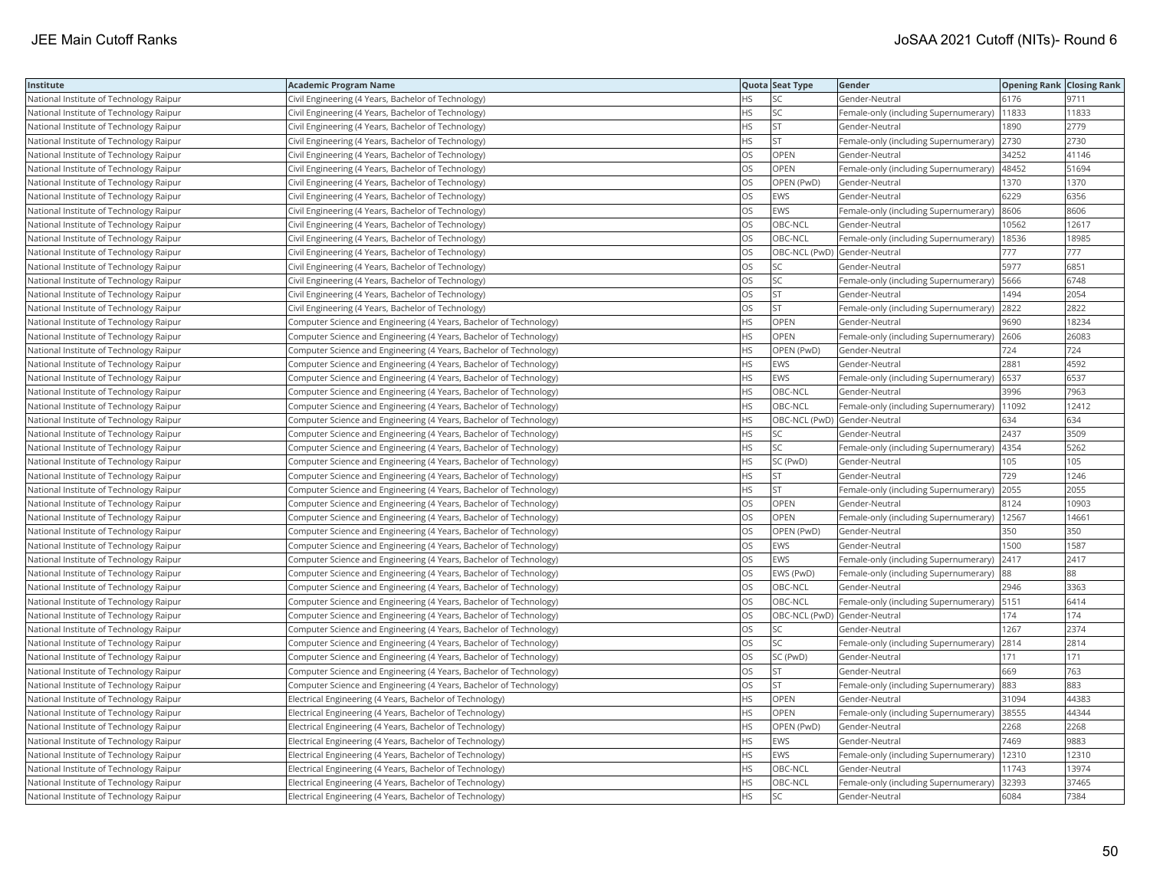| Institute                               | <b>Academic Program Name</b>                                       |           | Quota Seat Type              | Gender                                        | <b>Opening Rank Closing Rank</b> |       |
|-----------------------------------------|--------------------------------------------------------------------|-----------|------------------------------|-----------------------------------------------|----------------------------------|-------|
| National Institute of Technology Raipur | Civil Engineering (4 Years, Bachelor of Technology)                | ΗS        | SC                           | Gender-Neutral                                | 6176                             | 9711  |
| National Institute of Technology Raipur | Civil Engineering (4 Years, Bachelor of Technology)                | HS        | <b>SC</b>                    | Female-only (including Supernumerary)         | 11833                            | 11833 |
| National Institute of Technology Raipur | Civil Engineering (4 Years, Bachelor of Technology)                | НS        | <b>ST</b>                    | Gender-Neutral                                | 1890                             | 2779  |
| National Institute of Technology Raipur | Civil Engineering (4 Years, Bachelor of Technology)                | HS        | <b>ST</b>                    | Female-only (including Supernumerary)         | 2730                             | 2730  |
| National Institute of Technology Raipur | Civil Engineering (4 Years, Bachelor of Technology)                | OS        | <b>OPEN</b>                  | Gender-Neutral                                | 34252                            | 41146 |
| National Institute of Technology Raipur | Civil Engineering (4 Years, Bachelor of Technology)                | OS        | OPEN                         | Female-only (including Supernumerary)   48452 |                                  | 51694 |
| National Institute of Technology Raipur | Civil Engineering (4 Years, Bachelor of Technology)                | OS        | OPEN (PwD)                   | Gender-Neutral                                | 1370                             | 1370  |
| National Institute of Technology Raipur | Civil Engineering (4 Years, Bachelor of Technology)                | OS        | <b>EWS</b>                   | Gender-Neutral                                | 6229                             | 6356  |
| National Institute of Technology Raipur | Civil Engineering (4 Years, Bachelor of Technology)                | OS        | EWS                          | Female-only (including Supernumerary)         | 8606                             | 8606  |
| National Institute of Technology Raipur | Civil Engineering (4 Years, Bachelor of Technology)                | OS        | OBC-NCL                      | Gender-Neutral                                | 10562                            | 12617 |
| National Institute of Technology Raipur | Civil Engineering (4 Years, Bachelor of Technology)                | OS        | OBC-NCL                      | Female-only (including Supernumerary)         | 18536                            | 18985 |
| National Institute of Technology Raipur | Civil Engineering (4 Years, Bachelor of Technology)                | OS        | OBC-NCL (PwD) Gender-Neutral |                                               | 777                              | 777   |
| National Institute of Technology Raipur | Civil Engineering (4 Years, Bachelor of Technology)                | OS        | SC                           | Gender-Neutral                                | 5977                             | 6851  |
| National Institute of Technology Raipur | Civil Engineering (4 Years, Bachelor of Technology)                | OS        | SC                           | Female-only (including Supernumerary)   5666  |                                  | 6748  |
| National Institute of Technology Raipur | Civil Engineering (4 Years, Bachelor of Technology)                | OS        | ST                           | Gender-Neutral                                | 1494                             | 2054  |
| National Institute of Technology Raipur | Civil Engineering (4 Years, Bachelor of Technology)                | OS        | <b>ST</b>                    | Female-only (including Supernumerary) 2822    |                                  | 2822  |
| National Institute of Technology Raipur | Computer Science and Engineering (4 Years, Bachelor of Technology) | HS        | <b>OPEN</b>                  | Gender-Neutral                                | 9690                             | 18234 |
| National Institute of Technology Raipur | Computer Science and Engineering (4 Years, Bachelor of Technology) | HS        | OPEN                         | Female-only (including Supernumerary)         | 2606                             | 26083 |
| National Institute of Technology Raipur | Computer Science and Engineering (4 Years, Bachelor of Technology) | <b>HS</b> | OPEN (PwD)                   | Gender-Neutral                                | 724                              | 724   |
| National Institute of Technology Raipur | Computer Science and Engineering (4 Years, Bachelor of Technology) | <b>HS</b> | <b>EWS</b>                   | Gender-Neutral                                | 2881                             | 4592  |
| National Institute of Technology Raipur | Computer Science and Engineering (4 Years, Bachelor of Technology) | HS        | <b>EWS</b>                   | Female-only (including Supernumerary)   6537  |                                  | 6537  |
| National Institute of Technology Raipur | Computer Science and Engineering (4 Years, Bachelor of Technology) | HS        | OBC-NCL                      | Gender-Neutral                                | 3996                             | 7963  |
| National Institute of Technology Raipur | Computer Science and Engineering (4 Years, Bachelor of Technology) | ΗS        | OBC-NCL                      | Female-only (including Supernumerary)   11092 |                                  | 12412 |
| National Institute of Technology Raipur | Computer Science and Engineering (4 Years, Bachelor of Technology) | HS        | OBC-NCL (PwD) Gender-Neutral |                                               | 634                              | 634   |
| National Institute of Technology Raipur | Computer Science and Engineering (4 Years, Bachelor of Technology) | ΗS        | SC                           | Gender-Neutral                                | 2437                             | 3509  |
| National Institute of Technology Raipur | Computer Science and Engineering (4 Years, Bachelor of Technology) | HS        | SC                           | Female-only (including Supernumerary)  4354   |                                  | 5262  |
| National Institute of Technology Raipur | Computer Science and Engineering (4 Years, Bachelor of Technology) | HS        | SC (PwD)                     | Gender-Neutral                                | 105                              | 105   |
| National Institute of Technology Raipur | Computer Science and Engineering (4 Years, Bachelor of Technology) | <b>HS</b> | <b>ST</b>                    | Gender-Neutral                                | 729                              | 1246  |
| National Institute of Technology Raipur | Computer Science and Engineering (4 Years, Bachelor of Technology) | HS        | <b>ST</b>                    | Female-only (including Supernumerary)         | 2055                             | 2055  |
| National Institute of Technology Raipur | Computer Science and Engineering (4 Years, Bachelor of Technology) | OS        | OPEN                         | Gender-Neutral                                | 8124                             | 10903 |
| National Institute of Technology Raipur | Computer Science and Engineering (4 Years, Bachelor of Technology) | OS        | OPEN                         | Female-only (including Supernumerary)   12567 |                                  | 14661 |
| National Institute of Technology Raipur | Computer Science and Engineering (4 Years, Bachelor of Technology) | OS        | OPEN (PwD)                   | Gender-Neutral                                | 350                              | 350   |
| National Institute of Technology Raipur | Computer Science and Engineering (4 Years, Bachelor of Technology) | OS        | <b>EWS</b>                   | Gender-Neutral                                | 1500                             | 1587  |
| National Institute of Technology Raipur | Computer Science and Engineering (4 Years, Bachelor of Technology) | OS        | <b>EWS</b>                   | Female-only (including Supernumerary)         | 2417                             | 2417  |
| National Institute of Technology Raipur | Computer Science and Engineering (4 Years, Bachelor of Technology) | OS        | EWS (PwD)                    | Female-only (including Supernumerary)         | 88                               | 88    |
| National Institute of Technology Raipur | Computer Science and Engineering (4 Years, Bachelor of Technology) | OS        | OBC-NCL                      | Gender-Neutral                                | 2946                             | 3363  |
| National Institute of Technology Raipur | Computer Science and Engineering (4 Years, Bachelor of Technology) | OS        | OBC-NCL                      | Female-only (including Supernumerary)   5151  |                                  | 6414  |
| National Institute of Technology Raipur | Computer Science and Engineering (4 Years, Bachelor of Technology) | OS        | OBC-NCL (PwD) Gender-Neutral |                                               | 174                              | 174   |
| National Institute of Technology Raipur | Computer Science and Engineering (4 Years, Bachelor of Technology) | OS        | SC                           | Gender-Neutral                                | 1267                             | 2374  |
| National Institute of Technology Raipur | Computer Science and Engineering (4 Years, Bachelor of Technology) | <b>OS</b> | <b>SC</b>                    | Female-only (including Supernumerary)         | 2814                             | 2814  |
| National Institute of Technology Raipur | Computer Science and Engineering (4 Years, Bachelor of Technology) | OS        | SC (PwD)                     | Gender-Neutral                                | 171                              | 171   |
| National Institute of Technology Raipur | Computer Science and Engineering (4 Years, Bachelor of Technology) | OS        | <b>ST</b>                    | Gender-Neutral                                | 669                              | 763   |
| National Institute of Technology Raipur | Computer Science and Engineering (4 Years, Bachelor of Technology) | OS        | <b>ST</b>                    | Female-only (including Supernumerary)         | 883                              | 883   |
| National Institute of Technology Raipur | Electrical Engineering (4 Years, Bachelor of Technology)           | <b>HS</b> | <b>OPEN</b>                  | Gender-Neutral                                | 31094                            | 44383 |
| National Institute of Technology Raipur | Electrical Engineering (4 Years, Bachelor of Technology)           | HS        | OPEN                         | Female-only (including Supernumerary) 38555   |                                  | 44344 |
| National Institute of Technology Raipur | Electrical Engineering (4 Years, Bachelor of Technology)           | HS        | OPEN (PwD)                   | Gender-Neutral                                | 2268                             | 2268  |
| National Institute of Technology Raipur | Electrical Engineering (4 Years, Bachelor of Technology)           | <b>HS</b> | <b>EWS</b>                   | Gender-Neutral                                | 7469                             | 9883  |
| National Institute of Technology Raipur | Electrical Engineering (4 Years, Bachelor of Technology)           | HS        | <b>EWS</b>                   | Female-only (including Supernumerary)         | 12310                            | 12310 |
| National Institute of Technology Raipur | Electrical Engineering (4 Years, Bachelor of Technology)           | ΗS        | OBC-NCL                      | Gender-Neutral                                | 11743                            | 13974 |
| National Institute of Technology Raipur | Electrical Engineering (4 Years, Bachelor of Technology)           | <b>HS</b> | OBC-NCL                      | Female-only (including Supernumerary)         | 32393                            | 37465 |
| National Institute of Technology Raipur | Electrical Engineering (4 Years, Bachelor of Technology)           | <b>HS</b> | <b>SC</b>                    | Gender-Neutral                                | 6084                             | 7384  |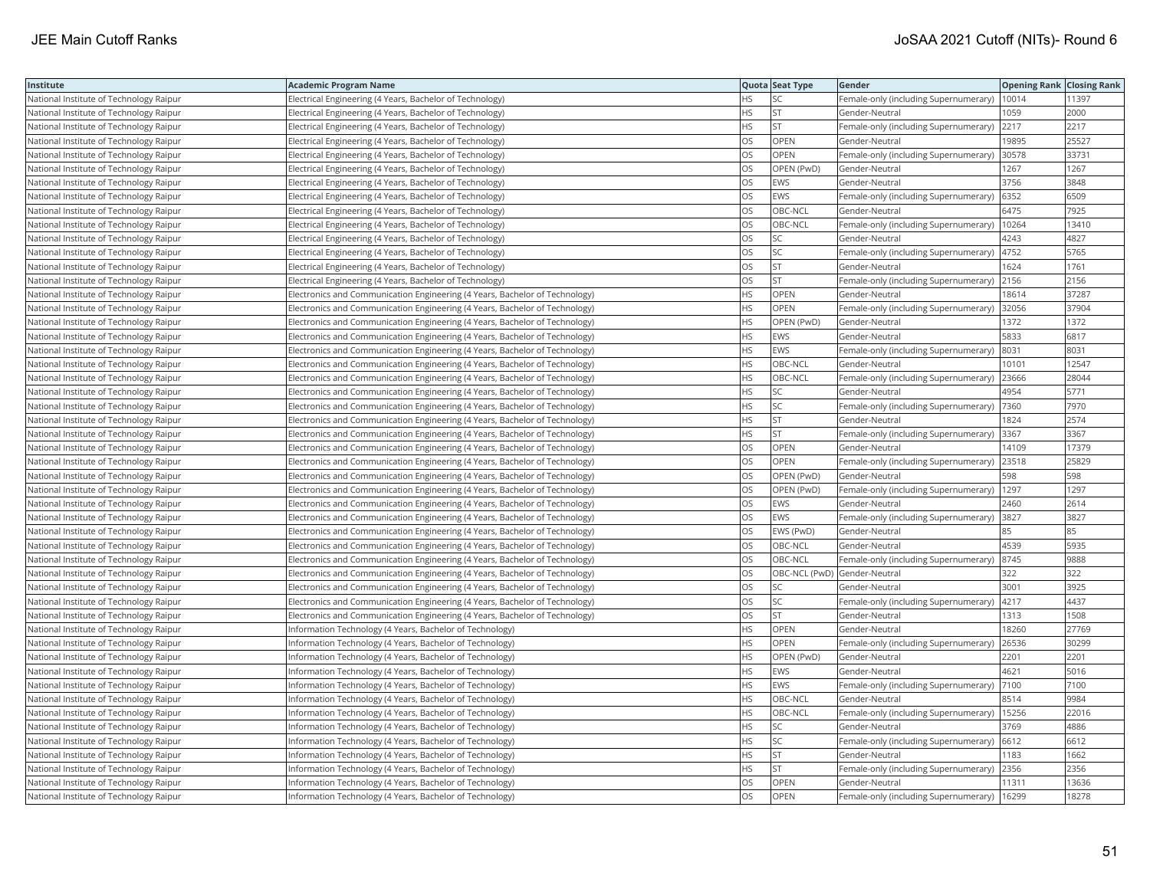| Institute                               | <b>Academic Program Name</b>                                                 |           | Quota Seat Type | Gender                                       | <b>Opening Rank Closing Rank</b> |       |
|-----------------------------------------|------------------------------------------------------------------------------|-----------|-----------------|----------------------------------------------|----------------------------------|-------|
| National Institute of Technology Raipur | Electrical Engineering (4 Years, Bachelor of Technology)                     | ٦S        | SC              | Female-only (including Supernumerary)        | 10014                            | 11397 |
| National Institute of Technology Raipur | Electrical Engineering (4 Years, Bachelor of Technology)                     | HS        | <b>ST</b>       | Gender-Neutral                               | 1059                             | 2000  |
| National Institute of Technology Raipur | Electrical Engineering (4 Years, Bachelor of Technology)                     | HS        | <b>ST</b>       | Female-only (including Supernumerary)        | 2217                             | 2217  |
| National Institute of Technology Raipur | Electrical Engineering (4 Years, Bachelor of Technology)                     | OS        | OPEN            | Gender-Neutral                               | 19895                            | 25527 |
| National Institute of Technology Raipur | Electrical Engineering (4 Years, Bachelor of Technology)                     | OS        | <b>OPEN</b>     | Female-only (including Supernumerary)        | 30578                            | 33731 |
| National Institute of Technology Raipur | Electrical Engineering (4 Years, Bachelor of Technology)                     | OS        | OPEN (PwD)      | Gender-Neutral                               | 1267                             | 1267  |
| National Institute of Technology Raipur | Electrical Engineering (4 Years, Bachelor of Technology)                     | OS        | <b>EWS</b>      | Gender-Neutral                               | 3756                             | 3848  |
| National Institute of Technology Raipur | Electrical Engineering (4 Years, Bachelor of Technology)                     | OS        | <b>EWS</b>      | Female-only (including Supernumerary)        | 6352                             | 6509  |
| National Institute of Technology Raipur | Electrical Engineering (4 Years, Bachelor of Technology)                     | OS        | OBC-NCL         | Gender-Neutral                               | 6475                             | 7925  |
| National Institute of Technology Raipur | Electrical Engineering (4 Years, Bachelor of Technology)                     | OS        | OBC-NCL         | Female-only (including Supernumerary)        | 10264                            | 13410 |
| National Institute of Technology Raipur | Electrical Engineering (4 Years, Bachelor of Technology)                     | OS        | SC              | Gender-Neutral                               | 4243                             | 4827  |
| National Institute of Technology Raipur | Electrical Engineering (4 Years, Bachelor of Technology)                     | OS        | <b>SC</b>       | Female-only (including Supernumerary)        | 4752                             | 5765  |
| National Institute of Technology Raipur | Electrical Engineering (4 Years, Bachelor of Technology)                     | OS        | <b>ST</b>       | Gender-Neutral                               | 1624                             | 1761  |
| National Institute of Technology Raipur | Electrical Engineering (4 Years, Bachelor of Technology)                     | OS        | <b>ST</b>       | Female-only (including Supernumerary) 2156   |                                  | 2156  |
| National Institute of Technology Raipur | Electronics and Communication Engineering (4 Years, Bachelor of Technology)  | HS        | OPEN            | Gender-Neutral                               | 18614                            | 37287 |
| National Institute of Technology Raipur | Electronics and Communication Engineering (4 Years, Bachelor of Technology)  | ΗS        | OPEN            | Female-only (including Supernumerary) 32056  |                                  | 37904 |
| National Institute of Technology Raipur | Electronics and Communication Engineering (4 Years, Bachelor of Technology)  | <b>HS</b> | OPEN (PwD)      | Gender-Neutral                               | 1372                             | 1372  |
| National Institute of Technology Raipur | Electronics and Communication Engineering (4 Years, Bachelor of Technology)  | ΗS        | EWS             | Gender-Neutral                               | 5833                             | 6817  |
| National Institute of Technology Raipur | Electronics and Communication Engineering (4 Years, Bachelor of Technology)  | <b>HS</b> | EWS             | Female-only (including Supernumerary)        | 8031                             | 8031  |
| National Institute of Technology Raipur | Electronics and Communication Engineering (4 Years, Bachelor of Technology)  | <b>HS</b> | OBC-NCL         | Gender-Neutral                               | 10101                            | 12547 |
| National Institute of Technology Raipur | Electronics and Communication Engineering (4 Years, Bachelor of Technology)  | HS        | OBC-NCL         | Female-only (including Supernumerary)        | 23666                            | 28044 |
| National Institute of Technology Raipur | Electronics and Communication Engineering (4 Years, Bachelor of Technology)  | HS.       | <b>SC</b>       | Gender-Neutral                               | 4954                             | 5771  |
| National Institute of Technology Raipur | Electronics and Communication Engineering (4 Years, Bachelor of Technology)  | HS        | SC              | Female-only (including Supernumerary)  7360  |                                  | 7970  |
| National Institute of Technology Raipur | [Electronics and Communication Engineering (4 Years, Bachelor of Technology) | ΗS        | <b>ST</b>       | Gender-Neutral                               | 1824                             | 2574  |
| National Institute of Technology Raipur | Electronics and Communication Engineering (4 Years, Bachelor of Technology)  | <b>HS</b> | <b>ST</b>       | Female-only (including Supernumerary)        | 3367                             | 3367  |
| National Institute of Technology Raipur | Electronics and Communication Engineering (4 Years, Bachelor of Technology)  | OS        | OPEN            | Gender-Neutral                               | 14109                            | 17379 |
| National Institute of Technology Raipur | Electronics and Communication Engineering (4 Years, Bachelor of Technology)  | OS        | OPEN            | Female-only (including Supernumerary)        | 23518                            | 25829 |
| National Institute of Technology Raipur | Electronics and Communication Engineering (4 Years, Bachelor of Technology)  | OS        | OPEN (PwD)      | Gender-Neutral                               | 598                              | 598   |
| National Institute of Technology Raipur | Electronics and Communication Engineering (4 Years, Bachelor of Technology)  | OS        | OPEN (PwD)      | Female-only (including Supernumerary)        | 1297                             | 1297  |
| National Institute of Technology Raipur | Electronics and Communication Engineering (4 Years, Bachelor of Technology)  | OS        | <b>EWS</b>      | Gender-Neutral                               | 2460                             | 2614  |
| National Institute of Technology Raipur | Electronics and Communication Engineering (4 Years, Bachelor of Technology)  | OS        | <b>EWS</b>      | Female-only (including Supernumerary) 3827   |                                  | 3827  |
| National Institute of Technology Raipur | Electronics and Communication Engineering (4 Years, Bachelor of Technology)  | OS        | EWS (PwD)       | Gender-Neutral                               | 85                               | 85    |
| National Institute of Technology Raipur | Electronics and Communication Engineering (4 Years, Bachelor of Technology)  | OS.       | OBC-NCL         | Gender-Neutral                               | 4539                             | 5935  |
| National Institute of Technology Raipur | Electronics and Communication Engineering (4 Years, Bachelor of Technology)  | OS        | OBC-NCL         | Female-only (including Supernumerary)        | 8745                             | 9888  |
| National Institute of Technology Raipur | Electronics and Communication Engineering (4 Years, Bachelor of Technology)  | OS        |                 | OBC-NCL (PwD) Gender-Neutral                 | 322                              | 322   |
| National Institute of Technology Raipur | Electronics and Communication Engineering (4 Years, Bachelor of Technology)  | OS        | SC              | Gender-Neutral                               | 3001                             | 3925  |
| National Institute of Technology Raipur | Electronics and Communication Engineering (4 Years, Bachelor of Technology)  | OS        | <b>SC</b>       | Female-only (including Supernumerary)   4217 |                                  | 4437  |
| National Institute of Technology Raipur | Electronics and Communication Engineering (4 Years, Bachelor of Technology)  | OS        | <b>ST</b>       | Gender-Neutral                               | 1313                             | 1508  |
| National Institute of Technology Raipur | Information Technology (4 Years, Bachelor of Technology)                     | HS        | OPEN            | Gender-Neutral                               | 18260                            | 27769 |
| National Institute of Technology Raipur | Information Technology (4 Years, Bachelor of Technology)                     | ΗS        | OPEN            | Female-only (including Supernumerary) 26536  |                                  | 30299 |
| National Institute of Technology Raipur | Information Technology (4 Years, Bachelor of Technology)                     | НS        | OPEN (PwD)      | Gender-Neutral                               | 2201                             | 2201  |
| National Institute of Technology Raipur | Information Technology (4 Years, Bachelor of Technology)                     | HS        | <b>EWS</b>      | Gender-Neutral                               | 4621                             | 5016  |
| National Institute of Technology Raipur | nformation Technology (4 Years, Bachelor of Technology)                      | HS        | EWS             | Female-only (including Supernumerary)        | 7100                             | 7100  |
| National Institute of Technology Raipur | Information Technology (4 Years, Bachelor of Technology)                     | HS        | OBC-NCL         | Gender-Neutral                               | 8514                             | 9984  |
| National Institute of Technology Raipur | Information Technology (4 Years, Bachelor of Technology)                     | HS        | OBC-NCL         | Female-only (including Supernumerary)        | 15256                            | 22016 |
| National Institute of Technology Raipur | Information Technology (4 Years, Bachelor of Technology)                     | <b>HS</b> | <b>SC</b>       | Gender-Neutral                               | 3769                             | 4886  |
| National Institute of Technology Raipur | Information Technology (4 Years, Bachelor of Technology)                     | HS        | SC              | Female-only (including Supernumerary)   6612 |                                  | 6612  |
| National Institute of Technology Raipur | Information Technology (4 Years, Bachelor of Technology)                     | НS        | <b>ST</b>       | Gender-Neutral                               | 1183                             | 1662  |
| National Institute of Technology Raipur | Information Technology (4 Years, Bachelor of Technology)                     | ΗS        | <b>ST</b>       | Female-only (including Supernumerary) 2356   |                                  | 2356  |
| National Institute of Technology Raipur | Information Technology (4 Years, Bachelor of Technology)                     | OS        | OPEN            | Gender-Neutral                               | 11311                            | 13636 |
| National Institute of Technology Raipur | Information Technology (4 Years, Bachelor of Technology)                     | OS        | OPEN            | Female-only (including Supernumerary)        | 16299                            | 18278 |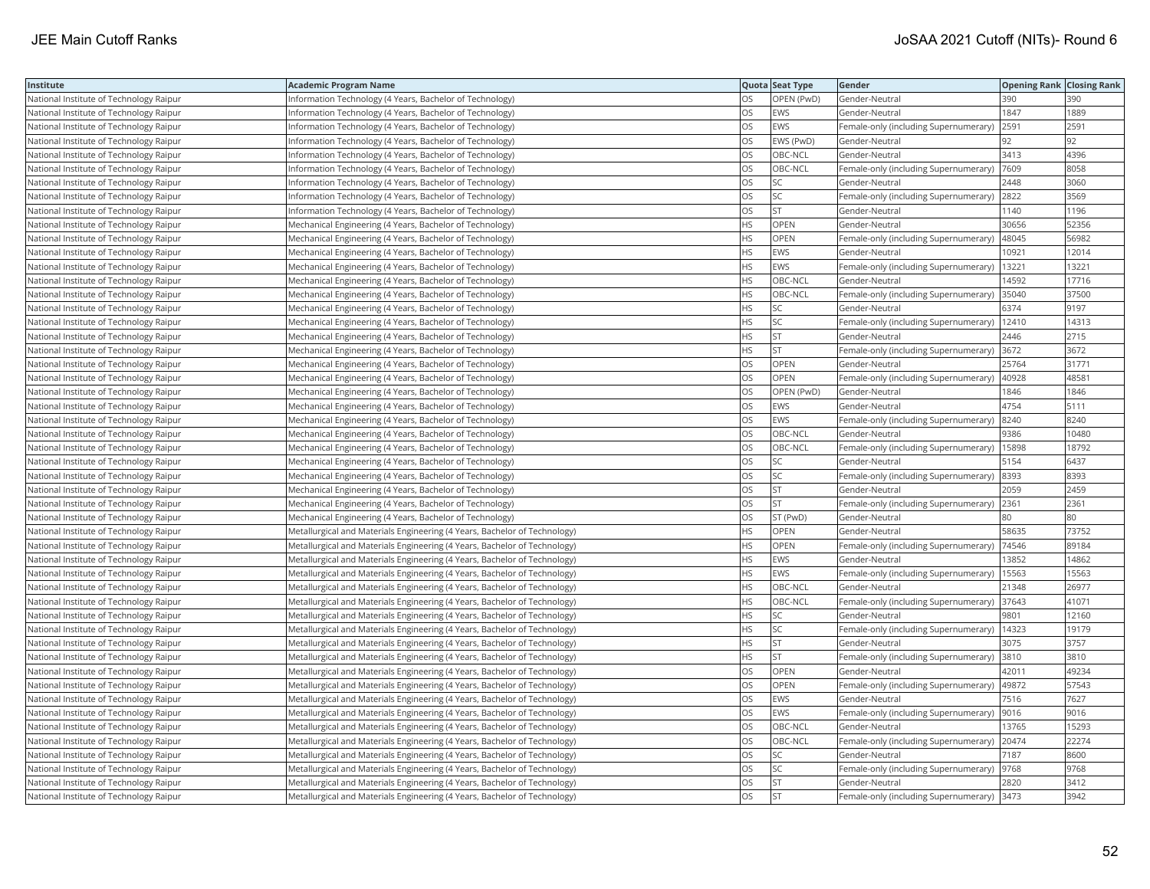| Institute                               | <b>Academic Program Name</b>                                              |           | Quota Seat Type | Gender                                        | <b>Opening Rank Closing Rank</b> |       |
|-----------------------------------------|---------------------------------------------------------------------------|-----------|-----------------|-----------------------------------------------|----------------------------------|-------|
| National Institute of Technology Raipur | Information Technology (4 Years, Bachelor of Technology)                  | ЭS        | OPEN (PwD)      | Gender-Neutral                                | 390                              | 390   |
| National Institute of Technology Raipur | nformation Technology (4 Years, Bachelor of Technology)                   | OS        | EWS             | Gender-Neutral                                | 1847                             | 1889  |
| National Institute of Technology Raipur | Information Technology (4 Years, Bachelor of Technology)                  | OS        | <b>EWS</b>      | Female-only (including Supernumerary)         | 2591                             | 2591  |
| National Institute of Technology Raipur | Information Technology (4 Years, Bachelor of Technology)                  | OS        | EWS (PwD)       | Gender-Neutral                                | 92                               | 92    |
| National Institute of Technology Raipur | Information Technology (4 Years, Bachelor of Technology)                  | OS        | OBC-NCL         | Gender-Neutral                                | 3413                             | 4396  |
| National Institute of Technology Raipur | Information Technology (4 Years, Bachelor of Technology)                  | OS        | OBC-NCL         | Female-only (including Supernumerary)  7609   |                                  | 8058  |
| National Institute of Technology Raipur | Information Technology (4 Years, Bachelor of Technology)                  | OS        | SC              | Gender-Neutral                                | 2448                             | 3060  |
| National Institute of Technology Raipur | Information Technology (4 Years, Bachelor of Technology)                  | OS        | <b>SC</b>       | Female-only (including Supernumerary) 2822    |                                  | 3569  |
| National Institute of Technology Raipur | Information Technology (4 Years, Bachelor of Technology)                  | OS        | <b>ST</b>       | Gender-Neutral                                | 1140                             | 1196  |
| National Institute of Technology Raipur | Mechanical Engineering (4 Years, Bachelor of Technology)                  | HS        | OPEN            | Gender-Neutral                                | 30656                            | 52356 |
| National Institute of Technology Raipur | Mechanical Engineering (4 Years, Bachelor of Technology)                  | HS.       | OPEN            | Female-only (including Supernumerary)         | 48045                            | 56982 |
| National Institute of Technology Raipur | Mechanical Engineering (4 Years, Bachelor of Technology)                  | <b>HS</b> | <b>EWS</b>      | Gender-Neutral                                | 10921                            | 12014 |
| National Institute of Technology Raipur | Mechanical Engineering (4 Years, Bachelor of Technology)                  | HS        | <b>EWS</b>      | Female-only (including Supernumerary)         | 13221                            | 13221 |
| National Institute of Technology Raipur | Mechanical Engineering (4 Years, Bachelor of Technology)                  | HS        | OBC-NCL         | Gender-Neutral                                | 14592                            | 17716 |
| National Institute of Technology Raipur | Mechanical Engineering (4 Years, Bachelor of Technology)                  | HS        | OBC-NCL         | Female-only (including Supernumerary) 35040   |                                  | 37500 |
| National Institute of Technology Raipur | Mechanical Engineering (4 Years, Bachelor of Technology)                  | ΗS        | SC              | Gender-Neutral                                | 6374                             | 9197  |
| National Institute of Technology Raipur | Mechanical Engineering (4 Years, Bachelor of Technology)                  | ΗS        | SC              | Female-only (including Supernumerary)         | 12410                            | 14313 |
| National Institute of Technology Raipur | Mechanical Engineering (4 Years, Bachelor of Technology)                  | ΗS        | <b>ST</b>       | Gender-Neutral                                | 2446                             | 2715  |
| National Institute of Technology Raipur | Mechanical Engineering (4 Years, Bachelor of Technology)                  | <b>HS</b> | <b>ST</b>       | Female-only (including Supernumerary)         | 3672                             | 3672  |
| National Institute of Technology Raipur | Mechanical Engineering (4 Years, Bachelor of Technology)                  | <b>OS</b> | <b>OPEN</b>     | Gender-Neutral                                | 25764                            | 31771 |
| National Institute of Technology Raipur | Mechanical Engineering (4 Years, Bachelor of Technology)                  | OS        | <b>OPEN</b>     | Female-only (including Supernumerary)         | 40928                            | 48581 |
| National Institute of Technology Raipur | Mechanical Engineering (4 Years, Bachelor of Technology)                  | OS        | OPEN (PwD)      | Gender-Neutral                                | 1846                             | 1846  |
| National Institute of Technology Raipur | Mechanical Engineering (4 Years, Bachelor of Technology)                  | OS        | <b>EWS</b>      | Gender-Neutral                                | 4754                             | 5111  |
| National Institute of Technology Raipur | Mechanical Engineering (4 Years, Bachelor of Technology)                  | OS        | <b>EWS</b>      | Female-only (including Supernumerary)         | 8240                             | 8240  |
| National Institute of Technology Raipur | Mechanical Engineering (4 Years, Bachelor of Technology)                  | OS        | OBC-NCL         | Gender-Neutral                                | 9386                             | 10480 |
| National Institute of Technology Raipur | Mechanical Engineering (4 Years, Bachelor of Technology)                  | OS        | OBC-NCL         | Female-only (including Supernumerary)   15898 |                                  | 18792 |
| National Institute of Technology Raipur | Mechanical Engineering (4 Years, Bachelor of Technology)                  | OS        | SC              | Gender-Neutral                                | 5154                             | 6437  |
| National Institute of Technology Raipur | Mechanical Engineering (4 Years, Bachelor of Technology)                  | OS        | <b>SC</b>       | Female-only (including Supernumerary) 8393    |                                  | 8393  |
| National Institute of Technology Raipur | Mechanical Engineering (4 Years, Bachelor of Technology)                  | OS        | <b>ST</b>       | Gender-Neutral                                | 2059                             | 2459  |
| National Institute of Technology Raipur | Mechanical Engineering (4 Years, Bachelor of Technology)                  | OS        | <b>ST</b>       | Female-only (including Supernumerary) 2361    |                                  | 2361  |
| National Institute of Technology Raipur | Mechanical Engineering (4 Years, Bachelor of Technology)                  | OS        | ST (PwD)        | Gender-Neutral                                | 80                               | 180   |
| National Institute of Technology Raipur | Metallurgical and Materials Engineering (4 Years, Bachelor of Technology) | ΗS        | OPEN            | Gender-Neutral                                | 58635                            | 73752 |
| National Institute of Technology Raipur | Metallurgical and Materials Engineering (4 Years, Bachelor of Technology) | <b>HS</b> | OPEN            | Female-only (including Supernumerary)         | 74546                            | 89184 |
| National Institute of Technology Raipur | Metallurgical and Materials Engineering (4 Years, Bachelor of Technology) | HS        | <b>EWS</b>      | Gender-Neutral                                | 13852                            | 14862 |
| National Institute of Technology Raipur | Metallurgical and Materials Engineering (4 Years, Bachelor of Technology) | HS        | EWS             | Female-only (including Supernumerary)         | 15563                            | 15563 |
| National Institute of Technology Raipur | Metallurgical and Materials Engineering (4 Years, Bachelor of Technology) | <b>HS</b> | OBC-NCL         | Gender-Neutral                                | 21348                            | 26977 |
| National Institute of Technology Raipur | Metallurgical and Materials Engineering (4 Years, Bachelor of Technology) | HS        | OBC-NCL         | Female-only (including Supernumerary)         | 37643                            | 41071 |
| National Institute of Technology Raipur | Metallurgical and Materials Engineering (4 Years, Bachelor of Technology) | HS        | SC              | Gender-Neutral                                | 9801                             | 12160 |
| National Institute of Technology Raipur | Metallurgical and Materials Engineering (4 Years, Bachelor of Technology) | ΗS        | SC              | Female-only (including Supernumerary)         | 14323                            | 19179 |
| National Institute of Technology Raipur | Metallurgical and Materials Engineering (4 Years, Bachelor of Technology) | <b>HS</b> | <b>ST</b>       | Gender-Neutral                                | 3075                             | 3757  |
| National Institute of Technology Raipur | Metallurgical and Materials Engineering (4 Years, Bachelor of Technology) | HS        | <b>ST</b>       | Female-only (including Supernumerary)         | 3810                             | 3810  |
| National Institute of Technology Raipur | Metallurgical and Materials Engineering (4 Years, Bachelor of Technology) | OS        | OPEN            | Gender-Neutral                                | 42011                            | 49234 |
| National Institute of Technology Raipur | Metallurgical and Materials Engineering (4 Years, Bachelor of Technology) | OS        | OPEN            | Female-only (including Supernumerary)         | 49872                            | 57543 |
| National Institute of Technology Raipur | Metallurgical and Materials Engineering (4 Years, Bachelor of Technology) | OS        | <b>EWS</b>      | Gender-Neutral                                | 7516                             | 7627  |
| National Institute of Technology Raipur | Metallurgical and Materials Engineering (4 Years, Bachelor of Technology) | OS        | <b>EWS</b>      | Female-only (including Supernumerary)  9016   |                                  | 9016  |
| National Institute of Technology Raipur | Metallurgical and Materials Engineering (4 Years, Bachelor of Technology) | OS        | OBC-NCL         | Gender-Neutral                                | 13765                            | 15293 |
| National Institute of Technology Raipur | Metallurgical and Materials Engineering (4 Years, Bachelor of Technology) | OS        | OBC-NCL         | Female-only (including Supernumerary) 20474   |                                  | 22274 |
| National Institute of Technology Raipur | Metallurgical and Materials Engineering (4 Years, Bachelor of Technology) | OS        | SC              | Gender-Neutral                                | 7187                             | 8600  |
| National Institute of Technology Raipur | Metallurgical and Materials Engineering (4 Years, Bachelor of Technology) | OS        | SC              | Female-only (including Supernumerary)         | 9768                             | 9768  |
| National Institute of Technology Raipur | Metallurgical and Materials Engineering (4 Years, Bachelor of Technology) | OS        | <b>ST</b>       | Gender-Neutral                                | 2820                             | 3412  |
| National Institute of Technology Raipur | Metallurgical and Materials Engineering (4 Years, Bachelor of Technology) | OS        | <b>ST</b>       | Female-only (including Supernumerary) 3473    |                                  | 3942  |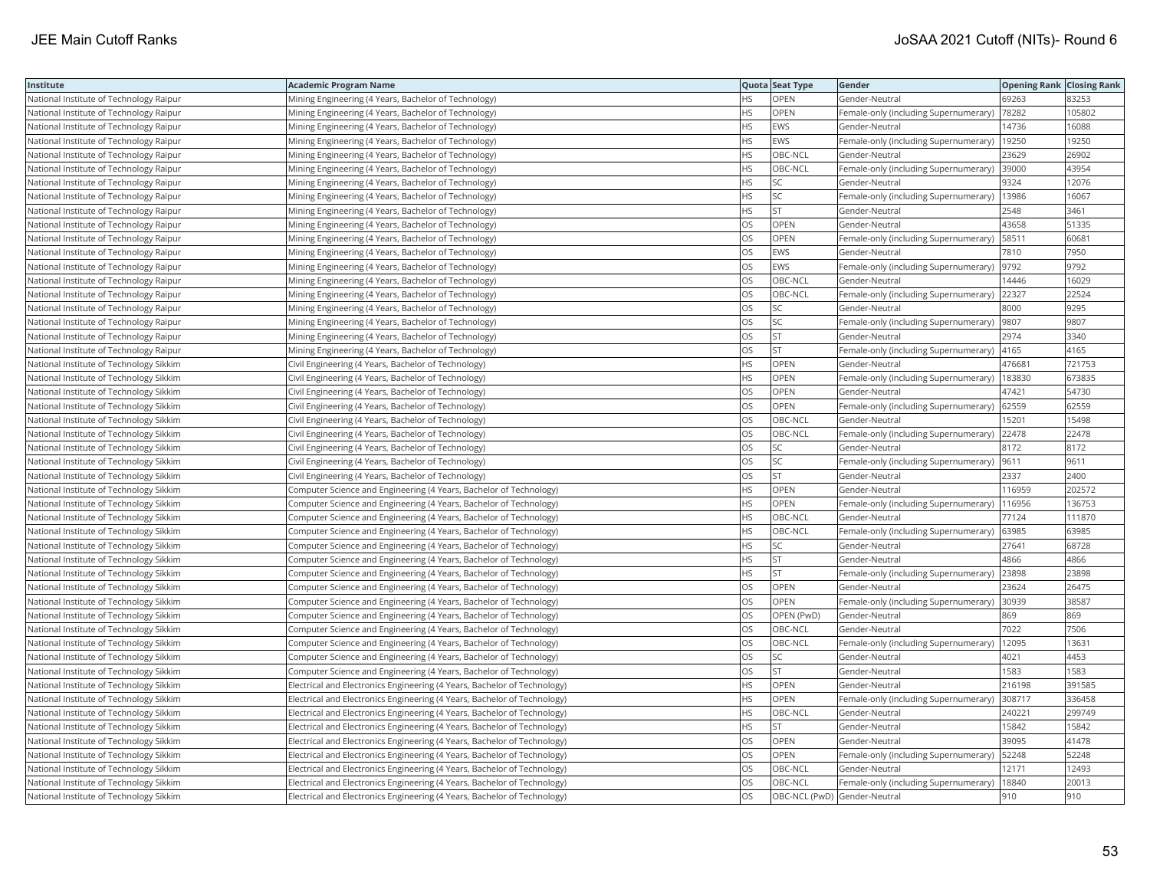| Institute                               | Academic Program Name                                                    |           | Quota Seat Type              | Gender                                      | <b>Opening Rank   Closing Rank</b> |        |
|-----------------------------------------|--------------------------------------------------------------------------|-----------|------------------------------|---------------------------------------------|------------------------------------|--------|
| National Institute of Technology Raipur | Mining Engineering (4 Years, Bachelor of Technology)                     | НS        | OPEN                         | Gender-Neutral                              | 69263                              | 83253  |
| National Institute of Technology Raipur | Mining Engineering (4 Years, Bachelor of Technology)                     | <b>HS</b> | OPEN                         | Female-only (including Supernumerary)       | 78282                              | 105802 |
| National Institute of Technology Raipur | Mining Engineering (4 Years, Bachelor of Technology)                     | <b>HS</b> | EWS                          | Gender-Neutral                              | 14736                              | 16088  |
| National Institute of Technology Raipur | Mining Engineering (4 Years, Bachelor of Technology)                     | HS        | EWS                          | Female-only (including Supernumerary)       | 19250                              | 19250  |
| National Institute of Technology Raipur | Mining Engineering (4 Years, Bachelor of Technology)                     | HS        | OBC-NCL                      | Gender-Neutral                              | 23629                              | 26902  |
| National Institute of Technology Raipur | Mining Engineering (4 Years, Bachelor of Technology)                     | HS        | OBC-NCL                      | Female-only (including Supernumerary) 39000 |                                    | 43954  |
| National Institute of Technology Raipur | Mining Engineering (4 Years, Bachelor of Technology)                     | HS        | SC                           | Gender-Neutral                              | 9324                               | 12076  |
| National Institute of Technology Raipur | Mining Engineering (4 Years, Bachelor of Technology)                     | HS        | SC                           | Female-only (including Supernumerary)       | 13986                              | 16067  |
| National Institute of Technology Raipur | Mining Engineering (4 Years, Bachelor of Technology)                     | HS        | <b>ST</b>                    | Gender-Neutral                              | 2548                               | 3461   |
| National Institute of Technology Raipur | Mining Engineering (4 Years, Bachelor of Technology)                     | OS        | OPEN                         | Gender-Neutral                              | 43658                              | 51335  |
| National Institute of Technology Raipur | Mining Engineering (4 Years, Bachelor of Technology)                     | OS.       | <b>OPEN</b>                  | Female-only (including Supernumerary)       | 58511                              | 60681  |
| National Institute of Technology Raipur | Mining Engineering (4 Years, Bachelor of Technology)                     | OS        | EWS                          | Gender-Neutral                              | 7810                               | 7950   |
| National Institute of Technology Raipur | Mining Engineering (4 Years, Bachelor of Technology)                     | <b>OS</b> | <b>EWS</b>                   | Female-only (including Supernumerary)       | 9792                               | 9792   |
| National Institute of Technology Raipur | Mining Engineering (4 Years, Bachelor of Technology)                     | OS        | OBC-NCL                      | Gender-Neutral                              | 14446                              | 16029  |
| National Institute of Technology Raipur | Mining Engineering (4 Years, Bachelor of Technology)                     | OS        | OBC-NCL                      | Female-only (including Supernumerary)       | 22327                              | 22524  |
| National Institute of Technology Raipur | Mining Engineering (4 Years, Bachelor of Technology)                     | OS.       | SC                           | Gender-Neutral                              | 8000                               | 9295   |
| National Institute of Technology Raipur | Mining Engineering (4 Years, Bachelor of Technology)                     | OS        | SC                           | Female-only (including Supernumerary)  9807 |                                    | 9807   |
| National Institute of Technology Raipur | Mining Engineering (4 Years, Bachelor of Technology)                     | OS        | ST                           | Gender-Neutral                              | 2974                               | 3340   |
| National Institute of Technology Raipur | Mining Engineering (4 Years, Bachelor of Technology)                     | OS.       | <b>ST</b>                    | Female-only (including Supernumerary)       | 4165                               | 4165   |
| National Institute of Technology Sikkim | Civil Engineering (4 Years, Bachelor of Technology)                      | HS        | OPEN                         | Gender-Neutral                              | 476681                             | 721753 |
| National Institute of Technology Sikkim | Civil Engineering (4 Years, Bachelor of Technology)                      | HS        | OPEN                         | Female-only (including Supernumerary)       | 183830                             | 673835 |
| National Institute of Technology Sikkim | Civil Engineering (4 Years, Bachelor of Technology)                      | OS        | <b>OPEN</b>                  | Gender-Neutral                              | 47421                              | 54730  |
| National Institute of Technology Sikkim | Civil Engineering (4 Years, Bachelor of Technology)                      | OS        | OPEN                         | Female-only (including Supernumerary)       | 62559                              | 62559  |
| National Institute of Technology Sikkim | Civil Engineering (4 Years, Bachelor of Technology)                      | OS        | OBC-NCL                      | Gender-Neutral                              | 15201                              | 15498  |
| National Institute of Technology Sikkim | Civil Engineering (4 Years, Bachelor of Technology)                      | OS        | OBC-NCL                      | Female-only (including Supernumerary)       | 22478                              | 22478  |
| National Institute of Technology Sikkim | Civil Engineering (4 Years, Bachelor of Technology)                      | OS        | SC                           | Gender-Neutral                              | 8172                               | 8172   |
| National Institute of Technology Sikkim | Civil Engineering (4 Years, Bachelor of Technology)                      | OS.       | <b>SC</b>                    | Female-only (including Supernumerary)       | 9611                               | 9611   |
| National Institute of Technology Sikkim | Civil Engineering (4 Years, Bachelor of Technology)                      | OS        | <b>ST</b>                    | Gender-Neutral                              | 2337                               | 2400   |
| National Institute of Technology Sikkim | Computer Science and Engineering (4 Years, Bachelor of Technology)       | HS        | OPEN                         | Gender-Neutral                              | 116959                             | 202572 |
| National Institute of Technology Sikkim | Computer Science and Engineering (4 Years, Bachelor of Technology)       | HS        | OPEN                         | Female-only (including Supernumerary)       | 116956                             | 136753 |
| National Institute of Technology Sikkim | Computer Science and Engineering (4 Years, Bachelor of Technology)       | <b>HS</b> | OBC-NCL                      | Gender-Neutral                              | 77124                              | 111870 |
| National Institute of Technology Sikkim | Computer Science and Engineering (4 Years, Bachelor of Technology)       | HS        | OBC-NCL                      | Female-only (including Supernumerary)       | 63985                              | 63985  |
| National Institute of Technology Sikkim | Computer Science and Engineering (4 Years, Bachelor of Technology)       | HS        | SC                           | Gender-Neutral                              | 27641                              | 68728  |
| National Institute of Technology Sikkim | Computer Science and Engineering (4 Years, Bachelor of Technology)       | HS        | <b>ST</b>                    | Gender-Neutral                              | 4866                               | 4866   |
| National Institute of Technology Sikkim | Computer Science and Engineering (4 Years, Bachelor of Technology)       | HS        | <b>ST</b>                    | Female-only (including Supernumerary)       | 23898                              | 23898  |
| National Institute of Technology Sikkim | Computer Science and Engineering (4 Years, Bachelor of Technology)       | OS        | <b>OPEN</b>                  | Gender-Neutral                              | 23624                              | 26475  |
| National Institute of Technology Sikkim | Computer Science and Engineering (4 Years, Bachelor of Technology)       | OS        | OPEN                         | Female-only (including Supernumerary)       | 30939                              | 38587  |
| National Institute of Technology Sikkim | Computer Science and Engineering (4 Years, Bachelor of Technology)       | OS        | OPEN (PwD)                   | Gender-Neutral                              | 869                                | 869    |
| National Institute of Technology Sikkim | Computer Science and Engineering (4 Years, Bachelor of Technology)       | OS.       | OBC-NCL                      | Gender-Neutral                              | 7022                               | 7506   |
| National Institute of Technology Sikkim | Computer Science and Engineering (4 Years, Bachelor of Technology)       | OS        | OBC-NCL                      | Female-only (including Supernumerary)       | 12095                              | 13631  |
| National Institute of Technology Sikkim | Computer Science and Engineering (4 Years, Bachelor of Technology)       | OS        | SC                           | Gender-Neutral                              | 4021                               | 4453   |
| National Institute of Technology Sikkim | Computer Science and Engineering (4 Years, Bachelor of Technology)       | OS        | <b>ST</b>                    | Gender-Neutral                              | 1583                               | 1583   |
| National Institute of Technology Sikkim | Electrical and Electronics Engineering (4 Years, Bachelor of Technology) | HS        | OPEN                         | Gender-Neutral                              | 216198                             | 391585 |
| National Institute of Technology Sikkim | Electrical and Electronics Engineering (4 Years, Bachelor of Technology) | HS        | <b>OPEN</b>                  | Female-only (including Supernumerary)       | 308717                             | 336458 |
| National Institute of Technology Sikkim | Electrical and Electronics Engineering (4 Years, Bachelor of Technology) | HS        | OBC-NCL                      | Gender-Neutral                              | 240221                             | 299749 |
| National Institute of Technology Sikkim | Electrical and Electronics Engineering (4 Years, Bachelor of Technology) | HS        | <b>ST</b>                    | Gender-Neutral                              | 15842                              | 15842  |
| National Institute of Technology Sikkim | Electrical and Electronics Engineering (4 Years, Bachelor of Technology) | OS.       | <b>OPEN</b>                  | Gender-Neutral                              | 39095                              | 41478  |
| National Institute of Technology Sikkim | Electrical and Electronics Engineering (4 Years, Bachelor of Technology) | OS        | OPEN                         | Female-only (including Supernumerary)       | 52248                              | 52248  |
| National Institute of Technology Sikkim | Electrical and Electronics Engineering (4 Years, Bachelor of Technology) | OS        | OBC-NCL                      | Gender-Neutral                              | 12171                              | 12493  |
| National Institute of Technology Sikkim | Electrical and Electronics Engineering (4 Years, Bachelor of Technology) | OS.       | OBC-NCL                      | Female-only (including Supernumerary)       | 18840                              | 20013  |
| National Institute of Technology Sikkim | Electrical and Electronics Engineering (4 Years, Bachelor of Technology) | <b>OS</b> | OBC-NCL (PwD) Gender-Neutral |                                             | 910                                | 910    |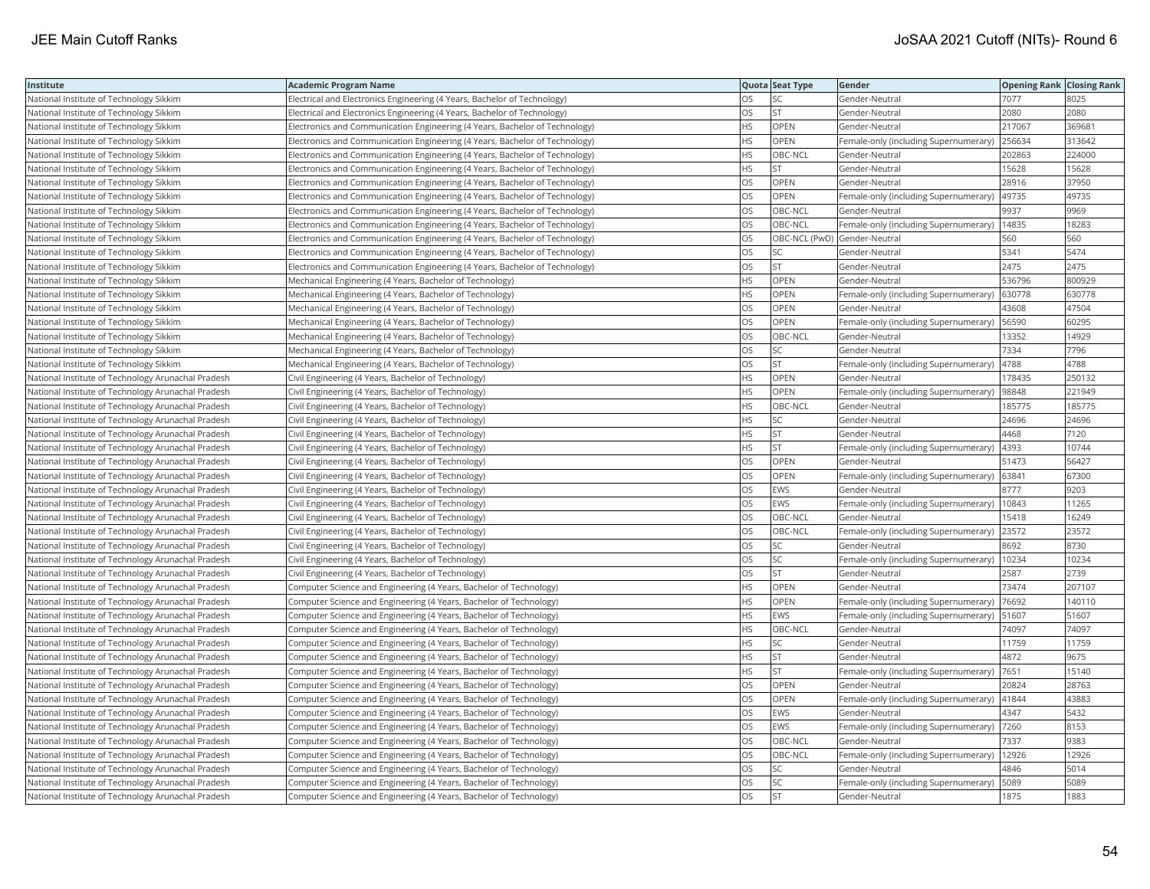| Institute                                          | Academic Program Name                                                       |           | Quota Seat Type              | Gender                                        | <b>Opening Rank Closing Rank</b> |        |
|----------------------------------------------------|-----------------------------------------------------------------------------|-----------|------------------------------|-----------------------------------------------|----------------------------------|--------|
| National Institute of Technology Sikkim            | Electrical and Electronics Engineering (4 Years, Bachelor of Technology)    | OS.       | SC                           | Gender-Neutral                                | 7077                             | 8025   |
| National Institute of Technology Sikkim            | Electrical and Electronics Engineering (4 Years, Bachelor of Technology)    | OS.       | <b>ST</b>                    | Gender-Neutral                                | 2080                             | 2080   |
| National Institute of Technology Sikkim            | Electronics and Communication Engineering (4 Years, Bachelor of Technology) | HS        | OPEN                         | Gender-Neutral                                | 217067                           | 369681 |
| National Institute of Technology Sikkim            | Electronics and Communication Engineering (4 Years, Bachelor of Technology) | <b>HS</b> | OPEN                         | Female-only (including Supernumerary)         | 256634                           | 313642 |
| National Institute of Technology Sikkim            | Electronics and Communication Engineering (4 Years, Bachelor of Technology) | HS        | OBC-NCL                      | Gender-Neutral                                | 202863                           | 224000 |
| National Institute of Technology Sikkim            | Electronics and Communication Engineering (4 Years, Bachelor of Technology) | HS        | <b>ST</b>                    | Gender-Neutral                                | 15628                            | 15628  |
| National Institute of Technology Sikkim            | Electronics and Communication Engineering (4 Years, Bachelor of Technology) | OS.       | <b>OPEN</b>                  | Gender-Neutral                                | 28916                            | 37950  |
| National Institute of Technology Sikkim            | Electronics and Communication Engineering (4 Years, Bachelor of Technology) | OS        | OPEN                         | Female-only (including Supernumerary)         | 49735                            | 49735  |
| National Institute of Technology Sikkim            | Electronics and Communication Engineering (4 Years, Bachelor of Technology) | OS        | OBC-NCL                      | Gender-Neutral                                | 9937                             | 9969   |
| National Institute of Technology Sikkim            | Electronics and Communication Engineering (4 Years, Bachelor of Technology) | <b>OS</b> | OBC-NCL                      | Female-only (including Supernumerary)         | 14835                            | 18283  |
| National Institute of Technology Sikkim            | Electronics and Communication Engineering (4 Years, Bachelor of Technology) | OS        | OBC-NCL (PwD) Gender-Neutral |                                               | 560                              | 560    |
| National Institute of Technology Sikkim            | Electronics and Communication Engineering (4 Years, Bachelor of Technology) | OS        | SC                           | Gender-Neutral                                | 5341                             | 5474   |
| National Institute of Technology Sikkim            | Electronics and Communication Engineering (4 Years, Bachelor of Technology) | OS        | <b>ST</b>                    | Gender-Neutral                                | 2475                             | 2475   |
| National Institute of Technology Sikkim            | Mechanical Engineering (4 Years, Bachelor of Technology)                    | HS        | OPEN                         | Gender-Neutral                                | 536796                           | 800929 |
| National Institute of Technology Sikkim            | Mechanical Engineering (4 Years, Bachelor of Technology)                    | HS.       | <b>OPEN</b>                  | Female-only (including Supernumerary)         | 630778                           | 630778 |
| National Institute of Technology Sikkim            | Mechanical Engineering (4 Years, Bachelor of Technology)                    | OS        | OPEN                         | Gender-Neutral                                | 43608                            | 47504  |
| National Institute of Technology Sikkim            | Mechanical Engineering (4 Years, Bachelor of Technology)                    | OS        | OPEN                         | Female-only (including Supernumerary)         | 56590                            | 60295  |
| National Institute of Technology Sikkim            | Mechanical Engineering (4 Years, Bachelor of Technology)                    | OS        | OBC-NCL                      | Gender-Neutral                                | 13352                            | 14929  |
| National Institute of Technology Sikkim            | Mechanical Engineering (4 Years, Bachelor of Technology)                    | OS.       | <b>SC</b>                    | Gender-Neutral                                | 7334                             | 7796   |
| National Institute of Technology Sikkim            | Mechanical Engineering (4 Years, Bachelor of Technology)                    | OS        | <b>ST</b>                    | Female-only (including Supernumerary)         | 4788                             | 4788   |
| National Institute of Technology Arunachal Pradesh | Civil Engineering (4 Years, Bachelor of Technology)                         | HS        | OPEN                         | Gender-Neutral                                | 178435                           | 250132 |
| National Institute of Technology Arunachal Pradesh | Civil Engineering (4 Years, Bachelor of Technology)                         | HS        | OPEN                         | Female-only (including Supernumerary)         | 98848                            | 221949 |
| National Institute of Technology Arunachal Pradesh | Civil Engineering (4 Years, Bachelor of Technology)                         | HS        | OBC-NCL                      | Gender-Neutral                                | 185775                           | 185775 |
| National Institute of Technology Arunachal Pradesh | Civil Engineering (4 Years, Bachelor of Technology)                         | HS        | SC                           | Gender-Neutral                                | 24696                            | 24696  |
| National Institute of Technology Arunachal Pradesh | Civil Engineering (4 Years, Bachelor of Technology)                         | HS        | <b>ST</b>                    | Gender-Neutral                                | 4468                             | 7120   |
| National Institute of Technology Arunachal Pradesh | Civil Engineering (4 Years, Bachelor of Technology)                         | HS        | <b>ST</b>                    | Female-only (including Supernumerary)         | 4393                             | 10744  |
| National Institute of Technology Arunachal Pradesh | Civil Engineering (4 Years, Bachelor of Technology)                         | OS.       | <b>OPEN</b>                  | Gender-Neutral                                | 51473                            | 56427  |
| National Institute of Technology Arunachal Pradesh | Civil Engineering (4 Years, Bachelor of Technology)                         | OS        | <b>OPEN</b>                  | Female-only (including Supernumerary)         | 63841                            | 67300  |
| National Institute of Technology Arunachal Pradesh | Civil Engineering (4 Years, Bachelor of Technology)                         | OS        | <b>EWS</b>                   | Gender-Neutral                                | 8777                             | 9203   |
| National Institute of Technology Arunachal Pradesh | Civil Engineering (4 Years, Bachelor of Technology)                         | OS        | EWS                          | Female-only (including Supernumerary)         | 10843                            | 11265  |
| National Institute of Technology Arunachal Pradesh | Civil Engineering (4 Years, Bachelor of Technology)                         | OS        | OBC-NCL                      | Gender-Neutral                                | 15418                            | 16249  |
| National Institute of Technology Arunachal Pradesh | Civil Engineering (4 Years, Bachelor of Technology)                         | OS        | OBC-NCL                      | Female-only (including Supernumerary)         | 23572                            | 23572  |
| National Institute of Technology Arunachal Pradesh | Civil Engineering (4 Years, Bachelor of Technology)                         | OS        | SC                           | Gender-Neutral                                | 8692                             | 8730   |
| National Institute of Technology Arunachal Pradesh | Civil Engineering (4 Years, Bachelor of Technology)                         | OS        | SC                           | Female-only (including Supernumerary)         | 10234                            | 10234  |
| National Institute of Technology Arunachal Pradesh | Civil Engineering (4 Years, Bachelor of Technology)                         | OS        | <b>ST</b>                    | Gender-Neutral                                | 2587                             | 2739   |
| National Institute of Technology Arunachal Pradesh | Computer Science and Engineering (4 Years, Bachelor of Technology)          | HS        | OPEN                         | Gender-Neutral                                | 73474                            | 207107 |
| National Institute of Technology Arunachal Pradesh | Computer Science and Engineering (4 Years, Bachelor of Technology)          | HS.       | OPEN                         | Female-only (including Supernumerary)         | 76692                            | 140110 |
| National Institute of Technology Arunachal Pradesh | Computer Science and Engineering (4 Years, Bachelor of Technology)          | HS        | <b>EWS</b>                   | Female-only (including Supernumerary)   51607 |                                  | 51607  |
| National Institute of Technology Arunachal Pradesh | Computer Science and Engineering (4 Years, Bachelor of Technology)          | HS        | OBC-NCL                      | Gender-Neutral                                | 74097                            | 74097  |
| National Institute of Technology Arunachal Pradesh | Computer Science and Engineering (4 Years, Bachelor of Technology)          | HS.       | <b>SC</b>                    | Gender-Neutral                                | 11759                            | 11759  |
| National Institute of Technology Arunachal Pradesh | Computer Science and Engineering (4 Years, Bachelor of Technology)          | HS        | <b>ST</b>                    | Gender-Neutral                                | 4872                             | 9675   |
| National Institute of Technology Arunachal Pradesh | Computer Science and Engineering (4 Years, Bachelor of Technology)          | <b>HS</b> | <b>ST</b>                    | Female-only (including Supernumerary)         | 7651                             | 15140  |
| National Institute of Technology Arunachal Pradesh | Computer Science and Engineering (4 Years, Bachelor of Technology)          | OS.       | OPEN                         | Gender-Neutral                                | 20824                            | 28763  |
| National Institute of Technology Arunachal Pradesh | Computer Science and Engineering (4 Years, Bachelor of Technology)          | OS        | OPEN                         | Female-only (including Supernumerary)         | 41844                            | 43883  |
| National Institute of Technology Arunachal Pradesh | Computer Science and Engineering (4 Years, Bachelor of Technology)          | OS        | <b>EWS</b>                   | Gender-Neutral                                | 4347                             | 5432   |
| National Institute of Technology Arunachal Pradesh | Computer Science and Engineering (4 Years, Bachelor of Technology)          | OS        | EWS                          | Female-only (including Supernumerary)  7260   |                                  | 8153   |
| National Institute of Technology Arunachal Pradesh | Computer Science and Engineering (4 Years, Bachelor of Technology)          | OS        | OBC-NCL                      | Gender-Neutral                                | 7337                             | 9383   |
| National Institute of Technology Arunachal Pradesh | Computer Science and Engineering (4 Years, Bachelor of Technology)          | OS        | OBC-NCL                      | Female-only (including Supernumerary)         | 12926                            | 12926  |
| National Institute of Technology Arunachal Pradesh | Computer Science and Engineering (4 Years, Bachelor of Technology)          | OS        | SC                           | Gender-Neutral                                | 4846                             | 5014   |
| National Institute of Technology Arunachal Pradesh | Computer Science and Engineering (4 Years, Bachelor of Technology)          | OS        | SC                           | Female-only (including Supernumerary)         | 5089                             | 5089   |
| National Institute of Technology Arunachal Pradesh | Computer Science and Engineering (4 Years, Bachelor of Technology)          | OS        | İst                          | Gender-Neutral                                | 1875                             | 1883   |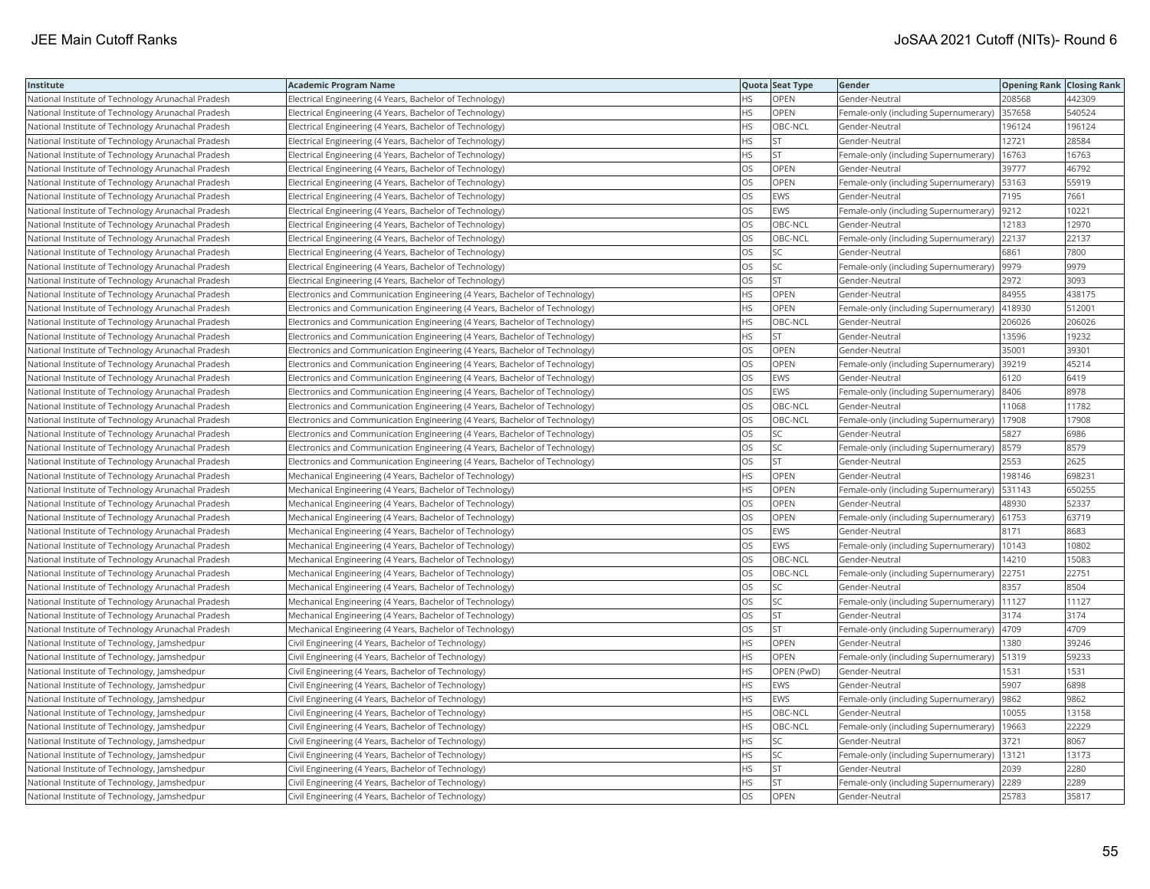| Institute                                          | Academic Program Name                                                       |           | Quota Seat Type | Gender                                      | <b>Opening Rank Closing Rank</b> |        |
|----------------------------------------------------|-----------------------------------------------------------------------------|-----------|-----------------|---------------------------------------------|----------------------------------|--------|
| National Institute of Technology Arunachal Pradesh | Electrical Engineering (4 Years, Bachelor of Technology)                    | HS.       | OPEN            | Gender-Neutral                              | 208568                           | 442309 |
| National Institute of Technology Arunachal Pradesh | Electrical Engineering (4 Years, Bachelor of Technology)                    | HS        | OPEN            | Female-only (including Supernumerary)       | 357658                           | 540524 |
| National Institute of Technology Arunachal Pradesh | Electrical Engineering (4 Years, Bachelor of Technology)                    | <b>HS</b> | OBC-NCL         | Gender-Neutral                              | 196124                           | 196124 |
| National Institute of Technology Arunachal Pradesh | Electrical Engineering (4 Years, Bachelor of Technology)                    | HS        | <b>ST</b>       | Gender-Neutral                              | 12721                            | 28584  |
| National Institute of Technology Arunachal Pradesh | Electrical Engineering (4 Years, Bachelor of Technology)                    | HS        | <b>ST</b>       | Female-only (including Supernumerary)       | 16763                            | 16763  |
| National Institute of Technology Arunachal Pradesh | Electrical Engineering (4 Years, Bachelor of Technology)                    | OS        | OPEN            | Gender-Neutral                              | 39777                            | 46792  |
| National Institute of Technology Arunachal Pradesh | Electrical Engineering (4 Years, Bachelor of Technology)                    | OS        | <b>OPEN</b>     | Female-only (including Supernumerary)       | 53163                            | 55919  |
| National Institute of Technology Arunachal Pradesh | Electrical Engineering (4 Years, Bachelor of Technology)                    | OS        | EWS             | Gender-Neutral                              | 7195                             | 7661   |
| National Institute of Technology Arunachal Pradesh | Electrical Engineering (4 Years, Bachelor of Technology)                    | OS        | <b>EWS</b>      | Female-only (including Supernumerary)       | 9212                             | 10221  |
| National Institute of Technology Arunachal Pradesh | Electrical Engineering (4 Years, Bachelor of Technology)                    | OS        | OBC-NCL         | Gender-Neutral                              | 12183                            | 12970  |
| National Institute of Technology Arunachal Pradesh | Electrical Engineering (4 Years, Bachelor of Technology)                    | OS        | OBC-NCL         | Female-only (including Supernumerary)       | 22137                            | 22137  |
| National Institute of Technology Arunachal Pradesh | Electrical Engineering (4 Years, Bachelor of Technology)                    | OS.       | <b>SC</b>       | Gender-Neutral                              | 6861                             | 7800   |
| National Institute of Technology Arunachal Pradesh | Electrical Engineering (4 Years, Bachelor of Technology)                    | OS.       | <b>SC</b>       | Female-only (including Supernumerary)       | 9979                             | 9979   |
| National Institute of Technology Arunachal Pradesh | Electrical Engineering (4 Years, Bachelor of Technology)                    | OS        | <b>ST</b>       | Gender-Neutral                              | 2972                             | 3093   |
| National Institute of Technology Arunachal Pradesh | Electronics and Communication Engineering (4 Years, Bachelor of Technology) | HS.       | OPEN            | Gender-Neutral                              | 84955                            | 438175 |
| National Institute of Technology Arunachal Pradesh | Electronics and Communication Engineering (4 Years, Bachelor of Technology) | ΗS        | OPEN            | Female-only (including Supernumerary)       | 418930                           | 512001 |
| National Institute of Technology Arunachal Pradesh | Electronics and Communication Engineering (4 Years, Bachelor of Technology) | HS        | OBC-NCL         | Gender-Neutral                              | 206026                           | 206026 |
| National Institute of Technology Arunachal Pradesh | Electronics and Communication Engineering (4 Years, Bachelor of Technology) | <b>HS</b> | <b>ST</b>       | Gender-Neutral                              | 13596                            | 19232  |
| National Institute of Technology Arunachal Pradesh | Electronics and Communication Engineering (4 Years, Bachelor of Technology) | OS        | OPEN            | Gender-Neutral                              | 35001                            | 39301  |
| National Institute of Technology Arunachal Pradesh | Electronics and Communication Engineering (4 Years, Bachelor of Technology) | <b>OS</b> | OPEN            | Female-only (including Supernumerary)       | 39219                            | 45214  |
| National Institute of Technology Arunachal Pradesh | Electronics and Communication Engineering (4 Years, Bachelor of Technology) | OS        | EWS             | Gender-Neutral                              | 6120                             | 6419   |
| National Institute of Technology Arunachal Pradesh | Electronics and Communication Engineering (4 Years, Bachelor of Technology) | OS        | EWS             | Female-only (including Supernumerary) 8406  |                                  | 8978   |
| National Institute of Technology Arunachal Pradesh | Electronics and Communication Engineering (4 Years, Bachelor of Technology) | OS        | OBC-NCL         | Gender-Neutral                              | 11068                            | 11782  |
| National Institute of Technology Arunachal Pradesh | Electronics and Communication Engineering (4 Years, Bachelor of Technology) | OS        | OBC-NCL         | Female-only (including Supernumerary)       | 17908                            | 17908  |
| National Institute of Technology Arunachal Pradesh | Electronics and Communication Engineering (4 Years, Bachelor of Technology) | OS        | SC              | Gender-Neutral                              | 5827                             | 6986   |
| National Institute of Technology Arunachal Pradesh | Electronics and Communication Engineering (4 Years, Bachelor of Technology) | OS        | SC              | Female-only (including Supernumerary)       | 8579                             | 8579   |
| National Institute of Technology Arunachal Pradesh | Electronics and Communication Engineering (4 Years, Bachelor of Technology) | OS        | <b>ST</b>       | Gender-Neutral                              | 2553                             | 2625   |
| National Institute of Technology Arunachal Pradesh | Mechanical Engineering (4 Years, Bachelor of Technology)                    | <b>HS</b> | <b>OPEN</b>     | Gender-Neutral                              | 198146                           | 698231 |
| National Institute of Technology Arunachal Pradesh | Mechanical Engineering (4 Years, Bachelor of Technology)                    | HS        | OPEN            | Female-only (including Supernumerary)       | 531143                           | 650255 |
| National Institute of Technology Arunachal Pradesh | Mechanical Engineering (4 Years, Bachelor of Technology)                    | OS        | OPEN            | Gender-Neutral                              | 48930                            | 52337  |
| National Institute of Technology Arunachal Pradesh | Mechanical Engineering (4 Years, Bachelor of Technology)                    | OS        | OPEN            | Female-only (including Supernumerary) 61753 |                                  | 63719  |
| National Institute of Technology Arunachal Pradesh | Mechanical Engineering (4 Years, Bachelor of Technology)                    | OS        | <b>EWS</b>      | Gender-Neutral                              | 8171                             | 8683   |
| National Institute of Technology Arunachal Pradesh | Mechanical Engineering (4 Years, Bachelor of Technology)                    | OS        | EWS             | Female-only (including Supernumerary)       | 10143                            | 10802  |
| National Institute of Technology Arunachal Pradesh | Mechanical Engineering (4 Years, Bachelor of Technology)                    | OS        | OBC-NCL         | Gender-Neutral                              | 14210                            | 15083  |
| National Institute of Technology Arunachal Pradesh | Mechanical Engineering (4 Years, Bachelor of Technology)                    | <b>OS</b> | OBC-NCL         | Female-only (including Supernumerary)       | 22751                            | 22751  |
| National Institute of Technology Arunachal Pradesh | Mechanical Engineering (4 Years, Bachelor of Technology)                    | OS        | SC              | Gender-Neutral                              | 8357                             | 8504   |
| National Institute of Technology Arunachal Pradesh | Mechanical Engineering (4 Years, Bachelor of Technology)                    | OS        | <b>SC</b>       | Female-only (including Supernumerary)       | 11127                            | 11127  |
| National Institute of Technology Arunachal Pradesh | Mechanical Engineering (4 Years, Bachelor of Technology)                    | OS        | <b>ST</b>       | Gender-Neutral                              | 3174                             | 3174   |
| National Institute of Technology Arunachal Pradesh | Mechanical Engineering (4 Years, Bachelor of Technology)                    | OS        | <b>ST</b>       | Female-only (including Supernumerary)       | 4709                             | 4709   |
| National Institute of Technology, Jamshedpur       | Civil Engineering (4 Years, Bachelor of Technology)                         | HS.       | <b>OPEN</b>     | Gender-Neutral                              | 1380                             | 39246  |
| National Institute of Technology, Jamshedpur       | Civil Engineering (4 Years, Bachelor of Technology)                         | HS        | OPEN            | Female-only (including Supernumerary)       | 51319                            | 59233  |
| National Institute of Technology, Jamshedpur       | Civil Engineering (4 Years, Bachelor of Technology)                         | HS.       | OPEN (PwD)      | Gender-Neutral                              | 1531                             | 1531   |
| National Institute of Technology, Jamshedpur       | Civil Engineering (4 Years, Bachelor of Technology)                         | HS.       | <b>EWS</b>      | Gender-Neutral                              | 5907                             | 6898   |
| National Institute of Technology, Jamshedpur       | Civil Engineering (4 Years, Bachelor of Technology)                         | HS.       | EWS             | Female-only (including Supernumerary)       | 9862                             | 9862   |
| National Institute of Technology, Jamshedpur       | Civil Engineering (4 Years, Bachelor of Technology)                         | HS        | OBC-NCL         | Gender-Neutral                              | 10055                            | 13158  |
| National Institute of Technology, Jamshedpur       | Civil Engineering (4 Years, Bachelor of Technology)                         | HS        | OBC-NCL         | Female-only (including Supernumerary)       | 19663                            | 22229  |
| National Institute of Technology, Jamshedpur       | Civil Engineering (4 Years, Bachelor of Technology)                         | <b>HS</b> | SC              | Gender-Neutral                              | 3721                             | 8067   |
| National Institute of Technology, Jamshedpur       | Civil Engineering (4 Years, Bachelor of Technology)                         | ΗS        | SC              | Female-only (including Supernumerary)       | 13121                            | 13173  |
| National Institute of Technology, Jamshedpur       | Civil Engineering (4 Years, Bachelor of Technology)                         | HS        | <b>ST</b>       | Gender-Neutral                              | 2039                             | 2280   |
| National Institute of Technology, Jamshedpur       | Civil Engineering (4 Years, Bachelor of Technology)                         | HS.       | <b>ST</b>       | Female-only (including Supernumerary)       | 2289                             | 2289   |
| National Institute of Technology, Jamshedpur       | Civil Engineering (4 Years, Bachelor of Technology)                         | <b>OS</b> | OPEN            | Gender-Neutral                              | 25783                            | 35817  |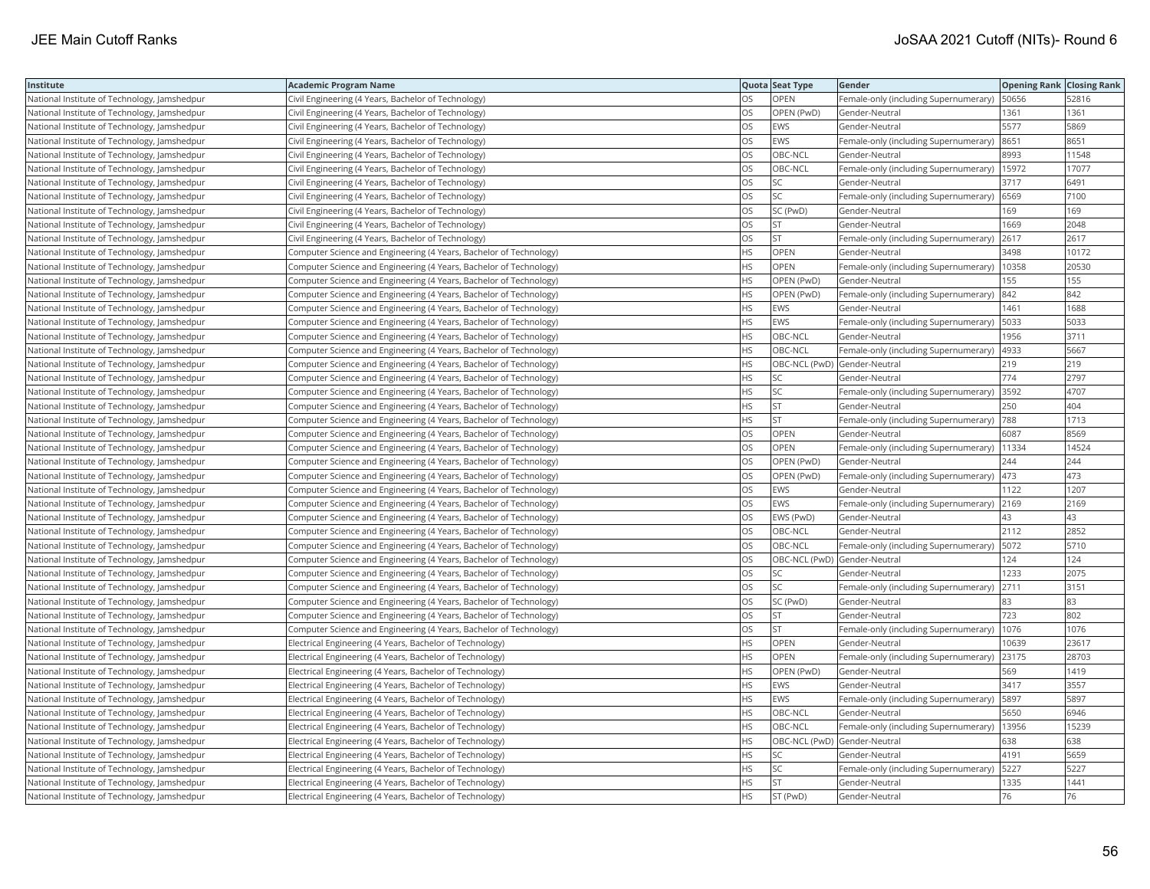| <b>Institute</b>                             | Academic Program Name                                              |           | Quota Seat Type              | <b>Gender</b>                                 | <b>Opening Rank Closing Rank</b> |       |
|----------------------------------------------|--------------------------------------------------------------------|-----------|------------------------------|-----------------------------------------------|----------------------------------|-------|
| National Institute of Technology, Jamshedpur | Civil Engineering (4 Years, Bachelor of Technology)                | OS        | OPEN                         | Female-only (including Supernumerary)   50656 |                                  | 52816 |
| National Institute of Technology, Jamshedpur | Civil Engineering (4 Years, Bachelor of Technology)                | OS.       | OPEN (PwD)                   | Gender-Neutral                                | 1361                             | 1361  |
| National Institute of Technology, Jamshedpur | Civil Engineering (4 Years, Bachelor of Technology)                | OS        | EWS                          | Gender-Neutral                                | 5577                             | 5869  |
| National Institute of Technology, Jamshedpur | Civil Engineering (4 Years, Bachelor of Technology)                | OS        | EWS                          | Female-only (including Supernumerary)         | 8651                             | 8651  |
| National Institute of Technology, Jamshedpur | Civil Engineering (4 Years, Bachelor of Technology)                | <b>OS</b> | OBC-NCL                      | Gender-Neutral                                | 8993                             | 11548 |
| National Institute of Technology, Jamshedpur | Civil Engineering (4 Years, Bachelor of Technology)                | OS        | OBC-NCL                      | Female-only (including Supernumerary)   15972 |                                  | 17077 |
| National Institute of Technology, Jamshedpur | Civil Engineering (4 Years, Bachelor of Technology)                | OS        | SC                           | Gender-Neutral                                | 3717                             | 6491  |
| National Institute of Technology, Jamshedpur | Civil Engineering (4 Years, Bachelor of Technology)                | OS.       | <b>SC</b>                    | Female-only (including Supernumerary) (6569   |                                  | 7100  |
| National Institute of Technology, Jamshedpur | Civil Engineering (4 Years, Bachelor of Technology)                | OS        | SC (PwD)                     | Gender-Neutral                                | 169                              | 169   |
| National Institute of Technology, Jamshedpur | Civil Engineering (4 Years, Bachelor of Technology)                | OS        | <b>ST</b>                    | Gender-Neutral                                | 1669                             | 2048  |
| National Institute of Technology, Jamshedpur | Civil Engineering (4 Years, Bachelor of Technology)                | OS        | <b>ST</b>                    | Female-only (including Supernumerary)         | 2617                             | 2617  |
| National Institute of Technology, Jamshedpur | Computer Science and Engineering (4 Years, Bachelor of Technology) | <b>HS</b> | OPEN                         | Gender-Neutral                                | 3498                             | 10172 |
| National Institute of Technology, Jamshedpur | Computer Science and Engineering (4 Years, Bachelor of Technology) | HS.       | OPEN                         | Female-only (including Supernumerary)         | 10358                            | 20530 |
| National Institute of Technology, Jamshedpur | Computer Science and Engineering (4 Years, Bachelor of Technology) | HS.       | OPEN (PwD)                   | Gender-Neutral                                | 155                              | 155   |
| National Institute of Technology, Jamshedpur | Computer Science and Engineering (4 Years, Bachelor of Technology) | HS.       | OPEN (PwD)                   | Female-only (including Supernumerary) 842     |                                  | 842   |
| National Institute of Technology, Jamshedpur | Computer Science and Engineering (4 Years, Bachelor of Technology) | HS        | EWS                          | Gender-Neutral                                | 1461                             | 1688  |
| National Institute of Technology, Jamshedpur | Computer Science and Engineering (4 Years, Bachelor of Technology) | HS.       | EWS                          | Female-only (including Supernumerary)         | 5033                             | 5033  |
| National Institute of Technology, Jamshedpur | Computer Science and Engineering (4 Years, Bachelor of Technology) | HS.       | OBC-NCL                      | Gender-Neutral                                | 1956                             | 3711  |
| National Institute of Technology, Jamshedpur | Computer Science and Engineering (4 Years, Bachelor of Technology) | HS.       | OBC-NCL                      | Female-only (including Supernumerary)         | 4933                             | 5667  |
| National Institute of Technology, Jamshedpur | Computer Science and Engineering (4 Years, Bachelor of Technology) | HS        | OBC-NCL (PwD) Gender-Neutral |                                               | 219                              | 219   |
| National Institute of Technology, Jamshedpur | Computer Science and Engineering (4 Years, Bachelor of Technology) | HS        | SC                           | Gender-Neutral                                | 774                              | 2797  |
| National Institute of Technology, Jamshedpur | Computer Science and Engineering (4 Years, Bachelor of Technology) | HS.       | SC                           | Female-only (including Supernumerary)  3592   |                                  | 4707  |
| National Institute of Technology, Jamshedpur | Computer Science and Engineering (4 Years, Bachelor of Technology) | HS        | <b>ST</b>                    | Gender-Neutral                                | 250                              | 404   |
| National Institute of Technology, Jamshedpur | Computer Science and Engineering (4 Years, Bachelor of Technology) | HS        | <b>ST</b>                    | Female-only (including Supernumerary)  788    |                                  | 1713  |
| National Institute of Technology, Jamshedpur | Computer Science and Engineering (4 Years, Bachelor of Technology) | OS        | OPEN                         | Gender-Neutral                                | 6087                             | 8569  |
| National Institute of Technology, Jamshedpur | Computer Science and Engineering (4 Years, Bachelor of Technology) | OS        | OPEN                         | Female-only (including Supernumerary)   11334 |                                  | 14524 |
| National Institute of Technology, Jamshedpur | Computer Science and Engineering (4 Years, Bachelor of Technology) | OS        | OPEN (PwD)                   | Gender-Neutral                                | 244                              | 244   |
| National Institute of Technology, Jamshedpur | Computer Science and Engineering (4 Years, Bachelor of Technology) | OS.       | OPEN (PwD)                   | Female-only (including Supernumerary)  473    |                                  | 473   |
| National Institute of Technology, Jamshedpur | Computer Science and Engineering (4 Years, Bachelor of Technology) | OS        | EWS                          | Gender-Neutral                                | 1122                             | 1207  |
| National Institute of Technology, Jamshedpur | Computer Science and Engineering (4 Years, Bachelor of Technology) | OS        | EWS                          | Female-only (including Supernumerary) 2169    |                                  | 2169  |
| National Institute of Technology, Jamshedpur | Computer Science and Engineering (4 Years, Bachelor of Technology) | OS        | EWS (PwD)                    | Gender-Neutral                                | 43                               | 43    |
| National Institute of Technology, Jamshedpur | Computer Science and Engineering (4 Years, Bachelor of Technology) | OS        | OBC-NCL                      | Gender-Neutral                                | 2112                             | 2852  |
| National Institute of Technology, Jamshedpur | Computer Science and Engineering (4 Years, Bachelor of Technology) | OS.       | OBC-NCL                      | Female-only (including Supernumerary)         | 5072                             | 5710  |
| National Institute of Technology, Jamshedpur | Computer Science and Engineering (4 Years, Bachelor of Technology) | OS        | OBC-NCL (PwD) Gender-Neutral |                                               | 124                              | 124   |
| National Institute of Technology, Jamshedpur | Computer Science and Engineering (4 Years, Bachelor of Technology) | OS        | SC                           | Gender-Neutral                                | 1233                             | 2075  |
| National Institute of Technology, Jamshedpur | Computer Science and Engineering (4 Years, Bachelor of Technology) | OS.       | <b>SC</b>                    | Female-only (including Supernumerary)         | 2711                             | 3151  |
| National Institute of Technology, Jamshedpur | Computer Science and Engineering (4 Years, Bachelor of Technology) | OS        | SC (PwD)                     | Gender-Neutral                                | 83                               | 83    |
| National Institute of Technology, Jamshedpur | Computer Science and Engineering (4 Years, Bachelor of Technology) | OS        | <b>ST</b>                    | Gender-Neutral                                | 723                              | 802   |
| National Institute of Technology, Jamshedpur | Computer Science and Engineering (4 Years, Bachelor of Technology) | OS        | <b>ST</b>                    | Female-only (including Supernumerary)   1076  |                                  | 1076  |
| National Institute of Technology, Jamshedpur | Electrical Engineering (4 Years, Bachelor of Technology)           | HS.       | OPEN                         | Gender-Neutral                                | 10639                            | 23617 |
| National Institute of Technology, Jamshedpur | Electrical Engineering (4 Years, Bachelor of Technology)           | HS.       | OPEN                         | Female-only (including Supernumerary)         | 23175                            | 28703 |
| National Institute of Technology, Jamshedpur | Electrical Engineering (4 Years, Bachelor of Technology)           | HS.       | OPEN (PwD)                   | Gender-Neutral                                | 569                              | 1419  |
| National Institute of Technology, Jamshedpur | Electrical Engineering (4 Years, Bachelor of Technology)           | HS        | EWS                          | Gender-Neutral                                | 3417                             | 3557  |
| National Institute of Technology, Jamshedpur | Electrical Engineering (4 Years, Bachelor of Technology)           | <b>HS</b> | <b>EWS</b>                   | Female-only (including Supernumerary)   5897  |                                  | 5897  |
| National Institute of Technology, Jamshedpur | Electrical Engineering (4 Years, Bachelor of Technology)           | HS        | OBC-NCL                      | Gender-Neutral                                | 5650                             | 6946  |
| National Institute of Technology, Jamshedpur | Electrical Engineering (4 Years, Bachelor of Technology)           | HS        | OBC-NCL                      | Female-only (including Supernumerary)   13956 |                                  | 15239 |
| National Institute of Technology, Jamshedpur | Electrical Engineering (4 Years, Bachelor of Technology)           | HS        | OBC-NCL (PwD) Gender-Neutral |                                               | 638                              | 638   |
| National Institute of Technology, Jamshedpur | Electrical Engineering (4 Years, Bachelor of Technology)           | HS        | <b>SC</b>                    | Gender-Neutral                                | 4191                             | 5659  |
| National Institute of Technology, Jamshedpur | Electrical Engineering (4 Years, Bachelor of Technology)           | HS        | SC                           | Female-only (including Supernumerary)         | 5227                             | 5227  |
| National Institute of Technology, Jamshedpur | Electrical Engineering (4 Years, Bachelor of Technology)           | HS.       | <b>ST</b>                    | Gender-Neutral                                | 1335                             | 1441  |
| National Institute of Technology, Jamshedpur | Electrical Engineering (4 Years, Bachelor of Technology)           | <b>HS</b> | ST (PwD)                     | Gender-Neutral                                | 76                               | 76    |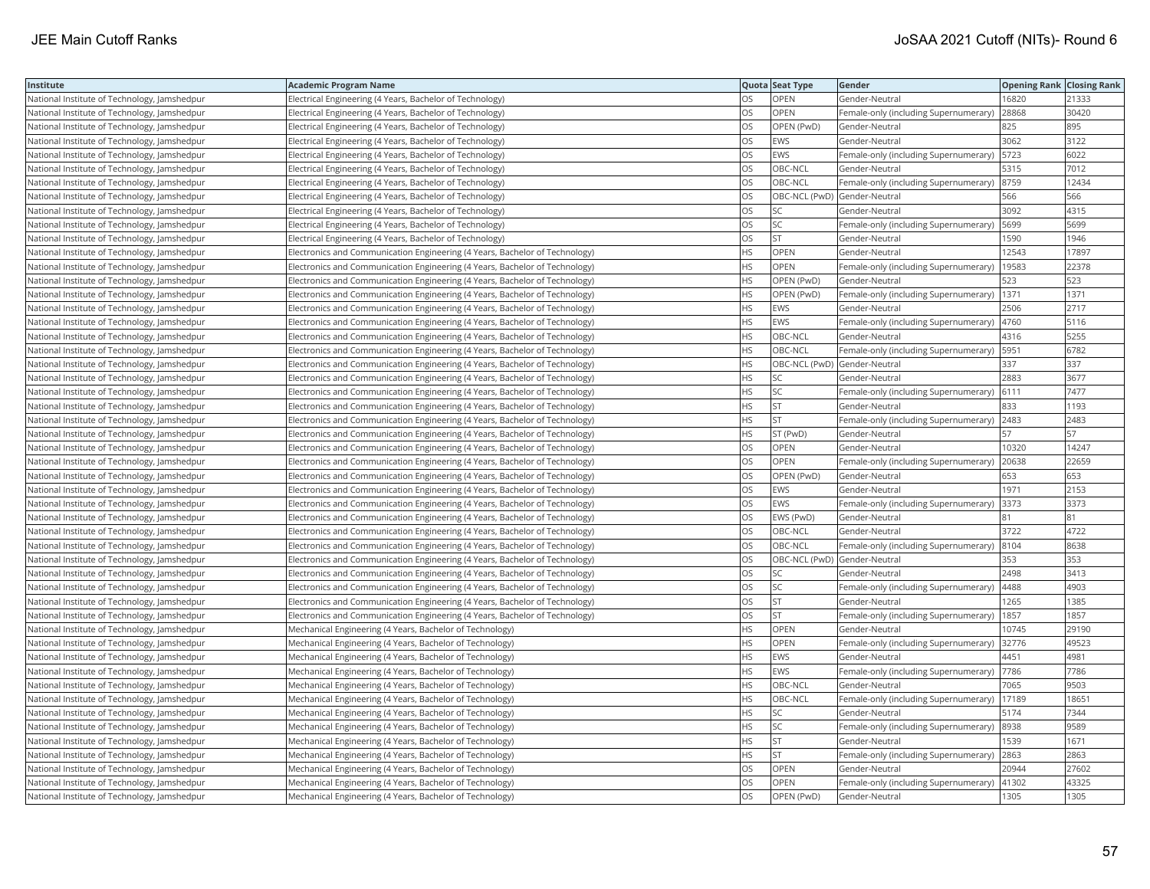| Institute                                    | <b>Academic Program Name</b>                                                |           | Quota Seat Type              | Gender                                       | <b>Opening Rank Closing Rank</b> |       |
|----------------------------------------------|-----------------------------------------------------------------------------|-----------|------------------------------|----------------------------------------------|----------------------------------|-------|
| National Institute of Technology, Jamshedpur | Electrical Engineering (4 Years, Bachelor of Technology)                    | OS        | OPEN                         | Gender-Neutral                               | 16820                            | 21333 |
| National Institute of Technology, Jamshedpur | Electrical Engineering (4 Years, Bachelor of Technology)                    | OS        | OPEN                         | Female-only (including Supernumerary)        | 28868                            | 30420 |
| National Institute of Technology, Jamshedpur | Electrical Engineering (4 Years, Bachelor of Technology)                    | OS        | OPEN (PwD)                   | Gender-Neutral                               | 825                              | 895   |
| National Institute of Technology, Jamshedpur | Electrical Engineering (4 Years, Bachelor of Technology)                    | OS        | <b>EWS</b>                   | Gender-Neutral                               | 3062                             | 3122  |
| National Institute of Technology, Jamshedpur | Electrical Engineering (4 Years, Bachelor of Technology)                    | OS        | <b>EWS</b>                   | Female-only (including Supernumerary)   5723 |                                  | 6022  |
| National Institute of Technology, Jamshedpur | Electrical Engineering (4 Years, Bachelor of Technology)                    | OS        | OBC-NCL                      | Gender-Neutral                               | 5315                             | 7012  |
| National Institute of Technology, Jamshedpur | Electrical Engineering (4 Years, Bachelor of Technology)                    | OS        | OBC-NCL                      | Female-only (including Supernumerary) 8759   |                                  | 12434 |
| National Institute of Technology, Jamshedpur | Electrical Engineering (4 Years, Bachelor of Technology)                    | OS        |                              | OBC-NCL (PwD) Gender-Neutral                 | 566                              | 566   |
| National Institute of Technology, Jamshedpur | Electrical Engineering (4 Years, Bachelor of Technology)                    | OS        | <b>SC</b>                    | Gender-Neutral                               | 3092                             | 4315  |
| National Institute of Technology, Jamshedpur | Electrical Engineering (4 Years, Bachelor of Technology)                    | OS        | SC                           | Female-only (including Supernumerary)        | 5699                             | 5699  |
| National Institute of Technology, Jamshedpur | Electrical Engineering (4 Years, Bachelor of Technology)                    | OS        | <b>ST</b>                    | Gender-Neutral                               | 1590                             | 1946  |
| National Institute of Technology, Jamshedpur | Electronics and Communication Engineering (4 Years, Bachelor of Technology) | <b>HS</b> | OPEN                         | Gender-Neutral                               | 12543                            | 17897 |
| National Institute of Technology, Jamshedpur | Electronics and Communication Engineering (4 Years, Bachelor of Technology) | HS        | OPEN                         | Female-only (including Supernumerary)        | 19583                            | 22378 |
| National Institute of Technology, Jamshedpur | Electronics and Communication Engineering (4 Years, Bachelor of Technology) | HS        | OPEN (PwD)                   | Gender-Neutral                               | 523                              | 523   |
| National Institute of Technology, Jamshedpur | Electronics and Communication Engineering (4 Years, Bachelor of Technology) | HS        | OPEN (PwD)                   | Female-only (including Supernumerary)   1371 |                                  | 1371  |
| National Institute of Technology, Jamshedpur | Electronics and Communication Engineering (4 Years, Bachelor of Technology) | ΗS        | EWS                          | Gender-Neutral                               | 2506                             | 2717  |
| National Institute of Technology, Jamshedpur | Electronics and Communication Engineering (4 Years, Bachelor of Technology) | HS        | <b>EWS</b>                   | Female-only (including Supernumerary)        | 4760                             | 5116  |
| National Institute of Technology, Jamshedpur | Electronics and Communication Engineering (4 Years, Bachelor of Technology) | HS        | OBC-NCL                      | Gender-Neutral                               | 4316                             | 5255  |
| National Institute of Technology, Jamshedpur | Electronics and Communication Engineering (4 Years, Bachelor of Technology) | <b>HS</b> | OBC-NCL                      | Female-only (including Supernumerary)        | 5951                             | 6782  |
| National Institute of Technology, Jamshedpur | Electronics and Communication Engineering (4 Years, Bachelor of Technology) | <b>HS</b> |                              | OBC-NCL (PwD) Gender-Neutral                 | 337                              | 337   |
| National Institute of Technology, Jamshedpur | Electronics and Communication Engineering (4 Years, Bachelor of Technology) | HS        | SC                           | Gender-Neutral                               | 2883                             | 3677  |
| National Institute of Technology, Jamshedpur | Electronics and Communication Engineering (4 Years, Bachelor of Technology) | HS        | SC                           | Female-only (including Supernumerary) 6111   |                                  | 7477  |
| National Institute of Technology, Jamshedpur | Electronics and Communication Engineering (4 Years, Bachelor of Technology) | ΗS        | <b>ST</b>                    | Gender-Neutral                               | 833                              | 1193  |
| National Institute of Technology, Jamshedpur | Electronics and Communication Engineering (4 Years, Bachelor of Technology) | HS        | <b>ST</b>                    | Female-only (including Supernumerary) 2483   |                                  | 2483  |
| National Institute of Technology, Jamshedpur | Electronics and Communication Engineering (4 Years, Bachelor of Technology) | ΗS        | ST (PwD)                     | Gender-Neutral                               | 57                               | 57    |
| National Institute of Technology, Jamshedpur | Electronics and Communication Engineering (4 Years, Bachelor of Technology) | OS        | OPEN                         | Gender-Neutral                               | 10320                            | 14247 |
| National Institute of Technology, Jamshedpur | Electronics and Communication Engineering (4 Years, Bachelor of Technology) | OS        | OPEN                         | Female-only (including Supernumerary)        | 20638                            | 22659 |
| National Institute of Technology, Jamshedpur | Electronics and Communication Engineering (4 Years, Bachelor of Technology) | OS        | OPEN (PwD)                   | Gender-Neutral                               | 653                              | 653   |
| National Institute of Technology, Jamshedpur | Electronics and Communication Engineering (4 Years, Bachelor of Technology) | OS        | <b>EWS</b>                   | Gender-Neutral                               | 1971                             | 2153  |
| National Institute of Technology, Jamshedpur | Electronics and Communication Engineering (4 Years, Bachelor of Technology) | OS        | <b>EWS</b>                   | Female-only (including Supernumerary) 3373   |                                  | 3373  |
| National Institute of Technology, Jamshedpur | Electronics and Communication Engineering (4 Years, Bachelor of Technology) | OS        | EWS (PwD)                    | Gender-Neutral                               | 81                               | 81    |
| National Institute of Technology, Jamshedpur | Electronics and Communication Engineering (4 Years, Bachelor of Technology) | OS        | OBC-NCL                      | Gender-Neutral                               | 3722                             | 4722  |
| National Institute of Technology, Jamshedpur | Electronics and Communication Engineering (4 Years, Bachelor of Technology) | OS        | OBC-NCL                      | Female-only (including Supernumerary) 8104   |                                  | 8638  |
| National Institute of Technology, Jamshedpur | Electronics and Communication Engineering (4 Years, Bachelor of Technology) | OS        | OBC-NCL (PwD) Gender-Neutral |                                              | 353                              | 353   |
| National Institute of Technology, Jamshedpur | Electronics and Communication Engineering (4 Years, Bachelor of Technology) | OS        | SC                           | Gender-Neutral                               | 2498                             | 3413  |
| National Institute of Technology, Jamshedpur | Electronics and Communication Engineering (4 Years, Bachelor of Technology) | OS        | <b>SC</b>                    | Female-only (including Supernumerary)        | 4488                             | 4903  |
| National Institute of Technology, Jamshedpur | Electronics and Communication Engineering (4 Years, Bachelor of Technology) | OS        | <b>ST</b>                    | Gender-Neutral                               | 1265                             | 1385  |
| National Institute of Technology, Jamshedpur | Electronics and Communication Engineering (4 Years, Bachelor of Technology) | OS        | <b>ST</b>                    | Female-only (including Supernumerary)        | 1857                             | 1857  |
| National Institute of Technology, Jamshedpur | Mechanical Engineering (4 Years, Bachelor of Technology)                    | ΗS        | OPEN                         | Gender-Neutral                               | 10745                            | 29190 |
| National Institute of Technology, Jamshedpur | Mechanical Engineering (4 Years, Bachelor of Technology)                    | <b>HS</b> | OPEN                         | Female-only (including Supernumerary)        | 32776                            | 49523 |
| National Institute of Technology, Jamshedpur | Mechanical Engineering (4 Years, Bachelor of Technology)                    | <b>HS</b> | EWS                          | Gender-Neutral                               | 4451                             | 4981  |
| National Institute of Technology, Jamshedpur | Mechanical Engineering (4 Years, Bachelor of Technology)                    | <b>HS</b> | <b>EWS</b>                   | Female-only (including Supernumerary)  7786  |                                  | 7786  |
| National Institute of Technology, Jamshedpur | Mechanical Engineering (4 Years, Bachelor of Technology)                    | HS        | OBC-NCL                      | Gender-Neutral                               | 7065                             | 9503  |
| National Institute of Technology, Jamshedpur | Mechanical Engineering (4 Years, Bachelor of Technology)                    | <b>HS</b> | OBC-NCL                      | Female-only (including Supernumerary)        | 17189                            | 1865  |
| National Institute of Technology, Jamshedpur | Mechanical Engineering (4 Years, Bachelor of Technology)                    | HS        | SC                           | Gender-Neutral                               | 5174                             | 7344  |
| National Institute of Technology, Jamshedpur | Mechanical Engineering (4 Years, Bachelor of Technology)                    | HS        | SC                           | Female-only (including Supernumerary) 8938   |                                  | 9589  |
| National Institute of Technology, Jamshedpur | Mechanical Engineering (4 Years, Bachelor of Technology)                    | HS        | <b>ST</b>                    | Gender-Neutral                               | 1539                             | 1671  |
| National Institute of Technology, Jamshedpur | Mechanical Engineering (4 Years, Bachelor of Technology)                    | ΗS        | <b>ST</b>                    | Female-only (including Supernumerary)        | 2863                             | 2863  |
| National Institute of Technology, Jamshedpur | Mechanical Engineering (4 Years, Bachelor of Technology)                    | OS        | OPEN                         | Gender-Neutral                               | 20944                            | 27602 |
| National Institute of Technology, Jamshedpur | Mechanical Engineering (4 Years, Bachelor of Technology)                    | OS        | OPEN                         | Female-only (including Supernumerary)        | 41302                            | 43325 |
| National Institute of Technology, Jamshedpur | Mechanical Engineering (4 Years, Bachelor of Technology)                    | <b>OS</b> | OPEN (PwD)                   | Gender-Neutral                               | 1305                             | 1305  |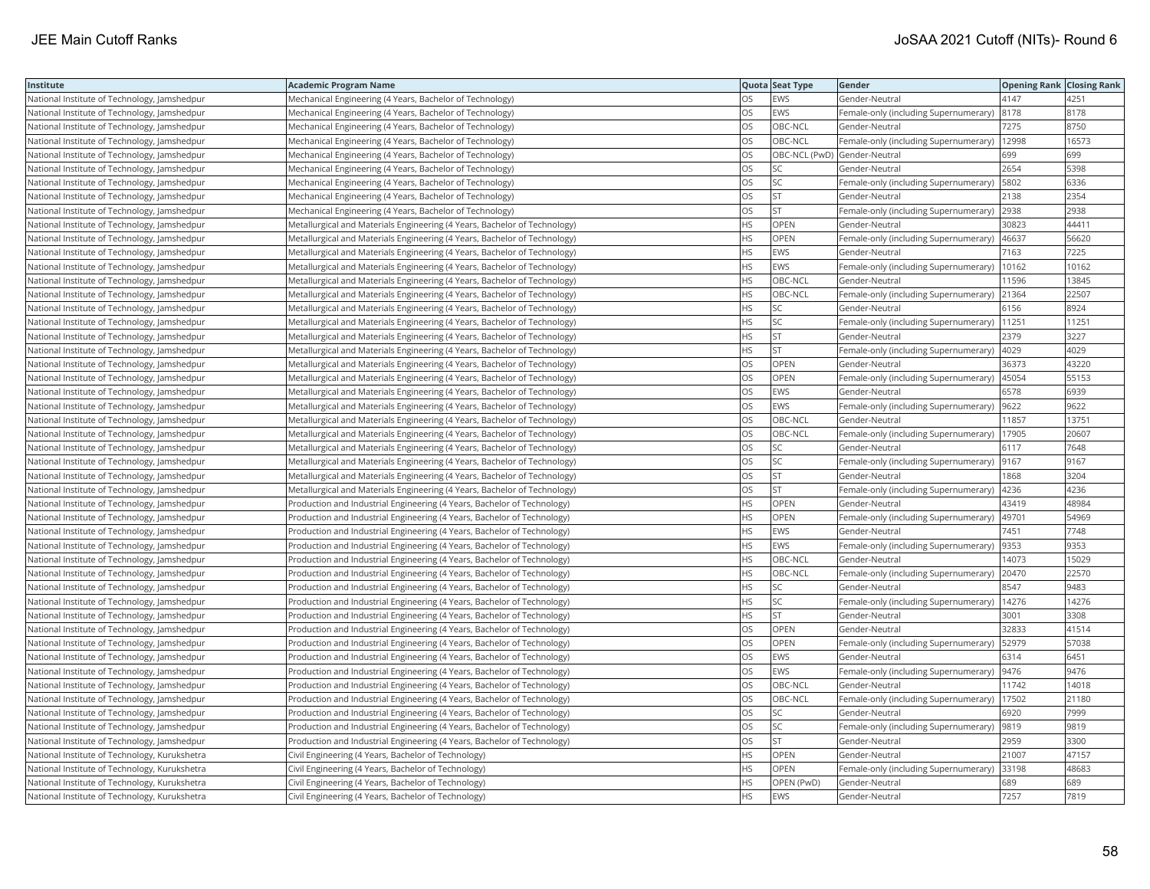| Institute                                     | Academic Program Name                                                     |           | Quota Seat Type              | Gender                                       | <b>Opening Rank Closing Rank</b> |       |
|-----------------------------------------------|---------------------------------------------------------------------------|-----------|------------------------------|----------------------------------------------|----------------------------------|-------|
| National Institute of Technology, Jamshedpur  | Mechanical Engineering (4 Years, Bachelor of Technology)                  | OS        | EWS                          | Gender-Neutral                               | 4147                             | 4251  |
| National Institute of Technology, Jamshedpur  | Mechanical Engineering (4 Years, Bachelor of Technology)                  | OS.       | <b>EWS</b>                   | Female-only (including Supernumerary)        | 8178                             | 8178  |
| National Institute of Technology, Jamshedpur  | Mechanical Engineering (4 Years, Bachelor of Technology)                  | OS        | OBC-NCL                      | Gender-Neutral                               | 7275                             | 8750  |
| National Institute of Technology, Jamshedpur  | Mechanical Engineering (4 Years, Bachelor of Technology)                  | OS        | OBC-NCL                      | Female-only (including Supernumerary)        | 12998                            | 16573 |
| National Institute of Technology, Jamshedpur  | Mechanical Engineering (4 Years, Bachelor of Technology)                  | OS.       | OBC-NCL (PwD) Gender-Neutral |                                              | 699                              | 699   |
| National Institute of Technology, Jamshedpur  | Mechanical Engineering (4 Years, Bachelor of Technology)                  | OS        | SC.                          | Gender-Neutral                               | 2654                             | 5398  |
| National Institute of Technology, Jamshedpur  | Mechanical Engineering (4 Years, Bachelor of Technology)                  | OS        | SC                           | Female-only (including Supernumerary)   5802 |                                  | 6336  |
| National Institute of Technology, Jamshedpur  | Mechanical Engineering (4 Years, Bachelor of Technology)                  | OS.       | <b>ST</b>                    | Gender-Neutral                               | 2138                             | 2354  |
| National Institute of Technology, Jamshedpur  | Mechanical Engineering (4 Years, Bachelor of Technology)                  | OS        | <b>ST</b>                    | Female-only (including Supernumerary)        | 2938                             | 2938  |
| National Institute of Technology, Jamshedpur  | Metallurgical and Materials Engineering (4 Years, Bachelor of Technology) | HS        | OPEN                         | Gender-Neutral                               | 30823                            | 44411 |
| National Institute of Technology, Jamshedpur  | Metallurgical and Materials Engineering (4 Years, Bachelor of Technology) | HS        | <b>OPEN</b>                  | Female-only (including Supernumerary)        | 46637                            | 56620 |
| National Institute of Technology, Jamshedpur  | Metallurgical and Materials Engineering (4 Years, Bachelor of Technology) | <b>HS</b> | EWS                          | Gender-Neutral                               | 7163                             | 7225  |
| National Institute of Technology, Jamshedpur  | Metallurgical and Materials Engineering (4 Years, Bachelor of Technology) | HS        | EWS                          | Female-only (including Supernumerary)        | 10162                            | 10162 |
| National Institute of Technology, Jamshedpur  | Metallurgical and Materials Engineering (4 Years, Bachelor of Technology) | HS        | OBC-NCL                      | Gender-Neutral                               | 11596                            | 13845 |
| National Institute of Technology, Jamshedpur  | Metallurgical and Materials Engineering (4 Years, Bachelor of Technology) | HS        | OBC-NCL                      | Female-only (including Supernumerary) 21364  |                                  | 22507 |
| National Institute of Technology, Jamshedpur  | Metallurgical and Materials Engineering (4 Years, Bachelor of Technology) | HS        | <b>SC</b>                    | Gender-Neutral                               | 6156                             | 8924  |
| National Institute of Technology, Jamshedpur  | Metallurgical and Materials Engineering (4 Years, Bachelor of Technology) | HS        | SC                           | Female-only (including Supernumerary)        | 11251                            | 11251 |
| National Institute of Technology, Jamshedpur  | Metallurgical and Materials Engineering (4 Years, Bachelor of Technology) | HS        | <b>ST</b>                    | Gender-Neutral                               | 2379                             | 3227  |
| National Institute of Technology, Jamshedpur  | Metallurgical and Materials Engineering (4 Years, Bachelor of Technology) | HS.       | <b>ST</b>                    | Female-only (including Supernumerary)        | 4029                             | 4029  |
| National Institute of Technology, Jamshedpur  | Metallurgical and Materials Engineering (4 Years, Bachelor of Technology) | <b>OS</b> | <b>OPEN</b>                  | Gender-Neutral                               | 36373                            | 43220 |
| National Institute of Technology, Jamshedpur  | Metallurgical and Materials Engineering (4 Years, Bachelor of Technology) | OS        | OPEN                         | Female-only (including Supernumerary)        | 45054                            | 55153 |
| National Institute of Technology, Jamshedpur  | Metallurgical and Materials Engineering (4 Years, Bachelor of Technology) | OS        | EWS                          | Gender-Neutral                               | 6578                             | 6939  |
| National Institute of Technology, Jamshedpur  | Metallurgical and Materials Engineering (4 Years, Bachelor of Technology) | OS        | EWS                          | Female-only (including Supernumerary)  9622  |                                  | 9622  |
| National Institute of Technology, Jamshedpur  | Metallurgical and Materials Engineering (4 Years, Bachelor of Technology) | OS        | OBC-NCL                      | Gender-Neutral                               | 11857                            | 13751 |
| National Institute of Technology, Jamshedpur  | Metallurgical and Materials Engineering (4 Years, Bachelor of Technology) | OS        | OBC-NCL                      | Female-only (including Supernumerary)        | 17905                            | 20607 |
| National Institute of Technology, Jamshedpur  | Metallurgical and Materials Engineering (4 Years, Bachelor of Technology) | OS        | SC                           | Gender-Neutral                               | 6117                             | 7648  |
| National Institute of Technology, Jamshedpur  | Metallurgical and Materials Engineering (4 Years, Bachelor of Technology) | OS        | SC                           | Female-only (including Supernumerary)        | 9167                             | 9167  |
| National Institute of Technology, Jamshedpur  | Metallurgical and Materials Engineering (4 Years, Bachelor of Technology) | OS.       | <b>ST</b>                    | Gender-Neutral                               | 1868                             | 3204  |
| National Institute of Technology, Jamshedpur  | Metallurgical and Materials Engineering (4 Years, Bachelor of Technology) | OS        | <b>ST</b>                    | Female-only (including Supernumerary)        | 4236                             | 4236  |
| National Institute of Technology, Jamshedpur  | Production and Industrial Engineering (4 Years, Bachelor of Technology)   | HS.       | OPEN                         | Gender-Neutral                               | 43419                            | 48984 |
| National Institute of Technology, Jamshedpur  | Production and Industrial Engineering (4 Years, Bachelor of Technology)   | HS.       | OPEN                         | Female-only (including Supernumerary)  49701 |                                  | 54969 |
| National Institute of Technology, Jamshedpur  | Production and Industrial Engineering (4 Years, Bachelor of Technology)   | HS        | EWS                          | Gender-Neutral                               | 7451                             | 7748  |
| National Institute of Technology, Jamshedpur  | Production and Industrial Engineering (4 Years, Bachelor of Technology)   | HS.       | EWS                          | Female-only (including Supernumerary)        | 9353                             | 9353  |
| National Institute of Technology, Jamshedpur  | Production and Industrial Engineering (4 Years, Bachelor of Technology)   | HS        | OBC-NCL                      | Gender-Neutral                               | 14073                            | 15029 |
| National Institute of Technology, Jamshedpur  | Production and Industrial Engineering (4 Years, Bachelor of Technology)   | HS.       | OBC-NCL                      | Female-only (including Supernumerary)        | 20470                            | 22570 |
| National Institute of Technology, Jamshedpur  | Production and Industrial Engineering (4 Years, Bachelor of Technology)   | <b>HS</b> | <b>SC</b>                    | Gender-Neutral                               | 8547                             | 9483  |
| National Institute of Technology, Jamshedpur  | Production and Industrial Engineering (4 Years, Bachelor of Technology)   | HS        | SC                           | Female-only (including Supernumerary)        | 14276                            | 14276 |
| National Institute of Technology, Jamshedpur  | Production and Industrial Engineering (4 Years, Bachelor of Technology)   | HS        | <b>ST</b>                    | Gender-Neutral                               | 3001                             | 3308  |
| National Institute of Technology, Jamshedpur  | Production and Industrial Engineering (4 Years, Bachelor of Technology)   | OS        | OPEN                         | Gender-Neutral                               | 32833                            | 41514 |
| National Institute of Technology, Jamshedpur  | Production and Industrial Engineering (4 Years, Bachelor of Technology)   | <b>OS</b> | OPEN                         | Female-only (including Supernumerary)        | 52979                            | 57038 |
| National Institute of Technology, Jamshedpur  | Production and Industrial Engineering (4 Years, Bachelor of Technology)   | OS        | <b>EWS</b>                   | Gender-Neutral                               | 6314                             | 6451  |
| National Institute of Technology, Jamshedpur  | Production and Industrial Engineering (4 Years, Bachelor of Technology)   | OS        | EWS                          | Female-only (including Supernumerary)  9476  |                                  | 9476  |
| National Institute of Technology, Jamshedpur  | Production and Industrial Engineering (4 Years, Bachelor of Technology)   | OS        | OBC-NCL                      | Gender-Neutral                               | 11742                            | 14018 |
| National Institute of Technology, Jamshedpur  | Production and Industrial Engineering (4 Years, Bachelor of Technology)   | OS.       | OBC-NCL                      | Female-only (including Supernumerary)        | 17502                            | 21180 |
| National Institute of Technology, Jamshedpur  | Production and Industrial Engineering (4 Years, Bachelor of Technology)   | OS        | SC                           | Gender-Neutral                               | 6920                             | 7999  |
| National Institute of Technology, Jamshedpur  | Production and Industrial Engineering (4 Years, Bachelor of Technology)   | OS        | SC                           | Female-only (including Supernumerary)  9819  |                                  | 9819  |
| National Institute of Technology, Jamshedpur  | Production and Industrial Engineering (4 Years, Bachelor of Technology)   | OS.       | <b>ST</b>                    | Gender-Neutral                               | 2959                             | 3300  |
| National Institute of Technology, Kurukshetra | Civil Engineering (4 Years, Bachelor of Technology)                       | HS        | <b>OPEN</b>                  | Gender-Neutral                               | 21007                            | 47157 |
| National Institute of Technology, Kurukshetra | Civil Engineering (4 Years, Bachelor of Technology)                       | HS        | OPEN                         | Female-only (including Supernumerary)        | 33198                            | 48683 |
| National Institute of Technology, Kurukshetra | Civil Engineering (4 Years, Bachelor of Technology)                       | <b>HS</b> | OPEN (PwD)                   | Gender-Neutral                               | 689                              | 689   |
| National Institute of Technology, Kurukshetra | Civil Engineering (4 Years, Bachelor of Technology)                       | <b>HS</b> | <b>EWS</b>                   | Gender-Neutral                               | 7257                             | 7819  |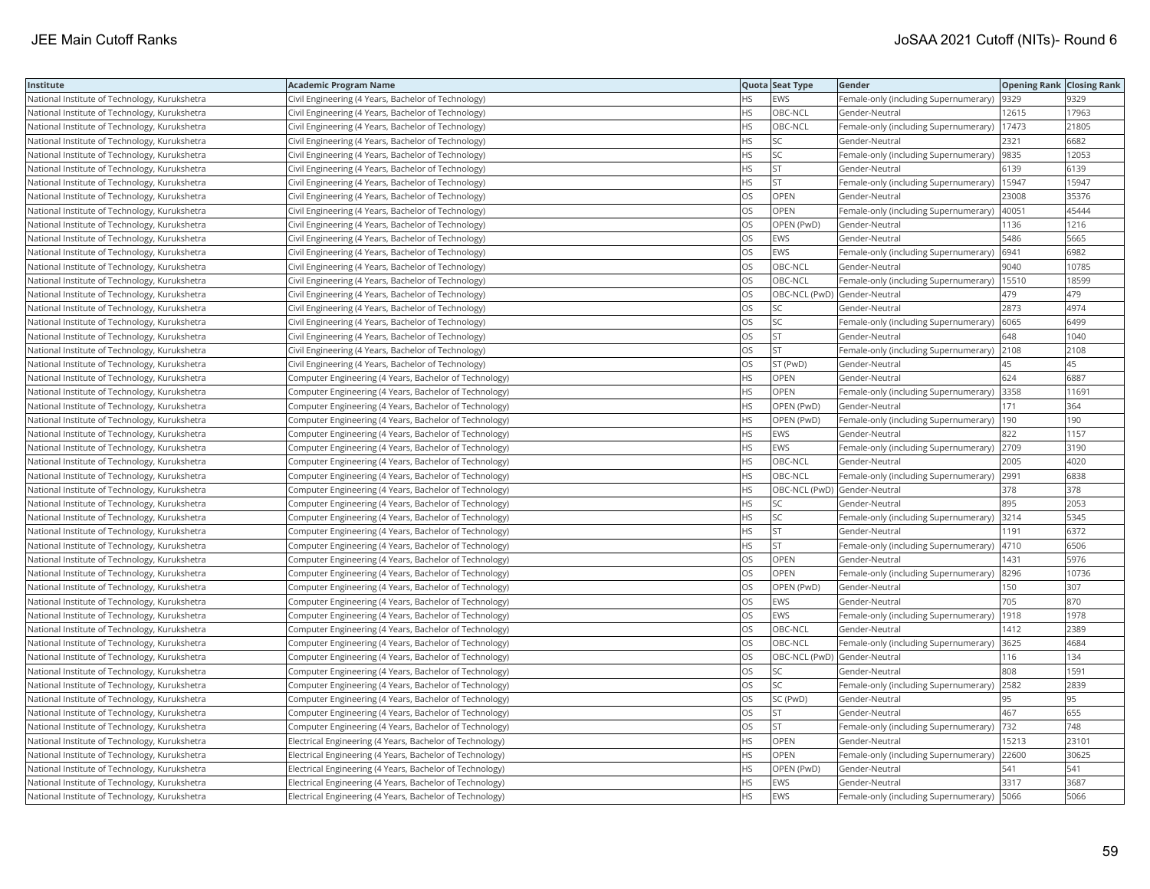| Institute                                     | Academic Program Name                                    |           | Quota Seat Type              | Gender                                        | <b>Opening Rank Closing Rank</b> |       |
|-----------------------------------------------|----------------------------------------------------------|-----------|------------------------------|-----------------------------------------------|----------------------------------|-------|
| National Institute of Technology, Kurukshetra | Civil Engineering (4 Years, Bachelor of Technology)      | НS        | EWS                          | Female-only (including Supernumerary)         | 9329                             | 9329  |
| National Institute of Technology, Kurukshetra | Civil Engineering (4 Years, Bachelor of Technology)      | HS.       | OBC-NCL                      | Gender-Neutral                                | 12615                            | 17963 |
| National Institute of Technology, Kurukshetra | Civil Engineering (4 Years, Bachelor of Technology)      | HS        | OBC-NCL                      | Female-only (including Supernumerary)         | 17473                            | 21805 |
| National Institute of Technology, Kurukshetra | Civil Engineering (4 Years, Bachelor of Technology)      | HS        | SC                           | Gender-Neutral                                | 2321                             | 6682  |
| National Institute of Technology, Kurukshetra | Civil Engineering (4 Years, Bachelor of Technology)      | HS.       | <b>SC</b>                    | Female-only (including Supernumerary)         | 9835                             | 12053 |
| National Institute of Technology, Kurukshetra | Civil Engineering (4 Years, Bachelor of Technology)      | HS        | <b>ST</b>                    | Gender-Neutral                                | 6139                             | 6139  |
| National Institute of Technology, Kurukshetra | Civil Engineering (4 Years, Bachelor of Technology)      | HS        | <b>ST</b>                    | Female-only (including Supernumerary)         | 15947                            | 15947 |
| National Institute of Technology, Kurukshetra | Civil Engineering (4 Years, Bachelor of Technology)      | OS.       | <b>OPEN</b>                  | Gender-Neutral                                | 23008                            | 35376 |
| National Institute of Technology, Kurukshetra | Civil Engineering (4 Years, Bachelor of Technology)      | OS        | OPEN                         | Female-only (including Supernumerary)         | 40051                            | 45444 |
| National Institute of Technology, Kurukshetra | Civil Engineering (4 Years, Bachelor of Technology)      | OS        | OPEN (PwD)                   | Gender-Neutral                                | 1136                             | 1216  |
| National Institute of Technology, Kurukshetra | Civil Engineering (4 Years, Bachelor of Technology)      | OS        | EWS                          | Gender-Neutral                                | 5486                             | 5665  |
| National Institute of Technology, Kurukshetra | Civil Engineering (4 Years, Bachelor of Technology)      | <b>OS</b> | <b>EWS</b>                   | Female-only (including Supernumerary)   6941  |                                  | 6982  |
| National Institute of Technology, Kurukshetra | Civil Engineering (4 Years, Bachelor of Technology)      | OS        | OBC-NCL                      | Gender-Neutral                                | 9040                             | 10785 |
| National Institute of Technology, Kurukshetra | Civil Engineering (4 Years, Bachelor of Technology)      | OS        | OBC-NCL                      | Female-only (including Supernumerary)   15510 |                                  | 18599 |
| National Institute of Technology, Kurukshetra | Civil Engineering (4 Years, Bachelor of Technology)      | OS        | OBC-NCL (PwD) Gender-Neutral |                                               | 479                              | 479   |
| National Institute of Technology, Kurukshetra | Civil Engineering (4 Years, Bachelor of Technology)      | OS        | <b>SC</b>                    | Gender-Neutral                                | 2873                             | 4974  |
| National Institute of Technology, Kurukshetra | Civil Engineering (4 Years, Bachelor of Technology)      | OS        | SC                           | Female-only (including Supernumerary)         | 6065                             | 6499  |
| National Institute of Technology, Kurukshetra | Civil Engineering (4 Years, Bachelor of Technology)      | OS        | <b>ST</b>                    | Gender-Neutral                                | 648                              | 1040  |
| National Institute of Technology, Kurukshetra | Civil Engineering (4 Years, Bachelor of Technology)      | OS.       | <b>ST</b>                    | Female-only (including Supernumerary)         | 2108                             | 2108  |
| National Institute of Technology, Kurukshetra | Civil Engineering (4 Years, Bachelor of Technology)      | <b>OS</b> | ST (PwD)                     | Gender-Neutral                                | 45                               | 45    |
| National Institute of Technology, Kurukshetra | Computer Engineering (4 Years, Bachelor of Technology)   | HS        | OPEN                         | Gender-Neutral                                | 624                              | 6887  |
| National Institute of Technology, Kurukshetra | (Computer Engineering (4 Years, Bachelor of Technology)  | HS.       | OPEN                         | Female-only (including Supernumerary)  3358   |                                  | 11691 |
| National Institute of Technology, Kurukshetra | Computer Engineering (4 Years, Bachelor of Technology)   | HS        | OPEN (PwD)                   | Gender-Neutral                                | 171                              | 364   |
| National Institute of Technology, Kurukshetra | Computer Engineering (4 Years, Bachelor of Technology)   | HS        | OPEN (PwD)                   | Female-only (including Supernumerary)         | 190                              | 190   |
| National Institute of Technology, Kurukshetra | Computer Engineering (4 Years, Bachelor of Technology)   | HS        | EWS                          | Gender-Neutral                                | 822                              | 1157  |
| National Institute of Technology, Kurukshetra | Computer Engineering (4 Years, Bachelor of Technology)   | HS        | <b>EWS</b>                   | Female-only (including Supernumerary) 2709    |                                  | 3190  |
| National Institute of Technology, Kurukshetra | Computer Engineering (4 Years, Bachelor of Technology)   | HS.       | OBC-NCL                      | Gender-Neutral                                | 2005                             | 4020  |
| National Institute of Technology, Kurukshetra | Computer Engineering (4 Years, Bachelor of Technology)   | <b>HS</b> | OBC-NCL                      | Female-only (including Supernumerary) 2991    |                                  | 6838  |
| National Institute of Technology, Kurukshetra | Computer Engineering (4 Years, Bachelor of Technology)   | HS        | OBC-NCL (PwD) Gender-Neutral |                                               | 378                              | 378   |
| National Institute of Technology, Kurukshetra | Computer Engineering (4 Years, Bachelor of Technology)   | HS.       | SC                           | Gender-Neutral                                | 895                              | 2053  |
| National Institute of Technology, Kurukshetra | Computer Engineering (4 Years, Bachelor of Technology)   | HS        | SC                           | Female-only (including Supernumerary) 3214    |                                  | 5345  |
| National Institute of Technology, Kurukshetra | Computer Engineering (4 Years, Bachelor of Technology)   | HS        | <b>ST</b>                    | Gender-Neutral                                | 1191                             | 6372  |
| National Institute of Technology, Kurukshetra | Computer Engineering (4 Years, Bachelor of Technology)   | HS.       | <b>ST</b>                    | Female-only (including Supernumerary)         | 4710                             | 6506  |
| National Institute of Technology, Kurukshetra | Computer Engineering (4 Years, Bachelor of Technology)   | OS        | OPEN                         | Gender-Neutral                                | 1431                             | 5976  |
| National Institute of Technology, Kurukshetra | Computer Engineering (4 Years, Bachelor of Technology)   | OS        | OPEN                         | Female-only (including Supernumerary)         | 8296                             | 10736 |
| National Institute of Technology, Kurukshetra | Computer Engineering (4 Years, Bachelor of Technology)   | OS.       | OPEN (PwD)                   | Gender-Neutral                                | 150                              | 307   |
| National Institute of Technology, Kurukshetra | Computer Engineering (4 Years, Bachelor of Technology)   | OS        | EWS                          | Gender-Neutral                                | 705                              | 870   |
| National Institute of Technology, Kurukshetra | Computer Engineering (4 Years, Bachelor of Technology)   | OS        | <b>EWS</b>                   | Female-only (including Supernumerary)  1918   |                                  | 1978  |
| National Institute of Technology, Kurukshetra | Computer Engineering (4 Years, Bachelor of Technology)   | OS        | OBC-NCL                      | Gender-Neutral                                | 1412                             | 2389  |
| National Institute of Technology, Kurukshetra | Computer Engineering (4 Years, Bachelor of Technology)   | <b>OS</b> | OBC-NCL                      | Female-only (including Supernumerary) 3625    |                                  | 4684  |
| National Institute of Technology, Kurukshetra | Computer Engineering (4 Years, Bachelor of Technology)   | OS.       | OBC-NCL (PwD) Gender-Neutral |                                               | 116                              | 134   |
| National Institute of Technology, Kurukshetra | Computer Engineering (4 Years, Bachelor of Technology)   | OS        | SC                           | Gender-Neutral                                | 808                              | 1591  |
| National Institute of Technology, Kurukshetra | Computer Engineering (4 Years, Bachelor of Technology)   | OS        | SC                           | Female-only (including Supernumerary)         | 2582                             | 2839  |
| National Institute of Technology, Kurukshetra | Computer Engineering (4 Years, Bachelor of Technology)   | OS.       | SC (PwD)                     | Gender-Neutral                                | 95                               | 95    |
| National Institute of Technology, Kurukshetra | Computer Engineering (4 Years, Bachelor of Technology)   | OS        | <b>ST</b>                    | Gender-Neutral                                | 467                              | 655   |
| National Institute of Technology, Kurukshetra | Computer Engineering (4 Years, Bachelor of Technology)   | OS        | <b>ST</b>                    | Female-only (including Supernumerary)         | 732                              | 748   |
| National Institute of Technology, Kurukshetra | Electrical Engineering (4 Years, Bachelor of Technology) | HS        | OPEN                         | Gender-Neutral                                | 15213                            | 23101 |
| National Institute of Technology, Kurukshetra | Electrical Engineering (4 Years, Bachelor of Technology) | HS        | <b>OPEN</b>                  | Female-only (including Supernumerary)         | 22600                            | 30625 |
| National Institute of Technology, Kurukshetra | Electrical Engineering (4 Years, Bachelor of Technology) | HS        | OPEN (PwD)                   | Gender-Neutral                                | 541                              | 541   |
| National Institute of Technology, Kurukshetra | Electrical Engineering (4 Years, Bachelor of Technology) | <b>HS</b> | EWS                          | Gender-Neutral                                | 3317                             | 3687  |
| National Institute of Technology, Kurukshetra | Electrical Engineering (4 Years, Bachelor of Technology) | <b>HS</b> | <b>EWS</b>                   | Female-only (including Supernumerary)   5066  |                                  | 5066  |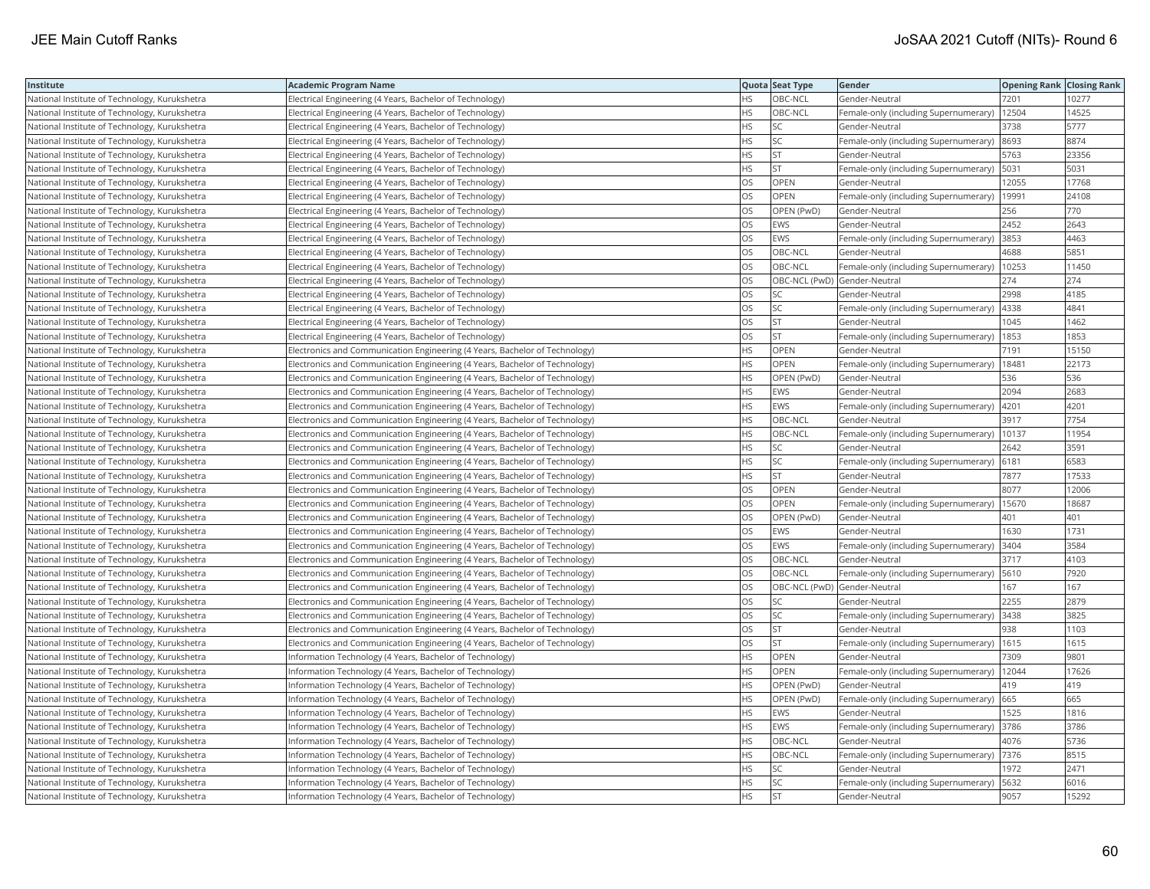| Institute                                     | Academic Program Name                                                       |           | Quota Seat Type              | Gender                                       | <b>Opening Rank Closing Rank</b> |       |
|-----------------------------------------------|-----------------------------------------------------------------------------|-----------|------------------------------|----------------------------------------------|----------------------------------|-------|
| National Institute of Technology, Kurukshetra | Electrical Engineering (4 Years, Bachelor of Technology)                    | НS        | OBC-NCL                      | Gender-Neutral                               | 7201                             | 10277 |
| National Institute of Technology, Kurukshetra | Electrical Engineering (4 Years, Bachelor of Technology)                    | <b>HS</b> | OBC-NCL                      | Female-only (including Supernumerary)        | 12504                            | 14525 |
| National Institute of Technology, Kurukshetra | Electrical Engineering (4 Years, Bachelor of Technology)                    | <b>HS</b> | <b>SC</b>                    | Gender-Neutral                               | 3738                             | 5777  |
| National Institute of Technology, Kurukshetra | Electrical Engineering (4 Years, Bachelor of Technology)                    | HS        | SC                           | Female-only (including Supernumerary)        | 8693                             | 8874  |
| National Institute of Technology, Kurukshetra | Electrical Engineering (4 Years, Bachelor of Technology)                    | HS        | <b>ST</b>                    | Gender-Neutral                               | 5763                             | 23356 |
| National Institute of Technology, Kurukshetra | Electrical Engineering (4 Years, Bachelor of Technology)                    | HS        | <b>ST</b>                    | Female-only (including Supernumerary)   5031 |                                  | 5031  |
| National Institute of Technology, Kurukshetra | Electrical Engineering (4 Years, Bachelor of Technology)                    | OS        | OPEN                         | Gender-Neutral                               | 12055                            | 17768 |
| National Institute of Technology, Kurukshetra | Electrical Engineering (4 Years, Bachelor of Technology)                    | OS        | OPEN                         | Female-only (including Supernumerary)        | 19991                            | 24108 |
| National Institute of Technology, Kurukshetra | Electrical Engineering (4 Years, Bachelor of Technology)                    | OS        | OPEN (PwD)                   | Gender-Neutral                               | 256                              | 770   |
| National Institute of Technology, Kurukshetra | Electrical Engineering (4 Years, Bachelor of Technology)                    | OS        | EWS                          | Gender-Neutral                               | 2452                             | 2643  |
| National Institute of Technology, Kurukshetra | Electrical Engineering (4 Years, Bachelor of Technology)                    | OS.       | <b>EWS</b>                   | Female-only (including Supernumerary)        | 3853                             | 4463  |
| National Institute of Technology, Kurukshetra | Electrical Engineering (4 Years, Bachelor of Technology)                    | OS        | OBC-NCL                      | Gender-Neutral                               | 4688                             | 5851  |
| National Institute of Technology, Kurukshetra | Electrical Engineering (4 Years, Bachelor of Technology)                    | OS.       | OBC-NCL                      | Female-only (including Supernumerary)        | 10253                            | 11450 |
| National Institute of Technology, Kurukshetra | Electrical Engineering (4 Years, Bachelor of Technology)                    | OS        | OBC-NCL (PwD) Gender-Neutral |                                              | 274                              | 274   |
| National Institute of Technology, Kurukshetra | Electrical Engineering (4 Years, Bachelor of Technology)                    | OS        | SC                           | Gender-Neutral                               | 2998                             | 4185  |
| National Institute of Technology, Kurukshetra | Electrical Engineering (4 Years, Bachelor of Technology)                    | OS.       | <b>SC</b>                    | Female-only (including Supernumerary)        | 4338                             | 4841  |
| National Institute of Technology, Kurukshetra | Electrical Engineering (4 Years, Bachelor of Technology)                    | OS        | <b>ST</b>                    | Gender-Neutral                               | 1045                             | 1462  |
| National Institute of Technology, Kurukshetra | Electrical Engineering (4 Years, Bachelor of Technology)                    | OS        | <b>ST</b>                    | Female-only (including Supernumerary)        | 1853                             | 1853  |
| National Institute of Technology, Kurukshetra | Electronics and Communication Engineering (4 Years, Bachelor of Technology) | <b>HS</b> | <b>OPEN</b>                  | Gender-Neutral                               | 7191                             | 15150 |
| National Institute of Technology, Kurukshetra | Electronics and Communication Engineering (4 Years, Bachelor of Technology) | HS.       | OPEN                         | Female-only (including Supernumerary)        | 18481                            | 22173 |
| National Institute of Technology, Kurukshetra | Electronics and Communication Engineering (4 Years, Bachelor of Technology) | HS.       | OPEN (PwD)                   | Gender-Neutral                               | 536                              | 536   |
| National Institute of Technology, Kurukshetra | Electronics and Communication Engineering (4 Years, Bachelor of Technology) | HS.       | EWS                          | Gender-Neutral                               | 2094                             | 2683  |
| National Institute of Technology, Kurukshetra | Electronics and Communication Engineering (4 Years, Bachelor of Technology) | HS        | <b>EWS</b>                   | Female-only (including Supernumerary)        | 4201                             | 4201  |
| National Institute of Technology, Kurukshetra | Electronics and Communication Engineering (4 Years, Bachelor of Technology) | HS        | OBC-NCL                      | Gender-Neutral                               | 3917                             | 7754  |
| National Institute of Technology, Kurukshetra | Electronics and Communication Engineering (4 Years, Bachelor of Technology) | HS.       | OBC-NCL                      | Female-only (including Supernumerary)        | 10137                            | 11954 |
| National Institute of Technology, Kurukshetra | Electronics and Communication Engineering (4 Years, Bachelor of Technology) | HS        | SC                           | Gender-Neutral                               | 2642                             | 3591  |
| National Institute of Technology, Kurukshetra | Electronics and Communication Engineering (4 Years, Bachelor of Technology) | HS.       | <b>SC</b>                    | Female-only (including Supernumerary)        | 6181                             | 6583  |
| National Institute of Technology, Kurukshetra | Electronics and Communication Engineering (4 Years, Bachelor of Technology) | HS        | <b>ST</b>                    | Gender-Neutral                               | 7877                             | 17533 |
| National Institute of Technology, Kurukshetra | Electronics and Communication Engineering (4 Years, Bachelor of Technology) | OS        | OPEN                         | Gender-Neutral                               | 8077                             | 12006 |
| National Institute of Technology, Kurukshetra | Electronics and Communication Engineering (4 Years, Bachelor of Technology) | OS        | OPEN                         | Female-only (including Supernumerary)        | 15670                            | 18687 |
| National Institute of Technology, Kurukshetra | Electronics and Communication Engineering (4 Years, Bachelor of Technology) | OS        | OPEN (PwD)                   | Gender-Neutral                               | 401                              | 401   |
| National Institute of Technology, Kurukshetra | Electronics and Communication Engineering (4 Years, Bachelor of Technology) | OS        | EWS                          | Gender-Neutral                               | 1630                             | 1731  |
| National Institute of Technology, Kurukshetra | Electronics and Communication Engineering (4 Years, Bachelor of Technology) | OS        | <b>EWS</b>                   | Female-only (including Supernumerary)        | 3404                             | 3584  |
| National Institute of Technology, Kurukshetra | Electronics and Communication Engineering (4 Years, Bachelor of Technology) | OS        | OBC-NCL                      | Gender-Neutral                               | 3717                             | 4103  |
| National Institute of Technology, Kurukshetra | Electronics and Communication Engineering (4 Years, Bachelor of Technology) | OS        | OBC-NCL                      | Female-only (including Supernumerary)        | 5610                             | 7920  |
| National Institute of Technology, Kurukshetra | Electronics and Communication Engineering (4 Years, Bachelor of Technology) | OS        | OBC-NCL (PwD) Gender-Neutral |                                              | 167                              | 167   |
| National Institute of Technology, Kurukshetra | Electronics and Communication Engineering (4 Years, Bachelor of Technology) | OS        | SC                           | Gender-Neutral                               | 2255                             | 2879  |
| National Institute of Technology, Kurukshetra | Electronics and Communication Engineering (4 Years, Bachelor of Technology) | OS        | SC                           | Female-only (including Supernumerary) 3438   |                                  | 3825  |
| National Institute of Technology, Kurukshetra | Electronics and Communication Engineering (4 Years, Bachelor of Technology) | OS.       | <b>ST</b>                    | Gender-Neutral                               | 938                              | 1103  |
| National Institute of Technology, Kurukshetra | Electronics and Communication Engineering (4 Years, Bachelor of Technology) | OS        | <b>ST</b>                    | Female-only (including Supernumerary)        | 1615                             | 1615  |
| National Institute of Technology, Kurukshetra | Information Technology (4 Years, Bachelor of Technology)                    | <b>HS</b> | OPEN                         | Gender-Neutral                               | 7309                             | 9801  |
| National Institute of Technology, Kurukshetra | Information Technology (4 Years, Bachelor of Technology)                    | HS        | <b>OPEN</b>                  | Female-only (including Supernumerary)        | 12044                            | 17626 |
| National Institute of Technology, Kurukshetra | Information Technology (4 Years, Bachelor of Technology)                    | HS        | OPEN (PwD)                   | Gender-Neutral                               | 419                              | 419   |
| National Institute of Technology, Kurukshetra | Information Technology (4 Years, Bachelor of Technology)                    | HS        | OPEN (PwD)                   | Female-only (including Supernumerary)        | 665                              | 665   |
| National Institute of Technology, Kurukshetra | Information Technology (4 Years, Bachelor of Technology)                    | HS        | EWS                          | Gender-Neutral                               | 1525                             | 1816  |
| National Institute of Technology, Kurukshetra | Information Technology (4 Years, Bachelor of Technology)                    | HS        | EWS                          | Female-only (including Supernumerary)        | 3786                             | 3786  |
| National Institute of Technology, Kurukshetra | Information Technology (4 Years, Bachelor of Technology)                    | <b>HS</b> | OBC-NCL                      | Gender-Neutral                               | 4076                             | 5736  |
| National Institute of Technology, Kurukshetra | Information Technology (4 Years, Bachelor of Technology)                    | HS        | OBC-NCL                      | Female-only (including Supernumerary)        | 7376                             | 8515  |
| National Institute of Technology, Kurukshetra | Information Technology (4 Years, Bachelor of Technology)                    | HS        | SC                           | Gender-Neutral                               | 1972                             | 2471  |
| National Institute of Technology, Kurukshetra | Information Technology (4 Years, Bachelor of Technology)                    | HS        | <b>SC</b>                    | Female-only (including Supernumerary)        | 5632                             | 6016  |
| National Institute of Technology, Kurukshetra | Information Technology (4 Years, Bachelor of Technology)                    | <b>HS</b> | İst                          | Gender-Neutral                               | 9057                             | 15292 |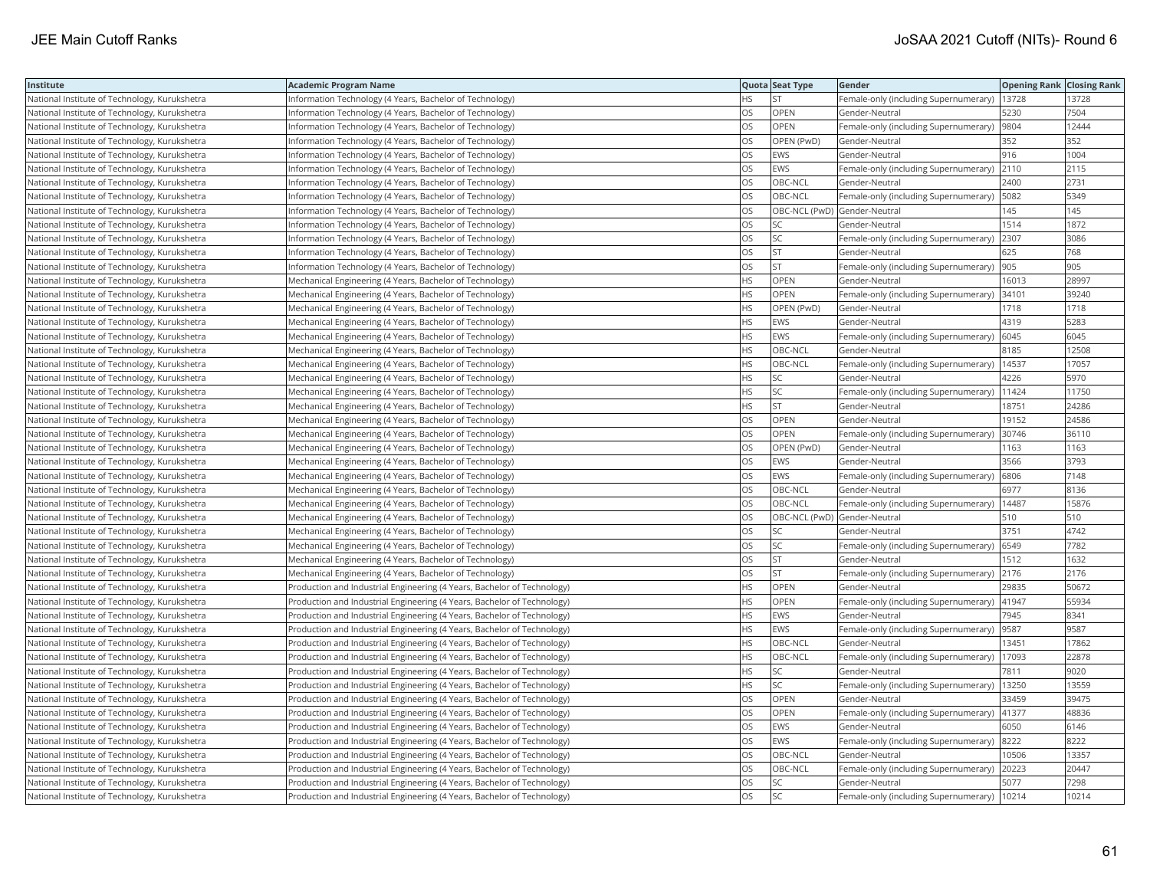| Institute                                     | Academic Program Name                                                   |           | Quota Seat Type | <b>Gender</b>                                 | <b>Opening Rank Closing Rank</b> |       |
|-----------------------------------------------|-------------------------------------------------------------------------|-----------|-----------------|-----------------------------------------------|----------------------------------|-------|
| National Institute of Technology, Kurukshetra | Information Technology (4 Years, Bachelor of Technology)                | HS        | <b>ST</b>       | Female-only (including Supernumerary)         | 13728                            | 13728 |
| National Institute of Technology, Kurukshetra | Information Technology (4 Years, Bachelor of Technology)                | OS.       | OPEN            | Gender-Neutral                                | 5230                             | 7504  |
| National Institute of Technology, Kurukshetra | Information Technology (4 Years, Bachelor of Technology)                | OS        | <b>OPEN</b>     | Female-only (including Supernumerary)         | 9804                             | 12444 |
| National Institute of Technology, Kurukshetra | Information Technology (4 Years, Bachelor of Technology)                | OS        | OPEN (PwD)      | Gender-Neutral                                | 352                              | 352   |
| National Institute of Technology, Kurukshetra | Information Technology (4 Years, Bachelor of Technology)                | OS.       | <b>EWS</b>      | Gender-Neutral                                | 1916                             | 1004  |
| National Institute of Technology, Kurukshetra | Information Technology (4 Years, Bachelor of Technology)                | OS        | EWS             | Female-only (including Supernumerary) 2110    |                                  | 2115  |
| National Institute of Technology, Kurukshetra | Information Technology (4 Years, Bachelor of Technology)                | OS        | OBC-NCL         | Gender-Neutral                                | 2400                             | 2731  |
| National Institute of Technology, Kurukshetra | Information Technology (4 Years, Bachelor of Technology)                | OS.       | OBC-NCL         | Female-only (including Supernumerary)   5082  |                                  | 5349  |
| National Institute of Technology, Kurukshetra | Information Technology (4 Years, Bachelor of Technology)                | OS        |                 | OBC-NCL (PwD) Gender-Neutral                  | 145                              | 145   |
| National Institute of Technology, Kurukshetra | Information Technology (4 Years, Bachelor of Technology)                | OS        | SC              | Gender-Neutral                                | 1514                             | 1872  |
| National Institute of Technology, Kurukshetra | Information Technology (4 Years, Bachelor of Technology)                | OS        | SC              | Female-only (including Supernumerary)         | 2307                             | 3086  |
| National Institute of Technology, Kurukshetra | Information Technology (4 Years, Bachelor of Technology)                | OS.       | <b>ST</b>       | Gender-Neutral                                | 625                              | 768   |
| National Institute of Technology, Kurukshetra | Information Technology (4 Years, Bachelor of Technology)                | OS        | <b>ST</b>       | Female-only (including Supernumerary)         | 905                              | 905   |
| National Institute of Technology, Kurukshetra | Mechanical Engineering (4 Years, Bachelor of Technology)                | HS.       | OPEN            | Gender-Neutral                                | 16013                            | 28997 |
| National Institute of Technology, Kurukshetra | Mechanical Engineering (4 Years, Bachelor of Technology)                | HS.       | OPEN            | Female-only (including Supernumerary) 34101   |                                  | 39240 |
| National Institute of Technology, Kurukshetra | Mechanical Engineering (4 Years, Bachelor of Technology)                | ΗS        | OPEN (PwD)      | Gender-Neutral                                | 1718                             | 1718  |
| National Institute of Technology, Kurukshetra | Mechanical Engineering (4 Years, Bachelor of Technology)                | HS        | <b>EWS</b>      | Gender-Neutral                                | 4319                             | 5283  |
| National Institute of Technology, Kurukshetra | Mechanical Engineering (4 Years, Bachelor of Technology)                | HS        | <b>EWS</b>      | Female-only (including Supernumerary)         | 6045                             | 6045  |
| National Institute of Technology, Kurukshetra | Mechanical Engineering (4 Years, Bachelor of Technology)                | <b>HS</b> | OBC-NCL         | Gender-Neutral                                | 8185                             | 12508 |
| National Institute of Technology, Kurukshetra | Mechanical Engineering (4 Years, Bachelor of Technology)                | HS.       | OBC-NCL         | Female-only (including Supernumerary)         | 14537                            | 17057 |
| National Institute of Technology, Kurukshetra | Mechanical Engineering (4 Years, Bachelor of Technology)                | HS        | SC              | Gender-Neutral                                | 4226                             | 5970  |
| National Institute of Technology, Kurukshetra | Mechanical Engineering (4 Years, Bachelor of Technology)                | HS.       | SC              | Female-only (including Supernumerary)   11424 |                                  | 11750 |
| National Institute of Technology, Kurukshetra | Mechanical Engineering (4 Years, Bachelor of Technology)                | HS        | <b>ST</b>       | Gender-Neutral                                | 18751                            | 24286 |
| National Institute of Technology, Kurukshetra | Mechanical Engineering (4 Years, Bachelor of Technology)                | OS        | OPEN            | Gender-Neutral                                | 19152                            | 24586 |
| National Institute of Technology, Kurukshetra | Mechanical Engineering (4 Years, Bachelor of Technology)                | OS        | OPEN            | Female-only (including Supernumerary)         | 30746                            | 36110 |
| National Institute of Technology, Kurukshetra | Mechanical Engineering (4 Years, Bachelor of Technology)                | OS        | OPEN (PwD)      | Gender-Neutral                                | 1163                             | 1163  |
| National Institute of Technology, Kurukshetra | Mechanical Engineering (4 Years, Bachelor of Technology)                | OS        | EWS             | Gender-Neutral                                | 3566                             | 3793  |
| National Institute of Technology, Kurukshetra | Mechanical Engineering (4 Years, Bachelor of Technology)                | OS.       | <b>EWS</b>      | Female-only (including Supernumerary)         | 6806                             | 7148  |
| National Institute of Technology, Kurukshetra | Mechanical Engineering (4 Years, Bachelor of Technology)                | OS        | OBC-NCL         | Gender-Neutral                                | 6977                             | 8136  |
| National Institute of Technology, Kurukshetra | Mechanical Engineering (4 Years, Bachelor of Technology)                | OS        | OBC-NCL         | Female-only (including Supernumerary)         | 14487                            | 15876 |
| National Institute of Technology, Kurukshetra | Mechanical Engineering (4 Years, Bachelor of Technology)                | OS        |                 | OBC-NCL (PwD) Gender-Neutral                  | 510                              | 510   |
| National Institute of Technology, Kurukshetra | Mechanical Engineering (4 Years, Bachelor of Technology)                | OS        | SC              | Gender-Neutral                                | 3751                             | 4742  |
| National Institute of Technology, Kurukshetra | Mechanical Engineering (4 Years, Bachelor of Technology)                | OS        | <b>SC</b>       | Female-only (including Supernumerary)         | 6549                             | 7782  |
| National Institute of Technology, Kurukshetra | Mechanical Engineering (4 Years, Bachelor of Technology)                | OS        | <b>ST</b>       | Gender-Neutral                                | 1512                             | 1632  |
| National Institute of Technology, Kurukshetra | Mechanical Engineering (4 Years, Bachelor of Technology)                | OS        | <b>ST</b>       | Female-only (including Supernumerary)         | 2176                             | 2176  |
| National Institute of Technology, Kurukshetra | Production and Industrial Engineering (4 Years, Bachelor of Technology) | <b>HS</b> | <b>OPEN</b>     | Gender-Neutral                                | 29835                            | 50672 |
| National Institute of Technology, Kurukshetra | Production and Industrial Engineering (4 Years, Bachelor of Technology) | HS        | <b>OPEN</b>     | Female-only (including Supernumerary)         | 41947                            | 55934 |
| National Institute of Technology, Kurukshetra | Production and Industrial Engineering (4 Years, Bachelor of Technology) | HS.       | EWS             | Gender-Neutral                                | 7945                             | 8341  |
| National Institute of Technology, Kurukshetra | Production and Industrial Engineering (4 Years, Bachelor of Technology) | HS        | EWS             | Female-only (including Supernumerary)         | 9587                             | 9587  |
| National Institute of Technology, Kurukshetra | Production and Industrial Engineering (4 Years, Bachelor of Technology) | HS.       | OBC-NCL         | Gender-Neutral                                | 13451                            | 17862 |
| National Institute of Technology, Kurukshetra | Production and Industrial Engineering (4 Years, Bachelor of Technology) | HS.       | OBC-NCL         | Female-only (including Supernumerary)         | 17093                            | 22878 |
| National Institute of Technology, Kurukshetra | Production and Industrial Engineering (4 Years, Bachelor of Technology) | HS.       | SC              | Gender-Neutral                                | 7811                             | 9020  |
| National Institute of Technology, Kurukshetra | Production and Industrial Engineering (4 Years, Bachelor of Technology) | HS.       | SC              | Female-only (including Supernumerary)         | 13250                            | 13559 |
| National Institute of Technology, Kurukshetra | Production and Industrial Engineering (4 Years, Bachelor of Technology) | OS.       | <b>OPEN</b>     | Gender-Neutral                                | 33459                            | 39475 |
| National Institute of Technology, Kurukshetra | Production and Industrial Engineering (4 Years, Bachelor of Technology) | OS        | <b>OPEN</b>     | Female-only (including Supernumerary)         | 41377                            | 48836 |
| National Institute of Technology, Kurukshetra | Production and Industrial Engineering (4 Years, Bachelor of Technology) | OS        | EWS             | Gender-Neutral                                | 6050                             | 6146  |
| National Institute of Technology, Kurukshetra | Production and Industrial Engineering (4 Years, Bachelor of Technology) | OS.       | EWS             | Female-only (including Supernumerary)         | 8222                             | 8222  |
| National Institute of Technology, Kurukshetra | Production and Industrial Engineering (4 Years, Bachelor of Technology) | OS        | OBC-NCL         | Gender-Neutral                                | 10506                            | 13357 |
| National Institute of Technology, Kurukshetra | Production and Industrial Engineering (4 Years, Bachelor of Technology) | OS        | OBC-NCL         | Female-only (including Supernumerary)         | 20223                            | 20447 |
| National Institute of Technology, Kurukshetra | Production and Industrial Engineering (4 Years, Bachelor of Technology) | OS        | <b>SC</b>       | Gender-Neutral                                | 5077                             | 7298  |
| National Institute of Technology, Kurukshetra | Production and Industrial Engineering (4 Years, Bachelor of Technology) | OS        | <b>SC</b>       | Female-only (including Supernumerary)         | 10214                            | 10214 |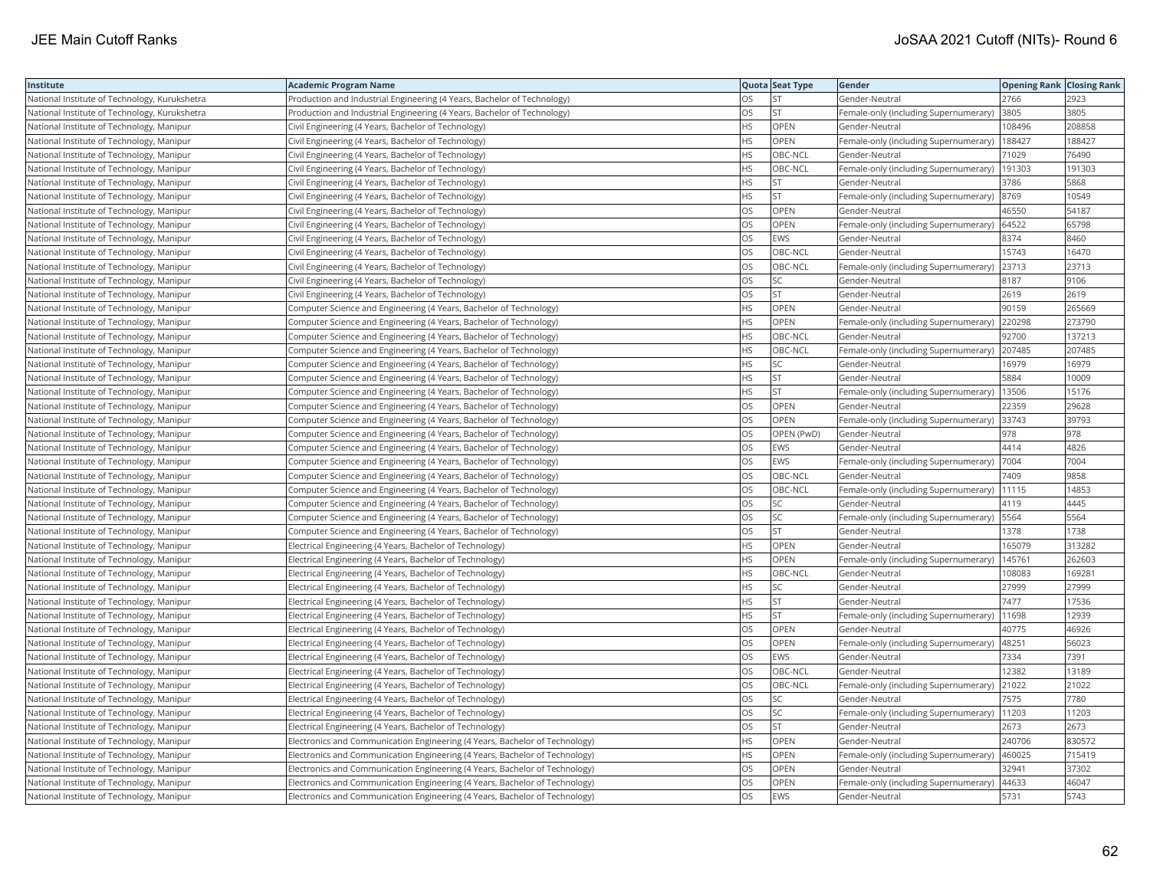| Institute                                     | <b>Academic Program Name</b>                                                |           | Quota Seat Type | Gender                                         | <b>Opening Rank Closing Rank</b> |        |
|-----------------------------------------------|-----------------------------------------------------------------------------|-----------|-----------------|------------------------------------------------|----------------------------------|--------|
| National Institute of Technology, Kurukshetra | Production and Industrial Engineering (4 Years, Bachelor of Technology)     | OS        | <b>ST</b>       | Gender-Neutral                                 | 2766                             | 2923   |
| National Institute of Technology, Kurukshetra | Production and Industrial Engineering (4 Years, Bachelor of Technology)     | OS        | <b>ST</b>       | Female-only (including Supernumerary)          | 3805                             | 3805   |
| National Institute of Technology, Manipur     | Civil Engineering (4 Years, Bachelor of Technology)                         | <b>HS</b> | OPEN            | Gender-Neutral                                 | 108496                           | 208858 |
| National Institute of Technology, Manipur     | Civil Engineering (4 Years, Bachelor of Technology)                         | HS        | OPEN            | Female-only (including Supernumerary)          | 188427                           | 188427 |
| National Institute of Technology, Manipur     | Civil Engineering (4 Years, Bachelor of Technology)                         | HS        | OBC-NCL         | Gender-Neutral                                 | 71029                            | 76490  |
| National Institute of Technology, Manipur     | Civil Engineering (4 Years, Bachelor of Technology)                         | HS        | OBC-NCL         | Female-only (including Supernumerary)   191303 |                                  | 191303 |
| National Institute of Technology, Manipur     | Civil Engineering (4 Years, Bachelor of Technology)                         | ΗS        | <b>ST</b>       | Gender-Neutral                                 | 3786                             | 5868   |
| National Institute of Technology, Manipur     | Civil Engineering (4 Years, Bachelor of Technology)                         | HS        | <b>ST</b>       | Female-only (including Supernumerary)          | 8769                             | 10549  |
| National Institute of Technology, Manipur     | Civil Engineering (4 Years, Bachelor of Technology)                         | OS        | OPEN            | Gender-Neutral                                 | 46550                            | 54187  |
| National Institute of Technology, Manipur     | Civil Engineering (4 Years, Bachelor of Technology)                         | OS        | OPEN            | Female-only (including Supernumerary)          | 64522                            | 65798  |
| National Institute of Technology, Manipur     | Civil Engineering (4 Years, Bachelor of Technology)                         | <b>OS</b> | <b>EWS</b>      | Gender-Neutral                                 | 8374                             | 8460   |
| National Institute of Technology, Manipur     | Civil Engineering (4 Years, Bachelor of Technology)                         | OS        | OBC-NCL         | Gender-Neutral                                 | 15743                            | 16470  |
| National Institute of Technology, Manipur     | Civil Engineering (4 Years, Bachelor of Technology)                         | OS        | OBC-NCL         | Female-only (including Supernumerary)          | 23713                            | 23713  |
| National Institute of Technology, Manipur     | Civil Engineering (4 Years, Bachelor of Technology)                         | OS        | SC              | Gender-Neutral                                 | 8187                             | 9106   |
| National Institute of Technology, Manipur     | Civil Engineering (4 Years, Bachelor of Technology)                         | OS        | <b>ST</b>       | Gender-Neutral                                 | 2619                             | 2619   |
| National Institute of Technology, Manipur     | Computer Science and Engineering (4 Years, Bachelor of Technology)          | HS        | OPEN            | Gender-Neutral                                 | 90159                            | 265669 |
| National Institute of Technology, Manipur     | Computer Science and Engineering (4 Years, Bachelor of Technology)          | HS        | OPEN            | Female-only (including Supernumerary)          | 220298                           | 273790 |
| National Institute of Technology, Manipur     | Computer Science and Engineering (4 Years, Bachelor of Technology)          | HS        | OBC-NCL         | Gender-Neutral                                 | 92700                            | 137213 |
| National Institute of Technology, Manipur     | Computer Science and Engineering (4 Years, Bachelor of Technology)          | <b>HS</b> | OBC-NCL         | Female-only (including Supernumerary)          | 207485                           | 207485 |
| National Institute of Technology, Manipur     | Computer Science and Engineering (4 Years, Bachelor of Technology)          | HS        | SC              | Gender-Neutral                                 | 16979                            | 16979  |
| National Institute of Technology, Manipur     | Computer Science and Engineering (4 Years, Bachelor of Technology)          | HS        | <b>ST</b>       | Gender-Neutral                                 | 5884                             | 10009  |
| National Institute of Technology, Manipur     | Computer Science and Engineering (4 Years, Bachelor of Technology)          | НS        | <b>ST</b>       | Female-only (including Supernumerary)   13506  |                                  | 15176  |
| National Institute of Technology, Manipur     | Computer Science and Engineering (4 Years, Bachelor of Technology)          | OS        | OPEN            | Gender-Neutral                                 | 22359                            | 29628  |
| National Institute of Technology, Manipur     | Computer Science and Engineering (4 Years, Bachelor of Technology)          | OS        | OPEN            | Female-only (including Supernumerary) 33743    |                                  | 39793  |
| National Institute of Technology, Manipur     | Computer Science and Engineering (4 Years, Bachelor of Technology)          | OS        | OPEN (PwD)      | Gender-Neutral                                 | 978                              | 978    |
| National Institute of Technology, Manipur     | Computer Science and Engineering (4 Years, Bachelor of Technology)          | OS        | <b>EWS</b>      | Gender-Neutral                                 | 4414                             | 4826   |
| National Institute of Technology, Manipur     | Computer Science and Engineering (4 Years, Bachelor of Technology)          | OS        | EWS             | Female-only (including Supernumerary)          | 7004                             | 7004   |
| National Institute of Technology, Manipur     | Computer Science and Engineering (4 Years, Bachelor of Technology)          | OS        | OBC-NCL         | Gender-Neutral                                 | 7409                             | 9858   |
| National Institute of Technology, Manipur     | Computer Science and Engineering (4 Years, Bachelor of Technology)          | OS        | OBC-NCL         | Female-only (including Supernumerary)   11115  |                                  | 14853  |
| National Institute of Technology, Manipur     | Computer Science and Engineering (4 Years, Bachelor of Technology)          | OS        | SC              | Gender-Neutral                                 | 4119                             | 4445   |
| National Institute of Technology, Manipur     | Computer Science and Engineering (4 Years, Bachelor of Technology)          | OS        | <b>SC</b>       | Female-only (including Supernumerary)   5564   |                                  | 5564   |
| National Institute of Technology, Manipur     | Computer Science and Engineering (4 Years, Bachelor of Technology)          | OS        | <b>ST</b>       | Gender-Neutral                                 | 1378                             | 1738   |
| National Institute of Technology, Manipur     | Electrical Engineering (4 Years, Bachelor of Technology)                    | HS        | OPEN            | Gender-Neutral                                 | 165079                           | 313282 |
| National Institute of Technology, Manipur     | Electrical Engineering (4 Years, Bachelor of Technology)                    | HS        | OPEN            | Female-only (including Supernumerary)          | 145761                           | 262603 |
| National Institute of Technology, Manipur     | Electrical Engineering (4 Years, Bachelor of Technology)                    | HS        | OBC-NCL         | Gender-Neutral                                 | 108083                           | 169281 |
| National Institute of Technology, Manipur     | Electrical Engineering (4 Years, Bachelor of Technology)                    | HS        | SC              | Gender-Neutral                                 | 27999                            | 27999  |
| National Institute of Technology, Manipur     | Electrical Engineering (4 Years, Bachelor of Technology)                    | HS        | <b>ST</b>       | Gender-Neutral                                 | 7477                             | 17536  |
| National Institute of Technology, Manipur     | Electrical Engineering (4 Years, Bachelor of Technology)                    | HS        | <b>ST</b>       | Female-only (including Supernumerary)          | 11698                            | 12939  |
| National Institute of Technology, Manipur     | Electrical Engineering (4 Years, Bachelor of Technology)                    | OS        | OPEN            | Gender-Neutral                                 | 40775                            | 46926  |
| National Institute of Technology, Manipur     | Electrical Engineering (4 Years, Bachelor of Technology)                    | OS        | <b>OPEN</b>     | Female-only (including Supernumerary)          | 48251                            | 56023  |
| National Institute of Technology, Manipur     | Electrical Engineering (4 Years, Bachelor of Technology)                    | OS        | <b>EWS</b>      | Gender-Neutral                                 | 7334                             | 7391   |
| National Institute of Technology, Manipur     | Electrical Engineering (4 Years, Bachelor of Technology)                    | OS        | OBC-NCL         | Gender-Neutral                                 | 12382                            | 13189  |
| National Institute of Technology, Manipur     | Electrical Engineering (4 Years, Bachelor of Technology)                    | <b>OS</b> | OBC-NCL         | Female-only (including Supernumerary)          | 21022                            | 21022  |
| National Institute of Technology, Manipur     | Electrical Engineering (4 Years, Bachelor of Technology)                    | OS        | SC              | Gender-Neutral                                 | 7575                             | 7780   |
| National Institute of Technology, Manipur     | Electrical Engineering (4 Years, Bachelor of Technology)                    | OS        | SC              | Female-only (including Supernumerary)   11203  |                                  | 11203  |
| National Institute of Technology, Manipur     | Electrical Engineering (4 Years, Bachelor of Technology)                    | OS        | <b>ST</b>       | Gender-Neutral                                 | 2673                             | 2673   |
| National Institute of Technology, Manipur     | Electronics and Communication Engineering (4 Years, Bachelor of Technology) | <b>HS</b> | OPEN            | Gender-Neutral                                 | 240706                           | 830572 |
| National Institute of Technology, Manipur     | Electronics and Communication Engineering (4 Years, Bachelor of Technology) | HS        | <b>OPEN</b>     | Female-only (including Supernumerary)          | 460025                           | 715419 |
| National Institute of Technology, Manipur     | Electronics and Communication Engineering (4 Years, Bachelor of Technology) | OS        | OPEN            | Gender-Neutral                                 | 32941                            | 37302  |
| National Institute of Technology, Manipur     | Electronics and Communication Engineering (4 Years, Bachelor of Technology) | OS        | OPEN            | Female-only (including Supernumerary)          | 44633                            | 46047  |
| National Institute of Technology, Manipur     | Electronics and Communication Engineering (4 Years, Bachelor of Technology) | <b>OS</b> | EWS             | Gender-Neutral                                 | 5731                             | 5743   |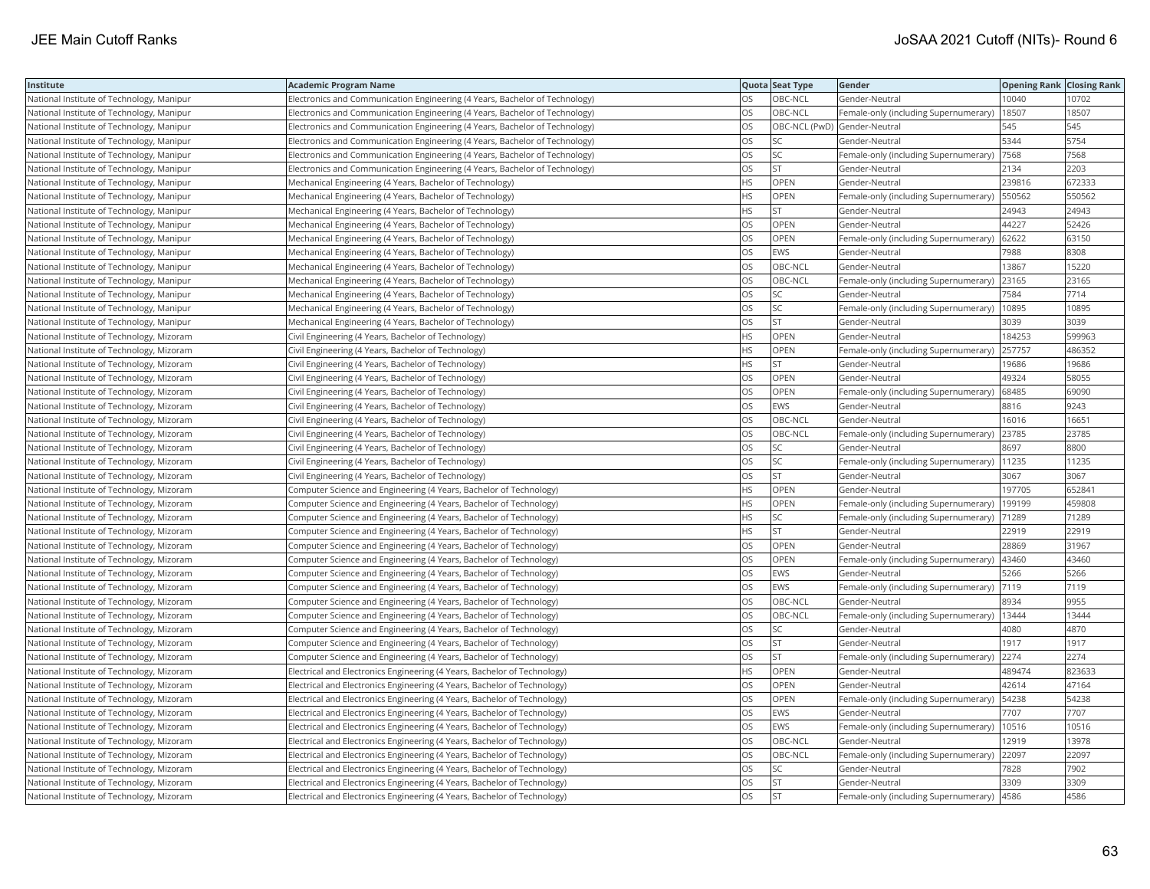| Institute                                 | <b>Academic Program Name</b>                                                |           | Quota Seat Type              | Gender                                        | <b>Opening Rank Closing Rank</b> |        |
|-------------------------------------------|-----------------------------------------------------------------------------|-----------|------------------------------|-----------------------------------------------|----------------------------------|--------|
| National Institute of Technology, Manipur | Electronics and Communication Engineering (4 Years, Bachelor of Technology) | OS        | OBC-NCL                      | Gender-Neutral                                | 10040                            | 10702  |
| National Institute of Technology, Manipur | Electronics and Communication Engineering (4 Years, Bachelor of Technology) | OS        | OBC-NCL                      | Female-only (including Supernumerary)         | 18507                            | 18507  |
| National Institute of Technology, Manipur | Electronics and Communication Engineering (4 Years, Bachelor of Technology) | OS        | OBC-NCL (PwD) Gender-Neutral |                                               | 545                              | 545    |
| National Institute of Technology, Manipur | Electronics and Communication Engineering (4 Years, Bachelor of Technology) | OS        | SC                           | Gender-Neutral                                | 5344                             | 5754   |
| National Institute of Technology, Manipur | Electronics and Communication Engineering (4 Years, Bachelor of Technology) | OS        | SC                           | Female-only (including Supernumerary)  7568   |                                  | 7568   |
| National Institute of Technology, Manipur | Electronics and Communication Engineering (4 Years, Bachelor of Technology) | OS        | <b>ST</b>                    | Gender-Neutral                                | 2134                             | 2203   |
| National Institute of Technology, Manipur | Mechanical Engineering (4 Years, Bachelor of Technology)                    | ΗS        | OPEN                         | Gender-Neutral                                | 239816                           | 672333 |
| National Institute of Technology, Manipur | Mechanical Engineering (4 Years, Bachelor of Technology)                    | HS        | OPEN                         | Female-only (including Supernumerary)         | 550562                           | 550562 |
| National Institute of Technology, Manipur | Mechanical Engineering (4 Years, Bachelor of Technology)                    | ΗS        | <b>ST</b>                    | Gender-Neutral                                | 24943                            | 24943  |
| National Institute of Technology, Manipur | Mechanical Engineering (4 Years, Bachelor of Technology)                    | OS        | OPEN                         | Gender-Neutral                                | 44227                            | 52426  |
| National Institute of Technology, Manipur | Mechanical Engineering (4 Years, Bachelor of Technology)                    | <b>OS</b> | OPEN                         | Female-only (including Supernumerary)         | 62622                            | 63150  |
| National Institute of Technology, Manipur | Mechanical Engineering (4 Years, Bachelor of Technology)                    | OS        | <b>EWS</b>                   | Gender-Neutral                                | 7988                             | 8308   |
| National Institute of Technology, Manipur | Mechanical Engineering (4 Years, Bachelor of Technology)                    | OS        | OBC-NCL                      | Gender-Neutral                                | 13867                            | 15220  |
| National Institute of Technology, Manipur | Mechanical Engineering (4 Years, Bachelor of Technology)                    | OS        | OBC-NCL                      | Female-only (including Supernumerary)         | 23165                            | 23165  |
| National Institute of Technology, Manipur | Mechanical Engineering (4 Years, Bachelor of Technology)                    | OS        | SC                           | Gender-Neutral                                | 7584                             | 7714   |
| National Institute of Technology, Manipur | Mechanical Engineering (4 Years, Bachelor of Technology)                    | OS        | SC                           | Female-only (including Supernumerary)         | 10895                            | 10895  |
| National Institute of Technology, Manipur | Mechanical Engineering (4 Years, Bachelor of Technology)                    | OS        | <b>ST</b>                    | Gender-Neutral                                | 3039                             | 3039   |
| National Institute of Technology, Mizoram | Civil Engineering (4 Years, Bachelor of Technology)                         | HS        | OPEN                         | Gender-Neutral                                | 184253                           | 599963 |
| National Institute of Technology, Mizoram | Civil Engineering (4 Years, Bachelor of Technology)                         | HS        | OPEN                         | Female-only (including Supernumerary)         | 257757                           | 486352 |
| National Institute of Technology, Mizoram | Civil Engineering (4 Years, Bachelor of Technology)                         | HS        | <b>ST</b>                    | Gender-Neutral                                | 19686                            | 19686  |
| National Institute of Technology, Mizoram | Civil Engineering (4 Years, Bachelor of Technology)                         | OS        | OPEN                         | Gender-Neutral                                | 49324                            | 58055  |
| National Institute of Technology, Mizoram | Civil Engineering (4 Years, Bachelor of Technology)                         | OS        | OPEN                         | Female-only (including Supernumerary)         | 68485                            | 69090  |
| National Institute of Technology, Mizoram | Civil Engineering (4 Years, Bachelor of Technology)                         | OS        | EWS                          | Gender-Neutral                                | 8816                             | 9243   |
| National Institute of Technology, Mizoram | Civil Engineering (4 Years, Bachelor of Technology)                         | OS        | OBC-NCL                      | Gender-Neutral                                | 16016                            | 16651  |
| National Institute of Technology, Mizoram | Civil Engineering (4 Years, Bachelor of Technology)                         | OS        | OBC-NCL                      | Female-only (including Supernumerary)         | 23785                            | 23785  |
| National Institute of Technology, Mizoram | Civil Engineering (4 Years, Bachelor of Technology)                         | OS        | SC                           | Gender-Neutral                                | 8697                             | 8800   |
| National Institute of Technology, Mizoram | Civil Engineering (4 Years, Bachelor of Technology)                         | OS        | SC                           | Female-only (including Supernumerary)         | 11235                            | 11235  |
| National Institute of Technology, Mizoram | Civil Engineering (4 Years, Bachelor of Technology)                         | OS        | <b>ST</b>                    | Gender-Neutral                                | 3067                             | 3067   |
| National Institute of Technology, Mizoram | Computer Science and Engineering (4 Years, Bachelor of Technology)          | HS        | OPEN                         | Gender-Neutral                                | 197705                           | 652841 |
| National Institute of Technology, Mizoram | Computer Science and Engineering (4 Years, Bachelor of Technology)          | HS        | OPEN                         | Female-only (including Supernumerary)         | 199199                           | 459808 |
| National Institute of Technology, Mizoram | Computer Science and Engineering (4 Years, Bachelor of Technology)          | HS        | SC                           | Female-only (including Supernumerary)  71289  |                                  | 71289  |
| National Institute of Technology, Mizoram | Computer Science and Engineering (4 Years, Bachelor of Technology)          | ΗS        | <b>ST</b>                    | Gender-Neutral                                | 22919                            | 22919  |
| National Institute of Technology, Mizoram | Computer Science and Engineering (4 Years, Bachelor of Technology)          | OS        | OPEN                         | Gender-Neutral                                | 28869                            | 31967  |
| National Institute of Technology, Mizoram | Computer Science and Engineering (4 Years, Bachelor of Technology)          | OS        | OPEN                         | Female-only (including Supernumerary)         | 43460                            | 43460  |
| National Institute of Technology, Mizoram | Computer Science and Engineering (4 Years, Bachelor of Technology)          | OS        | <b>EWS</b>                   | Gender-Neutral                                | 5266                             | 5266   |
| National Institute of Technology, Mizoram | Computer Science and Engineering (4 Years, Bachelor of Technology)          | OS        | <b>EWS</b>                   | Female-only (including Supernumerary)         | 7119                             | 7119   |
| National Institute of Technology, Mizoram | Computer Science and Engineering (4 Years, Bachelor of Technology)          | OS        | OBC-NCL                      | Gender-Neutral                                | 8934                             | 9955   |
| National Institute of Technology, Mizoram | Computer Science and Engineering (4 Years, Bachelor of Technology)          | OS        | OBC-NCL                      | Female-only (including Supernumerary)   13444 |                                  | 13444  |
| National Institute of Technology, Mizoram | Computer Science and Engineering (4 Years, Bachelor of Technology)          | OS        | SC                           | Gender-Neutral                                | 4080                             | 4870   |
| National Institute of Technology, Mizoram | Computer Science and Engineering (4 Years, Bachelor of Technology)          | OS        | <b>ST</b>                    | Gender-Neutral                                | 1917                             | 1917   |
| National Institute of Technology, Mizoram | Computer Science and Engineering (4 Years, Bachelor of Technology)          | OS        | <b>ST</b>                    | Female-only (including Supernumerary)         | 2274                             | 2274   |
| National Institute of Technology, Mizoram | Electrical and Electronics Engineering (4 Years, Bachelor of Technology)    | <b>HS</b> | OPEN                         | Gender-Neutral                                | 489474                           | 823633 |
| National Institute of Technology, Mizoram | Electrical and Electronics Engineering (4 Years, Bachelor of Technology)    | OS        | OPEN                         | Gender-Neutral                                | 42614                            | 47164  |
| National Institute of Technology, Mizoram | Electrical and Electronics Engineering (4 Years, Bachelor of Technology)    | OS        | OPEN                         | Female-only (including Supernumerary)         | 54238                            | 54238  |
| National Institute of Technology, Mizoram | Electrical and Electronics Engineering (4 Years, Bachelor of Technology)    | OS        | <b>EWS</b>                   | Gender-Neutral                                | 7707                             | 7707   |
| National Institute of Technology, Mizoram | Electrical and Electronics Engineering (4 Years, Bachelor of Technology)    | OS        | <b>EWS</b>                   | Female-only (including Supernumerary)         | 10516                            | 10516  |
| National Institute of Technology, Mizoram | Electrical and Electronics Engineering (4 Years, Bachelor of Technology)    | <b>OS</b> | OBC-NCL                      | Gender-Neutral                                | 12919                            | 13978  |
| National Institute of Technology, Mizoram | Electrical and Electronics Engineering (4 Years, Bachelor of Technology)    | OS        | OBC-NCL                      | Female-only (including Supernumerary)         | 22097                            | 22097  |
| National Institute of Technology, Mizoram | Electrical and Electronics Engineering (4 Years, Bachelor of Technology)    | OS        | SC                           | Gender-Neutral                                | 7828                             | 7902   |
| National Institute of Technology, Mizoram | Electrical and Electronics Engineering (4 Years, Bachelor of Technology)    | OS        | <b>ST</b>                    | Gender-Neutral                                | 3309                             | 3309   |
| National Institute of Technology, Mizoram | Electrical and Electronics Engineering (4 Years, Bachelor of Technology)    | <b>OS</b> | <b>ST</b>                    | Female-only (including Supernumerary)         | 4586                             | 4586   |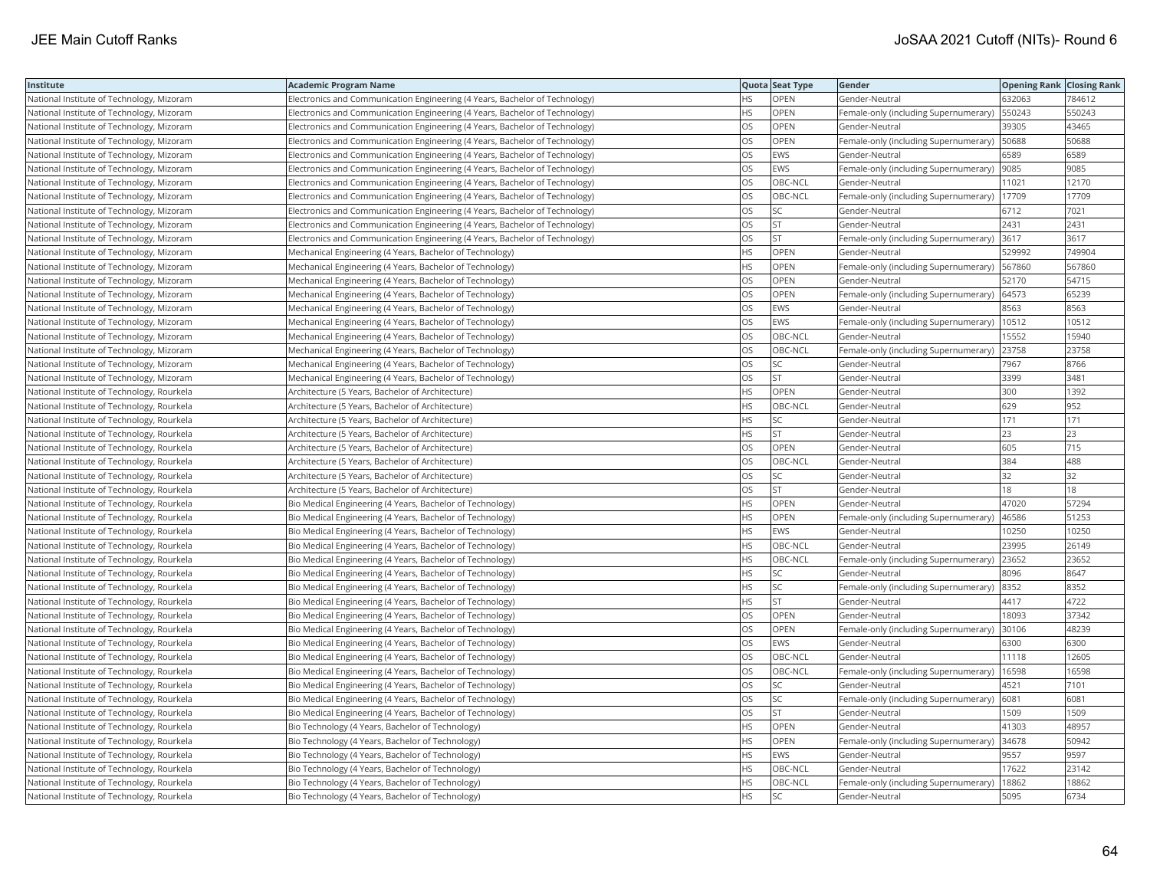| Institute                                  | <b>Academic Program Name</b>                                                |           | Quota Seat Type | Gender                                         | <b>Opening Rank   Closing Rank</b> |        |
|--------------------------------------------|-----------------------------------------------------------------------------|-----------|-----------------|------------------------------------------------|------------------------------------|--------|
| National Institute of Technology, Mizoram  | Electronics and Communication Engineering (4 Years, Bachelor of Technology) | HS.       | OPEN            | Gender-Neutral                                 | 632063                             | 784612 |
| National Institute of Technology, Mizoram  | Electronics and Communication Engineering (4 Years, Bachelor of Technology) | HS.       | <b>OPEN</b>     | Female-only (including Supernumerary)          | 550243                             | 550243 |
| National Institute of Technology, Mizoram  | Electronics and Communication Engineering (4 Years, Bachelor of Technology) | OS        | OPEN            | Gender-Neutral                                 | 39305                              | 43465  |
| National Institute of Technology, Mizoram  | Electronics and Communication Engineering (4 Years, Bachelor of Technology) | OS        | OPEN            | Female-only (including Supernumerary)   50688  |                                    | 50688  |
| National Institute of Technology, Mizoram  | Electronics and Communication Engineering (4 Years, Bachelor of Technology) | OS        | EWS             | Gender-Neutral                                 | 6589                               | 6589   |
| National Institute of Technology, Mizoram  | Electronics and Communication Engineering (4 Years, Bachelor of Technology) | <b>OS</b> | <b>EWS</b>      | Female-only (including Supernumerary)          | 9085                               | 9085   |
| National Institute of Technology, Mizoram  | Electronics and Communication Engineering (4 Years, Bachelor of Technology) | OS        | OBC-NCL         | Gender-Neutral                                 | 11021                              | 12170  |
| National Institute of Technology, Mizoram  | Electronics and Communication Engineering (4 Years, Bachelor of Technology) | OS        | OBC-NCL         | Female-only (including Supernumerary)          | 17709                              | 17709  |
| National Institute of Technology, Mizoram  | Electronics and Communication Engineering (4 Years, Bachelor of Technology) | OS.       | <b>SC</b>       | Gender-Neutral                                 | 6712                               | 7021   |
| National Institute of Technology, Mizoram  | Electronics and Communication Engineering (4 Years, Bachelor of Technology) | OS        | <b>ST</b>       | Gender-Neutral                                 | 2431                               | 2431   |
| National Institute of Technology, Mizoram  | Electronics and Communication Engineering (4 Years, Bachelor of Technology) | OS.       | <b>ST</b>       | Female-only (including Supernumerary)          | 3617                               | 3617   |
| National Institute of Technology, Mizoram  | Mechanical Engineering (4 Years, Bachelor of Technology)                    | HS.       | <b>OPEN</b>     | Gender-Neutral                                 | 529992                             | 749904 |
| National Institute of Technology, Mizoram  | Mechanical Engineering (4 Years, Bachelor of Technology)                    | HS        | OPEN            | Female-only (including Supernumerary)   567860 |                                    | 567860 |
| National Institute of Technology, Mizoram  | Mechanical Engineering (4 Years, Bachelor of Technology)                    | OS        | <b>OPEN</b>     | Gender-Neutral                                 | 52170                              | 54715  |
| National Institute of Technology, Mizoram  | Mechanical Engineering (4 Years, Bachelor of Technology)                    | OS        | OPEN            | Female-only (including Supernumerary)          | 64573                              | 65239  |
| National Institute of Technology, Mizoram  | Mechanical Engineering (4 Years, Bachelor of Technology)                    | OS        | EWS             | Gender-Neutral                                 | 8563                               | 8563   |
| National Institute of Technology, Mizoram  | Mechanical Engineering (4 Years, Bachelor of Technology)                    | OS        | EWS             | Female-only (including Supernumerary)          | 10512                              | 10512  |
| National Institute of Technology, Mizoram  | Mechanical Engineering (4 Years, Bachelor of Technology)                    | <b>OS</b> | OBC-NCL         | Gender-Neutral                                 | 15552                              | 15940  |
| National Institute of Technology, Mizoram  | Mechanical Engineering (4 Years, Bachelor of Technology)                    | OS        | OBC-NCL         | Female-only (including Supernumerary)          | 23758                              | 23758  |
| National Institute of Technology, Mizoram  | Mechanical Engineering (4 Years, Bachelor of Technology)                    | OS        | SC              | Gender-Neutral                                 | 7967                               | 8766   |
| National Institute of Technology, Mizoram  | Mechanical Engineering (4 Years, Bachelor of Technology)                    | OS        | <b>ST</b>       | Gender-Neutral                                 | 3399                               | 3481   |
| National Institute of Technology, Rourkela | Architecture (5 Years, Bachelor of Architecture)                            | <b>HS</b> | <b>OPEN</b>     | Gender-Neutral                                 | 300                                | 1392   |
| National Institute of Technology, Rourkela | Architecture (5 Years, Bachelor of Architecture)                            | ΗS        | OBC-NCL         | Gender-Neutral                                 | 629                                | 952    |
| National Institute of Technology, Rourkela | Architecture (5 Years, Bachelor of Architecture)                            | <b>HS</b> | <b>SC</b>       | Gender-Neutral                                 | 171                                | 171    |
| National Institute of Technology, Rourkela | Architecture (5 Years, Bachelor of Architecture)                            | HS        | <b>ST</b>       | Gender-Neutral                                 | 23                                 | 23     |
| National Institute of Technology, Rourkela | Architecture (5 Years, Bachelor of Architecture)                            | OS        | OPEN            | Gender-Neutral                                 | 605                                | 715    |
| National Institute of Technology, Rourkela | Architecture (5 Years, Bachelor of Architecture)                            | OS.       | OBC-NCL         | Gender-Neutral                                 | 384                                | 488    |
| National Institute of Technology, Rourkela | Architecture (5 Years, Bachelor of Architecture)                            | OS        | SC              | Gender-Neutral                                 | $32$                               | 32     |
| National Institute of Technology, Rourkela | Architecture (5 Years, Bachelor of Architecture)                            | OS        | ST              | Gender-Neutral                                 | 18                                 | 18     |
| National Institute of Technology, Rourkela | Bio Medical Engineering (4 Years, Bachelor of Technology)                   | HS.       | <b>OPEN</b>     | Gender-Neutral                                 | 47020                              | 57294  |
| National Institute of Technology, Rourkela | Bio Medical Engineering (4 Years, Bachelor of Technology)                   | HS        | OPEN            | Female-only (including Supernumerary)          | 46586                              | 51253  |
| National Institute of Technology, Rourkela | Bio Medical Engineering (4 Years, Bachelor of Technology)                   | HS.       | EWS             | Gender-Neutral                                 | 0250                               | 10250  |
| National Institute of Technology, Rourkela | Bio Medical Engineering (4 Years, Bachelor of Technology)                   | HS.       | OBC-NCL         | Gender-Neutral                                 | 23995                              | 26149  |
| National Institute of Technology, Rourkela | Bio Medical Engineering (4 Years, Bachelor of Technology)                   | HS        | OBC-NCL         | Female-only (including Supernumerary)          | 23652                              | 23652  |
| National Institute of Technology, Rourkela | Bio Medical Engineering (4 Years, Bachelor of Technology)                   | <b>HS</b> | <b>SC</b>       | Gender-Neutral                                 | 8096                               | 8647   |
| National Institute of Technology, Rourkela | Bio Medical Engineering (4 Years, Bachelor of Technology)                   | HS        | SC              | Female-only (including Supernumerary) 8352     |                                    | 8352   |
| National Institute of Technology, Rourkela | Bio Medical Engineering (4 Years, Bachelor of Technology)                   | HS        | <b>ST</b>       | Gender-Neutral                                 | 4417                               | 4722   |
| National Institute of Technology, Rourkela | Bio Medical Engineering (4 Years, Bachelor of Technology)                   | OS        | OPEN            | Gender-Neutral                                 | 18093                              | 37342  |
| National Institute of Technology, Rourkela | Bio Medical Engineering (4 Years, Bachelor of Technology)                   | OS        | OPEN            | Female-only (including Supernumerary)          | 30106                              | 48239  |
| National Institute of Technology, Rourkela | Bio Medical Engineering (4 Years, Bachelor of Technology)                   | OS        | EWS             | Gender-Neutral                                 | 6300                               | 6300   |
| National Institute of Technology, Rourkela | Bio Medical Engineering (4 Years, Bachelor of Technology)                   | OS        | OBC-NCL         | Gender-Neutral                                 | 11118                              | 12605  |
| National Institute of Technology, Rourkela | Bio Medical Engineering (4 Years, Bachelor of Technology)                   | OS.       | OBC-NCL         | Female-only (including Supernumerary)          | 16598                              | 16598  |
| National Institute of Technology, Rourkela | Bio Medical Engineering (4 Years, Bachelor of Technology)                   | <b>OS</b> | <b>SC</b>       | Gender-Neutral                                 | 4521                               | 7101   |
| National Institute of Technology, Rourkela | Bio Medical Engineering (4 Years, Bachelor of Technology)                   | OS        | SC              | Female-only (including Supernumerary)          | 6081                               | 6081   |
| National Institute of Technology, Rourkela | Bio Medical Engineering (4 Years, Bachelor of Technology)                   | OS        | <b>ST</b>       | Gender-Neutral                                 | 1509                               | 1509   |
| National Institute of Technology, Rourkela | Bio Technology (4 Years, Bachelor of Technology)                            | HS        | OPEN            | Gender-Neutral                                 | 41303                              | 48957  |
| National Institute of Technology, Rourkela | Bio Technology (4 Years, Bachelor of Technology)                            | HS.       | <b>OPEN</b>     | Female-only (including Supernumerary)          | 34678                              | 50942  |
| National Institute of Technology, Rourkela | Bio Technology (4 Years, Bachelor of Technology)                            | НS        | EWS             | Gender-Neutral                                 | 9557                               | 9597   |
| National Institute of Technology, Rourkela | Bio Technology (4 Years, Bachelor of Technology)                            | HS        | OBC-NCL         | Gender-Neutral                                 | 17622                              | 23142  |
| National Institute of Technology, Rourkela | Bio Technology (4 Years, Bachelor of Technology)                            | HS.       | OBC-NCL         | Female-only (including Supernumerary)          | 18862                              | 18862  |
| National Institute of Technology, Rourkela | Bio Technology (4 Years, Bachelor of Technology)                            | <b>HS</b> | <b>SC</b>       | Gender-Neutral                                 | 5095                               | 6734   |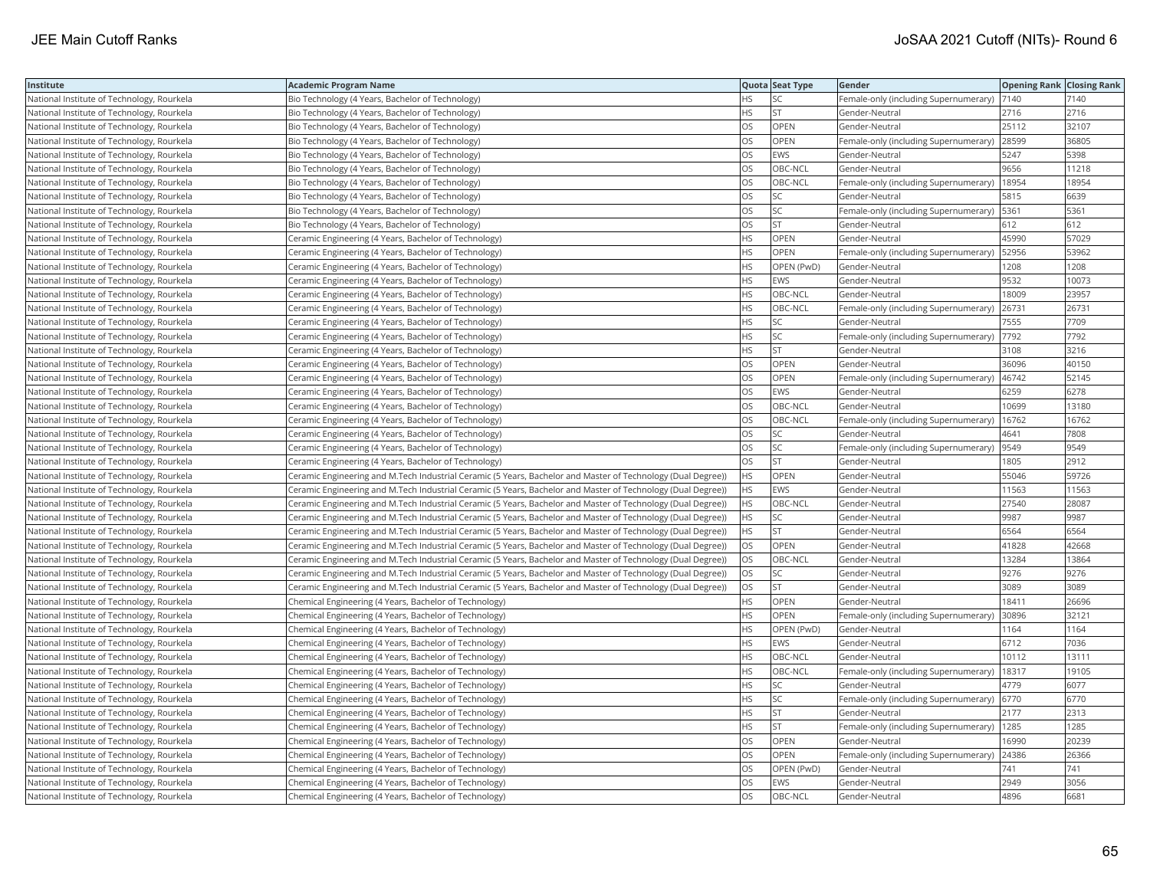| Institute                                  | <b>Academic Program Name</b>                                                                                 |           | Quota Seat Type | <b>Gender</b>                         | <b>Opening Rank Closing Rank</b> |       |
|--------------------------------------------|--------------------------------------------------------------------------------------------------------------|-----------|-----------------|---------------------------------------|----------------------------------|-------|
| National Institute of Technology, Rourkela | Bio Technology (4 Years, Bachelor of Technology)                                                             | ΗS        | SC              | Female-only (including Supernumerary) | 7140                             | 7140  |
| National Institute of Technology, Rourkela | Bio Technology (4 Years, Bachelor of Technology)                                                             | HS        | <b>ST</b>       | Gender-Neutral                        | 2716                             | 2716  |
| National Institute of Technology, Rourkela | Bio Technology (4 Years, Bachelor of Technology)                                                             | OS        | OPEN            | Gender-Neutral                        | 25112                            | 32107 |
| National Institute of Technology, Rourkela | Bio Technology (4 Years, Bachelor of Technology)                                                             | OS        | OPEN            | Female-only (including Supernumerary) | 28599                            | 36805 |
| National Institute of Technology, Rourkela | Bio Technology (4 Years, Bachelor of Technology)                                                             | OS        | <b>EWS</b>      | Gender-Neutral                        | 5247                             | 5398  |
| National Institute of Technology, Rourkela | Bio Technology (4 Years, Bachelor of Technology)                                                             | OS        | OBC-NCL         | Gender-Neutral                        | 9656                             | 11218 |
| National Institute of Technology, Rourkela | Bio Technology (4 Years, Bachelor of Technology)                                                             | OS        | OBC-NCL         | Female-only (including Supernumerary) | 18954                            | 18954 |
| National Institute of Technology, Rourkela | Bio Technology (4 Years, Bachelor of Technology)                                                             | OS        | SC              | Gender-Neutral                        | 5815                             | 6639  |
| National Institute of Technology, Rourkela | Bio Technology (4 Years, Bachelor of Technology)                                                             | OS        | SC              | Female-only (including Supernumerary) | 5361                             | 5361  |
| National Institute of Technology, Rourkela | Bio Technology (4 Years, Bachelor of Technology)                                                             | OS        | <b>ST</b>       | Gender-Neutral                        | 612                              | 612   |
| National Institute of Technology, Rourkela | Ceramic Engineering (4 Years, Bachelor of Technology)                                                        | НS        | OPEN            | Gender-Neutral                        | 45990                            | 57029 |
| National Institute of Technology, Rourkela | Ceramic Engineering (4 Years, Bachelor of Technology)                                                        | HS        | OPEN            | Female-only (including Supernumerary) | 52956                            | 53962 |
| National Institute of Technology, Rourkela | Ceramic Engineering (4 Years, Bachelor of Technology)                                                        | <b>HS</b> | OPEN (PwD)      | Gender-Neutral                        | 1208                             | 1208  |
| National Institute of Technology, Rourkela | Ceramic Engineering (4 Years, Bachelor of Technology)                                                        | HS        | <b>EWS</b>      | Gender-Neutral                        | 9532                             | 10073 |
| National Institute of Technology, Rourkela | Ceramic Engineering (4 Years, Bachelor of Technology)                                                        | НS        | OBC-NCL         | Gender-Neutral                        | 18009                            | 23957 |
| National Institute of Technology, Rourkela | Ceramic Engineering (4 Years, Bachelor of Technology)                                                        | ΗS        | OBC-NCL         | Female-only (including Supernumerary) | 26731                            | 26731 |
| National Institute of Technology, Rourkela | Ceramic Engineering (4 Years, Bachelor of Technology)                                                        | HS        | SC              | Gender-Neutral                        | 7555                             | 7709  |
| National Institute of Technology, Rourkela | Ceramic Engineering (4 Years, Bachelor of Technology)                                                        | ΗS        | SC              | Female-only (including Supernumerary) | 7792                             | 7792  |
| National Institute of Technology, Rourkela | Ceramic Engineering (4 Years, Bachelor of Technology)                                                        | НS        | <b>ST</b>       | Gender-Neutral                        | 3108                             | 3216  |
| National Institute of Technology, Rourkela | Ceramic Engineering (4 Years, Bachelor of Technology)                                                        | OS        | OPEN            | Gender-Neutral                        | 36096                            | 40150 |
| National Institute of Technology, Rourkela | Ceramic Engineering (4 Years, Bachelor of Technology)                                                        | OS        | <b>OPEN</b>     | Female-only (including Supernumerary) | 46742                            | 52145 |
| National Institute of Technology, Rourkela | Ceramic Engineering (4 Years, Bachelor of Technology)                                                        | OS        | EWS             | Gender-Neutral                        | 6259                             | 6278  |
| National Institute of Technology, Rourkela | Ceramic Engineering (4 Years, Bachelor of Technology)                                                        | OS        | OBC-NCL         | Gender-Neutral                        | 10699                            | 13180 |
| National Institute of Technology, Rourkela | Ceramic Engineering (4 Years, Bachelor of Technology)                                                        | OS        | OBC-NCL         | Female-only (including Supernumerary) | 16762                            | 16762 |
| National Institute of Technology, Rourkela | Ceramic Engineering (4 Years, Bachelor of Technology)                                                        | OS        | SC              | Gender-Neutral                        | 4641                             | 7808  |
| National Institute of Technology, Rourkela | Ceramic Engineering (4 Years, Bachelor of Technology)                                                        | OS        | <b>SC</b>       | Female-only (including Supernumerary) | 9549                             | 9549  |
| National Institute of Technology, Rourkela | Ceramic Engineering (4 Years, Bachelor of Technology)                                                        | OS        | <b>ST</b>       | Gender-Neutral                        | 1805                             | 2912  |
| National Institute of Technology, Rourkela | Ceramic Engineering and M.Tech Industrial Ceramic (5 Years, Bachelor and Master of Technology (Dual Degree)) | <b>HS</b> | OPEN            | Gender-Neutral                        | 55046                            | 59726 |
| National Institute of Technology, Rourkela | Ceramic Engineering and M.Tech Industrial Ceramic (5 Years, Bachelor and Master of Technology (Dual Degree)) | <b>HS</b> | <b>EWS</b>      | Gender-Neutral                        | 11563                            | 11563 |
| National Institute of Technology, Rourkela | Ceramic Engineering and M.Tech Industrial Ceramic (5 Years, Bachelor and Master of Technology (Dual Degree)) | HS        | OBC-NCL         | Gender-Neutral                        | 27540                            | 28087 |
| National Institute of Technology, Rourkela | Ceramic Engineering and M.Tech Industrial Ceramic (5 Years, Bachelor and Master of Technology (Dual Degree)) | ΗS        | SC              | Gender-Neutral                        | 9987                             | 9987  |
| National Institute of Technology, Rourkela | Ceramic Engineering and M.Tech Industrial Ceramic (5 Years, Bachelor and Master of Technology (Dual Degree)) | ۲S        | <b>ST</b>       | Gender-Neutral                        | 6564                             | 6564  |
| National Institute of Technology, Rourkela | Ceramic Engineering and M.Tech Industrial Ceramic (5 Years, Bachelor and Master of Technology (Dual Degree)) | OS        | OPEN            | Gender-Neutral                        | 41828                            | 42668 |
| National Institute of Technology, Rourkela | Ceramic Engineering and M.Tech Industrial Ceramic (5 Years, Bachelor and Master of Technology (Dual Degree)) | OS        | OBC-NCL         | Gender-Neutral                        | 13284                            | 13864 |
| National Institute of Technology, Rourkela | Ceramic Engineering and M.Tech Industrial Ceramic (5 Years, Bachelor and Master of Technology (Dual Degree)) | OS        | SC              | Gender-Neutral                        | 9276                             | 9276  |
| National Institute of Technology, Rourkela | Ceramic Engineering and M.Tech Industrial Ceramic (5 Years, Bachelor and Master of Technology (Dual Degree)) | OS        | <b>ST</b>       | Gender-Neutral                        | 3089                             | 3089  |
| National Institute of Technology, Rourkela | Chemical Engineering (4 Years, Bachelor of Technology)                                                       | HS.       | <b>OPEN</b>     | Gender-Neutral                        | 18411                            | 26696 |
| National Institute of Technology, Rourkela | Chemical Engineering (4 Years, Bachelor of Technology)                                                       | HS        | OPEN            | Female-only (including Supernumerary) | 30896                            | 32121 |
| National Institute of Technology, Rourkela | Chemical Engineering (4 Years, Bachelor of Technology)                                                       | HS        | OPEN (PwD)      | Gender-Neutral                        | 1164                             | 1164  |
| National Institute of Technology, Rourkela | Chemical Engineering (4 Years, Bachelor of Technology)                                                       | ΗS        | <b>EWS</b>      | Gender-Neutral                        | 6712                             | 7036  |
| National Institute of Technology, Rourkela | Chemical Engineering (4 Years, Bachelor of Technology)                                                       | ΗS        | OBC-NCL         | Gender-Neutral                        | 10112                            | 13111 |
| National Institute of Technology, Rourkela | Chemical Engineering (4 Years, Bachelor of Technology)                                                       | <b>HS</b> | OBC-NCL         | Female-only (including Supernumerary) | 18317                            | 19105 |
| National Institute of Technology, Rourkela | Chemical Engineering (4 Years, Bachelor of Technology)                                                       | HS        | SC              | Gender-Neutral                        | 4779                             | 6077  |
| National Institute of Technology, Rourkela | Chemical Engineering (4 Years, Bachelor of Technology)                                                       | ΗS        | SC              | Female-only (including Supernumerary) | 6770                             | 6770  |
| National Institute of Technology, Rourkela | Chemical Engineering (4 Years, Bachelor of Technology)                                                       | <b>HS</b> | <b>ST</b>       | Gender-Neutral                        | 2177                             | 2313  |
| National Institute of Technology, Rourkela | Chemical Engineering (4 Years, Bachelor of Technology)                                                       | ΗS        | <b>ST</b>       | Female-only (including Supernumerary) | 1285                             | 1285  |
| National Institute of Technology, Rourkela | Chemical Engineering (4 Years, Bachelor of Technology)                                                       | OS        | OPEN            | Gender-Neutral                        | 16990                            | 20239 |
| National Institute of Technology, Rourkela | Chemical Engineering (4 Years, Bachelor of Technology)                                                       | OS        | OPEN            | Female-only (including Supernumerary) | 24386                            | 26366 |
| National Institute of Technology, Rourkela | Chemical Engineering (4 Years, Bachelor of Technology)                                                       | OS        | OPEN (PwD)      | Gender-Neutral                        | 741                              | 741   |
| National Institute of Technology, Rourkela | Chemical Engineering (4 Years, Bachelor of Technology)                                                       | OS        | <b>EWS</b>      | Gender-Neutral                        | 2949                             | 3056  |
| National Institute of Technology, Rourkela | Chemical Engineering (4 Years, Bachelor of Technology)                                                       | OS        | OBC-NCL         | Gender-Neutral                        | 4896                             | 6681  |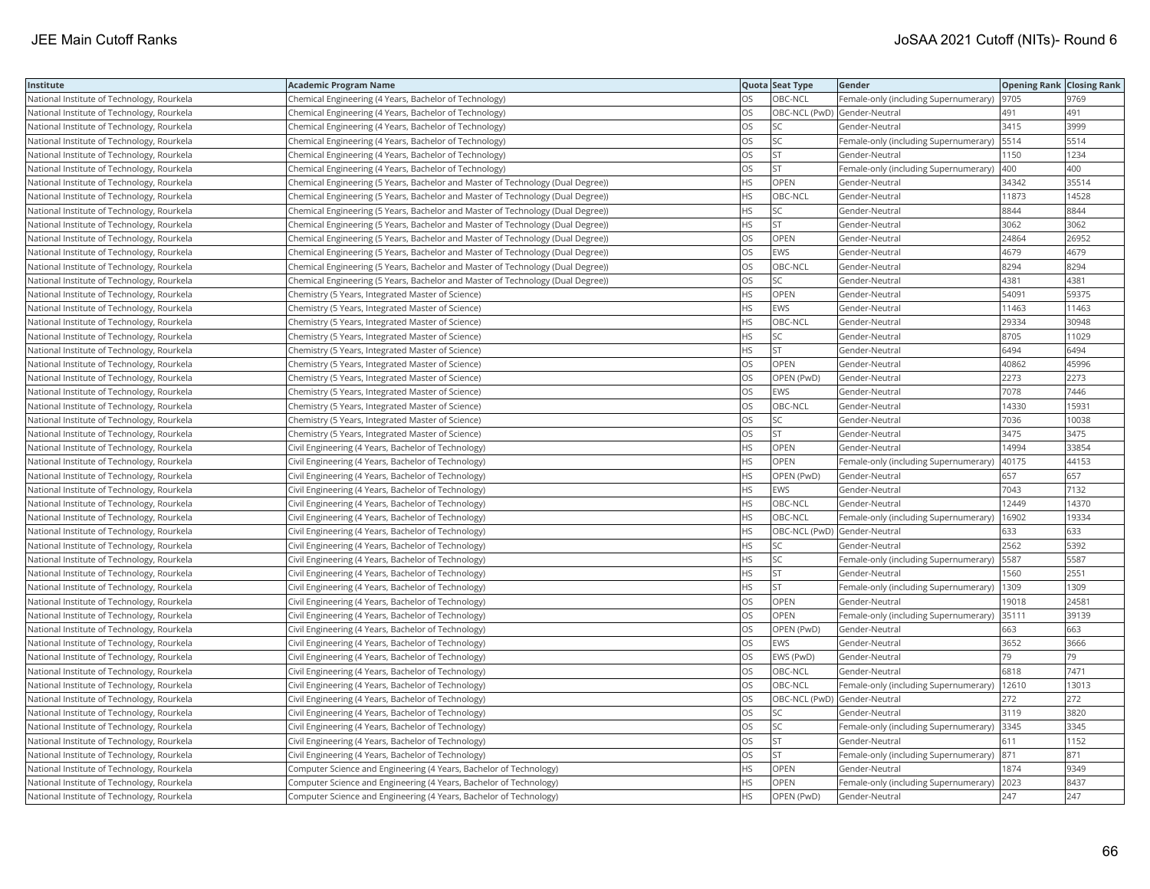| Institute                                  | <b>Academic Program Name</b>                                                    |           | Quota Seat Type              | Gender                                      | <b>Opening Rank Closing Rank</b> |       |
|--------------------------------------------|---------------------------------------------------------------------------------|-----------|------------------------------|---------------------------------------------|----------------------------------|-------|
| National Institute of Technology, Rourkela | Chemical Engineering (4 Years, Bachelor of Technology)                          | OS        | OBC-NCL                      | Female-only (including Supernumerary)       | 9705                             | 9769  |
| National Institute of Technology, Rourkela | Chemical Engineering (4 Years, Bachelor of Technology)                          | OS        | OBC-NCL (PwD) Gender-Neutral |                                             | 491                              | 491   |
| National Institute of Technology, Rourkela | Chemical Engineering (4 Years, Bachelor of Technology)                          | OS        | <b>SC</b>                    | Gender-Neutral                              | 3415                             | 3999  |
| National Institute of Technology, Rourkela | Chemical Engineering (4 Years, Bachelor of Technology)                          | OS        | SC                           | Female-only (including Supernumerary)       | 5514                             | 5514  |
| National Institute of Technology, Rourkela | Chemical Engineering (4 Years, Bachelor of Technology)                          | <b>OS</b> | <b>ST</b>                    | Gender-Neutral                              | 1150                             | 1234  |
| National Institute of Technology, Rourkela | Chemical Engineering (4 Years, Bachelor of Technology)                          | OS        | <b>ST</b>                    | Female-only (including Supernumerary)       | 400                              | 400   |
| National Institute of Technology, Rourkela | Chemical Engineering (5 Years, Bachelor and Master of Technology (Dual Degree)) | ΗS        | OPEN                         | Gender-Neutral                              | 34342                            | 35514 |
| National Institute of Technology, Rourkela | Chemical Engineering (5 Years, Bachelor and Master of Technology (Dual Degree)) | <b>HS</b> | OBC-NCL                      | Gender-Neutral                              | 11873                            | 14528 |
| National Institute of Technology, Rourkela | Chemical Engineering (5 Years, Bachelor and Master of Technology (Dual Degree)) | ΗS        | SC                           | Gender-Neutral                              | 8844                             | 8844  |
| National Institute of Technology, Rourkela | Chemical Engineering (5 Years, Bachelor and Master of Technology (Dual Degree)) | HS        | <b>ST</b>                    | Gender-Neutral                              | 3062                             | 3062  |
| National Institute of Technology, Rourkela | Chemical Engineering (5 Years, Bachelor and Master of Technology (Dual Degree)) | OS        | OPEN                         | Gender-Neutral                              | 24864                            | 26952 |
| National Institute of Technology, Rourkela | Chemical Engineering (5 Years, Bachelor and Master of Technology (Dual Degree)) | OS        | <b>EWS</b>                   | Gender-Neutral                              | 4679                             | 4679  |
| National Institute of Technology, Rourkela | Chemical Engineering (5 Years, Bachelor and Master of Technology (Dual Degree)) | OS        | OBC-NCL                      | Gender-Neutral                              | 8294                             | 8294  |
| National Institute of Technology, Rourkela | Chemical Engineering (5 Years, Bachelor and Master of Technology (Dual Degree)) | OS        | SC                           | Gender-Neutral                              | 4381                             | 4381  |
| National Institute of Technology, Rourkela | Chemistry (5 Years, Integrated Master of Science)                               | HS        | OPEN                         | Gender-Neutral                              | 54091                            | 59375 |
| National Institute of Technology, Rourkela | Chemistry (5 Years, Integrated Master of Science)                               | ΗS        | EWS                          | Gender-Neutral                              | 11463                            | 11463 |
| National Institute of Technology, Rourkela | Chemistry (5 Years, Integrated Master of Science)                               | <b>HS</b> | OBC-NCL                      | Gender-Neutral                              | 29334                            | 30948 |
| National Institute of Technology, Rourkela | Chemistry (5 Years, Integrated Master of Science)                               | HS        | SC                           | Gender-Neutral                              | 8705                             | 11029 |
| National Institute of Technology, Rourkela | Chemistry (5 Years, Integrated Master of Science)                               | HS        | <b>ST</b>                    | Gender-Neutral                              | 6494                             | 6494  |
| National Institute of Technology, Rourkela | Chemistry (5 Years, Integrated Master of Science)                               | <b>OS</b> | <b>OPEN</b>                  | Gender-Neutral                              | 40862                            | 45996 |
| National Institute of Technology, Rourkela | Chemistry (5 Years, Integrated Master of Science)                               | OS        | OPEN (PwD)                   | Gender-Neutral                              | 2273                             | 2273  |
| National Institute of Technology, Rourkela | Chemistry (5 Years, Integrated Master of Science)                               | OS        | EWS                          | Gender-Neutral                              | 7078                             | 7446  |
| National Institute of Technology, Rourkela | Chemistry (5 Years, Integrated Master of Science)                               | OS        | OBC-NCL                      | Gender-Neutral                              | 14330                            | 15931 |
| National Institute of Technology, Rourkela | Chemistry (5 Years, Integrated Master of Science)                               | OS        | SC                           | Gender-Neutral                              | 7036                             | 10038 |
| National Institute of Technology, Rourkela | Chemistry (5 Years, Integrated Master of Science)                               | OS        | <b>ST</b>                    | Gender-Neutral                              | 3475                             | 3475  |
| National Institute of Technology, Rourkela | Civil Engineering (4 Years, Bachelor of Technology)                             | HS        | OPEN                         | Gender-Neutral                              | 14994                            | 33854 |
| National Institute of Technology, Rourkela | Civil Engineering (4 Years, Bachelor of Technology)                             | HS        | OPEN                         | Female-only (including Supernumerary)       | 40175                            | 44153 |
| National Institute of Technology, Rourkela | Civil Engineering (4 Years, Bachelor of Technology)                             | HS        | OPEN (PwD)                   | Gender-Neutral                              | 657                              | 657   |
| National Institute of Technology, Rourkela | Civil Engineering (4 Years, Bachelor of Technology)                             | HS        | <b>EWS</b>                   | Gender-Neutral                              | 7043                             | 7132  |
| National Institute of Technology, Rourkela | Civil Engineering (4 Years, Bachelor of Technology)                             | HS        | OBC-NCL                      | Gender-Neutral                              | 12449                            | 14370 |
| National Institute of Technology, Rourkela | Civil Engineering (4 Years, Bachelor of Technology)                             | HS        | OBC-NCL                      | Female-only (including Supernumerary)       | 16902                            | 19334 |
| National Institute of Technology, Rourkela | Civil Engineering (4 Years, Bachelor of Technology)                             | HS        |                              | OBC-NCL (PwD) Gender-Neutral                | 633                              | 633   |
| National Institute of Technology, Rourkela | Civil Engineering (4 Years, Bachelor of Technology)                             | HS        | SC                           | Gender-Neutral                              | 2562                             | 5392  |
| National Institute of Technology, Rourkela | Civil Engineering (4 Years, Bachelor of Technology)                             | HS        | SC                           | Female-only (including Supernumerary)       | 5587                             | 5587  |
| National Institute of Technology, Rourkela | Civil Engineering (4 Years, Bachelor of Technology)                             | <b>HS</b> | <b>ST</b>                    | Gender-Neutral                              | 1560                             | 2551  |
| National Institute of Technology, Rourkela | Civil Engineering (4 Years, Bachelor of Technology)                             | HS        | <b>ST</b>                    | Female-only (including Supernumerary)       | 1309                             | 1309  |
| National Institute of Technology, Rourkela | Civil Engineering (4 Years, Bachelor of Technology)                             | OS        | OPEN                         | Gender-Neutral                              | 19018                            | 24581 |
| National Institute of Technology, Rourkela | Civil Engineering (4 Years, Bachelor of Technology)                             | OS        | OPEN                         | Female-only (including Supernumerary) 35111 |                                  | 39139 |
| National Institute of Technology, Rourkela | Civil Engineering (4 Years, Bachelor of Technology)                             | OS        | OPEN (PwD)                   | Gender-Neutral                              | 663                              | 663   |
| National Institute of Technology, Rourkela | Civil Engineering (4 Years, Bachelor of Technology)                             | OS        | <b>EWS</b>                   | Gender-Neutral                              | 3652                             | 3666  |
| National Institute of Technology, Rourkela | Civil Engineering (4 Years, Bachelor of Technology)                             | OS        | EWS (PwD)                    | Gender-Neutral                              | 79                               | 79    |
| National Institute of Technology, Rourkela | Civil Engineering (4 Years, Bachelor of Technology)                             | OS        | OBC-NCL                      | Gender-Neutral                              | 6818                             | 7471  |
| National Institute of Technology, Rourkela | Civil Engineering (4 Years, Bachelor of Technology)                             | OS        | OBC-NCL                      | Female-only (including Supernumerary)       | 12610                            | 13013 |
| National Institute of Technology, Rourkela | Civil Engineering (4 Years, Bachelor of Technology)                             | OS        | OBC-NCL (PwD) Gender-Neutral |                                             | 272                              | 272   |
| National Institute of Technology, Rourkela | Civil Engineering (4 Years, Bachelor of Technology)                             | OS        | SC                           | Gender-Neutral                              | 3119                             | 3820  |
| National Institute of Technology, Rourkela | Civil Engineering (4 Years, Bachelor of Technology)                             | OS        | SC                           | Female-only (including Supernumerary) 3345  |                                  | 3345  |
| National Institute of Technology, Rourkela | Civil Engineering (4 Years, Bachelor of Technology)                             | OS        | <b>ST</b>                    | Gender-Neutral                              | 611                              | 1152  |
| National Institute of Technology, Rourkela | Civil Engineering (4 Years, Bachelor of Technology)                             | ЭS        | <b>ST</b>                    | Female-only (including Supernumerary)       | 871                              | 871   |
| National Institute of Technology, Rourkela | Computer Science and Engineering (4 Years, Bachelor of Technology)              | HS        | OPEN                         | Gender-Neutral                              | 1874                             | 9349  |
| National Institute of Technology, Rourkela | Computer Science and Engineering (4 Years, Bachelor of Technology)              | <b>HS</b> | OPEN                         | Female-only (including Supernumerary)       | 2023                             | 8437  |
| National Institute of Technology, Rourkela | Computer Science and Engineering (4 Years, Bachelor of Technology)              | <b>HS</b> | OPEN (PwD)                   | Gender-Neutral                              | 247                              | 247   |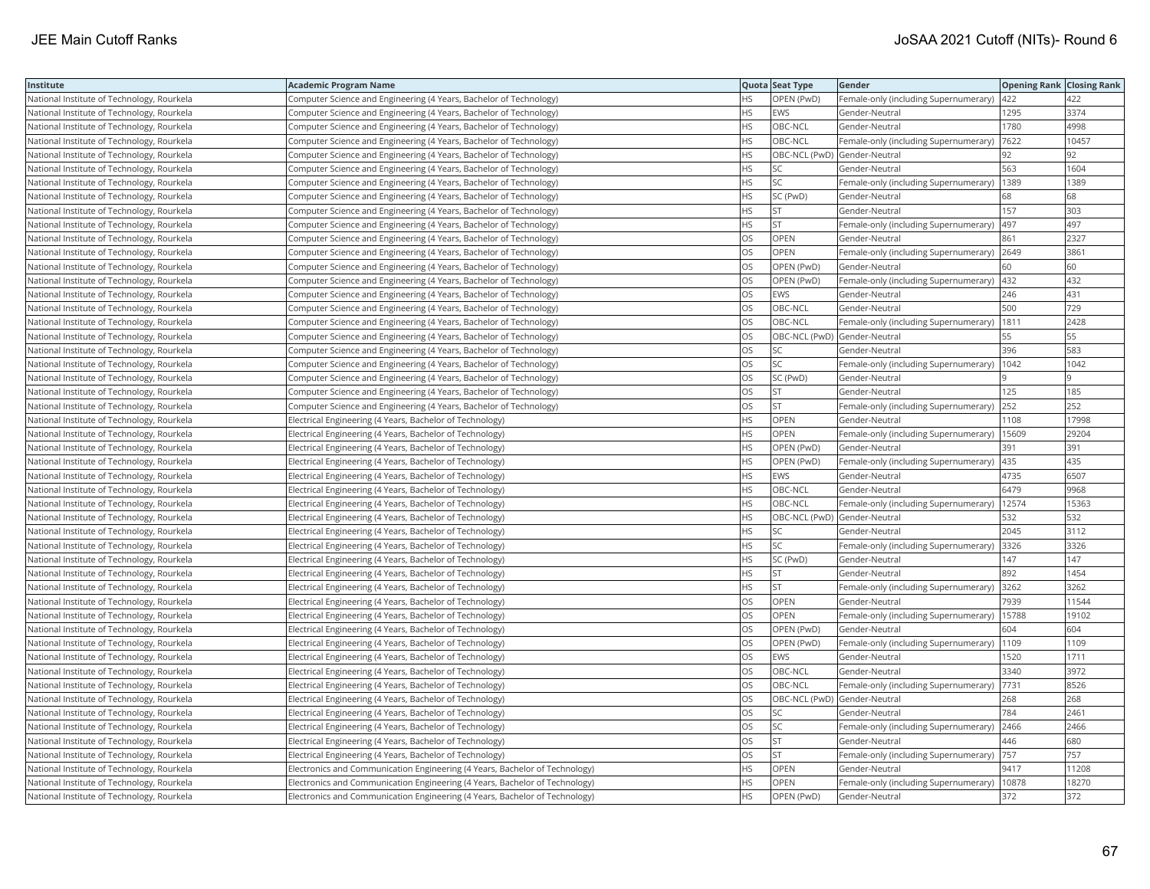| <b>Institute</b>                           | Academic Program Name                                                       |           | Quota Seat Type              | <b>Gender</b>                                 | <b>Opening Rank Closing Rank</b> |       |
|--------------------------------------------|-----------------------------------------------------------------------------|-----------|------------------------------|-----------------------------------------------|----------------------------------|-------|
| National Institute of Technology, Rourkela | Computer Science and Engineering (4 Years, Bachelor of Technology)          | HS        | OPEN (PwD)                   | Female-only (including Supernumerary)         | 422                              | 422   |
| National Institute of Technology, Rourkela | Computer Science and Engineering (4 Years, Bachelor of Technology)          | HS.       | EWS                          | Gender-Neutral                                | 1295                             | 3374  |
| National Institute of Technology, Rourkela | Computer Science and Engineering (4 Years, Bachelor of Technology)          | HS        | OBC-NCL                      | Gender-Neutral                                | 1780                             | 4998  |
| National Institute of Technology, Rourkela | Computer Science and Engineering (4 Years, Bachelor of Technology)          | HS.       | OBC-NCL                      | Female-only (including Supernumerary)         | 7622                             | 10457 |
| National Institute of Technology, Rourkela | Computer Science and Engineering (4 Years, Bachelor of Technology)          | <b>HS</b> | OBC-NCL (PwD) Gender-Neutral |                                               | 92                               | 92    |
| National Institute of Technology, Rourkela | Computer Science and Engineering (4 Years, Bachelor of Technology)          | HS        | SC                           | Gender-Neutral                                | 563                              | 1604  |
| National Institute of Technology, Rourkela | Computer Science and Engineering (4 Years, Bachelor of Technology)          | HS        | SC                           | Female-only (including Supernumerary)   1389  |                                  | 1389  |
| National Institute of Technology, Rourkela | Computer Science and Engineering (4 Years, Bachelor of Technology)          | HS.       | SC (PwD)                     | Gender-Neutral                                | 68                               | 68    |
| National Institute of Technology, Rourkela | Computer Science and Engineering (4 Years, Bachelor of Technology)          | HS        | <b>ST</b>                    | Gender-Neutral                                | 157                              | 303   |
| National Institute of Technology, Rourkela | Computer Science and Engineering (4 Years, Bachelor of Technology)          | HS.       | <b>ST</b>                    | Female-only (including Supernumerary)         | 497                              | 497   |
| National Institute of Technology, Rourkela | Computer Science and Engineering (4 Years, Bachelor of Technology)          | OS.       | OPEN                         | Gender-Neutral                                | 861                              | 2327  |
| National Institute of Technology, Rourkela | Computer Science and Engineering (4 Years, Bachelor of Technology)          | <b>OS</b> | OPEN                         | Female-only (including Supernumerary) 2649    |                                  | 3861  |
| National Institute of Technology, Rourkela | Computer Science and Engineering (4 Years, Bachelor of Technology)          | OS        | OPEN (PwD)                   | Gender-Neutral                                | 60                               | 60    |
| National Institute of Technology, Rourkela | Computer Science and Engineering (4 Years, Bachelor of Technology)          | OS        | OPEN (PwD)                   | Female-only (including Supernumerary)   432   |                                  | 432   |
| National Institute of Technology, Rourkela | Computer Science and Engineering (4 Years, Bachelor of Technology)          | OS        | EWS                          | Gender-Neutral                                | 246                              | 431   |
| National Institute of Technology, Rourkela | Computer Science and Engineering (4 Years, Bachelor of Technology)          | OS        | OBC-NCL                      | Gender-Neutral                                | 500                              | 729   |
| National Institute of Technology, Rourkela | Computer Science and Engineering (4 Years, Bachelor of Technology)          | OS        | OBC-NCL                      | Female-only (including Supernumerary)         | 1811                             | 2428  |
| National Institute of Technology, Rourkela | Computer Science and Engineering (4 Years, Bachelor of Technology)          | OS        | OBC-NCL (PwD) Gender-Neutral |                                               | 55                               | 55    |
| National Institute of Technology, Rourkela | Computer Science and Engineering (4 Years, Bachelor of Technology)          | OS        | <b>SC</b>                    | Gender-Neutral                                | 396                              | 583   |
| National Institute of Technology, Rourkela | Computer Science and Engineering (4 Years, Bachelor of Technology)          | <b>OS</b> | <b>SC</b>                    | Female-only (including Supernumerary)         | 1042                             | 1042  |
| National Institute of Technology, Rourkela | Computer Science and Engineering (4 Years, Bachelor of Technology)          | OS        | SC (PwD)                     | Gender-Neutral                                |                                  | ١q    |
| National Institute of Technology, Rourkela | Computer Science and Engineering (4 Years, Bachelor of Technology)          | OS        | <b>ST</b>                    | Gender-Neutral                                | 125                              | 185   |
| National Institute of Technology, Rourkela | Computer Science and Engineering (4 Years, Bachelor of Technology)          | OS        | <b>ST</b>                    | Female-only (including Supernumerary) 252     |                                  | 252   |
| National Institute of Technology, Rourkela | Electrical Engineering (4 Years, Bachelor of Technology)                    | HS        | OPEN                         | Gender-Neutral                                | 1108                             | 17998 |
| National Institute of Technology, Rourkela | Electrical Engineering (4 Years, Bachelor of Technology)                    | HS        | OPEN                         | Female-only (including Supernumerary)         | 15609                            | 29204 |
| National Institute of Technology, Rourkela | Electrical Engineering (4 Years, Bachelor of Technology)                    | HS        | OPEN (PwD)                   | Gender-Neutral                                | 391                              | 391   |
| National Institute of Technology, Rourkela | Electrical Engineering (4 Years, Bachelor of Technology)                    | HS.       | OPEN (PwD)                   | Female-only (including Supernumerary)         | 435                              | 435   |
| National Institute of Technology, Rourkela | Electrical Engineering (4 Years, Bachelor of Technology)                    | <b>HS</b> | <b>EWS</b>                   | Gender-Neutral                                | 4735                             | 6507  |
| National Institute of Technology, Rourkela | Electrical Engineering (4 Years, Bachelor of Technology)                    | HS        | OBC-NCL                      | Gender-Neutral                                | 6479                             | 9968  |
| National Institute of Technology, Rourkela | Electrical Engineering (4 Years, Bachelor of Technology)                    | HS.       | OBC-NCL                      | Female-only (including Supernumerary)         | 12574                            | 15363 |
| National Institute of Technology, Rourkela | Electrical Engineering (4 Years, Bachelor of Technology)                    | HS        | OBC-NCL (PwD) Gender-Neutral |                                               | 532                              | 532   |
| National Institute of Technology, Rourkela | Electrical Engineering (4 Years, Bachelor of Technology)                    | HS        | SC                           | Gender-Neutral                                | 2045                             | 3112  |
| National Institute of Technology, Rourkela | Electrical Engineering (4 Years, Bachelor of Technology)                    | HS.       | SC                           | Female-only (including Supernumerary)         | 3326                             | 3326  |
| National Institute of Technology, Rourkela | Electrical Engineering (4 Years, Bachelor of Technology)                    | НS        | SC (PwD)                     | Gender-Neutral                                | 147                              | 147   |
| National Institute of Technology, Rourkela | Electrical Engineering (4 Years, Bachelor of Technology)                    | HS.       | <b>ST</b>                    | Gender-Neutral                                | 892                              | 1454  |
| National Institute of Technology, Rourkela | Electrical Engineering (4 Years, Bachelor of Technology)                    | <b>HS</b> | <b>ST</b>                    | Female-only (including Supernumerary)         | 3262                             | 3262  |
| National Institute of Technology, Rourkela | Electrical Engineering (4 Years, Bachelor of Technology)                    | OS        | <b>OPEN</b>                  | Gender-Neutral                                | 7939                             | 11544 |
| National Institute of Technology, Rourkela | Electrical Engineering (4 Years, Bachelor of Technology)                    | OS        | OPEN                         | Female-only (including Supernumerary)   15788 |                                  | 19102 |
| National Institute of Technology, Rourkela | Electrical Engineering (4 Years, Bachelor of Technology)                    | OS        | OPEN (PwD)                   | Gender-Neutral                                | 604                              | 604   |
| National Institute of Technology, Rourkela | Electrical Engineering (4 Years, Bachelor of Technology)                    | <b>OS</b> | OPEN (PwD)                   | Female-only (including Supernumerary)  1109   |                                  | 1109  |
| National Institute of Technology, Rourkela | Electrical Engineering (4 Years, Bachelor of Technology)                    | OS        | EWS                          | Gender-Neutral                                | 1520                             | 1711  |
| National Institute of Technology, Rourkela | Electrical Engineering (4 Years, Bachelor of Technology)                    | OS        | OBC-NCL                      | Gender-Neutral                                | 3340                             | 3972  |
| National Institute of Technology, Rourkela | Electrical Engineering (4 Years, Bachelor of Technology)                    | OS        | OBC-NCL                      | Female-only (including Supernumerary)         | 7731                             | 8526  |
| National Institute of Technology, Rourkela | Electrical Engineering (4 Years, Bachelor of Technology)                    | OS.       | OBC-NCL (PwD) Gender-Neutral |                                               | 268                              | 268   |
| National Institute of Technology, Rourkela | Electrical Engineering (4 Years, Bachelor of Technology)                    | OS        | SC                           | Gender-Neutral                                | 784                              | 2461  |
| National Institute of Technology, Rourkela | Electrical Engineering (4 Years, Bachelor of Technology)                    | OS        | SC                           | Female-only (including Supernumerary)         | 2466                             | 2466  |
| National Institute of Technology, Rourkela | Electrical Engineering (4 Years, Bachelor of Technology)                    | OS.       | <b>ST</b>                    | Gender-Neutral                                | 446                              | 680   |
| National Institute of Technology, Rourkela | Electrical Engineering (4 Years, Bachelor of Technology)                    | OS        | <b>ST</b>                    | Female-only (including Supernumerary)  757    |                                  | 757   |
| National Institute of Technology, Rourkela | Electronics and Communication Engineering (4 Years, Bachelor of Technology) | HS        | OPEN                         | Gender-Neutral                                | 9417                             | 11208 |
| National Institute of Technology, Rourkela | Electronics and Communication Engineering (4 Years, Bachelor of Technology) | <b>HS</b> | OPEN                         | Female-only (including Supernumerary)         | 10878                            | 18270 |
| National Institute of Technology, Rourkela | Electronics and Communication Engineering (4 Years, Bachelor of Technology) | <b>HS</b> | OPEN (PwD)                   | Gender-Neutral                                | 372                              | 372   |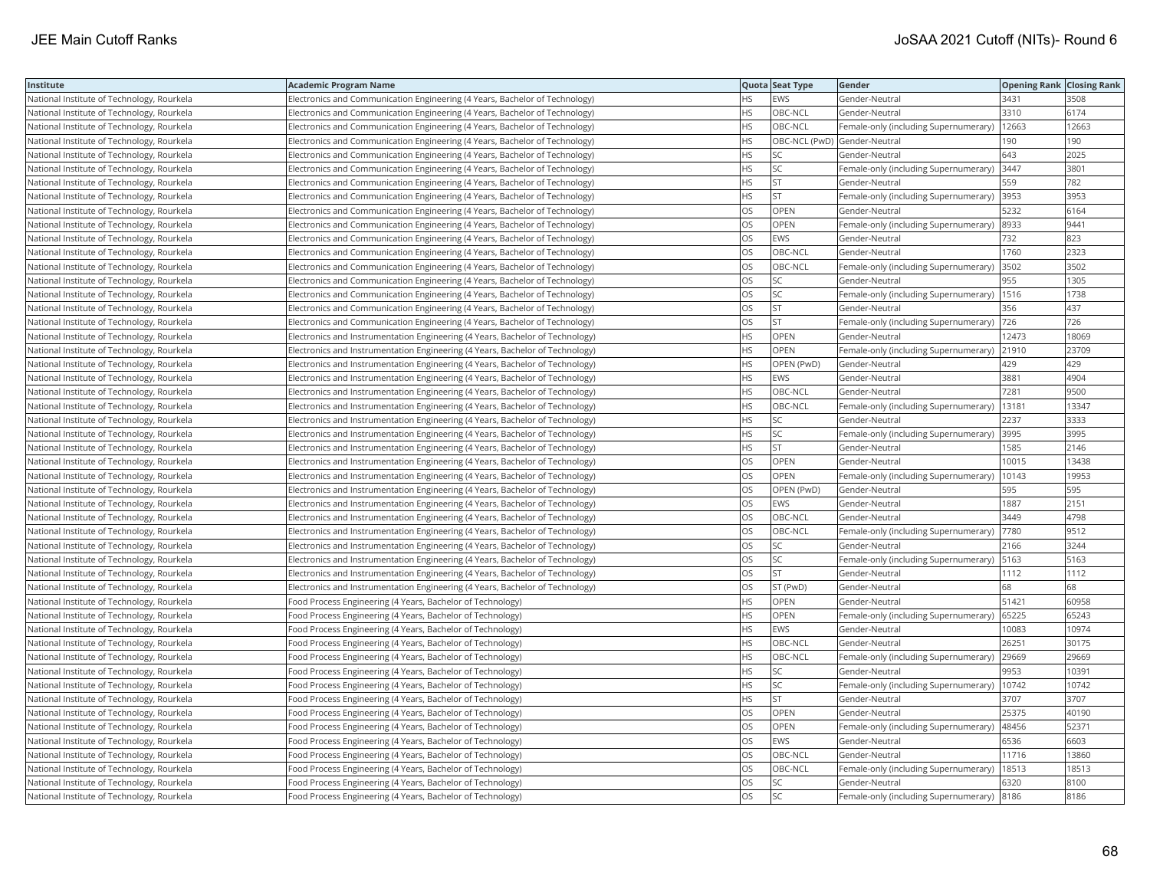| Institute                                  | <b>Academic Program Name</b>                                                  |           | Quota Seat Type              | Gender                                        | <b>Opening Rank   Closing Rank</b> |       |
|--------------------------------------------|-------------------------------------------------------------------------------|-----------|------------------------------|-----------------------------------------------|------------------------------------|-------|
| National Institute of Technology, Rourkela | Electronics and Communication Engineering (4 Years, Bachelor of Technology)   | HS.       | <b>EWS</b>                   | Gender-Neutral                                | 3431                               | 3508  |
| National Institute of Technology, Rourkela | Electronics and Communication Engineering (4 Years, Bachelor of Technology)   | HS.       | OBC-NCL                      | Gender-Neutral                                | 3310                               | 6174  |
| National Institute of Technology, Rourkela | Electronics and Communication Engineering (4 Years, Bachelor of Technology)   | <b>HS</b> | OBC-NCL                      | Female-only (including Supernumerary)         | 12663                              | 12663 |
| National Institute of Technology, Rourkela | Electronics and Communication Engineering (4 Years, Bachelor of Technology)   | HS        | OBC-NCL (PwD) Gender-Neutral |                                               | 190                                | 190   |
| National Institute of Technology, Rourkela | Electronics and Communication Engineering (4 Years, Bachelor of Technology)   | HS        | SC                           | Gender-Neutral                                | 643                                | 2025  |
| National Institute of Technology, Rourkela | Electronics and Communication Engineering (4 Years, Bachelor of Technology)   | ΗS        | SC                           | Female-only (including Supernumerary) 3447    |                                    | 3801  |
| National Institute of Technology, Rourkela | Electronics and Communication Engineering (4 Years, Bachelor of Technology)   | ΗS        | <b>ST</b>                    | Gender-Neutral                                | 559                                | 782   |
| National Institute of Technology, Rourkela | Electronics and Communication Engineering (4 Years, Bachelor of Technology)   | HS        | <b>ST</b>                    | Female-only (including Supernumerary)         | 3953                               | 3953  |
| National Institute of Technology, Rourkela | Electronics and Communication Engineering (4 Years, Bachelor of Technology)   | OS        | OPEN                         | Gender-Neutral                                | 5232                               | 6164  |
| National Institute of Technology, Rourkela | Electronics and Communication Engineering (4 Years, Bachelor of Technology)   | OS        | OPEN                         | Female-only (including Supernumerary)         | 8933                               | 9441  |
| National Institute of Technology, Rourkela | Electronics and Communication Engineering (4 Years, Bachelor of Technology)   | OS        | <b>EWS</b>                   | Gender-Neutral                                | 732                                | 823   |
| National Institute of Technology, Rourkela | Electronics and Communication Engineering (4 Years, Bachelor of Technology)   | OS        | OBC-NCL                      | Gender-Neutral                                | 1760                               | 2323  |
| National Institute of Technology, Rourkela | Electronics and Communication Engineering (4 Years, Bachelor of Technology)   | OS        | OBC-NCL                      | Female-only (including Supernumerary) 3502    |                                    | 3502  |
| National Institute of Technology, Rourkela | Electronics and Communication Engineering (4 Years, Bachelor of Technology)   | OS        | SC                           | Gender-Neutral                                | 955                                | 1305  |
| National Institute of Technology, Rourkela | Electronics and Communication Engineering (4 Years, Bachelor of Technology)   | OS.       | <b>SC</b>                    | Female-only (including Supernumerary)   1516  |                                    | 1738  |
| National Institute of Technology, Rourkela | Electronics and Communication Engineering (4 Years, Bachelor of Technology)   | OS        | <b>ST</b>                    | Gender-Neutral                                | 356                                | 437   |
| National Institute of Technology, Rourkela | Electronics and Communication Engineering (4 Years, Bachelor of Technology)   | OS        | <b>ST</b>                    | Female-only (including Supernumerary)  726    |                                    | 726   |
| National Institute of Technology, Rourkela | Electronics and Instrumentation Engineering (4 Years, Bachelor of Technology) | HS        | OPEN                         | Gender-Neutral                                | 12473                              | 18069 |
| National Institute of Technology, Rourkela | Electronics and Instrumentation Engineering (4 Years, Bachelor of Technology) | HS        | OPEN                         | Female-only (including Supernumerary)         | 21910                              | 23709 |
| National Institute of Technology, Rourkela | Electronics and Instrumentation Engineering (4 Years, Bachelor of Technology) | <b>HS</b> | OPEN (PwD)                   | Gender-Neutral                                | 429                                | 429   |
| National Institute of Technology, Rourkela | Electronics and Instrumentation Engineering (4 Years, Bachelor of Technology) | НS        | <b>EWS</b>                   | Gender-Neutral                                | 3881                               | 4904  |
| National Institute of Technology, Rourkela | Electronics and Instrumentation Engineering (4 Years, Bachelor of Technology) | HS        | OBC-NCL                      | Gender-Neutral                                | 7281                               | 9500  |
| National Institute of Technology, Rourkela | Electronics and Instrumentation Engineering (4 Years, Bachelor of Technology) | ΗS        | OBC-NCL                      | Female-only (including Supernumerary)   13181 |                                    | 13347 |
| National Institute of Technology, Rourkela | Electronics and Instrumentation Engineering (4 Years, Bachelor of Technology) | HS        | SC                           | Gender-Neutral                                | 2237                               | 3333  |
| National Institute of Technology, Rourkela | Electronics and Instrumentation Engineering (4 Years, Bachelor of Technology) | ΗS        | SC                           | Female-only (including Supernumerary)         | 3995                               | 3995  |
| National Institute of Technology, Rourkela | Electronics and Instrumentation Engineering (4 Years, Bachelor of Technology) | HS        | <b>ST</b>                    | Gender-Neutral                                | 1585                               | 2146  |
| National Institute of Technology, Rourkela | Electronics and Instrumentation Engineering (4 Years, Bachelor of Technology) | OS        | OPEN                         | Gender-Neutral                                | 10015                              | 13438 |
| National Institute of Technology, Rourkela | Electronics and Instrumentation Engineering (4 Years, Bachelor of Technology) | <b>OS</b> | <b>OPEN</b>                  | Female-only (including Supernumerary)         | 10143                              | 19953 |
| National Institute of Technology, Rourkela | Electronics and Instrumentation Engineering (4 Years, Bachelor of Technology) | OS        | OPEN (PwD)                   | Gender-Neutral                                | 595                                | 595   |
| National Institute of Technology, Rourkela | Electronics and Instrumentation Engineering (4 Years, Bachelor of Technology) | OS        | <b>EWS</b>                   | Gender-Neutral                                | 1887                               | 2151  |
| National Institute of Technology, Rourkela | Electronics and Instrumentation Engineering (4 Years, Bachelor of Technology) | OS        | OBC-NCL                      | Gender-Neutral                                | 3449                               | 4798  |
| National Institute of Technology, Rourkela | Electronics and Instrumentation Engineering (4 Years, Bachelor of Technology) | OS        | OBC-NCL                      | Female-only (including Supernumerary)  7780   |                                    | 9512  |
| National Institute of Technology, Rourkela | Electronics and Instrumentation Engineering (4 Years, Bachelor of Technology) | OS        | SC                           | Gender-Neutral                                | 2166                               | 3244  |
| National Institute of Technology, Rourkela | Electronics and Instrumentation Engineering (4 Years, Bachelor of Technology) | OS        | <b>SC</b>                    | Female-only (including Supernumerary)         | 5163                               | 5163  |
| National Institute of Technology, Rourkela | Electronics and Instrumentation Engineering (4 Years, Bachelor of Technology) | OS        | <b>ST</b>                    | Gender-Neutral                                | 1112                               | 1112  |
| National Institute of Technology, Rourkela | Electronics and Instrumentation Engineering (4 Years, Bachelor of Technology) | OS        | ST (PwD)                     | Gender-Neutral                                | 68                                 | 68    |
| National Institute of Technology, Rourkela | Food Process Engineering (4 Years, Bachelor of Technology)                    | <b>HS</b> | <b>OPEN</b>                  | Gender-Neutral                                | 51421                              | 60958 |
| National Institute of Technology, Rourkela | Food Process Engineering (4 Years, Bachelor of Technology)                    | HS        | OPEN                         | Female-only (including Supernumerary)         | 65225                              | 65243 |
| National Institute of Technology, Rourkela | Food Process Engineering (4 Years, Bachelor of Technology)                    | HS        | <b>EWS</b>                   | Gender-Neutral                                | 10083                              | 10974 |
| National Institute of Technology, Rourkela | Food Process Engineering (4 Years, Bachelor of Technology)                    | HS        | OBC-NCL                      | Gender-Neutral                                | 26251                              | 30175 |
| National Institute of Technology, Rourkela | Food Process Engineering (4 Years, Bachelor of Technology)                    | <b>HS</b> | OBC-NCL                      | Female-only (including Supernumerary)         | 29669                              | 29669 |
| National Institute of Technology, Rourkela | Food Process Engineering (4 Years, Bachelor of Technology)                    | ΗS        | SC                           | Gender-Neutral                                | 9953                               | 10391 |
| National Institute of Technology, Rourkela | Food Process Engineering (4 Years, Bachelor of Technology)                    | HS        | SC                           | Female-only (including Supernumerary)         | 10742                              | 10742 |
| National Institute of Technology, Rourkela | Food Process Engineering (4 Years, Bachelor of Technology)                    | НS        | <b>ST</b>                    | Gender-Neutral                                | 3707                               | 3707  |
| National Institute of Technology, Rourkela | Food Process Engineering (4 Years, Bachelor of Technology)                    | OS        | OPEN                         | Gender-Neutral                                | 25375                              | 40190 |
| National Institute of Technology, Rourkela | Food Process Engineering (4 Years, Bachelor of Technology)                    | OS        | <b>OPEN</b>                  | Female-only (including Supernumerary)         | 48456                              | 52371 |
| National Institute of Technology, Rourkela | Food Process Engineering (4 Years, Bachelor of Technology)                    | OS        | <b>EWS</b>                   | Gender-Neutral                                | 6536                               | 6603  |
| National Institute of Technology, Rourkela | Food Process Engineering (4 Years, Bachelor of Technology)                    | OS        | OBC-NCL                      | Gender-Neutral                                | 11716                              | 13860 |
| National Institute of Technology, Rourkela | Food Process Engineering (4 Years, Bachelor of Technology)                    | OS        | OBC-NCL                      | Female-only (including Supernumerary)   18513 |                                    | 18513 |
| National Institute of Technology, Rourkela | Food Process Engineering (4 Years, Bachelor of Technology)                    | OS        | SC                           | Gender-Neutral                                | 6320                               | 8100  |
| National Institute of Technology, Rourkela | Food Process Engineering (4 Years, Bachelor of Technology)                    | <b>OS</b> | <b>SC</b>                    | Female-only (including Supernumerary)  8186   |                                    | 8186  |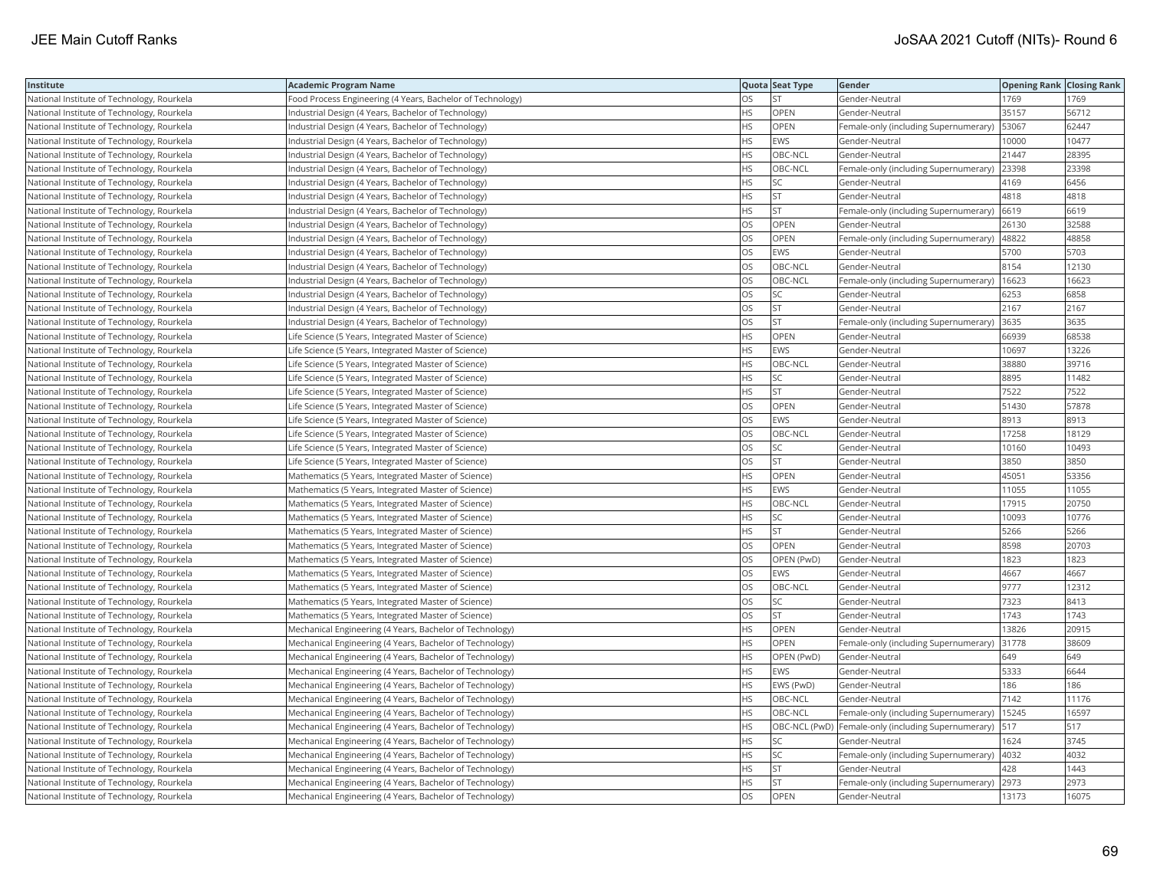| Institute                                  | <b>Academic Program Name</b>                               |           | Quota Seat Type | Gender                                                    | <b>Opening Rank   Closing Rank</b> |       |
|--------------------------------------------|------------------------------------------------------------|-----------|-----------------|-----------------------------------------------------------|------------------------------------|-------|
| National Institute of Technology, Rourkela | Food Process Engineering (4 Years, Bachelor of Technology) | OS        | <b>ST</b>       | Gender-Neutral                                            | 1769                               | 1769  |
| National Institute of Technology, Rourkela | Industrial Design (4 Years, Bachelor of Technology)        | <b>HS</b> | OPEN            | Gender-Neutral                                            | 35157                              | 56712 |
| National Institute of Technology, Rourkela | Industrial Design (4 Years, Bachelor of Technology)        | HS        | OPEN            | Female-only (including Supernumerary)                     | 53067                              | 62447 |
| National Institute of Technology, Rourkela | Industrial Design (4 Years, Bachelor of Technology)        | <b>HS</b> | <b>EWS</b>      | Gender-Neutral                                            | 10000                              | 10477 |
| National Institute of Technology, Rourkela | Industrial Design (4 Years, Bachelor of Technology)        | HS        | OBC-NCL         | Gender-Neutral                                            | 21447                              | 28395 |
| National Institute of Technology, Rourkela | Industrial Design (4 Years, Bachelor of Technology)        | ΗS        | OBC-NCL         | Female-only (including Supernumerary) 23398               |                                    | 23398 |
| National Institute of Technology, Rourkela | Industrial Design (4 Years, Bachelor of Technology)        | HS        | SC              | Gender-Neutral                                            | 4169                               | 6456  |
| National Institute of Technology, Rourkela | Industrial Design (4 Years, Bachelor of Technology)        | HS        | <b>ST</b>       | Gender-Neutral                                            | 4818                               | 4818  |
| National Institute of Technology, Rourkela | ndustrial Design (4 Years, Bachelor of Technology)         | HS        | <b>ST</b>       | Female-only (including Supernumerary)                     | 6619                               | 6619  |
| National Institute of Technology, Rourkela | Industrial Design (4 Years, Bachelor of Technology)        | OS        | OPEN            | Gender-Neutral                                            | 26130                              | 32588 |
| National Institute of Technology, Rourkela | Industrial Design (4 Years, Bachelor of Technology)        | OS        | OPEN            | Female-only (including Supernumerary)                     | 48822                              | 48858 |
| National Institute of Technology, Rourkela | Industrial Design (4 Years, Bachelor of Technology)        | OS        | <b>EWS</b>      | Gender-Neutral                                            | 5700                               | 5703  |
| National Institute of Technology, Rourkela | Industrial Design (4 Years, Bachelor of Technology)        | OS        | OBC-NCL         | Gender-Neutral                                            | 8154                               | 12130 |
| National Institute of Technology, Rourkela | Industrial Design (4 Years, Bachelor of Technology)        | OS        | OBC-NCL         | Female-only (including Supernumerary)                     | 16623                              | 16623 |
| National Institute of Technology, Rourkela | Industrial Design (4 Years, Bachelor of Technology)        | OS        | SC              | Gender-Neutral                                            | 6253                               | 6858  |
| National Institute of Technology, Rourkela | Industrial Design (4 Years, Bachelor of Technology)        | OS        | <b>ST</b>       | Gender-Neutral                                            | 2167                               | 2167  |
| National Institute of Technology, Rourkela | Industrial Design (4 Years, Bachelor of Technology)        | OS        | <b>ST</b>       | Female-only (including Supernumerary)                     | 3635                               | 3635  |
| National Institute of Technology, Rourkela | Life Science (5 Years, Integrated Master of Science)       | НS        | OPEN            | Gender-Neutral                                            | 66939                              | 68538 |
| National Institute of Technology, Rourkela | Life Science (5 Years, Integrated Master of Science)       | HS        | <b>EWS</b>      | Gender-Neutral                                            | 10697                              | 13226 |
| National Institute of Technology, Rourkela | Life Science (5 Years, Integrated Master of Science)       | <b>HS</b> | OBC-NCL         | Gender-Neutral                                            | 38880                              | 39716 |
| National Institute of Technology, Rourkela | Life Science (5 Years, Integrated Master of Science)       | HS        | SC              | Gender-Neutral                                            | 8895                               | 11482 |
| National Institute of Technology, Rourkela | Life Science (5 Years, Integrated Master of Science)       | HS        | <b>ST</b>       | Gender-Neutral                                            | 7522                               | 7522  |
| National Institute of Technology, Rourkela | Life Science (5 Years, Integrated Master of Science)       | OS        | <b>OPEN</b>     | Gender-Neutral                                            | 51430                              | 57878 |
| National Institute of Technology, Rourkela | Life Science (5 Years, Integrated Master of Science)       | OS        | <b>EWS</b>      | Gender-Neutral                                            | 8913                               | 8913  |
| National Institute of Technology, Rourkela | Life Science (5 Years, Integrated Master of Science)       | OS        | OBC-NCL         | Gender-Neutral                                            | 17258                              | 18129 |
| National Institute of Technology, Rourkela | Life Science (5 Years, Integrated Master of Science)       | OS        | SC              | Gender-Neutral                                            | 10160                              | 10493 |
| National Institute of Technology, Rourkela | Life Science (5 Years, Integrated Master of Science)       | OS        | <b>ST</b>       | Gender-Neutral                                            | 3850                               | 3850  |
| National Institute of Technology, Rourkela | Mathematics (5 Years, Integrated Master of Science)        | HS.       | <b>OPEN</b>     | Gender-Neutral                                            | 45051                              | 53356 |
| National Institute of Technology, Rourkela | Mathematics (5 Years, Integrated Master of Science)        | HS        | <b>EWS</b>      | Gender-Neutral                                            | 11055                              | 11055 |
| National Institute of Technology, Rourkela | Mathematics (5 Years, Integrated Master of Science)        | HS        | OBC-NCL         | Gender-Neutral                                            | 17915                              | 20750 |
| National Institute of Technology, Rourkela | Mathematics (5 Years, Integrated Master of Science)        | ΗS        | SC              | Gender-Neutral                                            | 10093                              | 10776 |
| National Institute of Technology, Rourkela | Mathematics (5 Years, Integrated Master of Science)        | ΗS        | <b>ST</b>       | Gender-Neutral                                            | 5266                               | 5266  |
| National Institute of Technology, Rourkela | Mathematics (5 Years, Integrated Master of Science)        | OS        | <b>OPEN</b>     | Gender-Neutral                                            | 8598                               | 20703 |
| National Institute of Technology, Rourkela | Mathematics (5 Years, Integrated Master of Science)        | OS        | OPEN (PwD)      | Gender-Neutral                                            | 1823                               | 1823  |
| National Institute of Technology, Rourkela | Mathematics (5 Years, Integrated Master of Science)        | OS        | <b>EWS</b>      | Gender-Neutral                                            | 4667                               | 4667  |
| National Institute of Technology, Rourkela | Mathematics (5 Years, Integrated Master of Science)        | <b>OS</b> | OBC-NCL         | Gender-Neutral                                            | 9777                               | 12312 |
| National Institute of Technology, Rourkela | Mathematics (5 Years, Integrated Master of Science)        | OS        | SC              | Gender-Neutral                                            | 7323                               | 8413  |
| National Institute of Technology, Rourkela | Mathematics (5 Years, Integrated Master of Science)        | OS        | <b>ST</b>       | Gender-Neutral                                            | 1743                               | 1743  |
| National Institute of Technology, Rourkela | Mechanical Engineering (4 Years, Bachelor of Technology)   | ΗS        | OPEN            | Gender-Neutral                                            | 13826                              | 20915 |
| National Institute of Technology, Rourkela | Mechanical Engineering (4 Years, Bachelor of Technology)   | HS        | OPEN            | Female-only (including Supernumerary)                     | 31778                              | 38609 |
| National Institute of Technology, Rourkela | Mechanical Engineering (4 Years, Bachelor of Technology)   | ΗS        | OPEN (PwD)      | Gender-Neutral                                            | 649                                | 649   |
| National Institute of Technology, Rourkela | Mechanical Engineering (4 Years, Bachelor of Technology)   | HS        | <b>EWS</b>      | Gender-Neutral                                            | 5333                               | 6644  |
| National Institute of Technology, Rourkela | Mechanical Engineering (4 Years, Bachelor of Technology)   | HS        | EWS (PwD)       | Gender-Neutral                                            | 186                                | 186   |
| National Institute of Technology, Rourkela | Mechanical Engineering (4 Years, Bachelor of Technology)   | HS        | OBC-NCL         | Gender-Neutral                                            | 7142                               | 11176 |
| National Institute of Technology, Rourkela | Mechanical Engineering (4 Years, Bachelor of Technology)   | <b>HS</b> | OBC-NCL         | Female-only (including Supernumerary)                     | 15245                              | 16597 |
| National Institute of Technology, Rourkela | Mechanical Engineering (4 Years, Bachelor of Technology)   | HS        |                 | OBC-NCL (PwD)  Female-only (including Supernumerary)  517 |                                    | 517   |
| National Institute of Technology, Rourkela | Mechanical Engineering (4 Years, Bachelor of Technology)   | ΗS        | SC              | Gender-Neutral                                            | 1624                               | 3745  |
| National Institute of Technology, Rourkela | Mechanical Engineering (4 Years, Bachelor of Technology)   | ΗS        | SC              | Female-only (including Supernumerary)  4032               |                                    | 4032  |
| National Institute of Technology, Rourkela | Mechanical Engineering (4 Years, Bachelor of Technology)   | ΗS        | <b>ST</b>       | Gender-Neutral                                            | 428                                | 1443  |
| National Institute of Technology, Rourkela | Mechanical Engineering (4 Years, Bachelor of Technology)   | HS        | <b>ST</b>       | Female-only (including Supernumerary)                     | 2973                               | 2973  |
| National Institute of Technology, Rourkela | Mechanical Engineering (4 Years, Bachelor of Technology)   | OS        | OPEN            | Gender-Neutral                                            | 13173                              | 16075 |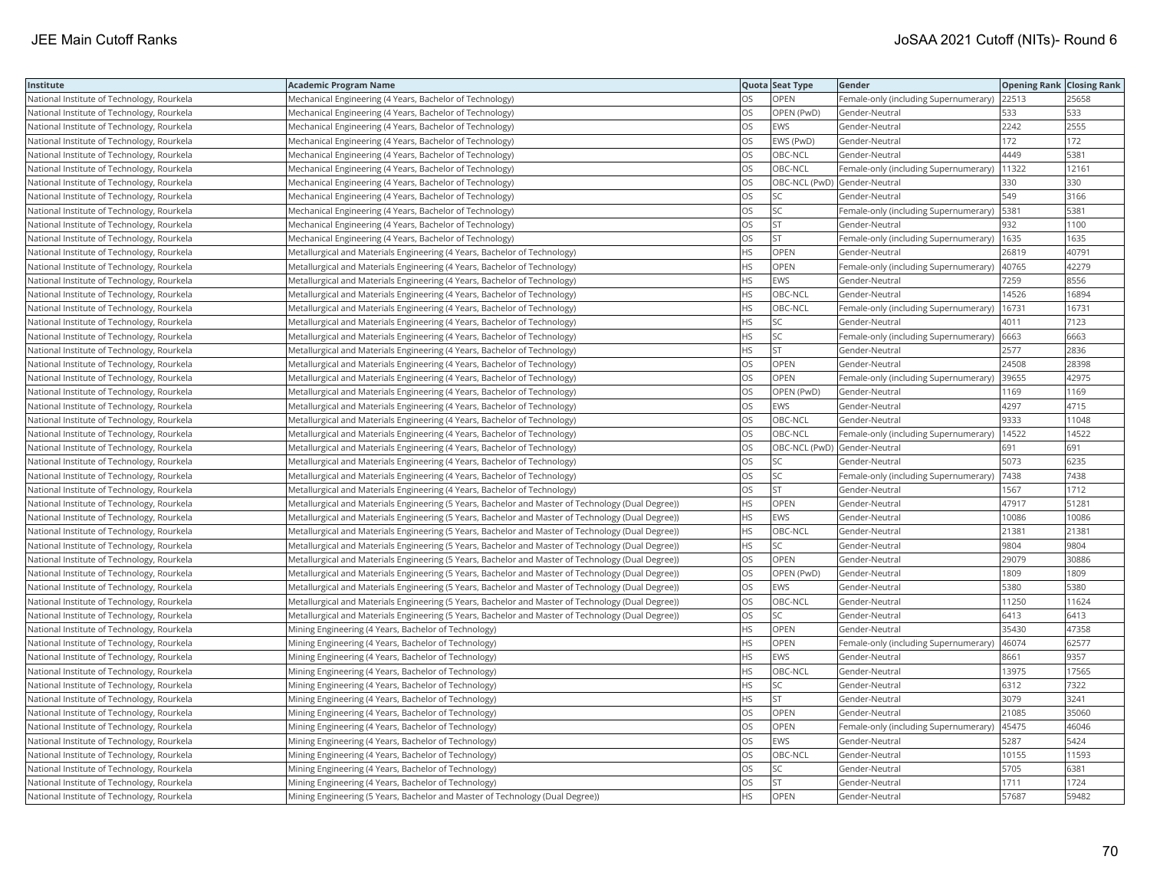| Institute                                  | <b>Academic Program Name</b>                                                                       |           | Quota Seat Type              | Gender                                      | <b>Opening Rank Closing Rank</b> |       |
|--------------------------------------------|----------------------------------------------------------------------------------------------------|-----------|------------------------------|---------------------------------------------|----------------------------------|-------|
| National Institute of Technology, Rourkela | Mechanical Engineering (4 Years, Bachelor of Technology)                                           | OS        | OPEN                         | Female-only (including Supernumerary) 22513 |                                  | 25658 |
| National Institute of Technology, Rourkela | Mechanical Engineering (4 Years, Bachelor of Technology)                                           | OS        | OPEN (PwD)                   | Gender-Neutral                              | 533                              | 533   |
| National Institute of Technology, Rourkela | Mechanical Engineering (4 Years, Bachelor of Technology)                                           | OS        | <b>EWS</b>                   | Gender-Neutral                              | 2242                             | 2555  |
| National Institute of Technology, Rourkela | Mechanical Engineering (4 Years, Bachelor of Technology)                                           | OS        | EWS (PwD)                    | Gender-Neutral                              | 172                              | 172   |
| National Institute of Technology, Rourkela | Mechanical Engineering (4 Years, Bachelor of Technology)                                           | OS        | OBC-NCL                      | Gender-Neutral                              | 4449                             | 5381  |
| National Institute of Technology, Rourkela | Mechanical Engineering (4 Years, Bachelor of Technology)                                           | OS        | OBC-NCL                      | Female-only (including Supernumerary)       | 11322                            | 12161 |
| National Institute of Technology, Rourkela | Mechanical Engineering (4 Years, Bachelor of Technology)                                           | OS        | OBC-NCL (PwD) Gender-Neutral |                                             | 330                              | 330   |
| National Institute of Technology, Rourkela | Mechanical Engineering (4 Years, Bachelor of Technology)                                           | <b>OS</b> | <b>SC</b>                    | Gender-Neutral                              | 549                              | 3166  |
| National Institute of Technology, Rourkela | Mechanical Engineering (4 Years, Bachelor of Technology)                                           | OS        | SC                           | Female-only (including Supernumerary)       | 5381                             | 5381  |
| National Institute of Technology, Rourkela | Mechanical Engineering (4 Years, Bachelor of Technology)                                           | OS        | <b>ST</b>                    | Gender-Neutral                              | 932                              | 1100  |
| National Institute of Technology, Rourkela | Mechanical Engineering (4 Years, Bachelor of Technology)                                           | OS        | ST                           | Female-only (including Supernumerary)       | 1635                             | 1635  |
| National Institute of Technology, Rourkela | Metallurgical and Materials Engineering (4 Years, Bachelor of Technology)                          | HS        | OPEN                         | Gender-Neutral                              | 26819                            | 40791 |
| National Institute of Technology, Rourkela | Metallurgical and Materials Engineering (4 Years, Bachelor of Technology)                          | <b>HS</b> | OPEN                         | Female-only (including Supernumerary)       | 40765                            | 42279 |
| National Institute of Technology, Rourkela | Metallurgical and Materials Engineering (4 Years, Bachelor of Technology)                          | <b>HS</b> | EWS                          | Gender-Neutral                              | 7259                             | 8556  |
| National Institute of Technology, Rourkela | Metallurgical and Materials Engineering (4 Years, Bachelor of Technology)                          | HS        | OBC-NCL                      | Gender-Neutral                              | 14526                            | 16894 |
| National Institute of Technology, Rourkela | Metallurgical and Materials Engineering (4 Years, Bachelor of Technology)                          | HS        | OBC-NCL                      | Female-only (including Supernumerary)       | 16731                            | 16731 |
| National Institute of Technology, Rourkela | Metallurgical and Materials Engineering (4 Years, Bachelor of Technology)                          | <b>HS</b> | <b>SC</b>                    | Gender-Neutral                              | 4011                             | 7123  |
| National Institute of Technology, Rourkela | Metallurgical and Materials Engineering (4 Years, Bachelor of Technology)                          | HS        | SC                           | Female-only (including Supernumerary)       | 6663                             | 6663  |
| National Institute of Technology, Rourkela | Metallurgical and Materials Engineering (4 Years, Bachelor of Technology)                          | HS        | <b>ST</b>                    | Gender-Neutral                              | 2577                             | 2836  |
| National Institute of Technology, Rourkela | Metallurgical and Materials Engineering (4 Years, Bachelor of Technology)                          | OS        | <b>OPEN</b>                  | Gender-Neutral                              | 24508                            | 28398 |
| National Institute of Technology, Rourkela | Metallurgical and Materials Engineering (4 Years, Bachelor of Technology)                          | OS        | <b>OPEN</b>                  | Female-only (including Supernumerary)       | 39655                            | 42975 |
| National Institute of Technology, Rourkela | Metallurgical and Materials Engineering (4 Years, Bachelor of Technology)                          | OS        | OPEN (PwD)                   | Gender-Neutral                              | 1169                             | 1169  |
| National Institute of Technology, Rourkela | Metallurgical and Materials Engineering (4 Years, Bachelor of Technology)                          | OS        | EWS                          | Gender-Neutral                              | 4297                             | 4715  |
| National Institute of Technology, Rourkela | Metallurgical and Materials Engineering (4 Years, Bachelor of Technology)                          | OS        | OBC-NCL                      | Gender-Neutral                              | 9333                             | 11048 |
| National Institute of Technology, Rourkela | Metallurgical and Materials Engineering (4 Years, Bachelor of Technology)                          | OS        | OBC-NCL                      | Female-only (including Supernumerary)       | 14522                            | 14522 |
| National Institute of Technology, Rourkela | Metallurgical and Materials Engineering (4 Years, Bachelor of Technology)                          | OS        | OBC-NCL (PwD) Gender-Neutral |                                             | 691                              | 691   |
| National Institute of Technology, Rourkela | Metallurgical and Materials Engineering (4 Years, Bachelor of Technology)                          | OS        | SC                           | Gender-Neutral                              | 5073                             | 6235  |
| National Institute of Technology, Rourkela | Metallurgical and Materials Engineering (4 Years, Bachelor of Technology)                          | OS        | <b>SC</b>                    | Female-only (including Supernumerary)       | 7438                             | 7438  |
| National Institute of Technology, Rourkela | Metallurgical and Materials Engineering (4 Years, Bachelor of Technology)                          | OS        | <b>ST</b>                    | Gender-Neutral                              | 1567                             | 1712  |
| National Institute of Technology, Rourkela | Metallurgical and Materials Engineering (5 Years, Bachelor and Master of Technology (Dual Degree)) | HS        | OPEN                         | Gender-Neutral                              | 47917                            | 51281 |
| National Institute of Technology, Rourkela | Metallurgical and Materials Engineering (5 Years, Bachelor and Master of Technology (Dual Degree)) | HS        | <b>EWS</b>                   | Gender-Neutral                              | 10086                            | 10086 |
| National Institute of Technology, Rourkela | Metallurgical and Materials Engineering (5 Years, Bachelor and Master of Technology (Dual Degree)) | ΗS        | OBC-NCL                      | Gender-Neutral                              | 21381                            | 21381 |
| National Institute of Technology, Rourkela | Metallurgical and Materials Engineering (5 Years, Bachelor and Master of Technology (Dual Degree)) | ΗS        | <b>SC</b>                    | Gender-Neutral                              | 9804                             | 9804  |
| National Institute of Technology, Rourkela | (Detallurgical and Materials Engineering (5 Years, Bachelor and Master of Technology (Dual Degree) | OS        | OPEN                         | Gender-Neutral                              | 29079                            | 30886 |
| National Institute of Technology, Rourkela | Metallurgical and Materials Engineering (5 Years, Bachelor and Master of Technology (Dual Degree)) | OS        | OPEN (PwD)                   | Gender-Neutral                              | 1809                             | 1809  |
| National Institute of Technology, Rourkela | Metallurgical and Materials Engineering (5 Years, Bachelor and Master of Technology (Dual Degree)) | OS        | <b>EWS</b>                   | Gender-Neutral                              | 5380                             | 5380  |
| National Institute of Technology, Rourkela | Metallurgical and Materials Engineering (5 Years, Bachelor and Master of Technology (Dual Degree)) | OS        | OBC-NCL                      | Gender-Neutral                              | 11250                            | 11624 |
| National Institute of Technology, Rourkela | Metallurgical and Materials Engineering (5 Years, Bachelor and Master of Technology (Dual Degree)) | OS        | <b>SC</b>                    | Gender-Neutral                              | 6413                             | 6413  |
| National Institute of Technology, Rourkela | Mining Engineering (4 Years, Bachelor of Technology)                                               | ΗS        | OPEN                         | Gender-Neutral                              | 35430                            | 47358 |
| National Institute of Technology, Rourkela | Mining Engineering (4 Years, Bachelor of Technology)                                               | HS        | OPEN                         | Female-only (including Supernumerary)       | 46074                            | 62577 |
| National Institute of Technology, Rourkela | Mining Engineering (4 Years, Bachelor of Technology)                                               | HS        | EWS                          | Gender-Neutral                              | 8661                             | 9357  |
| National Institute of Technology, Rourkela | Mining Engineering (4 Years, Bachelor of Technology)                                               | HS        | OBC-NCL                      | Gender-Neutral                              | 13975                            | 17565 |
| National Institute of Technology, Rourkela | Mining Engineering (4 Years, Bachelor of Technology)                                               | HS        | SC                           | Gender-Neutral                              | 6312                             | 7322  |
| National Institute of Technology, Rourkela | Mining Engineering (4 Years, Bachelor of Technology)                                               | <b>HS</b> | <b>ST</b>                    | Gender-Neutral                              | 3079                             | 3241  |
| National Institute of Technology, Rourkela | Mining Engineering (4 Years, Bachelor of Technology)                                               | OS        | <b>OPEN</b>                  | Gender-Neutral                              | 21085                            | 35060 |
| National Institute of Technology, Rourkela | Mining Engineering (4 Years, Bachelor of Technology)                                               | OS        | OPEN                         | Female-only (including Supernumerary)       | 45475                            | 46046 |
| National Institute of Technology, Rourkela | Mining Engineering (4 Years, Bachelor of Technology)                                               | OS        | <b>EWS</b>                   | Gender-Neutral                              | 5287                             | 5424  |
| National Institute of Technology, Rourkela | Mining Engineering (4 Years, Bachelor of Technology)                                               | OS        | OBC-NCL                      | Gender-Neutral                              | 10155                            | 11593 |
| National Institute of Technology, Rourkela | Mining Engineering (4 Years, Bachelor of Technology)                                               | OS        | SC                           | Gender-Neutral                              | 5705                             | 6381  |
| National Institute of Technology, Rourkela | Mining Engineering (4 Years, Bachelor of Technology)                                               | OS        | <b>ST</b>                    | Gender-Neutral                              | 1711                             | 1724  |
| National Institute of Technology, Rourkela | Mining Engineering (5 Years, Bachelor and Master of Technology (Dual Degree))                      | <b>HS</b> | OPEN                         | Gender-Neutral                              | 57687                            | 59482 |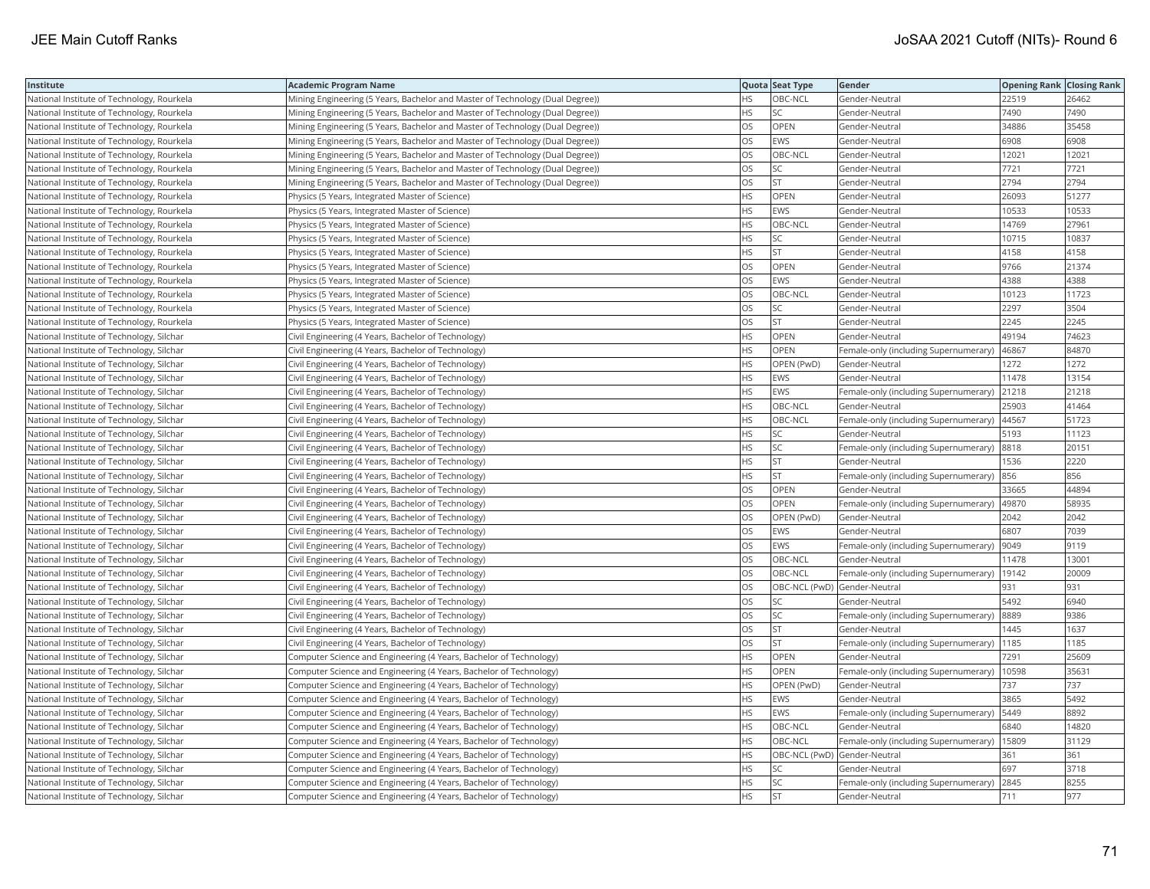| Institute                                  | <b>Academic Program Name</b>                                                  |           | Quota Seat Type              | Gender                                        | <b>Opening Rank   Closing Rank</b> |       |
|--------------------------------------------|-------------------------------------------------------------------------------|-----------|------------------------------|-----------------------------------------------|------------------------------------|-------|
| National Institute of Technology, Rourkela | Mining Engineering (5 Years, Bachelor and Master of Technology (Dual Degree)) | HS.       | OBC-NCL                      | Gender-Neutral                                | 22519                              | 26462 |
| National Institute of Technology, Rourkela | Mining Engineering (5 Years, Bachelor and Master of Technology (Dual Degree)) | HS.       | <b>SC</b>                    | Gender-Neutral                                | 7490                               | 7490  |
| National Institute of Technology, Rourkela | Mining Engineering (5 Years, Bachelor and Master of Technology (Dual Degree)) | OS        | OPEN                         | Gender-Neutral                                | 34886                              | 35458 |
| National Institute of Technology, Rourkela | Mining Engineering (5 Years, Bachelor and Master of Technology (Dual Degree)) | OS        | <b>EWS</b>                   | Gender-Neutral                                | 6908                               | 6908  |
| National Institute of Technology, Rourkela | Mining Engineering (5 Years, Bachelor and Master of Technology (Dual Degree)) | OS        | OBC-NCL                      | Gender-Neutral                                | 12021                              | 12021 |
| National Institute of Technology, Rourkela | Mining Engineering (5 Years, Bachelor and Master of Technology (Dual Degree)) | OS        | <b>SC</b>                    | Gender-Neutral                                | 7721                               | 7721  |
| National Institute of Technology, Rourkela | Mining Engineering (5 Years, Bachelor and Master of Technology (Dual Degree)) | OS        | <b>ST</b>                    | Gender-Neutral                                | 2794                               | 2794  |
| National Institute of Technology, Rourkela | Physics (5 Years, Integrated Master of Science)                               | <b>HS</b> | OPEN                         | Gender-Neutral                                | 26093                              | 51277 |
| National Institute of Technology, Rourkela | Physics (5 Years, Integrated Master of Science)                               | <b>HS</b> | <b>EWS</b>                   | Gender-Neutral                                | 10533                              | 10533 |
| National Institute of Technology, Rourkela | Physics (5 Years, Integrated Master of Science)                               | HS        | OBC-NCL                      | Gender-Neutral                                | 14769                              | 27961 |
| National Institute of Technology, Rourkela | Physics (5 Years, Integrated Master of Science)                               | HS        | SC                           | Gender-Neutral                                | 10715                              | 10837 |
| National Institute of Technology, Rourkela | Physics (5 Years, Integrated Master of Science)                               | HS        | <b>ST</b>                    | Gender-Neutral                                | 4158                               | 4158  |
| National Institute of Technology, Rourkela | Physics (5 Years, Integrated Master of Science)                               | OS        | OPEN                         | Gender-Neutral                                | 9766                               | 21374 |
| National Institute of Technology, Rourkela | Physics (5 Years, Integrated Master of Science)                               | OS        | <b>EWS</b>                   | Gender-Neutral                                | 4388                               | 4388  |
| National Institute of Technology, Rourkela | Physics (5 Years, Integrated Master of Science)                               | OS        | OBC-NCL                      | Gender-Neutral                                | 10123                              | 11723 |
| National Institute of Technology, Rourkela | Physics (5 Years, Integrated Master of Science)                               | OS        | <b>SC</b>                    | Gender-Neutral                                | 2297                               | 3504  |
| National Institute of Technology, Rourkela | Physics (5 Years, Integrated Master of Science)                               | OS        | <b>ST</b>                    | Gender-Neutral                                | 2245                               | 2245  |
| National Institute of Technology, Silchar  | Civil Engineering (4 Years, Bachelor of Technology)                           | <b>HS</b> | OPEN                         | Gender-Neutral                                | 49194                              | 74623 |
| National Institute of Technology, Silchar  | Civil Engineering (4 Years, Bachelor of Technology)                           | HS        | <b>OPEN</b>                  | Female-only (including Supernumerary)         | 46867                              | 84870 |
| National Institute of Technology, Silchar  | Civil Engineering (4 Years, Bachelor of Technology)                           | HS        | OPEN (PwD)                   | Gender-Neutral                                | 1272                               | 1272  |
| National Institute of Technology, Silchar  | Civil Engineering (4 Years, Bachelor of Technology)                           | HS        | <b>EWS</b>                   | Gender-Neutral                                | 11478                              | 13154 |
| National Institute of Technology, Silchar  | Civil Engineering (4 Years, Bachelor of Technology)                           | HS        | EWS                          | Female-only (including Supernumerary)         | 21218                              | 21218 |
| National Institute of Technology, Silchar  | Civil Engineering (4 Years, Bachelor of Technology)                           | HS        | OBC-NCL                      | Gender-Neutral                                | 25903                              | 41464 |
| National Institute of Technology, Silchar  | Civil Engineering (4 Years, Bachelor of Technology)                           | HS        | OBC-NCL                      | Female-only (including Supernumerary)   44567 |                                    | 51723 |
| National Institute of Technology, Silchar  | Civil Engineering (4 Years, Bachelor of Technology)                           | HS        | SC                           | Gender-Neutral                                | 5193                               | 11123 |
| National Institute of Technology, Silchar  | Civil Engineering (4 Years, Bachelor of Technology)                           | <b>HS</b> | <b>SC</b>                    | Female-only (including Supernumerary) 8818    |                                    | 20151 |
| National Institute of Technology, Silchar  | Civil Engineering (4 Years, Bachelor of Technology)                           | HS        | <b>ST</b>                    | Gender-Neutral                                | 1536                               | 2220  |
| National Institute of Technology, Silchar  | Civil Engineering (4 Years, Bachelor of Technology)                           | HS        | <b>ST</b>                    | Female-only (including Supernumerary) 856     |                                    | 856   |
| National Institute of Technology, Silchar  | Civil Engineering (4 Years, Bachelor of Technology)                           | OS        | OPEN                         | Gender-Neutral                                | 33665                              | 44894 |
| National Institute of Technology, Silchar  | Civil Engineering (4 Years, Bachelor of Technology)                           | OS        | OPEN                         | Female-only (including Supernumerary)  49870  |                                    | 58935 |
| National Institute of Technology, Silchar  | Civil Engineering (4 Years, Bachelor of Technology)                           | OS        | OPEN (PwD)                   | Gender-Neutral                                | 2042                               | 2042  |
| National Institute of Technology, Silchar  | Civil Engineering (4 Years, Bachelor of Technology)                           | OS        | EWS                          | Gender-Neutral                                | 6807                               | 7039  |
| National Institute of Technology, Silchar  | Civil Engineering (4 Years, Bachelor of Technology)                           | OS        | <b>EWS</b>                   | Female-only (including Supernumerary)         | 9049                               | 9119  |
| National Institute of Technology, Silchar  | Civil Engineering (4 Years, Bachelor of Technology)                           | OS        | OBC-NCL                      | Gender-Neutral                                | 11478                              | 13001 |
| National Institute of Technology, Silchar  | Civil Engineering (4 Years, Bachelor of Technology)                           | OS        | OBC-NCL                      | Female-only (including Supernumerary)         | 19142                              | 20009 |
| National Institute of Technology, Silchar  | Civil Engineering (4 Years, Bachelor of Technology)                           | OS        | OBC-NCL (PwD) Gender-Neutral |                                               | 931                                | 931   |
| National Institute of Technology, Silchar  | Civil Engineering (4 Years, Bachelor of Technology)                           | OS        | SC                           | Gender-Neutral                                | 5492                               | 6940  |
| National Institute of Technology, Silchar  | Civil Engineering (4 Years, Bachelor of Technology)                           | OS        | SC                           | Female-only (including Supernumerary) 8889    |                                    | 9386  |
| National Institute of Technology, Silchar  | Civil Engineering (4 Years, Bachelor of Technology)                           | OS        | <b>ST</b>                    | Gender-Neutral                                | 1445                               | 1637  |
| National Institute of Technology, Silchar  | Civil Engineering (4 Years, Bachelor of Technology)                           | OS        | <b>ST</b>                    | Female-only (including Supernumerary)         | 1185                               | 1185  |
| National Institute of Technology, Silchar  | Computer Science and Engineering (4 Years, Bachelor of Technology)            | HS        | OPEN                         | Gender-Neutral                                | 7291                               | 25609 |
| National Institute of Technology, Silchar  | Computer Science and Engineering (4 Years, Bachelor of Technology)            | HS        | OPEN                         | Female-only (including Supernumerary)   10598 |                                    | 35631 |
| National Institute of Technology, Silchar  | Computer Science and Engineering (4 Years, Bachelor of Technology)            | <b>HS</b> | OPEN (PwD)                   | Gender-Neutral                                | 737                                | 737   |
| National Institute of Technology, Silchar  | Computer Science and Engineering (4 Years, Bachelor of Technology)            | HS        | <b>EWS</b>                   | Gender-Neutral                                | 3865                               | 5492  |
| National Institute of Technology, Silchar  | Computer Science and Engineering (4 Years, Bachelor of Technology)            | HS        | EWS                          | Female-only (including Supernumerary)   5449  |                                    | 8892  |
| National Institute of Technology, Silchar  | Computer Science and Engineering (4 Years, Bachelor of Technology)            | HS        | OBC-NCL                      | Gender-Neutral                                | 6840                               | 14820 |
| National Institute of Technology, Silchar  | Computer Science and Engineering (4 Years, Bachelor of Technology)            | HS        | OBC-NCL                      | Female-only (including Supernumerary)   15809 |                                    | 31129 |
| National Institute of Technology, Silchar  | Computer Science and Engineering (4 Years, Bachelor of Technology)            | HS        | OBC-NCL (PwD) Gender-Neutral |                                               | 361                                | 361   |
| National Institute of Technology, Silchar  | Computer Science and Engineering (4 Years, Bachelor of Technology)            | ΗS        | SC                           | Gender-Neutral                                | 697                                | 3718  |
| National Institute of Technology, Silchar  | Computer Science and Engineering (4 Years, Bachelor of Technology)            | HS        | SC                           | Female-only (including Supernumerary)         | 2845                               | 8255  |
| National Institute of Technology, Silchar  | Computer Science and Engineering (4 Years, Bachelor of Technology)            | <b>HS</b> | <b>ST</b>                    | Gender-Neutral                                | 711                                | 977   |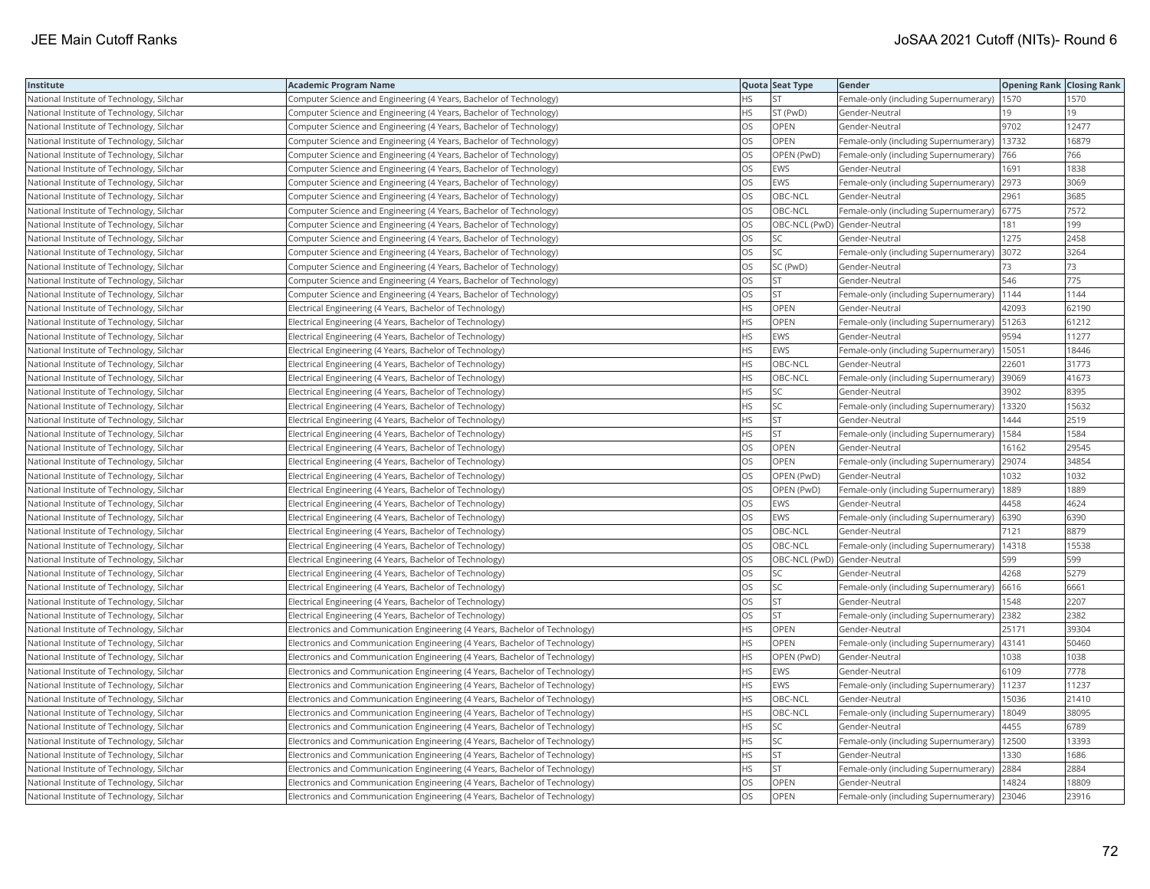| Institute                                 | <b>Academic Program Name</b>                                                |           | Quota Seat Type              | Gender                                        | <b>Opening Rank   Closing Rank</b> |       |
|-------------------------------------------|-----------------------------------------------------------------------------|-----------|------------------------------|-----------------------------------------------|------------------------------------|-------|
| National Institute of Technology, Silchar | Computer Science and Engineering (4 Years, Bachelor of Technology)          | НS        | <b>ST</b>                    | Female-only (including Supernumerary)         | 1570                               | 1570  |
| National Institute of Technology, Silchar | Computer Science and Engineering (4 Years, Bachelor of Technology)          | HS.       | ST (PwD)                     | Gender-Neutral                                | 19                                 | 19    |
| National Institute of Technology, Silchar | Computer Science and Engineering (4 Years, Bachelor of Technology)          | OS        | <b>OPEN</b>                  | Gender-Neutral                                | 9702                               | 12477 |
| National Institute of Technology, Silchar | Computer Science and Engineering (4 Years, Bachelor of Technology)          | OS        | <b>OPEN</b>                  | Female-only (including Supernumerary)         | 13732                              | 16879 |
| National Institute of Technology, Silchar | Computer Science and Engineering (4 Years, Bachelor of Technology)          | OS        | OPEN (PwD)                   | Female-only (including Supernumerary)         | 766                                | 766   |
| National Institute of Technology, Silchar | Computer Science and Engineering (4 Years, Bachelor of Technology)          | OS        | EWS                          | Gender-Neutral                                | 1691                               | 1838  |
| National Institute of Technology, Silchar | Computer Science and Engineering (4 Years, Bachelor of Technology)          | OS        | <b>EWS</b>                   | Female-only (including Supernumerary) 2973    |                                    | 3069  |
| National Institute of Technology, Silchar | Computer Science and Engineering (4 Years, Bachelor of Technology)          | OS        | OBC-NCL                      | Gender-Neutral                                | 2961                               | 3685  |
| National Institute of Technology, Silchar | Computer Science and Engineering (4 Years, Bachelor of Technology)          | OS        | OBC-NCL                      | Female-only (including Supernumerary)         | 6775                               | 7572  |
| National Institute of Technology, Silchar | Computer Science and Engineering (4 Years, Bachelor of Technology)          | OS        | OBC-NCL (PwD) Gender-Neutral |                                               | 181                                | 199   |
| National Institute of Technology, Silchar | Computer Science and Engineering (4 Years, Bachelor of Technology)          | OS        | <b>SC</b>                    | Gender-Neutral                                | 1275                               | 2458  |
| National Institute of Technology, Silchar | Computer Science and Engineering (4 Years, Bachelor of Technology)          | OS        | <b>SC</b>                    | Female-only (including Supernumerary)         | 3072                               | 3264  |
| National Institute of Technology, Silchar | Computer Science and Engineering (4 Years, Bachelor of Technology)          | OS        | SC (PwD)                     | Gender-Neutral                                | 73                                 | 73    |
| National Institute of Technology, Silchar | Computer Science and Engineering (4 Years, Bachelor of Technology)          | OS        | <b>ST</b>                    | Gender-Neutral                                | 546                                | 775   |
| National Institute of Technology, Silchar | Computer Science and Engineering (4 Years, Bachelor of Technology)          | OS        | <b>ST</b>                    | Female-only (including Supernumerary)   1144  |                                    | 1144  |
| National Institute of Technology, Silchar | Electrical Engineering (4 Years, Bachelor of Technology)                    | HS        | OPEN                         | Gender-Neutral                                | 42093                              | 62190 |
| National Institute of Technology, Silchar | Electrical Engineering (4 Years, Bachelor of Technology)                    | HS        | OPEN                         | Female-only (including Supernumerary)         | 51263                              | 61212 |
| National Institute of Technology, Silchar | Electrical Engineering (4 Years, Bachelor of Technology)                    | HS        | <b>EWS</b>                   | Gender-Neutral                                | 9594                               | 11277 |
| National Institute of Technology, Silchar | Electrical Engineering (4 Years, Bachelor of Technology)                    | <b>HS</b> | <b>EWS</b>                   | Female-only (including Supernumerary)         | 15051                              | 18446 |
| National Institute of Technology, Silchar | Electrical Engineering (4 Years, Bachelor of Technology)                    | <b>HS</b> | OBC-NCL                      | Gender-Neutral                                | 22601                              | 31773 |
| National Institute of Technology, Silchar | Electrical Engineering (4 Years, Bachelor of Technology)                    | <b>HS</b> | OBC-NCL                      | Female-only (including Supernumerary) 39069   |                                    | 41673 |
| National Institute of Technology, Silchar | Electrical Engineering (4 Years, Bachelor of Technology)                    | HS        | SC                           | Gender-Neutral                                | 3902                               | 8395  |
| National Institute of Technology, Silchar | Electrical Engineering (4 Years, Bachelor of Technology)                    | ΗS        | SC                           | Female-only (including Supernumerary)   13320 |                                    | 15632 |
| National Institute of Technology, Silchar | Electrical Engineering (4 Years, Bachelor of Technology)                    | HS        | <b>ST</b>                    | Gender-Neutral                                | 1444                               | 2519  |
| National Institute of Technology, Silchar | Electrical Engineering (4 Years, Bachelor of Technology)                    | HS        | <b>ST</b>                    | Female-only (including Supernumerary)         | 1584                               | 1584  |
| National Institute of Technology, Silchar | Electrical Engineering (4 Years, Bachelor of Technology)                    | OS        | OPEN                         | Gender-Neutral                                | 16162                              | 29545 |
| National Institute of Technology, Silchar | Electrical Engineering (4 Years, Bachelor of Technology)                    | OS        | <b>OPEN</b>                  | Female-only (including Supernumerary)         | 29074                              | 34854 |
| National Institute of Technology, Silchar | Electrical Engineering (4 Years, Bachelor of Technology)                    | OS        | OPEN (PwD)                   | Gender-Neutral                                | 1032                               | 1032  |
| National Institute of Technology, Silchar | Electrical Engineering (4 Years, Bachelor of Technology)                    | OS        | OPEN (PwD)                   | Female-only (including Supernumerary)         | 1889                               | 1889  |
| National Institute of Technology, Silchar | Electrical Engineering (4 Years, Bachelor of Technology)                    | OS        | <b>EWS</b>                   | Gender-Neutral                                | 4458                               | 4624  |
| National Institute of Technology, Silchar | Electrical Engineering (4 Years, Bachelor of Technology)                    | OS        | <b>EWS</b>                   | Female-only (including Supernumerary) 6390    |                                    | 6390  |
| National Institute of Technology, Silchar | Electrical Engineering (4 Years, Bachelor of Technology)                    | OS        | OBC-NCL                      | Gender-Neutral                                | 7121                               | 8879  |
| National Institute of Technology, Silchar | Electrical Engineering (4 Years, Bachelor of Technology)                    | OS        | OBC-NCL                      | Female-only (including Supernumerary)         | 14318                              | 15538 |
| National Institute of Technology, Silchar | Electrical Engineering (4 Years, Bachelor of Technology)                    | OS        | OBC-NCL (PwD) Gender-Neutral |                                               | 599                                | 599   |
| National Institute of Technology, Silchar | Electrical Engineering (4 Years, Bachelor of Technology)                    | OS        | SC                           | Gender-Neutral                                | 4268                               | 5279  |
| National Institute of Technology, Silchar | Electrical Engineering (4 Years, Bachelor of Technology)                    | OS        | <b>SC</b>                    | Female-only (including Supernumerary)         | 6616                               | 6661  |
| National Institute of Technology, Silchar | Electrical Engineering (4 Years, Bachelor of Technology)                    | OS        | <b>ST</b>                    | Gender-Neutral                                | 1548                               | 2207  |
| National Institute of Technology, Silchar | Electrical Engineering (4 Years, Bachelor of Technology)                    | OS        | <b>ST</b>                    | Female-only (including Supernumerary)         | 2382                               | 2382  |
| National Institute of Technology, Silchar | Electronics and Communication Engineering (4 Years, Bachelor of Technology) | НS        | <b>OPEN</b>                  | Gender-Neutral                                | 25171                              | 39304 |
| National Institute of Technology, Silchar | Electronics and Communication Engineering (4 Years, Bachelor of Technology) | HS        | <b>OPEN</b>                  | Female-only (including Supernumerary)   43141 |                                    | 50460 |
| National Institute of Technology, Silchar | Electronics and Communication Engineering (4 Years, Bachelor of Technology) | HS.       | OPEN (PwD)                   | Gender-Neutral                                | 1038                               | 1038  |
| National Institute of Technology, Silchar | Electronics and Communication Engineering (4 Years, Bachelor of Technology) | HS        | <b>EWS</b>                   | Gender-Neutral                                | 6109                               | 7778  |
| National Institute of Technology, Silchar | Electronics and Communication Engineering (4 Years, Bachelor of Technology) | <b>HS</b> | EWS                          | Female-only (including Supernumerary)         | 11237                              | 11237 |
| National Institute of Technology, Silchar | Electronics and Communication Engineering (4 Years, Bachelor of Technology) | НS        | OBC-NCL                      | Gender-Neutral                                | 15036                              | 21410 |
| National Institute of Technology, Silchar | Electronics and Communication Engineering (4 Years, Bachelor of Technology) | HS        | OBC-NCL                      | Female-only (including Supernumerary)         | 18049                              | 38095 |
| National Institute of Technology, Silchar | Electronics and Communication Engineering (4 Years, Bachelor of Technology) | <b>HS</b> | <b>SC</b>                    | Gender-Neutral                                | 4455                               | 6789  |
| National Institute of Technology, Silchar | Electronics and Communication Engineering (4 Years, Bachelor of Technology) | HS        | SC                           | Female-only (including Supernumerary)   12500 |                                    | 13393 |
| National Institute of Technology, Silchar | Electronics and Communication Engineering (4 Years, Bachelor of Technology) | HS        | <b>ST</b>                    | Gender-Neutral                                | 1330                               | 1686  |
| National Institute of Technology, Silchar | Electronics and Communication Engineering (4 Years, Bachelor of Technology) | ΗS        | <b>ST</b>                    | Female-only (including Supernumerary) 2884    |                                    | 2884  |
| National Institute of Technology, Silchar | Electronics and Communication Engineering (4 Years, Bachelor of Technology) | OS        | OPEN                         | Gender-Neutral                                | 14824                              | 18809 |
| National Institute of Technology, Silchar | Electronics and Communication Engineering (4 Years, Bachelor of Technology) | OS        | OPEN                         | Female-only (including Supernumerary)         | 23046                              | 23916 |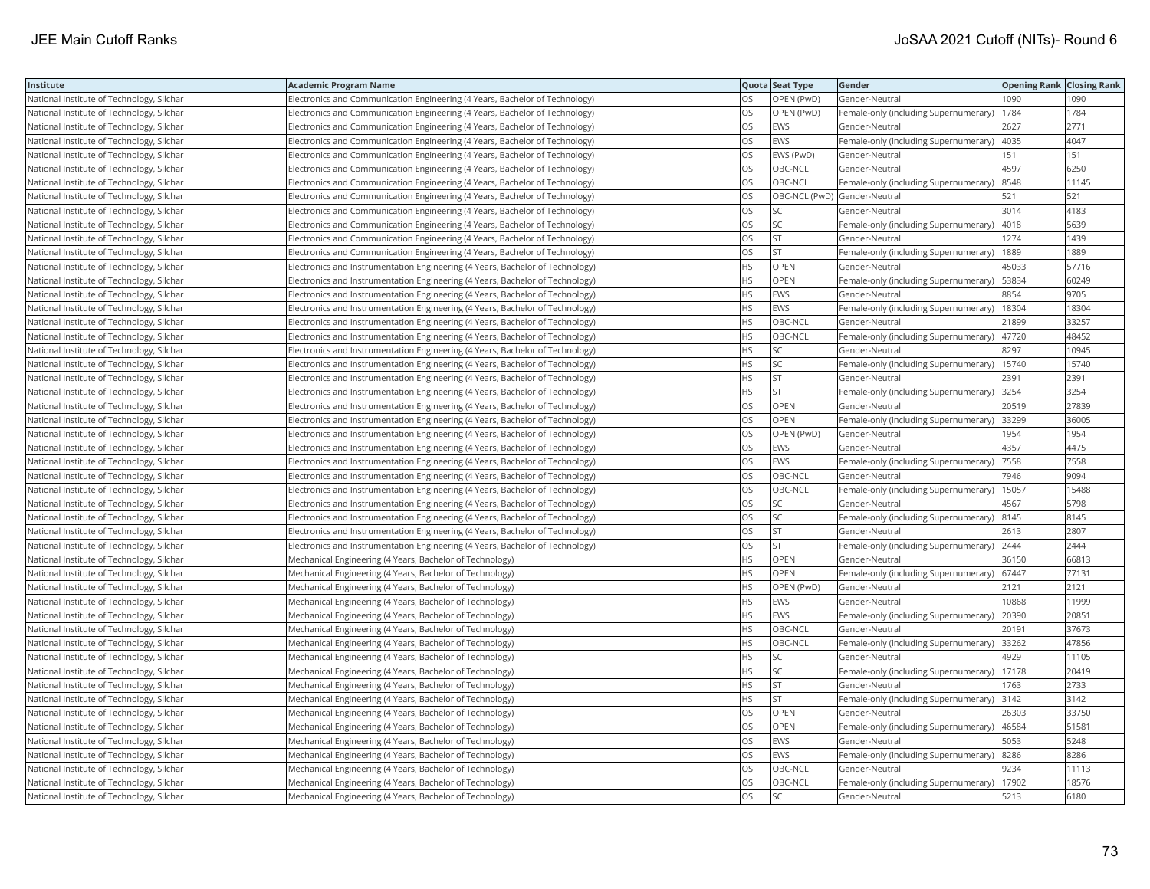| Institute                                 | Academic Program Name                                                          |           | Quota Seat Type              | Gender                                        | <b>Opening Rank Closing Rank</b> |       |
|-------------------------------------------|--------------------------------------------------------------------------------|-----------|------------------------------|-----------------------------------------------|----------------------------------|-------|
| National Institute of Technology, Silchar | Electronics and Communication Engineering (4 Years, Bachelor of Technology)    | OS        | OPEN (PwD)                   | Gender-Neutral                                | 1090                             | 1090  |
| National Institute of Technology, Silchar | Electronics and Communication Engineering (4 Years, Bachelor of Technology)    | OS.       | OPEN (PwD)                   | Female-only (including Supernumerary)         | 1784                             | 1784  |
| National Institute of Technology, Silchar | Electronics and Communication Engineering (4 Years, Bachelor of Technology)    | OS        | <b>EWS</b>                   | Gender-Neutral                                | 2627                             | 2771  |
| National Institute of Technology, Silchar | Electronics and Communication Engineering (4 Years, Bachelor of Technology)    | OS.       | <b>EWS</b>                   | Female-only (including Supernumerary)         | 4035                             | 4047  |
| National Institute of Technology, Silchar | [Electronics and Communication Engineering (4 Years, Bachelor of Technology)   | OS        | EWS (PwD)                    | Gender-Neutral                                | 151                              | 151   |
| National Institute of Technology, Silchar | Electronics and Communication Engineering (4 Years, Bachelor of Technology)    | OS        | OBC-NCL                      | Gender-Neutral                                | 4597                             | 6250  |
| National Institute of Technology, Silchar | Electronics and Communication Engineering (4 Years, Bachelor of Technology)    | OS.       | OBC-NCL                      | Female-only (including Supernumerary)         | 8548                             | 11145 |
| National Institute of Technology, Silchar | Electronics and Communication Engineering (4 Years, Bachelor of Technology)    | OS        | OBC-NCL (PwD) Gender-Neutral |                                               | 521                              | 521   |
| National Institute of Technology, Silchar | Electronics and Communication Engineering (4 Years, Bachelor of Technology)    | OS        | SC                           | Gender-Neutral                                | 3014                             | 4183  |
| National Institute of Technology, Silchar | Electronics and Communication Engineering (4 Years, Bachelor of Technology)    | OS.       | <b>SC</b>                    | Female-only (including Supernumerary)         | 4018                             | 5639  |
| National Institute of Technology, Silchar | Electronics and Communication Engineering (4 Years, Bachelor of Technology)    | OS        | <b>ST</b>                    | Gender-Neutral                                | 1274                             | 1439  |
| National Institute of Technology, Silchar | Electronics and Communication Engineering (4 Years, Bachelor of Technology)    | OS.       | <b>ST</b>                    | Female-only (including Supernumerary)         | 1889                             | 1889  |
| National Institute of Technology, Silchar | Electronics and Instrumentation Engineering (4 Years, Bachelor of Technology)  | HS.       | OPEN                         | Gender-Neutral                                | 45033                            | 57716 |
| National Institute of Technology, Silchar | Electronics and Instrumentation Engineering (4 Years, Bachelor of Technology)  | HS        | OPEN                         | Female-only (including Supernumerary)         | 53834                            | 60249 |
| National Institute of Technology, Silchar | Electronics and Instrumentation Engineering (4 Years, Bachelor of Technology)  | HS.       | <b>EWS</b>                   | Gender-Neutral                                | 8854                             | 9705  |
| National Institute of Technology, Silchar | Electronics and Instrumentation Engineering (4 Years, Bachelor of Technology)  | HS        | EWS                          | Female-only (including Supernumerary)         | 18304                            | 18304 |
| National Institute of Technology, Silchar | Electronics and Instrumentation Engineering (4 Years, Bachelor of Technology)  | HS.       | OBC-NCL                      | Gender-Neutral                                | 21899                            | 33257 |
| National Institute of Technology, Silchar | Electronics and Instrumentation Engineering (4 Years, Bachelor of Technology)  | <b>HS</b> | OBC-NCL                      | Female-only (including Supernumerary)         | 47720                            | 48452 |
| National Institute of Technology, Silchar | Electronics and Instrumentation Engineering (4 Years, Bachelor of Technology)  | HS.       | SC                           | Gender-Neutral                                | 8297                             | 10945 |
| National Institute of Technology, Silchar | Electronics and Instrumentation Engineering (4 Years, Bachelor of Technology)  | HS.       | SC                           | Female-only (including Supernumerary)   15740 |                                  | 15740 |
| National Institute of Technology, Silchar | [Electronics and Instrumentation Engineering (4 Years, Bachelor of Technology) | НS        | <b>ST</b>                    | Gender-Neutral                                | 2391                             | 2391  |
| National Institute of Technology, Silchar | Electronics and Instrumentation Engineering (4 Years, Bachelor of Technology)  | HS.       | <b>ST</b>                    | Female-only (including Supernumerary)         | 3254                             | 3254  |
| National Institute of Technology, Silchar | Electronics and Instrumentation Engineering (4 Years, Bachelor of Technology)  | OS        | <b>OPEN</b>                  | Gender-Neutral                                | 20519                            | 27839 |
| National Institute of Technology, Silchar | Electronics and Instrumentation Engineering (4 Years, Bachelor of Technology)  | OS        | OPEN                         | Female-only (including Supernumerary)         | 33299                            | 36005 |
| National Institute of Technology, Silchar | Electronics and Instrumentation Engineering (4 Years, Bachelor of Technology)  | OS        | OPEN (PwD)                   | Gender-Neutral                                | 1954                             | 1954  |
| National Institute of Technology, Silchar | Electronics and Instrumentation Engineering (4 Years, Bachelor of Technology)  | OS        | <b>EWS</b>                   | Gender-Neutral                                | 4357                             | 4475  |
| National Institute of Technology, Silchar | Electronics and Instrumentation Engineering (4 Years, Bachelor of Technology)  | <b>OS</b> | <b>EWS</b>                   | Female-only (including Supernumerary)         | 7558                             | 7558  |
| National Institute of Technology, Silchar | Electronics and Instrumentation Engineering (4 Years, Bachelor of Technology)  | OS.       | OBC-NCL                      | Gender-Neutral                                | 7946                             | 9094  |
| National Institute of Technology, Silchar | [Electronics and Instrumentation Engineering (4 Years, Bachelor of Technology) | OS        | OBC-NCL                      | Female-only (including Supernumerary)         | 15057                            | 15488 |
| National Institute of Technology, Silchar | Electronics and Instrumentation Engineering (4 Years, Bachelor of Technology)  | OS        | SC                           | Gender-Neutral                                | 4567                             | 5798  |
| National Institute of Technology, Silchar | Electronics and Instrumentation Engineering (4 Years, Bachelor of Technology)  | OS.       | <b>SC</b>                    | Female-only (including Supernumerary)  8145   |                                  | 8145  |
| National Institute of Technology, Silchar | Electronics and Instrumentation Engineering (4 Years, Bachelor of Technology)  | OS        | <b>ST</b>                    | Gender-Neutral                                | 2613                             | 2807  |
| National Institute of Technology, Silchar | Electronics and Instrumentation Engineering (4 Years, Bachelor of Technology)  | OS        | ST                           | Female-only (including Supernumerary)         | 2444                             | 2444  |
| National Institute of Technology, Silchar | Mechanical Engineering (4 Years, Bachelor of Technology)                       | <b>HS</b> | <b>OPEN</b>                  | Gender-Neutral                                | 36150                            | 66813 |
| National Institute of Technology, Silchar | Mechanical Engineering (4 Years, Bachelor of Technology)                       | <b>HS</b> | OPEN                         | Female-only (including Supernumerary)         | 67447                            | 77131 |
| National Institute of Technology, Silchar | Mechanical Engineering (4 Years, Bachelor of Technology)                       | <b>HS</b> | OPEN (PwD)                   | Gender-Neutral                                | 2121                             | 2121  |
| National Institute of Technology, Silchar | Mechanical Engineering (4 Years, Bachelor of Technology)                       | HS.       | <b>EWS</b>                   | Gender-Neutral                                | 10868                            | 11999 |
| National Institute of Technology, Silchar | Mechanical Engineering (4 Years, Bachelor of Technology)                       | ΗS        | EWS                          | Female-only (including Supernumerary)         | 20390                            | 20851 |
| National Institute of Technology, Silchar | Mechanical Engineering (4 Years, Bachelor of Technology)                       | HS.       | OBC-NCL                      | Gender-Neutral                                | 20191                            | 37673 |
| National Institute of Technology, Silchar | Mechanical Engineering (4 Years, Bachelor of Technology)                       | HS        | OBC-NCL                      | Female-only (including Supernumerary)         | 33262                            | 47856 |
| National Institute of Technology, Silchar | Mechanical Engineering (4 Years, Bachelor of Technology)                       | HS.       | SC                           | Gender-Neutral                                | 4929                             | 11105 |
| National Institute of Technology, Silchar | Mechanical Engineering (4 Years, Bachelor of Technology)                       | HS.       | SC                           | Female-only (including Supernumerary)         | 17178                            | 20419 |
| National Institute of Technology, Silchar | Mechanical Engineering (4 Years, Bachelor of Technology)                       | HS        | <b>ST</b>                    | Gender-Neutral                                | 1763                             | 2733  |
| National Institute of Technology, Silchar | Mechanical Engineering (4 Years, Bachelor of Technology)                       | HS.       | <b>ST</b>                    | Female-only (including Supernumerary)         | 3142                             | 3142  |
| National Institute of Technology, Silchar | Mechanical Engineering (4 Years, Bachelor of Technology)                       | OS        | <b>OPEN</b>                  | Gender-Neutral                                | 26303                            | 33750 |
| National Institute of Technology, Silchar | Mechanical Engineering (4 Years, Bachelor of Technology)                       | OS        | OPEN                         | Female-only (including Supernumerary)         | 46584                            | 51581 |
| National Institute of Technology, Silchar | Mechanical Engineering (4 Years, Bachelor of Technology)                       | OS.       | <b>EWS</b>                   | Gender-Neutral                                | 5053                             | 5248  |
| National Institute of Technology, Silchar | Mechanical Engineering (4 Years, Bachelor of Technology)                       | OS        | EWS                          | Female-only (including Supernumerary)         | 8286                             | 8286  |
| National Institute of Technology, Silchar | Mechanical Engineering (4 Years, Bachelor of Technology)                       | OS        | OBC-NCL                      | Gender-Neutral                                | 9234                             | 11113 |
| National Institute of Technology, Silchar | Mechanical Engineering (4 Years, Bachelor of Technology)                       | OS.       | OBC-NCL                      | Female-only (including Supernumerary)         | 17902                            | 18576 |
| National Institute of Technology, Silchar | Mechanical Engineering (4 Years, Bachelor of Technology)                       | <b>OS</b> | <b>SC</b>                    | Gender-Neutral                                | 5213                             | 6180  |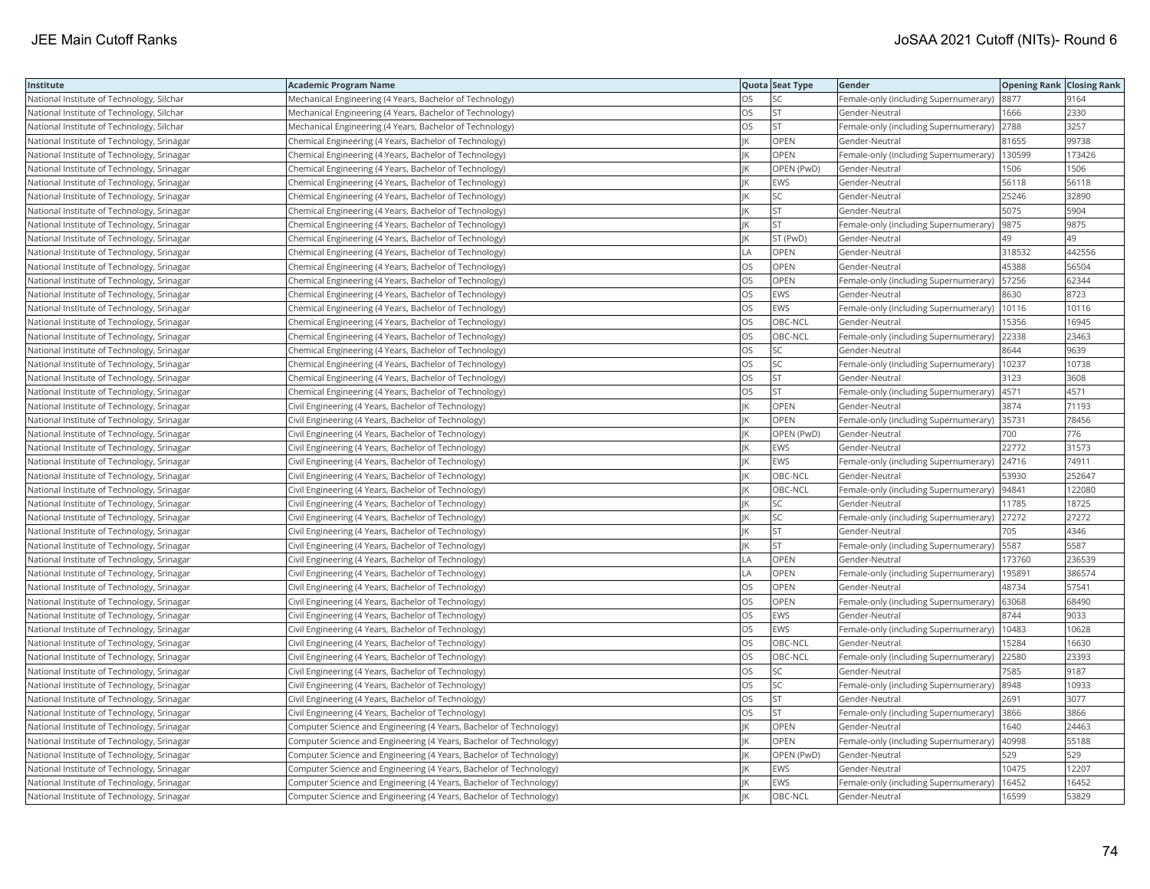| Institute                                  | <b>Academic Program Name</b>                                       |           | Quota Seat Type | Gender                                        | <b>Opening Rank Closing Rank</b> |        |
|--------------------------------------------|--------------------------------------------------------------------|-----------|-----------------|-----------------------------------------------|----------------------------------|--------|
| National Institute of Technology, Silchar  | Mechanical Engineering (4 Years, Bachelor of Technology)           | OS        | SC              | Female-only (including Supernumerary) 8877    |                                  | 9164   |
| National Institute of Technology, Silchar  | Mechanical Engineering (4 Years, Bachelor of Technology)           | OS        | <b>ST</b>       | Gender-Neutral                                | 1666                             | 2330   |
| National Institute of Technology, Silchar  | Mechanical Engineering (4 Years, Bachelor of Technology)           | OS        | <b>ST</b>       | Female-only (including Supernumerary)         | 2788                             | 3257   |
| National Institute of Technology, Srinagar | Chemical Engineering (4 Years, Bachelor of Technology)             |           | OPEN            | Gender-Neutral                                | 81655                            | 99738  |
| National Institute of Technology, Srinagar | Chemical Engineering (4 Years, Bachelor of Technology)             |           | <b>OPEN</b>     | Female-only (including Supernumerary)         | 130599                           | 173426 |
| National Institute of Technology, Srinagar | Chemical Engineering (4 Years, Bachelor of Technology)             |           | OPEN (PwD)      | Gender-Neutral                                | 1506                             | 1506   |
| National Institute of Technology, Srinagar | Chemical Engineering (4 Years, Bachelor of Technology)             |           | EWS             | Gender-Neutral                                | 56118                            | 56118  |
| National Institute of Technology, Srinagar | Chemical Engineering (4 Years, Bachelor of Technology)             |           | <b>SC</b>       | Gender-Neutral                                | 25246                            | 32890  |
| National Institute of Technology, Srinagar | Chemical Engineering (4 Years, Bachelor of Technology)             |           | <b>ST</b>       | Gender-Neutral                                | 5075                             | 5904   |
| National Institute of Technology, Srinagar | Chemical Engineering (4 Years, Bachelor of Technology)             |           | <b>ST</b>       | Female-only (including Supernumerary)         | 9875                             | 9875   |
| National Institute of Technology, Srinagar | Chemical Engineering (4 Years, Bachelor of Technology)             |           | ST (PwD)        | Gender-Neutral                                | 49                               | 49     |
| National Institute of Technology, Srinagar | Chemical Engineering (4 Years, Bachelor of Technology)             | LA        | <b>OPEN</b>     | Gender-Neutral                                | 318532                           | 442556 |
| National Institute of Technology, Srinagar | Chemical Engineering (4 Years, Bachelor of Technology)             | OS        | OPEN            | Gender-Neutral                                | 45388                            | 56504  |
| National Institute of Technology, Srinagar | Chemical Engineering (4 Years, Bachelor of Technology)             | <b>OS</b> | OPEN            | Female-only (including Supernumerary)   57256 |                                  | 62344  |
| National Institute of Technology, Srinagar | Chemical Engineering (4 Years, Bachelor of Technology)             | OS        | <b>EWS</b>      | Gender-Neutral                                | 8630                             | 8723   |
| National Institute of Technology, Srinagar | Chemical Engineering (4 Years, Bachelor of Technology)             | OS        | <b>EWS</b>      | Female-only (including Supernumerary)         | 10116                            | 10116  |
| National Institute of Technology, Srinagar | Chemical Engineering (4 Years, Bachelor of Technology)             | OS        | OBC-NCL         | Gender-Neutral                                | 15356                            | 16945  |
| National Institute of Technology, Srinagar | Chemical Engineering (4 Years, Bachelor of Technology)             | OS        | OBC-NCL         | Female-only (including Supernumerary)         | 22338                            | 23463  |
| National Institute of Technology, Srinagar | Chemical Engineering (4 Years, Bachelor of Technology)             | OS        | <b>SC</b>       | Gender-Neutral                                | 8644                             | 9639   |
| National Institute of Technology, Srinagar | Chemical Engineering (4 Years, Bachelor of Technology)             | OS.       | <b>SC</b>       | Female-only (including Supernumerary)         | 10237                            | 10738  |
| National Institute of Technology, Srinagar | Chemical Engineering (4 Years, Bachelor of Technology)             | OS        | <b>ST</b>       | Gender-Neutral                                | 3123                             | 3608   |
| National Institute of Technology, Srinagar | Chemical Engineering (4 Years, Bachelor of Technology)             | OS        | <b>ST</b>       | Female-only (including Supernumerary)   4571  |                                  | 4571   |
| National Institute of Technology, Srinagar | Civil Engineering (4 Years, Bachelor of Technology)                |           | OPEN            | Gender-Neutral                                | 3874                             | 71193  |
| National Institute of Technology, Srinagar | Civil Engineering (4 Years, Bachelor of Technology)                |           | OPEN            | Female-only (including Supernumerary) 35731   |                                  | 78456  |
| National Institute of Technology, Srinagar | Civil Engineering (4 Years, Bachelor of Technology)                |           | OPEN (PwD)      | Gender-Neutral                                | 700                              | 776    |
| National Institute of Technology, Srinagar | Civil Engineering (4 Years, Bachelor of Technology)                |           | <b>EWS</b>      | Gender-Neutral                                | 22772                            | 31573  |
| National Institute of Technology, Srinagar | Civil Engineering (4 Years, Bachelor of Technology)                |           | <b>EWS</b>      | Female-only (including Supernumerary) 24716   |                                  | 74911  |
| National Institute of Technology, Srinagar | Civil Engineering (4 Years, Bachelor of Technology)                |           | OBC-NCL         | Gender-Neutral                                | 53930                            | 252647 |
| National Institute of Technology, Srinagar | Civil Engineering (4 Years, Bachelor of Technology)                |           | OBC-NCL         | Female-only (including Supernumerary)  94841  |                                  | 122080 |
| National Institute of Technology, Srinagar | Civil Engineering (4 Years, Bachelor of Technology)                |           | <b>SC</b>       | Gender-Neutral                                | 11785                            | 18725  |
| National Institute of Technology, Srinagar | Civil Engineering (4 Years, Bachelor of Technology)                |           | <b>SC</b>       | Female-only (including Supernumerary) 27272   |                                  | 27272  |
| National Institute of Technology, Srinagar | Civil Engineering (4 Years, Bachelor of Technology)                |           | <b>ST</b>       | Gender-Neutral                                | 705                              | 4346   |
| National Institute of Technology, Srinagar | Civil Engineering (4 Years, Bachelor of Technology)                |           | <b>ST</b>       | Female-only (including Supernumerary)   5587  |                                  | 5587   |
| National Institute of Technology, Srinagar | Civil Engineering (4 Years, Bachelor of Technology)                | LA        | OPEN            | Gender-Neutral                                | 173760                           | 236539 |
| National Institute of Technology, Srinagar | Civil Engineering (4 Years, Bachelor of Technology)                | LA        | OPEN            | Female-only (including Supernumerary)         | 195891                           | 386574 |
| National Institute of Technology, Srinagar | Civil Engineering (4 Years, Bachelor of Technology)                | OS        | OPEN            | Gender-Neutral                                | 48734                            | 57541  |
| National Institute of Technology, Srinagar | Civil Engineering (4 Years, Bachelor of Technology)                | OS        | OPEN            | Female-only (including Supernumerary) 63068   |                                  | 68490  |
| National Institute of Technology, Srinagar | Civil Engineering (4 Years, Bachelor of Technology)                | OS        | <b>EWS</b>      | Gender-Neutral                                | 8744                             | 9033   |
| National Institute of Technology, Srinagar | Civil Engineering (4 Years, Bachelor of Technology)                | OS        | EWS             | Female-only (including Supernumerary)         | 10483                            | 10628  |
| National Institute of Technology, Srinagar | Civil Engineering (4 Years, Bachelor of Technology)                | OS        | OBC-NCL         | Gender-Neutral                                | 15284                            | 16630  |
| National Institute of Technology, Srinagar | Civil Engineering (4 Years, Bachelor of Technology)                | OS        | OBC-NCL         | Female-only (including Supernumerary)         | 22580                            | 23393  |
| National Institute of Technology, Srinagar | Civil Engineering (4 Years, Bachelor of Technology)                | OS        | <b>SC</b>       | Gender-Neutral                                | 7585                             | 9187   |
| National Institute of Technology, Srinagar | Civil Engineering (4 Years, Bachelor of Technology)                | OS        | SC              | Female-only (including Supernumerary)         | 8948                             | 10933  |
| National Institute of Technology, Srinagar | Civil Engineering (4 Years, Bachelor of Technology)                | OS        | <b>ST</b>       | Gender-Neutral                                | 2691                             | 3077   |
| National Institute of Technology, Srinagar | Civil Engineering (4 Years, Bachelor of Technology)                | OS        | <b>ST</b>       | Female-only (including Supernumerary) 3866    |                                  | 3866   |
| National Institute of Technology, Srinagar | Computer Science and Engineering (4 Years, Bachelor of Technology) |           | OPEN            | Gender-Neutral                                | 1640                             | 24463  |
| National Institute of Technology, Srinagar | Computer Science and Engineering (4 Years, Bachelor of Technology) |           | <b>OPEN</b>     | Female-only (including Supernumerary)   40998 |                                  | 55188  |
| National Institute of Technology, Srinagar | Computer Science and Engineering (4 Years, Bachelor of Technology) |           | OPEN (PwD)      | Gender-Neutral                                | 529                              | 529    |
| National Institute of Technology, Srinagar | Computer Science and Engineering (4 Years, Bachelor of Technology) |           | <b>EWS</b>      | Gender-Neutral                                | 10475                            | 12207  |
| National Institute of Technology, Srinagar | Computer Science and Engineering (4 Years, Bachelor of Technology) |           | <b>EWS</b>      | Female-only (including Supernumerary)         | 16452                            | 16452  |
| National Institute of Technology, Srinagar | Computer Science and Engineering (4 Years, Bachelor of Technology) |           | OBC-NCL         | Gender-Neutral                                | 16599                            | 53829  |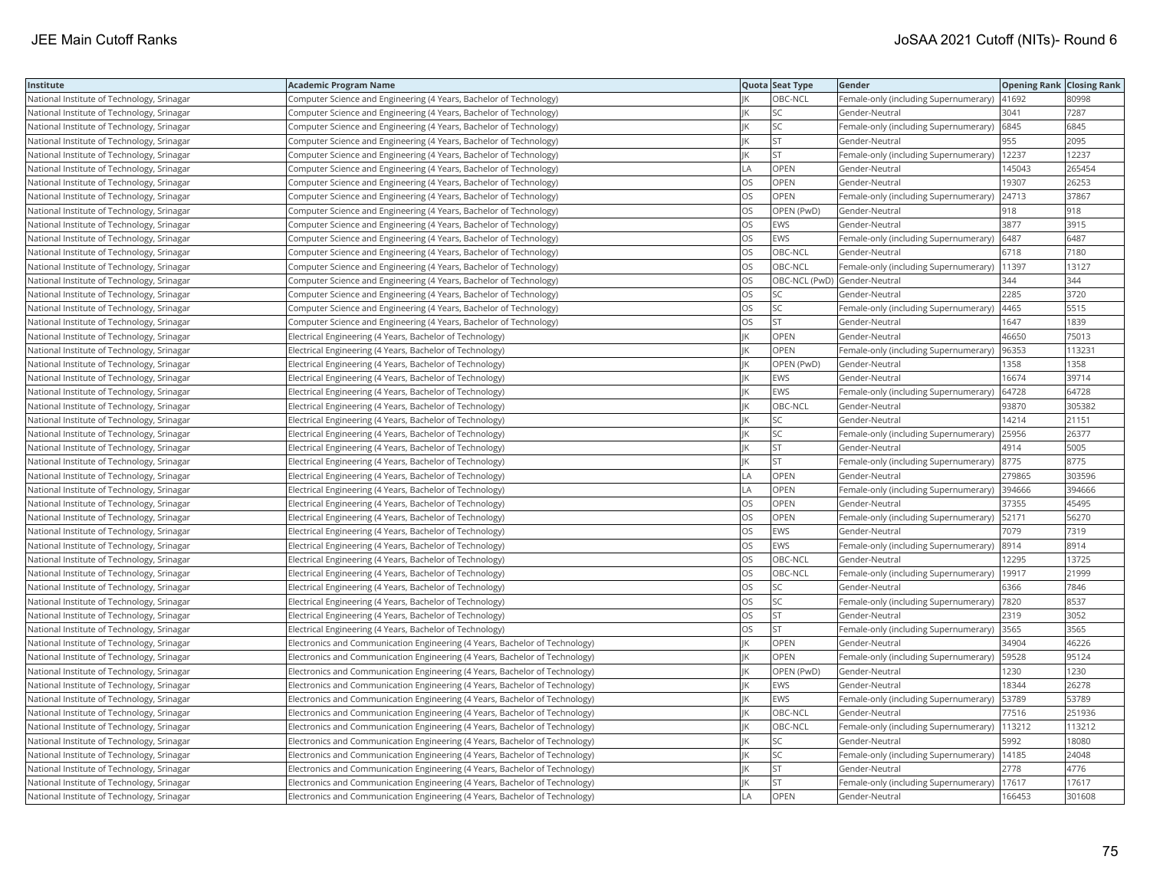| Institute                                  | <b>Academic Program Name</b>                                                |           | Quota Seat Type | Gender                                         | <b>Opening Rank Closing Rank</b> |        |
|--------------------------------------------|-----------------------------------------------------------------------------|-----------|-----------------|------------------------------------------------|----------------------------------|--------|
| National Institute of Technology, Srinagar | Computer Science and Engineering (4 Years, Bachelor of Technology)          |           | OBC-NCL         | Female-only (including Supernumerary)   41692  |                                  | 80998  |
| National Institute of Technology, Srinagar | Computer Science and Engineering (4 Years, Bachelor of Technology)          |           | <b>SC</b>       | Gender-Neutral                                 | 3041                             | 7287   |
| National Institute of Technology, Srinagar | Computer Science and Engineering (4 Years, Bachelor of Technology)          |           | SC              | Female-only (including Supernumerary) 6845     |                                  | 6845   |
| National Institute of Technology, Srinagar | Computer Science and Engineering (4 Years, Bachelor of Technology)          |           | <b>ST</b>       | Gender-Neutral                                 | 955                              | 2095   |
| National Institute of Technology, Srinagar | Computer Science and Engineering (4 Years, Bachelor of Technology)          |           | <b>ST</b>       | Female-only (including Supernumerary)   12237  |                                  | 12237  |
| National Institute of Technology, Srinagar | Computer Science and Engineering (4 Years, Bachelor of Technology)          | LA        | OPEN            | Gender-Neutral                                 | 145043                           | 265454 |
| National Institute of Technology, Srinagar | Computer Science and Engineering (4 Years, Bachelor of Technology)          | OS        | OPEN            | Gender-Neutral                                 | 19307                            | 26253  |
| National Institute of Technology, Srinagar | Computer Science and Engineering (4 Years, Bachelor of Technology)          | OS        | OPEN            | Female-only (including Supernumerary)          | 24713                            | 37867  |
| National Institute of Technology, Srinagar | Computer Science and Engineering (4 Years, Bachelor of Technology)          | OS        | OPEN (PwD)      | Gender-Neutral                                 | 918                              | 918    |
| National Institute of Technology, Srinagar | Computer Science and Engineering (4 Years, Bachelor of Technology)          | OS        | <b>EWS</b>      | Gender-Neutral                                 | 3877                             | 3915   |
| National Institute of Technology, Srinagar | Computer Science and Engineering (4 Years, Bachelor of Technology)          | <b>OS</b> | <b>EWS</b>      | Female-only (including Supernumerary)          | 6487                             | 6487   |
| National Institute of Technology, Srinagar | Computer Science and Engineering (4 Years, Bachelor of Technology)          | OS        | OBC-NCL         | Gender-Neutral                                 | 6718                             | 7180   |
| National Institute of Technology, Srinagar | Computer Science and Engineering (4 Years, Bachelor of Technology)          | OS        | OBC-NCL         | Female-only (including Supernumerary)   11397  |                                  | 13127  |
| National Institute of Technology, Srinagar | Computer Science and Engineering (4 Years, Bachelor of Technology)          | OS        |                 | OBC-NCL (PwD) Gender-Neutral                   | 344                              | 344    |
| National Institute of Technology, Srinagar | Computer Science and Engineering (4 Years, Bachelor of Technology)          | OS        | <b>SC</b>       | Gender-Neutral                                 | 2285                             | 3720   |
| National Institute of Technology, Srinagar | Computer Science and Engineering (4 Years, Bachelor of Technology)          | OS        | <b>SC</b>       | Female-only (including Supernumerary)          | 4465                             | 5515   |
| National Institute of Technology, Srinagar | Computer Science and Engineering (4 Years, Bachelor of Technology)          | OS        | <b>ST</b>       | Gender-Neutral                                 | 1647                             | 1839   |
| National Institute of Technology, Srinagar | Electrical Engineering (4 Years, Bachelor of Technology)                    |           | OPEN            | Gender-Neutral                                 | 46650                            | 75013  |
| National Institute of Technology, Srinagar | Electrical Engineering (4 Years, Bachelor of Technology)                    |           | OPEN            | Female-only (including Supernumerary)          | 96353                            | 113231 |
| National Institute of Technology, Srinagar | Electrical Engineering (4 Years, Bachelor of Technology)                    |           | OPEN (PwD)      | Gender-Neutral                                 | 1358                             | 1358   |
| National Institute of Technology, Srinagar | Electrical Engineering (4 Years, Bachelor of Technology)                    |           | <b>EWS</b>      | Gender-Neutral                                 | 16674                            | 39714  |
| National Institute of Technology, Srinagar | Electrical Engineering (4 Years, Bachelor of Technology)                    |           | EWS             | Female-only (including Supernumerary)   64728  |                                  | 64728  |
| National Institute of Technology, Srinagar | Electrical Engineering (4 Years, Bachelor of Technology)                    |           | OBC-NCL         | Gender-Neutral                                 | 93870                            | 305382 |
| National Institute of Technology, Srinagar | Electrical Engineering (4 Years, Bachelor of Technology)                    |           | SC              | Gender-Neutral                                 | 14214                            | 21151  |
| National Institute of Technology, Srinagar | Electrical Engineering (4 Years, Bachelor of Technology)                    |           | SC              | Female-only (including Supernumerary)          | 25956                            | 26377  |
| National Institute of Technology, Srinagar | Electrical Engineering (4 Years, Bachelor of Technology)                    |           | <b>ST</b>       | Gender-Neutral                                 | 4914                             | 5005   |
| National Institute of Technology, Srinagar | Electrical Engineering (4 Years, Bachelor of Technology)                    |           | <b>ST</b>       | Female-only (including Supernumerary)          | 8775                             | 8775   |
| National Institute of Technology, Srinagar | Electrical Engineering (4 Years, Bachelor of Technology)                    | LA        | <b>OPEN</b>     | Gender-Neutral                                 | 279865                           | 303596 |
| National Institute of Technology, Srinagar | Electrical Engineering (4 Years, Bachelor of Technology)                    | LA        | <b>OPEN</b>     | Female-only (including Supernumerary) 394666   |                                  | 394666 |
| National Institute of Technology, Srinagar | Electrical Engineering (4 Years, Bachelor of Technology)                    | OS        | OPEN            | Gender-Neutral                                 | 37355                            | 45495  |
| National Institute of Technology, Srinagar | Electrical Engineering (4 Years, Bachelor of Technology)                    | <b>OS</b> | OPEN            | Female-only (including Supernumerary)   52171  |                                  | 56270  |
| National Institute of Technology, Srinagar | Electrical Engineering (4 Years, Bachelor of Technology)                    | OS        | <b>EWS</b>      | Gender-Neutral                                 | 7079                             | 7319   |
| National Institute of Technology, Srinagar | Electrical Engineering (4 Years, Bachelor of Technology)                    | OS        | <b>EWS</b>      | Female-only (including Supernumerary)          | 8914                             | 8914   |
| National Institute of Technology, Srinagar | Electrical Engineering (4 Years, Bachelor of Technology)                    | OS        | OBC-NCL         | Gender-Neutral                                 | 12295                            | 13725  |
| National Institute of Technology, Srinagar | Electrical Engineering (4 Years, Bachelor of Technology)                    | OS        | OBC-NCL         | Female-only (including Supernumerary)          | 19917                            | 21999  |
| National Institute of Technology, Srinagar | Electrical Engineering (4 Years, Bachelor of Technology)                    | OS        | SC              | Gender-Neutral                                 | 6366                             | 7846   |
| National Institute of Technology, Srinagar | Electrical Engineering (4 Years, Bachelor of Technology)                    | OS        | SC              | Female-only (including Supernumerary)  7820    |                                  | 8537   |
| National Institute of Technology, Srinagar | Electrical Engineering (4 Years, Bachelor of Technology)                    | OS        | <b>ST</b>       | Gender-Neutral                                 | 2319                             | 3052   |
| National Institute of Technology, Srinagar | Electrical Engineering (4 Years, Bachelor of Technology)                    | OS        | ST              | Female-only (including Supernumerary) 3565     |                                  | 3565   |
| National Institute of Technology, Srinagar | Electronics and Communication Engineering (4 Years, Bachelor of Technology) |           | <b>OPEN</b>     | Gender-Neutral                                 | 34904                            | 46226  |
| National Institute of Technology, Srinagar | Electronics and Communication Engineering (4 Years, Bachelor of Technology) |           | OPEN            | Female-only (including Supernumerary)          | 59528                            | 95124  |
| National Institute of Technology, Srinagar | Electronics and Communication Engineering (4 Years, Bachelor of Technology) |           | OPEN (PwD)      | Gender-Neutral                                 | 1230                             | 1230   |
| National Institute of Technology, Srinagar | Electronics and Communication Engineering (4 Years, Bachelor of Technology) |           | <b>EWS</b>      | Gender-Neutral                                 | 18344                            | 26278  |
| National Institute of Technology, Srinagar | Electronics and Communication Engineering (4 Years, Bachelor of Technology) |           | <b>EWS</b>      | Female-only (including Supernumerary)          | 53789                            | 53789  |
| National Institute of Technology, Srinagar | Electronics and Communication Engineering (4 Years, Bachelor of Technology) |           | OBC-NCL         | Gender-Neutral                                 | 77516                            | 251936 |
| National Institute of Technology, Srinagar | Electronics and Communication Engineering (4 Years, Bachelor of Technology) |           | OBC-NCL         | Female-only (including Supernumerary)   113212 |                                  | 113212 |
| National Institute of Technology, Srinagar | Electronics and Communication Engineering (4 Years, Bachelor of Technology) |           | <b>SC</b>       | Gender-Neutral                                 | 5992                             | 18080  |
| National Institute of Technology, Srinagar | Electronics and Communication Engineering (4 Years, Bachelor of Technology) |           | SC              | Female-only (including Supernumerary)          | 14185                            | 24048  |
| National Institute of Technology, Srinagar | Electronics and Communication Engineering (4 Years, Bachelor of Technology) |           | <b>ST</b>       | Gender-Neutral                                 | 2778                             | 4776   |
| National Institute of Technology, Srinagar | Electronics and Communication Engineering (4 Years, Bachelor of Technology) |           | <b>ST</b>       | Female-only (including Supernumerary)          | 17617                            | 17617  |
| National Institute of Technology, Srinagar | Electronics and Communication Engineering (4 Years, Bachelor of Technology) | LA        | OPEN            | Gender-Neutral                                 | 166453                           | 301608 |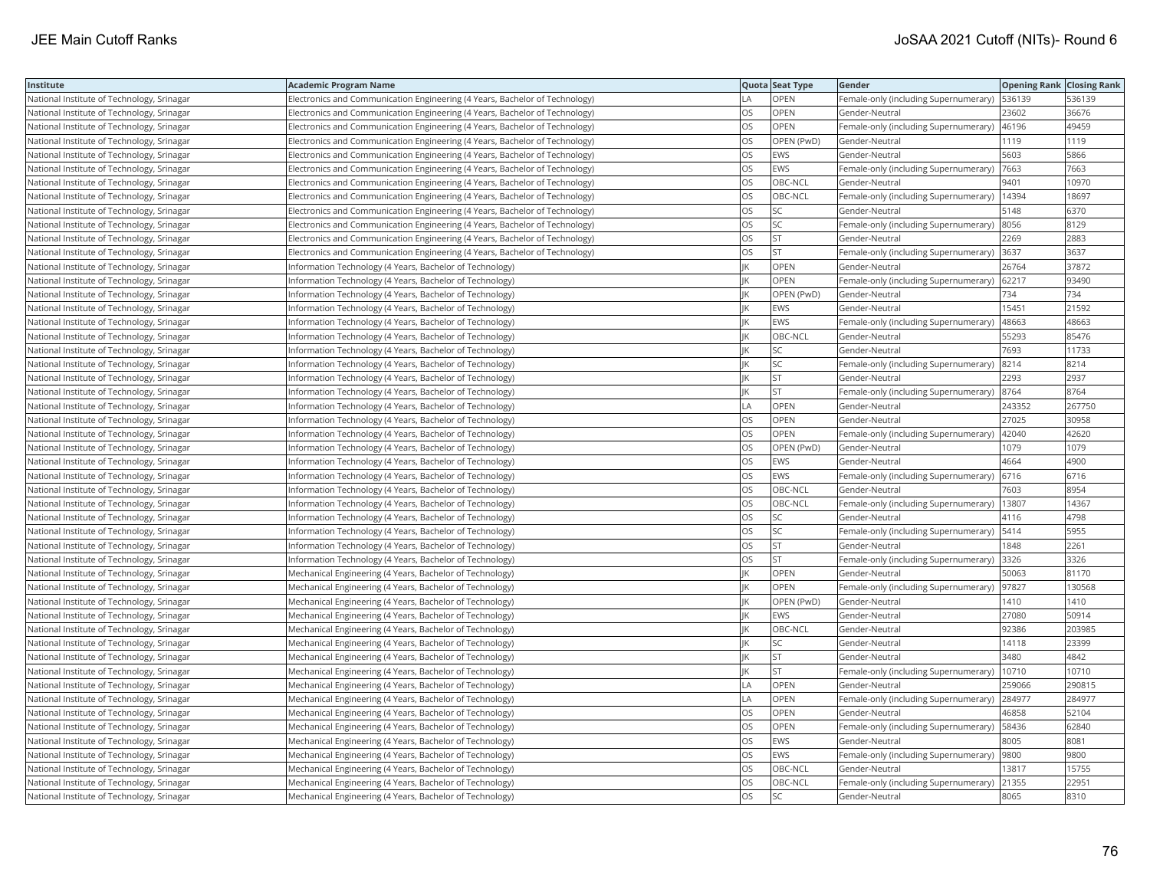| Institute                                  | <b>Academic Program Name</b>                                                |           | Quota Seat Type | Gender                                       | <b>Opening Rank Closing Rank</b> |        |
|--------------------------------------------|-----------------------------------------------------------------------------|-----------|-----------------|----------------------------------------------|----------------------------------|--------|
| National Institute of Technology, Srinagar | Electronics and Communication Engineering (4 Years, Bachelor of Technology) | LA        | OPEN            | Female-only (including Supernumerary)        | 536139                           | 536139 |
| National Institute of Technology, Srinagar | Electronics and Communication Engineering (4 Years, Bachelor of Technology) | OS        | OPEN            | Gender-Neutral                               | 23602                            | 36676  |
| National Institute of Technology, Srinagar | Electronics and Communication Engineering (4 Years, Bachelor of Technology) | OS.       | OPEN            | Female-only (including Supernumerary) 46196  |                                  | 49459  |
| National Institute of Technology, Srinagar | Electronics and Communication Engineering (4 Years, Bachelor of Technology) | OS        | OPEN (PwD)      | Gender-Neutral                               | 1119                             | 1119   |
| National Institute of Technology, Srinagar | Electronics and Communication Engineering (4 Years, Bachelor of Technology) | OS        | <b>EWS</b>      | Gender-Neutral                               | 5603                             | 5866   |
| National Institute of Technology, Srinagar | Electronics and Communication Engineering (4 Years, Bachelor of Technology) | OS        | EWS             | Female-only (including Supernumerary)   7663 |                                  | 7663   |
| National Institute of Technology, Srinagar | Electronics and Communication Engineering (4 Years, Bachelor of Technology) | OS        | OBC-NCL         | Gender-Neutral                               | 9401                             | 10970  |
| National Institute of Technology, Srinagar | Electronics and Communication Engineering (4 Years, Bachelor of Technology) | OS        | OBC-NCL         | Female-only (including Supernumerary)        | 14394                            | 18697  |
| National Institute of Technology, Srinagar | Electronics and Communication Engineering (4 Years, Bachelor of Technology) | OS        | SC              | Gender-Neutral                               | 5148                             | 6370   |
| National Institute of Technology, Srinagar | Electronics and Communication Engineering (4 Years, Bachelor of Technology) | OS        | SC              | Female-only (including Supernumerary) 8056   |                                  | 8129   |
| National Institute of Technology, Srinagar | Electronics and Communication Engineering (4 Years, Bachelor of Technology) | <b>OS</b> | <b>ST</b>       | Gender-Neutral                               | 2269                             | 2883   |
| National Institute of Technology, Srinagar | Electronics and Communication Engineering (4 Years, Bachelor of Technology) | OS        | <b>ST</b>       | Female-only (including Supernumerary) 3637   |                                  | 3637   |
| National Institute of Technology, Srinagar | Information Technology (4 Years, Bachelor of Technology)                    |           | <b>OPEN</b>     | Gender-Neutral                               | 26764                            | 37872  |
| National Institute of Technology, Srinagar | Information Technology (4 Years, Bachelor of Technology)                    |           | OPEN            | Female-only (including Supernumerary)        | 62217                            | 93490  |
| National Institute of Technology, Srinagar | Information Technology (4 Years, Bachelor of Technology)                    |           | OPEN (PwD)      | Gender-Neutral                               | 734                              | 734    |
| National Institute of Technology, Srinagar | Information Technology (4 Years, Bachelor of Technology)                    |           | <b>EWS</b>      | Gender-Neutral                               | 15451                            | 21592  |
| National Institute of Technology, Srinagar | Information Technology (4 Years, Bachelor of Technology)                    |           | EWS             | Female-only (including Supernumerary)        | 48663                            | 48663  |
| National Institute of Technology, Srinagar | Information Technology (4 Years, Bachelor of Technology)                    |           | OBC-NCL         | Gender-Neutral                               | 55293                            | 85476  |
| National Institute of Technology, Srinagar | Information Technology (4 Years, Bachelor of Technology)                    |           | <b>SC</b>       | Gender-Neutral                               | 7693                             | 11733  |
| National Institute of Technology, Srinagar | Information Technology (4 Years, Bachelor of Technology)                    |           | SC              | Female-only (including Supernumerary)        | 8214                             | 8214   |
| National Institute of Technology, Srinagar | Information Technology (4 Years, Bachelor of Technology)                    |           | <b>ST</b>       | Gender-Neutral                               | 2293                             | 2937   |
| National Institute of Technology, Srinagar | Information Technology (4 Years, Bachelor of Technology)                    | ΙK        | ST              | Female-only (including Supernumerary) 8764   |                                  | 8764   |
| National Institute of Technology, Srinagar | Information Technology (4 Years, Bachelor of Technology)                    | LA        | OPEN            | Gender-Neutral                               | 243352                           | 267750 |
| National Institute of Technology, Srinagar | Information Technology (4 Years, Bachelor of Technology)                    | OS        | <b>OPEN</b>     | Gender-Neutral                               | 27025                            | 30958  |
| National Institute of Technology, Srinagar | nformation Technology (4 Years, Bachelor of Technology)                     | OS        | OPEN            | Female-only (including Supernumerary)        | 42040                            | 42620  |
| National Institute of Technology, Srinagar | Information Technology (4 Years, Bachelor of Technology)                    | OS        | OPEN (PwD)      | Gender-Neutral                               | 1079                             | 1079   |
| National Institute of Technology, Srinagar | nformation Technology (4 Years, Bachelor of Technology)                     | OS        | <b>EWS</b>      | Gender-Neutral                               | 4664                             | 4900   |
| National Institute of Technology, Srinagar | Information Technology (4 Years, Bachelor of Technology)                    | OS        | <b>EWS</b>      | Female-only (including Supernumerary)        | 6716                             | 6716   |
| National Institute of Technology, Srinagar | nformation Technology (4 Years, Bachelor of Technology)                     | OS        | OBC-NCL         | Gender-Neutral                               | 7603                             | 8954   |
| National Institute of Technology, Srinagar | Information Technology (4 Years, Bachelor of Technology)                    | OS        | OBC-NCL         | Female-only (including Supernumerary)        | 13807                            | 14367  |
| National Institute of Technology, Srinagar | Information Technology (4 Years, Bachelor of Technology)                    | OS        | SC              | Gender-Neutral                               | 4116                             | 4798   |
| National Institute of Technology, Srinagar | Information Technology (4 Years, Bachelor of Technology)                    | OS        | <b>SC</b>       | Female-only (including Supernumerary)        | 5414                             | 5955   |
| National Institute of Technology, Srinagar | Information Technology (4 Years, Bachelor of Technology)                    | OS        | <b>ST</b>       | Gender-Neutral                               | 1848                             | 2261   |
| National Institute of Technology, Srinagar | Information Technology (4 Years, Bachelor of Technology)                    | OS        | <b>ST</b>       | Female-only (including Supernumerary)        | 3326                             | 3326   |
| National Institute of Technology, Srinagar | Mechanical Engineering (4 Years, Bachelor of Technology)                    |           | OPEN            | Gender-Neutral                               | 50063                            | 81170  |
| National Institute of Technology, Srinagar | Mechanical Engineering (4 Years, Bachelor of Technology)                    |           | <b>OPEN</b>     | Female-only (including Supernumerary)        | 97827                            | 130568 |
| National Institute of Technology, Srinagar | Mechanical Engineering (4 Years, Bachelor of Technology)                    |           | OPEN (PwD)      | Gender-Neutral                               | 1410                             | 1410   |
| National Institute of Technology, Srinagar | Mechanical Engineering (4 Years, Bachelor of Technology)                    |           | <b>EWS</b>      | Gender-Neutral                               | 27080                            | 50914  |
| National Institute of Technology, Srinagar | Mechanical Engineering (4 Years, Bachelor of Technology)                    |           | OBC-NCL         | Gender-Neutral                               | 92386                            | 203985 |
| National Institute of Technology, Srinagar | Mechanical Engineering (4 Years, Bachelor of Technology)                    |           | SC              | Gender-Neutral                               | 14118                            | 23399  |
| National Institute of Technology, Srinagar | Mechanical Engineering (4 Years, Bachelor of Technology)                    |           | <b>ST</b>       | Gender-Neutral                               | 3480                             | 4842   |
| National Institute of Technology, Srinagar | Mechanical Engineering (4 Years, Bachelor of Technology)                    |           | <b>ST</b>       | Female-only (including Supernumerary)        | 10710                            | 10710  |
| National Institute of Technology, Srinagar | Mechanical Engineering (4 Years, Bachelor of Technology)                    | I A       | OPEN            | Gender-Neutral                               | 259066                           | 290815 |
| National Institute of Technology, Srinagar | Mechanical Engineering (4 Years, Bachelor of Technology)                    | LA        | <b>OPEN</b>     | Female-only (including Supernumerary)        | 284977                           | 284977 |
| National Institute of Technology, Srinagar | Mechanical Engineering (4 Years, Bachelor of Technology)                    | OS        | <b>OPEN</b>     | Gender-Neutral                               | 46858                            | 52104  |
| National Institute of Technology, Srinagar | Mechanical Engineering (4 Years, Bachelor of Technology)                    | OS        | OPEN            | Female-only (including Supernumerary)        | 58436                            | 62840  |
| National Institute of Technology, Srinagar | Mechanical Engineering (4 Years, Bachelor of Technology)                    | OS        | EWS             | Gender-Neutral                               | 8005                             | 8081   |
| National Institute of Technology, Srinagar | Mechanical Engineering (4 Years, Bachelor of Technology)                    | OS        | <b>EWS</b>      | Female-only (including Supernumerary)        | 9800                             | 9800   |
| National Institute of Technology, Srinagar | Mechanical Engineering (4 Years, Bachelor of Technology)                    | OS        | OBC-NCL         | Gender-Neutral                               | 13817                            | 15755  |
| National Institute of Technology, Srinagar | Mechanical Engineering (4 Years, Bachelor of Technology)                    | OS        | OBC-NCL         | Female-only (including Supernumerary)        | 21355                            | 22951  |
| National Institute of Technology, Srinagar | Mechanical Engineering (4 Years, Bachelor of Technology)                    | <b>OS</b> | <b>SC</b>       | Gender-Neutral                               | 8065                             | 8310   |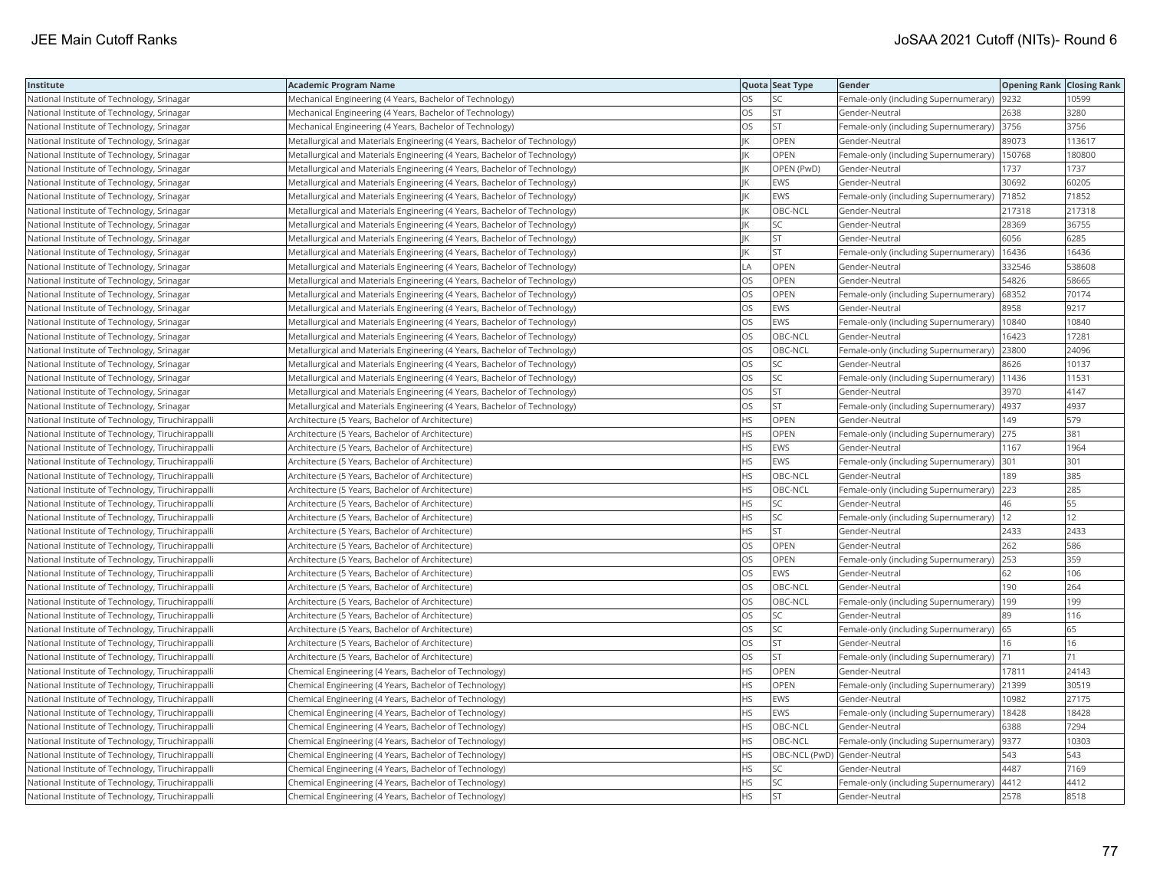| Institute                                         | Academic Program Name                                                     |           | Quota Seat Type              | Gender                                      | <b>Opening Rank Closing Rank</b> |        |
|---------------------------------------------------|---------------------------------------------------------------------------|-----------|------------------------------|---------------------------------------------|----------------------------------|--------|
| National Institute of Technology, Srinagar        | Mechanical Engineering (4 Years, Bachelor of Technology)                  | OS        | SC                           | Female-only (including Supernumerary)       | 9232                             | 10599  |
| National Institute of Technology, Srinagar        | Mechanical Engineering (4 Years, Bachelor of Technology)                  | OS        | <b>ST</b>                    | Gender-Neutral                              | 2638                             | 3280   |
| National Institute of Technology, Srinagar        | Mechanical Engineering (4 Years, Bachelor of Technology)                  | OS.       | lst                          | Female-only (including Supernumerary) 3756  |                                  | 3756   |
| National Institute of Technology, Srinagar        | Metallurgical and Materials Engineering (4 Years, Bachelor of Technology) |           | OPEN                         | Gender-Neutral                              | 89073                            | 113617 |
| National Institute of Technology, Srinagar        | Metallurgical and Materials Engineering (4 Years, Bachelor of Technology) |           | <b>OPEN</b>                  | Female-only (including Supernumerary)       | 150768                           | 180800 |
| National Institute of Technology, Srinagar        | Metallurgical and Materials Engineering (4 Years, Bachelor of Technology) |           | OPEN (PwD)                   | Gender-Neutral                              | 1737                             | 1737   |
| National Institute of Technology, Srinagar        | Metallurgical and Materials Engineering (4 Years, Bachelor of Technology) |           | <b>EWS</b>                   | Gender-Neutral                              | 30692                            | 60205  |
| National Institute of Technology, Srinagar        | Metallurgical and Materials Engineering (4 Years, Bachelor of Technology) |           | <b>EWS</b>                   | Female-only (including Supernumerary)       | 71852                            | 71852  |
| National Institute of Technology, Srinagar        | Metallurgical and Materials Engineering (4 Years, Bachelor of Technology) |           | OBC-NCL                      | Gender-Neutral                              | 217318                           | 217318 |
| National Institute of Technology, Srinagar        | Metallurgical and Materials Engineering (4 Years, Bachelor of Technology) | IK        | SC                           | Gender-Neutral                              | 28369                            | 36755  |
| National Institute of Technology, Srinagar        | Metallurgical and Materials Engineering (4 Years, Bachelor of Technology) | IK        | <b>ST</b>                    | Gender-Neutral                              | 6056                             | 6285   |
| National Institute of Technology, Srinagar        | Metallurgical and Materials Engineering (4 Years, Bachelor of Technology) |           | <b>ST</b>                    | Female-only (including Supernumerary)       | 16436                            | 16436  |
| National Institute of Technology, Srinagar        | Metallurgical and Materials Engineering (4 Years, Bachelor of Technology) | LA        | <b>OPEN</b>                  | Gender-Neutral                              | 332546                           | 538608 |
| National Institute of Technology, Srinagar        | Metallurgical and Materials Engineering (4 Years, Bachelor of Technology) | OS        | OPEN                         | Gender-Neutral                              | 54826                            | 58665  |
| National Institute of Technology, Srinagar        | Metallurgical and Materials Engineering (4 Years, Bachelor of Technology) | OS.       | OPEN                         | Female-only (including Supernumerary)       | 68352                            | 70174  |
| National Institute of Technology, Srinagar        | Metallurgical and Materials Engineering (4 Years, Bachelor of Technology) | OS.       | <b>EWS</b>                   | Gender-Neutral                              | 8958                             | 9217   |
| National Institute of Technology, Srinagar        | Metallurgical and Materials Engineering (4 Years, Bachelor of Technology) | OS        | <b>EWS</b>                   | Female-only (including Supernumerary)       | 10840                            | 10840  |
| National Institute of Technology, Srinagar        | Metallurgical and Materials Engineering (4 Years, Bachelor of Technology) | OS        | OBC-NCL                      | Gender-Neutral                              | 16423                            | 17281  |
| National Institute of Technology, Srinagar        | Metallurgical and Materials Engineering (4 Years, Bachelor of Technology) | <b>OS</b> | OBC-NCL                      | Female-only (including Supernumerary)       | 23800                            | 24096  |
| National Institute of Technology, Srinagar        | Metallurgical and Materials Engineering (4 Years, Bachelor of Technology) | OS        | SC                           | Gender-Neutral                              | 8626                             | 10137  |
| National Institute of Technology, Srinagar        | Metallurgical and Materials Engineering (4 Years, Bachelor of Technology) | OS        | SC                           | Female-only (including Supernumerary)       | 11436                            | 11531  |
| National Institute of Technology, Srinagar        | Metallurgical and Materials Engineering (4 Years, Bachelor of Technology) | OS        | <b>ST</b>                    | Gender-Neutral                              | 3970                             | 4147   |
| National Institute of Technology, Srinagar        | Metallurgical and Materials Engineering (4 Years, Bachelor of Technology) | OS        | <b>ST</b>                    | Female-only (including Supernumerary)  4937 |                                  | 4937   |
| National Institute of Technology, Tiruchirappalli | Architecture (5 Years, Bachelor of Architecture)                          | HS.       | <b>OPEN</b>                  | Gender-Neutral                              | 149                              | 579    |
| National Institute of Technology, Tiruchirappalli | Architecture (5 Years, Bachelor of Architecture)                          | HS        | OPEN                         | Female-only (including Supernumerary)       | 275                              | 381    |
| National Institute of Technology, Tiruchirappalli | Architecture (5 Years, Bachelor of Architecture)                          | HS.       | <b>EWS</b>                   | Gender-Neutral                              | 1167                             | 1964   |
| National Institute of Technology, Tiruchirappalli | Architecture (5 Years, Bachelor of Architecture)                          | HS        | EWS                          | Female-only (including Supernumerary)       | 301                              | 301    |
| National Institute of Technology, Tiruchirappalli | Architecture (5 Years, Bachelor of Architecture)                          | HS        | OBC-NCL                      | Gender-Neutral                              | 189                              | 385    |
| National Institute of Technology, Tiruchirappalli | Architecture (5 Years, Bachelor of Architecture)                          | HS        | OBC-NCL                      | Female-only (including Supernumerary)       | 223                              | 285    |
| National Institute of Technology, Tiruchirappalli | Architecture (5 Years, Bachelor of Architecture)                          | ΗS        | SC                           | Gender-Neutral                              | 46                               | 55     |
| National Institute of Technology, Tiruchirappalli | Architecture (5 Years, Bachelor of Architecture)                          | HS        | SC                           | Female-only (including Supernumerary)  12   |                                  | 12     |
| National Institute of Technology, Tiruchirappalli | Architecture (5 Years, Bachelor of Architecture)                          | HS.       | <b>ST</b>                    | Gender-Neutral                              | 2433                             | 2433   |
| National Institute of Technology, Tiruchirappalli | Architecture (5 Years, Bachelor of Architecture)                          | OS        | OPEN                         | Gender-Neutral                              | 262                              | 586    |
| National Institute of Technology, Tiruchirappalli | Architecture (5 Years, Bachelor of Architecture)                          | OS        | OPEN                         | Female-only (including Supernumerary)       | 253                              | 359    |
| National Institute of Technology, Tiruchirappalli | Architecture (5 Years, Bachelor of Architecture)                          | OS        | <b>EWS</b>                   | Gender-Neutral                              | 62                               | 106    |
| National Institute of Technology, Tiruchirappalli | Architecture (5 Years, Bachelor of Architecture)                          | OS        | OBC-NCL                      | Gender-Neutral                              | 190                              | 264    |
| National Institute of Technology, Tiruchirappalli | Architecture (5 Years, Bachelor of Architecture)                          | OS        | OBC-NCL                      | Female-only (including Supernumerary)       | 199                              | 199    |
| National Institute of Technology, Tiruchirappalli | Architecture (5 Years, Bachelor of Architecture)                          | OS        | SC                           | Gender-Neutral                              | 89                               | 116    |
| National Institute of Technology, Tiruchirappalli | Architecture (5 Years, Bachelor of Architecture)                          | OS        | SC                           | Female-only (including Supernumerary)       | 65                               | 65     |
| National Institute of Technology, Tiruchirappalli | Architecture (5 Years, Bachelor of Architecture)                          | OS.       | <b>ST</b>                    | Gender-Neutral                              | 16                               | 16     |
| National Institute of Technology, Tiruchirappalli | Architecture (5 Years, Bachelor of Architecture)                          | OS        | <b>ST</b>                    | Female-only (including Supernumerary)       | 71                               | 71     |
| National Institute of Technology, Tiruchirappalli | Chemical Engineering (4 Years, Bachelor of Technology)                    | <b>HS</b> | OPEN                         | Gender-Neutral                              | 17811                            | 24143  |
| National Institute of Technology, Tiruchirappalli | Chemical Engineering (4 Years, Bachelor of Technology)                    | HS        | <b>OPEN</b>                  | Female-only (including Supernumerary)       | 21399                            | 30519  |
| National Institute of Technology, Tiruchirappalli | Chemical Engineering (4 Years, Bachelor of Technology)                    | HS.       | <b>EWS</b>                   | Gender-Neutral                              | 10982                            | 27175  |
| National Institute of Technology, Tiruchirappalli | Chemical Engineering (4 Years, Bachelor of Technology)                    | HS.       | <b>EWS</b>                   | Female-only (including Supernumerary)       | 18428                            | 18428  |
| National Institute of Technology, Tiruchirappalli | Chemical Engineering (4 Years, Bachelor of Technology)                    | HS.       | OBC-NCL                      | Gender-Neutral                              | 6388                             | 7294   |
| National Institute of Technology, Tiruchirappalli | Chemical Engineering (4 Years, Bachelor of Technology)                    | HS.       | OBC-NCL                      | Female-only (including Supernumerary)  9377 |                                  | 10303  |
| National Institute of Technology, Tiruchirappalli | Chemical Engineering (4 Years, Bachelor of Technology)                    | НS        | OBC-NCL (PwD) Gender-Neutral |                                             | 543                              | 543    |
| National Institute of Technology, Tiruchirappalli | Chemical Engineering (4 Years, Bachelor of Technology)                    | HS        | SC                           | Gender-Neutral                              | 4487                             | 7169   |
| National Institute of Technology, Tiruchirappalli | Chemical Engineering (4 Years, Bachelor of Technology)                    | HS.       | SC                           | Female-only (including Supernumerary)       | 4412                             | 4412   |
| National Institute of Technology, Tiruchirappalli | Chemical Engineering (4 Years, Bachelor of Technology)                    | <b>HS</b> | İst                          | Gender-Neutral                              | 2578                             | 8518   |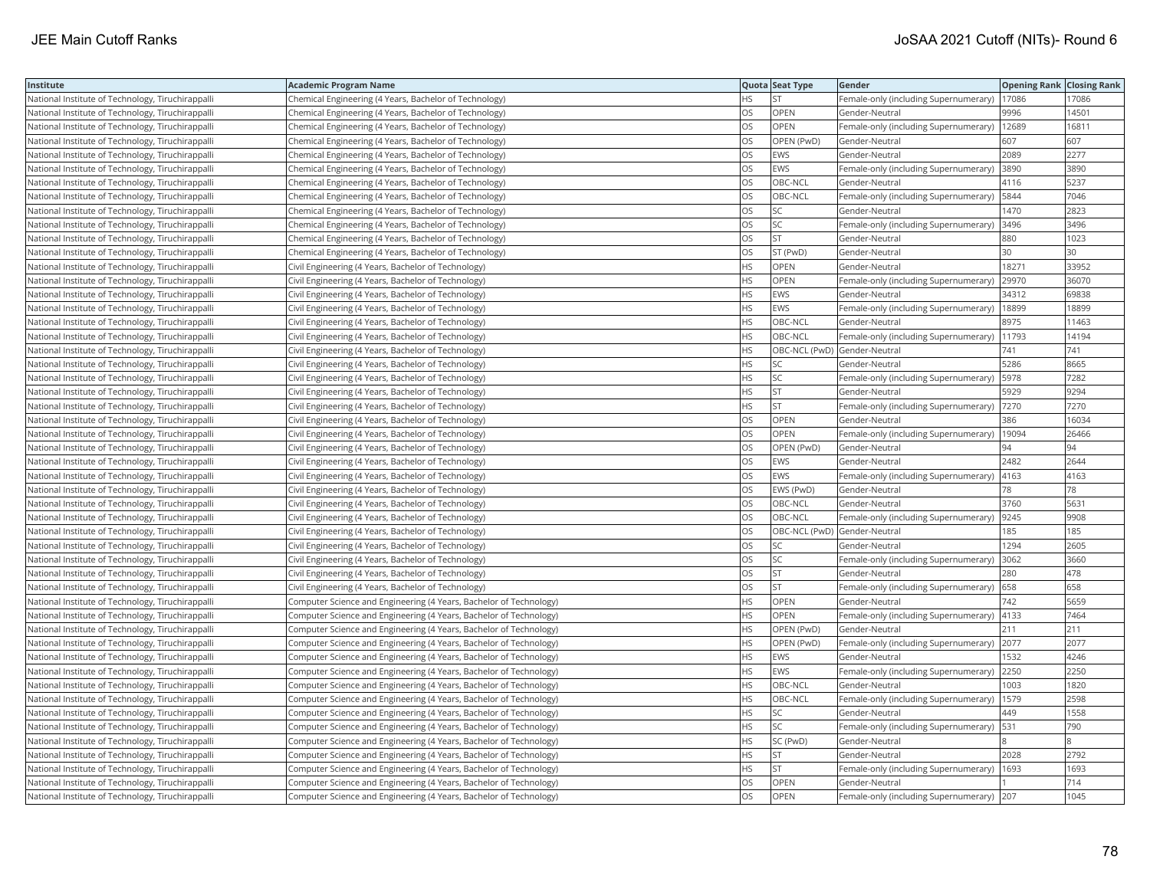| Institute                                         | <b>Academic Program Name</b>                                       |           | Quota Seat Type | Gender                                        | <b>Opening Rank Closing Rank</b> |       |
|---------------------------------------------------|--------------------------------------------------------------------|-----------|-----------------|-----------------------------------------------|----------------------------------|-------|
| National Institute of Technology, Tiruchirappalli | Chemical Engineering (4 Years, Bachelor of Technology)             | <b>HS</b> | <b>ST</b>       | Female-only (including Supernumerary)   17086 |                                  | 17086 |
| National Institute of Technology, Tiruchirappalli | Chemical Engineering (4 Years, Bachelor of Technology)             | OS        | OPEN            | Gender-Neutral                                | 9996                             | 14501 |
| National Institute of Technology, Tiruchirappalli | Chemical Engineering (4 Years, Bachelor of Technology)             | OS        | OPEN            | Female-only (including Supernumerary)   12689 |                                  | 16811 |
| National Institute of Technology, Tiruchirappalli | Chemical Engineering (4 Years, Bachelor of Technology)             | OS        | OPEN (PwD)      | Gender-Neutral                                | 607                              | 607   |
| National Institute of Technology, Tiruchirappalli | Chemical Engineering (4 Years, Bachelor of Technology)             | OS        | <b>EWS</b>      | Gender-Neutral                                | 2089                             | 2277  |
| National Institute of Technology, Tiruchirappalli | Chemical Engineering (4 Years, Bachelor of Technology)             | OS        | <b>EWS</b>      | Female-only (including Supernumerary)         | 3890                             | 3890  |
| National Institute of Technology, Tiruchirappalli | Chemical Engineering (4 Years, Bachelor of Technology)             | OS        | OBC-NCL         | Gender-Neutral                                | 4116                             | 5237  |
| National Institute of Technology, Tiruchirappalli | Chemical Engineering (4 Years, Bachelor of Technology)             | OS        | OBC-NCL         | Female-only (including Supernumerary)   5844  |                                  | 7046  |
| National Institute of Technology, Tiruchirappalli | Chemical Engineering (4 Years, Bachelor of Technology)             | OS        | SC              | Gender-Neutral                                | 1470                             | 2823  |
| National Institute of Technology, Tiruchirappalli | Chemical Engineering (4 Years, Bachelor of Technology)             | OS        | SC              | Female-only (including Supernumerary)         | 3496                             | 3496  |
| National Institute of Technology, Tiruchirappalli | Chemical Engineering (4 Years, Bachelor of Technology)             | OS        | <b>ST</b>       | Gender-Neutral                                | 880                              | 1023  |
| National Institute of Technology, Tiruchirappalli | Chemical Engineering (4 Years, Bachelor of Technology)             | OS        | ST (PwD)        | Gender-Neutral                                | 30                               | 30    |
| National Institute of Technology, Tiruchirappalli | Civil Engineering (4 Years, Bachelor of Technology)                | HS        | OPEN            | Gender-Neutral                                | 18271                            | 33952 |
| National Institute of Technology, Tiruchirappalli | Civil Engineering (4 Years, Bachelor of Technology)                | HS        | <b>OPEN</b>     | Female-only (including Supernumerary)         | 29970                            | 36070 |
| National Institute of Technology, Tiruchirappalli | Civil Engineering (4 Years, Bachelor of Technology)                | HS        | <b>EWS</b>      | Gender-Neutral                                | 34312                            | 69838 |
| National Institute of Technology, Tiruchirappalli | Civil Engineering (4 Years, Bachelor of Technology)                | ΗS        | EWS             | Female-only (including Supernumerary)   18899 |                                  | 18899 |
| National Institute of Technology, Tiruchirappalli | Civil Engineering (4 Years, Bachelor of Technology)                | HS.       | OBC-NCL         | Gender-Neutral                                | 8975                             | 11463 |
| National Institute of Technology, Tiruchirappalli | Civil Engineering (4 Years, Bachelor of Technology)                | HS        | OBC-NCL         | Female-only (including Supernumerary)         | 11793                            | 14194 |
| National Institute of Technology, Tiruchirappalli | Civil Engineering (4 Years, Bachelor of Technology)                | <b>HS</b> |                 | OBC-NCL (PwD) Gender-Neutral                  | 741                              | 741   |
| National Institute of Technology, Tiruchirappalli | Civil Engineering (4 Years, Bachelor of Technology)                | HS        | <b>SC</b>       | Gender-Neutral                                | 5286                             | 8665  |
| National Institute of Technology, Tiruchirappalli | Civil Engineering (4 Years, Bachelor of Technology)                | HS        | SC              | Female-only (including Supernumerary)   5978  |                                  | 7282  |
| National Institute of Technology, Tiruchirappalli | Civil Engineering (4 Years, Bachelor of Technology)                | HS.       | <b>ST</b>       | Gender-Neutral                                | 5929                             | 9294  |
| National Institute of Technology, Tiruchirappalli | Civil Engineering (4 Years, Bachelor of Technology)                | HS        | <b>ST</b>       | Female-only (including Supernumerary)  7270   |                                  | 7270  |
| National Institute of Technology, Tiruchirappalli | Civil Engineering (4 Years, Bachelor of Technology)                | OS        | OPEN            | Gender-Neutral                                | 386                              | 16034 |
| National Institute of Technology, Tiruchirappalli | Civil Engineering (4 Years, Bachelor of Technology)                | OS        | <b>OPEN</b>     | Female-only (including Supernumerary)         | 19094                            | 26466 |
| National Institute of Technology, Tiruchirappalli | Civil Engineering (4 Years, Bachelor of Technology)                | OS        | OPEN (PwD)      | Gender-Neutral                                | 94                               | 94    |
| National Institute of Technology, Tiruchirappalli | Civil Engineering (4 Years, Bachelor of Technology)                | OS        | <b>EWS</b>      | Gender-Neutral                                | 2482                             | 2644  |
| National Institute of Technology, Tiruchirappalli | Civil Engineering (4 Years, Bachelor of Technology)                | OS        | <b>EWS</b>      | Female-only (including Supernumerary)         | 4163                             | 4163  |
| National Institute of Technology, Tiruchirappalli | Civil Engineering (4 Years, Bachelor of Technology)                | <b>OS</b> | EWS (PwD)       | Gender-Neutral                                | 78                               | 78    |
| National Institute of Technology, Tiruchirappalli | Civil Engineering (4 Years, Bachelor of Technology)                | OS        | OBC-NCL         | Gender-Neutral                                | 3760                             | 5631  |
| National Institute of Technology, Tiruchirappalli | Civil Engineering (4 Years, Bachelor of Technology)                | OS        | OBC-NCL         | Female-only (including Supernumerary)  9245   |                                  | 9908  |
| National Institute of Technology, Tiruchirappalli | Civil Engineering (4 Years, Bachelor of Technology)                | OS        |                 | OBC-NCL (PwD) Gender-Neutral                  | 185                              | 185   |
| National Institute of Technology, Tiruchirappalli | Civil Engineering (4 Years, Bachelor of Technology)                | <b>OS</b> | <b>SC</b>       | Gender-Neutral                                | 1294                             | 2605  |
| National Institute of Technology, Tiruchirappalli | Civil Engineering (4 Years, Bachelor of Technology)                | OS        | SC              | Female-only (including Supernumerary)         | 3062                             | 3660  |
| National Institute of Technology, Tiruchirappalli | Civil Engineering (4 Years, Bachelor of Technology)                | OS        | <b>ST</b>       | Gender-Neutral                                | 280                              | 478   |
| National Institute of Technology, Tiruchirappalli | Civil Engineering (4 Years, Bachelor of Technology)                | OS        | <b>ST</b>       | Female-only (including Supernumerary)         | 658                              | 658   |
| National Institute of Technology, Tiruchirappalli | Computer Science and Engineering (4 Years, Bachelor of Technology) | <b>HS</b> | <b>OPEN</b>     | Gender-Neutral                                | 742                              | 5659  |
| National Institute of Technology, Tiruchirappalli | Computer Science and Engineering (4 Years, Bachelor of Technology) | HS        | OPEN            | Female-only (including Supernumerary)   4133  |                                  | 7464  |
| National Institute of Technology, Tiruchirappalli | Computer Science and Engineering (4 Years, Bachelor of Technology) | <b>HS</b> | OPEN (PwD)      | Gender-Neutral                                | 211                              | 211   |
| National Institute of Technology, Tiruchirappalli | Computer Science and Engineering (4 Years, Bachelor of Technology) | HS        | OPEN (PwD)      | Female-only (including Supernumerary) 2077    |                                  | 2077  |
| National Institute of Technology, Tiruchirappalli | Computer Science and Engineering (4 Years, Bachelor of Technology) | HS        | <b>EWS</b>      | Gender-Neutral                                | 1532                             | 4246  |
| National Institute of Technology, Tiruchirappalli | Computer Science and Engineering (4 Years, Bachelor of Technology) | HS        | <b>EWS</b>      | Female-only (including Supernumerary)         | 2250                             | 2250  |
| National Institute of Technology, Tiruchirappalli | Computer Science and Engineering (4 Years, Bachelor of Technology) | НS        | OBC-NCL         | Gender-Neutral                                | 1003                             | 1820  |
| National Institute of Technology, Tiruchirappalli | Computer Science and Engineering (4 Years, Bachelor of Technology) | HS        | OBC-NCL         | Female-only (including Supernumerary)         | 1579                             | 2598  |
| National Institute of Technology, Tiruchirappalli | Computer Science and Engineering (4 Years, Bachelor of Technology) | <b>HS</b> | <b>SC</b>       | Gender-Neutral                                | 449                              | 1558  |
| National Institute of Technology, Tiruchirappalli | Computer Science and Engineering (4 Years, Bachelor of Technology) | HS        | SC              | Female-only (including Supernumerary) 531     |                                  | 790   |
| National Institute of Technology, Tiruchirappalli | Computer Science and Engineering (4 Years, Bachelor of Technology) | HS        | SC (PwD)        | Gender-Neutral                                |                                  |       |
| National Institute of Technology, Tiruchirappalli | Computer Science and Engineering (4 Years, Bachelor of Technology) | ΗS        | <b>ST</b>       | Gender-Neutral                                | 2028                             | 2792  |
| National Institute of Technology, Tiruchirappalli | Computer Science and Engineering (4 Years, Bachelor of Technology) | <b>HS</b> | <b>ST</b>       | Female-only (including Supernumerary)   1693  |                                  | 1693  |
| National Institute of Technology, Tiruchirappalli | Computer Science and Engineering (4 Years, Bachelor of Technology) | OS        | OPEN            | Gender-Neutral                                |                                  | 714   |
| National Institute of Technology, Tiruchirappall  | Computer Science and Engineering (4 Years, Bachelor of Technology) | <b>OS</b> | OPEN            | Female-only (including Supernumerary) 207     |                                  | 1045  |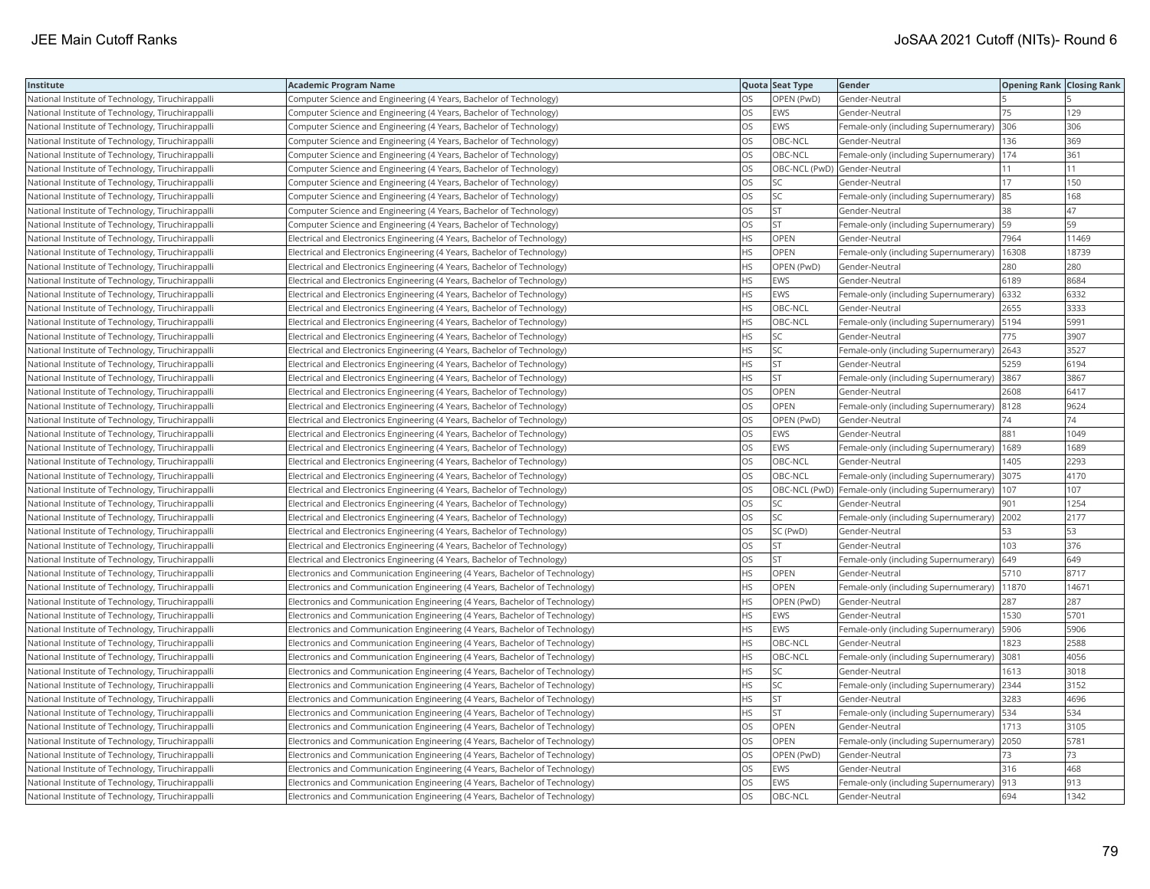| Institute                                         | Academic Program Name                                                        |           | Quota Seat Type              | Gender                                                | <b>Opening Rank   Closing Rank</b> |       |
|---------------------------------------------------|------------------------------------------------------------------------------|-----------|------------------------------|-------------------------------------------------------|------------------------------------|-------|
| National Institute of Technology, Tiruchirappalli | Computer Science and Engineering (4 Years, Bachelor of Technology)           | OS        | OPEN (PwD)                   | Gender-Neutral                                        |                                    |       |
| National Institute of Technology, Tiruchirappalli | Computer Science and Engineering (4 Years, Bachelor of Technology)           | OS.       | <b>EWS</b>                   | Gender-Neutral                                        | 75                                 | 129   |
| National Institute of Technology, Tiruchirappalli | Computer Science and Engineering (4 Years, Bachelor of Technology)           | OS.       | <b>EWS</b>                   | Female-only (including Supernumerary)                 | 306                                | 306   |
| National Institute of Technology, Tiruchirappalli | Computer Science and Engineering (4 Years, Bachelor of Technology)           | OS        | OBC-NCL                      | Gender-Neutral                                        | 136                                | 369   |
| National Institute of Technology, Tiruchirappalli | Computer Science and Engineering (4 Years, Bachelor of Technology)           | OS        | OBC-NCL                      | Female-only (including Supernumerary)   174           |                                    | 361   |
| National Institute of Technology, Tiruchirappalli | Computer Science and Engineering (4 Years, Bachelor of Technology)           | OS        | OBC-NCL (PwD) Gender-Neutral |                                                       | 11                                 | 11    |
| National Institute of Technology, Tiruchirappalli | Computer Science and Engineering (4 Years, Bachelor of Technology)           | OS        | SC.                          | Gender-Neutral                                        | 17                                 | 150   |
| National Institute of Technology, Tiruchirappalli | Computer Science and Engineering (4 Years, Bachelor of Technology)           | OS        | SC                           | Female-only (including Supernumerary)                 | 85                                 | 168   |
| National Institute of Technology, Tiruchirappalli | Computer Science and Engineering (4 Years, Bachelor of Technology)           | OS        | <b>ST</b>                    | Gender-Neutral                                        | 38                                 | 47    |
| National Institute of Technology, Tiruchirappalli | Computer Science and Engineering (4 Years, Bachelor of Technology)           | OS.       | ST                           | Female-only (including Supernumerary)                 | 59                                 | 59    |
| National Institute of Technology, Tiruchirappalli | Electrical and Electronics Engineering (4 Years, Bachelor of Technology)     | <b>HS</b> | <b>OPEN</b>                  | Gender-Neutral                                        | 7964                               | 11469 |
| National Institute of Technology, Tiruchirappalli | Electrical and Electronics Engineering (4 Years, Bachelor of Technology)     | HS.       | <b>OPEN</b>                  | Female-only (including Supernumerary)                 | 16308                              | 18739 |
| National Institute of Technology, Tiruchirappalli | Electrical and Electronics Engineering (4 Years, Bachelor of Technology)     | <b>HS</b> | OPEN (PwD)                   | Gender-Neutral                                        | 280                                | 280   |
| National Institute of Technology, Tiruchirappalli | Electrical and Electronics Engineering (4 Years, Bachelor of Technology)     | НS        | EWS                          | Gender-Neutral                                        | 6189                               | 8684  |
| National Institute of Technology, Tiruchirappalli | Electrical and Electronics Engineering (4 Years, Bachelor of Technology)     | HS        | EWS                          | Female-only (including Supernumerary)                 | 6332                               | 6332  |
| National Institute of Technology, Tiruchirappalli | Electrical and Electronics Engineering (4 Years, Bachelor of Technology)     | HS.       | OBC-NCL                      | Gender-Neutral                                        | 2655                               | 3333  |
| National Institute of Technology, Tiruchirappalli | Electrical and Electronics Engineering (4 Years, Bachelor of Technology)     | HS        | OBC-NCL                      | Female-only (including Supernumerary)  5194           |                                    | 5991  |
| National Institute of Technology, Tiruchirappalli | Electrical and Electronics Engineering (4 Years, Bachelor of Technology)     | HS.       | SC                           | Gender-Neutral                                        | 775                                | 3907  |
| National Institute of Technology, Tiruchirappalli | Electrical and Electronics Engineering (4 Years, Bachelor of Technology)     | HS.       | <b>SC</b>                    | Female-only (including Supernumerary) 2643            |                                    | 3527  |
| National Institute of Technology, Tiruchirappalli | Electrical and Electronics Engineering (4 Years, Bachelor of Technology)     | HS        | <b>ST</b>                    | Gender-Neutral                                        | 5259                               | 6194  |
| National Institute of Technology, Tiruchirappalli | Electrical and Electronics Engineering (4 Years, Bachelor of Technology)     | HS.       | <b>ST</b>                    | Female-only (including Supernumerary)  3867           |                                    | 3867  |
| National Institute of Technology, Tiruchirappalli | Electrical and Electronics Engineering (4 Years, Bachelor of Technology)     | OS        | <b>OPEN</b>                  | Gender-Neutral                                        | 2608                               | 6417  |
| National Institute of Technology, Tiruchirappalli | Electrical and Electronics Engineering (4 Years, Bachelor of Technology)     | OS        | OPEN                         | Female-only (including Supernumerary)  8128           |                                    | 9624  |
| National Institute of Technology, Tiruchirappalli | Electrical and Electronics Engineering (4 Years, Bachelor of Technology)     | OS        | OPEN (PwD)                   | Gender-Neutral                                        | 74                                 | 74    |
| National Institute of Technology, Tiruchirappalli | Electrical and Electronics Engineering (4 Years, Bachelor of Technology)     | OS        | EWS                          | Gender-Neutral                                        | 881                                | 1049  |
| National Institute of Technology, Tiruchirappalli | Electrical and Electronics Engineering (4 Years, Bachelor of Technology)     | OS        | EWS                          | Female-only (including Supernumerary)                 | 1689                               | 1689  |
| National Institute of Technology, Tiruchirappalli | Electrical and Electronics Engineering (4 Years, Bachelor of Technology)     | OS.       | OBC-NCL                      | Gender-Neutral                                        | 1405                               | 2293  |
| National Institute of Technology, Tiruchirappalli | Electrical and Electronics Engineering (4 Years, Bachelor of Technology)     | OS        | OBC-NCL                      | Female-only (including Supernumerary)                 | 3075                               | 4170  |
| National Institute of Technology, Tiruchirappalli | Electrical and Electronics Engineering (4 Years, Bachelor of Technology)     | OS        |                              | OBC-NCL (PwD)   Female-only (including Supernumerary) | 107                                | 107   |
| National Institute of Technology, Tiruchirappalli | Electrical and Electronics Engineering (4 Years, Bachelor of Technology)     | OS        | <b>SC</b>                    | Gender-Neutral                                        | 901                                | 1254  |
| National Institute of Technology, Tiruchirappalli | Electrical and Electronics Engineering (4 Years, Bachelor of Technology)     | <b>OS</b> | <b>SC</b>                    | Female-only (including Supernumerary)                 | 2002                               | 2177  |
| National Institute of Technology, Tiruchirappalli | Electrical and Electronics Engineering (4 Years, Bachelor of Technology)     | OS        | SC (PwD)                     | Gender-Neutral                                        | 53                                 | 53    |
| National Institute of Technology, Tiruchirappalli | Electrical and Electronics Engineering (4 Years, Bachelor of Technology)     | OS        | <b>ST</b>                    | Gender-Neutral                                        | 103                                | 376   |
| National Institute of Technology, Tiruchirappalli | Electrical and Electronics Engineering (4 Years, Bachelor of Technology)     | OS        | <b>ST</b>                    | Female-only (including Supernumerary)                 | 649                                | 649   |
| National Institute of Technology, Tiruchirappalli | Electronics and Communication Engineering (4 Years, Bachelor of Technology)  | HS.       | OPEN                         | Gender-Neutral                                        | 5710                               | 8717  |
| National Institute of Technology, Tiruchirappalli | Electronics and Communication Engineering (4 Years, Bachelor of Technology)  | HS.       | <b>OPEN</b>                  | Female-only (including Supernumerary)                 | 11870                              | 14671 |
| National Institute of Technology, Tiruchirappalli | [Electronics and Communication Engineering (4 Years, Bachelor of Technology) | HS.       | OPEN (PwD)                   | Gender-Neutral                                        | 287                                | 287   |
| National Institute of Technology, Tiruchirappalli | Electronics and Communication Engineering (4 Years, Bachelor of Technology)  | ΗS        | EWS                          | Gender-Neutral                                        | 1530                               | 5701  |
| National Institute of Technology, Tiruchirappalli | Electronics and Communication Engineering (4 Years, Bachelor of Technology)  | <b>HS</b> | <b>EWS</b>                   | Female-only (including Supernumerary)                 | 5906                               | 5906  |
| National Institute of Technology, Tiruchirappalli | Electronics and Communication Engineering (4 Years, Bachelor of Technology)  | HS        | OBC-NCL                      | Gender-Neutral                                        | 823                                | 2588  |
| National Institute of Technology, Tiruchirappalli | Electronics and Communication Engineering (4 Years, Bachelor of Technology)  | <b>HS</b> | OBC-NCL                      | Female-only (including Supernumerary)                 | 3081                               | 4056  |
| National Institute of Technology, Tiruchirappalli | Electronics and Communication Engineering (4 Years, Bachelor of Technology)  | HS.       | <b>SC</b>                    | Gender-Neutral                                        | 1613                               | 3018  |
| National Institute of Technology, Tiruchirappalli | Electronics and Communication Engineering (4 Years, Bachelor of Technology)  | HS        | SC                           | Female-only (including Supernumerary)                 | 2344                               | 3152  |
| National Institute of Technology, Tiruchirappalli | Electronics and Communication Engineering (4 Years, Bachelor of Technology)  | HS.       | <b>ST</b>                    | Gender-Neutral                                        | 3283                               | 4696  |
| National Institute of Technology, Tiruchirappalli | Electronics and Communication Engineering (4 Years, Bachelor of Technology)  | HS        | <b>ST</b>                    | Female-only (including Supernumerary)   534           |                                    | 534   |
| National Institute of Technology, Tiruchirappalli | Electronics and Communication Engineering (4 Years, Bachelor of Technology)  | OS        | OPEN                         | Gender-Neutral                                        | 1713                               | 3105  |
| National Institute of Technology, Tiruchirappalli | Electronics and Communication Engineering (4 Years, Bachelor of Technology)  | OS.       | <b>OPEN</b>                  | Female-only (including Supernumerary)                 | 2050                               | 5781  |
| National Institute of Technology, Tiruchirappalli | Electronics and Communication Engineering (4 Years, Bachelor of Technology)  | OS        | OPEN (PwD)                   | Gender-Neutral                                        | 73                                 | 73    |
| National Institute of Technology, Tiruchirappalli | Electronics and Communication Engineering (4 Years, Bachelor of Technology)  | OS        | <b>EWS</b>                   | Gender-Neutral                                        | 316                                | 468   |
| National Institute of Technology, Tiruchirappalli | Electronics and Communication Engineering (4 Years, Bachelor of Technology)  | OS.       | <b>EWS</b>                   | Female-only (including Supernumerary)                 | 913                                | 913   |
| National Institute of Technology, Tiruchirappalli | Electronics and Communication Engineering (4 Years, Bachelor of Technology)  | <b>OS</b> | OBC-NCL                      | Gender-Neutral                                        | 694                                | 1342  |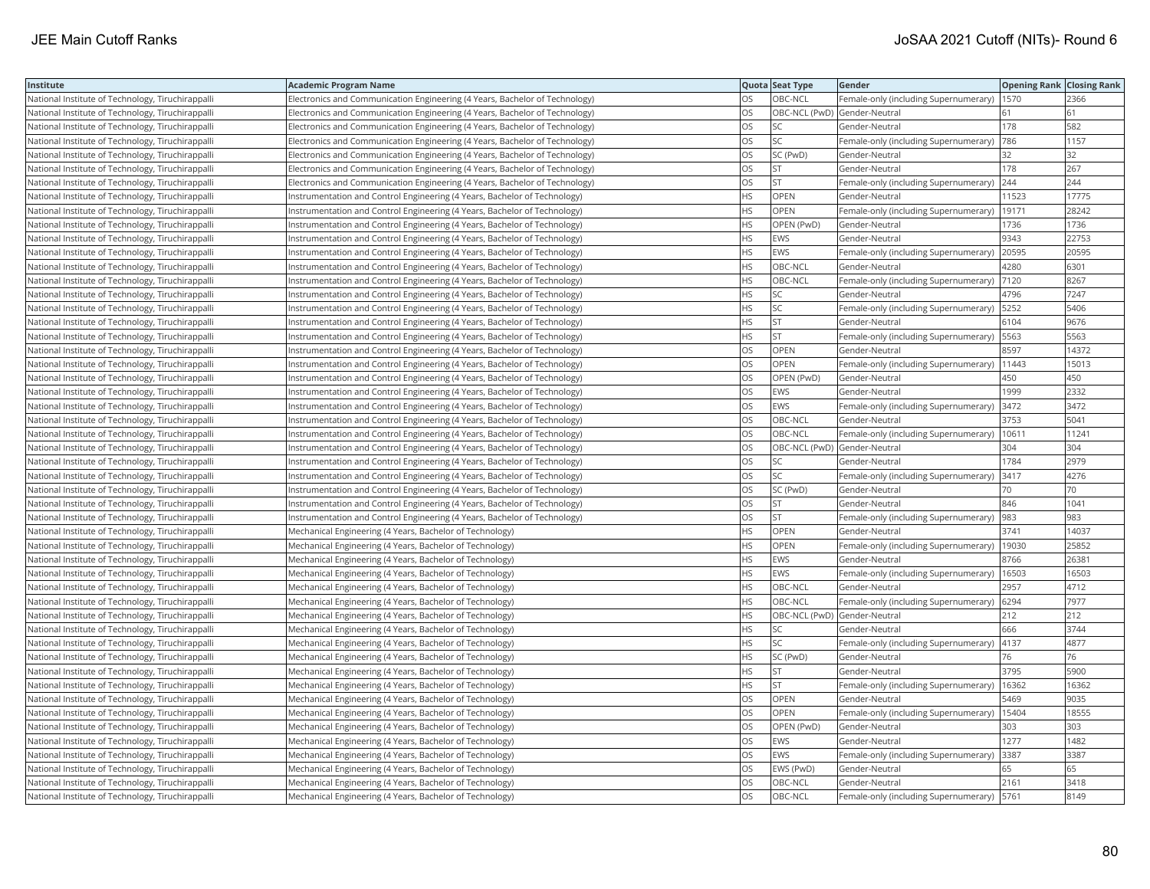| Institute                                         | Academic Program Name                                                        |           | Quota Seat Type              | Gender                                       | <b>Opening Rank   Closing Rank</b> |       |
|---------------------------------------------------|------------------------------------------------------------------------------|-----------|------------------------------|----------------------------------------------|------------------------------------|-------|
| National Institute of Technology, Tiruchirappalli | Electronics and Communication Engineering (4 Years, Bachelor of Technology)  | OS        | OBC-NCL                      | Female-only (including Supernumerary)        | 1570                               | 2366  |
| National Institute of Technology, Tiruchirappalli | Electronics and Communication Engineering (4 Years, Bachelor of Technology)  | OS.       | OBC-NCL (PwD) Gender-Neutral |                                              | 61                                 | 61    |
| National Institute of Technology, Tiruchirappalli | Electronics and Communication Engineering (4 Years, Bachelor of Technology)  | OS.       | SC                           | Gender-Neutral                               | 178                                | 582   |
| National Institute of Technology, Tiruchirappalli | Electronics and Communication Engineering (4 Years, Bachelor of Technology)  | OS.       | <b>SC</b>                    | Female-only (including Supernumerary)        | 786                                | 1157  |
| National Institute of Technology, Tiruchirappalli | Electronics and Communication Engineering (4 Years, Bachelor of Technology)  | OS        | SC (PwD)                     | Gender-Neutral                               | 32                                 | 32    |
| National Institute of Technology, Tiruchirappalli | Electronics and Communication Engineering (4 Years, Bachelor of Technology)  | OS        | <b>ST</b>                    | Gender-Neutral                               | 178                                | 267   |
| National Institute of Technology, Tiruchirappalli | [Electronics and Communication Engineering (4 Years, Bachelor of Technology) | OS        | <b>ST</b>                    | Female-only (including Supernumerary) 244    |                                    | 244   |
| National Institute of Technology, Tiruchirappalli | Instrumentation and Control Engineering (4 Years, Bachelor of Technology)    | HS.       | <b>OPEN</b>                  | Gender-Neutral                               | 11523                              | 17775 |
| National Institute of Technology, Tiruchirappalli | Instrumentation and Control Engineering (4 Years, Bachelor of Technology)    | HS.       | <b>OPEN</b>                  | Female-only (including Supernumerary)        | 19171                              | 28242 |
| National Institute of Technology, Tiruchirappalli | Instrumentation and Control Engineering (4 Years, Bachelor of Technology)    | НS        | OPEN (PwD)                   | Gender-Neutral                               | 1736                               | 1736  |
| National Institute of Technology, Tiruchirappalli | Instrumentation and Control Engineering (4 Years, Bachelor of Technology)    | <b>HS</b> | <b>EWS</b>                   | Gender-Neutral                               | 9343                               | 22753 |
| National Institute of Technology, Tiruchirappalli | Instrumentation and Control Engineering (4 Years, Bachelor of Technology)    | <b>HS</b> | EWS                          | Female-only (including Supernumerary)        | 20595                              | 20595 |
| National Institute of Technology, Tiruchirappalli | Instrumentation and Control Engineering (4 Years, Bachelor of Technology)    | HS        | OBC-NCL                      | Gender-Neutral                               | 4280                               | 6301  |
| National Institute of Technology, Tiruchirappalli | Instrumentation and Control Engineering (4 Years, Bachelor of Technology)    | HS.       | OBC-NCL                      | Female-only (including Supernumerary)        | 7120                               | 8267  |
| National Institute of Technology, Tiruchirappalli | Instrumentation and Control Engineering (4 Years, Bachelor of Technology)    | HS        | SC                           | Gender-Neutral                               | 4796                               | 7247  |
| National Institute of Technology, Tiruchirappalli | Instrumentation and Control Engineering (4 Years, Bachelor of Technology)    | HS.       | <b>SC</b>                    | Female-only (including Supernumerary)   5252 |                                    | 5406  |
| National Institute of Technology, Tiruchirappalli | Instrumentation and Control Engineering (4 Years, Bachelor of Technology)    | HS        | <b>ST</b>                    | Gender-Neutral                               | 6104                               | 9676  |
| National Institute of Technology, Tiruchirappalli | Instrumentation and Control Engineering (4 Years, Bachelor of Technology)    | HS        | <b>ST</b>                    | Female-only (including Supernumerary)        | 5563                               | 5563  |
| National Institute of Technology, Tiruchirappalli | Instrumentation and Control Engineering (4 Years, Bachelor of Technology)    | OS        | <b>OPEN</b>                  | Gender-Neutral                               | 8597                               | 14372 |
| National Institute of Technology, Tiruchirappalli | Instrumentation and Control Engineering (4 Years, Bachelor of Technology)    | OS.       | <b>OPEN</b>                  | Female-only (including Supernumerary)        | 11443                              | 15013 |
| National Institute of Technology, Tiruchirappalli | Instrumentation and Control Engineering (4 Years, Bachelor of Technology)    | OS.       | OPEN (PwD)                   | Gender-Neutral                               | 450                                | 450   |
| National Institute of Technology, Tiruchirappalli | Instrumentation and Control Engineering (4 Years, Bachelor of Technology)    | OS        | EWS                          | Gender-Neutral                               | 1999                               | 2332  |
| National Institute of Technology, Tiruchirappalli | Instrumentation and Control Engineering (4 Years, Bachelor of Technology)    | OS        | EWS                          | Female-only (including Supernumerary)   3472 |                                    | 3472  |
| National Institute of Technology, Tiruchirappalli | Instrumentation and Control Engineering (4 Years, Bachelor of Technology)    | OS        | OBC-NCL                      | Gender-Neutral                               | 3753                               | 5041  |
| National Institute of Technology, Tiruchirappalli | Instrumentation and Control Engineering (4 Years, Bachelor of Technology)    | OS        | OBC-NCL                      | Female-only (including Supernumerary)        | 10611                              | 11241 |
| National Institute of Technology, Tiruchirappalli | Instrumentation and Control Engineering (4 Years, Bachelor of Technology)    | OS.       | OBC-NCL (PwD) Gender-Neutral |                                              | 304                                | 304   |
| National Institute of Technology, Tiruchirappalli | Instrumentation and Control Engineering (4 Years, Bachelor of Technology)    | OS        | SC                           | Gender-Neutral                               | 1784                               | 2979  |
| National Institute of Technology, Tiruchirappalli | Instrumentation and Control Engineering (4 Years, Bachelor of Technology)    | OS        | SC.                          | Female-only (including Supernumerary)        | 3417                               | 4276  |
| National Institute of Technology, Tiruchirappalli | Instrumentation and Control Engineering (4 Years, Bachelor of Technology)    | OS.       | SC (PwD)                     | Gender-Neutral                               | 70                                 | 70    |
| National Institute of Technology, Tiruchirappalli | Instrumentation and Control Engineering (4 Years, Bachelor of Technology)    | OS        | <b>ST</b>                    | Gender-Neutral                               | 846                                | 1041  |
| National Institute of Technology, Tiruchirappalli | Instrumentation and Control Engineering (4 Years, Bachelor of Technology)    | OS        | <b>ST</b>                    | Female-only (including Supernumerary)  983   |                                    | 983   |
| National Institute of Technology, Tiruchirappalli | Mechanical Engineering (4 Years, Bachelor of Technology)                     | НS        | OPEN                         | Gender-Neutral                               | 3741                               | 14037 |
| National Institute of Technology, Tiruchirappalli | Mechanical Engineering (4 Years, Bachelor of Technology)                     | HS.       | <b>OPEN</b>                  | Female-only (including Supernumerary)        | 19030                              | 25852 |
| National Institute of Technology, Tiruchirappalli | Mechanical Engineering (4 Years, Bachelor of Technology)                     | НS        | EWS                          | Gender-Neutral                               | 8766                               | 26381 |
| National Institute of Technology, Tiruchirappalli | Mechanical Engineering (4 Years, Bachelor of Technology)                     | HS        | <b>EWS</b>                   | Female-only (including Supernumerary)        | 16503                              | 16503 |
| National Institute of Technology, Tiruchirappalli | Mechanical Engineering (4 Years, Bachelor of Technology)                     | <b>HS</b> | OBC-NCL                      | Gender-Neutral                               | 2957                               | 4712  |
| National Institute of Technology, Tiruchirappalli | Mechanical Engineering (4 Years, Bachelor of Technology)                     | <b>HS</b> | OBC-NCL                      | Female-only (including Supernumerary)   6294 |                                    | 7977  |
| National Institute of Technology, Tiruchirappalli | Mechanical Engineering (4 Years, Bachelor of Technology)                     | HS        | OBC-NCL (PwD) Gender-Neutral |                                              | 212                                | 212   |
| National Institute of Technology, Tiruchirappalli | Mechanical Engineering (4 Years, Bachelor of Technology)                     | HS        | SC                           | Gender-Neutral                               | 666                                | 3744  |
| National Institute of Technology, Tiruchirappalli | Mechanical Engineering (4 Years, Bachelor of Technology)                     | HS        | SC                           | Female-only (including Supernumerary)   4137 |                                    | 4877  |
| National Institute of Technology, Tiruchirappalli | Mechanical Engineering (4 Years, Bachelor of Technology)                     | HS.       | SC (PwD)                     | Gender-Neutral                               | 76                                 | 76    |
| National Institute of Technology, Tiruchirappalli | Mechanical Engineering (4 Years, Bachelor of Technology)                     | HS        | <b>ST</b>                    | Gender-Neutral                               | 3795                               | 5900  |
| National Institute of Technology, Tiruchirappalli | Mechanical Engineering (4 Years, Bachelor of Technology)                     | HS.       | <b>ST</b>                    | Female-only (including Supernumerary)        | 16362                              | 16362 |
| National Institute of Technology, Tiruchirappalli | Mechanical Engineering (4 Years, Bachelor of Technology)                     | OS.       | <b>OPEN</b>                  | Gender-Neutral                               | 5469                               | 9035  |
| National Institute of Technology, Tiruchirappalli | Mechanical Engineering (4 Years, Bachelor of Technology)                     | OS        | OPEN                         | Female-only (including Supernumerary)        | 15404                              | 18555 |
| National Institute of Technology, Tiruchirappalli | Mechanical Engineering (4 Years, Bachelor of Technology)                     | OS.       | OPEN (PwD)                   | Gender-Neutral                               | 303                                | 303   |
| National Institute of Technology, Tiruchirappalli | Mechanical Engineering (4 Years, Bachelor of Technology)                     | OS        | <b>EWS</b>                   | Gender-Neutral                               | 1277                               | 1482  |
| National Institute of Technology, Tiruchirappalli | Mechanical Engineering (4 Years, Bachelor of Technology)                     | OS        | EWS                          | Female-only (including Supernumerary)        | 3387                               | 3387  |
| National Institute of Technology, Tiruchirappalli | Mechanical Engineering (4 Years, Bachelor of Technology)                     | OS.       | EWS (PwD)                    | Gender-Neutral                               | 65                                 | 65    |
| National Institute of Technology, Tiruchirappalli | Mechanical Engineering (4 Years, Bachelor of Technology)                     | OS        | OBC-NCL                      | Gender-Neutral                               | 2161                               | 3418  |
| National Institute of Technology, Tiruchirappalli | Mechanical Engineering (4 Years, Bachelor of Technology)                     | OS.       | OBC-NCL                      | Female-only (including Supernumerary)  5761  |                                    | 8149  |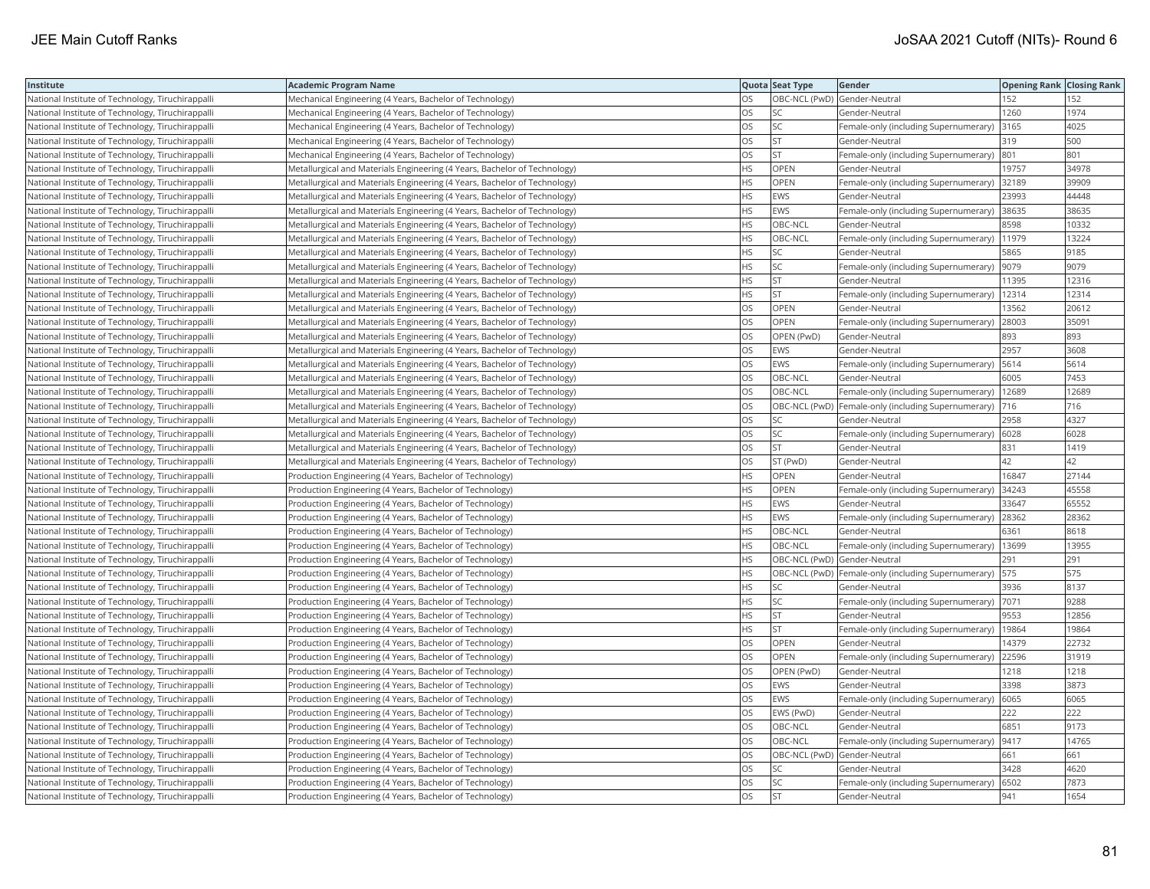| Institute                                         | <b>Academic Program Name</b>                                              |           | Quota Seat Type              | Gender                                                   | Opening Rank Closing Rank |       |
|---------------------------------------------------|---------------------------------------------------------------------------|-----------|------------------------------|----------------------------------------------------------|---------------------------|-------|
| National Institute of Technology, Tiruchirappalli | Mechanical Engineering (4 Years, Bachelor of Technology)                  | OS        | OBC-NCL (PwD) Gender-Neutral |                                                          | 152                       | 152   |
| National Institute of Technology, Tiruchirappalli | Mechanical Engineering (4 Years, Bachelor of Technology)                  | ЭS        | SC                           | Gender-Neutral                                           | 1260                      | 1974  |
| National Institute of Technology, Tiruchirappalli | Mechanical Engineering (4 Years, Bachelor of Technology)                  | OS        | SC                           | Female-only (including Supernumerary) 3165               |                           | 4025  |
| National Institute of Technology, Tiruchirappalli | Mechanical Engineering (4 Years, Bachelor of Technology)                  | OS        | <b>ST</b>                    | Gender-Neutral                                           | 319                       | 500   |
| National Institute of Technology, Tiruchirappalli | Mechanical Engineering (4 Years, Bachelor of Technology)                  | OS        | <b>ST</b>                    | Female-only (including Supernumerary)                    | 801                       | 801   |
| National Institute of Technology, Tiruchirappalli | Metallurgical and Materials Engineering (4 Years, Bachelor of Technology) | HS        | OPEN                         | Gender-Neutral                                           | 19757                     | 34978 |
| National Institute of Technology, Tiruchirappalli | Metallurgical and Materials Engineering (4 Years, Bachelor of Technology) | HS        | OPEN                         | Female-only (including Supernumerary) 32189              |                           | 39909 |
| National Institute of Technology, Tiruchirappalli | Metallurgical and Materials Engineering (4 Years, Bachelor of Technology) | <b>HS</b> | <b>EWS</b>                   | Gender-Neutral                                           | 23993                     | 44448 |
| National Institute of Technology, Tiruchirappalli | Metallurgical and Materials Engineering (4 Years, Bachelor of Technology) | HS        | <b>EWS</b>                   | Female-only (including Supernumerary)                    | 38635                     | 38635 |
| National Institute of Technology, Tiruchirappalli | Metallurgical and Materials Engineering (4 Years, Bachelor of Technology) | HS        | OBC-NCL                      | Gender-Neutral                                           | 8598                      | 10332 |
| National Institute of Technology, Tiruchirappall  | Metallurgical and Materials Engineering (4 Years, Bachelor of Technology) | <b>HS</b> | OBC-NCL                      | Female-only (including Supernumerary)                    | 11979                     | 13224 |
| National Institute of Technology, Tiruchirappalli | Metallurgical and Materials Engineering (4 Years, Bachelor of Technology) | HS        | <b>SC</b>                    | Gender-Neutral                                           | 5865                      | 9185  |
| National Institute of Technology, Tiruchirappalli | Metallurgical and Materials Engineering (4 Years, Bachelor of Technology) | <b>HS</b> | SC                           | Female-only (including Supernumerary)                    | 9079                      | 9079  |
| National Institute of Technology, Tiruchirappalli | Metallurgical and Materials Engineering (4 Years, Bachelor of Technology) | <b>HS</b> | <b>ST</b>                    | Gender-Neutral                                           | 11395                     | 12316 |
| National Institute of Technology, Tiruchirappalli | Metallurgical and Materials Engineering (4 Years, Bachelor of Technology) | HS        | <b>ST</b>                    | Female-only (including Supernumerary)   12314            |                           | 12314 |
| National Institute of Technology, Tiruchirappalli | Metallurgical and Materials Engineering (4 Years, Bachelor of Technology) | OS        | OPEN                         | Gender-Neutral                                           | 13562                     | 20612 |
| National Institute of Technology, Tiruchirappalli | Metallurgical and Materials Engineering (4 Years, Bachelor of Technology) | OS.       | OPEN                         | Female-only (including Supernumerary)                    | 28003                     | 35091 |
| National Institute of Technology, Tiruchirappalli | Metallurgical and Materials Engineering (4 Years, Bachelor of Technology) | OS        | OPEN (PwD)                   | Gender-Neutral                                           | 893                       | 893   |
| National Institute of Technology, Tiruchirappall  | Metallurgical and Materials Engineering (4 Years, Bachelor of Technology) | OS        | <b>EWS</b>                   | Gender-Neutral                                           | 2957                      | 3608  |
| National Institute of Technology, Tiruchirappalli | Metallurgical and Materials Engineering (4 Years, Bachelor of Technology) | <b>OS</b> | <b>EWS</b>                   | Female-only (including Supernumerary)   5614             |                           | 5614  |
| National Institute of Technology, Tiruchirappalli | Metallurgical and Materials Engineering (4 Years, Bachelor of Technology) | OS        | OBC-NCL                      | Gender-Neutral                                           | 6005                      | 7453  |
| National Institute of Technology, Tiruchirappalli | Metallurgical and Materials Engineering (4 Years, Bachelor of Technology) | OS        | OBC-NCL                      | Female-only (including Supernumerary)   12689            |                           | 12689 |
| National Institute of Technology, Tiruchirappalli | Metallurgical and Materials Engineering (4 Years, Bachelor of Technology) | OS        |                              | OBC-NCL (PwD) Female-only (including Supernumerary)  716 |                           | 716   |
| National Institute of Technology, Tiruchirappalli | Metallurgical and Materials Engineering (4 Years, Bachelor of Technology) | OS        | SC                           | Gender-Neutral                                           | 2958                      | 4327  |
| National Institute of Technology, Tiruchirappalli | Metallurgical and Materials Engineering (4 Years, Bachelor of Technology) | OS        | SC                           | Female-only (including Supernumerary)                    | 6028                      | 6028  |
| National Institute of Technology, Tiruchirappalli | Metallurgical and Materials Engineering (4 Years, Bachelor of Technology) | OS        | <b>ST</b>                    | Gender-Neutral                                           | 831                       | 1419  |
| National Institute of Technology, Tiruchirappalli | Metallurgical and Materials Engineering (4 Years, Bachelor of Technology) | OS        | ST (PwD)                     | Gender-Neutral                                           | 42                        | 42    |
| National Institute of Technology, Tiruchirappalli | Production Engineering (4 Years, Bachelor of Technology)                  | HS        | OPEN                         | Gender-Neutral                                           | 16847                     | 27144 |
| National Institute of Technology, Tiruchirappalli | Production Engineering (4 Years, Bachelor of Technology)                  | <b>HS</b> | <b>OPEN</b>                  | Female-only (including Supernumerary)                    | 34243                     | 45558 |
| National Institute of Technology, Tiruchirappalli | Production Engineering (4 Years, Bachelor of Technology)                  | HS        | <b>EWS</b>                   | Gender-Neutral                                           | 33647                     | 65552 |
| National Institute of Technology, Tiruchirappalli | Production Engineering (4 Years, Bachelor of Technology)                  | HS        | <b>EWS</b>                   | Female-only (including Supernumerary) 28362              |                           | 28362 |
| National Institute of Technology, Tiruchirappalli | Production Engineering (4 Years, Bachelor of Technology)                  | ΗS        | OBC-NCL                      | Gender-Neutral                                           | 6361                      | 8618  |
| National Institute of Technology, Tiruchirappalli | Production Engineering (4 Years, Bachelor of Technology)                  | НS        | OBC-NCL                      | Female-only (including Supernumerary)                    | 13699                     | 13955 |
| National Institute of Technology, Tiruchirappalli | Production Engineering (4 Years, Bachelor of Technology)                  | HS        | OBC-NCL (PwD) Gender-Neutral |                                                          | 291                       | 291   |
| National Institute of Technology, Tiruchirappalli | Production Engineering (4 Years, Bachelor of Technology)                  | ΗS        |                              | OBC-NCL (PwD)   Female-only (including Supernumerary)    | 575                       | 575   |
| National Institute of Technology, Tiruchirappalli | Production Engineering (4 Years, Bachelor of Technology)                  | <b>HS</b> | <b>SC</b>                    | Gender-Neutral                                           | 3936                      | 8137  |
| National Institute of Technology, Tiruchirappalli | Production Engineering (4 Years, Bachelor of Technology)                  | HS        | SC                           | Female-only (including Supernumerary) 7071               |                           | 9288  |
| National Institute of Technology, Tiruchirappalli | Production Engineering (4 Years, Bachelor of Technology)                  | ΗS        | <b>ST</b>                    | Gender-Neutral                                           | 9553                      | 12856 |
| National Institute of Technology, Tiruchirappalli | Production Engineering (4 Years, Bachelor of Technology)                  | НS        | <b>ST</b>                    | Female-only (including Supernumerary)                    | 19864                     | 19864 |
| National Institute of Technology, Tiruchirappalli | Production Engineering (4 Years, Bachelor of Technology)                  | OS        | OPEN                         | Gender-Neutral                                           | 14379                     | 22732 |
| National Institute of Technology, Tiruchirappalli | Production Engineering (4 Years, Bachelor of Technology)                  | OS        | OPEN                         | Female-only (including Supernumerary)                    | 22596                     | 31919 |
| National Institute of Technology, Tiruchirappalli | Production Engineering (4 Years, Bachelor of Technology)                  | OS        | OPEN (PwD)                   | Gender-Neutral                                           | 1218                      | 1218  |
| National Institute of Technology, Tiruchirappall  | Production Engineering (4 Years, Bachelor of Technology)                  | OS        | <b>EWS</b>                   | Gender-Neutral                                           | 3398                      | 3873  |
| National Institute of Technology, Tiruchirappalli | Production Engineering (4 Years, Bachelor of Technology)                  | OS        | <b>EWS</b>                   | Female-only (including Supernumerary)   6065             |                           | 6065  |
| National Institute of Technology, Tiruchirappalli | Production Engineering (4 Years, Bachelor of Technology)                  | OS        | EWS (PwD)                    | Gender-Neutral                                           | 222                       | 222   |
| National Institute of Technology, Tiruchirappalli | Production Engineering (4 Years, Bachelor of Technology)                  | OS        | OBC-NCL                      | Gender-Neutral                                           | 6851                      | 9173  |
| National Institute of Technology, Tiruchirappalli | Production Engineering (4 Years, Bachelor of Technology)                  | OS.       | OBC-NCL                      | Female-only (including Supernumerary)  9417              |                           | 14765 |
| National Institute of Technology, Tiruchirappalli | Production Engineering (4 Years, Bachelor of Technology)                  | OS        | OBC-NCL (PwD) Gender-Neutral |                                                          | 661                       | 661   |
| National Institute of Technology, Tiruchirappalli | Production Engineering (4 Years, Bachelor of Technology)                  | OS        | SC                           | Gender-Neutral                                           | 3428                      | 4620  |
| National Institute of Technology, Tiruchirappall  | Production Engineering (4 Years, Bachelor of Technology)                  | OS        | SC                           | Female-only (including Supernumerary)                    | 6502                      | 7873  |
| National Institute of Technology, Tiruchirappall  | Production Engineering (4 Years, Bachelor of Technology)                  | <b>OS</b> | <b>ST</b>                    | Gender-Neutral                                           | 941                       | 1654  |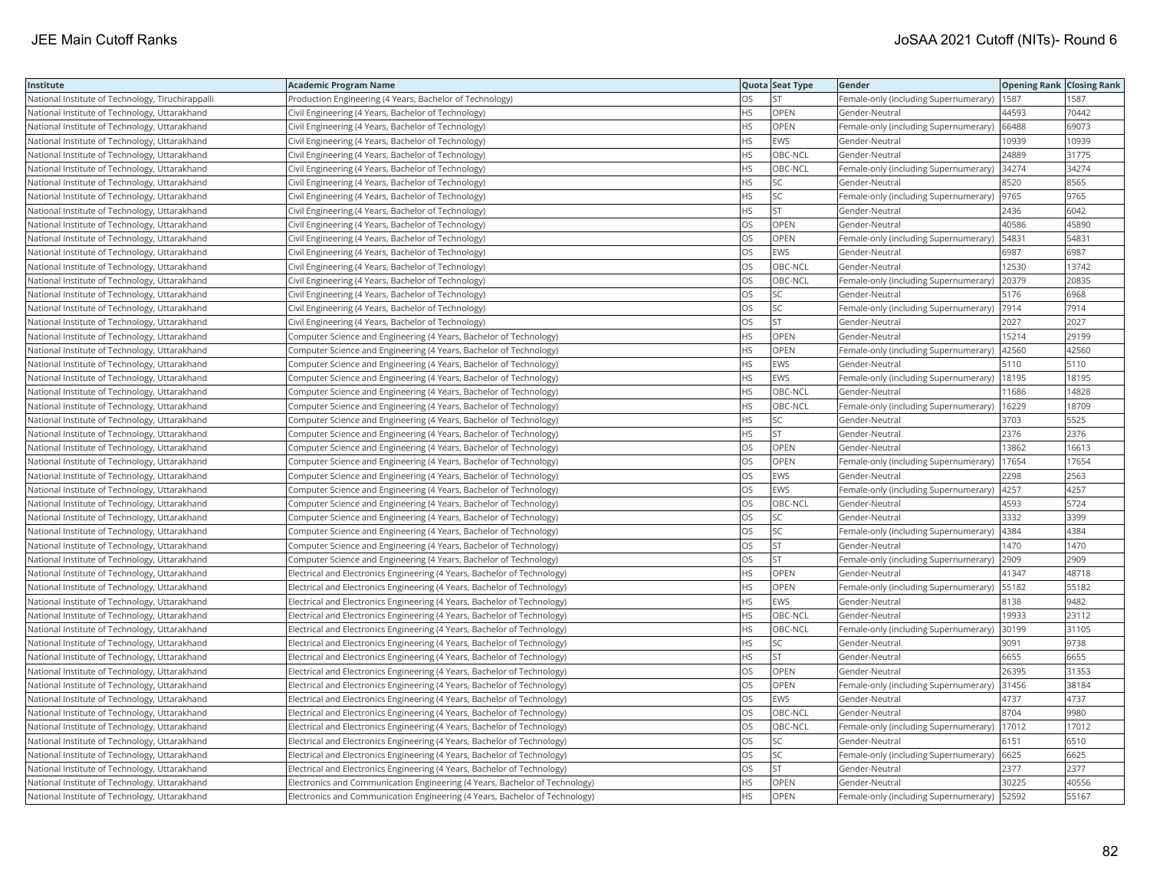| Institute                                         | Academic Program Name                                                       |           | Quota Seat Type | Gender                                        | <b>Opening Rank Closing Rank</b> |       |
|---------------------------------------------------|-----------------------------------------------------------------------------|-----------|-----------------|-----------------------------------------------|----------------------------------|-------|
| National Institute of Technology, Tiruchirappalli | Production Engineering (4 Years, Bachelor of Technology)                    | OS        | <b>ST</b>       | Female-only (including Supernumerary)         | 1587                             | 1587  |
| National Institute of Technology, Uttarakhand     | Civil Engineering (4 Years, Bachelor of Technology)                         | <b>HS</b> | OPEN            | Gender-Neutral                                | 44593                            | 70442 |
| National Institute of Technology, Uttarakhand     | Civil Engineering (4 Years, Bachelor of Technology)                         | HS        | OPEN            | Female-only (including Supernumerary)         | 66488                            | 69073 |
| National Institute of Technology, Uttarakhand     | Civil Engineering (4 Years, Bachelor of Technology)                         | <b>HS</b> | <b>EWS</b>      | Gender-Neutral                                | 0939                             | 10939 |
| National Institute of Technology, Uttarakhand     | Civil Engineering (4 Years, Bachelor of Technology)                         | HS        | OBC-NCL         | Gender-Neutral                                | 24889                            | 31775 |
| National Institute of Technology, Uttarakhand     | Civil Engineering (4 Years, Bachelor of Technology)                         | ΗS        | OBC-NCL         | Female-only (including Supernumerary) 34274   |                                  | 34274 |
| National Institute of Technology, Uttarakhand     | Civil Engineering (4 Years, Bachelor of Technology)                         | HS        | SC              | Gender-Neutral                                | 8520                             | 8565  |
| National Institute of Technology, Uttarakhand     | Civil Engineering (4 Years, Bachelor of Technology)                         | HS        | SC              | Female-only (including Supernumerary)         | 9765                             | 9765  |
| National Institute of Technology, Uttarakhand     | Civil Engineering (4 Years, Bachelor of Technology)                         | HS.       | <b>ST</b>       | Gender-Neutral                                | 2436                             | 6042  |
| National Institute of Technology, Uttarakhand     | Civil Engineering (4 Years, Bachelor of Technology)                         | OS        | OPEN            | Gender-Neutral                                | 40586                            | 45890 |
| National Institute of Technology, Uttarakhand     | Civil Engineering (4 Years, Bachelor of Technology)                         | OS        | OPEN            | Female-only (including Supernumerary)         | 54831                            | 54831 |
| National Institute of Technology, Uttarakhand     | Civil Engineering (4 Years, Bachelor of Technology)                         | OS.       | <b>EWS</b>      | Gender-Neutral                                | 6987                             | 6987  |
| National Institute of Technology, Uttarakhand     | Civil Engineering (4 Years, Bachelor of Technology)                         | OS        | OBC-NCL         | Gender-Neutral                                | 12530                            | 13742 |
| National Institute of Technology, Uttarakhand     | Civil Engineering (4 Years, Bachelor of Technology)                         | OS        | OBC-NCL         | Female-only (including Supernumerary)         | 20379                            | 20835 |
| National Institute of Technology, Uttarakhand     | Civil Engineering (4 Years, Bachelor of Technology)                         | OS        | SC              | Gender-Neutral                                | 5176                             | 6968  |
| National Institute of Technology, Uttarakhand     | Civil Engineering (4 Years, Bachelor of Technology)                         | OS        | <b>SC</b>       | Female-only (including Supernumerary)         | 7914                             | 7914  |
| National Institute of Technology, Uttarakhand     | Civil Engineering (4 Years, Bachelor of Technology)                         | OS.       | <b>ST</b>       | Gender-Neutral                                | 2027                             | 2027  |
| National Institute of Technology, Uttarakhand     | Computer Science and Engineering (4 Years, Bachelor of Technology)          | HS        | OPEN            | Gender-Neutral                                | 15214                            | 29199 |
| National Institute of Technology, Uttarakhand     | Computer Science and Engineering (4 Years, Bachelor of Technology)          | HS        | OPEN            | Female-only (including Supernumerary)         | 42560                            | 42560 |
| National Institute of Technology, Uttarakhand     | Computer Science and Engineering (4 Years, Bachelor of Technology)          | <b>HS</b> | <b>EWS</b>      | Gender-Neutral                                | 5110                             | 5110  |
| National Institute of Technology, Uttarakhand     | Computer Science and Engineering (4 Years, Bachelor of Technology)          | HS        | <b>EWS</b>      | Female-only (including Supernumerary)         | 18195                            | 18195 |
| National Institute of Technology, Uttarakhand     | Computer Science and Engineering (4 Years, Bachelor of Technology)          | HS        | OBC-NCL         | Gender-Neutral                                | 11686                            | 14828 |
| National Institute of Technology, Uttarakhand     | Computer Science and Engineering (4 Years, Bachelor of Technology)          | НS        | OBC-NCL         | Female-only (including Supernumerary)         | 16229                            | 18709 |
| National Institute of Technology, Uttarakhand     | Computer Science and Engineering (4 Years, Bachelor of Technology)          | HS        | SC              | Gender-Neutral                                | 3703                             | 5525  |
| National Institute of Technology, Uttarakhand     | Computer Science and Engineering (4 Years, Bachelor of Technology)          | HS        | <b>ST</b>       | Gender-Neutral                                | 2376                             | 2376  |
| National Institute of Technology, Uttarakhand     | Computer Science and Engineering (4 Years, Bachelor of Technology)          | OS        | OPEN            | Gender-Neutral                                | 13862                            | 16613 |
| National Institute of Technology, Uttarakhand     | Computer Science and Engineering (4 Years, Bachelor of Technology)          | OS        | OPEN            | Female-only (including Supernumerary)         | 17654                            | 17654 |
| National Institute of Technology, Uttarakhand     | Computer Science and Engineering (4 Years, Bachelor of Technology)          | OS.       | <b>EWS</b>      | Gender-Neutral                                | 2298                             | 2563  |
| National Institute of Technology, Uttarakhand     | Computer Science and Engineering (4 Years, Bachelor of Technology)          | OS        | <b>EWS</b>      | Female-only (including Supernumerary)         | 4257                             | 4257  |
| National Institute of Technology, Uttarakhand     | Computer Science and Engineering (4 Years, Bachelor of Technology)          | OS        | OBC-NCL         | Gender-Neutral                                | 4593                             | 5724  |
| National Institute of Technology, Uttarakhand     | Computer Science and Engineering (4 Years, Bachelor of Technology)          | OS        | SC              | Gender-Neutral                                | 3332                             | 3399  |
| National Institute of Technology, Uttarakhand     | Computer Science and Engineering (4 Years, Bachelor of Technology)          | OS        | SC              | Female-only (including Supernumerary)         | 4384                             | 4384  |
| National Institute of Technology, Uttarakhand     | Computer Science and Engineering (4 Years, Bachelor of Technology)          | OS        | <b>ST</b>       | Gender-Neutral                                | 1470                             | 1470  |
| National Institute of Technology, Uttarakhand     | Computer Science and Engineering (4 Years, Bachelor of Technology)          | OS        | <b>ST</b>       | Female-only (including Supernumerary)         | 2909                             | 2909  |
| National Institute of Technology, Uttarakhand     | Electrical and Electronics Engineering (4 Years, Bachelor of Technology)    | HS        | OPEN            | Gender-Neutral                                | 41347                            | 48718 |
| National Institute of Technology, Uttarakhand     | Electrical and Electronics Engineering (4 Years, Bachelor of Technology)    | <b>HS</b> | OPEN            | Female-only (including Supernumerary)         | 55182                            | 55182 |
| National Institute of Technology, Uttarakhand     | Electrical and Electronics Engineering (4 Years, Bachelor of Technology)    | HS        | <b>EWS</b>      | Gender-Neutral                                | 8138                             | 9482  |
| National Institute of Technology, Uttarakhand     | Electrical and Electronics Engineering (4 Years, Bachelor of Technology)    | HS.       | OBC-NCL         | Gender-Neutral                                | 19933                            | 23112 |
| National Institute of Technology, Uttarakhand     | Electrical and Electronics Engineering (4 Years, Bachelor of Technology)    | ΗS        | OBC-NCL         | Female-only (including Supernumerary)         | 30199                            | 31105 |
| National Institute of Technology, Uttarakhand     | Electrical and Electronics Engineering (4 Years, Bachelor of Technology)    | HS        | <b>SC</b>       | Gender-Neutral                                | 9091                             | 9738  |
| National Institute of Technology, Uttarakhand     | Electrical and Electronics Engineering (4 Years, Bachelor of Technology)    | HS        | <b>ST</b>       | Gender-Neutral                                | 6655                             | 6655  |
| National Institute of Technology, Uttarakhand     | Electrical and Electronics Engineering (4 Years, Bachelor of Technology)    | OS        | OPEN            | Gender-Neutral                                | 26395                            | 31353 |
| National Institute of Technology, Uttarakhand     | Electrical and Electronics Engineering (4 Years, Bachelor of Technology)    | OS        | OPEN            | Female-only (including Supernumerary)         | 31456                            | 38184 |
| National Institute of Technology, Uttarakhand     | Electrical and Electronics Engineering (4 Years, Bachelor of Technology)    | OS        | <b>EWS</b>      | Gender-Neutral                                | 4737                             | 4737  |
| National Institute of Technology, Uttarakhand     | Electrical and Electronics Engineering (4 Years, Bachelor of Technology)    | OS.       | OBC-NCL         | Gender-Neutral                                | 8704                             | 9980  |
| National Institute of Technology, Uttarakhand     | Electrical and Electronics Engineering (4 Years, Bachelor of Technology)    | OS        | OBC-NCL         | Female-only (including Supernumerary)         | 17012                            | 17012 |
| National Institute of Technology, Uttarakhand     | Electrical and Electronics Engineering (4 Years, Bachelor of Technology)    | OS        | SC              | Gender-Neutral                                | 6151                             | 6510  |
| National Institute of Technology, Uttarakhand     | Electrical and Electronics Engineering (4 Years, Bachelor of Technology)    | OS        | SC              | Female-only (including Supernumerary) 6625    |                                  | 6625  |
| National Institute of Technology, Uttarakhand     | Electrical and Electronics Engineering (4 Years, Bachelor of Technology)    | <b>OS</b> | <b>ST</b>       | Gender-Neutral                                | 2377                             | 2377  |
| National Institute of Technology, Uttarakhand     | Electronics and Communication Engineering (4 Years, Bachelor of Technology) | HS.       | OPEN            | Gender-Neutral                                | 30225                            | 40556 |
| National Institute of Technology, Uttarakhand     | Electronics and Communication Engineering (4 Years, Bachelor of Technology) | <b>HS</b> | OPEN            | Female-only (including Supernumerary)   52592 |                                  | 55167 |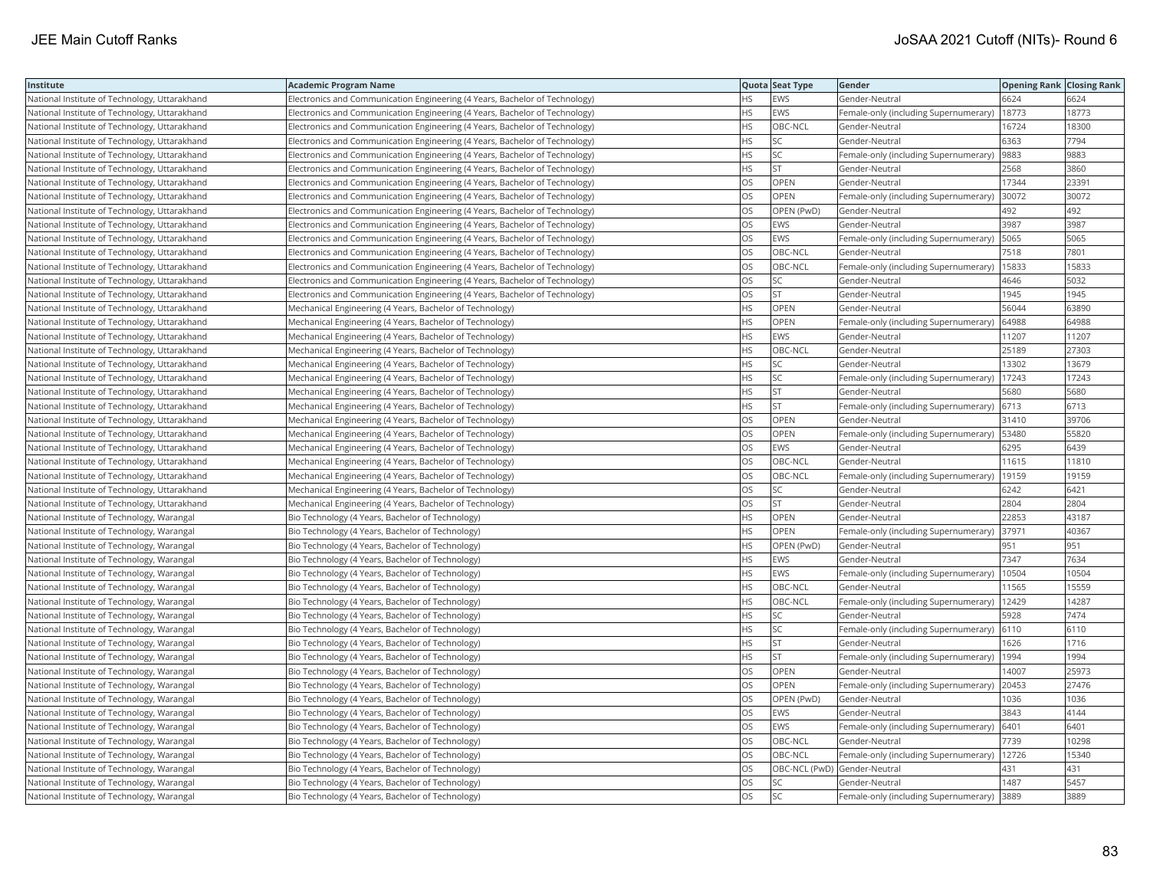| Institute                                     | <b>Academic Program Name</b>                                                |           | Quota Seat Type              | Gender                                | <b>Opening Rank Closing Rank</b> |       |
|-----------------------------------------------|-----------------------------------------------------------------------------|-----------|------------------------------|---------------------------------------|----------------------------------|-------|
| National Institute of Technology, Uttarakhand | Electronics and Communication Engineering (4 Years, Bachelor of Technology) | <b>HS</b> | <b>EWS</b>                   | Gender-Neutral                        | 6624                             | 6624  |
| National Institute of Technology, Uttarakhand | Electronics and Communication Engineering (4 Years, Bachelor of Technology) | <b>HS</b> | EWS                          | Female-only (including Supernumerary) | 18773                            | 18773 |
| National Institute of Technology, Uttarakhand | Electronics and Communication Engineering (4 Years, Bachelor of Technology) | <b>HS</b> | OBC-NCL                      | Gender-Neutral                        | 16724                            | 18300 |
| National Institute of Technology, Uttarakhand | Electronics and Communication Engineering (4 Years, Bachelor of Technology) | <b>HS</b> | SC.                          | Gender-Neutral                        | 6363                             | 7794  |
| National Institute of Technology, Uttarakhand | Electronics and Communication Engineering (4 Years, Bachelor of Technology) | <b>HS</b> | SC.                          | Female-only (including Supernumerary) | 9883                             | 9883  |
| National Institute of Technology, Uttarakhand | Electronics and Communication Engineering (4 Years, Bachelor of Technology) | <b>HS</b> | <b>ST</b>                    | Gender-Neutral                        | 2568                             | 3860  |
| National Institute of Technology, Uttarakhand | Electronics and Communication Engineering (4 Years, Bachelor of Technology) | OS        | OPEN                         | Gender-Neutral                        | 17344                            | 23391 |
| National Institute of Technology, Uttarakhand | Electronics and Communication Engineering (4 Years, Bachelor of Technology) | OS        | OPEN                         | Female-only (including Supernumerary) | 30072                            | 30072 |
| National Institute of Technology, Uttarakhand | Electronics and Communication Engineering (4 Years, Bachelor of Technology) | OS        | OPEN (PwD)                   | Gender-Neutral                        | 492                              | 492   |
| National Institute of Technology, Uttarakhand | Electronics and Communication Engineering (4 Years, Bachelor of Technology) | OS        | EWS                          | Gender-Neutral                        | 3987                             | 3987  |
| National Institute of Technology, Uttarakhand | Electronics and Communication Engineering (4 Years, Bachelor of Technology) | <b>OS</b> | <b>EWS</b>                   | Female-only (including Supernumerary) | 5065                             | 5065  |
| National Institute of Technology, Uttarakhand | Electronics and Communication Engineering (4 Years, Bachelor of Technology) | OS        | OBC-NCL                      | Gender-Neutral                        | 7518                             | 7801  |
| National Institute of Technology, Uttarakhand | Electronics and Communication Engineering (4 Years, Bachelor of Technology) | <b>OS</b> | OBC-NCL                      | Female-only (including Supernumerary) | 15833                            | 15833 |
| National Institute of Technology, Uttarakhand | Electronics and Communication Engineering (4 Years, Bachelor of Technology) | OS        | SC                           | Gender-Neutral                        | 4646                             | 5032  |
| National Institute of Technology, Uttarakhand | Electronics and Communication Engineering (4 Years, Bachelor of Technology) | OS        | <b>ST</b>                    | Gender-Neutral                        | 1945                             | 1945  |
| National Institute of Technology, Uttarakhand | Mechanical Engineering (4 Years, Bachelor of Technology)                    | <b>HS</b> | OPEN                         | Gender-Neutral                        | 56044                            | 63890 |
| National Institute of Technology, Uttarakhand | Mechanical Engineering (4 Years, Bachelor of Technology)                    | <b>HS</b> | OPEN                         | Female-only (including Supernumerary) | 64988                            | 64988 |
| National Institute of Technology, Uttarakhand | Mechanical Engineering (4 Years, Bachelor of Technology)                    | <b>HS</b> | EWS                          | Gender-Neutral                        | 11207                            | 11207 |
| National Institute of Technology, Uttarakhand | Mechanical Engineering (4 Years, Bachelor of Technology)                    | <b>HS</b> | OBC-NCL                      | Gender-Neutral                        | 25189                            | 27303 |
| National Institute of Technology, Uttarakhand | Mechanical Engineering (4 Years, Bachelor of Technology)                    | <b>HS</b> | SC.                          | Gender-Neutral                        | 13302                            | 13679 |
| National Institute of Technology, Uttarakhand | Mechanical Engineering (4 Years, Bachelor of Technology)                    | <b>HS</b> | <b>SC</b>                    | Female-only (including Supernumerary) | 17243                            | 17243 |
| National Institute of Technology, Uttarakhand | Mechanical Engineering (4 Years, Bachelor of Technology)                    | <b>HS</b> | <b>ST</b>                    | Gender-Neutral                        | 5680                             | 5680  |
| National Institute of Technology, Uttarakhand | Mechanical Engineering (4 Years, Bachelor of Technology)                    | <b>HS</b> | <b>ST</b>                    | Female-only (including Supernumerary) | 6713                             | 6713  |
| National Institute of Technology, Uttarakhand | Mechanical Engineering (4 Years, Bachelor of Technology)                    | OS        | OPEN                         | Gender-Neutral                        | 31410                            | 39706 |
| National Institute of Technology, Uttarakhand | Mechanical Engineering (4 Years, Bachelor of Technology)                    | OS        | OPEN                         | Female-only (including Supernumerary) | 53480                            | 55820 |
| National Institute of Technology, Uttarakhand | Mechanical Engineering (4 Years, Bachelor of Technology)                    | <b>OS</b> | EWS                          | Gender-Neutral                        | 6295                             | 6439  |
| National Institute of Technology, Uttarakhand | Mechanical Engineering (4 Years, Bachelor of Technology)                    | <b>OS</b> | OBC-NCL                      | Gender-Neutral                        | 11615                            | 11810 |
| National Institute of Technology, Uttarakhand | Mechanical Engineering (4 Years, Bachelor of Technology)                    | OS        | OBC-NCL                      | Female-only (including Supernumerary) | 19159                            | 19159 |
| National Institute of Technology, Uttarakhand | Mechanical Engineering (4 Years, Bachelor of Technology)                    | OS        | SC.                          | Gender-Neutral                        | 6242                             | 6421  |
| National Institute of Technology, Uttarakhand | Mechanical Engineering (4 Years, Bachelor of Technology)                    | OS        | <b>ST</b>                    | Gender-Neutral                        | 2804                             | 2804  |
| National Institute of Technology, Warangal    | Bio Technology (4 Years, Bachelor of Technology)                            | <b>HS</b> | OPEN                         | Gender-Neutral                        | 22853                            | 43187 |
| National Institute of Technology, Warangal    | Bio Technology (4 Years, Bachelor of Technology)                            | HS.       | OPEN                         | Female-only (including Supernumerary) | 37971                            | 40367 |
| National Institute of Technology, Warangal    | Bio Technology (4 Years, Bachelor of Technology)                            | <b>HS</b> | OPEN (PwD)                   | Gender-Neutral                        | 951                              | 951   |
| National Institute of Technology, Warangal    | Bio Technology (4 Years, Bachelor of Technology)                            | <b>HS</b> | <b>EWS</b>                   | Gender-Neutral                        | 7347                             | 7634  |
| National Institute of Technology, Warangal    | Bio Technology (4 Years, Bachelor of Technology)                            | <b>HS</b> | EWS                          | Female-only (including Supernumerary) | 10504                            | 10504 |
| National Institute of Technology, Warangal    | Bio Technology (4 Years, Bachelor of Technology)                            | <b>HS</b> | OBC-NCL                      | Gender-Neutral                        | 11565                            | 15559 |
| National Institute of Technology, Warangal    | Bio Technology (4 Years, Bachelor of Technology)                            | <b>HS</b> | OBC-NCL                      | Female-only (including Supernumerary) | 12429                            | 14287 |
| National Institute of Technology, Warangal    | Bio Technology (4 Years, Bachelor of Technology)                            | <b>HS</b> | SC                           | Gender-Neutral                        | 5928                             | 7474  |
| National Institute of Technology, Warangal    | Bio Technology (4 Years, Bachelor of Technology)                            | <b>HS</b> | lsc                          | Female-only (including Supernumerary) | 6110                             | 6110  |
| National Institute of Technology, Warangal    | Bio Technology (4 Years, Bachelor of Technology)                            | HS.       | <b>ST</b>                    | Gender-Neutral                        | 1626                             | 1716  |
| National Institute of Technology, Warangal    | Bio Technology (4 Years, Bachelor of Technology)                            | <b>HS</b> | <b>ST</b>                    | Female-only (including Supernumerary) | 1994                             | 1994  |
| National Institute of Technology, Warangal    | Bio Technology (4 Years, Bachelor of Technology)                            | OS        | OPEN                         | Gender-Neutral                        | 14007                            | 25973 |
| National Institute of Technology, Warangal    | Bio Technology (4 Years, Bachelor of Technology)                            | OS        | OPEN                         | Female-only (including Supernumerary) | 20453                            | 27476 |
| National Institute of Technology, Warangal    | Bio Technology (4 Years, Bachelor of Technology)                            | OS        | OPEN (PwD)                   | Gender-Neutral                        | 1036                             | 1036  |
| National Institute of Technology, Warangal    | Bio Technology (4 Years, Bachelor of Technology)                            | <b>OS</b> | <b>EWS</b>                   | Gender-Neutral                        | 3843                             | 4144  |
| National Institute of Technology, Warangal    | Bio Technology (4 Years, Bachelor of Technology)                            | OS        | EWS                          | Female-only (including Supernumerary) | 6401                             | 6401  |
| National Institute of Technology, Warangal    | Bio Technology (4 Years, Bachelor of Technology)                            | <b>OS</b> | OBC-NCL                      | Gender-Neutral                        | 7739                             | 10298 |
| National Institute of Technology, Warangal    | Bio Technology (4 Years, Bachelor of Technology)                            | OS        | OBC-NCL                      | Female-only (including Supernumerary) | 12726                            | 15340 |
| National Institute of Technology, Warangal    | Bio Technology (4 Years, Bachelor of Technology)                            | OS        | OBC-NCL (PwD) Gender-Neutral |                                       | 431                              | 431   |
| National Institute of Technology, Warangal    | Bio Technology (4 Years, Bachelor of Technology)                            | OS        | lsc                          | Gender-Neutral                        | 1487                             | 5457  |
| National Institute of Technology, Warangal    | Bio Technology (4 Years, Bachelor of Technology)                            | <b>OS</b> | lsc                          | Female-only (including Supernumerary) | 3889                             | 3889  |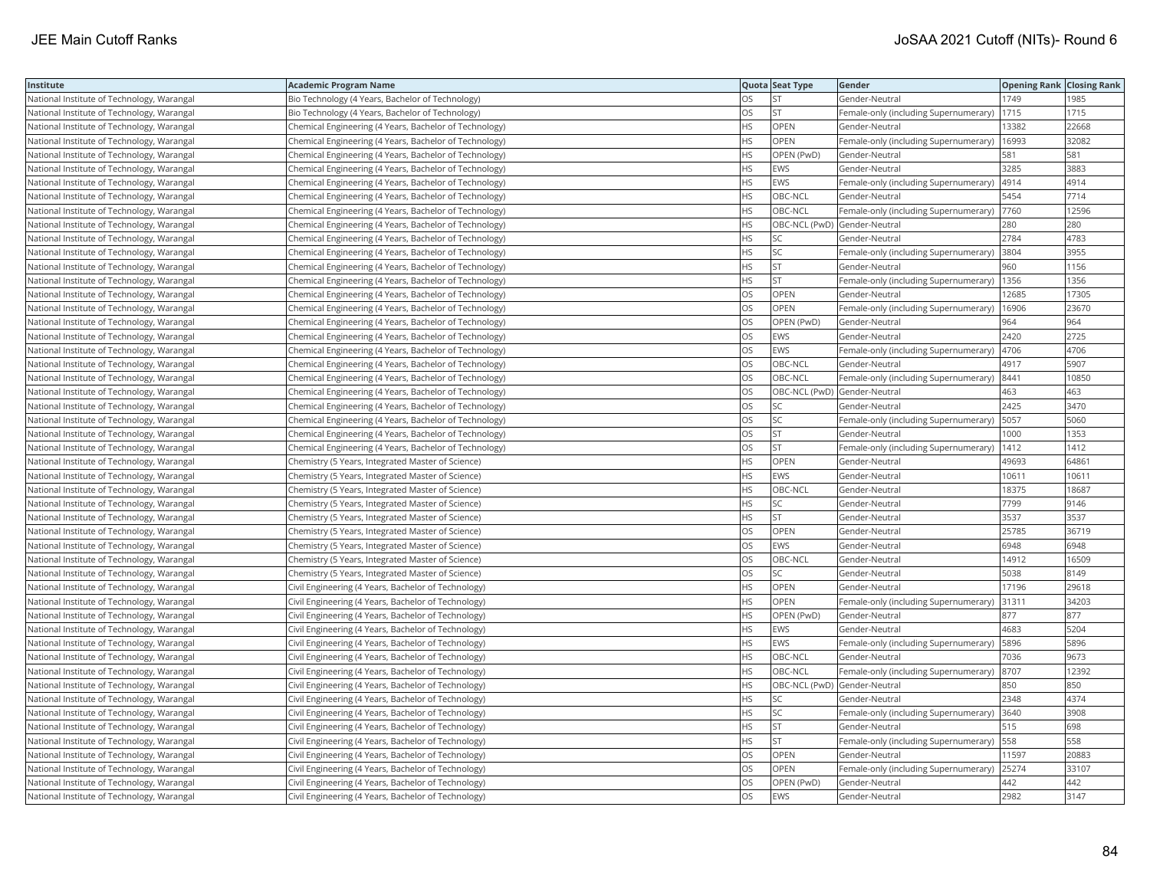| Institute                                  | <b>Academic Program Name</b>                           |           | Quota Seat Type              | Gender                                       | <b>Opening Rank Closing Rank</b> |       |
|--------------------------------------------|--------------------------------------------------------|-----------|------------------------------|----------------------------------------------|----------------------------------|-------|
| National Institute of Technology, Warangal | Bio Technology (4 Years, Bachelor of Technology)       | OS        | <b>ST</b>                    | Gender-Neutral                               | 1749                             | 985   |
| National Institute of Technology, Warangal | Bio Technology (4 Years, Bachelor of Technology)       | OS        | <b>ST</b>                    | Female-only (including Supernumerary)        | 1715                             | 1715  |
| National Institute of Technology, Warangal | Chemical Engineering (4 Years, Bachelor of Technology) | HS        | OPEN                         | Gender-Neutral                               | 13382                            | 22668 |
| National Institute of Technology, Warangal | Chemical Engineering (4 Years, Bachelor of Technology) | HS        | OPEN                         | Female-only (including Supernumerary)        | 16993                            | 32082 |
| National Institute of Technology, Warangal | Chemical Engineering (4 Years, Bachelor of Technology) | HS        | OPEN (PwD)                   | Gender-Neutral                               | 581                              | 581   |
| National Institute of Technology, Warangal | Chemical Engineering (4 Years, Bachelor of Technology) | HS        | <b>EWS</b>                   | Gender-Neutral                               | 3285                             | 3883  |
| National Institute of Technology, Warangal | Chemical Engineering (4 Years, Bachelor of Technology) | ΗS        | EWS                          | Female-only (including Supernumerary)  4914  |                                  | 4914  |
| National Institute of Technology, Warangal | Chemical Engineering (4 Years, Bachelor of Technology) | <b>HS</b> | OBC-NCL                      | Gender-Neutral                               | 5454                             | 7714  |
| National Institute of Technology, Warangal | Chemical Engineering (4 Years, Bachelor of Technology) | ΗS        | OBC-NCL                      | Female-only (including Supernumerary)        | 7760                             | 12596 |
| National Institute of Technology, Warangal | Chemical Engineering (4 Years, Bachelor of Technology) | HS        | OBC-NCL (PwD) Gender-Neutral |                                              | 280                              | 280   |
| National Institute of Technology, Warangal | Chemical Engineering (4 Years, Bachelor of Technology) | <b>HS</b> | <b>SC</b>                    | Gender-Neutral                               | 2784                             | 4783  |
| National Institute of Technology, Warangal | Chemical Engineering (4 Years, Bachelor of Technology) | <b>HS</b> | <b>SC</b>                    | Female-only (including Supernumerary) 3804   |                                  | 3955  |
| National Institute of Technology, Warangal | Chemical Engineering (4 Years, Bachelor of Technology) | HS        | <b>ST</b>                    | Gender-Neutral                               | 960                              | 1156  |
| National Institute of Technology, Warangal | Chemical Engineering (4 Years, Bachelor of Technology) | HS        | <b>ST</b>                    | Female-only (including Supernumerary)   1356 |                                  | 1356  |
| National Institute of Technology, Warangal | Chemical Engineering (4 Years, Bachelor of Technology) | OS        | OPEN                         | Gender-Neutral                               | 12685                            | 17305 |
| National Institute of Technology, Warangal | Chemical Engineering (4 Years, Bachelor of Technology) | OS        | OPEN                         | Female-only (including Supernumerary)        | 16906                            | 23670 |
| National Institute of Technology, Warangal | Chemical Engineering (4 Years, Bachelor of Technology) | OS        | OPEN (PwD)                   | Gender-Neutral                               | 964                              | 964   |
| National Institute of Technology, Warangal | Chemical Engineering (4 Years, Bachelor of Technology) | OS        | <b>EWS</b>                   | Gender-Neutral                               | 2420                             | 2725  |
| National Institute of Technology, Warangal | Chemical Engineering (4 Years, Bachelor of Technology) | OS        | <b>EWS</b>                   | Female-only (including Supernumerary)        | 4706                             | 4706  |
| National Institute of Technology, Warangal | Chemical Engineering (4 Years, Bachelor of Technology) | OS        | OBC-NCL                      | Gender-Neutral                               | 4917                             | 5907  |
| National Institute of Technology, Warangal | Chemical Engineering (4 Years, Bachelor of Technology) | OS        | OBC-NCL                      | Female-only (including Supernumerary)        | 8441                             | 10850 |
| National Institute of Technology, Warangal | Chemical Engineering (4 Years, Bachelor of Technology) | OS        | OBC-NCL (PwD) Gender-Neutral |                                              | 463                              | 463   |
| National Institute of Technology, Warangal | Chemical Engineering (4 Years, Bachelor of Technology) | OS        | SC                           | Gender-Neutral                               | 2425                             | 3470  |
| National Institute of Technology, Warangal | Chemical Engineering (4 Years, Bachelor of Technology) | OS        | <b>SC</b>                    | Female-only (including Supernumerary)        | 5057                             | 5060  |
| National Institute of Technology, Warangal | Chemical Engineering (4 Years, Bachelor of Technology) | OS        | <b>ST</b>                    | Gender-Neutral                               | 1000                             | 1353  |
| National Institute of Technology, Warangal | Chemical Engineering (4 Years, Bachelor of Technology) | OS        | <b>ST</b>                    | Female-only (including Supernumerary)        | 1412                             | 1412  |
| National Institute of Technology, Warangal | Chemistry (5 Years, Integrated Master of Science)      | HS        | OPEN                         | Gender-Neutral                               | 49693                            | 64861 |
| National Institute of Technology, Warangal | Chemistry (5 Years, Integrated Master of Science)      | HS        | <b>EWS</b>                   | Gender-Neutral                               | 10611                            | 10611 |
| National Institute of Technology, Warangal | Chemistry (5 Years, Integrated Master of Science)      | HS        | OBC-NCL                      | Gender-Neutral                               | 18375                            | 18687 |
| National Institute of Technology, Warangal | Chemistry (5 Years, Integrated Master of Science)      | ΗS        | SC                           | Gender-Neutral                               | 7799                             | 9146  |
| National Institute of Technology, Warangal | Chemistry (5 Years, Integrated Master of Science)      | HS        | <b>ST</b>                    | Gender-Neutral                               | 3537                             | 3537  |
| National Institute of Technology, Warangal | Chemistry (5 Years, Integrated Master of Science)      | OS        | OPEN                         | Gender-Neutral                               | 25785                            | 36719 |
| National Institute of Technology, Warangal | Chemistry (5 Years, Integrated Master of Science)      | OS        | <b>EWS</b>                   | Gender-Neutral                               | 6948                             | 6948  |
| National Institute of Technology, Warangal | Chemistry (5 Years, Integrated Master of Science)      | OS        | OBC-NCL                      | Gender-Neutral                               | 14912                            | 16509 |
| National Institute of Technology, Warangal | Chemistry (5 Years, Integrated Master of Science)      | OS        | <b>SC</b>                    | Gender-Neutral                               | 5038                             | 8149  |
| National Institute of Technology, Warangal | Civil Engineering (4 Years, Bachelor of Technology)    | HS        | OPEN                         | Gender-Neutral                               | 17196                            | 29618 |
| National Institute of Technology, Warangal | Civil Engineering (4 Years, Bachelor of Technology)    | HS        | OPEN                         | Female-only (including Supernumerary)        | 31311                            | 34203 |
| National Institute of Technology, Warangal | Civil Engineering (4 Years, Bachelor of Technology)    | HS        | OPEN (PwD)                   | Gender-Neutral                               | 877                              | 877   |
| National Institute of Technology, Warangal | Civil Engineering (4 Years, Bachelor of Technology)    | HS        | <b>EWS</b>                   | Gender-Neutral                               | 4683                             | 5204  |
| National Institute of Technology, Warangal | Civil Engineering (4 Years, Bachelor of Technology)    | HS        | EWS                          | Female-only (including Supernumerary)        | 5896                             | 5896  |
| National Institute of Technology, Warangal | Civil Engineering (4 Years, Bachelor of Technology)    | HS        | OBC-NCL                      | Gender-Neutral                               | 7036                             | 9673  |
| National Institute of Technology, Warangal | Civil Engineering (4 Years, Bachelor of Technology)    | HS        | OBC-NCL                      | Female-only (including Supernumerary)        | 8707                             | 12392 |
| National Institute of Technology, Warangal | Civil Engineering (4 Years, Bachelor of Technology)    | HS        | OBC-NCL (PwD) Gender-Neutral |                                              | 850                              | 850   |
| National Institute of Technology, Warangal | Civil Engineering (4 Years, Bachelor of Technology)    | HS        | SC                           | Gender-Neutral                               | 2348                             | 4374  |
| National Institute of Technology, Warangal | Civil Engineering (4 Years, Bachelor of Technology)    | HS        | SC                           | Female-only (including Supernumerary) 3640   |                                  | 3908  |
| National Institute of Technology, Warangal | Civil Engineering (4 Years, Bachelor of Technology)    | ΗS        | ST                           | Gender-Neutral                               | 515                              | 698   |
| National Institute of Technology, Warangal | Civil Engineering (4 Years, Bachelor of Technology)    | <b>HS</b> | <b>ST</b>                    | Female-only (including Supernumerary)   558  |                                  | 558   |
| National Institute of Technology, Warangal | Civil Engineering (4 Years, Bachelor of Technology)    | OS        | OPEN                         | Gender-Neutral                               | 11597                            | 20883 |
| National Institute of Technology, Warangal | Civil Engineering (4 Years, Bachelor of Technology)    | OS        | OPEN                         | Female-only (including Supernumerary)        | 25274                            | 33107 |
| National Institute of Technology, Warangal | Civil Engineering (4 Years, Bachelor of Technology)    | OS        | OPEN (PwD)                   | Gender-Neutral                               | 442                              | 442   |
| National Institute of Technology, Warangal | Civil Engineering (4 Years, Bachelor of Technology)    | <b>OS</b> | <b>EWS</b>                   | Gender-Neutral                               | 2982                             | 3147  |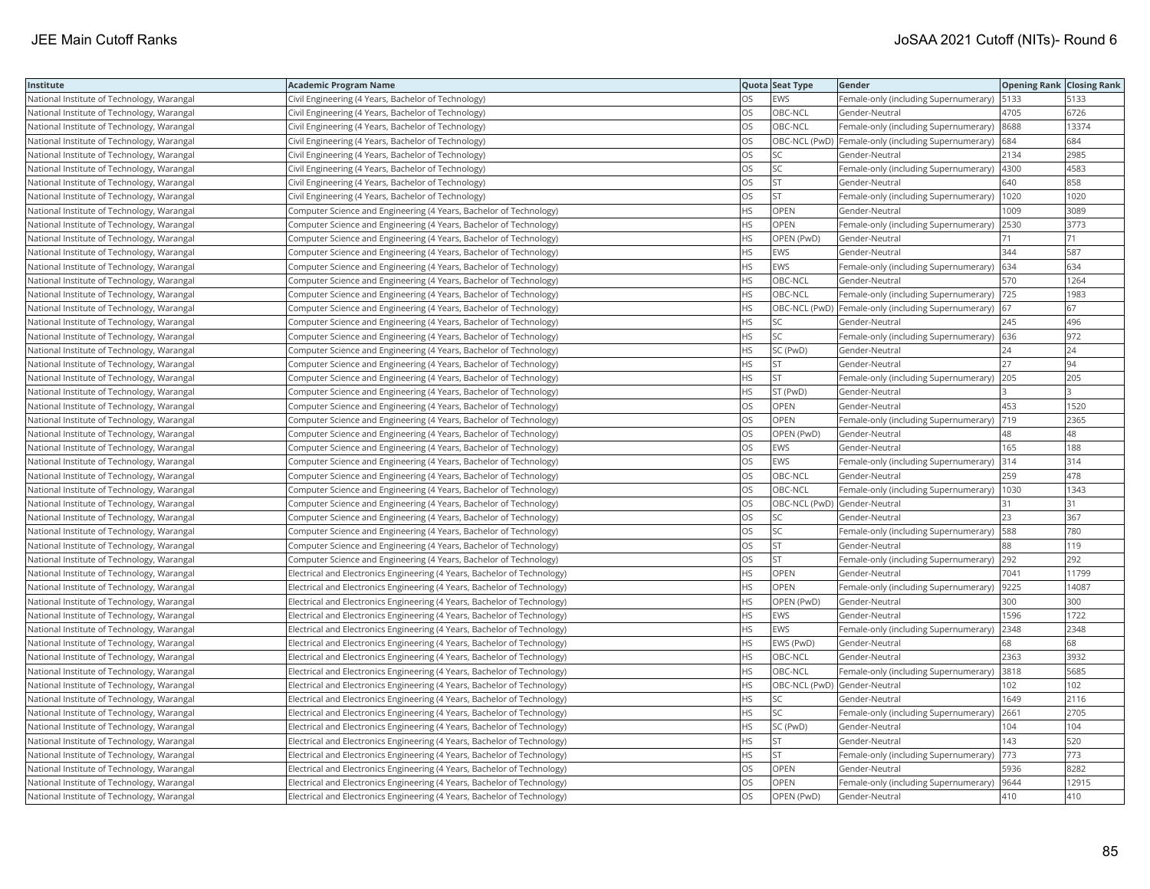| Institute                                  | <b>Academic Program Name</b>                                             |           | Quota Seat Type              | Gender                                                  | <b>Opening Rank Closing Rank</b> |       |
|--------------------------------------------|--------------------------------------------------------------------------|-----------|------------------------------|---------------------------------------------------------|----------------------------------|-------|
| National Institute of Technology, Warangal | Civil Engineering (4 Years, Bachelor of Technology)                      | OS        | <b>EWS</b>                   | Female-only (including Supernumerary)   5133            |                                  | 5133  |
| National Institute of Technology, Warangal | Civil Engineering (4 Years, Bachelor of Technology)                      | OS        | OBC-NCL                      | Gender-Neutral                                          | 4705                             | 6726  |
| National Institute of Technology, Warangal | Civil Engineering (4 Years, Bachelor of Technology)                      | OS        | OBC-NCL                      | Female-only (including Supernumerary)                   | 8688                             | 13374 |
| National Institute of Technology, Warangal | Civil Engineering (4 Years, Bachelor of Technology)                      | OS        |                              | OBC-NCL (PwD) Female-only (including Supernumerary) 684 |                                  | 684   |
| National Institute of Technology, Warangal | Civil Engineering (4 Years, Bachelor of Technology)                      | OS        | <b>SC</b>                    | Gender-Neutral                                          | 2134                             | 2985  |
| National Institute of Technology, Warangal | Civil Engineering (4 Years, Bachelor of Technology)                      | OS        | SC                           | Female-only (including Supernumerary)  4300             |                                  | 4583  |
| National Institute of Technology, Warangal | Civil Engineering (4 Years, Bachelor of Technology)                      | OS        | <b>ST</b>                    | Gender-Neutral                                          | 640                              | 858   |
| National Institute of Technology, Warangal | Civil Engineering (4 Years, Bachelor of Technology)                      | OS        | <b>ST</b>                    | Female-only (including Supernumerary)                   | 1020                             | 1020  |
| National Institute of Technology, Warangal | Computer Science and Engineering (4 Years, Bachelor of Technology)       | HS        | OPEN                         | Gender-Neutral                                          | 1009                             | 3089  |
| National Institute of Technology, Warangal | Computer Science and Engineering (4 Years, Bachelor of Technology)       | HS        | OPEN                         | Female-only (including Supernumerary)                   | 2530                             | 3773  |
| National Institute of Technology, Warangal | Computer Science and Engineering (4 Years, Bachelor of Technology)       | HS        | OPEN (PwD)                   | Gender-Neutral                                          | 71                               | 71    |
| National Institute of Technology, Warangal | Computer Science and Engineering (4 Years, Bachelor of Technology)       | HS        | <b>EWS</b>                   | Gender-Neutral                                          | 344                              | 587   |
| National Institute of Technology, Warangal | Computer Science and Engineering (4 Years, Bachelor of Technology)       | HS        | <b>EWS</b>                   | Female-only (including Supernumerary) 634               |                                  | 634   |
| National Institute of Technology, Warangal | Computer Science and Engineering (4 Years, Bachelor of Technology)       | HS        | OBC-NCL                      | Gender-Neutral                                          | 570                              | 1264  |
| National Institute of Technology, Warangal | Computer Science and Engineering (4 Years, Bachelor of Technology)       | HS.       | OBC-NCL                      | Female-only (including Supernumerary)  725              |                                  | 1983  |
| National Institute of Technology, Warangal | Computer Science and Engineering (4 Years, Bachelor of Technology)       | HS        |                              | OBC-NCL (PwD)  Female-only (including Supernumerary)    | 67                               | 67    |
| National Institute of Technology, Warangal | Computer Science and Engineering (4 Years, Bachelor of Technology)       | HS        | SC                           | Gender-Neutral                                          | 245                              | 496   |
| National Institute of Technology, Warangal | Computer Science and Engineering (4 Years, Bachelor of Technology)       | HS        | <b>SC</b>                    | Female-only (including Supernumerary)                   | 636                              | 972   |
| National Institute of Technology, Warangal | Computer Science and Engineering (4 Years, Bachelor of Technology)       | <b>HS</b> | SC (PwD)                     | Gender-Neutral                                          | 24                               | 24    |
| National Institute of Technology, Warangal | Computer Science and Engineering (4 Years, Bachelor of Technology)       | HS        | <b>ST</b>                    | Gender-Neutral                                          | 27                               | 94    |
| National Institute of Technology, Warangal | Computer Science and Engineering (4 Years, Bachelor of Technology)       | HS        | <b>ST</b>                    | Female-only (including Supernumerary) 205               |                                  | 205   |
| National Institute of Technology, Warangal | Computer Science and Engineering (4 Years, Bachelor of Technology)       | НS        | ST (PwD)                     | Gender-Neutral                                          |                                  |       |
| National Institute of Technology, Warangal | Computer Science and Engineering (4 Years, Bachelor of Technology)       | OS        | OPEN                         | Gender-Neutral                                          | 453                              | 1520  |
| National Institute of Technology, Warangal | Computer Science and Engineering (4 Years, Bachelor of Technology)       | OS        | <b>OPEN</b>                  | Female-only (including Supernumerary)                   | 719                              | 2365  |
| National Institute of Technology, Warangal | Computer Science and Engineering (4 Years, Bachelor of Technology)       | OS        | OPEN (PwD)                   | Gender-Neutral                                          | 48                               | 48    |
| National Institute of Technology, Warangal | Computer Science and Engineering (4 Years, Bachelor of Technology)       | OS        | <b>EWS</b>                   | Gender-Neutral                                          | 165                              | 188   |
| National Institute of Technology, Warangal | Computer Science and Engineering (4 Years, Bachelor of Technology)       | OS        | <b>EWS</b>                   | Female-only (including Supernumerary)                   | 314                              | 314   |
| National Institute of Technology, Warangal | Computer Science and Engineering (4 Years, Bachelor of Technology)       | OS        | OBC-NCL                      | Gender-Neutral                                          | 259                              | 478   |
| National Institute of Technology, Warangal | Computer Science and Engineering (4 Years, Bachelor of Technology)       | OS        | OBC-NCL                      | Female-only (including Supernumerary)                   | 1030                             | 1343  |
| National Institute of Technology, Warangal | Computer Science and Engineering (4 Years, Bachelor of Technology)       | OS        | OBC-NCL (PwD) Gender-Neutral |                                                         | 31                               | 31    |
| National Institute of Technology, Warangal | Computer Science and Engineering (4 Years, Bachelor of Technology)       | OS        | SC                           | Gender-Neutral                                          | 23                               | 367   |
| National Institute of Technology, Warangal | Computer Science and Engineering (4 Years, Bachelor of Technology)       | OS        | <b>SC</b>                    | Female-only (including Supernumerary)                   | 588                              | 780   |
| National Institute of Technology, Warangal | Computer Science and Engineering (4 Years, Bachelor of Technology)       | OS        | <b>ST</b>                    | Gender-Neutral                                          | 88                               | 119   |
| National Institute of Technology, Warangal | Computer Science and Engineering (4 Years, Bachelor of Technology)       | OS        | <b>ST</b>                    | Female-only (including Supernumerary)                   | 292                              | 292   |
| National Institute of Technology, Warangal | Electrical and Electronics Engineering (4 Years, Bachelor of Technology) | НS        | OPEN                         | Gender-Neutral                                          | 7041                             | 11799 |
| National Institute of Technology, Warangal | Electrical and Electronics Engineering (4 Years, Bachelor of Technology) | HS        | <b>OPEN</b>                  | Female-only (including Supernumerary)                   | 9225                             | 14087 |
| National Institute of Technology, Warangal | Electrical and Electronics Engineering (4 Years, Bachelor of Technology) | HS        | OPEN (PwD)                   | Gender-Neutral                                          | 300                              | 300   |
| National Institute of Technology, Warangal | Electrical and Electronics Engineering (4 Years, Bachelor of Technology) | HS        | <b>EWS</b>                   | Gender-Neutral                                          | 1596                             | 1722  |
| National Institute of Technology, Warangal | Electrical and Electronics Engineering (4 Years, Bachelor of Technology) | ΗS        | EWS                          | Female-only (including Supernumerary)                   | 2348                             | 2348  |
| National Institute of Technology, Warangal | Electrical and Electronics Engineering (4 Years, Bachelor of Technology) | HS.       | EWS (PwD)                    | Gender-Neutral                                          | 68                               | 68    |
| National Institute of Technology, Warangal | Electrical and Electronics Engineering (4 Years, Bachelor of Technology) | HS        | OBC-NCL                      | Gender-Neutral                                          | 2363                             | 3932  |
| National Institute of Technology, Warangal | Electrical and Electronics Engineering (4 Years, Bachelor of Technology) | <b>HS</b> | OBC-NCL                      | Female-only (including Supernumerary) 3818              |                                  | 5685  |
| National Institute of Technology, Warangal | Electrical and Electronics Engineering (4 Years, Bachelor of Technology) | НS        | OBC-NCL (PwD)                | Gender-Neutral                                          | 102                              | 102   |
| National Institute of Technology, Warangal | Electrical and Electronics Engineering (4 Years, Bachelor of Technology) | HS        | SC                           | Gender-Neutral                                          | 1649                             | 2116  |
| National Institute of Technology, Warangal | Electrical and Electronics Engineering (4 Years, Bachelor of Technology) | HS        | <b>SC</b>                    | Female-only (including Supernumerary)                   | 2661                             | 2705  |
| National Institute of Technology, Warangal | Electrical and Electronics Engineering (4 Years, Bachelor of Technology) | HS        | SC (PwD)                     | Gender-Neutral                                          | 104                              | 104   |
| National Institute of Technology, Warangal | Electrical and Electronics Engineering (4 Years, Bachelor of Technology) | <b>HS</b> | <b>ST</b>                    | Gender-Neutral                                          | 143                              | 520   |
| National Institute of Technology, Warangal | Electrical and Electronics Engineering (4 Years, Bachelor of Technology) | ΗS        | <b>ST</b>                    | Female-only (including Supernumerary)                   | 773                              | 773   |
| National Institute of Technology, Warangal | Electrical and Electronics Engineering (4 Years, Bachelor of Technology) | OS        | OPEN                         | Gender-Neutral                                          | 5936                             | 8282  |
| National Institute of Technology, Warangal | Electrical and Electronics Engineering (4 Years, Bachelor of Technology) | OS        | OPEN                         | Female-only (including Supernumerary)                   | 9644                             | 12915 |
| National Institute of Technology, Warangal | Electrical and Electronics Engineering (4 Years, Bachelor of Technology) | <b>OS</b> | OPEN (PwD)                   | Gender-Neutral                                          | 410                              | 410   |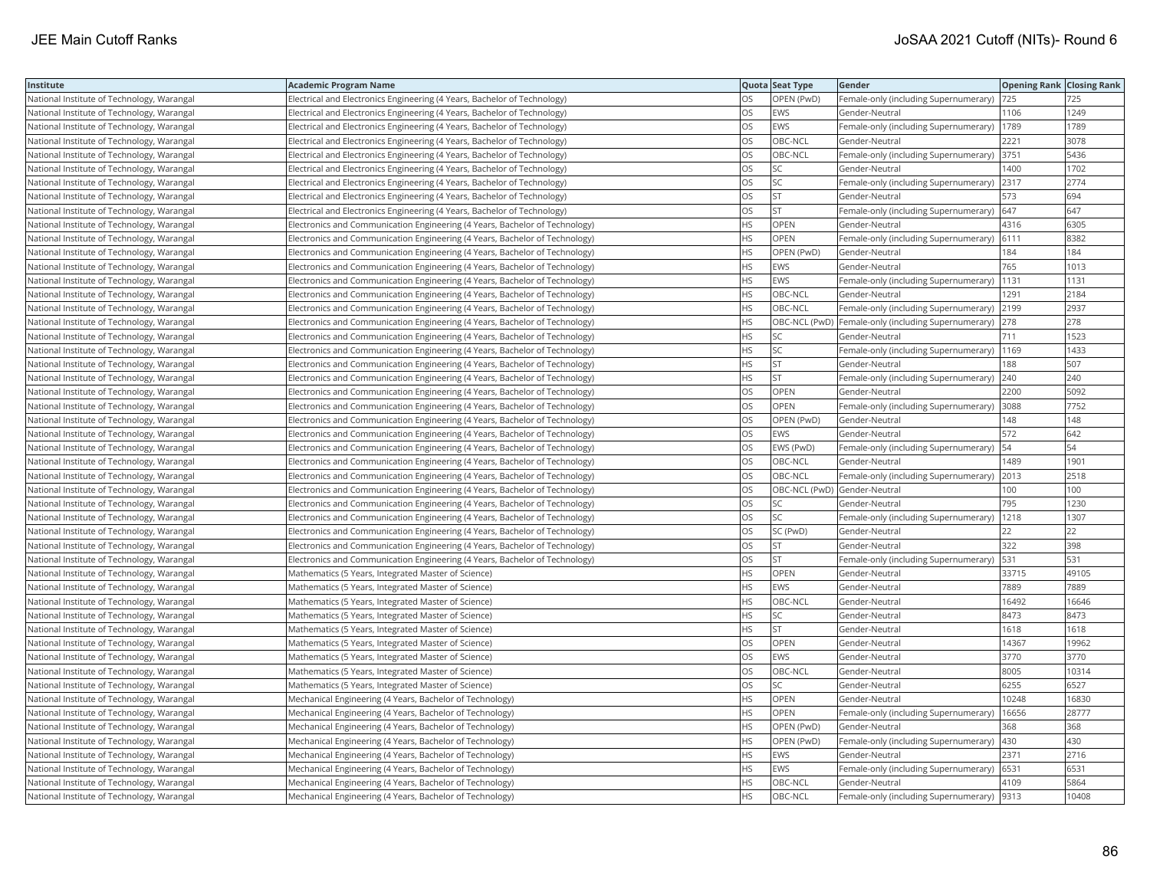| Institute                                  | Academic Program Name                                                       |           | Quota Seat Type              | Gender                                                  | <b>Opening Rank Closing Rank</b> |       |
|--------------------------------------------|-----------------------------------------------------------------------------|-----------|------------------------------|---------------------------------------------------------|----------------------------------|-------|
| National Institute of Technology, Warangal | Electrical and Electronics Engineering (4 Years, Bachelor of Technology)    | OS        | OPEN (PwD)                   | Female-only (including Supernumerary)                   | 725                              | 725   |
| National Institute of Technology, Warangal | Electrical and Electronics Engineering (4 Years, Bachelor of Technology)    | OS.       | EWS                          | Gender-Neutral                                          | 1106                             | 1249  |
| National Institute of Technology, Warangal | Electrical and Electronics Engineering (4 Years, Bachelor of Technology)    | OS        | <b>EWS</b>                   | Female-only (including Supernumerary)                   | 1789                             | 1789  |
| National Institute of Technology, Warangal | Electrical and Electronics Engineering (4 Years, Bachelor of Technology)    | OS.       | OBC-NCL                      | Gender-Neutral                                          | 2221                             | 3078  |
| National Institute of Technology, Warangal | Electrical and Electronics Engineering (4 Years, Bachelor of Technology)    | OS        | OBC-NCL                      | Female-only (including Supernumerary) 3751              |                                  | 5436  |
| National Institute of Technology, Warangal | Electrical and Electronics Engineering (4 Years, Bachelor of Technology)    | OS        | SC                           | Gender-Neutral                                          | 1400                             | 1702  |
| National Institute of Technology, Warangal | Electrical and Electronics Engineering (4 Years, Bachelor of Technology)    | OS.       | <b>SC</b>                    | Female-only (including Supernumerary)                   | 2317                             | 2774  |
| National Institute of Technology, Warangal | Electrical and Electronics Engineering (4 Years, Bachelor of Technology)    | OS        | <b>ST</b>                    | Gender-Neutral                                          | 573                              | 694   |
| National Institute of Technology, Warangal | Electrical and Electronics Engineering (4 Years, Bachelor of Technology)    | OS        | ST                           | Female-only (including Supernumerary)                   | 647                              | 647   |
| National Institute of Technology, Warangal | Electronics and Communication Engineering (4 Years, Bachelor of Technology) | <b>HS</b> | <b>OPEN</b>                  | Gender-Neutral                                          | 4316                             | 6305  |
| National Institute of Technology, Warangal | Electronics and Communication Engineering (4 Years, Bachelor of Technology) | HS.       | <b>OPEN</b>                  | Female-only (including Supernumerary)                   | 6111                             | 8382  |
| National Institute of Technology, Warangal | Electronics and Communication Engineering (4 Years, Bachelor of Technology) | <b>HS</b> | OPEN (PwD)                   | Gender-Neutral                                          | 184                              | 184   |
| National Institute of Technology, Warangal | Electronics and Communication Engineering (4 Years, Bachelor of Technology) | HS.       | EWS                          | Gender-Neutral                                          | 765                              | 1013  |
| National Institute of Technology, Warangal | Electronics and Communication Engineering (4 Years, Bachelor of Technology) | HS        | EWS                          | Female-only (including Supernumerary)                   | 1131                             | 1131  |
| National Institute of Technology, Warangal | Electronics and Communication Engineering (4 Years, Bachelor of Technology) | <b>HS</b> | OBC-NCL                      | Gender-Neutral                                          | 1291                             | 2184  |
| National Institute of Technology, Warangal | Electronics and Communication Engineering (4 Years, Bachelor of Technology) | HS        | OBC-NCL                      | Female-only (including Supernumerary) 2199              |                                  | 2937  |
| National Institute of Technology, Warangal | Electronics and Communication Engineering (4 Years, Bachelor of Technology) | HS.       |                              | OBC-NCL (PwD) Female-only (including Supernumerary) 278 |                                  | 278   |
| National Institute of Technology, Warangal | Electronics and Communication Engineering (4 Years, Bachelor of Technology) | HS.       | <b>SC</b>                    | Gender-Neutral                                          | 711                              | 1523  |
| National Institute of Technology, Warangal | Electronics and Communication Engineering (4 Years, Bachelor of Technology) | HS.       | SC                           | Female-only (including Supernumerary)                   | 1169                             | 1433  |
| National Institute of Technology, Warangal | Electronics and Communication Engineering (4 Years, Bachelor of Technology) | HS.       | <b>ST</b>                    | Gender-Neutral                                          | 188                              | 507   |
| National Institute of Technology, Warangal | Electronics and Communication Engineering (4 Years, Bachelor of Technology) | НS        | <b>ST</b>                    | Female-only (including Supernumerary) 240               |                                  | 240   |
| National Institute of Technology, Warangal | Electronics and Communication Engineering (4 Years, Bachelor of Technology) | OS        | OPEN                         | Gender-Neutral                                          | 2200                             | 5092  |
| National Institute of Technology, Warangal | Electronics and Communication Engineering (4 Years, Bachelor of Technology) | OS        | OPEN                         | Female-only (including Supernumerary)                   | 3088                             | 7752  |
| National Institute of Technology, Warangal | Electronics and Communication Engineering (4 Years, Bachelor of Technology) | OS        | OPEN (PwD)                   | Gender-Neutral                                          | 148                              | 148   |
| National Institute of Technology, Warangal | Electronics and Communication Engineering (4 Years, Bachelor of Technology) | OS        | EWS                          | Gender-Neutral                                          | 572                              | 642   |
| National Institute of Technology, Warangal | Electronics and Communication Engineering (4 Years, Bachelor of Technology) | OS        | EWS (PwD)                    | Female-only (including Supernumerary)                   | 54                               | 54    |
| National Institute of Technology, Warangal | Electronics and Communication Engineering (4 Years, Bachelor of Technology) | <b>OS</b> | OBC-NCL                      | Gender-Neutral                                          | 1489                             | 1901  |
| National Institute of Technology, Warangal | Electronics and Communication Engineering (4 Years, Bachelor of Technology) | OS        | OBC-NCL                      | Female-only (including Supernumerary) 2013              |                                  | 2518  |
| National Institute of Technology, Warangal | Electronics and Communication Engineering (4 Years, Bachelor of Technology) | OS        | OBC-NCL (PwD) Gender-Neutral |                                                         | 100                              | 100   |
| National Institute of Technology, Warangal | Electronics and Communication Engineering (4 Years, Bachelor of Technology) | OS        | SC                           | Gender-Neutral                                          | 795                              | 1230  |
| National Institute of Technology, Warangal | Electronics and Communication Engineering (4 Years, Bachelor of Technology) | OS.       | <b>SC</b>                    | Female-only (including Supernumerary)                   | 1218                             | 1307  |
| National Institute of Technology, Warangal | Electronics and Communication Engineering (4 Years, Bachelor of Technology) | OS        | SC (PwD)                     | Gender-Neutral                                          | 22                               | 22    |
| National Institute of Technology, Warangal | Electronics and Communication Engineering (4 Years, Bachelor of Technology) | OS        | ST                           | Gender-Neutral                                          | 322                              | 398   |
| National Institute of Technology, Warangal | Electronics and Communication Engineering (4 Years, Bachelor of Technology) | OS.       | <b>ST</b>                    | Female-only (including Supernumerary)                   | 531                              | 531   |
| National Institute of Technology, Warangal | Mathematics (5 Years, Integrated Master of Science)                         | <b>HS</b> | OPEN                         | Gender-Neutral                                          | 33715                            | 49105 |
| National Institute of Technology, Warangal | Mathematics (5 Years, Integrated Master of Science)                         | <b>HS</b> | <b>EWS</b>                   | Gender-Neutral                                          | 7889                             | 7889  |
| National Institute of Technology, Warangal | Mathematics (5 Years, Integrated Master of Science)                         | HS.       | OBC-NCL                      | Gender-Neutral                                          | 16492                            | 16646 |
| National Institute of Technology, Warangal | Mathematics (5 Years, Integrated Master of Science)                         | HS        | SC                           | Gender-Neutral                                          | 8473                             | 8473  |
| National Institute of Technology, Warangal | Mathematics (5 Years, Integrated Master of Science)                         | HS.       | <b>ST</b>                    | Gender-Neutral                                          | 1618                             | 1618  |
| National Institute of Technology, Warangal | Mathematics (5 Years, Integrated Master of Science)                         | OS        | OPEN                         | Gender-Neutral                                          | 14367                            | 19962 |
| National Institute of Technology, Warangal | Mathematics (5 Years, Integrated Master of Science)                         | OS        | <b>EWS</b>                   | Gender-Neutral                                          | 3770                             | 3770  |
| National Institute of Technology, Warangal | Mathematics (5 Years, Integrated Master of Science)                         | OS        | OBC-NCL                      | Gender-Neutral                                          | 8005                             | 10314 |
| National Institute of Technology, Warangal | Mathematics (5 Years, Integrated Master of Science)                         | <b>OS</b> | <b>SC</b>                    | Gender-Neutral                                          | 6255                             | 6527  |
| National Institute of Technology, Warangal | Mechanical Engineering (4 Years, Bachelor of Technology)                    | HS        | OPEN                         | Gender-Neutral                                          | 10248                            | 16830 |
| National Institute of Technology, Warangal | Mechanical Engineering (4 Years, Bachelor of Technology)                    | HS.       | OPEN                         | Female-only (including Supernumerary)                   | 16656                            | 28777 |
| National Institute of Technology, Warangal | Mechanical Engineering (4 Years, Bachelor of Technology)                    | HS        | OPEN (PwD)                   | Gender-Neutral                                          | 368                              | 368   |
| National Institute of Technology, Warangal | Mechanical Engineering (4 Years, Bachelor of Technology)                    | HS.       | OPEN (PwD)                   | Female-only (including Supernumerary)                   | 430                              | 430   |
| National Institute of Technology, Warangal | Mechanical Engineering (4 Years, Bachelor of Technology)                    | НS        | EWS                          | Gender-Neutral                                          | 2371                             | 2716  |
| National Institute of Technology, Warangal | Mechanical Engineering (4 Years, Bachelor of Technology)                    | HS.       | EWS                          | Female-only (including Supernumerary) 6531              |                                  | 6531  |
| National Institute of Technology, Warangal | Mechanical Engineering (4 Years, Bachelor of Technology)                    | HS.       | OBC-NCL                      | Gender-Neutral                                          | 4109                             | 5864  |
| National Institute of Technology, Warangal | Mechanical Engineering (4 Years, Bachelor of Technology)                    | <b>HS</b> | OBC-NCL                      | Female-only (including Supernumerary) 9313              |                                  | 10408 |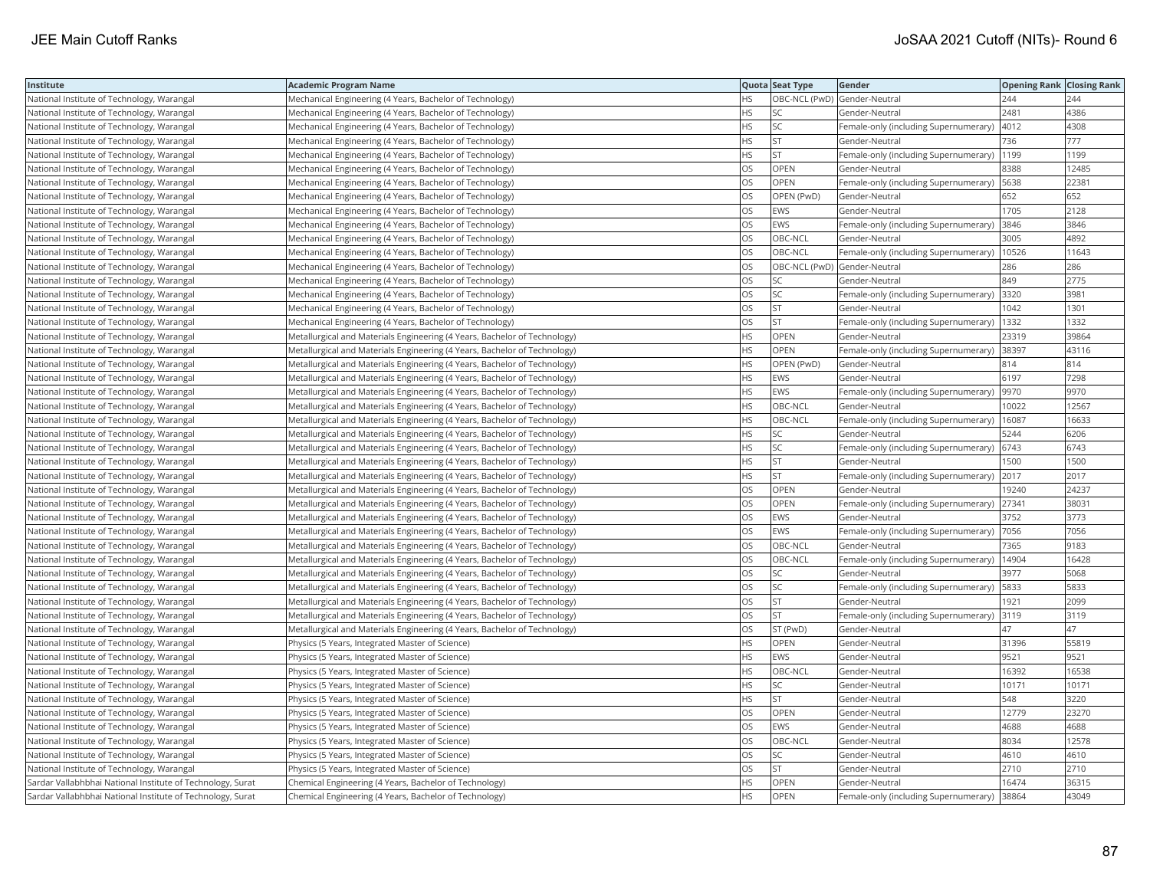| Institute                                                  | <b>Academic Program Name</b>                                              |           | Quota Seat Type | Gender                                        | <b>Opening Rank Closing Rank</b> |       |
|------------------------------------------------------------|---------------------------------------------------------------------------|-----------|-----------------|-----------------------------------------------|----------------------------------|-------|
| National Institute of Technology, Warangal                 | Mechanical Engineering (4 Years, Bachelor of Technology)                  | НS        |                 | OBC-NCL (PwD) Gender-Neutral                  | 244                              | 244   |
| National Institute of Technology, Warangal                 | Mechanical Engineering (4 Years, Bachelor of Technology)                  | <b>HS</b> | <b>SC</b>       | Gender-Neutral                                | 2481                             | 4386  |
| National Institute of Technology, Warangal                 | Mechanical Engineering (4 Years, Bachelor of Technology)                  | HS        | SC              | Female-only (including Supernumerary)         | 4012                             | 4308  |
| National Institute of Technology, Warangal                 | Mechanical Engineering (4 Years, Bachelor of Technology)                  | HS        | <b>ST</b>       | Gender-Neutral                                | 736                              | 777   |
| National Institute of Technology, Warangal                 | Mechanical Engineering (4 Years, Bachelor of Technology)                  | <b>HS</b> | <b>ST</b>       | Female-only (including Supernumerary)         | 1199                             | 1199  |
| National Institute of Technology, Warangal                 | Mechanical Engineering (4 Years, Bachelor of Technology)                  | OS        | OPEN            | Gender-Neutral                                | 8388                             | 12485 |
| National Institute of Technology, Warangal                 | Mechanical Engineering (4 Years, Bachelor of Technology)                  | OS        | OPEN            | Female-only (including Supernumerary)   5638  |                                  | 22381 |
| National Institute of Technology, Warangal                 | Mechanical Engineering (4 Years, Bachelor of Technology)                  | OS        | OPEN (PwD)      | Gender-Neutral                                | 652                              | 652   |
| National Institute of Technology, Warangal                 | Mechanical Engineering (4 Years, Bachelor of Technology)                  | OS        | EWS             | Gender-Neutral                                | 1705                             | 2128  |
| National Institute of Technology, Warangal                 | Mechanical Engineering (4 Years, Bachelor of Technology)                  | OS        | <b>EWS</b>      | Female-only (including Supernumerary)         | 3846                             | 3846  |
| National Institute of Technology, Warangal                 | Mechanical Engineering (4 Years, Bachelor of Technology)                  | OS        | OBC-NCL         | Gender-Neutral                                | 3005                             | 4892  |
| National Institute of Technology, Warangal                 | Mechanical Engineering (4 Years, Bachelor of Technology)                  | OS        | OBC-NCL         | Female-only (including Supernumerary)   10526 |                                  | 11643 |
| National Institute of Technology, Warangal                 | Mechanical Engineering (4 Years, Bachelor of Technology)                  | OS        |                 | OBC-NCL (PwD) Gender-Neutral                  | 286                              | 286   |
| National Institute of Technology, Warangal                 | Mechanical Engineering (4 Years, Bachelor of Technology)                  | OS        | SC              | Gender-Neutral                                | 849                              | 2775  |
| National Institute of Technology, Warangal                 | Mechanical Engineering (4 Years, Bachelor of Technology)                  | OS        | SC              | Female-only (including Supernumerary) 3320    |                                  | 3981  |
| National Institute of Technology, Warangal                 | Mechanical Engineering (4 Years, Bachelor of Technology)                  | OS        | ST              | Gender-Neutral                                | 1042                             | 1301  |
| National Institute of Technology, Warangal                 | Mechanical Engineering (4 Years, Bachelor of Technology)                  | OS        | <b>ST</b>       | Female-only (including Supernumerary)   1332  |                                  | 1332  |
| National Institute of Technology, Warangal                 | Metallurgical and Materials Engineering (4 Years, Bachelor of Technology) | <b>HS</b> | OPEN            | Gender-Neutral                                | 23319                            | 39864 |
| National Institute of Technology, Warangal                 | Metallurgical and Materials Engineering (4 Years, Bachelor of Technology) | <b>HS</b> | <b>OPEN</b>     | Female-only (including Supernumerary) 38397   |                                  | 43116 |
| National Institute of Technology, Warangal                 | Metallurgical and Materials Engineering (4 Years, Bachelor of Technology) | <b>HS</b> | OPEN (PwD)      | Gender-Neutral                                | 814                              | 814   |
| National Institute of Technology, Warangal                 | Metallurgical and Materials Engineering (4 Years, Bachelor of Technology) | HS        | <b>EWS</b>      | Gender-Neutral                                | 6197                             | 7298  |
| National Institute of Technology, Warangal                 | Metallurgical and Materials Engineering (4 Years, Bachelor of Technology) | HS        | <b>EWS</b>      | Female-only (including Supernumerary)  9970   |                                  | 9970  |
| National Institute of Technology, Warangal                 | Metallurgical and Materials Engineering (4 Years, Bachelor of Technology) | HS        | OBC-NCL         | Gender-Neutral                                | 10022                            | 12567 |
| National Institute of Technology, Warangal                 | Metallurgical and Materials Engineering (4 Years, Bachelor of Technology) | HS        | OBC-NCL         | Female-only (including Supernumerary)   16087 |                                  | 16633 |
| National Institute of Technology, Warangal                 | Metallurgical and Materials Engineering (4 Years, Bachelor of Technology) | HS        | SC              | Gender-Neutral                                | 5244                             | 6206  |
| National Institute of Technology, Warangal                 | Metallurgical and Materials Engineering (4 Years, Bachelor of Technology) | HS        | SC              | Female-only (including Supernumerary) 6743    |                                  | 6743  |
| National Institute of Technology, Warangal                 | Metallurgical and Materials Engineering (4 Years, Bachelor of Technology) | HS        | ST              | Gender-Neutral                                | 1500                             | 1500  |
| National Institute of Technology, Warangal                 | Metallurgical and Materials Engineering (4 Years, Bachelor of Technology) | <b>HS</b> | <b>ST</b>       | Female-only (including Supernumerary) 2017    |                                  | 2017  |
| National Institute of Technology, Warangal                 | Metallurgical and Materials Engineering (4 Years, Bachelor of Technology) | OS        | OPEN            | Gender-Neutral                                | 19240                            | 24237 |
| National Institute of Technology, Warangal                 | Metallurgical and Materials Engineering (4 Years, Bachelor of Technology) | <b>OS</b> | OPEN            | Female-only (including Supernumerary) 27341   |                                  | 38031 |
| National Institute of Technology, Warangal                 | Metallurgical and Materials Engineering (4 Years, Bachelor of Technology) | OS        | <b>EWS</b>      | Gender-Neutral                                | 3752                             | 3773  |
| National Institute of Technology, Warangal                 | Metallurgical and Materials Engineering (4 Years, Bachelor of Technology) | OS        | <b>EWS</b>      | Female-only (including Supernumerary)  7056   |                                  | 7056  |
| National Institute of Technology, Warangal                 | Metallurgical and Materials Engineering (4 Years, Bachelor of Technology) | OS        | OBC-NCL         | Gender-Neutral                                | 7365                             | 9183  |
| National Institute of Technology, Warangal                 | Metallurgical and Materials Engineering (4 Years, Bachelor of Technology) | OS        | OBC-NCL         | Female-only (including Supernumerary)         | 14904                            | 16428 |
| National Institute of Technology, Warangal                 | Metallurgical and Materials Engineering (4 Years, Bachelor of Technology) | OS        | <b>SC</b>       | Gender-Neutral                                | 3977                             | 5068  |
| National Institute of Technology, Warangal                 | Metallurgical and Materials Engineering (4 Years, Bachelor of Technology) | OS        | <b>SC</b>       | Female-only (including Supernumerary)         | 5833                             | 5833  |
| National Institute of Technology, Warangal                 | Metallurgical and Materials Engineering (4 Years, Bachelor of Technology) | OS        | <b>ST</b>       | Gender-Neutral                                | 1921                             | 2099  |
| National Institute of Technology, Warangal                 | Metallurgical and Materials Engineering (4 Years, Bachelor of Technology) | <b>OS</b> | <b>ST</b>       | Female-only (including Supernumerary) 3119    |                                  | 3119  |
| National Institute of Technology, Warangal                 | Metallurgical and Materials Engineering (4 Years, Bachelor of Technology) | OS        | ST (PwD)        | Gender-Neutral                                | 47                               | 47    |
| National Institute of Technology, Warangal                 | Physics (5 Years, Integrated Master of Science)                           | <b>HS</b> | <b>OPEN</b>     | Gender-Neutral                                | 31396                            | 55819 |
| National Institute of Technology, Warangal                 | Physics (5 Years, Integrated Master of Science)                           | <b>HS</b> | <b>EWS</b>      | Gender-Neutral                                | 9521                             | 9521  |
| National Institute of Technology, Warangal                 | Physics (5 Years, Integrated Master of Science)                           | <b>HS</b> | OBC-NCL         | Gender-Neutral                                | 16392                            | 16538 |
| National Institute of Technology, Warangal                 | Physics (5 Years, Integrated Master of Science)                           | HS        | SC              | Gender-Neutral                                | 10171                            | 10171 |
| National Institute of Technology, Warangal                 | Physics (5 Years, Integrated Master of Science)                           | <b>HS</b> | <b>ST</b>       | Gender-Neutral                                | 548                              | 3220  |
| National Institute of Technology, Warangal                 | Physics (5 Years, Integrated Master of Science)                           | OS        | OPEN            | Gender-Neutral                                | 12779                            | 23270 |
| National Institute of Technology, Warangal                 | Physics (5 Years, Integrated Master of Science)                           | OS        | <b>EWS</b>      | Gender-Neutral                                | 4688                             | 4688  |
| National Institute of Technology, Warangal                 | Physics (5 Years, Integrated Master of Science)                           | OS        | OBC-NCL         | Gender-Neutral                                | 8034                             | 12578 |
| National Institute of Technology, Warangal                 | Physics (5 Years, Integrated Master of Science)                           | OS        | SC              | Gender-Neutral                                | 4610                             | 4610  |
| National Institute of Technology, Warangal                 | Physics (5 Years, Integrated Master of Science)                           | OS        | <b>ST</b>       | Gender-Neutral                                | 2710                             | 2710  |
| Sardar Vallabhbhai National Institute of Technology, Surat | Chemical Engineering (4 Years, Bachelor of Technology)                    | <b>HS</b> | OPEN            | Gender-Neutral                                | 16474                            | 36315 |
| Sardar Vallabhbhai National Institute of Technology, Surat | Chemical Engineering (4 Years, Bachelor of Technology)                    | <b>HS</b> | OPEN            | Female-only (including Supernumerary)         | 38864                            | 43049 |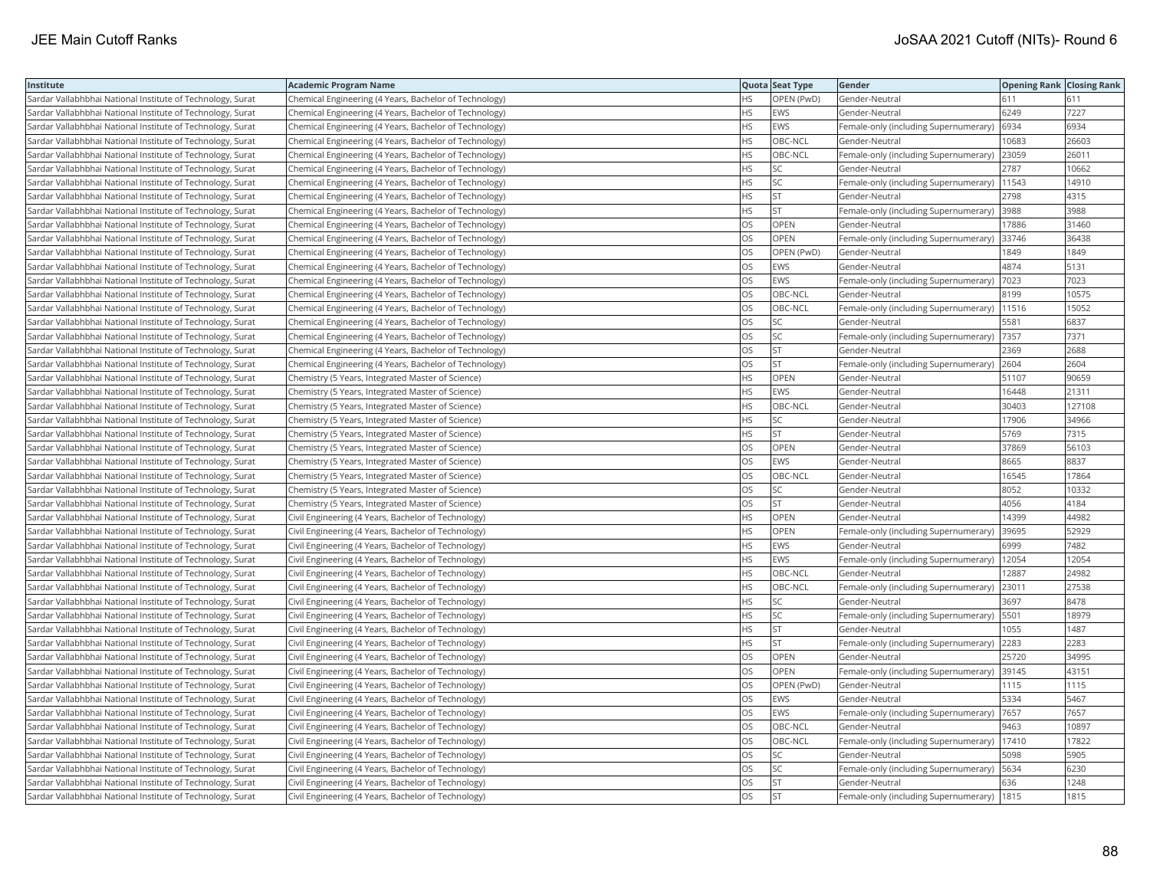| Institute                                                  | <b>Academic Program Name</b>                           |           | Quota Seat Type | Gender                                        | <b>Opening Rank Closing Rank</b> |        |
|------------------------------------------------------------|--------------------------------------------------------|-----------|-----------------|-----------------------------------------------|----------------------------------|--------|
| Sardar Vallabhbhai National Institute of Technology, Surat | Chemical Engineering (4 Years, Bachelor of Technology) | <b>HS</b> | OPEN (PwD)      | lGender-Neutral                               | 611                              | 611    |
| Sardar Vallabhbhai National Institute of Technology, Surat | Chemical Engineering (4 Years, Bachelor of Technology) | HS        | <b>EWS</b>      | Gender-Neutral                                | 6249                             | 7227   |
| Sardar Vallabhbhai National Institute of Technology, Surat | Chemical Engineering (4 Years, Bachelor of Technology) | <b>HS</b> | <b>EWS</b>      | Female-only (including Supernumerary)         | 6934                             | 6934   |
| Sardar Vallabhbhai National Institute of Technology, Surat | Chemical Engineering (4 Years, Bachelor of Technology) | <b>HS</b> | OBC-NCL         | Gender-Neutral                                | 10683                            | 26603  |
| Sardar Vallabhbhai National Institute of Technology, Surat | Chemical Engineering (4 Years, Bachelor of Technology) | <b>HS</b> | OBC-NCL         | Female-only (including Supernumerary)         | 23059                            | 26011  |
| Sardar Vallabhbhai National Institute of Technology, Surat | Chemical Engineering (4 Years, Bachelor of Technology) | <b>HS</b> | SC.             | Gender-Neutral                                | 2787                             | 10662  |
| Sardar Vallabhbhai National Institute of Technology, Surat | Chemical Engineering (4 Years, Bachelor of Technology) | <b>HS</b> | SC.             | Female-only (including Supernumerary)         | 11543                            | 14910  |
| Sardar Vallabhbhai National Institute of Technology, Surat | Chemical Engineering (4 Years, Bachelor of Technology) | <b>HS</b> | İst             | Gender-Neutral                                | 2798                             | 4315   |
| Sardar Vallabhbhai National Institute of Technology, Surat | Chemical Engineering (4 Years, Bachelor of Technology) | HS.       | İst             | Female-only (including Supernumerary)         | 3988                             | 3988   |
| Sardar Vallabhbhai National Institute of Technology, Surat | Chemical Engineering (4 Years, Bachelor of Technology) | OS        | OPEN            | Gender-Neutral                                | 17886                            | 31460  |
| Sardar Vallabhbhai National Institute of Technology, Surat | Chemical Engineering (4 Years, Bachelor of Technology) | OS        | OPEN            | Female-only (including Supernumerary)         | 33746                            | 36438  |
| Sardar Vallabhbhai National Institute of Technology, Surat | Chemical Engineering (4 Years, Bachelor of Technology) | <b>OS</b> | OPEN (PwD)      | Gender-Neutral                                | 1849                             | 1849   |
| Sardar Vallabhbhai National Institute of Technology, Surat | Chemical Engineering (4 Years, Bachelor of Technology) | <b>OS</b> | <b>EWS</b>      | Gender-Neutral                                | 4874                             | 5131   |
| Sardar Vallabhbhai National Institute of Technology, Surat | Chemical Engineering (4 Years, Bachelor of Technology) | <b>OS</b> | <b>EWS</b>      | Female-only (including Supernumerary)         | 7023                             | 7023   |
| Sardar Vallabhbhai National Institute of Technology, Surat | Chemical Engineering (4 Years, Bachelor of Technology) | OS        | OBC-NCL         | Gender-Neutral                                | 8199                             | 10575  |
| Sardar Vallabhbhai National Institute of Technology, Surat | Chemical Engineering (4 Years, Bachelor of Technology) | OS        | OBC-NCL         | Female-only (including Supernumerary)   11516 |                                  | 15052  |
| Sardar Vallabhbhai National Institute of Technology, Surat | Chemical Engineering (4 Years, Bachelor of Technology) | <b>OS</b> | SC              | Gender-Neutral                                | 5581                             | 6837   |
| Sardar Vallabhbhai National Institute of Technology, Surat | Chemical Engineering (4 Years, Bachelor of Technology) | OS        | SC              | Female-only (including Supernumerary)         | 7357                             | 7371   |
| Sardar Vallabhbhai National Institute of Technology, Surat | Chemical Engineering (4 Years, Bachelor of Technology) | OS        | <b>ST</b>       | Gender-Neutral                                | 2369                             | 2688   |
| Sardar Vallabhbhai National Institute of Technology, Surat | Chemical Engineering (4 Years, Bachelor of Technology) | <b>OS</b> | lst             | Female-only (including Supernumerary)         | 2604                             | 2604   |
| Sardar Vallabhbhai National Institute of Technology, Surat | Chemistry (5 Years, Integrated Master of Science)      | <b>HS</b> | <b>OPEN</b>     | Gender-Neutral                                | 51107                            | 90659  |
| Sardar Vallabhbhai National Institute of Technology, Surat | Chemistry (5 Years, Integrated Master of Science)      | <b>HS</b> | <b>EWS</b>      | Gender-Neutral                                | 16448                            | 21311  |
| Sardar Vallabhbhai National Institute of Technology, Surat | Chemistry (5 Years, Integrated Master of Science)      | <b>HS</b> | OBC-NCL         | Gender-Neutral                                | 30403                            | 127108 |
| Sardar Vallabhbhai National Institute of Technology, Surat | Chemistry (5 Years, Integrated Master of Science)      | <b>HS</b> | SC.             | Gender-Neutral                                | 17906                            | 34966  |
| Sardar Vallabhbhai National Institute of Technology, Surat | Chemistry (5 Years, Integrated Master of Science)      | HS        | <b>ST</b>       | Gender-Neutral                                | 5769                             | 7315   |
| Sardar Vallabhbhai National Institute of Technology, Surat | Chemistry (5 Years, Integrated Master of Science)      | <b>OS</b> | OPEN            | Gender-Neutral                                | 37869                            | 56103  |
| Sardar Vallabhbhai National Institute of Technology, Surat | Chemistry (5 Years, Integrated Master of Science)      | OS        | <b>EWS</b>      | Gender-Neutral                                | 8665                             | 8837   |
| Sardar Vallabhbhai National Institute of Technology, Surat | Chemistry (5 Years, Integrated Master of Science)      | <b>OS</b> | OBC-NCL         | Gender-Neutral                                | 16545                            | 17864  |
| Sardar Vallabhbhai National Institute of Technology, Surat | Chemistry (5 Years, Integrated Master of Science)      | <b>OS</b> | lsc             | Gender-Neutral                                | 8052                             | 10332  |
| Sardar Vallabhbhai National Institute of Technology, Surat | Chemistry (5 Years, Integrated Master of Science)      | OS        | <b>ST</b>       | Gender-Neutral                                | 4056                             | 4184   |
| Sardar Vallabhbhai National Institute of Technology, Surat | Civil Engineering (4 Years, Bachelor of Technology)    | <b>HS</b> | OPEN            | Gender-Neutral                                | 14399                            | 44982  |
| Sardar Vallabhbhai National Institute of Technology, Surat | Civil Engineering (4 Years, Bachelor of Technology)    | <b>HS</b> | OPEN            | Female-only (including Supernumerary)         | 39695                            | 52929  |
| Sardar Vallabhbhai National Institute of Technology, Surat | Civil Engineering (4 Years, Bachelor of Technology)    | <b>HS</b> | <b>EWS</b>      | Gender-Neutral                                | 6999                             | 7482   |
| Sardar Vallabhbhai National Institute of Technology, Surat | Civil Engineering (4 Years, Bachelor of Technology)    | <b>HS</b> | EWS             | Female-only (including Supernumerary)         | 12054                            | 12054  |
| Sardar Vallabhbhai National Institute of Technology, Surat | Civil Engineering (4 Years, Bachelor of Technology)    | <b>HS</b> | OBC-NCL         | Gender-Neutral                                | 12887                            | 24982  |
| Sardar Vallabhbhai National Institute of Technology, Surat | Civil Engineering (4 Years, Bachelor of Technology)    | <b>HS</b> | OBC-NCL         | Female-only (including Supernumerary)         | 23011                            | 27538  |
| Sardar Vallabhbhai National Institute of Technology, Surat | Civil Engineering (4 Years, Bachelor of Technology)    | <b>HS</b> | SC.             | Gender-Neutral                                | 3697                             | 8478   |
| Sardar Vallabhbhai National Institute of Technology, Surat | Civil Engineering (4 Years, Bachelor of Technology)    | <b>HS</b> | SC              | Female-only (including Supernumerary)   5501  |                                  | 18979  |
| Sardar Vallabhbhai National Institute of Technology, Surat | Civil Engineering (4 Years, Bachelor of Technology)    | <b>HS</b> | <b>ST</b>       | Gender-Neutral                                | 1055                             | 1487   |
| Sardar Vallabhbhai National Institute of Technology, Surat | Civil Engineering (4 Years, Bachelor of Technology)    | <b>HS</b> | İst             | Female-only (including Supernumerary)         | 2283                             | 2283   |
| Sardar Vallabhbhai National Institute of Technology, Surat | Civil Engineering (4 Years, Bachelor of Technology)    | OS        | OPEN            | Gender-Neutral                                | 25720                            | 34995  |
| Sardar Vallabhbhai National Institute of Technology, Surat | Civil Engineering (4 Years, Bachelor of Technology)    | <b>OS</b> | OPEN            | Female-only (including Supernumerary) 39145   |                                  | 43151  |
| Sardar Vallabhbhai National Institute of Technology, Surat | Civil Engineering (4 Years, Bachelor of Technology)    | OS        | OPEN (PwD)      | Gender-Neutral                                | 1115                             | 1115   |
| Sardar Vallabhbhai National Institute of Technology, Surat | Civil Engineering (4 Years, Bachelor of Technology)    | <b>OS</b> | EWS             | lGender-Neutral                               | 5334                             | 5467   |
| Sardar Vallabhbhai National Institute of Technology, Surat | Civil Engineering (4 Years, Bachelor of Technology)    | <b>OS</b> | EWS             | Female-only (including Supernumerary)         | 7657                             | 7657   |
| Sardar Vallabhbhai National Institute of Technology, Surat | Civil Engineering (4 Years, Bachelor of Technology)    | OS        | OBC-NCL         | Gender-Neutral                                | 9463                             | 10897  |
| Sardar Vallabhbhai National Institute of Technology, Surat | Civil Engineering (4 Years, Bachelor of Technology)    | OS        | OBC-NCL         | Female-only (including Supernumerary)   17410 |                                  | 17822  |
| Sardar Vallabhbhai National Institute of Technology, Surat | Civil Engineering (4 Years, Bachelor of Technology)    | OS        | <b>SC</b>       | Gender-Neutral                                | 5098                             | 5905   |
| Sardar Vallabhbhai National Institute of Technology, Surat | Civil Engineering (4 Years, Bachelor of Technology)    | OS        | SC              | Female-only (including Supernumerary)   5634  |                                  | 6230   |
| Sardar Vallabhbhai National Institute of Technology, Surat | Civil Engineering (4 Years, Bachelor of Technology)    | OS        | <b>ST</b>       | Gender-Neutral                                | 636                              | 1248   |
| Sardar Vallabhbhai National Institute of Technology, Surat | Civil Engineering (4 Years, Bachelor of Technology)    | <b>OS</b> | <b>ST</b>       | Female-only (including Supernumerary)   1815  |                                  | 1815   |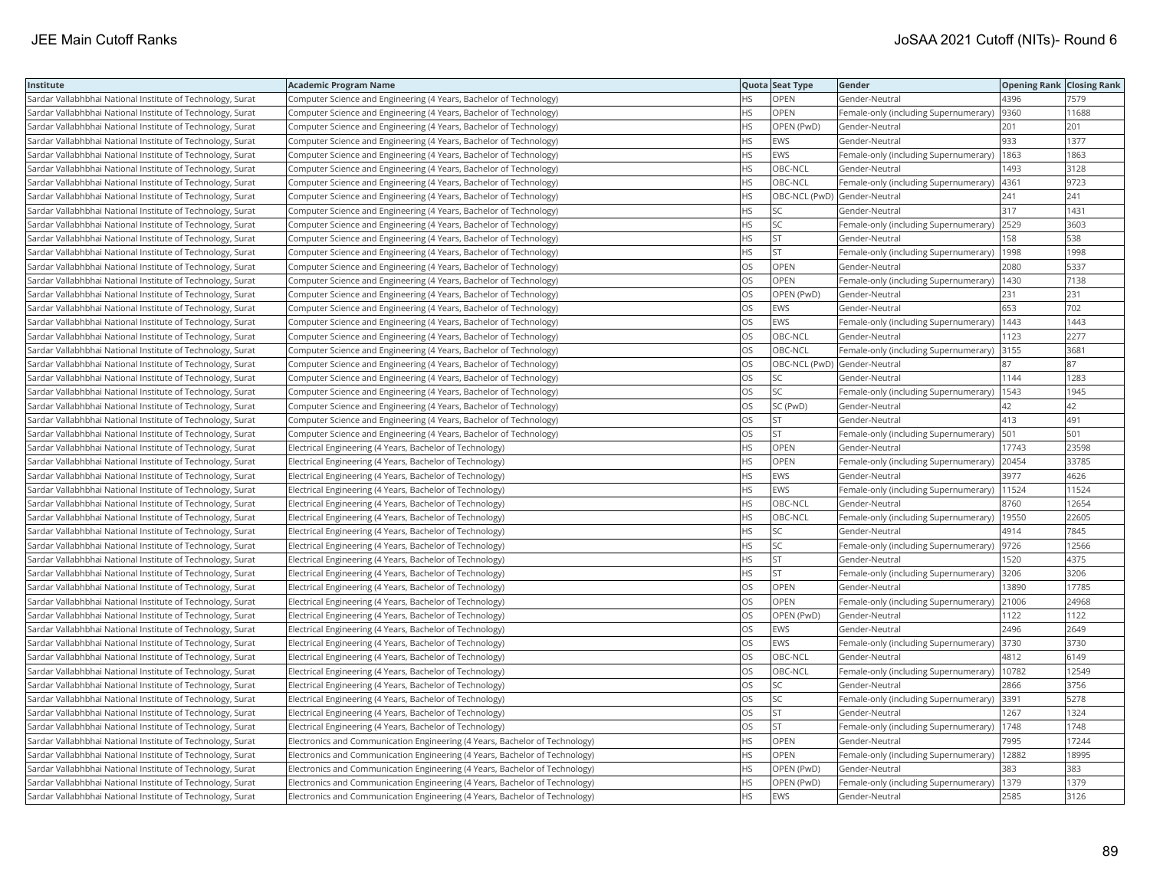| Institute                                                  | <b>Academic Program Name</b>                                                |           | Quota Seat Type              | Gender                                        | <b>Opening Rank Closing Rank</b> |       |
|------------------------------------------------------------|-----------------------------------------------------------------------------|-----------|------------------------------|-----------------------------------------------|----------------------------------|-------|
| Sardar Vallabhbhai National Institute of Technology, Surat | Computer Science and Engineering (4 Years, Bachelor of Technology)          | HS        | OPEN                         | Gender-Neutral                                | 4396                             | 7579  |
| Sardar Vallabhbhai National Institute of Technology, Surat | Computer Science and Engineering (4 Years, Bachelor of Technology)          | HS.       | <b>OPEN</b>                  | Female-only (including Supernumerary)         | 9360                             | 11688 |
| Sardar Vallabhbhai National Institute of Technology, Surat | Computer Science and Engineering (4 Years, Bachelor of Technology)          | HS        | OPEN (PwD)                   | Gender-Neutral                                | 201                              | 201   |
| Sardar Vallabhbhai National Institute of Technology, Surat | Computer Science and Engineering (4 Years, Bachelor of Technology)          | <b>HS</b> | <b>EWS</b>                   | Gender-Neutral                                | 933                              | 1377  |
| Sardar Vallabhbhai National Institute of Technology, Surat | Computer Science and Engineering (4 Years, Bachelor of Technology)          | <b>HS</b> | <b>EWS</b>                   | Female-only (including Supernumerary)         | 1863                             | 1863  |
| Sardar Vallabhbhai National Institute of Technology, Surat | Computer Science and Engineering (4 Years, Bachelor of Technology)          | HS        | OBC-NCL                      | Gender-Neutral                                | 1493                             | 3128  |
| Sardar Vallabhbhai National Institute of Technology, Surat | Computer Science and Engineering (4 Years, Bachelor of Technology)          | <b>HS</b> | OBC-NCL                      | Female-only (including Supernumerary)         | 4361                             | 9723  |
| Sardar Vallabhbhai National Institute of Technology, Surat | Computer Science and Engineering (4 Years, Bachelor of Technology)          | <b>HS</b> | OBC-NCL (PwD) Gender-Neutral |                                               | 241                              | 241   |
| Sardar Vallabhbhai National Institute of Technology, Surat | Computer Science and Engineering (4 Years, Bachelor of Technology)          | HS        | SC.                          | Gender-Neutral                                | 317                              | 1431  |
| Sardar Vallabhbhai National Institute of Technology, Surat | Computer Science and Engineering (4 Years, Bachelor of Technology)          | <b>HS</b> | <b>SC</b>                    | Female-only (including Supernumerary)         | 2529                             | 3603  |
| Sardar Vallabhbhai National Institute of Technology, Surat | Computer Science and Engineering (4 Years, Bachelor of Technology)          | <b>HS</b> | <b>ST</b>                    | Gender-Neutral                                | 158                              | 538   |
| Sardar Vallabhbhai National Institute of Technology, Surat | Computer Science and Engineering (4 Years, Bachelor of Technology)          | <b>HS</b> | <b>ST</b>                    | Female-only (including Supernumerary)         | 1998                             | 1998  |
| Sardar Vallabhbhai National Institute of Technology, Surat | Computer Science and Engineering (4 Years, Bachelor of Technology)          | OS        | OPEN                         | Gender-Neutral                                | 2080                             | 5337  |
| Sardar Vallabhbhai National Institute of Technology, Surat | Computer Science and Engineering (4 Years, Bachelor of Technology)          | OS        | OPEN                         | Female-only (including Supernumerary)         | 1430                             | 7138  |
| Sardar Vallabhbhai National Institute of Technology, Surat | Computer Science and Engineering (4 Years, Bachelor of Technology)          | OS        | OPEN (PwD)                   | Gender-Neutral                                | 231                              | 231   |
| Sardar Vallabhbhai National Institute of Technology, Surat | Computer Science and Engineering (4 Years, Bachelor of Technology)          | <b>OS</b> | <b>EWS</b>                   | Gender-Neutral                                | 653                              | 702   |
| Sardar Vallabhbhai National Institute of Technology, Surat | Computer Science and Engineering (4 Years, Bachelor of Technology)          | OS        | EWS                          | Female-only (including Supernumerary)         | 1443                             | 1443  |
| Sardar Vallabhbhai National Institute of Technology, Surat | Computer Science and Engineering (4 Years, Bachelor of Technology)          | OS        | OBC-NCL                      | Gender-Neutral                                | 1123                             | 2277  |
| Sardar Vallabhbhai National Institute of Technology, Surat | Computer Science and Engineering (4 Years, Bachelor of Technology)          | OS        | OBC-NCL                      | Female-only (including Supernumerary)         | 3155                             | 3681  |
| Sardar Vallabhbhai National Institute of Technology, Surat | Computer Science and Engineering (4 Years, Bachelor of Technology)          | <b>OS</b> | OBC-NCL (PwD) Gender-Neutral |                                               | 87                               | 87    |
| Sardar Vallabhbhai National Institute of Technology, Surat | Computer Science and Engineering (4 Years, Bachelor of Technology)          | OS        | <b>SC</b>                    | Gender-Neutral                                | 1144                             | 1283  |
| Sardar Vallabhbhai National Institute of Technology, Surat | Computer Science and Engineering (4 Years, Bachelor of Technology)          | OS        | <b>SC</b>                    | Female-only (including Supernumerary)   1543  |                                  | 1945  |
| Sardar Vallabhbhai National Institute of Technology, Surat | Computer Science and Engineering (4 Years, Bachelor of Technology)          | OS        | SC (PwD)                     | Gender-Neutral                                | 42                               | 42    |
| Sardar Vallabhbhai National Institute of Technology, Surat | Computer Science and Engineering (4 Years, Bachelor of Technology)          | OS        | <b>ST</b>                    | Gender-Neutral                                | 413                              | 491   |
| Sardar Vallabhbhai National Institute of Technology, Surat | Computer Science and Engineering (4 Years, Bachelor of Technology)          | OS        | <b>ST</b>                    | Female-only (including Supernumerary)         | 501                              | 501   |
| Sardar Vallabhbhai National Institute of Technology, Surat | Electrical Engineering (4 Years, Bachelor of Technology)                    | <b>HS</b> | OPEN                         | Gender-Neutral                                | 17743                            | 23598 |
| Sardar Vallabhbhai National Institute of Technology, Surat | Electrical Engineering (4 Years, Bachelor of Technology)                    | <b>HS</b> | OPEN                         | Female-only (including Supernumerary)         | 20454                            | 33785 |
| Sardar Vallabhbhai National Institute of Technology, Surat | Electrical Engineering (4 Years, Bachelor of Technology)                    | <b>HS</b> | <b>EWS</b>                   | Gender-Neutral                                | 3977                             | 4626  |
| Sardar Vallabhbhai National Institute of Technology, Surat | Electrical Engineering (4 Years, Bachelor of Technology)                    | <b>HS</b> | <b>EWS</b>                   | Female-only (including Supernumerary)         | 11524                            | 11524 |
| Sardar Vallabhbhai National Institute of Technology, Surat | Electrical Engineering (4 Years, Bachelor of Technology)                    | HS        | OBC-NCL                      | Gender-Neutral                                | 8760                             | 12654 |
| Sardar Vallabhbhai National Institute of Technology, Surat | Electrical Engineering (4 Years, Bachelor of Technology)                    | HS        | OBC-NCL                      | Female-only (including Supernumerary)   19550 |                                  | 22605 |
| Sardar Vallabhbhai National Institute of Technology, Surat | Electrical Engineering (4 Years, Bachelor of Technology)                    | HS        | <b>SC</b>                    | Gender-Neutral                                | 4914                             | 7845  |
| Sardar Vallabhbhai National Institute of Technology, Surat | Electrical Engineering (4 Years, Bachelor of Technology)                    | HS.       | <b>SC</b>                    | Female-only (including Supernumerary)         | 9726                             | 12566 |
| Sardar Vallabhbhai National Institute of Technology, Surat | Electrical Engineering (4 Years, Bachelor of Technology)                    | <b>HS</b> | <b>ST</b>                    | Gender-Neutral                                | 1520                             | 4375  |
| Sardar Vallabhbhai National Institute of Technology, Surat | Electrical Engineering (4 Years, Bachelor of Technology)                    | <b>HS</b> | <b>ST</b>                    | Female-only (including Supernumerary)         | 3206                             | 3206  |
| Sardar Vallabhbhai National Institute of Technology, Surat | Electrical Engineering (4 Years, Bachelor of Technology)                    | <b>OS</b> | <b>OPEN</b>                  | Gender-Neutral                                | 13890                            | 17785 |
| Sardar Vallabhbhai National Institute of Technology, Surat | Electrical Engineering (4 Years, Bachelor of Technology)                    | OS        | <b>OPEN</b>                  | Female-only (including Supernumerary)         | 21006                            | 24968 |
| Sardar Vallabhbhai National Institute of Technology, Surat | Electrical Engineering (4 Years, Bachelor of Technology)                    | OS        | OPEN (PwD)                   | Gender-Neutral                                | 1122                             | 1122  |
| Sardar Vallabhbhai National Institute of Technology, Surat | Electrical Engineering (4 Years, Bachelor of Technology)                    | OS        | <b>EWS</b>                   | Gender-Neutral                                | 2496                             | 2649  |
| Sardar Vallabhbhai National Institute of Technology, Surat | Electrical Engineering (4 Years, Bachelor of Technology)                    | <b>OS</b> | <b>EWS</b>                   | Female-only (including Supernumerary)         | 3730                             | 3730  |
| Sardar Vallabhbhai National Institute of Technology, Surat | Electrical Engineering (4 Years, Bachelor of Technology)                    | <b>OS</b> | OBC-NCL                      | Gender-Neutral                                | 4812                             | 6149  |
| Sardar Vallabhbhai National Institute of Technology, Surat | Electrical Engineering (4 Years, Bachelor of Technology)                    | OS        | OBC-NCL                      | Female-only (including Supernumerary)         | 10782                            | 12549 |
| Sardar Vallabhbhai National Institute of Technology, Surat | Electrical Engineering (4 Years, Bachelor of Technology)                    | OS        | <b>SC</b>                    | Gender-Neutral                                | 2866                             | 3756  |
| Sardar Vallabhbhai National Institute of Technology, Surat | Electrical Engineering (4 Years, Bachelor of Technology)                    | <b>OS</b> | lsc                          | Female-only (including Supernumerary)         | 3391                             | 5278  |
| Sardar Vallabhbhai National Institute of Technology, Surat | Electrical Engineering (4 Years, Bachelor of Technology)                    | OS        | <b>ST</b>                    | Gender-Neutral                                | 1267                             | 1324  |
| Sardar Vallabhbhai National Institute of Technology, Surat | Electrical Engineering (4 Years, Bachelor of Technology)                    | OS        | <b>ST</b>                    | Female-only (including Supernumerary)         | 1748                             | 1748  |
| Sardar Vallabhbhai National Institute of Technology, Surat | Electronics and Communication Engineering (4 Years, Bachelor of Technology) | HS        | <b>OPEN</b>                  | Gender-Neutral                                | 7995                             | 17244 |
| Sardar Vallabhbhai National Institute of Technology, Surat | Electronics and Communication Engineering (4 Years, Bachelor of Technology) | <b>HS</b> | <b>OPEN</b>                  | Female-only (including Supernumerary)         | 12882                            | 18995 |
| Sardar Vallabhbhai National Institute of Technology, Surat | Electronics and Communication Engineering (4 Years, Bachelor of Technology) | HS        | OPEN (PwD)                   | Gender-Neutral                                | 383                              | 383   |
| Sardar Vallabhbhai National Institute of Technology, Surat | Electronics and Communication Engineering (4 Years, Bachelor of Technology) | <b>HS</b> | OPEN (PwD)                   | Female-only (including Supernumerary)         | 1379                             | 1379  |
| Sardar Vallabhbhai National Institute of Technology, Surat | Electronics and Communication Engineering (4 Years, Bachelor of Technology) | <b>HS</b> | <b>EWS</b>                   | Gender-Neutral                                | 2585                             | 3126  |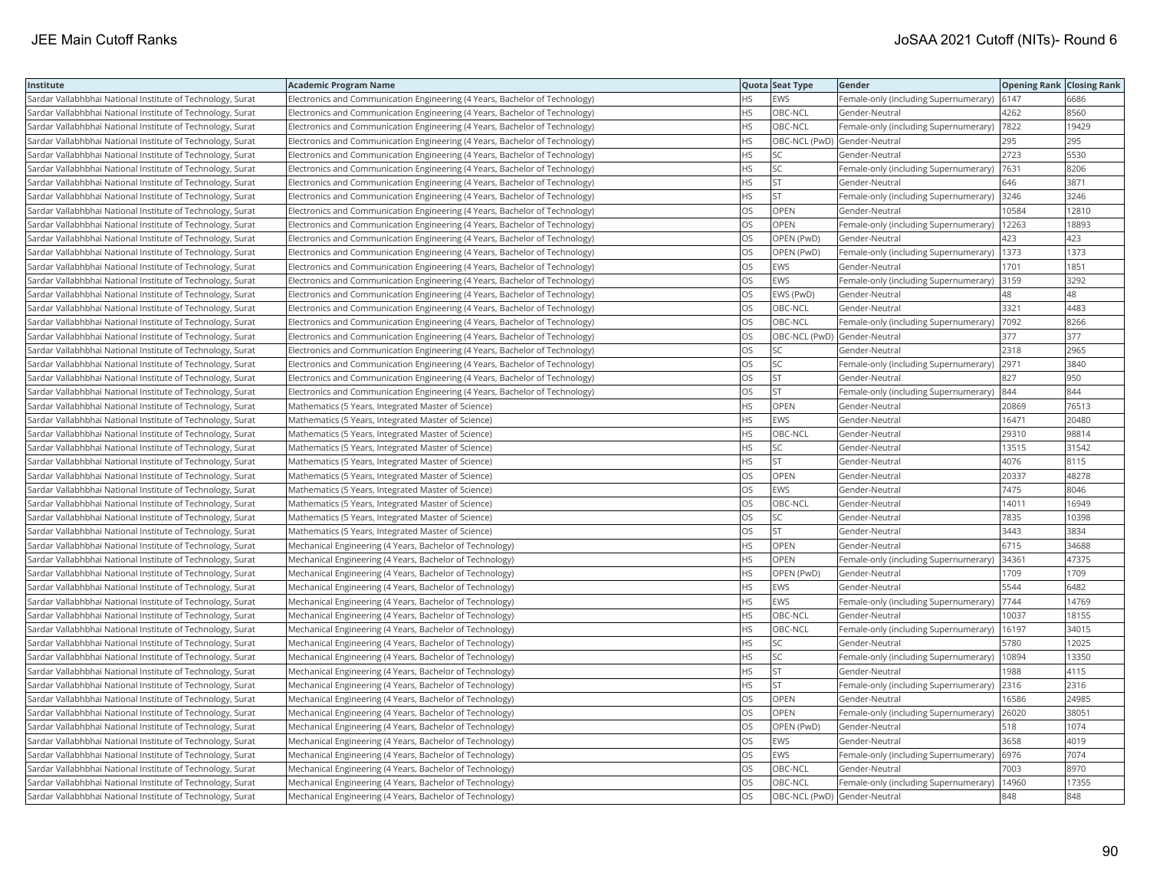| Institute                                                  | <b>Academic Program Name</b>                                                |           | Quota Seat Type              | Gender                                        | <b>Opening Rank Closing Rank</b> |       |
|------------------------------------------------------------|-----------------------------------------------------------------------------|-----------|------------------------------|-----------------------------------------------|----------------------------------|-------|
| Sardar Vallabhbhai National Institute of Technology, Surat | Electronics and Communication Engineering (4 Years, Bachelor of Technology) | HS        | <b>EWS</b>                   | Female-only (including Supernumerary)         | 6147                             | 6686  |
| Sardar Vallabhbhai National Institute of Technology, Surat | Electronics and Communication Engineering (4 Years, Bachelor of Technology) | <b>HS</b> | OBC-NCL                      | Gender-Neutral                                | 4262                             | 8560  |
| Sardar Vallabhbhai National Institute of Technology, Surat | Electronics and Communication Engineering (4 Years, Bachelor of Technology) | <b>HS</b> | OBC-NCL                      | Female-only (including Supernumerary)         | 7822                             | 19429 |
| Sardar Vallabhbhai National Institute of Technology, Surat | Electronics and Communication Engineering (4 Years, Bachelor of Technology) | <b>HS</b> | OBC-NCL (PwD) Gender-Neutral |                                               | 295                              | 295   |
| Sardar Vallabhbhai National Institute of Technology, Surat | Electronics and Communication Engineering (4 Years, Bachelor of Technology) | HS        | lsc                          | Gender-Neutral                                | 2723                             | 5530  |
| Sardar Vallabhbhai National Institute of Technology, Surat | Electronics and Communication Engineering (4 Years, Bachelor of Technology) | <b>HS</b> | <b>SC</b>                    | Female-only (including Supernumerary)  7631   |                                  | 8206  |
| Sardar Vallabhbhai National Institute of Technology, Surat | Electronics and Communication Engineering (4 Years, Bachelor of Technology) | HS        | <b>ST</b>                    | Gender-Neutral                                | 646                              | 3871  |
| Sardar Vallabhbhai National Institute of Technology, Surat | Electronics and Communication Engineering (4 Years, Bachelor of Technology) | <b>HS</b> | <b>ST</b>                    | Female-only (including Supernumerary)         | 3246                             | 3246  |
| Sardar Vallabhbhai National Institute of Technology, Surat | Electronics and Communication Engineering (4 Years, Bachelor of Technology) | OS        | <b>OPEN</b>                  | Gender-Neutral                                | 0584                             | 12810 |
| Sardar Vallabhbhai National Institute of Technology, Surat | Electronics and Communication Engineering (4 Years, Bachelor of Technology) | OS        | <b>OPEN</b>                  | Female-only (including Supernumerary)         | 12263                            | 18893 |
| Sardar Vallabhbhai National Institute of Technology, Surat | Electronics and Communication Engineering (4 Years, Bachelor of Technology) | OS        | OPEN (PwD)                   | Gender-Neutral                                | 423                              | 423   |
| Sardar Vallabhbhai National Institute of Technology, Surat | Electronics and Communication Engineering (4 Years, Bachelor of Technology) | <b>OS</b> | OPEN (PwD)                   | Female-only (including Supernumerary)         | 1373                             | 1373  |
| Sardar Vallabhbhai National Institute of Technology, Surat | Electronics and Communication Engineering (4 Years, Bachelor of Technology) | OS        | <b>EWS</b>                   | Gender-Neutral                                | 1701                             | 1851  |
| Sardar Vallabhbhai National Institute of Technology, Surat | Electronics and Communication Engineering (4 Years, Bachelor of Technology) | <b>OS</b> | <b>EWS</b>                   | Female-only (including Supernumerary) 3159    |                                  | 3292  |
| Sardar Vallabhbhai National Institute of Technology, Surat | Electronics and Communication Engineering (4 Years, Bachelor of Technology) | OS        | EWS (PwD)                    | Gender-Neutral                                | 48                               | 48    |
| Sardar Vallabhbhai National Institute of Technology, Surat | Electronics and Communication Engineering (4 Years, Bachelor of Technology) | OS        | OBC-NCL                      | Gender-Neutral                                | 3321                             | 4483  |
| Sardar Vallabhbhai National Institute of Technology, Surat | Electronics and Communication Engineering (4 Years, Bachelor of Technology) | OS        | OBC-NCL                      | Female-only (including Supernumerary)         | 7092                             | 8266  |
| Sardar Vallabhbhai National Institute of Technology, Surat | Electronics and Communication Engineering (4 Years, Bachelor of Technology) | OS        | OBC-NCL (PwD) Gender-Neutral |                                               | 377                              | 377   |
| Sardar Vallabhbhai National Institute of Technology, Surat | Electronics and Communication Engineering (4 Years, Bachelor of Technology) | OS        | <b>SC</b>                    | Gender-Neutral                                | 2318                             | 2965  |
| Sardar Vallabhbhai National Institute of Technology, Surat | Electronics and Communication Engineering (4 Years, Bachelor of Technology) | OS        | <b>SC</b>                    | Female-only (including Supernumerary)         | 2971                             | 3840  |
| Sardar Vallabhbhai National Institute of Technology, Surat | Electronics and Communication Engineering (4 Years, Bachelor of Technology) | <b>OS</b> | lst                          | Gender-Neutral                                | 827                              | 950   |
| Sardar Vallabhbhai National Institute of Technology, Surat | Electronics and Communication Engineering (4 Years, Bachelor of Technology) | OS        | <b>ST</b>                    | Female-only (including Supernumerary) 844     |                                  | 844   |
| Sardar Vallabhbhai National Institute of Technology, Surat | Mathematics (5 Years, Integrated Master of Science)                         | HS        | OPEN                         | Gender-Neutral                                | 20869                            | 76513 |
| Sardar Vallabhbhai National Institute of Technology, Surat | Mathematics (5 Years, Integrated Master of Science)                         | <b>HS</b> | <b>EWS</b>                   | Gender-Neutral                                | 16471                            | 20480 |
| Sardar Vallabhbhai National Institute of Technology, Surat | Mathematics (5 Years, Integrated Master of Science)                         | HS        | OBC-NCL                      | Gender-Neutral                                | 29310                            | 98814 |
| Sardar Vallabhbhai National Institute of Technology, Surat | Mathematics (5 Years, Integrated Master of Science)                         | <b>HS</b> | lsc                          | Gender-Neutral                                | 13515                            | 31542 |
| Sardar Vallabhbhai National Institute of Technology, Surat | Mathematics (5 Years, Integrated Master of Science)                         | HS        | <b>ST</b>                    | Gender-Neutral                                | 4076                             | 8115  |
| Sardar Vallabhbhai National Institute of Technology, Surat | Mathematics (5 Years, Integrated Master of Science)                         | OS        | OPEN                         | Gender-Neutral                                | 20337                            | 48278 |
| Sardar Vallabhbhai National Institute of Technology, Surat | Mathematics (5 Years, Integrated Master of Science)                         | OS.       | <b>EWS</b>                   | Gender-Neutral                                | 7475                             | 8046  |
| Sardar Vallabhbhai National Institute of Technology, Surat | Mathematics (5 Years, Integrated Master of Science)                         | OS        | OBC-NCL                      | Gender-Neutral                                | 14011                            | 16949 |
| Sardar Vallabhbhai National Institute of Technology, Surat | Mathematics (5 Years, Integrated Master of Science)                         | OS        | <b>SC</b>                    | Gender-Neutral                                | 7835                             | 10398 |
| Sardar Vallabhbhai National Institute of Technology, Surat | Mathematics (5 Years, Integrated Master of Science)                         | OS        | <b>ST</b>                    | Gender-Neutral                                | 3443                             | 3834  |
| Sardar Vallabhbhai National Institute of Technology, Surat | Mechanical Engineering (4 Years, Bachelor of Technology)                    | <b>HS</b> | <b>OPEN</b>                  | Gender-Neutral                                | 6715                             | 34688 |
| Sardar Vallabhbhai National Institute of Technology, Surat | Mechanical Engineering (4 Years, Bachelor of Technology)                    | HS        | OPEN                         | Female-only (including Supernumerary)         | 34361                            | 47375 |
| Sardar Vallabhbhai National Institute of Technology, Surat | Mechanical Engineering (4 Years, Bachelor of Technology)                    | <b>HS</b> | OPEN (PwD)                   | Gender-Neutral                                | 1709                             | 1709  |
| Sardar Vallabhbhai National Institute of Technology, Surat | Mechanical Engineering (4 Years, Bachelor of Technology)                    | <b>HS</b> | <b>EWS</b>                   | Gender-Neutral                                | 5544                             | 6482  |
| Sardar Vallabhbhai National Institute of Technology, Surat | Mechanical Engineering (4 Years, Bachelor of Technology)                    | <b>HS</b> | <b>EWS</b>                   | Female-only (including Supernumerary)         | 7744                             | 14769 |
| Sardar Vallabhbhai National Institute of Technology, Surat | Mechanical Engineering (4 Years, Bachelor of Technology)                    | <b>HS</b> | OBC-NCL                      | Gender-Neutral                                | 10037                            | 18155 |
| Sardar Vallabhbhai National Institute of Technology, Surat | Mechanical Engineering (4 Years, Bachelor of Technology)                    | <b>HS</b> | OBC-NCL                      | Female-only (including Supernumerary)   16197 |                                  | 34015 |
| Sardar Vallabhbhai National Institute of Technology, Surat | Mechanical Engineering (4 Years, Bachelor of Technology)                    | <b>HS</b> | <b>SC</b>                    | Gender-Neutral                                | 5780                             | 12025 |
| Sardar Vallabhbhai National Institute of Technology, Surat | Mechanical Engineering (4 Years, Bachelor of Technology)                    | HS.       | <b>SC</b>                    | Female-only (including Supernumerary)         | 10894                            | 13350 |
| Sardar Vallabhbhai National Institute of Technology, Surat | Mechanical Engineering (4 Years, Bachelor of Technology)                    | HS.       | <b>ST</b>                    | Gender-Neutral                                | 1988                             | 4115  |
| Sardar Vallabhbhai National Institute of Technology, Surat | Mechanical Engineering (4 Years, Bachelor of Technology)                    | <b>HS</b> | lst.                         | Female-only (including Supernumerary)         | 2316                             | 2316  |
| Sardar Vallabhbhai National Institute of Technology, Surat | Mechanical Engineering (4 Years, Bachelor of Technology)                    | OS        | <b>OPEN</b>                  | Gender-Neutral                                | 16586                            | 24985 |
| Sardar Vallabhbhai National Institute of Technology, Surat | Mechanical Engineering (4 Years, Bachelor of Technology)                    | OS        | <b>OPEN</b>                  | Female-only (including Supernumerary)         | 26020                            | 38051 |
| Sardar Vallabhbhai National Institute of Technology, Surat | Mechanical Engineering (4 Years, Bachelor of Technology)                    | <b>OS</b> | OPEN (PwD)                   | lGender-Neutral                               | 518                              | 1074  |
| Sardar Vallabhbhai National Institute of Technology, Surat | Mechanical Engineering (4 Years, Bachelor of Technology)                    | OS        | EWS                          | Gender-Neutral                                | 3658                             | 4019  |
| Sardar Vallabhbhai National Institute of Technology, Surat | Mechanical Engineering (4 Years, Bachelor of Technology)                    | OS        | <b>EWS</b>                   | Female-only (including Supernumerary)  6976   |                                  | 7074  |
| Sardar Vallabhbhai National Institute of Technology, Surat | Mechanical Engineering (4 Years, Bachelor of Technology)                    | OS.       | OBC-NCL                      | Gender-Neutral                                | 7003                             | 8970  |
| Sardar Vallabhbhai National Institute of Technology, Surat | Mechanical Engineering (4 Years, Bachelor of Technology)                    | OS        | OBC-NCL                      | Female-only (including Supernumerary)         | 14960                            | 17355 |
| Sardar Vallabhbhai National Institute of Technology, Surat | Mechanical Engineering (4 Years, Bachelor of Technology)                    | <b>OS</b> | OBC-NCL (PwD) Gender-Neutral |                                               | 848                              | 848   |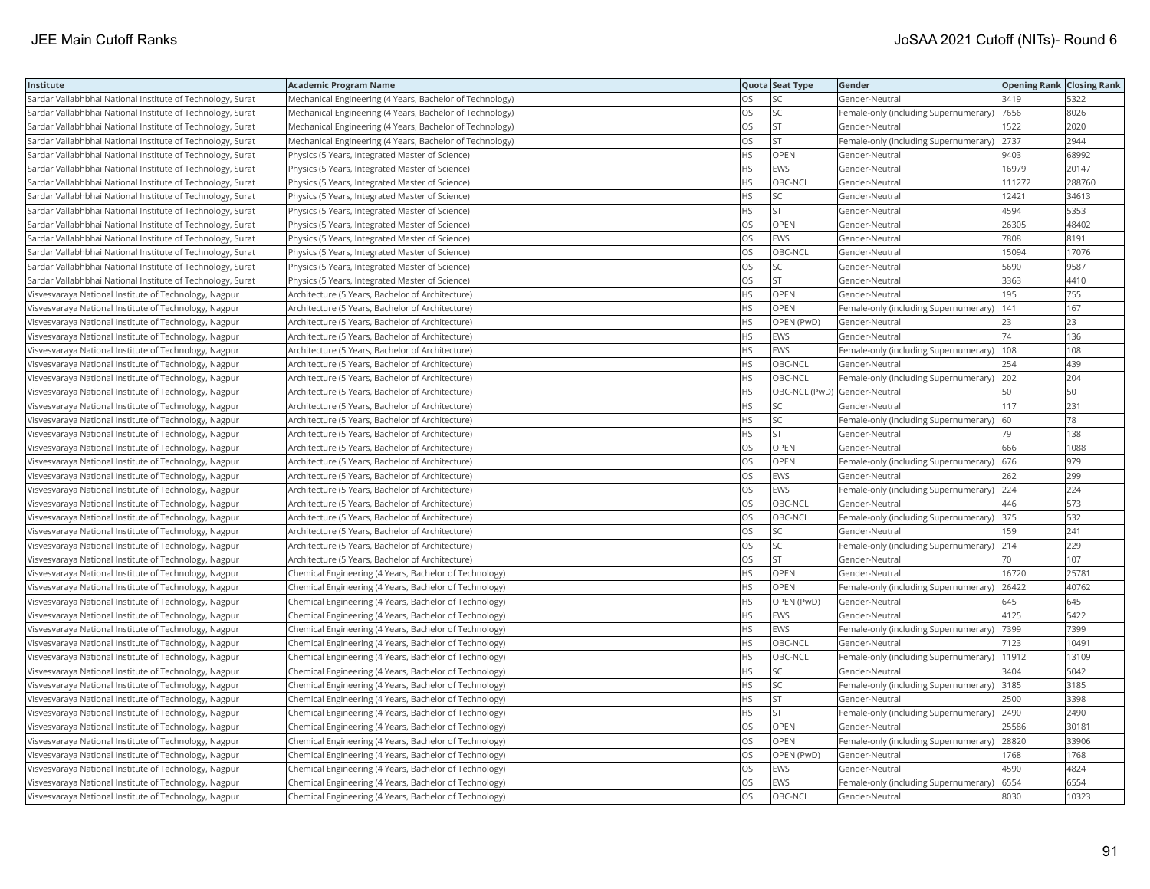| Institute                                                  | <b>Academic Program Name</b>                             |           | Quota Seat Type              | Gender                                        | <b>Opening Rank Closing Rank</b> |        |
|------------------------------------------------------------|----------------------------------------------------------|-----------|------------------------------|-----------------------------------------------|----------------------------------|--------|
| Sardar Vallabhbhai National Institute of Technology, Surat | Mechanical Engineering (4 Years, Bachelor of Technology) | OS        | SC.                          | Gender-Neutral                                | 3419                             | 5322   |
| Sardar Vallabhbhai National Institute of Technology, Surat | Mechanical Engineering (4 Years, Bachelor of Technology) | OS.       | <b>SC</b>                    | Female-only (including Supernumerary)         | 7656                             | 8026   |
| Sardar Vallabhbhai National Institute of Technology, Surat | Mechanical Engineering (4 Years, Bachelor of Technology) | OS        | <b>ST</b>                    | Gender-Neutral                                | 1522                             | 2020   |
| Sardar Vallabhbhai National Institute of Technology, Surat | Mechanical Engineering (4 Years, Bachelor of Technology) | OS        | <b>ST</b>                    | Female-only (including Supernumerary)         | 2737                             | 2944   |
| Sardar Vallabhbhai National Institute of Technology, Surat | Physics (5 Years, Integrated Master of Science)          | <b>HS</b> | <b>OPEN</b>                  | Gender-Neutral                                | 9403                             | 68992  |
| Sardar Vallabhbhai National Institute of Technology, Surat | Physics (5 Years, Integrated Master of Science)          | <b>HS</b> | EWS                          | Gender-Neutral                                | 16979                            | 20147  |
| Sardar Vallabhbhai National Institute of Technology, Surat | Physics (5 Years, Integrated Master of Science)          | <b>HS</b> | OBC-NCL                      | Gender-Neutral                                | 111272                           | 288760 |
| Sardar Vallabhbhai National Institute of Technology, Surat | Physics (5 Years, Integrated Master of Science)          | <b>HS</b> | lsc                          | Gender-Neutral                                | 12421                            | 34613  |
| Sardar Vallabhbhai National Institute of Technology, Surat | Physics (5 Years, Integrated Master of Science)          | HS        | <b>ST</b>                    | Gender-Neutral                                | 4594                             | 5353   |
| Sardar Vallabhbhai National Institute of Technology, Surat | Physics (5 Years, Integrated Master of Science)          | OS        | OPEN                         | Gender-Neutral                                | 26305                            | 48402  |
| Sardar Vallabhbhai National Institute of Technology, Surat | Physics (5 Years, Integrated Master of Science)          | OS        | <b>EWS</b>                   | Gender-Neutral                                | 7808                             | 8191   |
| Sardar Vallabhbhai National Institute of Technology, Surat | Physics (5 Years, Integrated Master of Science)          | <b>OS</b> | OBC-NCL                      | Gender-Neutral                                | 15094                            | 17076  |
| Sardar Vallabhbhai National Institute of Technology, Surat | Physics (5 Years, Integrated Master of Science)          | OS        | <b>SC</b>                    | Gender-Neutral                                | 5690                             | 9587   |
| Sardar Vallabhbhai National Institute of Technology, Surat | Physics (5 Years, Integrated Master of Science)          | OS        | <b>ST</b>                    | Gender-Neutral                                | 3363                             | 4410   |
| Visvesvaraya National Institute of Technology, Nagpur      | Architecture (5 Years, Bachelor of Architecture)         | <b>HS</b> | OPEN                         | Gender-Neutral                                | 195                              | 755    |
| Visvesvaraya National Institute of Technology, Nagpur      | Architecture (5 Years, Bachelor of Architecture)         | <b>HS</b> | <b>OPEN</b>                  | Female-only (including Supernumerary)         | 141                              | 167    |
| Visvesvaraya National Institute of Technology, Nagpur      | Architecture (5 Years, Bachelor of Architecture)         | HS        | OPEN (PwD)                   | Gender-Neutral                                | 23                               | 23     |
| Visvesvaraya National Institute of Technology, Nagpur      | Architecture (5 Years, Bachelor of Architecture)         | <b>HS</b> | <b>EWS</b>                   | Gender-Neutral                                | 74                               | 136    |
| Visvesvaraya National Institute of Technology, Nagpur      | Architecture (5 Years, Bachelor of Architecture)         | <b>HS</b> | <b>EWS</b>                   | Female-only (including Supernumerary)         | 108                              | 108    |
| Visvesvaraya National Institute of Technology, Nagpur      | Architecture (5 Years, Bachelor of Architecture)         | <b>HS</b> | OBC-NCL                      | Gender-Neutral                                | 254                              | 439    |
| Visvesvaraya National Institute of Technology, Nagpur      | Architecture (5 Years, Bachelor of Architecture)         | <b>HS</b> | OBC-NCL                      | Female-only (including Supernumerary)         | 202                              | 204    |
| Visvesvaraya National Institute of Technology, Nagpur      | Architecture (5 Years, Bachelor of Architecture)         | <b>HS</b> | OBC-NCL (PwD) Gender-Neutral |                                               | 50                               | 50     |
| Visvesvaraya National Institute of Technology, Nagpur      | Architecture (5 Years, Bachelor of Architecture)         | <b>HS</b> | SC                           | Gender-Neutral                                | 117                              | 231    |
| Visvesvaraya National Institute of Technology, Nagpur      | Architecture (5 Years, Bachelor of Architecture)         | <b>HS</b> | <b>SC</b>                    | Female-only (including Supernumerary)         | 60                               | 78     |
| Visvesvaraya National Institute of Technology, Nagpur      | Architecture (5 Years, Bachelor of Architecture)         | HS        | <b>ST</b>                    | Gender-Neutral                                | 79                               | 138    |
| Visvesvaraya National Institute of Technology, Nagpur      | Architecture (5 Years, Bachelor of Architecture)         | OS        | OPEN                         | Gender-Neutral                                | 666                              | 1088   |
| Visvesvaraya National Institute of Technology, Nagpur      | Architecture (5 Years, Bachelor of Architecture)         | OS        | OPEN                         | Female-only (including Supernumerary)         | 676                              | 979    |
| Visvesvaraya National Institute of Technology, Nagpur      | Architecture (5 Years, Bachelor of Architecture)         | <b>OS</b> | <b>EWS</b>                   | Gender-Neutral                                | 262                              | 299    |
| Visvesvaraya National Institute of Technology, Nagpur      | Architecture (5 Years, Bachelor of Architecture)         | OS        | <b>EWS</b>                   | Female-only (including Supernumerary)         | 224                              | 224    |
| Visvesvaraya National Institute of Technology, Nagpur      | Architecture (5 Years, Bachelor of Architecture)         | OS        | OBC-NCL                      | Gender-Neutral                                | 446                              | 573    |
| Visvesvaraya National Institute of Technology, Nagpur      | Architecture (5 Years, Bachelor of Architecture)         | OS        | OBC-NCL                      | Female-only (including Supernumerary) 375     |                                  | 532    |
| Visvesvaraya National Institute of Technology, Nagpur      | Architecture (5 Years, Bachelor of Architecture)         | OS        | <b>SC</b>                    | Gender-Neutral                                | 159                              | 241    |
| Visvesvaraya National Institute of Technology, Nagpur      | Architecture (5 Years, Bachelor of Architecture)         | <b>OS</b> | <b>SC</b>                    | Female-only (including Supernumerary)         | 214                              | 229    |
| Visvesvaraya National Institute of Technology, Nagpur      | Architecture (5 Years, Bachelor of Architecture)         | OS        | <b>ST</b>                    | Gender-Neutral                                | 70                               | 107    |
| Visvesvaraya National Institute of Technology, Nagpur      | Chemical Engineering (4 Years, Bachelor of Technology)   | <b>HS</b> | <b>OPEN</b>                  | Gender-Neutral                                | 16720                            | 25781  |
| Visvesvaraya National Institute of Technology, Nagpur      | Chemical Engineering (4 Years, Bachelor of Technology)   | <b>HS</b> | <b>OPEN</b>                  | Female-only (including Supernumerary)         | 26422                            | 40762  |
| Visvesvaraya National Institute of Technology, Nagpur      | Chemical Engineering (4 Years, Bachelor of Technology)   | HS        | OPEN (PwD)                   | Gender-Neutral                                | 645                              | 645    |
| Visvesvaraya National Institute of Technology, Nagpur      | Chemical Engineering (4 Years, Bachelor of Technology)   | <b>HS</b> | EWS                          | Gender-Neutral                                | 4125                             | 5422   |
| Visvesvaraya National Institute of Technology, Nagpur      | Chemical Engineering (4 Years, Bachelor of Technology)   | <b>HS</b> | <b>EWS</b>                   | Female-only (including Supernumerary)         | 7399                             | 7399   |
| Visvesvaraya National Institute of Technology, Nagpur      | Chemical Engineering (4 Years, Bachelor of Technology)   | <b>HS</b> | OBC-NCL                      | Gender-Neutral                                | 7123                             | 10491  |
| Visvesvaraya National Institute of Technology, Nagpur      | Chemical Engineering (4 Years, Bachelor of Technology)   | <b>HS</b> | OBC-NCL                      | Female-only (including Supernumerary)         | 11912                            | 13109  |
| Visvesvaraya National Institute of Technology, Nagpur      | Chemical Engineering (4 Years, Bachelor of Technology)   | <b>HS</b> | SC.                          | Gender-Neutral                                | 3404                             | 5042   |
| Visvesvaraya National Institute of Technology, Nagpur      | Chemical Engineering (4 Years, Bachelor of Technology)   | <b>HS</b> | <b>SC</b>                    | Female-only (including Supernumerary)         | 3185                             | 3185   |
| Visvesvaraya National Institute of Technology, Nagpur      | Chemical Engineering (4 Years, Bachelor of Technology)   | <b>HS</b> | lst                          | Gender-Neutral                                | 2500                             | 3398   |
| Visvesvaraya National Institute of Technology, Nagpur      | Chemical Engineering (4 Years, Bachelor of Technology)   | <b>HS</b> | <b>ST</b>                    | Female-only (including Supernumerary)         | 2490                             | 2490   |
| Visvesvaraya National Institute of Technology, Nagpur      | Chemical Engineering (4 Years, Bachelor of Technology)   | OS        | OPEN                         | Gender-Neutral                                | 25586                            | 30181  |
| Visvesvaraya National Institute of Technology, Nagpur      | Chemical Engineering (4 Years, Bachelor of Technology)   | OS.       | <b>OPEN</b>                  | Female-only (including Supernumerary)   28820 |                                  | 33906  |
| Visvesvaraya National Institute of Technology, Nagpur      | Chemical Engineering (4 Years, Bachelor of Technology)   | OS        | OPEN (PwD)                   | Gender-Neutral                                | 1768                             | 1768   |
| Visvesvaraya National Institute of Technology, Nagpur      | Chemical Engineering (4 Years, Bachelor of Technology)   | OS        | EWS                          | Gender-Neutral                                | 4590                             | 4824   |
| Visvesvaraya National Institute of Technology, Nagpur      | Chemical Engineering (4 Years, Bachelor of Technology)   | <b>OS</b> | <b>EWS</b>                   | Female-only (including Supernumerary)         | 6554                             | 6554   |
| Visvesvaraya National Institute of Technology, Nagpur      | Chemical Engineering (4 Years, Bachelor of Technology)   | <b>OS</b> | OBC-NCL                      | Gender-Neutral                                | 8030                             | 10323  |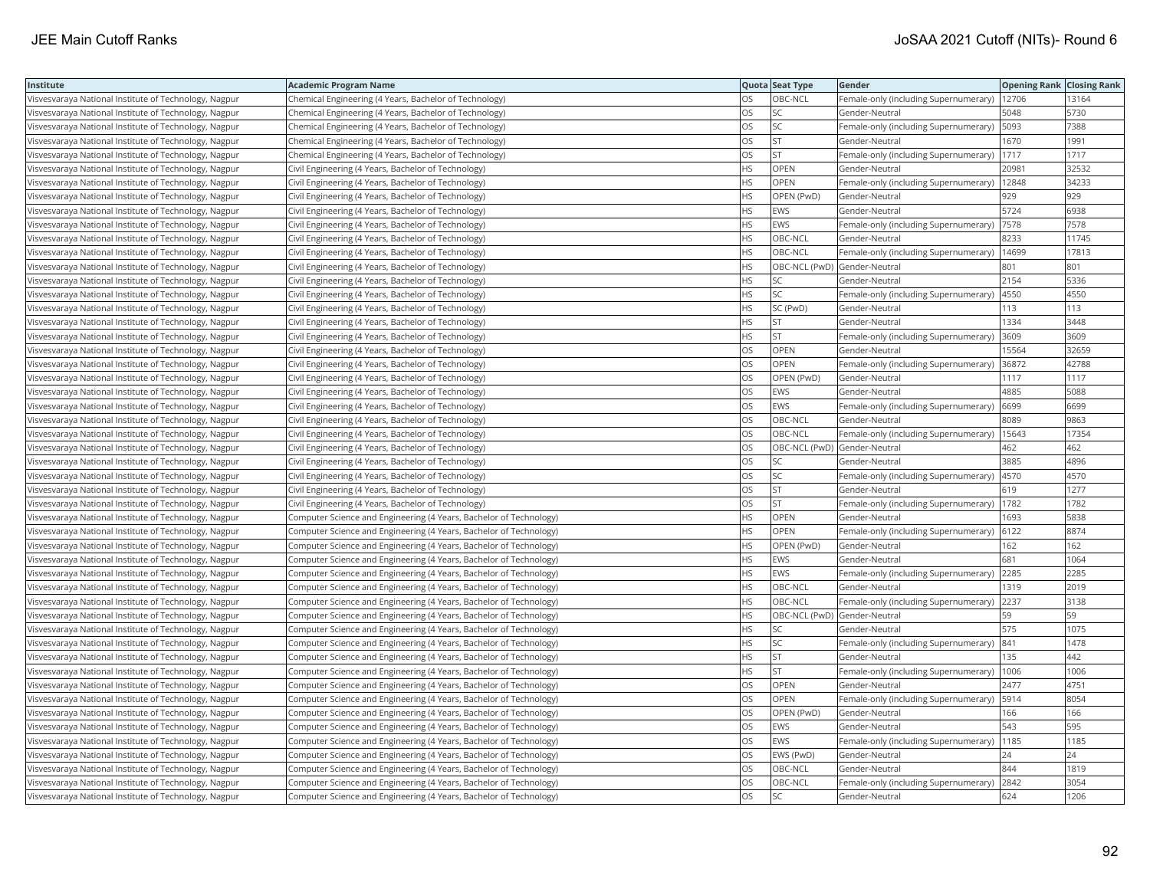| Institute                                             | <b>Academic Program Name</b>                                       |           | Quota Seat Type              | Gender                                      | <b>Opening Rank Closing Rank</b> |       |
|-------------------------------------------------------|--------------------------------------------------------------------|-----------|------------------------------|---------------------------------------------|----------------------------------|-------|
| Visvesvaraya National Institute of Technology, Nagpur | Chemical Engineering (4 Years, Bachelor of Technology)             | OS        | OBC-NCL                      | Female-only (including Supernumerary)       | 12706                            | 13164 |
| Visvesvaraya National Institute of Technology, Nagpur | Chemical Engineering (4 Years, Bachelor of Technology)             | OS.       | <b>SC</b>                    | Gender-Neutral                              | 5048                             | 5730  |
| Visvesvaraya National Institute of Technology, Nagpur | Chemical Engineering (4 Years, Bachelor of Technology)             | OS        | <b>SC</b>                    | Female-only (including Supernumerary)       | 5093                             | 7388  |
| Visvesvaraya National Institute of Technology, Nagpur | Chemical Engineering (4 Years, Bachelor of Technology)             | OS.       | <b>ST</b>                    | Gender-Neutral                              | 1670                             | 1991  |
| Visvesvaraya National Institute of Technology, Nagpur | Chemical Engineering (4 Years, Bachelor of Technology)             | OS.       | lst.                         | Female-only (including Supernumerary)       | 1717                             | 1717  |
| Visvesvaraya National Institute of Technology, Nagpur | Civil Engineering (4 Years, Bachelor of Technology)                | HS        | OPEN                         | Gender-Neutral                              | 20981                            | 32532 |
| Visvesvaraya National Institute of Technology, Nagpur | Civil Engineering (4 Years, Bachelor of Technology)                | ΗS        | OPEN                         | Female-only (including Supernumerary)       | 12848                            | 34233 |
| Visvesvaraya National Institute of Technology, Nagpur | Civil Engineering (4 Years, Bachelor of Technology)                | HS.       | OPEN (PwD)                   | Gender-Neutral                              | 929                              | 929   |
| Visvesvaraya National Institute of Technology, Nagpur | Civil Engineering (4 Years, Bachelor of Technology)                | НS        | EWS                          | Gender-Neutral                              | 5724                             | 6938  |
| Visvesvaraya National Institute of Technology, Nagpur | Civil Engineering (4 Years, Bachelor of Technology)                | HS        | <b>EWS</b>                   | Female-only (including Supernumerary)       | 7578                             | 7578  |
| Visvesvaraya National Institute of Technology, Nagpur | Civil Engineering (4 Years, Bachelor of Technology)                | HS.       | OBC-NCL                      | Gender-Neutral                              | 8233                             | 11745 |
| Visvesvaraya National Institute of Technology, Nagpur | Civil Engineering (4 Years, Bachelor of Technology)                | HS.       | OBC-NCL                      | Female-only (including Supernumerary)       | 14699                            | 17813 |
| Visvesvaraya National Institute of Technology, Nagpur | Civil Engineering (4 Years, Bachelor of Technology)                | HS        | OBC-NCL (PwD) Gender-Neutral |                                             | 801                              | 801   |
| Visvesvaraya National Institute of Technology, Nagpur | Civil Engineering (4 Years, Bachelor of Technology)                | HS        | <b>SC</b>                    | Gender-Neutral                              | 2154                             | 5336  |
| Visvesvaraya National Institute of Technology, Nagpur | Civil Engineering (4 Years, Bachelor of Technology)                | HS        | <b>SC</b>                    | Female-only (including Supernumerary)  4550 |                                  | 4550  |
| Visvesvaraya National Institute of Technology, Nagpur | Civil Engineering (4 Years, Bachelor of Technology)                | ΗS        | SC (PwD)                     | Gender-Neutral                              | 113                              | 113   |
| Visvesvaraya National Institute of Technology, Nagpur | Civil Engineering (4 Years, Bachelor of Technology)                | HS.       | <b>ST</b>                    | Gender-Neutral                              | 1334                             | 3448  |
| Visvesvaraya National Institute of Technology, Nagpur | Civil Engineering (4 Years, Bachelor of Technology)                | HS        | <b>ST</b>                    | Female-only (including Supernumerary)       | 3609                             | 3609  |
| Visvesvaraya National Institute of Technology, Nagpur | Civil Engineering (4 Years, Bachelor of Technology)                | OS        | OPEN                         | Gender-Neutral                              | 15564                            | 32659 |
| Visvesvaraya National Institute of Technology, Nagpur | Civil Engineering (4 Years, Bachelor of Technology)                | OS.       | <b>OPEN</b>                  | Female-only (including Supernumerary)       | 36872                            | 42788 |
| Visvesvaraya National Institute of Technology, Nagpur | Civil Engineering (4 Years, Bachelor of Technology)                | OS        | OPEN (PwD)                   | Gender-Neutral                              | 1117                             | 1117  |
| Visvesvaraya National Institute of Technology, Nagpur | Civil Engineering (4 Years, Bachelor of Technology)                | OS        | EWS                          | Gender-Neutral                              | 4885                             | 5088  |
| Visvesvaraya National Institute of Technology, Nagpur | Civil Engineering (4 Years, Bachelor of Technology)                | OS        | EWS                          | Female-only (including Supernumerary)       | 6699                             | 6699  |
| Visvesvaraya National Institute of Technology, Nagpur | Civil Engineering (4 Years, Bachelor of Technology)                | OS.       | OBC-NCL                      | Gender-Neutral                              | 8089                             | 9863  |
| Visvesvaraya National Institute of Technology, Nagpur | Civil Engineering (4 Years, Bachelor of Technology)                | OS        | OBC-NCL                      | Female-only (including Supernumerary)       | 15643                            | 17354 |
| Visvesvaraya National Institute of Technology, Nagpur | Civil Engineering (4 Years, Bachelor of Technology)                | OS.       | OBC-NCL (PwD) Gender-Neutral |                                             | 462                              | 462   |
| Visvesvaraya National Institute of Technology, Nagpur | Civil Engineering (4 Years, Bachelor of Technology)                | OS        | <b>SC</b>                    | Gender-Neutral                              | 3885                             | 4896  |
| Visvesvaraya National Institute of Technology, Nagpur | Civil Engineering (4 Years, Bachelor of Technology)                | OS        | <b>SC</b>                    | Female-only (including Supernumerary)       | 4570                             | 4570  |
| Visvesvaraya National Institute of Technology, Nagpur | Civil Engineering (4 Years, Bachelor of Technology)                | OS.       | <b>ST</b>                    | Gender-Neutral                              | 619                              | 1277  |
| Visvesvaraya National Institute of Technology, Nagpur | Civil Engineering (4 Years, Bachelor of Technology)                | OS        | <b>ST</b>                    | Female-only (including Supernumerary)       | 1782                             | 1782  |
| Visvesvaraya National Institute of Technology, Nagpur | Computer Science and Engineering (4 Years, Bachelor of Technology) | HS        | OPEN                         | Gender-Neutral                              | 1693                             | 5838  |
| Visvesvaraya National Institute of Technology, Nagpur | Computer Science and Engineering (4 Years, Bachelor of Technology) | HS.       | <b>OPEN</b>                  | Female-only (including Supernumerary)       | 6122                             | 8874  |
| Visvesvaraya National Institute of Technology, Nagpur | Computer Science and Engineering (4 Years, Bachelor of Technology) | HS        | OPEN (PwD)                   | Gender-Neutral                              | 162                              | 162   |
| Visvesvaraya National Institute of Technology, Nagpur | Computer Science and Engineering (4 Years, Bachelor of Technology) | HS        | EWS                          | Gender-Neutral                              | 681                              | 1064  |
| Visvesvaraya National Institute of Technology, Nagpur | Computer Science and Engineering (4 Years, Bachelor of Technology) | HS.       | EWS                          | Female-only (including Supernumerary)       | 2285                             | 2285  |
| Visvesvaraya National Institute of Technology, Nagpur | Computer Science and Engineering (4 Years, Bachelor of Technology) | HS.       | OBC-NCL                      | Gender-Neutral                              | 1319                             | 2019  |
| Visvesvaraya National Institute of Technology, Nagpur | Computer Science and Engineering (4 Years, Bachelor of Technology) | HS        | OBC-NCL                      | Female-only (including Supernumerary)       | 2237                             | 3138  |
| Visvesvaraya National Institute of Technology, Nagpur | Computer Science and Engineering (4 Years, Bachelor of Technology) | HS        | OBC-NCL (PwD) Gender-Neutral |                                             | 59                               | 59    |
| Visvesvaraya National Institute of Technology, Nagpur | Computer Science and Engineering (4 Years, Bachelor of Technology) | HS        | SC                           | Gender-Neutral                              | 575                              | 1075  |
| Visvesvaraya National Institute of Technology, Nagpur | Computer Science and Engineering (4 Years, Bachelor of Technology) | HS        | SC                           | Female-only (including Supernumerary)       | 841                              | 1478  |
| Visvesvaraya National Institute of Technology, Nagpur | Computer Science and Engineering (4 Years, Bachelor of Technology) | HS        | <b>ST</b>                    | Gender-Neutral                              | 135                              | 442   |
| Visvesvaraya National Institute of Technology, Nagpur | Computer Science and Engineering (4 Years, Bachelor of Technology) | HS        | <b>ST</b>                    | Female-only (including Supernumerary)       | 1006                             | 1006  |
| Visvesvaraya National Institute of Technology, Nagpur | Computer Science and Engineering (4 Years, Bachelor of Technology) | OS        | OPEN                         | Gender-Neutral                              | 2477                             | 4751  |
| Visvesvaraya National Institute of Technology, Nagpur | Computer Science and Engineering (4 Years, Bachelor of Technology) | OS.       | <b>OPEN</b>                  | Female-only (including Supernumerary)       | 5914                             | 8054  |
| Visvesvaraya National Institute of Technology, Nagpur | Computer Science and Engineering (4 Years, Bachelor of Technology) | OS        | OPEN (PwD)                   | Gender-Neutral                              | 166                              | 166   |
| Visvesvaraya National Institute of Technology, Nagpur | Computer Science and Engineering (4 Years, Bachelor of Technology) | OS        | EWS                          | Gender-Neutral                              | 543                              | 595   |
| Visvesvaraya National Institute of Technology, Nagpur | Computer Science and Engineering (4 Years, Bachelor of Technology) | OS.       | <b>EWS</b>                   | Female-only (including Supernumerary)       | 1185                             | 1185  |
| Visvesvaraya National Institute of Technology, Nagpur | Computer Science and Engineering (4 Years, Bachelor of Technology) | OS        | EWS (PwD)                    | Gender-Neutral                              |                                  | 24    |
| Visvesvaraya National Institute of Technology, Nagpur | Computer Science and Engineering (4 Years, Bachelor of Technology) | OS        | OBC-NCL                      | Gender-Neutral                              | 844                              | 1819  |
| Visvesvaraya National Institute of Technology, Nagpur | Computer Science and Engineering (4 Years, Bachelor of Technology) | OS        | OBC-NCL                      | Female-only (including Supernumerary)       | 2842                             | 3054  |
| Visvesvaraya National Institute of Technology, Nagpur | Computer Science and Engineering (4 Years, Bachelor of Technology) | <b>OS</b> | <b>SC</b>                    | Gender-Neutral                              | 624                              | 1206  |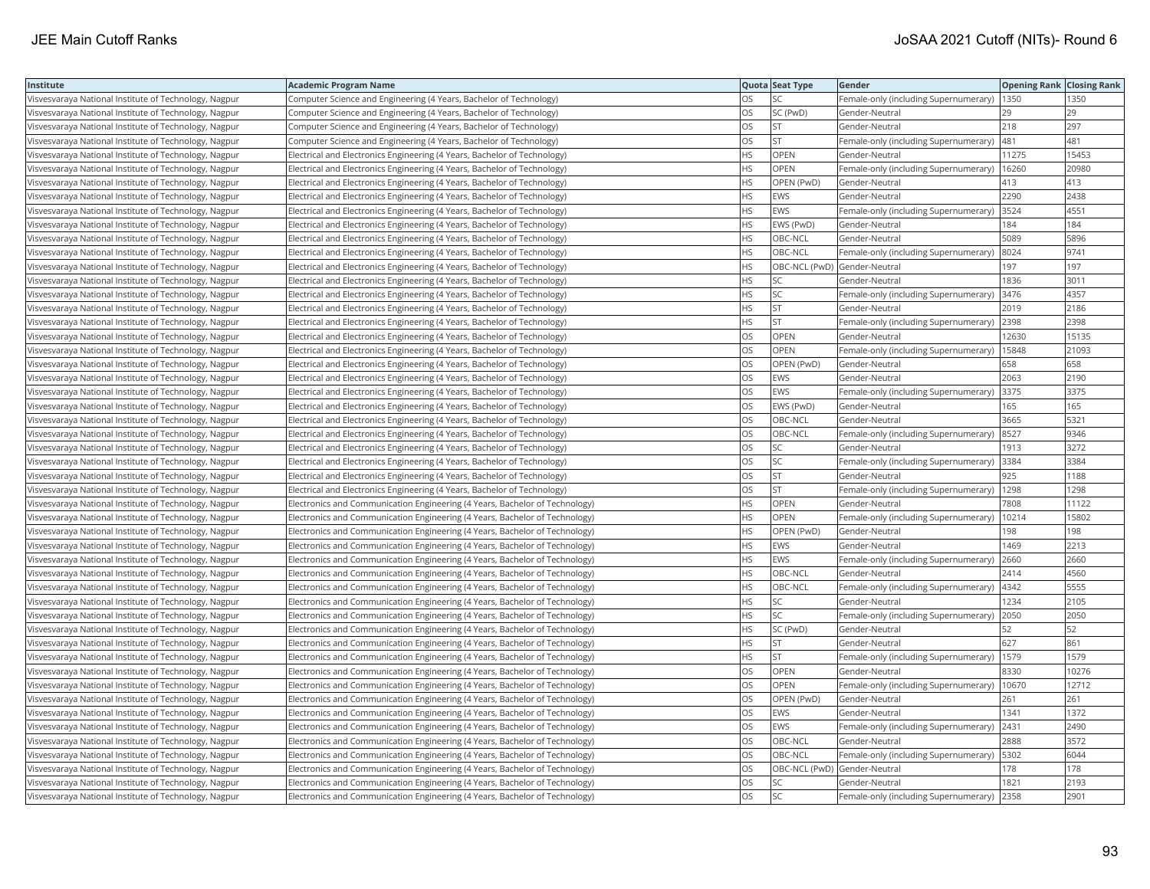| Institute                                             | <b>Academic Program Name</b>                                                |           | Quota Seat Type              | Gender                                        | <b>Opening Rank   Closing Rank</b> |       |
|-------------------------------------------------------|-----------------------------------------------------------------------------|-----------|------------------------------|-----------------------------------------------|------------------------------------|-------|
| Visvesvaraya National Institute of Technology, Nagpur | Computer Science and Engineering (4 Years, Bachelor of Technology)          | OS        | SC                           | Female-only (including Supernumerary)         | 1350                               | 1350  |
| Visvesvaraya National Institute of Technology, Nagpur | Computer Science and Engineering (4 Years, Bachelor of Technology)          | OS        | SC (PwD)                     | Gender-Neutral                                | 29                                 | 29    |
| Visvesvaraya National Institute of Technology, Nagpur | Computer Science and Engineering (4 Years, Bachelor of Technology)          | OS.       | lst.                         | Gender-Neutral                                | 218                                | 297   |
| Visvesvaraya National Institute of Technology, Nagpur | Computer Science and Engineering (4 Years, Bachelor of Technology)          | OS        | <b>ST</b>                    | Female-only (including Supernumerary)         | 481                                | 481   |
| Visvesvaraya National Institute of Technology, Nagpur | Electrical and Electronics Engineering (4 Years, Bachelor of Technology)    | HS        | <b>OPEN</b>                  | Gender-Neutral                                | 11275                              | 15453 |
| Visvesvaraya National Institute of Technology, Nagpur | Electrical and Electronics Engineering (4 Years, Bachelor of Technology)    | HS        | OPEN                         | Female-only (including Supernumerary)         | 16260                              | 20980 |
| Visvesvaraya National Institute of Technology, Nagpur | Electrical and Electronics Engineering (4 Years, Bachelor of Technology)    | ΗS        | OPEN (PwD)                   | Gender-Neutral                                | 413                                | 413   |
| Visvesvaraya National Institute of Technology, Nagpur | Electrical and Electronics Engineering (4 Years, Bachelor of Technology)    | HS        | EWS                          | Gender-Neutral                                | 2290                               | 2438  |
| Visvesvaraya National Institute of Technology, Nagpur | Electrical and Electronics Engineering (4 Years, Bachelor of Technology)    | HS        | EWS                          | Female-only (including Supernumerary)         | 3524                               | 4551  |
| Visvesvaraya National Institute of Technology, Nagpur | Electrical and Electronics Engineering (4 Years, Bachelor of Technology)    | HS        | EWS (PwD)                    | Gender-Neutral                                | 184                                | 184   |
| Visvesvaraya National Institute of Technology, Nagpur | Electrical and Electronics Engineering (4 Years, Bachelor of Technology)    | HS        | OBC-NCL                      | Gender-Neutral                                | 5089                               | 5896  |
| Visvesvaraya National Institute of Technology, Nagpur | Electrical and Electronics Engineering (4 Years, Bachelor of Technology)    | HS        | OBC-NCL                      | Female-only (including Supernumerary)         | 8024                               | 9741  |
| Visvesvaraya National Institute of Technology, Nagpur | Electrical and Electronics Engineering (4 Years, Bachelor of Technology)    | HS.       | OBC-NCL (PwD) Gender-Neutral |                                               | 197                                | 197   |
| Visvesvaraya National Institute of Technology, Nagpur | Electrical and Electronics Engineering (4 Years, Bachelor of Technology)    | НS        | <b>SC</b>                    | Gender-Neutral                                | 1836                               | 3011  |
| Visvesvaraya National Institute of Technology, Nagpur | Electrical and Electronics Engineering (4 Years, Bachelor of Technology)    | НS        | <b>SC</b>                    | Female-only (including Supernumerary)         | 3476                               | 4357  |
| Visvesvaraya National Institute of Technology, Nagpur | Electrical and Electronics Engineering (4 Years, Bachelor of Technology)    | HS        | <b>ST</b>                    | Gender-Neutral                                | 2019                               | 2186  |
| Visvesvaraya National Institute of Technology, Nagpur | Electrical and Electronics Engineering (4 Years, Bachelor of Technology)    | HS        | <b>ST</b>                    | Female-only (including Supernumerary)         | 2398                               | 2398  |
| Visvesvaraya National Institute of Technology, Nagpur | Electrical and Electronics Engineering (4 Years, Bachelor of Technology)    | OS        | OPEN                         | Gender-Neutral                                | 12630                              | 15135 |
| Visvesvaraya National Institute of Technology, Nagpur | Electrical and Electronics Engineering (4 Years, Bachelor of Technology)    | OS.       | OPEN                         | Female-only (including Supernumerary)         | 15848                              | 21093 |
| Visvesvaraya National Institute of Technology, Nagpur | Electrical and Electronics Engineering (4 Years, Bachelor of Technology)    | OS        | OPEN (PwD)                   | Gender-Neutral                                | 658                                | 658   |
| Visvesvaraya National Institute of Technology, Nagpur | Electrical and Electronics Engineering (4 Years, Bachelor of Technology)    | OS        | <b>EWS</b>                   | Gender-Neutral                                | 2063                               | 2190  |
| Visvesvaraya National Institute of Technology, Nagpur | Electrical and Electronics Engineering (4 Years, Bachelor of Technology)    | OS        | EWS                          | Female-only (including Supernumerary)         | 3375                               | 3375  |
| Visvesvaraya National Institute of Technology, Nagpur | Electrical and Electronics Engineering (4 Years, Bachelor of Technology)    | OS        | EWS (PwD)                    | Gender-Neutral                                | 165                                | 165   |
| Visvesvaraya National Institute of Technology, Nagpur | Electrical and Electronics Engineering (4 Years, Bachelor of Technology)    | OS.       | OBC-NCL                      | Gender-Neutral                                | 3665                               | 5321  |
| Visvesvaraya National Institute of Technology, Nagpur | Electrical and Electronics Engineering (4 Years, Bachelor of Technology)    | OS        | OBC-NCL                      | Female-only (including Supernumerary)         | 8527                               | 9346  |
| Visvesvaraya National Institute of Technology, Nagpur | Electrical and Electronics Engineering (4 Years, Bachelor of Technology)    | OS        | <b>SC</b>                    | Gender-Neutral                                | 1913                               | 3272  |
| Visvesvaraya National Institute of Technology, Nagpur | Electrical and Electronics Engineering (4 Years, Bachelor of Technology)    | OS        | <b>SC</b>                    | Female-only (including Supernumerary)         | 3384                               | 3384  |
| Visvesvaraya National Institute of Technology, Nagpur | Electrical and Electronics Engineering (4 Years, Bachelor of Technology)    | OS        | <b>ST</b>                    | Gender-Neutral                                | 925                                | 1188  |
| Visvesvaraya National Institute of Technology, Nagpur | Electrical and Electronics Engineering (4 Years, Bachelor of Technology)    | OS        | lst.                         | Female-only (including Supernumerary)         | 1298                               | 1298  |
| Visvesvaraya National Institute of Technology, Nagpur | Electronics and Communication Engineering (4 Years, Bachelor of Technology) | НS        | OPEN                         | Gender-Neutral                                | 7808                               | 11122 |
| Visvesvaraya National Institute of Technology, Nagpur | Electronics and Communication Engineering (4 Years, Bachelor of Technology) | HS.       | <b>OPEN</b>                  | Female-only (including Supernumerary)   10214 |                                    | 15802 |
| Visvesvaraya National Institute of Technology, Nagpur | Electronics and Communication Engineering (4 Years, Bachelor of Technology) | HS        | OPEN (PwD)                   | Gender-Neutral                                | 198                                | 198   |
| Visvesvaraya National Institute of Technology, Nagpur | Electronics and Communication Engineering (4 Years, Bachelor of Technology) | HS        | EWS                          | Gender-Neutral                                | 1469                               | 2213  |
| Visvesvaraya National Institute of Technology, Nagpur | Electronics and Communication Engineering (4 Years, Bachelor of Technology) | HS.       | EWS                          | Female-only (including Supernumerary)         | 2660                               | 2660  |
| Visvesvaraya National Institute of Technology, Nagpur | Electronics and Communication Engineering (4 Years, Bachelor of Technology) | HS        | OBC-NCL                      | Gender-Neutral                                | 2414                               | 4560  |
| Visvesvaraya National Institute of Technology, Nagpur | Electronics and Communication Engineering (4 Years, Bachelor of Technology) | HS        | OBC-NCL                      | Female-only (including Supernumerary)         | 4342                               | 5555  |
| Visvesvaraya National Institute of Technology, Nagpur | Electronics and Communication Engineering (4 Years, Bachelor of Technology) | HS        | SC                           | Gender-Neutral                                | 1234                               | 2105  |
| Visvesvaraya National Institute of Technology, Nagpur | Electronics and Communication Engineering (4 Years, Bachelor of Technology) | HS        | <b>SC</b>                    | Female-only (including Supernumerary)         | 2050                               | 2050  |
| Visvesvaraya National Institute of Technology, Nagpur | Electronics and Communication Engineering (4 Years, Bachelor of Technology) | ΗS        | SC (PwD)                     | Gender-Neutral                                | 52                                 | 52    |
| Visvesvaraya National Institute of Technology, Nagpur | Electronics and Communication Engineering (4 Years, Bachelor of Technology) | HS.       | <b>ST</b>                    | Gender-Neutral                                | 627                                | 861   |
| Visvesvaraya National Institute of Technology, Nagpur | Electronics and Communication Engineering (4 Years, Bachelor of Technology) | ΗS        | <b>ST</b>                    | Female-only (including Supernumerary)         | 1579                               | 1579  |
| Visvesvaraya National Institute of Technology, Nagpur | Electronics and Communication Engineering (4 Years, Bachelor of Technology) | OS        | OPEN                         | Gender-Neutral                                | 8330                               | 10276 |
| Visvesvaraya National Institute of Technology, Nagpur | Electronics and Communication Engineering (4 Years, Bachelor of Technology) | OS        | <b>OPEN</b>                  | Female-only (including Supernumerary)         | 10670                              | 12712 |
| Visvesvaraya National Institute of Technology, Nagpur | Electronics and Communication Engineering (4 Years, Bachelor of Technology) | OS        | OPEN (PwD)                   | Gender-Neutral                                | 261                                | 261   |
| Visvesvaraya National Institute of Technology, Nagpur | Electronics and Communication Engineering (4 Years, Bachelor of Technology) | OS.       | <b>EWS</b>                   | Gender-Neutral                                | 1341                               | 1372  |
| Visvesvaraya National Institute of Technology, Nagpur | Electronics and Communication Engineering (4 Years, Bachelor of Technology) | OS        | EWS                          | Female-only (including Supernumerary)         | 2431                               | 2490  |
| Visvesvaraya National Institute of Technology, Nagpur | Electronics and Communication Engineering (4 Years, Bachelor of Technology) | OS.       | OBC-NCL                      | Gender-Neutral                                | 2888                               | 3572  |
| Visvesvaraya National Institute of Technology, Nagpur | Electronics and Communication Engineering (4 Years, Bachelor of Technology) | OS        | OBC-NCL                      | Female-only (including Supernumerary)         | 5302                               | 6044  |
| Visvesvaraya National Institute of Technology, Nagpur | Electronics and Communication Engineering (4 Years, Bachelor of Technology) | OS        | OBC-NCL (PwD) Gender-Neutral |                                               | 178                                | 178   |
| Visvesvaraya National Institute of Technology, Nagpur | Electronics and Communication Engineering (4 Years, Bachelor of Technology) | OS.       | SC                           | Gender-Neutral                                | 1821                               | 2193  |
| Visvesvaraya National Institute of Technology, Nagpur | Electronics and Communication Engineering (4 Years, Bachelor of Technology) | <b>OS</b> | <b>SC</b>                    | Female-only (including Supernumerary)         | 2358                               | 2901  |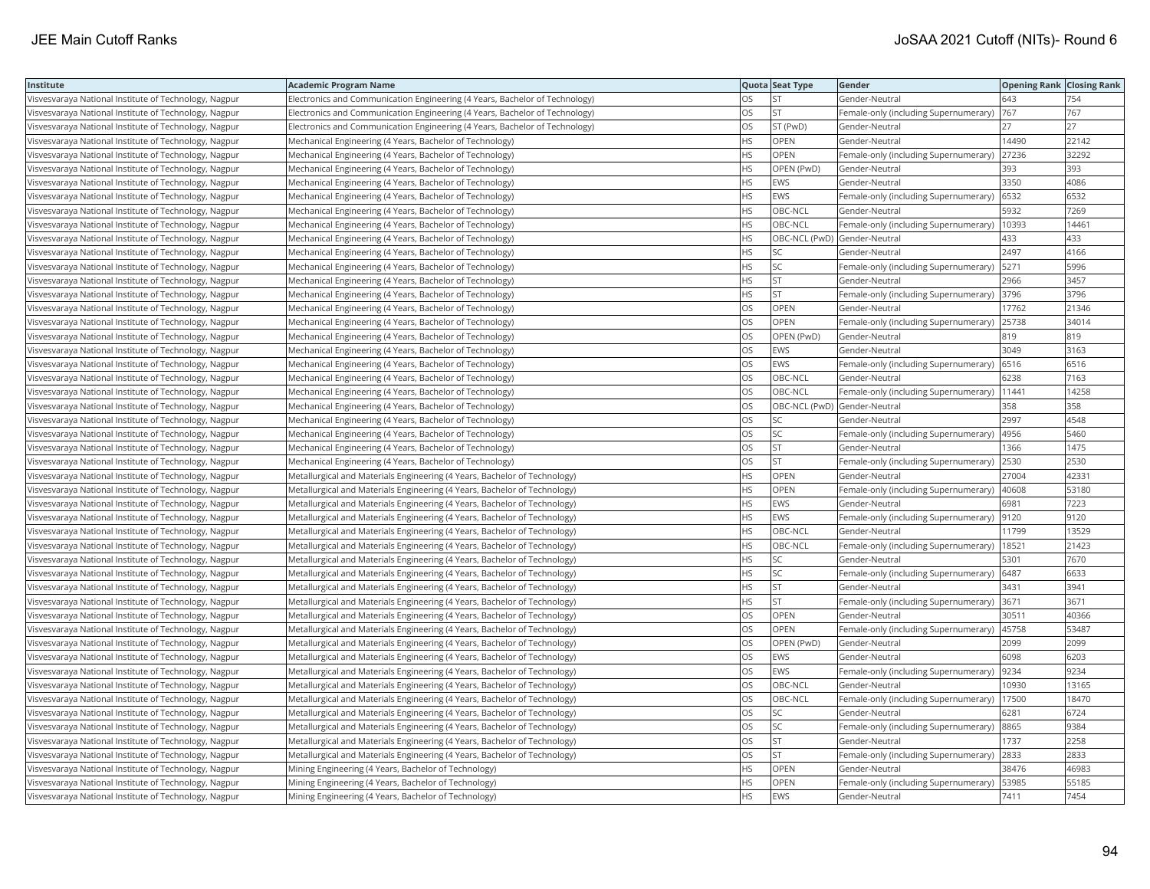| Institute                                             | <b>Academic Program Name</b>                                                |           | Quota Seat Type              | Gender                                     | <b>Opening Rank   Closing Rank</b> |       |
|-------------------------------------------------------|-----------------------------------------------------------------------------|-----------|------------------------------|--------------------------------------------|------------------------------------|-------|
| Visvesvaraya National Institute of Technology, Nagpur | Electronics and Communication Engineering (4 Years, Bachelor of Technology) | OS        | <b>ST</b>                    | Gender-Neutral                             | 643                                | 754   |
| Visvesvaraya National Institute of Technology, Nagpur | Electronics and Communication Engineering (4 Years, Bachelor of Technology) | OS.       | <b>ST</b>                    | Female-only (including Supernumerary)      | 767                                | 767   |
| Visvesvaraya National Institute of Technology, Nagpur | Electronics and Communication Engineering (4 Years, Bachelor of Technology) | OS.       | ST (PwD)                     | Gender-Neutral                             | 27                                 | 27    |
| Visvesvaraya National Institute of Technology, Nagpur | Mechanical Engineering (4 Years, Bachelor of Technology)                    | HS        | OPEN                         | Gender-Neutral                             | 14490                              | 22142 |
| Visvesvaraya National Institute of Technology, Nagpur | Mechanical Engineering (4 Years, Bachelor of Technology)                    | HS        | <b>OPEN</b>                  | Female-only (including Supernumerary)      | 27236                              | 32292 |
| Visvesvaraya National Institute of Technology, Nagpur | Mechanical Engineering (4 Years, Bachelor of Technology)                    | HS        | OPEN (PwD)                   | Gender-Neutral                             | 393                                | 393   |
| Visvesvaraya National Institute of Technology, Nagpur | Mechanical Engineering (4 Years, Bachelor of Technology)                    | HS        | <b>EWS</b>                   | Gender-Neutral                             | 3350                               | 4086  |
| Visvesvaraya National Institute of Technology, Nagpur | Mechanical Engineering (4 Years, Bachelor of Technology)                    | HS        | EWS                          | Female-only (including Supernumerary)      | 6532                               | 6532  |
| Visvesvaraya National Institute of Technology, Nagpur | Mechanical Engineering (4 Years, Bachelor of Technology)                    | HS        | OBC-NCL                      | Gender-Neutral                             | 5932                               | 7269  |
| Visvesvaraya National Institute of Technology, Nagpur | Mechanical Engineering (4 Years, Bachelor of Technology)                    | HS.       | OBC-NCL                      | Female-only (including Supernumerary)      | 10393                              | 14461 |
| Visvesvaraya National Institute of Technology, Nagpur | Mechanical Engineering (4 Years, Bachelor of Technology)                    | HS.       | OBC-NCL (PwD) Gender-Neutral |                                            | 433                                | 433   |
| Visvesvaraya National Institute of Technology, Nagpur | Mechanical Engineering (4 Years, Bachelor of Technology)                    | HS        | SC                           | Gender-Neutral                             | 2497                               | 4166  |
| Visvesvaraya National Institute of Technology, Nagpur | Mechanical Engineering (4 Years, Bachelor of Technology)                    | HS.       | <b>SC</b>                    | Female-only (including Supernumerary)      | 5271                               | 5996  |
| Visvesvaraya National Institute of Technology, Nagpur | Mechanical Engineering (4 Years, Bachelor of Technology)                    | HS        | <b>ST</b>                    | Gender-Neutral                             | 2966                               | 3457  |
| Visvesvaraya National Institute of Technology, Nagpur | Mechanical Engineering (4 Years, Bachelor of Technology)                    | HS        | <b>ST</b>                    | Female-only (including Supernumerary)      | 3796                               | 3796  |
| Visvesvaraya National Institute of Technology, Nagpur | Mechanical Engineering (4 Years, Bachelor of Technology)                    | OS.       | <b>OPEN</b>                  | Gender-Neutral                             | 17762                              | 21346 |
| Visvesvaraya National Institute of Technology, Nagpur | Mechanical Engineering (4 Years, Bachelor of Technology)                    | OS        | <b>OPEN</b>                  | Female-only (including Supernumerary)      | 25738                              | 34014 |
| Visvesvaraya National Institute of Technology, Nagpur | Mechanical Engineering (4 Years, Bachelor of Technology)                    | OS        | OPEN (PwD)                   | Gender-Neutral                             | 819                                | 819   |
| Visvesvaraya National Institute of Technology, Nagpur | Mechanical Engineering (4 Years, Bachelor of Technology)                    | OS.       | <b>EWS</b>                   | Gender-Neutral                             | 3049                               | 3163  |
| Visvesvaraya National Institute of Technology, Nagpur | Mechanical Engineering (4 Years, Bachelor of Technology)                    | OS        | <b>EWS</b>                   | Female-only (including Supernumerary)      | 6516                               | 6516  |
| Visvesvaraya National Institute of Technology, Nagpur | Mechanical Engineering (4 Years, Bachelor of Technology)                    | OS        | OBC-NCL                      | Gender-Neutral                             | 6238                               | 7163  |
| Visvesvaraya National Institute of Technology, Nagpur | Mechanical Engineering (4 Years, Bachelor of Technology)                    | OS        | OBC-NCL                      | Female-only (including Supernumerary)      | 11441                              | 14258 |
| Visvesvaraya National Institute of Technology, Nagpur | Mechanical Engineering (4 Years, Bachelor of Technology)                    | OS        | OBC-NCL (PwD) Gender-Neutral |                                            | 358                                | 358   |
| Visvesvaraya National Institute of Technology, Nagpur | Mechanical Engineering (4 Years, Bachelor of Technology)                    | OS        | SC                           | Gender-Neutral                             | 2997                               | 4548  |
| Visvesvaraya National Institute of Technology, Nagpur | Mechanical Engineering (4 Years, Bachelor of Technology)                    | OS        | <b>SC</b>                    | Female-only (including Supernumerary)      | 4956                               | 5460  |
| Visvesvaraya National Institute of Technology, Nagpur | Mechanical Engineering (4 Years, Bachelor of Technology)                    | OS        | <b>ST</b>                    | Gender-Neutral                             | 1366                               | 1475  |
| Visvesvaraya National Institute of Technology, Nagpur | Mechanical Engineering (4 Years, Bachelor of Technology)                    | OS.       | lst.                         | Female-only (including Supernumerary)      | 2530                               | 2530  |
| Visvesvaraya National Institute of Technology, Nagpur | Metallurgical and Materials Engineering (4 Years, Bachelor of Technology)   | HS        | <b>OPEN</b>                  | Gender-Neutral                             | 27004                              | 42331 |
| Visvesvaraya National Institute of Technology, Nagpur | Metallurgical and Materials Engineering (4 Years, Bachelor of Technology)   | HS        | <b>OPEN</b>                  | Female-only (including Supernumerary)      | 40608                              | 53180 |
| Visvesvaraya National Institute of Technology, Nagpur | Metallurgical and Materials Engineering (4 Years, Bachelor of Technology)   | HS        | <b>EWS</b>                   | Gender-Neutral                             | 6981                               | 7223  |
| Visvesvaraya National Institute of Technology, Nagpur | Metallurgical and Materials Engineering (4 Years, Bachelor of Technology)   | HS        | <b>EWS</b>                   | Female-only (including Supernumerary)      | 9120                               | 9120  |
| Visvesvaraya National Institute of Technology, Nagpur | Metallurgical and Materials Engineering (4 Years, Bachelor of Technology)   | HS        | OBC-NCL                      | Gender-Neutral                             | 11799                              | 13529 |
| Visvesvaraya National Institute of Technology, Nagpur | Metallurgical and Materials Engineering (4 Years, Bachelor of Technology)   | HS        | OBC-NCL                      | Female-only (including Supernumerary)      | 18521                              | 21423 |
| Visvesvaraya National Institute of Technology, Nagpur | Metallurgical and Materials Engineering (4 Years, Bachelor of Technology)   | HS        | <b>SC</b>                    | Gender-Neutral                             | 5301                               | 7670  |
| Visvesvaraya National Institute of Technology, Nagpur | Metallurgical and Materials Engineering (4 Years, Bachelor of Technology)   | HS        | <b>SC</b>                    | Female-only (including Supernumerary)      | 6487                               | 6633  |
| Visvesvaraya National Institute of Technology, Nagpur | Metallurgical and Materials Engineering (4 Years, Bachelor of Technology)   | HS        | <b>ST</b>                    | Gender-Neutral                             | 3431                               | 3941  |
| Visvesvaraya National Institute of Technology, Nagpur | Metallurgical and Materials Engineering (4 Years, Bachelor of Technology)   | HS        | <b>ST</b>                    | Female-only (including Supernumerary) 3671 |                                    | 3671  |
| Visvesvaraya National Institute of Technology, Nagpur | Metallurgical and Materials Engineering (4 Years, Bachelor of Technology)   | OS        | OPEN                         | Gender-Neutral                             | 30511                              | 40366 |
| Visvesvaraya National Institute of Technology, Nagpur | Metallurgical and Materials Engineering (4 Years, Bachelor of Technology)   | OS.       | <b>OPEN</b>                  | Female-only (including Supernumerary)      | 45758                              | 53487 |
| Visvesvaraya National Institute of Technology, Nagpur | Metallurgical and Materials Engineering (4 Years, Bachelor of Technology)   | OS        | OPEN (PwD)                   | Gender-Neutral                             | 2099                               | 2099  |
| Visvesvaraya National Institute of Technology, Nagpur | Metallurgical and Materials Engineering (4 Years, Bachelor of Technology)   | OS        | <b>EWS</b>                   | Gender-Neutral                             | 6098                               | 6203  |
| Visvesvaraya National Institute of Technology, Nagpur | Metallurgical and Materials Engineering (4 Years, Bachelor of Technology)   | OS        | EWS                          | Female-only (including Supernumerary)      | 9234                               | 9234  |
| Visvesvaraya National Institute of Technology, Nagpur | Metallurgical and Materials Engineering (4 Years, Bachelor of Technology)   | <b>OS</b> | OBC-NCL                      | Gender-Neutral                             | 10930                              | 13165 |
| Visvesvaraya National Institute of Technology, Nagpur | Metallurgical and Materials Engineering (4 Years, Bachelor of Technology)   | OS.       | OBC-NCL                      | Female-only (including Supernumerary)      | 17500                              | 18470 |
| Visvesvaraya National Institute of Technology, Nagpur | Metallurgical and Materials Engineering (4 Years, Bachelor of Technology)   | OS        | <b>SC</b>                    | Gender-Neutral                             | 6281                               | 6724  |
| Visvesvaraya National Institute of Technology, Nagpur | Metallurgical and Materials Engineering (4 Years, Bachelor of Technology)   | OS        | <b>SC</b>                    | Female-only (including Supernumerary)      | 8865                               | 9384  |
| Visvesvaraya National Institute of Technology, Nagpur | Metallurgical and Materials Engineering (4 Years, Bachelor of Technology)   | OS.       | lst                          | Gender-Neutral                             | 1737                               | 2258  |
| Visvesvaraya National Institute of Technology, Nagpur | Metallurgical and Materials Engineering (4 Years, Bachelor of Technology)   | OS        | <b>ST</b>                    | Female-only (including Supernumerary)      | 2833                               | 2833  |
| Visvesvaraya National Institute of Technology, Nagpur | Mining Engineering (4 Years, Bachelor of Technology)                        | HS        | OPEN                         | Gender-Neutral                             | 38476                              | 46983 |
| Visvesvaraya National Institute of Technology, Nagpur | Mining Engineering (4 Years, Bachelor of Technology)                        | HS.       | OPEN                         | Female-only (including Supernumerary)      | 53985                              | 55185 |
| Visvesvaraya National Institute of Technology, Nagpur | Mining Engineering (4 Years, Bachelor of Technology)                        | <b>HS</b> | <b>EWS</b>                   | Gender-Neutral                             | 7411                               | 7454  |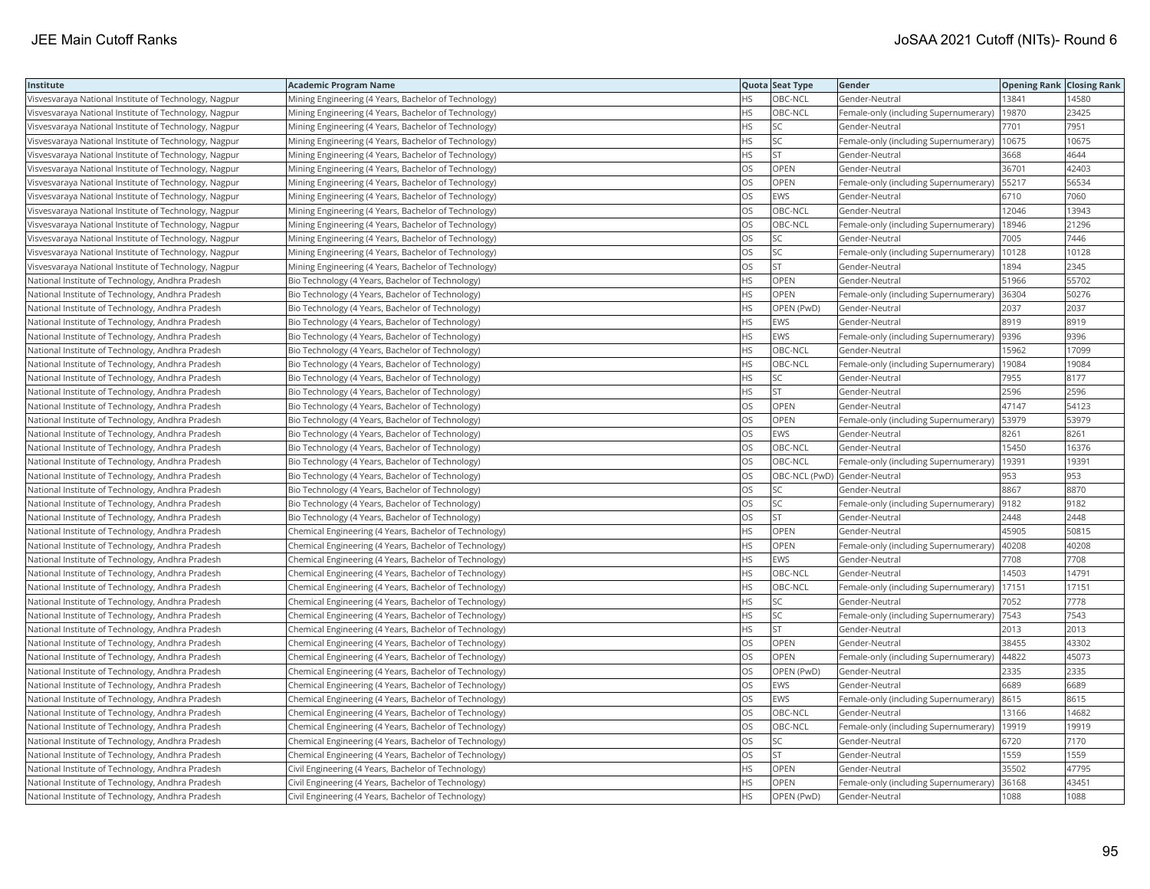| Institute                                             | <b>Academic Program Name</b>                           |           | Quota Seat Type              | Gender                                | <b>Opening Rank Closing Rank</b> |       |
|-------------------------------------------------------|--------------------------------------------------------|-----------|------------------------------|---------------------------------------|----------------------------------|-------|
| Visvesvaraya National Institute of Technology, Nagpur | Mining Engineering (4 Years, Bachelor of Technology)   | <b>HS</b> | OBC-NCL                      | Gender-Neutral                        | 13841                            | 4580  |
| Visvesvaraya National Institute of Technology, Nagpur | Mining Engineering (4 Years, Bachelor of Technology)   | HS.       | OBC-NCL                      | Female-only (including Supernumerary) | 19870                            | 23425 |
| Visvesvaraya National Institute of Technology, Nagpur | Mining Engineering (4 Years, Bachelor of Technology)   | <b>HS</b> | <b>SC</b>                    | Gender-Neutral                        | 7701                             | 7951  |
| Visvesvaraya National Institute of Technology, Nagpur | Mining Engineering (4 Years, Bachelor of Technology)   | <b>HS</b> | <b>SC</b>                    | Female-only (including Supernumerary) | 10675                            | 10675 |
| Visvesvaraya National Institute of Technology, Nagpur | Mining Engineering (4 Years, Bachelor of Technology)   | <b>HS</b> | <b>ST</b>                    | Gender-Neutral                        | 3668                             | 4644  |
| Visvesvaraya National Institute of Technology, Nagpur | Mining Engineering (4 Years, Bachelor of Technology)   | OS        | OPEN                         | Gender-Neutral                        | 36701                            | 42403 |
| Visvesvaraya National Institute of Technology, Nagpur | Mining Engineering (4 Years, Bachelor of Technology)   | OS        | OPEN                         | Female-only (including Supernumerary) | 55217                            | 56534 |
| Visvesvaraya National Institute of Technology, Nagpur | Mining Engineering (4 Years, Bachelor of Technology)   | OS        | <b>EWS</b>                   | Gender-Neutral                        | 6710                             | 7060  |
| Visvesvaraya National Institute of Technology, Nagpur | Mining Engineering (4 Years, Bachelor of Technology)   | <b>OS</b> | OBC-NCL                      | Gender-Neutral                        | 12046                            | 13943 |
| Visvesvaraya National Institute of Technology, Nagpur | Mining Engineering (4 Years, Bachelor of Technology)   | OS        | OBC-NCL                      | Female-only (including Supernumerary) | 18946                            | 21296 |
| Visvesvaraya National Institute of Technology, Nagpur | Mining Engineering (4 Years, Bachelor of Technology)   | <b>OS</b> | <b>SC</b>                    | Gender-Neutral                        | 7005                             | 7446  |
| Visvesvaraya National Institute of Technology, Nagpur | Mining Engineering (4 Years, Bachelor of Technology)   | OS        | <b>SC</b>                    | Female-only (including Supernumerary) | 10128                            | 10128 |
| Visvesvaraya National Institute of Technology, Nagpur | Mining Engineering (4 Years, Bachelor of Technology)   | OS        | <b>ST</b>                    | Gender-Neutral                        | 1894                             | 2345  |
| National Institute of Technology, Andhra Pradesh      | Bio Technology (4 Years, Bachelor of Technology)       | <b>HS</b> | OPEN                         | Gender-Neutral                        | 51966                            | 55702 |
| National Institute of Technology, Andhra Pradesh      | Bio Technology (4 Years, Bachelor of Technology)       | <b>HS</b> | OPEN                         | Female-only (including Supernumerary) | 36304                            | 50276 |
| National Institute of Technology, Andhra Pradesh      | Bio Technology (4 Years, Bachelor of Technology)       | HS.       | OPEN (PwD)                   | Gender-Neutral                        | 2037                             | 2037  |
| National Institute of Technology, Andhra Pradesh      | Bio Technology (4 Years, Bachelor of Technology)       | <b>HS</b> | <b>EWS</b>                   | Gender-Neutral                        | 8919                             | 8919  |
| National Institute of Technology, Andhra Pradesh      | Bio Technology (4 Years, Bachelor of Technology)       | <b>HS</b> | <b>EWS</b>                   | Female-only (including Supernumerary) | 9396                             | 9396  |
| National Institute of Technology, Andhra Pradesh      | Bio Technology (4 Years, Bachelor of Technology)       | <b>HS</b> | OBC-NCL                      | Gender-Neutral                        | 15962                            | 17099 |
| National Institute of Technology, Andhra Pradesh      | Bio Technology (4 Years, Bachelor of Technology)       | <b>HS</b> | OBC-NCL                      | Female-only (including Supernumerary) | 19084                            | 19084 |
| National Institute of Technology, Andhra Pradesh      | Bio Technology (4 Years, Bachelor of Technology)       | <b>HS</b> | <b>SC</b>                    | Gender-Neutral                        | 7955                             | 8177  |
| National Institute of Technology, Andhra Pradesh      | Bio Technology (4 Years, Bachelor of Technology)       | <b>HS</b> | <b>ST</b>                    | Gender-Neutral                        | 2596                             | 2596  |
| National Institute of Technology, Andhra Pradesh      | Bio Technology (4 Years, Bachelor of Technology)       | OS.       | <b>OPEN</b>                  | Gender-Neutral                        | 47147                            | 54123 |
| National Institute of Technology, Andhra Pradesh      | Bio Technology (4 Years, Bachelor of Technology)       | OS        | OPEN                         | Female-only (including Supernumerary) | 53979                            | 53979 |
| National Institute of Technology, Andhra Pradesh      | Bio Technology (4 Years, Bachelor of Technology)       | OS        | <b>EWS</b>                   | Gender-Neutral                        | 8261                             | 8261  |
| National Institute of Technology, Andhra Pradesh      | Bio Technology (4 Years, Bachelor of Technology)       | <b>OS</b> | OBC-NCL                      | Gender-Neutral                        | 15450                            | 16376 |
| National Institute of Technology, Andhra Pradesh      | Bio Technology (4 Years, Bachelor of Technology)       | <b>OS</b> | OBC-NCL                      | Female-only (including Supernumerary) | 19391                            | 19391 |
| National Institute of Technology, Andhra Pradesh      | Bio Technology (4 Years, Bachelor of Technology)       | OS        | OBC-NCL (PwD) Gender-Neutral |                                       | 953                              | 953   |
| National Institute of Technology, Andhra Pradesh      | Bio Technology (4 Years, Bachelor of Technology)       | OS        | <b>SC</b>                    | Gender-Neutral                        | 8867                             | 8870  |
| National Institute of Technology, Andhra Pradesh      | Bio Technology (4 Years, Bachelor of Technology)       | OS        | <b>SC</b>                    | Female-only (including Supernumerary) | 9182                             | 9182  |
| National Institute of Technology, Andhra Pradesh      | Bio Technology (4 Years, Bachelor of Technology)       | OS        | <b>ST</b>                    | Gender-Neutral                        | 2448                             | 2448  |
| National Institute of Technology, Andhra Pradesh      | Chemical Engineering (4 Years, Bachelor of Technology) | <b>HS</b> | <b>OPEN</b>                  | Gender-Neutral                        | 45905                            | 50815 |
| National Institute of Technology, Andhra Pradesh      | Chemical Engineering (4 Years, Bachelor of Technology) | <b>HS</b> | <b>OPEN</b>                  | Female-only (including Supernumerary) | 40208                            | 40208 |
| National Institute of Technology, Andhra Pradesh      | Chemical Engineering (4 Years, Bachelor of Technology) | <b>HS</b> | <b>EWS</b>                   | Gender-Neutral                        | 7708                             | 7708  |
| National Institute of Technology, Andhra Pradesh      | Chemical Engineering (4 Years, Bachelor of Technology) | <b>HS</b> | OBC-NCL                      | Gender-Neutral                        | 14503                            | 14791 |
| National Institute of Technology, Andhra Pradesh      | Chemical Engineering (4 Years, Bachelor of Technology) | <b>HS</b> | OBC-NCL                      | Female-only (including Supernumerary) | 17151                            | 17151 |
| National Institute of Technology, Andhra Pradesh      | Chemical Engineering (4 Years, Bachelor of Technology) | <b>HS</b> | SC                           | Gender-Neutral                        | 7052                             | 7778  |
| National Institute of Technology, Andhra Pradesh      | Chemical Engineering (4 Years, Bachelor of Technology) | HS.       | <b>SC</b>                    | Female-only (including Supernumerary) | 7543                             | 7543  |
| National Institute of Technology, Andhra Pradesh      | Chemical Engineering (4 Years, Bachelor of Technology) | HS.       | <b>ST</b>                    | Gender-Neutral                        | 2013                             | 2013  |
| National Institute of Technology, Andhra Pradesh      | Chemical Engineering (4 Years, Bachelor of Technology) | <b>OS</b> | OPEN                         | Gender-Neutral                        | 38455                            | 43302 |
| National Institute of Technology, Andhra Pradesh      | Chemical Engineering (4 Years, Bachelor of Technology) | OS        | OPEN                         | Female-only (including Supernumerary) | 44822                            | 45073 |
| National Institute of Technology, Andhra Pradesh      | Chemical Engineering (4 Years, Bachelor of Technology) | <b>OS</b> | OPEN (PwD)                   | Gender-Neutral                        | 2335                             | 2335  |
| National Institute of Technology, Andhra Pradesh      | Chemical Engineering (4 Years, Bachelor of Technology) | OS        | <b>EWS</b>                   | Gender-Neutral                        | 6689                             | 6689  |
| National Institute of Technology, Andhra Pradesh      | Chemical Engineering (4 Years, Bachelor of Technology) | OS        | <b>EWS</b>                   | Female-only (including Supernumerary) | 8615                             | 8615  |
| National Institute of Technology, Andhra Pradesh      | Chemical Engineering (4 Years, Bachelor of Technology) | <b>OS</b> | OBC-NCL                      | Gender-Neutral                        | 13166                            | 14682 |
| National Institute of Technology, Andhra Pradesh      | Chemical Engineering (4 Years, Bachelor of Technology) | OS.       | OBC-NCL                      | Female-only (including Supernumerary) | 19919                            | 19919 |
| National Institute of Technology, Andhra Pradesh      | Chemical Engineering (4 Years, Bachelor of Technology) | <b>OS</b> | SC.                          | Gender-Neutral                        | 6720                             | 7170  |
| National Institute of Technology, Andhra Pradesh      | Chemical Engineering (4 Years, Bachelor of Technology) | OS        | <b>ST</b>                    | Gender-Neutral                        | 1559                             | 1559  |
| National Institute of Technology, Andhra Pradesh      | Civil Engineering (4 Years, Bachelor of Technology)    | <b>HS</b> | <b>OPEN</b>                  | Gender-Neutral                        | 35502                            | 47795 |
| National Institute of Technology, Andhra Pradesh      | Civil Engineering (4 Years, Bachelor of Technology)    | HS.       | <b>OPEN</b>                  | Female-only (including Supernumerary) | 36168                            | 43451 |
| National Institute of Technology, Andhra Pradesh      | Civil Engineering (4 Years, Bachelor of Technology)    | <b>HS</b> | OPEN (PwD)                   | Gender-Neutral                        | 1088                             | 1088  |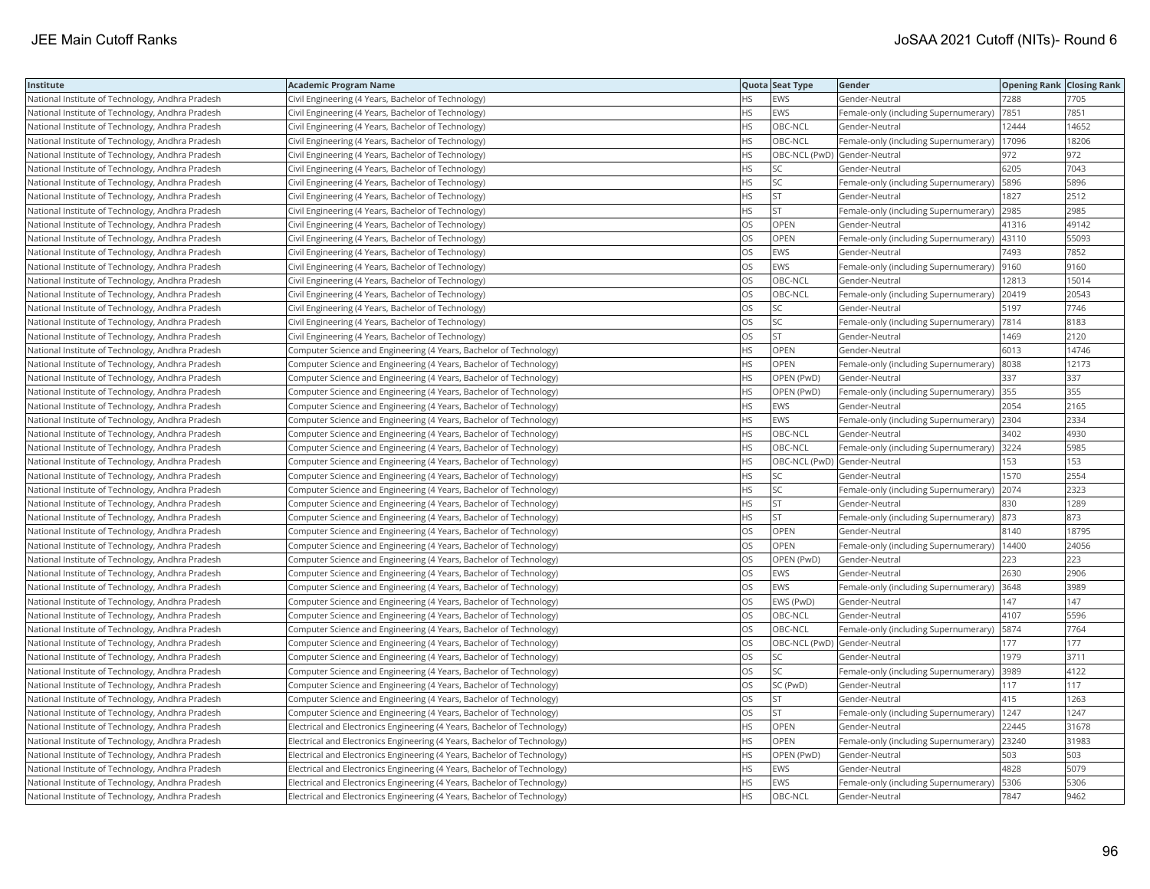| Institute                                        | Academic Program Name                                                    |           | Quota Seat Type              | Gender                                        | <b>Opening Rank Closing Rank</b> |       |
|--------------------------------------------------|--------------------------------------------------------------------------|-----------|------------------------------|-----------------------------------------------|----------------------------------|-------|
| National Institute of Technology, Andhra Pradesh | Civil Engineering (4 Years, Bachelor of Technology)                      | HS        | EWS                          | Gender-Neutral                                | 7288                             | 7705  |
| National Institute of Technology, Andhra Pradesh | Civil Engineering (4 Years, Bachelor of Technology)                      | <b>HS</b> | EWS                          | Female-only (including Supernumerary)         | 7851                             | 7851  |
| National Institute of Technology, Andhra Pradesh | Civil Engineering (4 Years, Bachelor of Technology)                      | <b>HS</b> | OBC-NCL                      | Gender-Neutral                                | 12444                            | 14652 |
| National Institute of Technology, Andhra Pradesh | Civil Engineering (4 Years, Bachelor of Technology)                      | HS.       | OBC-NCL                      | Female-only (including Supernumerary)         | 17096                            | 18206 |
| National Institute of Technology, Andhra Pradesh | Civil Engineering (4 Years, Bachelor of Technology)                      | HS.       | OBC-NCL (PwD) Gender-Neutral |                                               | 972                              | 972   |
| National Institute of Technology, Andhra Pradesh | Civil Engineering (4 Years, Bachelor of Technology)                      | HS        | SC                           | Gender-Neutral                                | 6205                             | 7043  |
| National Institute of Technology, Andhra Pradesh | Civil Engineering (4 Years, Bachelor of Technology)                      | HS        | SC                           | Female-only (including Supernumerary)         | 5896                             | 5896  |
| National Institute of Technology, Andhra Pradesh | Civil Engineering (4 Years, Bachelor of Technology)                      | HS        | <b>ST</b>                    | Gender-Neutral                                | 1827                             | 2512  |
| National Institute of Technology, Andhra Pradesh | Civil Engineering (4 Years, Bachelor of Technology)                      | HS        | <b>ST</b>                    | Female-only (including Supernumerary)         | 2985                             | 2985  |
| National Institute of Technology, Andhra Pradesh | Civil Engineering (4 Years, Bachelor of Technology)                      | OS        | OPEN                         | Gender-Neutral                                | 41316                            | 49142 |
| National Institute of Technology, Andhra Pradesh | Civil Engineering (4 Years, Bachelor of Technology)                      | OS.       | <b>OPEN</b>                  | Female-only (including Supernumerary)         | 43110                            | 55093 |
| National Institute of Technology, Andhra Pradesh | Civil Engineering (4 Years, Bachelor of Technology)                      | OS        | EWS                          | Gender-Neutral                                | 7493                             | 7852  |
| National Institute of Technology, Andhra Pradesh | Civil Engineering (4 Years, Bachelor of Technology)                      | <b>OS</b> | <b>EWS</b>                   | Female-only (including Supernumerary)  9160   |                                  | 9160  |
| National Institute of Technology, Andhra Pradesh | Civil Engineering (4 Years, Bachelor of Technology)                      | OS        | OBC-NCL                      | Gender-Neutral                                | 12813                            | 15014 |
| National Institute of Technology, Andhra Pradesh | Civil Engineering (4 Years, Bachelor of Technology)                      | OS        | OBC-NCL                      | Female-only (including Supernumerary)         | 20419                            | 20543 |
| National Institute of Technology, Andhra Pradesh | Civil Engineering (4 Years, Bachelor of Technology)                      | OS.       | SC                           | Gender-Neutral                                | 5197                             | 7746  |
| National Institute of Technology, Andhra Pradesh | Civil Engineering (4 Years, Bachelor of Technology)                      | OS        | SC                           | Female-only (including Supernumerary)  7814   |                                  | 8183  |
| National Institute of Technology, Andhra Pradesh | Civil Engineering (4 Years, Bachelor of Technology)                      | OS        | <b>ST</b>                    | Gender-Neutral                                | 1469                             | 2120  |
| National Institute of Technology, Andhra Pradesh | Computer Science and Engineering (4 Years, Bachelor of Technology)       | <b>HS</b> | <b>OPEN</b>                  | Gender-Neutral                                | 6013                             | 14746 |
| National Institute of Technology, Andhra Pradesh | Computer Science and Engineering (4 Years, Bachelor of Technology)       | HS        | OPEN                         | Female-only (including Supernumerary)         | 8038                             | 12173 |
| National Institute of Technology, Andhra Pradesh | Computer Science and Engineering (4 Years, Bachelor of Technology)       | HS.       | OPEN (PwD)                   | Gender-Neutral                                | 337                              | 337   |
| National Institute of Technology, Andhra Pradesh | Computer Science and Engineering (4 Years, Bachelor of Technology)       | HS.       | OPEN (PwD)                   | Female-only (including Supernumerary) 355     |                                  | 355   |
| National Institute of Technology, Andhra Pradesh | Computer Science and Engineering (4 Years, Bachelor of Technology)       | HS        | EWS                          | Gender-Neutral                                | 2054                             | 2165  |
| National Institute of Technology, Andhra Pradesh | Computer Science and Engineering (4 Years, Bachelor of Technology)       | HS        | EWS                          | Female-only (including Supernumerary)         | 2304                             | 2334  |
| National Institute of Technology, Andhra Pradesh | Computer Science and Engineering (4 Years, Bachelor of Technology)       | HS.       | OBC-NCL                      | Gender-Neutral                                | 3402                             | 4930  |
| National Institute of Technology, Andhra Pradesh | Computer Science and Engineering (4 Years, Bachelor of Technology)       | HS.       | OBC-NCL                      | Female-only (including Supernumerary) 3224    |                                  | 5985  |
| National Institute of Technology, Andhra Pradesh | Computer Science and Engineering (4 Years, Bachelor of Technology)       | HS.       | OBC-NCL (PwD) Gender-Neutral |                                               | 153                              | 153   |
| National Institute of Technology, Andhra Pradesh | Computer Science and Engineering (4 Years, Bachelor of Technology)       | HS        | SC                           | Gender-Neutral                                | 1570                             | 2554  |
| National Institute of Technology, Andhra Pradesh | Computer Science and Engineering (4 Years, Bachelor of Technology)       | HS        | SC                           | Female-only (including Supernumerary)         | 2074                             | 2323  |
| National Institute of Technology, Andhra Pradesh | Computer Science and Engineering (4 Years, Bachelor of Technology)       | HS        | <b>ST</b>                    | Gender-Neutral                                | 830                              | 1289  |
| National Institute of Technology, Andhra Pradesh | Computer Science and Engineering (4 Years, Bachelor of Technology)       | HS.       | <b>ST</b>                    | Female-only (including Supernumerary)  873    |                                  | 873   |
| National Institute of Technology, Andhra Pradesh | Computer Science and Engineering (4 Years, Bachelor of Technology)       | OS        | OPEN                         | Gender-Neutral                                | 8140                             | 18795 |
| National Institute of Technology, Andhra Pradesh | Computer Science and Engineering (4 Years, Bachelor of Technology)       | OS        | OPEN                         | Female-only (including Supernumerary)   14400 |                                  | 24056 |
| National Institute of Technology, Andhra Pradesh | Computer Science and Engineering (4 Years, Bachelor of Technology)       | OS        | OPEN (PwD)                   | Gender-Neutral                                | 223                              | 223   |
| National Institute of Technology, Andhra Pradesh | Computer Science and Engineering (4 Years, Bachelor of Technology)       | <b>OS</b> | EWS                          | Gender-Neutral                                | 2630                             | 2906  |
| National Institute of Technology, Andhra Pradesh | Computer Science and Engineering (4 Years, Bachelor of Technology)       | OS        | EWS                          | Female-only (including Supernumerary)         | 3648                             | 3989  |
| National Institute of Technology, Andhra Pradesh | Computer Science and Engineering (4 Years, Bachelor of Technology)       | OS        | EWS (PwD)                    | Gender-Neutral                                | 147                              | 147   |
| National Institute of Technology, Andhra Pradesh | Computer Science and Engineering (4 Years, Bachelor of Technology)       | OS        | OBC-NCL                      | Gender-Neutral                                | 4107                             | 5596  |
| National Institute of Technology, Andhra Pradesh | Computer Science and Engineering (4 Years, Bachelor of Technology)       | OS.       | OBC-NCL                      | Female-only (including Supernumerary)         | 5874                             | 7764  |
| National Institute of Technology, Andhra Pradesh | Computer Science and Engineering (4 Years, Bachelor of Technology)       | OS        | OBC-NCL (PwD) Gender-Neutral |                                               | 177                              | 177   |
| National Institute of Technology, Andhra Pradesh | Computer Science and Engineering (4 Years, Bachelor of Technology)       | OS        | SC                           | Gender-Neutral                                | 1979                             | 3711  |
| National Institute of Technology, Andhra Pradesh | Computer Science and Engineering (4 Years, Bachelor of Technology)       | OS        | SC                           | Female-only (including Supernumerary)         | 3989                             | 4122  |
| National Institute of Technology, Andhra Pradesh | Computer Science and Engineering (4 Years, Bachelor of Technology)       | OS        | SC (PwD)                     | Gender-Neutral                                | 117                              | 117   |
| National Institute of Technology, Andhra Pradesh | Computer Science and Engineering (4 Years, Bachelor of Technology)       | OS        | <b>ST</b>                    | Gender-Neutral                                | 415                              | 1263  |
| National Institute of Technology, Andhra Pradesh | Computer Science and Engineering (4 Years, Bachelor of Technology)       | OS        | <b>ST</b>                    | Female-only (including Supernumerary)   1247  |                                  | 1247  |
| National Institute of Technology, Andhra Pradesh | Electrical and Electronics Engineering (4 Years, Bachelor of Technology) | HS        | OPEN                         | Gender-Neutral                                | 22445                            | 31678 |
| National Institute of Technology, Andhra Pradesh | Electrical and Electronics Engineering (4 Years, Bachelor of Technology) | <b>HS</b> | <b>OPEN</b>                  | Female-only (including Supernumerary) 23240   |                                  | 31983 |
| National Institute of Technology, Andhra Pradesh | Electrical and Electronics Engineering (4 Years, Bachelor of Technology) | HS        | OPEN (PwD)                   | Gender-Neutral                                | 503                              | 503   |
| National Institute of Technology, Andhra Pradesh | Electrical and Electronics Engineering (4 Years, Bachelor of Technology) | HS.       | EWS                          | Gender-Neutral                                | 4828                             | 5079  |
| National Institute of Technology, Andhra Pradesh | Electrical and Electronics Engineering (4 Years, Bachelor of Technology) | HS.       | EWS                          | Female-only (including Supernumerary)         | 5306                             | 5306  |
| National Institute of Technology, Andhra Pradesh | Electrical and Electronics Engineering (4 Years, Bachelor of Technology) | <b>HS</b> | OBC-NCL                      | Gender-Neutral                                | 7847                             | 9462  |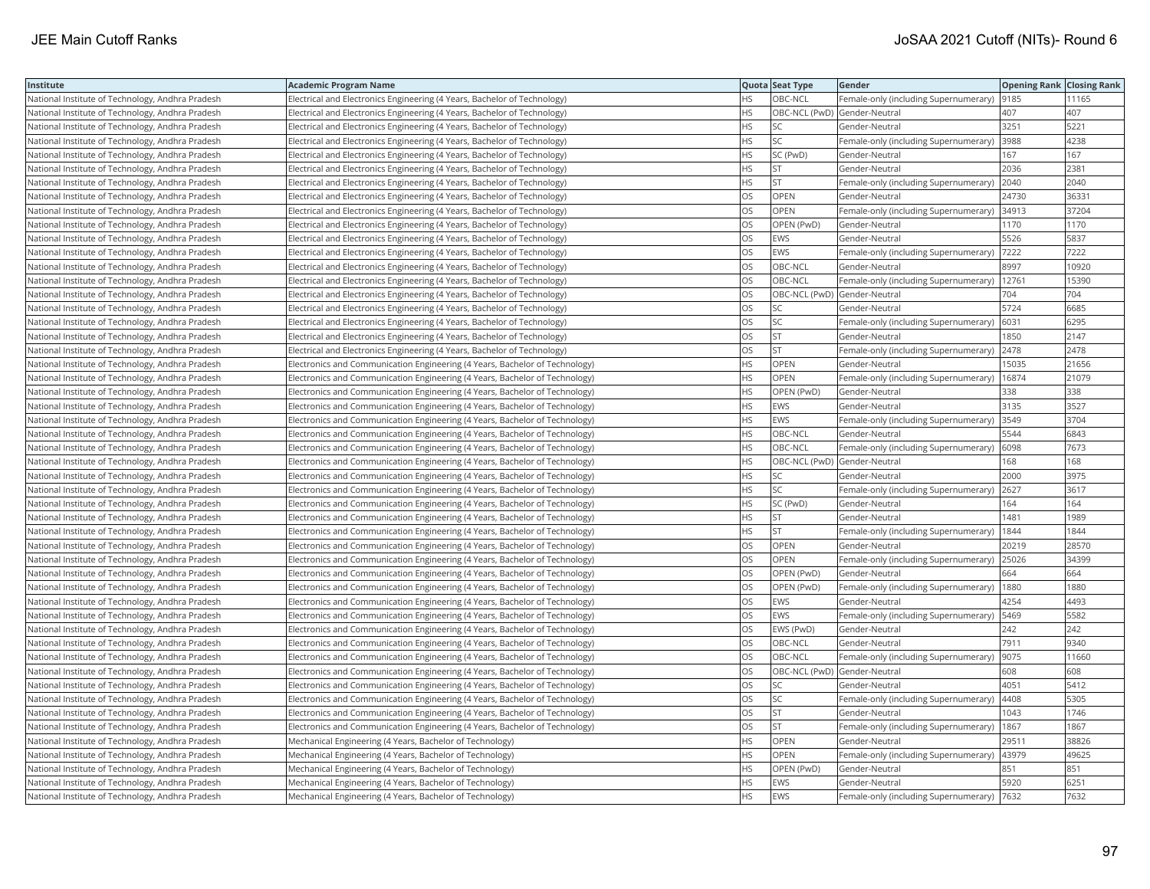| Institute                                        | Academic Program Name                                                        |           | Quota Seat Type              | Gender                                      | <b>Opening Rank Closing Rank</b> |       |
|--------------------------------------------------|------------------------------------------------------------------------------|-----------|------------------------------|---------------------------------------------|----------------------------------|-------|
| National Institute of Technology, Andhra Pradesh | Electrical and Electronics Engineering (4 Years, Bachelor of Technology)     | НS        | OBC-NCL                      | Female-only (including Supernumerary)       | 9185                             | 11165 |
| National Institute of Technology, Andhra Pradesh | Electrical and Electronics Engineering (4 Years, Bachelor of Technology)     | HS.       | OBC-NCL (PwD) Gender-Neutral |                                             | 407                              | 407   |
| National Institute of Technology, Andhra Pradesh | Electrical and Electronics Engineering (4 Years, Bachelor of Technology)     | <b>HS</b> | SC                           | Gender-Neutral                              | 3251                             | 5221  |
| National Institute of Technology, Andhra Pradesh | Electrical and Electronics Engineering (4 Years, Bachelor of Technology)     | HS.       | SC                           | Female-only (including Supernumerary)       | 3988                             | 4238  |
| National Institute of Technology, Andhra Pradesh | Electrical and Electronics Engineering (4 Years, Bachelor of Technology)     | НS        | SC (PwD)                     | Gender-Neutral                              | 167                              | 167   |
| National Institute of Technology, Andhra Pradesh | Electrical and Electronics Engineering (4 Years, Bachelor of Technology)     | HS.       | <b>ST</b>                    | Gender-Neutral                              | 2036                             | 2381  |
| National Institute of Technology, Andhra Pradesh | Electrical and Electronics Engineering (4 Years, Bachelor of Technology)     | HS        | <b>ST</b>                    | Female-only (including Supernumerary)       | 2040                             | 2040  |
| National Institute of Technology, Andhra Pradesh | Electrical and Electronics Engineering (4 Years, Bachelor of Technology)     | OS        | OPEN                         | Gender-Neutral                              | 24730                            | 3633  |
| National Institute of Technology, Andhra Pradesh | Electrical and Electronics Engineering (4 Years, Bachelor of Technology)     | OS        | OPEN                         | Female-only (including Supernumerary)       | 34913                            | 37204 |
| National Institute of Technology, Andhra Pradesh | Electrical and Electronics Engineering (4 Years, Bachelor of Technology)     | OS        | OPEN (PwD)                   | Gender-Neutral                              | 1170                             | 1170  |
| National Institute of Technology, Andhra Pradesh | Electrical and Electronics Engineering (4 Years, Bachelor of Technology)     | <b>OS</b> | <b>EWS</b>                   | Gender-Neutral                              | 5526                             | 5837  |
| National Institute of Technology, Andhra Pradesh | Electrical and Electronics Engineering (4 Years, Bachelor of Technology)     | OS        | EWS                          | Female-only (including Supernumerary)       | 7222                             | 7222  |
| National Institute of Technology, Andhra Pradesh | Electrical and Electronics Engineering (4 Years, Bachelor of Technology)     | OS        | OBC-NCL                      | Gender-Neutral                              | 8997                             | 10920 |
| National Institute of Technology, Andhra Pradesh | Electrical and Electronics Engineering (4 Years, Bachelor of Technology)     | OS        | OBC-NCL                      | Female-only (including Supernumerary)       | 12761                            | 15390 |
| National Institute of Technology, Andhra Pradesh | Electrical and Electronics Engineering (4 Years, Bachelor of Technology)     | OS.       |                              | OBC-NCL (PwD) Gender-Neutral                | 704                              | 704   |
| National Institute of Technology, Andhra Pradesh | Electrical and Electronics Engineering (4 Years, Bachelor of Technology)     | OS.       | SC                           | Gender-Neutral                              | 5724                             | 6685  |
| National Institute of Technology, Andhra Pradesh | Electrical and Electronics Engineering (4 Years, Bachelor of Technology)     | OS        | SC                           | Female-only (including Supernumerary)       | 6031                             | 6295  |
| National Institute of Technology, Andhra Pradesh | Electrical and Electronics Engineering (4 Years, Bachelor of Technology)     | OS        | <b>ST</b>                    | Gender-Neutral                              | 1850                             | 2147  |
| National Institute of Technology, Andhra Pradesh | Electrical and Electronics Engineering (4 Years, Bachelor of Technology)     | OS.       | <b>ST</b>                    | Female-only (including Supernumerary)       | 2478                             | 2478  |
| National Institute of Technology, Andhra Pradesh | Electronics and Communication Engineering (4 Years, Bachelor of Technology)  | HS        | <b>OPEN</b>                  | Gender-Neutral                              | 15035                            | 21656 |
| National Institute of Technology, Andhra Pradesh | Electronics and Communication Engineering (4 Years, Bachelor of Technology)  | <b>HS</b> | <b>OPEN</b>                  | Female-only (including Supernumerary)       | 16874                            | 21079 |
| National Institute of Technology, Andhra Pradesh | Electronics and Communication Engineering (4 Years, Bachelor of Technology)  | HS.       | OPEN (PwD)                   | Gender-Neutral                              | 338                              | 338   |
| National Institute of Technology, Andhra Pradesh | Electronics and Communication Engineering (4 Years, Bachelor of Technology)  | HS        | <b>EWS</b>                   | Gender-Neutral                              | 3135                             | 3527  |
| National Institute of Technology, Andhra Pradesh | Electronics and Communication Engineering (4 Years, Bachelor of Technology)  | HS.       | <b>EWS</b>                   | Female-only (including Supernumerary)       | 3549                             | 3704  |
| National Institute of Technology, Andhra Pradesh | Electronics and Communication Engineering (4 Years, Bachelor of Technology)  | HS.       | OBC-NCL                      | Gender-Neutral                              | 5544                             | 6843  |
| National Institute of Technology, Andhra Pradesh | Electronics and Communication Engineering (4 Years, Bachelor of Technology)  | <b>HS</b> | OBC-NCL                      | Female-only (including Supernumerary)  6098 |                                  | 7673  |
| National Institute of Technology, Andhra Pradesh | Electronics and Communication Engineering (4 Years, Bachelor of Technology)  | НS        | OBC-NCL (PwD) Gender-Neutral |                                             | 168                              | 168   |
| National Institute of Technology, Andhra Pradesh | Electronics and Communication Engineering (4 Years, Bachelor of Technology)  | HS.       | SC                           | Gender-Neutral                              | 2000                             | 3975  |
| National Institute of Technology, Andhra Pradesh | Electronics and Communication Engineering (4 Years, Bachelor of Technology)  | HS.       | <b>SC</b>                    | Female-only (including Supernumerary)       | 2627                             | 3617  |
| National Institute of Technology, Andhra Pradesh | [Electronics and Communication Engineering (4 Years, Bachelor of Technology) | ΗS        | SC (PwD)                     | Gender-Neutral                              | 164                              | 164   |
| National Institute of Technology, Andhra Pradesh | Electronics and Communication Engineering (4 Years, Bachelor of Technology)  | HS.       | <b>ST</b>                    | Gender-Neutral                              | 1481                             | 1989  |
| National Institute of Technology, Andhra Pradesh | Electronics and Communication Engineering (4 Years, Bachelor of Technology)  | HS.       | <b>ST</b>                    | Female-only (including Supernumerary)       | 1844                             | 1844  |
| National Institute of Technology, Andhra Pradesh | Electronics and Communication Engineering (4 Years, Bachelor of Technology)  | OS        | OPEN                         | Gender-Neutral                              | 20219                            | 28570 |
| National Institute of Technology, Andhra Pradesh | Electronics and Communication Engineering (4 Years, Bachelor of Technology)  | OS        | OPEN                         | Female-only (including Supernumerary)       | 25026                            | 34399 |
| National Institute of Technology, Andhra Pradesh | Electronics and Communication Engineering (4 Years, Bachelor of Technology)  | OS        | OPEN (PwD)                   | Gender-Neutral                              | 664                              | 664   |
| National Institute of Technology, Andhra Pradesh | Electronics and Communication Engineering (4 Years, Bachelor of Technology)  | OS        | OPEN (PwD)                   | Female-only (including Supernumerary)       | 1880                             | 1880  |
| National Institute of Technology, Andhra Pradesh | Electronics and Communication Engineering (4 Years, Bachelor of Technology)  | OS        | <b>EWS</b>                   | Gender-Neutral                              | 4254                             | 4493  |
| National Institute of Technology, Andhra Pradesh | Electronics and Communication Engineering (4 Years, Bachelor of Technology)  | OS        | <b>EWS</b>                   | Female-only (including Supernumerary)       | 5469                             | 5582  |
| National Institute of Technology, Andhra Pradesh | Electronics and Communication Engineering (4 Years, Bachelor of Technology)  | OS        | EWS (PwD)                    | Gender-Neutral                              | 242                              | 242   |
| National Institute of Technology, Andhra Pradesh | Electronics and Communication Engineering (4 Years, Bachelor of Technology)  | OS.       | OBC-NCL                      | Gender-Neutral                              | 7911                             | 9340  |
| National Institute of Technology, Andhra Pradesh | Electronics and Communication Engineering (4 Years, Bachelor of Technology)  | OS        | OBC-NCL                      | Female-only (including Supernumerary)       | 9075                             | 11660 |
| National Institute of Technology, Andhra Pradesh | Electronics and Communication Engineering (4 Years, Bachelor of Technology)  | OS        | OBC-NCL (PwD) Gender-Neutral |                                             | 608                              | 608   |
| National Institute of Technology, Andhra Pradesh | Electronics and Communication Engineering (4 Years, Bachelor of Technology)  | OS        | <b>SC</b>                    | Gender-Neutral                              | 4051                             | 5412  |
| National Institute of Technology, Andhra Pradesh | Electronics and Communication Engineering (4 Years, Bachelor of Technology)  | OS        | SC                           | Female-only (including Supernumerary)       | 4408                             | 5305  |
| National Institute of Technology, Andhra Pradesh | Electronics and Communication Engineering (4 Years, Bachelor of Technology)  | OS        | lst                          | Gender-Neutral                              | 1043                             | 1746  |
| National Institute of Technology, Andhra Pradesh | [Electronics and Communication Engineering (4 Years, Bachelor of Technology) | OS        | <b>ST</b>                    | Female-only (including Supernumerary)       | 1867                             | 1867  |
| National Institute of Technology, Andhra Pradesh | Mechanical Engineering (4 Years, Bachelor of Technology)                     | HS.       | OPEN                         | Gender-Neutral                              | 29511                            | 38826 |
| National Institute of Technology, Andhra Pradesh | Mechanical Engineering (4 Years, Bachelor of Technology)                     | НS        | OPEN                         | Female-only (including Supernumerary)       | 43979                            | 49625 |
| National Institute of Technology, Andhra Pradesh | Mechanical Engineering (4 Years, Bachelor of Technology)                     | HS        | OPEN (PwD)                   | Gender-Neutral                              | 851                              | 851   |
| National Institute of Technology, Andhra Pradesh | Mechanical Engineering (4 Years, Bachelor of Technology)                     | HS.       | <b>EWS</b>                   | Gender-Neutral                              | 5920                             | 6251  |
| National Institute of Technology, Andhra Pradesh | Mechanical Engineering (4 Years, Bachelor of Technology)                     | <b>HS</b> | <b>EWS</b>                   | Female-only (including Supernumerary)  7632 |                                  | 7632  |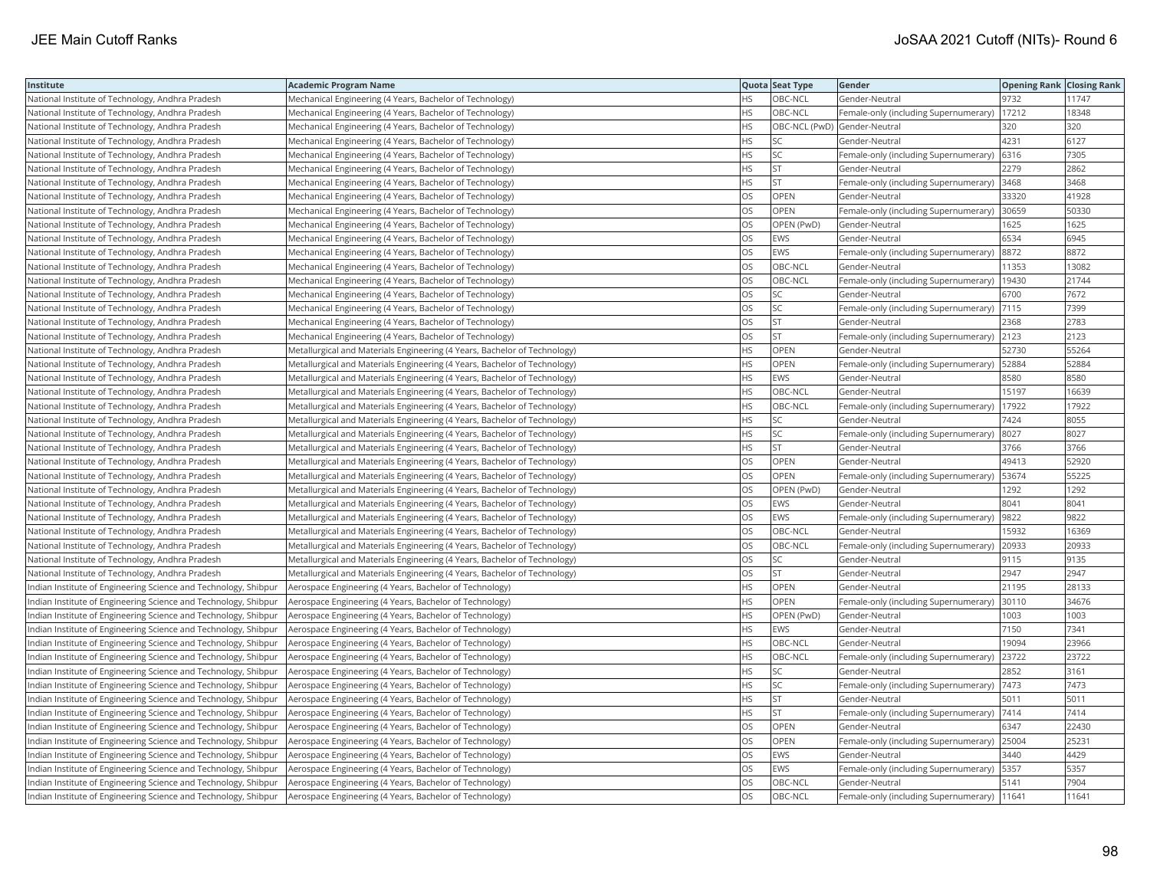| Institute                                                       | <b>Academic Program Name</b>                                              |           | Quota Seat Type              | Gender                                        | <b>Opening Rank Closing Rank</b> |       |
|-----------------------------------------------------------------|---------------------------------------------------------------------------|-----------|------------------------------|-----------------------------------------------|----------------------------------|-------|
| National Institute of Technology, Andhra Pradesh                | Mechanical Engineering (4 Years, Bachelor of Technology)                  | HS.       | OBC-NCL                      | Gender-Neutral                                | 9732                             | 11747 |
| National Institute of Technology, Andhra Pradesh                | Mechanical Engineering (4 Years, Bachelor of Technology)                  | HS        | OBC-NCL                      | Female-only (including Supernumerary)         | 17212                            | 18348 |
| National Institute of Technology, Andhra Pradesh                | Mechanical Engineering (4 Years, Bachelor of Technology)                  | HS        | OBC-NCL (PwD) Gender-Neutral |                                               | 320                              | 320   |
| National Institute of Technology, Andhra Pradesh                | Mechanical Engineering (4 Years, Bachelor of Technology)                  | HS        | SC                           | Gender-Neutral                                | 4231                             | 6127  |
| National Institute of Technology, Andhra Pradesh                | Mechanical Engineering (4 Years, Bachelor of Technology)                  | <b>HS</b> | <b>SC</b>                    | Female-only (including Supernumerary)         | 6316                             | 7305  |
| National Institute of Technology, Andhra Pradesh                | Mechanical Engineering (4 Years, Bachelor of Technology)                  | HS        | <b>ST</b>                    | Gender-Neutral                                | 2279                             | 2862  |
| National Institute of Technology, Andhra Pradesh                | Mechanical Engineering (4 Years, Bachelor of Technology)                  | HS        | <b>ST</b>                    | Female-only (including Supernumerary) 3468    |                                  | 3468  |
| National Institute of Technology, Andhra Pradesh                | Mechanical Engineering (4 Years, Bachelor of Technology)                  | OS        | OPEN                         | Gender-Neutral                                | 33320                            | 41928 |
| National Institute of Technology, Andhra Pradesh                | Mechanical Engineering (4 Years, Bachelor of Technology)                  | OS        | OPEN                         | Female-only (including Supernumerary)         | 30659                            | 50330 |
| National Institute of Technology, Andhra Pradesh                | Mechanical Engineering (4 Years, Bachelor of Technology)                  | OS        | OPEN (PwD)                   | Gender-Neutral                                | 1625                             | 1625  |
| National Institute of Technology, Andhra Pradesh                | Mechanical Engineering (4 Years, Bachelor of Technology)                  | OS        | <b>EWS</b>                   | Gender-Neutral                                | 6534                             | 6945  |
| National Institute of Technology, Andhra Pradesh                | Mechanical Engineering (4 Years, Bachelor of Technology)                  | OS        | EWS                          | Female-only (including Supernumerary)         | 8872                             | 8872  |
| National Institute of Technology, Andhra Pradesh                | Mechanical Engineering (4 Years, Bachelor of Technology)                  | OS        | OBC-NCL                      | Gender-Neutral                                | 11353                            | 13082 |
| National Institute of Technology, Andhra Pradesh                | Mechanical Engineering (4 Years, Bachelor of Technology)                  | OS        | OBC-NCL                      | Female-only (including Supernumerary)         | 19430                            | 21744 |
| National Institute of Technology, Andhra Pradesh                | Mechanical Engineering (4 Years, Bachelor of Technology)                  | OS        | SC                           | Gender-Neutral                                | 6700                             | 7672  |
| National Institute of Technology, Andhra Pradesh                | Mechanical Engineering (4 Years, Bachelor of Technology)                  | OS        | SC                           | Female-only (including Supernumerary)   7115  |                                  | 7399  |
| National Institute of Technology, Andhra Pradesh                | Mechanical Engineering (4 Years, Bachelor of Technology)                  | OS        | <b>ST</b>                    | Gender-Neutral                                | 2368                             | 2783  |
| National Institute of Technology, Andhra Pradesh                | Mechanical Engineering (4 Years, Bachelor of Technology)                  | OS        | <b>ST</b>                    | Female-only (including Supernumerary)         | 2123                             | 2123  |
| National Institute of Technology, Andhra Pradesh                | Metallurgical and Materials Engineering (4 Years, Bachelor of Technology) | НS        | OPEN                         | Gender-Neutral                                | 52730                            | 55264 |
| National Institute of Technology, Andhra Pradesh                | Metallurgical and Materials Engineering (4 Years, Bachelor of Technology) | HS        | OPEN                         | Female-only (including Supernumerary)         | 52884                            | 52884 |
| National Institute of Technology, Andhra Pradesh                | Metallurgical and Materials Engineering (4 Years, Bachelor of Technology) | HS.       | <b>EWS</b>                   | Gender-Neutral                                | 8580                             | 8580  |
| National Institute of Technology, Andhra Pradesh                | Metallurgical and Materials Engineering (4 Years, Bachelor of Technology) | HS        | OBC-NCL                      | Gender-Neutral                                | 15197                            | 16639 |
| National Institute of Technology, Andhra Pradesh                | Metallurgical and Materials Engineering (4 Years, Bachelor of Technology) | HS        | OBC-NCL                      | Female-only (including Supernumerary)         | 17922                            | 17922 |
| National Institute of Technology, Andhra Pradesh                | Metallurgical and Materials Engineering (4 Years, Bachelor of Technology) | HS        | SC                           | Gender-Neutral                                | 7424                             | 8055  |
| National Institute of Technology, Andhra Pradesh                | Metallurgical and Materials Engineering (4 Years, Bachelor of Technology) | HS        | <b>SC</b>                    | Female-only (including Supernumerary)         | 8027                             | 8027  |
| National Institute of Technology, Andhra Pradesh                | Metallurgical and Materials Engineering (4 Years, Bachelor of Technology) | HS        | <b>ST</b>                    | Gender-Neutral                                | 3766                             | 3766  |
| National Institute of Technology, Andhra Pradesh                | Metallurgical and Materials Engineering (4 Years, Bachelor of Technology) | OS        | OPEN                         | Gender-Neutral                                | 49413                            | 52920 |
| National Institute of Technology, Andhra Pradesh                | Metallurgical and Materials Engineering (4 Years, Bachelor of Technology) | OS        | OPEN                         | Female-only (including Supernumerary)         | 53674                            | 55225 |
| National Institute of Technology, Andhra Pradesh                | Metallurgical and Materials Engineering (4 Years, Bachelor of Technology) | OS        | OPEN (PwD)                   | Gender-Neutral                                | 1292                             | 1292  |
| National Institute of Technology, Andhra Pradesh                | Metallurgical and Materials Engineering (4 Years, Bachelor of Technology) | OS        | <b>EWS</b>                   | Gender-Neutral                                | 8041                             | 8041  |
| National Institute of Technology, Andhra Pradesh                | Metallurgical and Materials Engineering (4 Years, Bachelor of Technology) | OS        | <b>EWS</b>                   | Female-only (including Supernumerary)  9822   |                                  | 9822  |
| National Institute of Technology, Andhra Pradesh                | Metallurgical and Materials Engineering (4 Years, Bachelor of Technology) | OS        | OBC-NCL                      | Gender-Neutral                                | 15932                            | 16369 |
| National Institute of Technology, Andhra Pradesh                | Metallurgical and Materials Engineering (4 Years, Bachelor of Technology) | OS        | OBC-NCL                      | Female-only (including Supernumerary) 20933   |                                  | 20933 |
| National Institute of Technology, Andhra Pradesh                | Metallurgical and Materials Engineering (4 Years, Bachelor of Technology) | OS        | SC                           | Gender-Neutral                                | 9115                             | 9135  |
| National Institute of Technology, Andhra Pradesh                | Metallurgical and Materials Engineering (4 Years, Bachelor of Technology) | OS        | <b>ST</b>                    | Gender-Neutral                                | 2947                             | 2947  |
| Indian Institute of Engineering Science and Technology, Shibpur | Aerospace Engineering (4 Years, Bachelor of Technology)                   | HS        | OPEN                         | Gender-Neutral                                | 21195                            | 28133 |
| Indian Institute of Engineering Science and Technology, Shibpur | Aerospace Engineering (4 Years, Bachelor of Technology)                   | <b>HS</b> | <b>OPEN</b>                  | Female-only (including Supernumerary)         | 30110                            | 34676 |
| Indian Institute of Engineering Science and Technology, Shibpur | Aerospace Engineering (4 Years, Bachelor of Technology)                   | <b>HS</b> | OPEN (PwD)                   | Gender-Neutral                                | 1003                             | 1003  |
| Indian Institute of Engineering Science and Technology, Shibpur | Aerospace Engineering (4 Years, Bachelor of Technology)                   | HS        | EWS                          | Gender-Neutral                                | 7150                             | 7341  |
| Indian Institute of Engineering Science and Technology, Shibpur | Aerospace Engineering (4 Years, Bachelor of Technology)                   | HS        | OBC-NCL                      | Gender-Neutral                                | 19094                            | 23966 |
| Indian Institute of Engineering Science and Technology, Shibpur | Aerospace Engineering (4 Years, Bachelor of Technology)                   | HS        | OBC-NCL                      | Female-only (including Supernumerary)         | 23722                            | 23722 |
| Indian Institute of Engineering Science and Technology, Shibpur | Aerospace Engineering (4 Years, Bachelor of Technology)                   | HS        | SC                           | Gender-Neutral                                | 2852                             | 3161  |
| Indian Institute of Engineering Science and Technology, Shibpur | Aerospace Engineering (4 Years, Bachelor of Technology)                   | ΗS        | SC                           | Female-only (including Supernumerary)         | 7473                             | 7473  |
| Indian Institute of Engineering Science and Technology, Shibpur | Aerospace Engineering (4 Years, Bachelor of Technology)                   | HS        | ST                           | Gender-Neutral                                | 5011                             | 5011  |
| Indian Institute of Engineering Science and Technology, Shibpur | Aerospace Engineering (4 Years, Bachelor of Technology)                   | <b>HS</b> | <b>ST</b>                    | Female-only (including Supernumerary)         | 7414                             | 7414  |
| Indian Institute of Engineering Science and Technology, Shibpur | Aerospace Engineering (4 Years, Bachelor of Technology)                   | OS        | <b>OPEN</b>                  | Gender-Neutral                                | 6347                             | 22430 |
| Indian Institute of Engineering Science and Technology, Shibpur | Aerospace Engineering (4 Years, Bachelor of Technology)                   | OS        | OPEN                         | Female-only (including Supernumerary) 25004   |                                  | 25231 |
| Indian Institute of Engineering Science and Technology, Shibpur | Aerospace Engineering (4 Years, Bachelor of Technology)                   | OS        | <b>EWS</b>                   | Gender-Neutral                                | 3440                             | 4429  |
| Indian Institute of Engineering Science and Technology, Shibpur | Aerospace Engineering (4 Years, Bachelor of Technology)                   | OS        | <b>EWS</b>                   | Female-only (including Supernumerary)   5357  |                                  | 5357  |
| Indian Institute of Engineering Science and Technology, Shibpur | Aerospace Engineering (4 Years, Bachelor of Technology)                   | OS        | OBC-NCL                      | Gender-Neutral                                | 5141                             | 7904  |
| Indian Institute of Engineering Science and Technology, Shibpur | Aerospace Engineering (4 Years, Bachelor of Technology)                   | OS        | OBC-NCL                      | Female-only (including Supernumerary)   11641 |                                  | 11641 |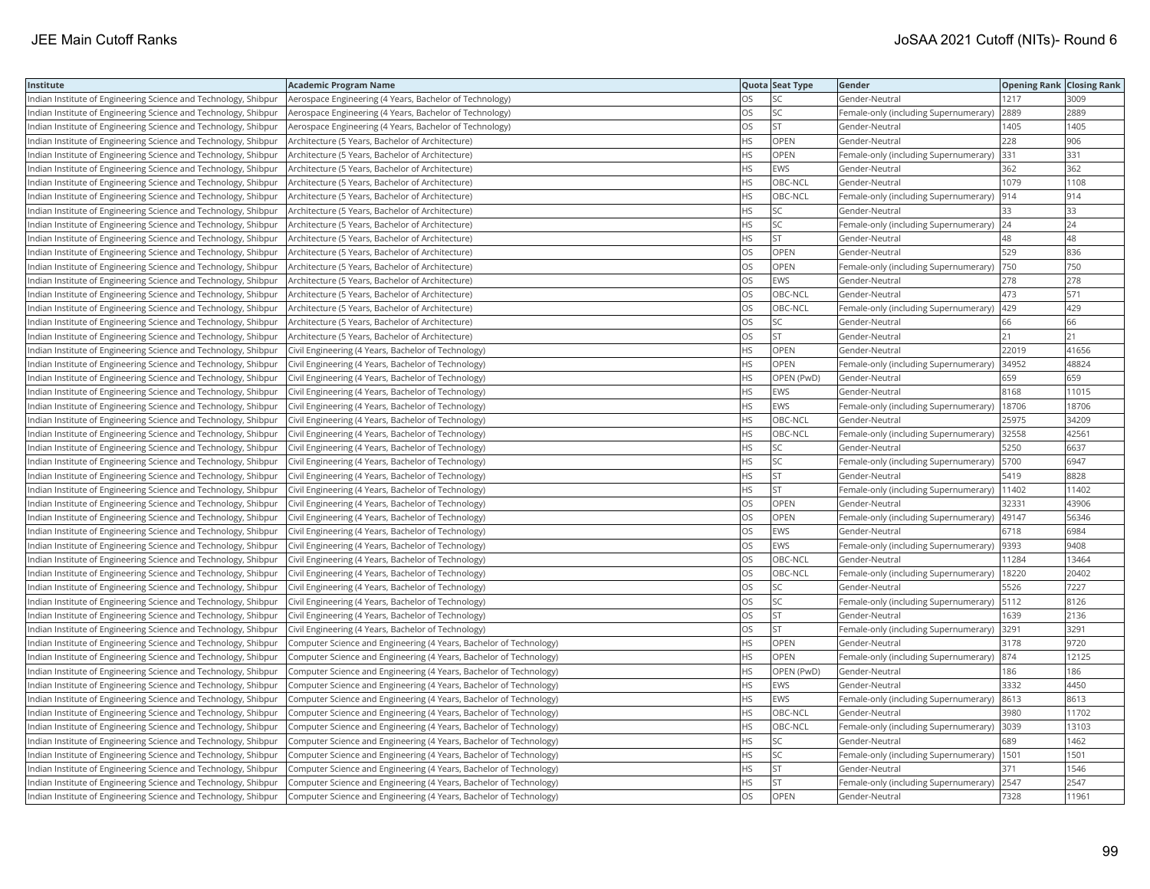| Institute                                                       | <b>Academic Program Name</b>                                       |           | Quota Seat Type | Gender                                        | <b>Opening Rank Closing Rank</b> |       |
|-----------------------------------------------------------------|--------------------------------------------------------------------|-----------|-----------------|-----------------------------------------------|----------------------------------|-------|
| Indian Institute of Engineering Science and Technology, Shibpur | Aerospace Engineering (4 Years, Bachelor of Technology)            | OS        | SC              | Gender-Neutral                                | 1217                             | 3009  |
| Indian Institute of Engineering Science and Technology, Shibpur | Aerospace Engineering (4 Years, Bachelor of Technology)            | OS        | SC              | Female-only (including Supernumerary)         | 2889                             | 2889  |
| Indian Institute of Engineering Science and Technology, Shibpur | Aerospace Engineering (4 Years, Bachelor of Technology)            | OS        | <b>ST</b>       | Gender-Neutral                                | 1405                             | 1405  |
| Indian Institute of Engineering Science and Technology, Shibpur | Architecture (5 Years, Bachelor of Architecture)                   | <b>HS</b> | <b>OPEN</b>     | Gender-Neutral                                | 228                              | 906   |
| Indian Institute of Engineering Science and Technology, Shibpur | Architecture (5 Years, Bachelor of Architecture)                   | НS        | <b>OPEN</b>     | Female-only (including Supernumerary) 331     |                                  | 331   |
| Indian Institute of Engineering Science and Technology, Shibpur | Architecture (5 Years, Bachelor of Architecture)                   | ΗS        | EWS             | Gender-Neutral                                | 362                              | 362   |
| Indian Institute of Engineering Science and Technology, Shibpur | Architecture (5 Years, Bachelor of Architecture)                   | ΗS        | OBC-NCL         | Gender-Neutral                                | 1079                             | 1108  |
| Indian Institute of Engineering Science and Technology, Shibpur | Architecture (5 Years, Bachelor of Architecture)                   | HS        | OBC-NCL         | Female-only (including Supernumerary)         | 914                              | 914   |
| Indian Institute of Engineering Science and Technology, Shibpur | Architecture (5 Years, Bachelor of Architecture)                   | HS        | <b>SC</b>       | Gender-Neutral                                | 33                               | 33    |
| Indian Institute of Engineering Science and Technology, Shibpur | Architecture (5 Years, Bachelor of Architecture)                   | HS        | SC              | Female-only (including Supernumerary)         | 24                               | 24    |
| Indian Institute of Engineering Science and Technology, Shibpur | Architecture (5 Years, Bachelor of Architecture)                   | HS        | <b>ST</b>       | Gender-Neutral                                | 48                               | 48    |
| Indian Institute of Engineering Science and Technology, Shibpur | Architecture (5 Years, Bachelor of Architecture)                   | OS        | <b>OPEN</b>     | Gender-Neutral                                | 529                              | 836   |
| Indian Institute of Engineering Science and Technology, Shibpur | Architecture (5 Years, Bachelor of Architecture)                   | OS        | <b>OPEN</b>     | Female-only (including Supernumerary)         | 750                              | 750   |
| Indian Institute of Engineering Science and Technology, Shibpur | Architecture (5 Years, Bachelor of Architecture)                   | OS        | EWS             | Gender-Neutral                                | 278                              | 278   |
| Indian Institute of Engineering Science and Technology, Shibpur | Architecture (5 Years, Bachelor of Architecture)                   | OS        | OBC-NCL         | Gender-Neutral                                | 473                              | 571   |
| Indian Institute of Engineering Science and Technology, Shibpur | Architecture (5 Years, Bachelor of Architecture)                   | OS        | OBC-NCL         | Female-only (including Supernumerary)         | 429                              | 429   |
| Indian Institute of Engineering Science and Technology, Shibpur | Architecture (5 Years, Bachelor of Architecture)                   | OS        | SC              | Gender-Neutral                                | 66                               | 66    |
| Indian Institute of Engineering Science and Technology, Shibpur | Architecture (5 Years, Bachelor of Architecture)                   | OS        | <b>ST</b>       | Gender-Neutral                                | 21                               | 21    |
| Indian Institute of Engineering Science and Technology, Shibpur | Civil Engineering (4 Years, Bachelor of Technology)                | HS        | OPEN            | Gender-Neutral                                | 22019                            | 41656 |
| Indian Institute of Engineering Science and Technology, Shibpur | Civil Engineering (4 Years, Bachelor of Technology)                | <b>HS</b> | <b>OPEN</b>     | Female-only (including Supernumerary)         | 34952                            | 48824 |
| Indian Institute of Engineering Science and Technology, Shibpur | Civil Engineering (4 Years, Bachelor of Technology)                | HS        | OPEN (PwD)      | Gender-Neutral                                | 659                              | 659   |
| Indian Institute of Engineering Science and Technology, Shibpur | Civil Engineering (4 Years, Bachelor of Technology)                | HS        | <b>EWS</b>      | Gender-Neutral                                | 8168                             | 11015 |
| Indian Institute of Engineering Science and Technology, Shibpur | Civil Engineering (4 Years, Bachelor of Technology)                | ΗS        | <b>EWS</b>      | Female-only (including Supernumerary)   18706 |                                  | 18706 |
| Indian Institute of Engineering Science and Technology, Shibpur | Civil Engineering (4 Years, Bachelor of Technology)                | HS        | OBC-NCL         | Gender-Neutral                                | 25975                            | 34209 |
| Indian Institute of Engineering Science and Technology, Shibpur | Civil Engineering (4 Years, Bachelor of Technology)                | ΗS        | OBC-NCL         | Female-only (including Supernumerary)         | 32558                            | 42561 |
| Indian Institute of Engineering Science and Technology, Shibpur | Civil Engineering (4 Years, Bachelor of Technology)                | HS        | SC              | Gender-Neutral                                | 5250                             | 6637  |
| Indian Institute of Engineering Science and Technology, Shibpur | Civil Engineering (4 Years, Bachelor of Technology)                | <b>HS</b> | <b>SC</b>       | Female-only (including Supernumerary)         | 5700                             | 6947  |
| Indian Institute of Engineering Science and Technology, Shibpur | Civil Engineering (4 Years, Bachelor of Technology)                | HS.       | <b>ST</b>       | Gender-Neutral                                | 5419                             | 8828  |
| Indian Institute of Engineering Science and Technology, Shibpur | Civil Engineering (4 Years, Bachelor of Technology)                | HS        | <b>ST</b>       | Female-only (including Supernumerary)         | 11402                            | 11402 |
| Indian Institute of Engineering Science and Technology, Shibpur | Civil Engineering (4 Years, Bachelor of Technology)                | OS        | <b>OPEN</b>     | Gender-Neutral                                | 32331                            | 43906 |
| Indian Institute of Engineering Science and Technology, Shibpur | Civil Engineering (4 Years, Bachelor of Technology)                | OS        | OPEN            | Female-only (including Supernumerary)  49147  |                                  | 56346 |
| Indian Institute of Engineering Science and Technology, Shibpur | Civil Engineering (4 Years, Bachelor of Technology)                | OS        | EWS             | Gender-Neutral                                | 6718                             | 6984  |
| Indian Institute of Engineering Science and Technology, Shibpur | Civil Engineering (4 Years, Bachelor of Technology)                | OS        | <b>EWS</b>      | Female-only (including Supernumerary)         | 9393                             | 9408  |
| Indian Institute of Engineering Science and Technology, Shibpur | Civil Engineering (4 Years, Bachelor of Technology)                | OS        | OBC-NCL         | Gender-Neutral                                | 11284                            | 13464 |
| Indian Institute of Engineering Science and Technology, Shibpur | Civil Engineering (4 Years, Bachelor of Technology)                | OS        | OBC-NCL         | Female-only (including Supernumerary)         | 18220                            | 20402 |
| Indian Institute of Engineering Science and Technology, Shibpur | Civil Engineering (4 Years, Bachelor of Technology)                | OS        | <b>SC</b>       | Gender-Neutral                                | 5526                             | 7227  |
| Indian Institute of Engineering Science and Technology, Shibpur | Civil Engineering (4 Years, Bachelor of Technology)                | OS        | SC              | Female-only (including Supernumerary)   5112  |                                  | 8126  |
| Indian Institute of Engineering Science and Technology, Shibpur | Civil Engineering (4 Years, Bachelor of Technology)                | OS        | <b>ST</b>       | Gender-Neutral                                | 1639                             | 2136  |
| Indian Institute of Engineering Science and Technology, Shibpur | Civil Engineering (4 Years, Bachelor of Technology)                | OS        | ST              | Female-only (including Supernumerary) 3291    |                                  | 3291  |
| Indian Institute of Engineering Science and Technology, Shibpur | Computer Science and Engineering (4 Years, Bachelor of Technology) | HS        | OPEN            | Gender-Neutral                                | 3178                             | 9720  |
| Indian Institute of Engineering Science and Technology, Shibpur | Computer Science and Engineering (4 Years, Bachelor of Technology) | ΗS        | OPEN            | Female-only (including Supernumerary)         | 874                              | 12125 |
| Indian Institute of Engineering Science and Technology, Shibpur | Computer Science and Engineering (4 Years, Bachelor of Technology) | HS        | OPEN (PwD)      | Gender-Neutral                                | 186                              | 186   |
| Indian Institute of Engineering Science and Technology, Shibpur | Computer Science and Engineering (4 Years, Bachelor of Technology) | HS        | <b>EWS</b>      | Gender-Neutral                                | 3332                             | 4450  |
| Indian Institute of Engineering Science and Technology, Shibpur | Computer Science and Engineering (4 Years, Bachelor of Technology) | HS        | <b>EWS</b>      | Female-only (including Supernumerary)         | 8613                             | 8613  |
| Indian Institute of Engineering Science and Technology, Shibpur | Computer Science and Engineering (4 Years, Bachelor of Technology) | <b>HS</b> | OBC-NCL         | Gender-Neutral                                | 3980                             | 11702 |
| Indian Institute of Engineering Science and Technology, Shibpur | Computer Science and Engineering (4 Years, Bachelor of Technology) | HS        | OBC-NCL         | Female-only (including Supernumerary) 3039    |                                  | 13103 |
| Indian Institute of Engineering Science and Technology, Shibpur | Computer Science and Engineering (4 Years, Bachelor of Technology) | ΗS        | SC              | Gender-Neutral                                | 689                              | 1462  |
| Indian Institute of Engineering Science and Technology, Shibpur | Computer Science and Engineering (4 Years, Bachelor of Technology) | ΗS        | SC              | Female-only (including Supernumerary)   1501  |                                  | 1501  |
| Indian Institute of Engineering Science and Technology, Shibpur | Computer Science and Engineering (4 Years, Bachelor of Technology) | ΗS        | <b>ST</b>       | Gender-Neutral                                | 371                              | 1546  |
| Indian Institute of Engineering Science and Technology, Shibpur | Computer Science and Engineering (4 Years, Bachelor of Technology) | HS        | <b>ST</b>       | Female-only (including Supernumerary) 2547    |                                  | 2547  |
| Indian Institute of Engineering Science and Technology, Shibpur | Computer Science and Engineering (4 Years, Bachelor of Technology) | OS        | OPEN            | Gender-Neutral                                | 7328                             | 11961 |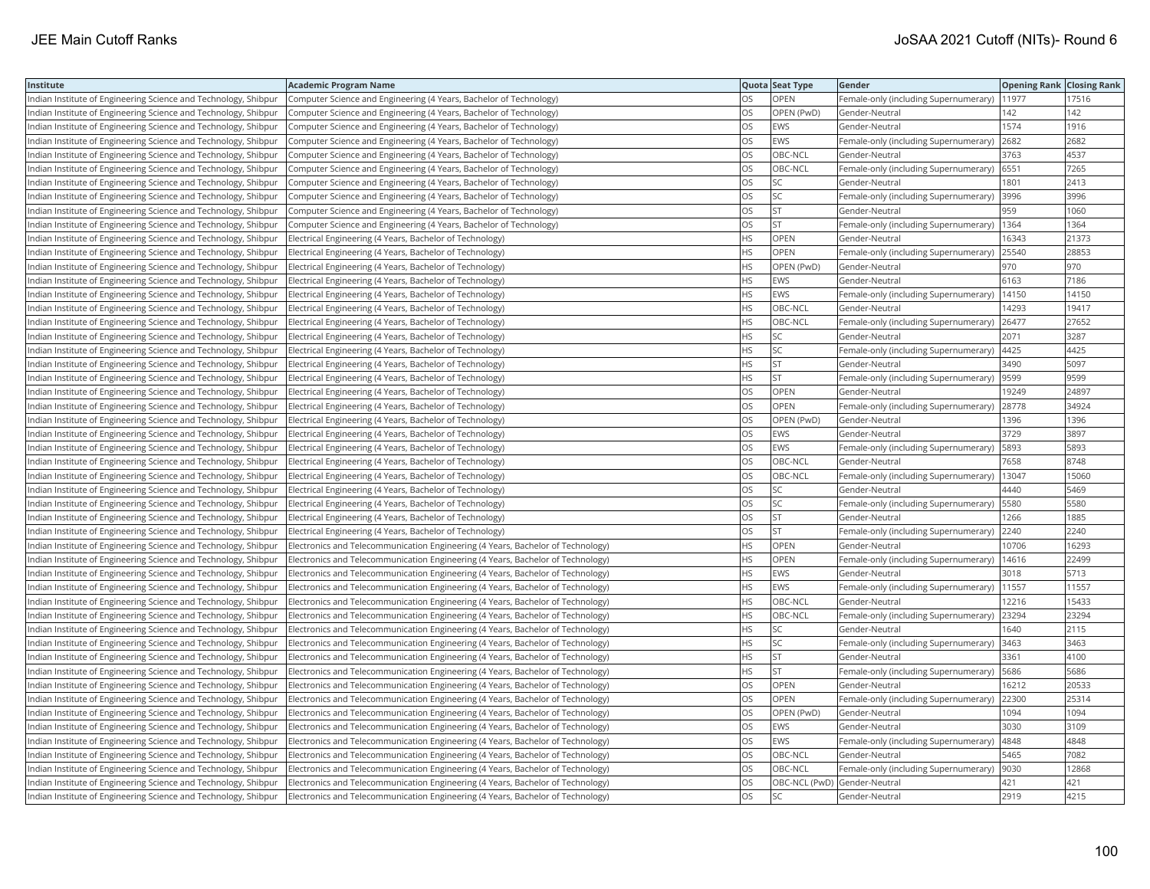| Institute                                                       | <b>Academic Program Name</b>                                                     |           | Quota Seat Type              | Gender                                        | <b>Opening Rank   Closing Rank</b> |       |
|-----------------------------------------------------------------|----------------------------------------------------------------------------------|-----------|------------------------------|-----------------------------------------------|------------------------------------|-------|
| Indian Institute of Engineering Science and Technology, Shibpur | Computer Science and Engineering (4 Years, Bachelor of Technology)               | OS        | <b>OPEN</b>                  | Female-only (including Supernumerary)         | 11977                              | 17516 |
| Indian Institute of Engineering Science and Technology, Shibpur | Computer Science and Engineering (4 Years, Bachelor of Technology)               | OS        | OPEN (PwD)                   | Gender-Neutral                                | 142                                | 142   |
| Indian Institute of Engineering Science and Technology, Shibpur | Computer Science and Engineering (4 Years, Bachelor of Technology)               | OS.       | <b>EWS</b>                   | Gender-Neutral                                | 1574                               | 1916  |
| Indian Institute of Engineering Science and Technology, Shibpur | Computer Science and Engineering (4 Years, Bachelor of Technology)               | OS.       | <b>EWS</b>                   | Female-only (including Supernumerary)         | 2682                               | 2682  |
| Indian Institute of Engineering Science and Technology, Shibpur | Computer Science and Engineering (4 Years, Bachelor of Technology)               | OS        | OBC-NCL                      | Gender-Neutral                                | 3763                               | 4537  |
| Indian Institute of Engineering Science and Technology, Shibpur | Computer Science and Engineering (4 Years, Bachelor of Technology)               | OS        | OBC-NCL                      | Female-only (including Supernumerary) 6551    |                                    | 7265  |
| Indian Institute of Engineering Science and Technology, Shibpur | Computer Science and Engineering (4 Years, Bachelor of Technology)               | OS        | <b>SC</b>                    | Gender-Neutral                                | 1801                               | 2413  |
| Indian Institute of Engineering Science and Technology, Shibpur | Computer Science and Engineering (4 Years, Bachelor of Technology)               | OS        | SC                           | Female-only (including Supernumerary)         | 3996                               | 3996  |
| Indian Institute of Engineering Science and Technology, Shibpur | Computer Science and Engineering (4 Years, Bachelor of Technology)               | OS.       | <b>ST</b>                    | Gender-Neutral                                | 959                                | 1060  |
| Indian Institute of Engineering Science and Technology, Shibpur | Computer Science and Engineering (4 Years, Bachelor of Technology)               | OS        | <b>ST</b>                    | Female-only (including Supernumerary)   1364  |                                    | 1364  |
| Indian Institute of Engineering Science and Technology, Shibpur | Electrical Engineering (4 Years, Bachelor of Technology)                         | HS.       | OPEN                         | Gender-Neutral                                | 16343                              | 21373 |
| Indian Institute of Engineering Science and Technology, Shibpur | Electrical Engineering (4 Years, Bachelor of Technology)                         | HS.       | <b>OPEN</b>                  | Female-only (including Supernumerary)         | 25540                              | 28853 |
| Indian Institute of Engineering Science and Technology, Shibpur | Electrical Engineering (4 Years, Bachelor of Technology)                         | HS        | OPEN (PwD)                   | Gender-Neutral                                | 970                                | 970   |
| Indian Institute of Engineering Science and Technology, Shibpur | Electrical Engineering (4 Years, Bachelor of Technology)                         | ΗS        | EWS                          | Gender-Neutral                                | 6163                               | 7186  |
| Indian Institute of Engineering Science and Technology, Shibpur | Electrical Engineering (4 Years, Bachelor of Technology)                         | НS        | <b>EWS</b>                   | Female-only (including Supernumerary)   14150 |                                    | 14150 |
| Indian Institute of Engineering Science and Technology, Shibpur | Electrical Engineering (4 Years, Bachelor of Technology)                         | ΗS        | OBC-NCL                      | Gender-Neutral                                | 14293                              | 19417 |
| Indian Institute of Engineering Science and Technology, Shibpur | Electrical Engineering (4 Years, Bachelor of Technology)                         | HS.       | OBC-NCL                      | Female-only (including Supernumerary)         | 26477                              | 27652 |
| Indian Institute of Engineering Science and Technology, Shibpur | Electrical Engineering (4 Years, Bachelor of Technology)                         | HS        | SC                           | Gender-Neutral                                | 2071                               | 3287  |
| Indian Institute of Engineering Science and Technology, Shibpur | Electrical Engineering (4 Years, Bachelor of Technology)                         | HS        | SC                           | Female-only (including Supernumerary)         | 4425                               | 4425  |
| Indian Institute of Engineering Science and Technology, Shibpur | Electrical Engineering (4 Years, Bachelor of Technology)                         | HS.       | <b>ST</b>                    | Gender-Neutral                                | 3490                               | 5097  |
| Indian Institute of Engineering Science and Technology, Shibpur | Electrical Engineering (4 Years, Bachelor of Technology)                         | HS        | <b>ST</b>                    | Female-only (including Supernumerary)  9599   |                                    | 9599  |
| Indian Institute of Engineering Science and Technology, Shibpur | Electrical Engineering (4 Years, Bachelor of Technology)                         | OS        | OPEN                         | Gender-Neutral                                | 19249                              | 24897 |
| Indian Institute of Engineering Science and Technology, Shibpur | Electrical Engineering (4 Years, Bachelor of Technology)                         | OS        | OPEN                         | Female-only (including Supernumerary)   28778 |                                    | 34924 |
| Indian Institute of Engineering Science and Technology, Shibpur | Electrical Engineering (4 Years, Bachelor of Technology)                         | OS        | OPEN (PwD)                   | Gender-Neutral                                | 1396                               | 1396  |
| Indian Institute of Engineering Science and Technology, Shibpur | Electrical Engineering (4 Years, Bachelor of Technology)                         | OS        | <b>EWS</b>                   | Gender-Neutral                                | 3729                               | 3897  |
| Indian Institute of Engineering Science and Technology, Shibpur | Electrical Engineering (4 Years, Bachelor of Technology)                         | OS        | <b>EWS</b>                   | Female-only (including Supernumerary)         | 5893                               | 5893  |
| Indian Institute of Engineering Science and Technology, Shibpur | Electrical Engineering (4 Years, Bachelor of Technology)                         | OS.       | OBC-NCL                      | Gender-Neutral                                | 7658                               | 8748  |
| Indian Institute of Engineering Science and Technology, Shibpur | Electrical Engineering (4 Years, Bachelor of Technology)                         | OS.       | OBC-NCL                      | Female-only (including Supernumerary)         | 13047                              | 15060 |
| Indian Institute of Engineering Science and Technology, Shibpur | Electrical Engineering (4 Years, Bachelor of Technology)                         | OS        | SC                           | Gender-Neutral                                | 4440                               | 5469  |
| Indian Institute of Engineering Science and Technology, Shibpur | Electrical Engineering (4 Years, Bachelor of Technology)                         | OS        | SC                           | Female-only (including Supernumerary)   5580  |                                    | 5580  |
| Indian Institute of Engineering Science and Technology, Shibpur | Electrical Engineering (4 Years, Bachelor of Technology)                         | OS        | <b>ST</b>                    | Gender-Neutral                                | 1266                               | 1885  |
| Indian Institute of Engineering Science and Technology, Shibpur | Electrical Engineering (4 Years, Bachelor of Technology)                         | OS        | <b>ST</b>                    | Female-only (including Supernumerary)         | 2240                               | 2240  |
| Indian Institute of Engineering Science and Technology, Shibpur | Electronics and Telecommunication Engineering (4 Years, Bachelor of Technology)  | НS        | OPEN                         | Gender-Neutral                                | 10706                              | 16293 |
| Indian Institute of Engineering Science and Technology, Shibpur | Electronics and Telecommunication Engineering (4 Years, Bachelor of Technology)  | HS        | OPEN                         | Female-only (including Supernumerary)         | 14616                              | 22499 |
| Indian Institute of Engineering Science and Technology, Shibpur | Electronics and Telecommunication Engineering (4 Years, Bachelor of Technology)  | HS.       | <b>EWS</b>                   | Gender-Neutral                                | 3018                               | 5713  |
| Indian Institute of Engineering Science and Technology, Shibpur | Electronics and Telecommunication Engineering (4 Years, Bachelor of Technology)  | <b>HS</b> | <b>EWS</b>                   | Female-only (including Supernumerary)         | 11557                              | 11557 |
| Indian Institute of Engineering Science and Technology, Shibpur | Electronics and Telecommunication Engineering (4 Years, Bachelor of Technology)  | HS.       | OBC-NCL                      | Gender-Neutral                                | 12216                              | 15433 |
| Indian Institute of Engineering Science and Technology, Shibpur | Electronics and Telecommunication Engineering (4 Years, Bachelor of Technology)  | HS.       | OBC-NCL                      | Female-only (including Supernumerary) 23294   |                                    | 23294 |
| Indian Institute of Engineering Science and Technology, Shibpur | [Electronics and Telecommunication Engineering (4 Years, Bachelor of Technology) | ΗS        | SC                           | Gender-Neutral                                | 1640                               | 2115  |
| Indian Institute of Engineering Science and Technology, Shibpur | Electronics and Telecommunication Engineering (4 Years, Bachelor of Technology)  | HS        | SC                           | Female-only (including Supernumerary)  3463   |                                    | 3463  |
| Indian Institute of Engineering Science and Technology, Shibpur | Electronics and Telecommunication Engineering (4 Years, Bachelor of Technology)  | HS        | <b>ST</b>                    | Gender-Neutral                                | 3361                               | 4100  |
| Indian Institute of Engineering Science and Technology, Shibpur | Electronics and Telecommunication Engineering (4 Years, Bachelor of Technology)  | HS.       | <b>ST</b>                    | Female-only (including Supernumerary)         | 5686                               | 5686  |
| Indian Institute of Engineering Science and Technology, Shibpur | Electronics and Telecommunication Engineering (4 Years, Bachelor of Technology)  | OS        | OPEN                         | Gender-Neutral                                | 16212                              | 20533 |
| Indian Institute of Engineering Science and Technology, Shibpur | Electronics and Telecommunication Engineering (4 Years, Bachelor of Technology)  | OS        | OPEN                         | Female-only (including Supernumerary)         | 22300                              | 25314 |
| Indian Institute of Engineering Science and Technology, Shibpur | Electronics and Telecommunication Engineering (4 Years, Bachelor of Technology)  | OS.       | OPEN (PwD)                   | Gender-Neutral                                | 1094                               | 1094  |
| Indian Institute of Engineering Science and Technology, Shibpur | Electronics and Telecommunication Engineering (4 Years, Bachelor of Technology)  | OS        | EWS                          | Gender-Neutral                                | 3030                               | 3109  |
| Indian Institute of Engineering Science and Technology, Shibpur | Electronics and Telecommunication Engineering (4 Years, Bachelor of Technology)  | OS        | EWS                          | Female-only (including Supernumerary)         | 4848                               | 4848  |
| Indian Institute of Engineering Science and Technology, Shibpur | Electronics and Telecommunication Engineering (4 Years, Bachelor of Technology)  | OS        | OBC-NCL                      | Gender-Neutral                                | 5465                               | 7082  |
| Indian Institute of Engineering Science and Technology, Shibpur | Electronics and Telecommunication Engineering (4 Years, Bachelor of Technology)  | OS.       | OBC-NCL                      | Female-only (including Supernumerary)         | 9030                               | 12868 |
| Indian Institute of Engineering Science and Technology, Shibpur | Electronics and Telecommunication Engineering (4 Years, Bachelor of Technology)  | OS.       | OBC-NCL (PwD) Gender-Neutral |                                               | 421                                | 421   |
| Indian Institute of Engineering Science and Technology, Shibpur | Electronics and Telecommunication Engineering (4 Years, Bachelor of Technology)  | <b>OS</b> | <b>SC</b>                    | Gender-Neutral                                | 2919                               | 4215  |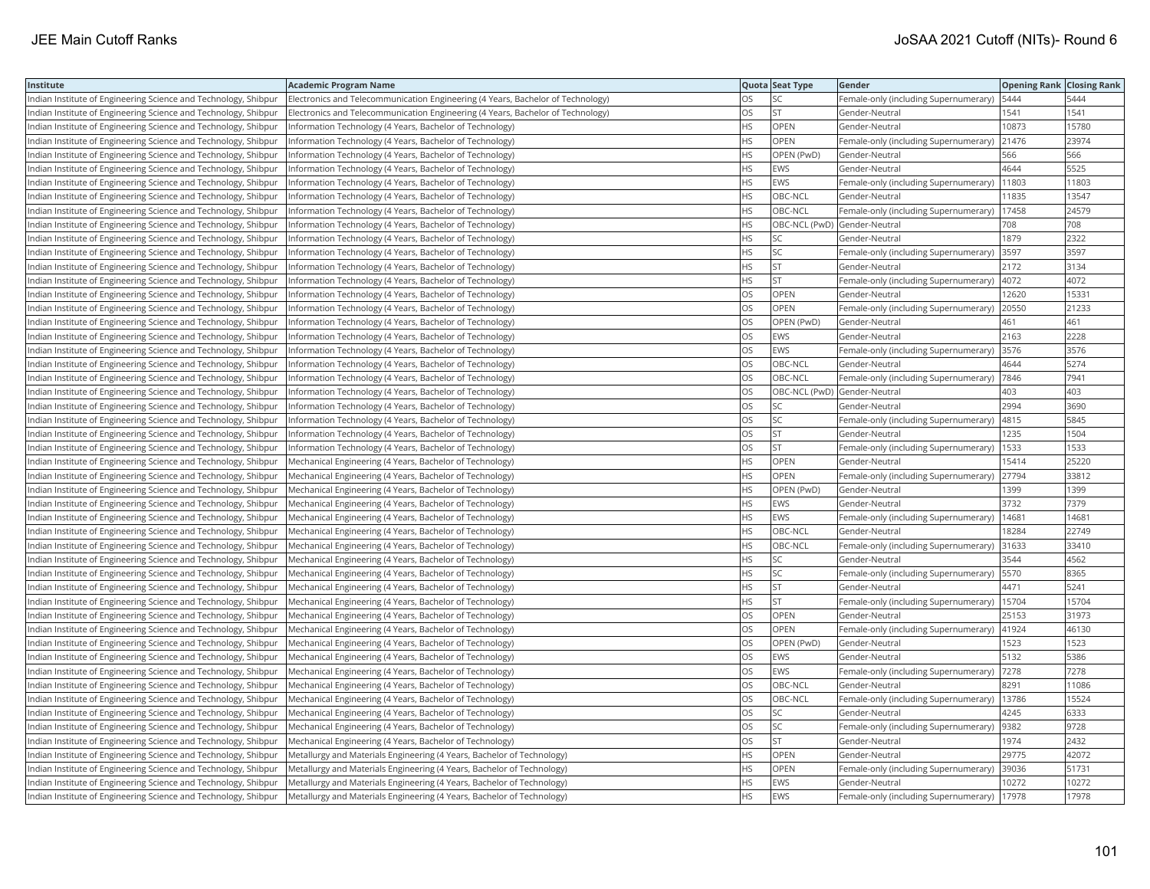| Institute                                                       | <b>Academic Program Name</b>                                                    |           | Quota Seat Type              | Gender                                        | <b>Opening Rank   Closing Rank</b> |       |
|-----------------------------------------------------------------|---------------------------------------------------------------------------------|-----------|------------------------------|-----------------------------------------------|------------------------------------|-------|
| Indian Institute of Engineering Science and Technology, Shibpur | Electronics and Telecommunication Engineering (4 Years, Bachelor of Technology) | OS        | SC                           | Female-only (including Supernumerary)         | 5444                               | 5444  |
| Indian Institute of Engineering Science and Technology, Shibpur | Electronics and Telecommunication Engineering (4 Years, Bachelor of Technology) | OS        | <b>ST</b>                    | Gender-Neutral                                | 1541                               | 1541  |
| Indian Institute of Engineering Science and Technology, Shibpur | Information Technology (4 Years, Bachelor of Technology)                        | HS        | OPEN                         | Gender-Neutral                                | 10873                              | 15780 |
| Indian Institute of Engineering Science and Technology, Shibpur | Information Technology (4 Years, Bachelor of Technology)                        | HS.       | <b>OPEN</b>                  | Female-only (including Supernumerary)         | 21476                              | 23974 |
| Indian Institute of Engineering Science and Technology, Shibpur | Information Technology (4 Years, Bachelor of Technology)                        | НS        | OPEN (PwD)                   | Gender-Neutral                                | 566                                | 566   |
| Indian Institute of Engineering Science and Technology, Shibpur | Information Technology (4 Years, Bachelor of Technology)                        | ΗS        | EWS                          | Gender-Neutral                                | 4644                               | 5525  |
| Indian Institute of Engineering Science and Technology, Shibpur | Information Technology (4 Years, Bachelor of Technology)                        | НS        | EWS                          | Female-only (including Supernumerary)         | 11803                              | 11803 |
| Indian Institute of Engineering Science and Technology, Shibpur | Information Technology (4 Years, Bachelor of Technology)                        | HS        | OBC-NCL                      | Gender-Neutral                                | 11835                              | 13547 |
| Indian Institute of Engineering Science and Technology, Shibpur | Information Technology (4 Years, Bachelor of Technology)                        | HS.       | OBC-NCL                      | Female-only (including Supernumerary)         | 17458                              | 24579 |
| Indian Institute of Engineering Science and Technology, Shibpur | Information Technology (4 Years, Bachelor of Technology)                        | HS        | OBC-NCL (PwD) Gender-Neutral |                                               | 708                                | 708   |
| Indian Institute of Engineering Science and Technology, Shibpur | Information Technology (4 Years, Bachelor of Technology)                        | <b>HS</b> | <b>SC</b>                    | Gender-Neutral                                | 1879                               | 2322  |
| Indian Institute of Engineering Science and Technology, Shibpur | Information Technology (4 Years, Bachelor of Technology)                        | HS        | <b>SC</b>                    | Female-only (including Supernumerary)         | 3597                               | 3597  |
| Indian Institute of Engineering Science and Technology, Shibpur | Information Technology (4 Years, Bachelor of Technology)                        | HS        | <b>ST</b>                    | Gender-Neutral                                | 2172                               | 3134  |
| Indian Institute of Engineering Science and Technology, Shibpur | Information Technology (4 Years, Bachelor of Technology)                        | HS        | <b>ST</b>                    | Female-only (including Supernumerary)         | 4072                               | 4072  |
| Indian Institute of Engineering Science and Technology, Shibpur | Information Technology (4 Years, Bachelor of Technology)                        | OS        | OPEN                         | Gender-Neutral                                | 12620                              | 15331 |
| Indian Institute of Engineering Science and Technology, Shibpur | Information Technology (4 Years, Bachelor of Technology)                        | OS        | <b>OPEN</b>                  | Female-only (including Supernumerary)         | 20550                              | 21233 |
| Indian Institute of Engineering Science and Technology, Shibpur | Information Technology (4 Years, Bachelor of Technology)                        | OS        | OPEN (PwD)                   | Gender-Neutral                                | 461                                | 461   |
| Indian Institute of Engineering Science and Technology, Shibpur | Information Technology (4 Years, Bachelor of Technology)                        | OS        | EWS                          | Gender-Neutral                                | 2163                               | 2228  |
| Indian Institute of Engineering Science and Technology, Shibpur | Information Technology (4 Years, Bachelor of Technology)                        | OS        | EWS                          | Female-only (including Supernumerary)         | 3576                               | 3576  |
| Indian Institute of Engineering Science and Technology, Shibpur | Information Technology (4 Years, Bachelor of Technology)                        | <b>OS</b> | OBC-NCL                      | Gender-Neutral                                | 4644                               | 5274  |
| Indian Institute of Engineering Science and Technology, Shibpur | Information Technology (4 Years, Bachelor of Technology)                        | OS.       | OBC-NCL                      | Female-only (including Supernumerary)  7846   |                                    | 7941  |
| Indian Institute of Engineering Science and Technology, Shibpur | (Information Technology (4 Years, Bachelor of Technology)                       | OS        | OBC-NCL (PwD) Gender-Neutral |                                               | 403                                | 403   |
| Indian Institute of Engineering Science and Technology, Shibpur | Information Technology (4 Years, Bachelor of Technology)                        | OS        | SC                           | Gender-Neutral                                | 2994                               | 3690  |
| Indian Institute of Engineering Science and Technology, Shibpur | Information Technology (4 Years, Bachelor of Technology)                        | OS        | SC                           | Female-only (including Supernumerary)   4815  |                                    | 5845  |
| Indian Institute of Engineering Science and Technology, Shibpur | Information Technology (4 Years, Bachelor of Technology)                        | OS        | <b>ST</b>                    | Gender-Neutral                                | 1235                               | 1504  |
| Indian Institute of Engineering Science and Technology, Shibpur | Information Technology (4 Years, Bachelor of Technology)                        | OS.       | <b>ST</b>                    | Female-only (including Supernumerary)         | 1533                               | 1533  |
| Indian Institute of Engineering Science and Technology, Shibpur | Mechanical Engineering (4 Years, Bachelor of Technology)                        | НS        | OPEN                         | Gender-Neutral                                | 15414                              | 25220 |
| Indian Institute of Engineering Science and Technology, Shibpur | Mechanical Engineering (4 Years, Bachelor of Technology)                        | HS.       | OPEN                         | Female-only (including Supernumerary)         | 27794                              | 33812 |
| Indian Institute of Engineering Science and Technology, Shibpur | Mechanical Engineering (4 Years, Bachelor of Technology)                        | HS.       | OPEN (PwD)                   | Gender-Neutral                                | 1399                               | 1399  |
| Indian Institute of Engineering Science and Technology, Shibpur | Mechanical Engineering (4 Years, Bachelor of Technology)                        | HS.       | EWS                          | Gender-Neutral                                | 3732                               | 7379  |
| Indian Institute of Engineering Science and Technology, Shibpur | Mechanical Engineering (4 Years, Bachelor of Technology)                        | HS.       | EWS                          | Female-only (including Supernumerary)   14681 |                                    | 14681 |
| Indian Institute of Engineering Science and Technology, Shibpur | Mechanical Engineering (4 Years, Bachelor of Technology)                        | НS        | OBC-NCL                      | Gender-Neutral                                | 8284                               | 22749 |
| Indian Institute of Engineering Science and Technology, Shibpur | Mechanical Engineering (4 Years, Bachelor of Technology)                        | HS.       | OBC-NCL                      | Female-only (including Supernumerary)         | 31633                              | 33410 |
| Indian Institute of Engineering Science and Technology, Shibpur | Mechanical Engineering (4 Years, Bachelor of Technology)                        | HS        | <b>SC</b>                    | Gender-Neutral                                | 3544                               | 4562  |
| Indian Institute of Engineering Science and Technology, Shibpur | Mechanical Engineering (4 Years, Bachelor of Technology)                        | HS        | SC                           | Female-only (including Supernumerary)         | 5570                               | 8365  |
| Indian Institute of Engineering Science and Technology, Shibpur | Mechanical Engineering (4 Years, Bachelor of Technology)                        | HS        | <b>ST</b>                    | Gender-Neutral                                | 4471                               | 5241  |
| Indian Institute of Engineering Science and Technology, Shibpur | Mechanical Engineering (4 Years, Bachelor of Technology)                        | HS.       | <b>ST</b>                    | Female-only (including Supernumerary)         | 15704                              | 15704 |
| Indian Institute of Engineering Science and Technology, Shibpur | Mechanical Engineering (4 Years, Bachelor of Technology)                        | OS        | OPEN                         | Gender-Neutral                                | 25153                              | 31973 |
| Indian Institute of Engineering Science and Technology, Shibpur | Mechanical Engineering (4 Years, Bachelor of Technology)                        | OS        | <b>OPEN</b>                  | Female-only (including Supernumerary)   41924 |                                    | 46130 |
| Indian Institute of Engineering Science and Technology, Shibpur | Mechanical Engineering (4 Years, Bachelor of Technology)                        | OS        | OPEN (PwD)                   | Gender-Neutral                                | 1523                               | 1523  |
| Indian Institute of Engineering Science and Technology, Shibpur | Mechanical Engineering (4 Years, Bachelor of Technology)                        | OS        | <b>EWS</b>                   | Gender-Neutral                                | 5132                               | 5386  |
| Indian Institute of Engineering Science and Technology, Shibpur | Mechanical Engineering (4 Years, Bachelor of Technology)                        | OS        | EWS                          | Female-only (including Supernumerary)         | 7278                               | 7278  |
| Indian Institute of Engineering Science and Technology, Shibpur | Mechanical Engineering (4 Years, Bachelor of Technology)                        | OS        | OBC-NCL                      | Gender-Neutral                                | 8291                               | 11086 |
| Indian Institute of Engineering Science and Technology, Shibpur | Mechanical Engineering (4 Years, Bachelor of Technology)                        | OS        | OBC-NCL                      | Female-only (including Supernumerary)         | 13786                              | 15524 |
| Indian Institute of Engineering Science and Technology, Shibpur | Mechanical Engineering (4 Years, Bachelor of Technology)                        | OS        | <b>SC</b>                    | Gender-Neutral                                | 4245                               | 6333  |
| Indian Institute of Engineering Science and Technology, Shibpur | Mechanical Engineering (4 Years, Bachelor of Technology)                        | OS.       | <b>SC</b>                    | Female-only (including Supernumerary)         | 9382                               | 9728  |
| Indian Institute of Engineering Science and Technology, Shibpur | (Mechanical Engineering (4 Years, Bachelor of Technology)                       | OS        | <b>ST</b>                    | Gender-Neutral                                | 1974                               | 2432  |
| Indian Institute of Engineering Science and Technology, Shibpur | Metallurgy and Materials Engineering (4 Years, Bachelor of Technology)          | НS        | OPEN                         | Gender-Neutral                                | 29775                              | 42072 |
| Indian Institute of Engineering Science and Technology, Shibpur | Metallurgy and Materials Engineering (4 Years, Bachelor of Technology)          | НS        | OPEN                         | Female-only (including Supernumerary)  39036  |                                    | 51731 |
| Indian Institute of Engineering Science and Technology, Shibpur | Metallurgy and Materials Engineering (4 Years, Bachelor of Technology)          | HS        | <b>EWS</b>                   | Gender-Neutral                                | 10272                              | 10272 |
| Indian Institute of Engineering Science and Technology, Shibpur | Metallurgy and Materials Engineering (4 Years, Bachelor of Technology)          | <b>HS</b> | EWS                          | Female-only (including Supernumerary)         | 17978                              | 17978 |